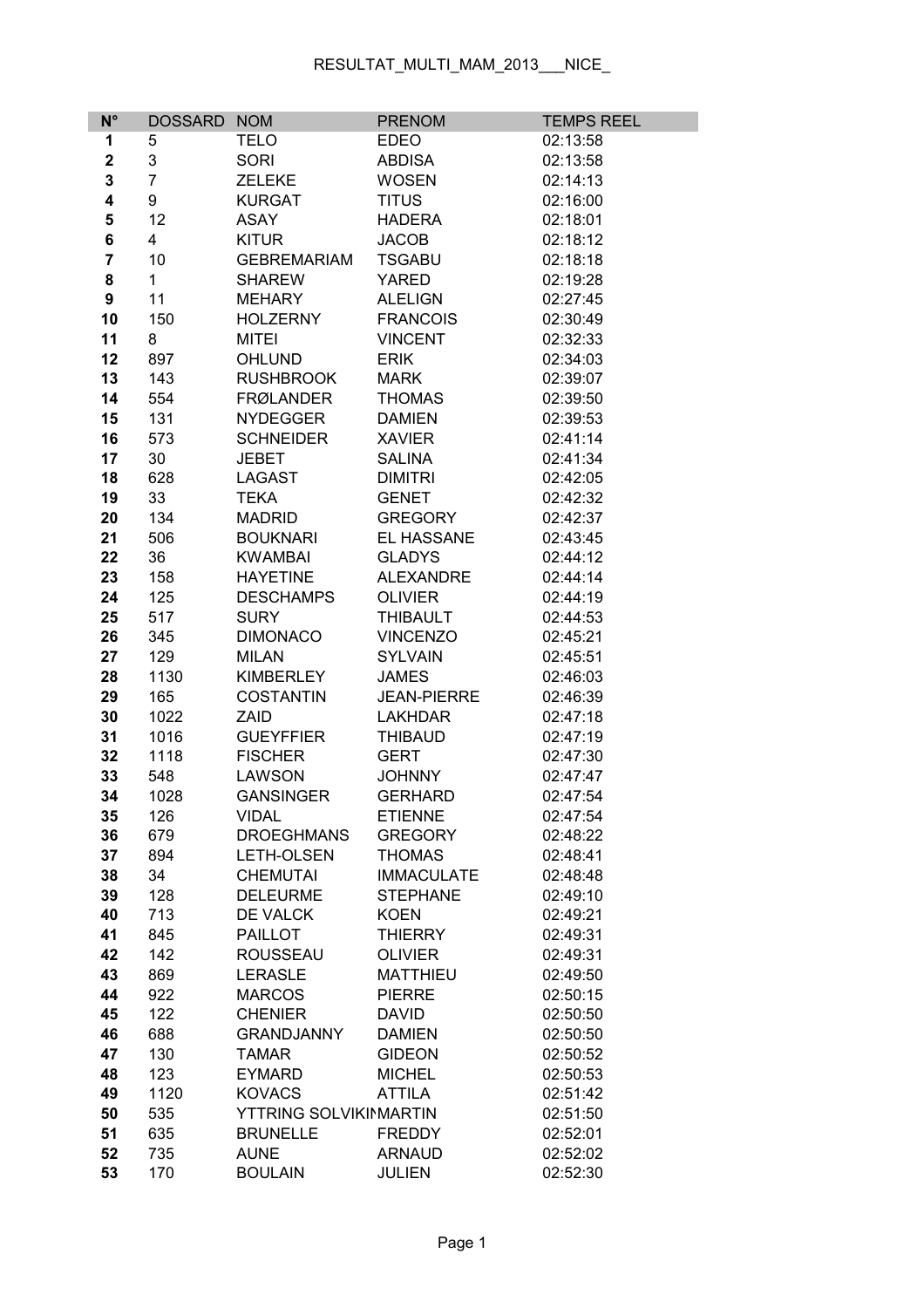## RESULTAT\_MULTI\_MAM\_2013\_\_\_NICE\_

| $N^{\circ}$             | <b>DOSSARD</b> | <b>NOM</b>            | <b>PRENOM</b>      | <b>TEMPS REEL</b> |
|-------------------------|----------------|-----------------------|--------------------|-------------------|
| 1                       | 5              | <b>TELO</b>           | <b>EDEO</b>        | 02:13:58          |
| $\mathbf 2$             | 3              | <b>SORI</b>           | <b>ABDISA</b>      | 02:13:58          |
| 3                       | $\overline{7}$ | <b>ZELEKE</b>         | <b>WOSEN</b>       | 02:14:13          |
| 4                       | 9              | <b>KURGAT</b>         | <b>TITUS</b>       | 02:16:00          |
| 5                       | 12             | <b>ASAY</b>           | <b>HADERA</b>      | 02:18:01          |
| 6                       | 4              | <b>KITUR</b>          | <b>JACOB</b>       | 02:18:12          |
| $\overline{\mathbf{7}}$ | 10             | <b>GEBREMARIAM</b>    | <b>TSGABU</b>      | 02:18:18          |
| 8                       | $\mathbf{1}$   | <b>SHAREW</b>         | <b>YARED</b>       | 02:19:28          |
| 9                       | 11             | <b>MEHARY</b>         | <b>ALELIGN</b>     | 02:27:45          |
| 10                      | 150            | <b>HOLZERNY</b>       | <b>FRANCOIS</b>    | 02:30:49          |
| 11                      | 8              | <b>MITEI</b>          | <b>VINCENT</b>     | 02:32:33          |
| 12                      | 897            | <b>OHLUND</b>         | <b>ERIK</b>        | 02:34:03          |
| 13                      | 143            | <b>RUSHBROOK</b>      | <b>MARK</b>        | 02:39:07          |
| 14                      | 554            | <b>FRØLANDER</b>      | <b>THOMAS</b>      | 02:39:50          |
| 15                      | 131            | <b>NYDEGGER</b>       | <b>DAMIEN</b>      | 02:39:53          |
| 16                      | 573            | <b>SCHNEIDER</b>      | <b>XAVIER</b>      | 02:41:14          |
| 17                      | 30             | <b>JEBET</b>          | <b>SALINA</b>      | 02:41:34          |
| 18                      | 628            | <b>LAGAST</b>         | <b>DIMITRI</b>     | 02:42:05          |
| 19                      | 33             | <b>TEKA</b>           | <b>GENET</b>       | 02:42:32          |
| 20                      | 134            | <b>MADRID</b>         | <b>GREGORY</b>     | 02:42:37          |
| 21                      | 506            | <b>BOUKNARI</b>       | EL HASSANE         | 02:43:45          |
| 22                      | 36             | <b>KWAMBAI</b>        | <b>GLADYS</b>      | 02:44:12          |
| 23                      | 158            | <b>HAYETINE</b>       | <b>ALEXANDRE</b>   | 02:44:14          |
| 24                      | 125            | <b>DESCHAMPS</b>      | <b>OLIVIER</b>     | 02:44:19          |
| 25                      | 517            | <b>SURY</b>           | <b>THIBAULT</b>    | 02:44:53          |
| 26                      | 345            | <b>DIMONACO</b>       | <b>VINCENZO</b>    | 02:45:21          |
| 27                      | 129            | <b>MILAN</b>          | <b>SYLVAIN</b>     | 02:45:51          |
| 28                      | 1130           | <b>KIMBERLEY</b>      | <b>JAMES</b>       | 02:46:03          |
| 29                      | 165            | <b>COSTANTIN</b>      | <b>JEAN-PIERRE</b> | 02:46:39          |
| 30                      | 1022           | ZAID                  | <b>LAKHDAR</b>     | 02:47:18          |
| 31                      | 1016           | <b>GUEYFFIER</b>      | <b>THIBAUD</b>     | 02:47:19          |
| 32                      | 1118           | <b>FISCHER</b>        | <b>GERT</b>        | 02:47:30          |
| 33                      | 548            | <b>LAWSON</b>         | <b>JOHNNY</b>      | 02:47:47          |
| 34                      | 1028           | <b>GANSINGER</b>      | <b>GERHARD</b>     | 02:47:54          |
| 35                      | 126            | <b>VIDAL</b>          | <b>ETIENNE</b>     | 02:47:54          |
| 36                      | 679            | <b>DROEGHMANS</b>     | <b>GREGORY</b>     | 02:48:22          |
| 37                      | 894            | <b>LETH-OLSEN</b>     | <b>THOMAS</b>      | 02:48:41          |
| 38                      | 34             | <b>CHEMUTAI</b>       | <b>IMMACULATE</b>  | 02:48:48          |
| 39                      | 128            | <b>DELEURME</b>       | <b>STEPHANE</b>    | 02:49:10          |
| 40                      | 713            | DE VALCK              | <b>KOEN</b>        | 02:49:21          |
| 41                      | 845            | <b>PAILLOT</b>        | <b>THIERRY</b>     | 02:49:31          |
| 42                      | 142            | <b>ROUSSEAU</b>       | <b>OLIVIER</b>     | 02:49:31          |
| 43                      | 869            | <b>LERASLE</b>        | <b>MATTHIEU</b>    | 02:49:50          |
| 44                      | 922            | <b>MARCOS</b>         | <b>PIERRE</b>      | 02:50:15          |
| 45                      | 122            | <b>CHENIER</b>        | <b>DAVID</b>       | 02:50:50          |
| 46                      | 688            | <b>GRANDJANNY</b>     | <b>DAMIEN</b>      | 02:50:50          |
| 47                      | 130            | <b>TAMAR</b>          | <b>GIDEON</b>      | 02:50:52          |
| 48                      | 123            | <b>EYMARD</b>         | <b>MICHEL</b>      | 02:50:53          |
| 49                      | 1120           | <b>KOVACS</b>         | <b>ATTILA</b>      | 02:51:42          |
| 50                      | 535            | YTTRING SOLVIKIMARTIN |                    | 02:51:50          |
| 51                      | 635            | <b>BRUNELLE</b>       | <b>FREDDY</b>      | 02:52:01          |
| 52                      | 735            | <b>AUNE</b>           | <b>ARNAUD</b>      | 02:52:02          |
| 53                      | 170            | <b>BOULAIN</b>        | <b>JULIEN</b>      | 02:52:30          |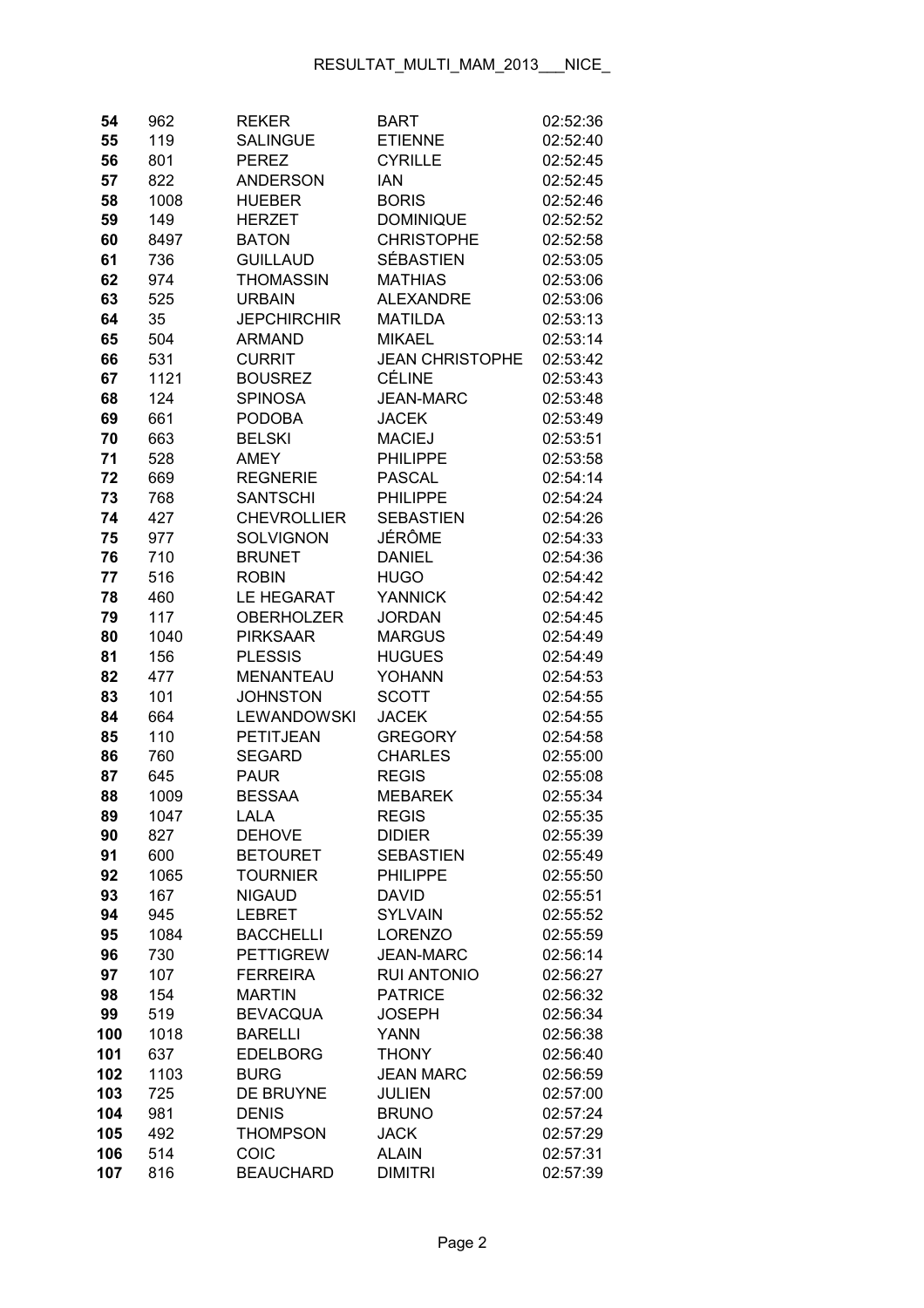| 54       | 962         | <b>REKER</b>                     | BART                          | 02:52:36             |
|----------|-------------|----------------------------------|-------------------------------|----------------------|
| 55       | 119         | <b>SALINGUE</b>                  | <b>ETIENNE</b>                | 02:52:40             |
| 56       | 801         | <b>PEREZ</b>                     | <b>CYRILLE</b>                | 02:52:45             |
| 57       | 822         | <b>ANDERSON</b>                  | <b>IAN</b>                    | 02:52:45             |
| 58       | 1008        | <b>HUEBER</b>                    | <b>BORIS</b>                  | 02:52:46             |
| 59       | 149         | <b>HERZET</b>                    | <b>DOMINIQUE</b>              | 02:52:52             |
| 60       | 8497        | <b>BATON</b>                     | <b>CHRISTOPHE</b>             | 02:52:58             |
| 61       | 736         | <b>GUILLAUD</b>                  | <b>SÉBASTIEN</b>              | 02:53:05             |
| 62       | 974         | <b>THOMASSIN</b>                 | <b>MATHIAS</b>                | 02:53:06             |
| 63       | 525         | <b>URBAIN</b>                    | <b>ALEXANDRE</b>              | 02:53:06             |
| 64       | 35          | <b>JEPCHIRCHIR</b>               | <b>MATILDA</b>                | 02:53:13             |
| 65       | 504         | <b>ARMAND</b>                    | <b>MIKAEL</b>                 | 02:53:14             |
| 66       | 531         | <b>CURRIT</b>                    | <b>JEAN CHRISTOPHE</b>        | 02:53:42             |
| 67       | 1121        | <b>BOUSREZ</b>                   | <b>CÉLINE</b>                 | 02:53:43             |
| 68       | 124         | <b>SPINOSA</b>                   | <b>JEAN-MARC</b>              | 02:53:48             |
| 69       | 661         | <b>PODOBA</b>                    | <b>JACEK</b>                  | 02:53:49             |
| 70       | 663         | <b>BELSKI</b>                    | <b>MACIEJ</b>                 | 02:53:51             |
| 71       | 528         | <b>AMEY</b>                      | <b>PHILIPPE</b>               | 02:53:58             |
| 72       | 669         | <b>REGNERIE</b>                  | <b>PASCAL</b>                 | 02:54:14             |
| 73       | 768         | <b>SANTSCHI</b>                  | <b>PHILIPPE</b>               | 02:54:24             |
| 74       | 427         | <b>CHEVROLLIER</b>               | <b>SEBASTIEN</b>              | 02:54:26             |
| 75       | 977         | <b>SOLVIGNON</b>                 | JÉRÔME                        | 02:54:33             |
| 76       | 710         | <b>BRUNET</b>                    | <b>DANIEL</b>                 | 02:54:36             |
| 77       | 516         | <b>ROBIN</b>                     | <b>HUGO</b>                   | 02:54:42             |
| 78       | 460         | LE HEGARAT                       | <b>YANNICK</b>                | 02:54:42             |
| 79       | 117         | <b>OBERHOLZER</b>                | <b>JORDAN</b>                 | 02:54:45             |
| 80       | 1040        | <b>PIRKSAAR</b>                  | <b>MARGUS</b>                 | 02:54:49             |
| 81       | 156         | <b>PLESSIS</b>                   | <b>HUGUES</b>                 | 02:54:49             |
| 82       | 477         | <b>MENANTEAU</b>                 | YOHANN                        | 02:54:53             |
| 83       | 101         | <b>JOHNSTON</b>                  | <b>SCOTT</b>                  | 02:54:55             |
| 84       | 664         | <b>LEWANDOWSKI</b>               | <b>JACEK</b>                  | 02:54:55             |
| 85       | 110         | PETITJEAN                        | <b>GREGORY</b>                | 02:54:58             |
| 86       | 760         | <b>SEGARD</b>                    | <b>CHARLES</b>                | 02:55:00             |
| 87       | 645         | <b>PAUR</b>                      | <b>REGIS</b>                  | 02:55:08             |
| 88       | 1009        | <b>BESSAA</b>                    | <b>MEBAREK</b>                | 02:55:34             |
|          |             |                                  |                               |                      |
| 89<br>90 | 1047<br>827 | LALA                             | <b>REGIS</b><br><b>DIDIER</b> | 02:55:35             |
| 91       | 600         | <b>DEHOVE</b><br><b>BETOURET</b> | <b>SEBASTIEN</b>              | 02:55:39<br>02:55:49 |
| 92       | 1065        | <b>TOURNIER</b>                  | <b>PHILIPPE</b>               | 02:55:50             |
| 93       | 167         | <b>NIGAUD</b>                    | <b>DAVID</b>                  | 02:55:51             |
| 94       | 945         | <b>LEBRET</b>                    | <b>SYLVAIN</b>                | 02:55:52             |
|          | 1084        | <b>BACCHELLI</b>                 | <b>LORENZO</b>                | 02:55:59             |
| 95<br>96 |             | <b>PETTIGREW</b>                 | <b>JEAN-MARC</b>              |                      |
|          | 730         | <b>FERREIRA</b>                  | <b>RUI ANTONIO</b>            | 02:56:14             |
| 97       | 107         |                                  |                               | 02:56:27             |
| 98       | 154         | <b>MARTIN</b>                    | <b>PATRICE</b>                | 02:56:32             |
| 99       | 519         | <b>BEVACQUA</b>                  | <b>JOSEPH</b>                 | 02:56:34             |
| 100      | 1018        | <b>BARELLI</b>                   | <b>YANN</b>                   | 02:56:38             |
| 101      | 637         | <b>EDELBORG</b>                  | <b>THONY</b>                  | 02:56:40             |
| 102      | 1103        | <b>BURG</b>                      | <b>JEAN MARC</b>              | 02:56:59             |
| 103      | 725         | <b>DE BRUYNE</b>                 | <b>JULIEN</b>                 | 02:57:00             |
| 104      | 981         | <b>DENIS</b>                     | <b>BRUNO</b>                  | 02:57:24             |
| 105      | 492         | <b>THOMPSON</b>                  | <b>JACK</b>                   | 02:57:29             |
| 106      | 514         | COIC                             | <b>ALAIN</b>                  | 02:57:31             |
| 107      | 816         | <b>BEAUCHARD</b>                 | <b>DIMITRI</b>                | 02:57:39             |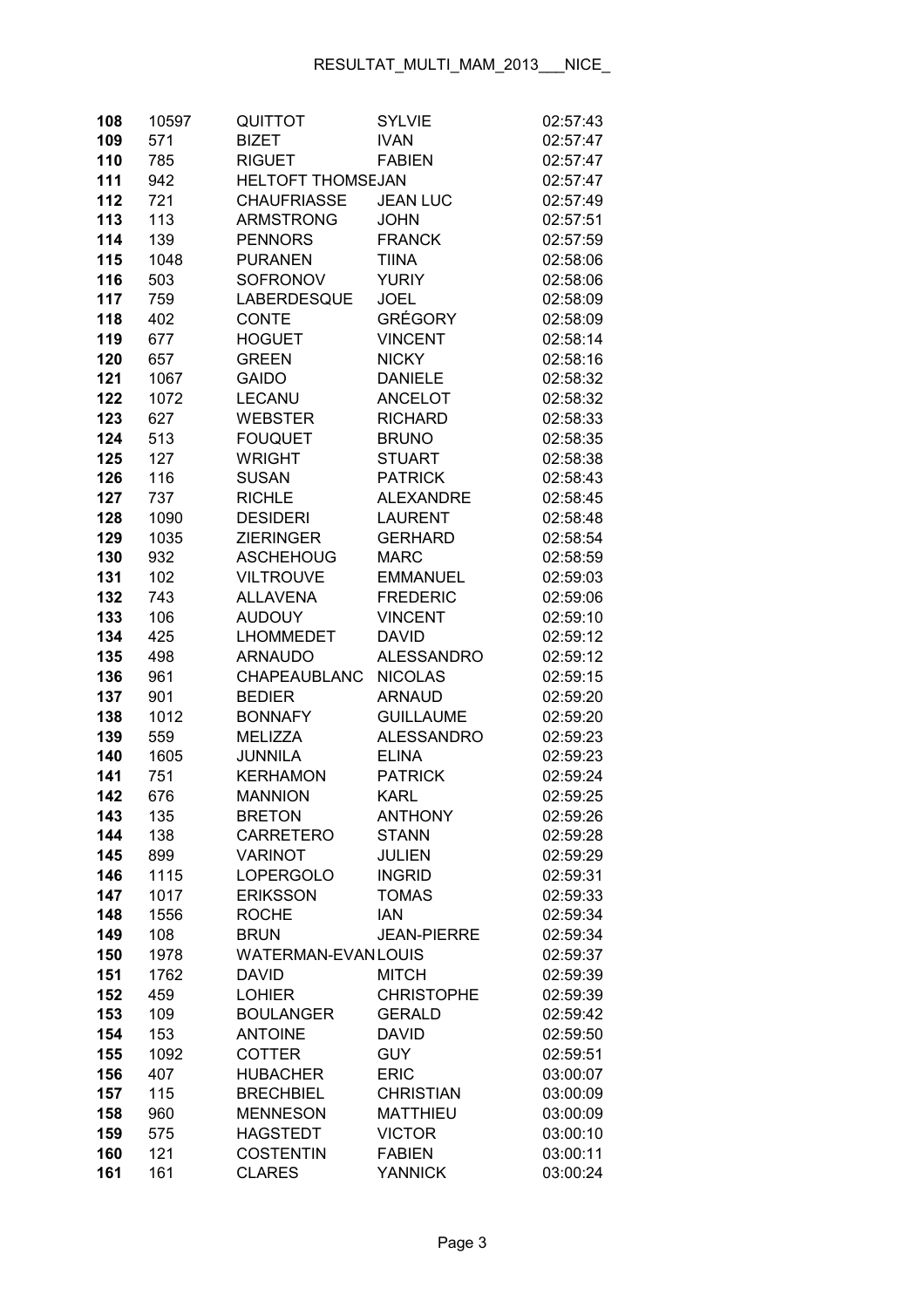| 108        | 10597        | QUITTOT                                  | <b>SYLVIE</b>      | 02:57:43             |
|------------|--------------|------------------------------------------|--------------------|----------------------|
| 109        | 571          | <b>BIZET</b>                             | <b>IVAN</b>        | 02:57:47             |
| 110        | 785          | <b>RIGUET</b>                            | <b>FABIEN</b>      | 02:57:47             |
| 111        | 942          | <b>HELTOFT THOMSEJAN</b>                 |                    | 02:57:47             |
| 112        | 721          | <b>CHAUFRIASSE</b>                       | <b>JEAN LUC</b>    | 02:57:49             |
| 113        | 113          | <b>ARMSTRONG</b>                         | <b>JOHN</b>        | 02:57:51             |
| 114        | 139          | <b>PENNORS</b>                           | <b>FRANCK</b>      | 02:57:59             |
| 115        | 1048         | <b>PURANEN</b>                           | <b>TIINA</b>       | 02:58:06             |
| 116        | 503          | <b>SOFRONOV</b>                          | <b>YURIY</b>       | 02:58:06             |
| 117        | 759          | LABERDESQUE                              | <b>JOEL</b>        | 02:58:09             |
| 118        | 402          | <b>CONTE</b>                             | <b>GRÉGORY</b>     | 02:58:09             |
| 119        | 677          | <b>HOGUET</b>                            | <b>VINCENT</b>     | 02:58:14             |
| 120        | 657          | <b>GREEN</b>                             | <b>NICKY</b>       | 02:58:16             |
| 121        | 1067         | <b>GAIDO</b>                             | <b>DANIELE</b>     | 02:58:32             |
| 122        | 1072         | <b>LECANU</b>                            | <b>ANCELOT</b>     | 02:58:32             |
| 123        | 627          | <b>WEBSTER</b>                           | <b>RICHARD</b>     | 02:58:33             |
| 124        | 513          | <b>FOUQUET</b>                           | <b>BRUNO</b>       | 02:58:35             |
| 125        | 127          | <b>WRIGHT</b>                            | <b>STUART</b>      | 02:58:38             |
| 126        | 116          | <b>SUSAN</b>                             | <b>PATRICK</b>     | 02:58:43             |
| 127        | 737          | <b>RICHLE</b>                            | <b>ALEXANDRE</b>   | 02:58:45             |
| 128        | 1090         | <b>DESIDERI</b>                          | <b>LAURENT</b>     | 02:58:48             |
| 129        | 1035         | <b>ZIERINGER</b>                         | <b>GERHARD</b>     | 02:58:54             |
| 130        | 932          | <b>ASCHEHOUG</b>                         | <b>MARC</b>        | 02:58:59             |
| 131        | 102          | <b>VILTROUVE</b>                         | <b>EMMANUEL</b>    | 02:59:03             |
| 132        | 743          | <b>ALLAVENA</b>                          | <b>FREDERIC</b>    | 02:59:06             |
| 133        | 106          | <b>AUDOUY</b>                            | <b>VINCENT</b>     | 02:59:10             |
| 134        | 425          | <b>LHOMMEDET</b>                         | <b>DAVID</b>       | 02:59:12             |
| 135        | 498          | <b>ARNAUDO</b>                           | <b>ALESSANDRO</b>  | 02:59:12             |
| 136        | 961          | <b>CHAPEAUBLANC</b>                      | <b>NICOLAS</b>     | 02:59:15             |
| 137        | 901          | <b>BEDIER</b>                            | <b>ARNAUD</b>      | 02:59:20             |
| 138        | 1012         | <b>BONNAFY</b>                           | <b>GUILLAUME</b>   | 02:59:20             |
| 139        | 559          | <b>MELIZZA</b>                           | <b>ALESSANDRO</b>  | 02:59:23             |
| 140        | 1605         | JUNNILA                                  | <b>ELINA</b>       | 02:59:23             |
| 141        | 751          | <b>KERHAMON</b>                          | <b>PATRICK</b>     | 02:59:24             |
| 142        | 676          | <b>MANNION</b>                           | <b>KARL</b>        | 02:59:25             |
| 143        | 135          | <b>BRETON</b>                            | ANTHONY            | 02:59:26             |
| 144        | 138          | <b>CARRETERO</b>                         | <b>STANN</b>       | 02:59:28             |
| 145        | 899          | <b>VARINOT</b>                           | JULIEN             | 02:59:29             |
| 146        | 1115         | <b>LOPERGOLO</b>                         | <b>INGRID</b>      | 02:59:31             |
| 147        | 1017         | <b>ERIKSSON</b>                          | <b>TOMAS</b>       | 02:59:33             |
| 148        | 1556         | <b>ROCHE</b>                             | <b>IAN</b>         | 02:59:34             |
| 149        | 108          | <b>BRUN</b><br><b>WATERMAN-EVANLOUIS</b> | <b>JEAN-PIERRE</b> | 02:59:34             |
| 150<br>151 | 1978<br>1762 | DAVID                                    | <b>MITCH</b>       | 02:59:37             |
| 152        | 459          | <b>LOHIER</b>                            | <b>CHRISTOPHE</b>  | 02:59:39<br>02:59:39 |
| 153        | 109          | <b>BOULANGER</b>                         | <b>GERALD</b>      | 02:59:42             |
| 154        | 153          | <b>ANTOINE</b>                           | <b>DAVID</b>       | 02:59:50             |
| 155        | 1092         | <b>COTTER</b>                            | <b>GUY</b>         | 02:59:51             |
| 156        | 407          | <b>HUBACHER</b>                          | <b>ERIC</b>        | 03:00:07             |
| 157        | 115          | <b>BRECHBIEL</b>                         | <b>CHRISTIAN</b>   | 03:00:09             |
| 158        | 960          | <b>MENNESON</b>                          | <b>MATTHIEU</b>    | 03:00:09             |
| 159        | 575          | <b>HAGSTEDT</b>                          | <b>VICTOR</b>      | 03:00:10             |
| 160        | 121          | <b>COSTENTIN</b>                         | <b>FABIEN</b>      | 03:00:11             |
| 161        | 161          | <b>CLARES</b>                            | <b>YANNICK</b>     | 03:00:24             |
|            |              |                                          |                    |                      |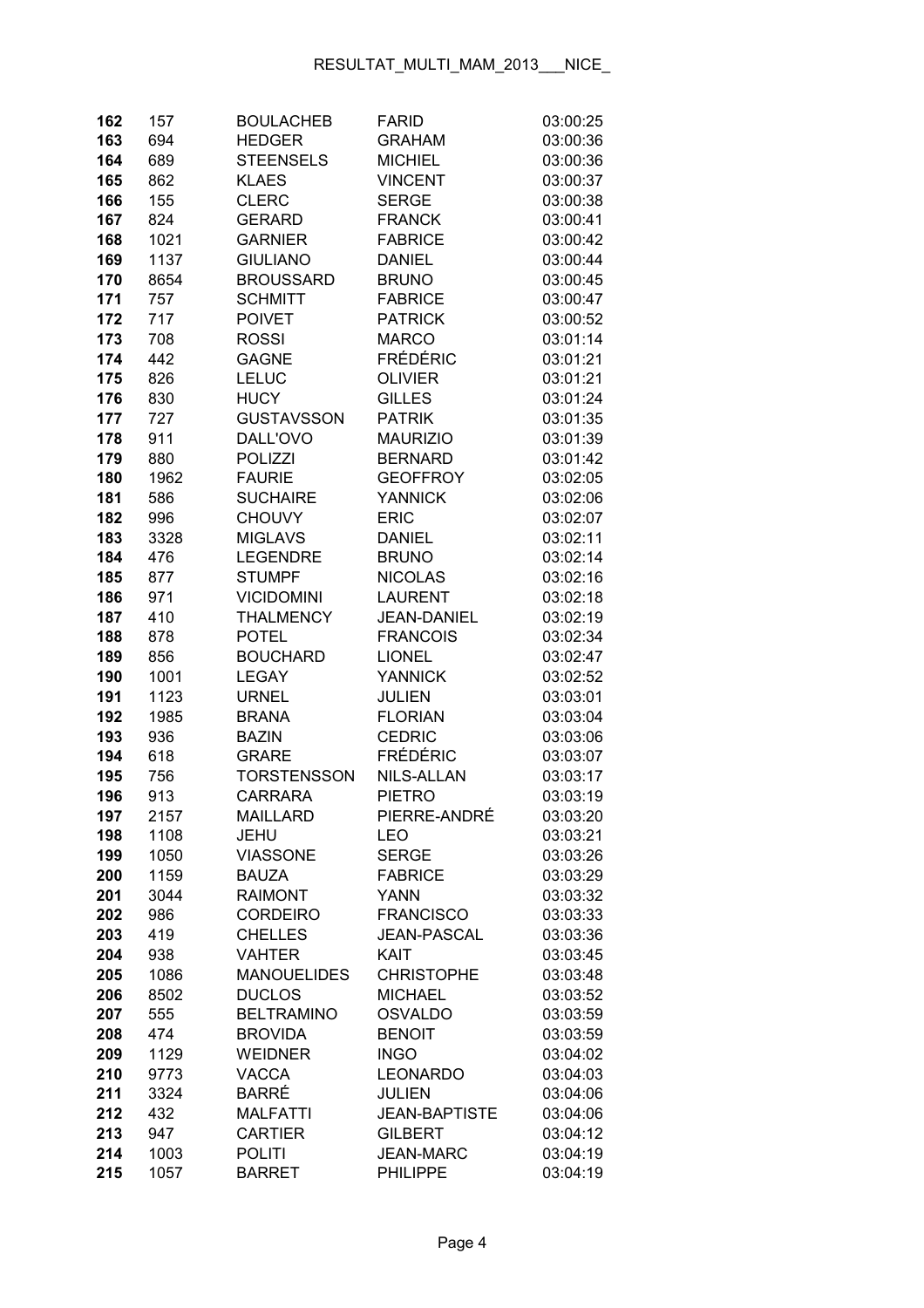| 162        | 157         | <b>BOULACHEB</b>                    | <b>FARID</b>               | 03:00:25             |
|------------|-------------|-------------------------------------|----------------------------|----------------------|
| 163        | 694         | <b>HEDGER</b>                       | <b>GRAHAM</b>              | 03:00:36             |
| 164        | 689         | <b>STEENSELS</b>                    | <b>MICHIEL</b>             | 03:00:36             |
| 165        | 862         | <b>KLAES</b>                        | <b>VINCENT</b>             | 03:00:37             |
| 166        | 155         | <b>CLERC</b>                        | <b>SERGE</b>               | 03:00:38             |
| 167        | 824         | <b>GERARD</b>                       | <b>FRANCK</b>              | 03:00:41             |
| 168        | 1021        | <b>GARNIER</b>                      | <b>FABRICE</b>             | 03:00:42             |
| 169        | 1137        | <b>GIULIANO</b>                     | <b>DANIEL</b>              | 03:00:44             |
| 170        | 8654        | <b>BROUSSARD</b>                    | <b>BRUNO</b>               | 03:00:45             |
| 171        | 757         | <b>SCHMITT</b>                      | <b>FABRICE</b>             | 03:00:47             |
| 172        | 717         | <b>POIVET</b>                       | <b>PATRICK</b>             | 03:00:52             |
| 173        | 708         | <b>ROSSI</b>                        | <b>MARCO</b>               | 03:01:14             |
| 174        | 442         | <b>GAGNE</b>                        | <b>FRÉDÉRIC</b>            | 03:01:21             |
| 175        | 826         | <b>LELUC</b>                        | <b>OLIVIER</b>             | 03:01:21             |
| 176        | 830         | <b>HUCY</b>                         | <b>GILLES</b>              | 03:01:24             |
| 177        | 727         | <b>GUSTAVSSON</b>                   | <b>PATRIK</b>              | 03:01:35             |
| 178        | 911         | DALL'OVO                            | <b>MAURIZIO</b>            | 03:01:39             |
| 179        | 880         | <b>POLIZZI</b>                      | <b>BERNARD</b>             | 03:01:42             |
| 180        | 1962        | <b>FAURIE</b>                       | <b>GEOFFROY</b>            | 03:02:05             |
| 181        | 586         | <b>SUCHAIRE</b>                     | <b>YANNICK</b>             | 03:02:06             |
| 182        | 996         | <b>CHOUVY</b>                       | <b>ERIC</b>                | 03:02:07             |
| 183        | 3328        | <b>MIGLAVS</b>                      | <b>DANIEL</b>              | 03:02:11             |
| 184        | 476         | <b>LEGENDRE</b>                     | <b>BRUNO</b>               | 03:02:14             |
| 185        | 877         | <b>STUMPF</b>                       | <b>NICOLAS</b>             | 03:02:16             |
| 186        | 971         | <b>VICIDOMINI</b>                   | <b>LAURENT</b>             | 03:02:18             |
| 187        | 410         | <b>THALMENCY</b>                    | <b>JEAN-DANIEL</b>         | 03:02:19             |
| 188        | 878         | <b>POTEL</b>                        | <b>FRANCOIS</b>            | 03:02:34             |
| 189        | 856         | <b>BOUCHARD</b>                     | <b>LIONEL</b>              | 03:02:47             |
| 190        | 1001        | <b>LEGAY</b>                        | <b>YANNICK</b>             | 03:02:52             |
| 191        | 1123        | <b>URNEL</b>                        | <b>JULIEN</b>              | 03:03:01             |
| 192        | 1985        | <b>BRANA</b>                        | <b>FLORIAN</b>             | 03:03:04             |
| 193        | 936         | <b>BAZIN</b>                        | <b>CEDRIC</b>              | 03:03:06             |
| 194        | 618         | <b>GRARE</b>                        | <b>FRÉDÉRIC</b>            | 03:03:07             |
| 195        | 756         | <b>TORSTENSSON</b>                  | NILS-ALLAN                 | 03:03:17             |
| 196        | 913         | <b>CARRARA</b>                      | <b>PIETRO</b>              | 03:03:19             |
| 197        | 2157        | <b>MAILLARD</b>                     | PIERRE-ANDRÉ               | 03:03:20             |
| 198        | 1108        | <b>JEHU</b>                         | <b>LEO</b>                 | 03:03:21             |
| 199        | 1050        | <b>VIASSONE</b>                     | <b>SERGE</b>               | 03:03:26             |
| 200        | 1159        | <b>BAUZA</b>                        | <b>FABRICE</b>             | 03:03:29             |
| 201        | 3044        | <b>RAIMONT</b>                      | <b>YANN</b>                | 03:03:32             |
| 202        | 986         | <b>CORDEIRO</b><br><b>CHELLES</b>   | <b>FRANCISCO</b>           | 03:03:33             |
| 203        | 419         |                                     | <b>JEAN-PASCAL</b><br>KAIT | 03:03:36             |
| 204<br>205 | 938<br>1086 | <b>VAHTER</b><br><b>MANOUELIDES</b> | <b>CHRISTOPHE</b>          | 03:03:45<br>03:03:48 |
| 206        | 8502        | <b>DUCLOS</b>                       | <b>MICHAEL</b>             | 03:03:52             |
| 207        | 555         | <b>BELTRAMINO</b>                   | <b>OSVALDO</b>             | 03:03:59             |
| 208        | 474         | <b>BROVIDA</b>                      | <b>BENOIT</b>              | 03:03:59             |
| 209        | 1129        | <b>WEIDNER</b>                      | <b>INGO</b>                | 03:04:02             |
| 210        | 9773        | <b>VACCA</b>                        | <b>LEONARDO</b>            | 03:04:03             |
| 211        | 3324        | <b>BARRÉ</b>                        | <b>JULIEN</b>              | 03:04:06             |
| 212        | 432         | <b>MALFATTI</b>                     | <b>JEAN-BAPTISTE</b>       | 03:04:06             |
| 213        | 947         | <b>CARTIER</b>                      | <b>GILBERT</b>             | 03:04:12             |
| 214        | 1003        | <b>POLITI</b>                       | <b>JEAN-MARC</b>           | 03:04:19             |
| 215        | 1057        | <b>BARRET</b>                       | <b>PHILIPPE</b>            | 03:04:19             |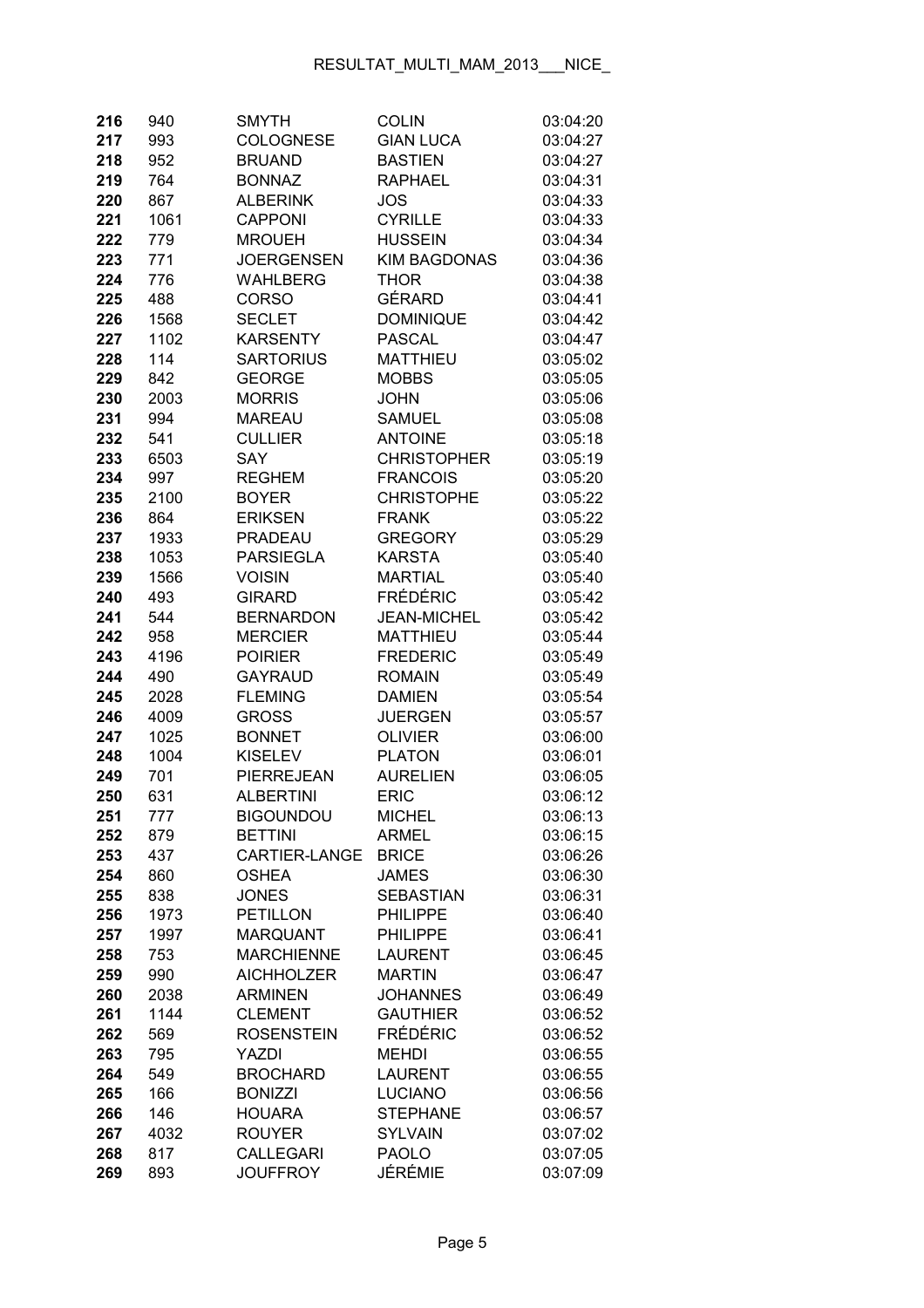| 216 | 940  | <b>SMYTH</b>      | <b>COLIN</b>        | 03:04:20 |
|-----|------|-------------------|---------------------|----------|
| 217 | 993  | <b>COLOGNESE</b>  | <b>GIAN LUCA</b>    | 03:04:27 |
| 218 | 952  | <b>BRUAND</b>     | <b>BASTIEN</b>      | 03:04:27 |
| 219 | 764  | <b>BONNAZ</b>     | <b>RAPHAEL</b>      | 03:04:31 |
| 220 | 867  | <b>ALBERINK</b>   | JOS                 | 03:04:33 |
| 221 | 1061 | <b>CAPPONI</b>    | <b>CYRILLE</b>      | 03:04:33 |
| 222 | 779  | <b>MROUEH</b>     | <b>HUSSEIN</b>      | 03:04:34 |
| 223 | 771  | <b>JOERGENSEN</b> | <b>KIM BAGDONAS</b> | 03:04:36 |
| 224 | 776  | <b>WAHLBERG</b>   | <b>THOR</b>         | 03:04:38 |
| 225 | 488  | <b>CORSO</b>      | GÉRARD              | 03:04:41 |
| 226 | 1568 | <b>SECLET</b>     | <b>DOMINIQUE</b>    | 03:04:42 |
| 227 | 1102 | <b>KARSENTY</b>   | <b>PASCAL</b>       | 03:04:47 |
| 228 | 114  | <b>SARTORIUS</b>  | <b>MATTHIEU</b>     | 03:05:02 |
| 229 | 842  | <b>GEORGE</b>     | <b>MOBBS</b>        | 03:05:05 |
| 230 | 2003 | <b>MORRIS</b>     | <b>JOHN</b>         | 03:05:06 |
| 231 | 994  | <b>MAREAU</b>     | <b>SAMUEL</b>       | 03:05:08 |
| 232 | 541  | <b>CULLIER</b>    | <b>ANTOINE</b>      | 03:05:18 |
| 233 | 6503 | <b>SAY</b>        | <b>CHRISTOPHER</b>  | 03:05:19 |
| 234 | 997  | <b>REGHEM</b>     | <b>FRANCOIS</b>     | 03:05:20 |
| 235 | 2100 | <b>BOYER</b>      | <b>CHRISTOPHE</b>   | 03:05:22 |
| 236 | 864  | <b>ERIKSEN</b>    | <b>FRANK</b>        | 03:05:22 |
| 237 | 1933 | <b>PRADEAU</b>    | <b>GREGORY</b>      | 03:05:29 |
| 238 | 1053 | <b>PARSIEGLA</b>  | <b>KARSTA</b>       | 03:05:40 |
| 239 | 1566 | <b>VOISIN</b>     | <b>MARTIAL</b>      | 03:05:40 |
| 240 | 493  | <b>GIRARD</b>     | <b>FRÉDÉRIC</b>     | 03:05:42 |
| 241 | 544  | <b>BERNARDON</b>  | <b>JEAN-MICHEL</b>  | 03:05:42 |
| 242 | 958  | <b>MERCIER</b>    | <b>MATTHIEU</b>     | 03:05:44 |
| 243 | 4196 | <b>POIRIER</b>    | <b>FREDERIC</b>     | 03:05:49 |
| 244 | 490  | <b>GAYRAUD</b>    | <b>ROMAIN</b>       | 03:05:49 |
| 245 | 2028 | <b>FLEMING</b>    | <b>DAMIEN</b>       | 03:05:54 |
| 246 | 4009 | <b>GROSS</b>      | <b>JUERGEN</b>      | 03:05:57 |
| 247 | 1025 | <b>BONNET</b>     | <b>OLIVIER</b>      | 03:06:00 |
| 248 | 1004 | <b>KISELEV</b>    | <b>PLATON</b>       | 03:06:01 |
| 249 | 701  | PIERREJEAN        | <b>AURELIEN</b>     | 03:06:05 |
| 250 | 631  | <b>ALBERTINI</b>  | <b>ERIC</b>         | 03:06:12 |
| 251 | 777  | <b>BIGOUNDOU</b>  | MICHEL              | 03:06:13 |
| 252 | 879  | <b>BETTINI</b>    | <b>ARMEL</b>        | 03:06:15 |
| 253 | 437  | CARTIER-LANGE     | <b>BRICE</b>        | 03:06:26 |
| 254 | 860  | <b>OSHEA</b>      | <b>JAMES</b>        | 03:06:30 |
| 255 | 838  | <b>JONES</b>      | <b>SEBASTIAN</b>    | 03:06:31 |
| 256 | 1973 | <b>PETILLON</b>   | <b>PHILIPPE</b>     | 03:06:40 |
| 257 | 1997 | <b>MARQUANT</b>   | <b>PHILIPPE</b>     | 03:06:41 |
| 258 | 753  | <b>MARCHIENNE</b> | <b>LAURENT</b>      | 03:06:45 |
| 259 | 990  | <b>AICHHOLZER</b> | <b>MARTIN</b>       | 03:06:47 |
| 260 | 2038 | <b>ARMINEN</b>    | <b>JOHANNES</b>     | 03:06:49 |
| 261 | 1144 | <b>CLEMENT</b>    | <b>GAUTHIER</b>     | 03:06:52 |
| 262 | 569  | <b>ROSENSTEIN</b> | FRÉDÉRIC            | 03:06:52 |
| 263 | 795  | YAZDI             | <b>MEHDI</b>        | 03:06:55 |
| 264 | 549  | <b>BROCHARD</b>   | <b>LAURENT</b>      | 03:06:55 |
| 265 | 166  | <b>BONIZZI</b>    | <b>LUCIANO</b>      | 03:06:56 |
| 266 | 146  | <b>HOUARA</b>     | <b>STEPHANE</b>     | 03:06:57 |
| 267 | 4032 | <b>ROUYER</b>     | <b>SYLVAIN</b>      | 03:07:02 |
| 268 | 817  | <b>CALLEGARI</b>  | <b>PAOLO</b>        | 03:07:05 |
| 269 | 893  | <b>JOUFFROY</b>   | JÉRÉMIE             | 03:07:09 |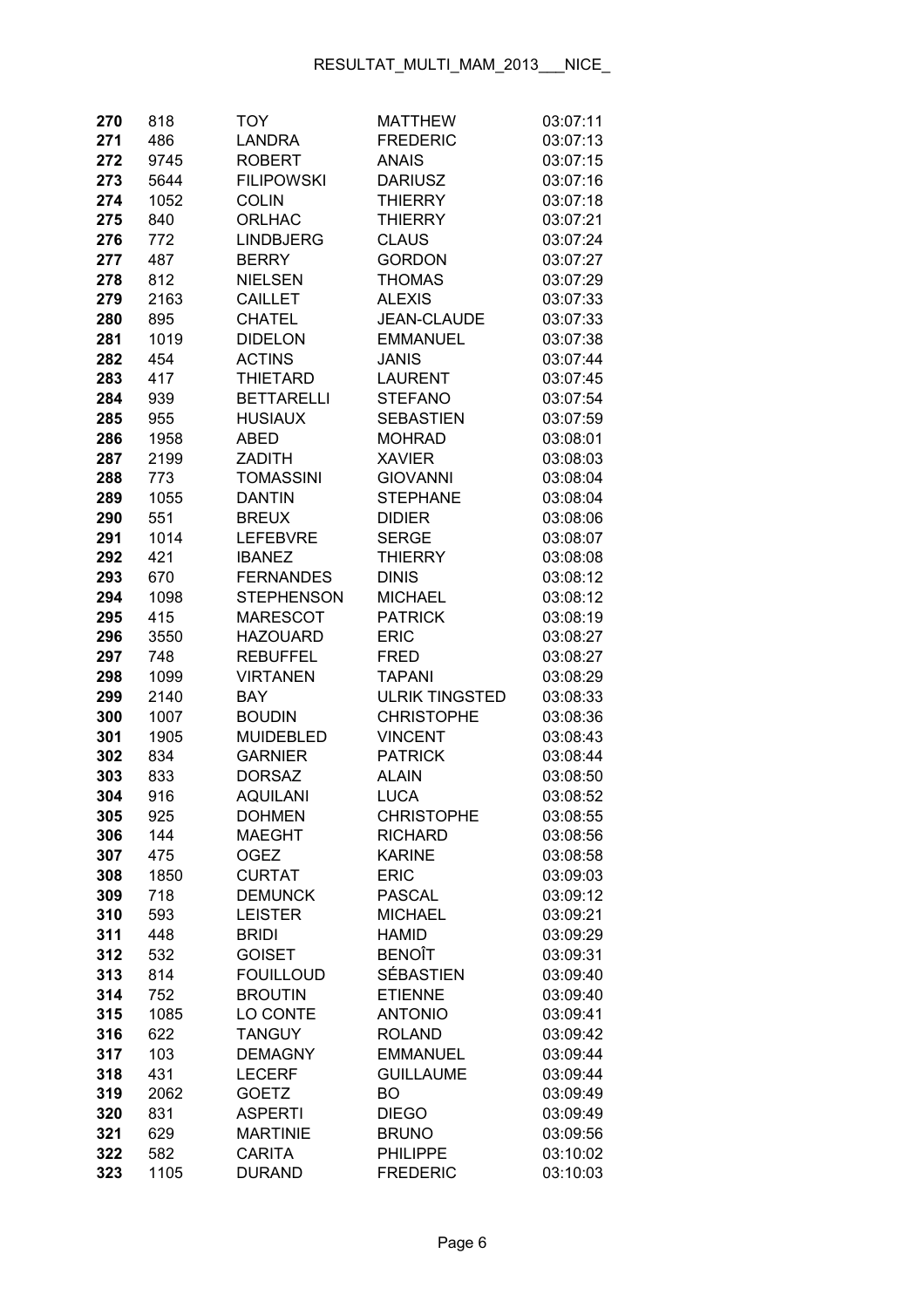| 270 | 818  | TOY               | <b>MATTHEW</b>        | 03:07:11 |
|-----|------|-------------------|-----------------------|----------|
| 271 | 486  | <b>LANDRA</b>     | <b>FREDERIC</b>       | 03:07:13 |
| 272 | 9745 | <b>ROBERT</b>     | <b>ANAIS</b>          | 03:07:15 |
| 273 | 5644 | <b>FILIPOWSKI</b> | <b>DARIUSZ</b>        | 03:07:16 |
| 274 | 1052 | <b>COLIN</b>      | <b>THIERRY</b>        | 03:07:18 |
| 275 | 840  | <b>ORLHAC</b>     | <b>THIERRY</b>        | 03:07:21 |
| 276 | 772  | <b>LINDBJERG</b>  | <b>CLAUS</b>          | 03:07:24 |
| 277 | 487  | <b>BERRY</b>      | <b>GORDON</b>         | 03:07:27 |
| 278 | 812  | <b>NIELSEN</b>    | <b>THOMAS</b>         | 03:07:29 |
| 279 | 2163 | <b>CAILLET</b>    | <b>ALEXIS</b>         | 03:07:33 |
| 280 | 895  | <b>CHATEL</b>     | <b>JEAN-CLAUDE</b>    | 03:07:33 |
| 281 | 1019 | <b>DIDELON</b>    | <b>EMMANUEL</b>       | 03:07:38 |
| 282 | 454  | <b>ACTINS</b>     | <b>JANIS</b>          | 03:07:44 |
| 283 | 417  | <b>THIETARD</b>   | <b>LAURENT</b>        | 03:07:45 |
| 284 | 939  | <b>BETTARELLI</b> | <b>STEFANO</b>        | 03:07:54 |
| 285 | 955  | <b>HUSIAUX</b>    | <b>SEBASTIEN</b>      | 03:07:59 |
| 286 | 1958 | <b>ABED</b>       | <b>MOHRAD</b>         | 03:08:01 |
| 287 | 2199 | <b>ZADITH</b>     | <b>XAVIER</b>         | 03:08:03 |
| 288 | 773  | TOMASSINI         | <b>GIOVANNI</b>       | 03:08:04 |
| 289 | 1055 | <b>DANTIN</b>     | <b>STEPHANE</b>       | 03:08:04 |
| 290 | 551  | <b>BREUX</b>      | <b>DIDIER</b>         | 03:08:06 |
| 291 | 1014 | <b>LEFEBVRE</b>   | <b>SERGE</b>          | 03:08:07 |
| 292 | 421  | <b>IBANEZ</b>     | THIERRY               | 03:08:08 |
| 293 | 670  | <b>FERNANDES</b>  | <b>DINIS</b>          | 03:08:12 |
| 294 | 1098 | <b>STEPHENSON</b> | <b>MICHAEL</b>        | 03:08:12 |
| 295 | 415  | <b>MARESCOT</b>   | <b>PATRICK</b>        | 03:08:19 |
| 296 | 3550 | <b>HAZOUARD</b>   | <b>ERIC</b>           | 03:08:27 |
| 297 | 748  | <b>REBUFFEL</b>   | <b>FRED</b>           | 03:08:27 |
| 298 | 1099 | <b>VIRTANEN</b>   | <b>TAPANI</b>         | 03:08:29 |
| 299 | 2140 | <b>BAY</b>        | <b>ULRIK TINGSTED</b> | 03:08:33 |
| 300 | 1007 | <b>BOUDIN</b>     | <b>CHRISTOPHE</b>     | 03:08:36 |
| 301 | 1905 | <b>MUIDEBLED</b>  | <b>VINCENT</b>        | 03:08:43 |
| 302 | 834  | <b>GARNIER</b>    | <b>PATRICK</b>        | 03:08:44 |
| 303 | 833  | <b>DORSAZ</b>     | <b>ALAIN</b>          | 03:08:50 |
| 304 | 916  | <b>AQUILANI</b>   | <b>LUCA</b>           | 03:08:52 |
| 305 | 925  | <b>DOHMEN</b>     | <b>CHRISTOPHE</b>     | 03:08:55 |
| 306 | 144  | <b>MAEGHT</b>     | <b>RICHARD</b>        | 03:08:56 |
| 307 | 475  | <b>OGEZ</b>       | <b>KARINE</b>         | 03:08:58 |
| 308 | 1850 | <b>CURTAT</b>     | <b>ERIC</b>           | 03:09:03 |
| 309 | 718  | <b>DEMUNCK</b>    | <b>PASCAL</b>         | 03:09:12 |
| 310 | 593  | <b>LEISTER</b>    | <b>MICHAEL</b>        | 03:09:21 |
| 311 | 448  | <b>BRIDI</b>      | <b>HAMID</b>          | 03:09:29 |
| 312 | 532  | <b>GOISET</b>     | <b>BENOÎT</b>         | 03:09:31 |
| 313 | 814  | <b>FOUILLOUD</b>  | SÉBASTIEN             | 03:09:40 |
| 314 | 752  | <b>BROUTIN</b>    | <b>ETIENNE</b>        | 03:09:40 |
| 315 | 1085 | LO CONTE          | <b>ANTONIO</b>        | 03:09:41 |
| 316 | 622  | <b>TANGUY</b>     | <b>ROLAND</b>         | 03:09:42 |
| 317 | 103  | <b>DEMAGNY</b>    | <b>EMMANUEL</b>       | 03:09:44 |
| 318 | 431  | <b>LECERF</b>     | <b>GUILLAUME</b>      | 03:09:44 |
| 319 | 2062 | <b>GOETZ</b>      | <b>BO</b>             | 03:09:49 |
| 320 | 831  | <b>ASPERTI</b>    | <b>DIEGO</b>          | 03:09:49 |
| 321 | 629  | <b>MARTINIE</b>   | <b>BRUNO</b>          | 03:09:56 |
| 322 | 582  | <b>CARITA</b>     | <b>PHILIPPE</b>       | 03:10:02 |
| 323 | 1105 | <b>DURAND</b>     | <b>FREDERIC</b>       | 03:10:03 |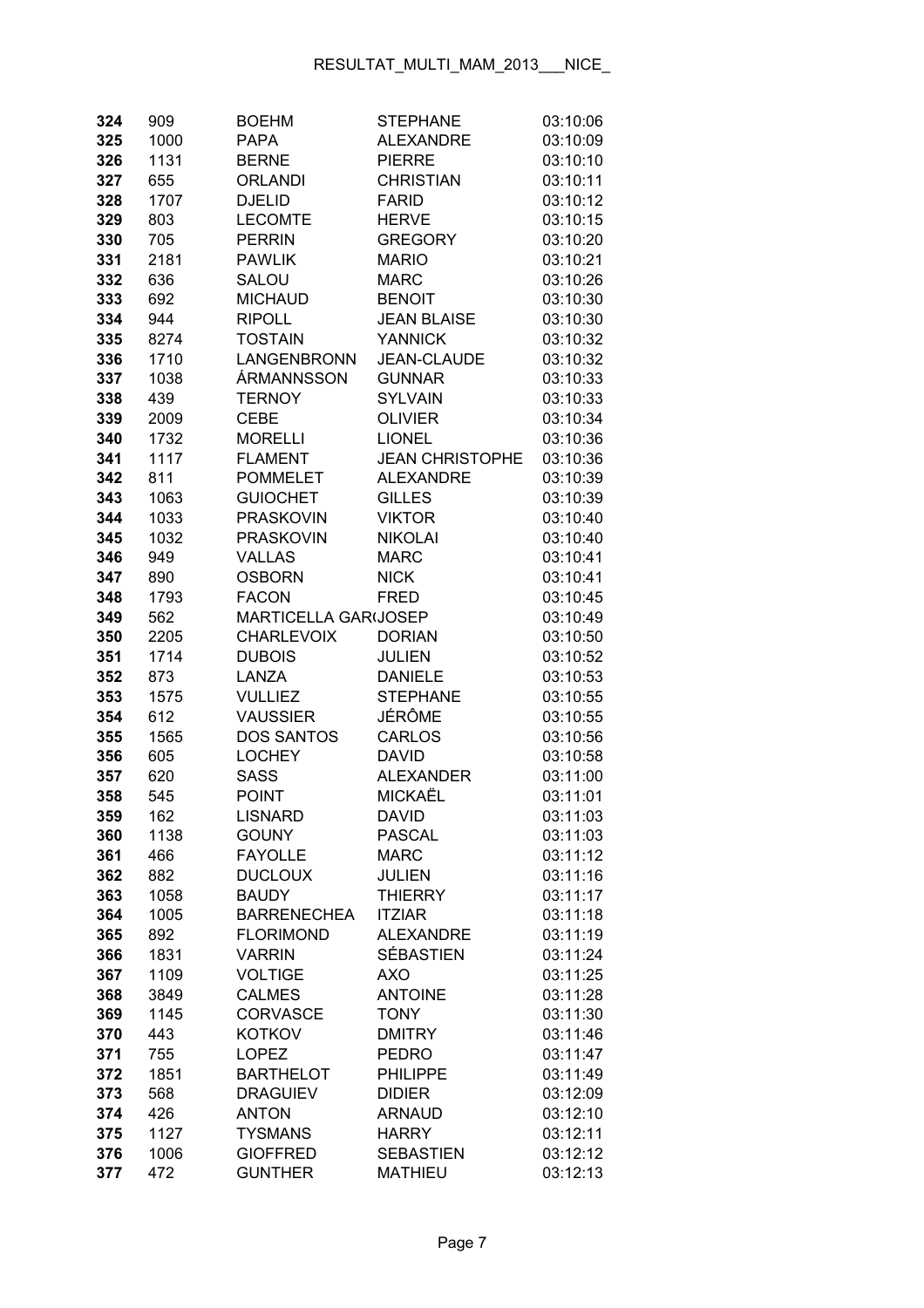| 324 | 909  | <b>BOEHM</b>                | <b>STEPHANE</b>        | 03:10:06 |
|-----|------|-----------------------------|------------------------|----------|
| 325 | 1000 | <b>PAPA</b>                 | <b>ALEXANDRE</b>       | 03:10:09 |
| 326 | 1131 | <b>BERNE</b>                | <b>PIERRE</b>          | 03:10:10 |
| 327 | 655  | <b>ORLANDI</b>              | <b>CHRISTIAN</b>       | 03:10:11 |
| 328 | 1707 | <b>DJELID</b>               | <b>FARID</b>           | 03:10:12 |
| 329 | 803  | <b>LECOMTE</b>              | <b>HERVE</b>           | 03:10:15 |
| 330 | 705  | <b>PERRIN</b>               | <b>GREGORY</b>         | 03:10:20 |
| 331 | 2181 | <b>PAWLIK</b>               | <b>MARIO</b>           | 03:10:21 |
| 332 | 636  | SALOU                       | <b>MARC</b>            | 03:10:26 |
| 333 | 692  | <b>MICHAUD</b>              | <b>BENOIT</b>          | 03:10:30 |
| 334 | 944  | <b>RIPOLL</b>               | <b>JEAN BLAISE</b>     | 03:10:30 |
| 335 | 8274 | <b>TOSTAIN</b>              | <b>YANNICK</b>         | 03:10:32 |
| 336 | 1710 | LANGENBRONN                 | <b>JEAN-CLAUDE</b>     | 03:10:32 |
| 337 | 1038 | ÁRMANNSSON                  | <b>GUNNAR</b>          | 03:10:33 |
| 338 | 439  | <b>TERNOY</b>               | <b>SYLVAIN</b>         | 03:10:33 |
| 339 | 2009 | <b>CEBE</b>                 | <b>OLIVIER</b>         | 03:10:34 |
| 340 | 1732 | <b>MORELLI</b>              | <b>LIONEL</b>          | 03:10:36 |
| 341 | 1117 | <b>FLAMENT</b>              | <b>JEAN CHRISTOPHE</b> | 03:10:36 |
| 342 | 811  | <b>POMMELET</b>             | <b>ALEXANDRE</b>       | 03:10:39 |
| 343 | 1063 | <b>GUIOCHET</b>             | <b>GILLES</b>          | 03:10:39 |
| 344 | 1033 | <b>PRASKOVIN</b>            | <b>VIKTOR</b>          | 03:10:40 |
| 345 | 1032 | <b>PRASKOVIN</b>            | <b>NIKOLAI</b>         | 03:10:40 |
| 346 | 949  | <b>VALLAS</b>               | <b>MARC</b>            | 03:10:41 |
| 347 | 890  | <b>OSBORN</b>               | <b>NICK</b>            | 03:10:41 |
| 348 | 1793 | <b>FACON</b>                | <b>FRED</b>            | 03:10:45 |
| 349 | 562  | <b>MARTICELLA GAR(JOSEP</b> |                        | 03:10:49 |
| 350 | 2205 | <b>CHARLEVOIX</b>           | <b>DORIAN</b>          | 03:10:50 |
| 351 | 1714 | <b>DUBOIS</b>               | <b>JULIEN</b>          | 03:10:52 |
| 352 | 873  | LANZA                       | <b>DANIELE</b>         | 03:10:53 |
| 353 | 1575 | <b>VULLIEZ</b>              | <b>STEPHANE</b>        | 03:10:55 |
| 354 | 612  | <b>VAUSSIER</b>             | JÉRÔME                 | 03:10:55 |
| 355 | 1565 | <b>DOS SANTOS</b>           | <b>CARLOS</b>          | 03:10:56 |
| 356 | 605  | <b>LOCHEY</b>               | <b>DAVID</b>           | 03:10:58 |
| 357 | 620  | <b>SASS</b>                 | <b>ALEXANDER</b>       | 03:11:00 |
| 358 | 545  | <b>POINT</b>                | MICKAËL                | 03:11:01 |
| 359 | 162  | <b>LISNARD</b>              | <b>DAVID</b>           | 03:11:03 |
| 360 | 1138 | <b>GOUNY</b>                | <b>PASCAL</b>          | 03:11:03 |
| 361 | 466  | <b>FAYOLLE</b>              | <b>MARC</b>            | 03:11:12 |
| 362 | 882  | <b>DUCLOUX</b>              | <b>JULIEN</b>          | 03:11:16 |
| 363 | 1058 | <b>BAUDY</b>                | <b>THIERRY</b>         | 03:11:17 |
| 364 | 1005 | <b>BARRENECHEA</b>          | <b>ITZIAR</b>          | 03:11:18 |
| 365 | 892  | <b>FLORIMOND</b>            | <b>ALEXANDRE</b>       | 03:11:19 |
| 366 | 1831 | <b>VARRIN</b>               | SÉBASTIEN              | 03:11:24 |
| 367 | 1109 | <b>VOLTIGE</b>              | <b>AXO</b>             | 03:11:25 |
| 368 | 3849 | <b>CALMES</b>               | <b>ANTOINE</b>         | 03:11:28 |
| 369 | 1145 | <b>CORVASCE</b>             | <b>TONY</b>            | 03:11:30 |
| 370 | 443  | <b>KOTKOV</b>               | <b>DMITRY</b>          | 03:11:46 |
| 371 | 755  | <b>LOPEZ</b>                | <b>PEDRO</b>           | 03:11:47 |
| 372 | 1851 | <b>BARTHELOT</b>            | <b>PHILIPPE</b>        | 03:11:49 |
| 373 | 568  | <b>DRAGUIEV</b>             | <b>DIDIER</b>          | 03:12:09 |
| 374 | 426  | <b>ANTON</b>                | <b>ARNAUD</b>          | 03:12:10 |
| 375 | 1127 | <b>TYSMANS</b>              | <b>HARRY</b>           | 03:12:11 |
| 376 | 1006 | <b>GIOFFRED</b>             | <b>SEBASTIEN</b>       | 03:12:12 |
| 377 | 472  | <b>GUNTHER</b>              | <b>MATHIEU</b>         | 03:12:13 |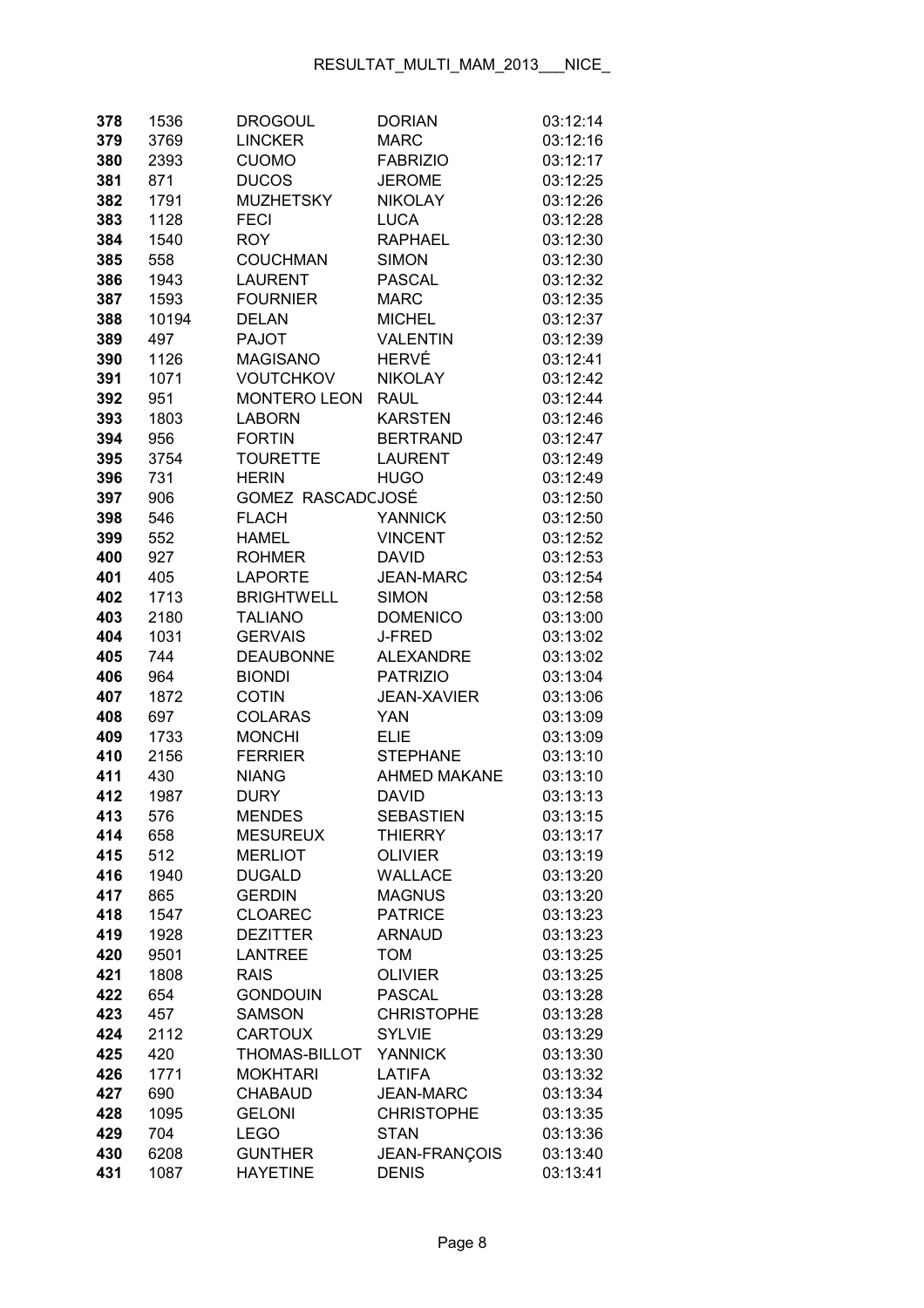| 378 | 1536  | <b>DROGOUL</b>      | <b>DORIAN</b>       | 03:12:14 |
|-----|-------|---------------------|---------------------|----------|
| 379 | 3769  | <b>LINCKER</b>      | <b>MARC</b>         | 03:12:16 |
| 380 | 2393  | <b>CUOMO</b>        | <b>FABRIZIO</b>     | 03:12:17 |
| 381 | 871   | <b>DUCOS</b>        | <b>JEROME</b>       | 03:12:25 |
| 382 | 1791  | <b>MUZHETSKY</b>    | <b>NIKOLAY</b>      | 03:12:26 |
| 383 | 1128  | <b>FECI</b>         | <b>LUCA</b>         | 03:12:28 |
| 384 | 1540  | <b>ROY</b>          | <b>RAPHAEL</b>      | 03:12:30 |
| 385 | 558   | <b>COUCHMAN</b>     | <b>SIMON</b>        | 03:12:30 |
| 386 | 1943  | <b>LAURENT</b>      | <b>PASCAL</b>       | 03:12:32 |
| 387 | 1593  | <b>FOURNIER</b>     | <b>MARC</b>         | 03:12:35 |
| 388 | 10194 | <b>DELAN</b>        | <b>MICHEL</b>       | 03:12:37 |
| 389 | 497   | <b>PAJOT</b>        | <b>VALENTIN</b>     | 03:12:39 |
| 390 | 1126  | <b>MAGISANO</b>     | HERVÉ               | 03:12:41 |
| 391 | 1071  | <b>VOUTCHKOV</b>    | <b>NIKOLAY</b>      | 03:12:42 |
| 392 | 951   | <b>MONTERO LEON</b> | <b>RAUL</b>         | 03:12:44 |
| 393 | 1803  | <b>LABORN</b>       | <b>KARSTEN</b>      | 03:12:46 |
| 394 | 956   | <b>FORTIN</b>       | <b>BERTRAND</b>     | 03:12:47 |
| 395 | 3754  | <b>TOURETTE</b>     | <b>LAURENT</b>      | 03:12:49 |
| 396 | 731   | <b>HERIN</b>        | <b>HUGO</b>         | 03:12:49 |
| 397 | 906   | GOMEZ RASCADCJOSÉ   |                     | 03:12:50 |
| 398 | 546   | <b>FLACH</b>        | <b>YANNICK</b>      | 03:12:50 |
| 399 | 552   | <b>HAMEL</b>        | <b>VINCENT</b>      | 03:12:52 |
| 400 | 927   | <b>ROHMER</b>       | <b>DAVID</b>        | 03:12:53 |
| 401 | 405   | <b>LAPORTE</b>      | <b>JEAN-MARC</b>    | 03:12:54 |
| 402 | 1713  | <b>BRIGHTWELL</b>   | <b>SIMON</b>        | 03:12:58 |
| 403 | 2180  | <b>TALIANO</b>      | <b>DOMENICO</b>     | 03:13:00 |
| 404 | 1031  | <b>GERVAIS</b>      | <b>J-FRED</b>       | 03:13:02 |
| 405 | 744   | <b>DEAUBONNE</b>    | <b>ALEXANDRE</b>    | 03:13:02 |
| 406 | 964   | <b>BIONDI</b>       | <b>PATRIZIO</b>     | 03:13:04 |
| 407 | 1872  | <b>COTIN</b>        | <b>JEAN-XAVIER</b>  | 03:13:06 |
| 408 | 697   | <b>COLARAS</b>      | <b>YAN</b>          | 03:13:09 |
| 409 | 1733  | <b>MONCHI</b>       | <b>ELIE</b>         | 03:13:09 |
| 410 | 2156  | <b>FERRIER</b>      | <b>STEPHANE</b>     | 03:13:10 |
| 411 | 430   | <b>NIANG</b>        | <b>AHMED MAKANE</b> | 03:13:10 |
| 412 | 1987  | <b>DURY</b>         | <b>DAVID</b>        | 03:13:13 |
| 413 | 576   | <b>MENDES</b>       | SEBASTIEN           | 03:13:15 |
| 414 | 658   | <b>MESUREUX</b>     | <b>THIERRY</b>      | 03:13:17 |
| 415 | 512   | <b>MERLIOT</b>      | <b>OLIVIER</b>      | 03:13:19 |
| 416 | 1940  | <b>DUGALD</b>       | <b>WALLACE</b>      | 03:13:20 |
| 417 | 865   | <b>GERDIN</b>       | <b>MAGNUS</b>       | 03:13:20 |
| 418 | 1547  | <b>CLOAREC</b>      | <b>PATRICE</b>      | 03:13:23 |
| 419 | 1928  | <b>DEZITTER</b>     | <b>ARNAUD</b>       | 03:13:23 |
| 420 | 9501  | <b>LANTREE</b>      | <b>TOM</b>          | 03:13:25 |
| 421 | 1808  | <b>RAIS</b>         | <b>OLIVIER</b>      | 03:13:25 |
| 422 | 654   | <b>GONDOUIN</b>     | <b>PASCAL</b>       | 03:13:28 |
| 423 | 457   | <b>SAMSON</b>       | <b>CHRISTOPHE</b>   | 03:13:28 |
| 424 | 2112  | <b>CARTOUX</b>      | <b>SYLVIE</b>       | 03:13:29 |
| 425 | 420   | THOMAS-BILLOT       | <b>YANNICK</b>      | 03:13:30 |
| 426 | 1771  | <b>MOKHTARI</b>     | <b>LATIFA</b>       | 03:13:32 |
| 427 | 690   | <b>CHABAUD</b>      | <b>JEAN-MARC</b>    | 03:13:34 |
| 428 | 1095  | <b>GELONI</b>       | <b>CHRISTOPHE</b>   | 03:13:35 |
| 429 | 704   | <b>LEGO</b>         | <b>STAN</b>         | 03:13:36 |
| 430 | 6208  | <b>GUNTHER</b>      | JEAN-FRANÇOIS       | 03:13:40 |
| 431 | 1087  | <b>HAYETINE</b>     | <b>DENIS</b>        | 03:13:41 |
|     |       |                     |                     |          |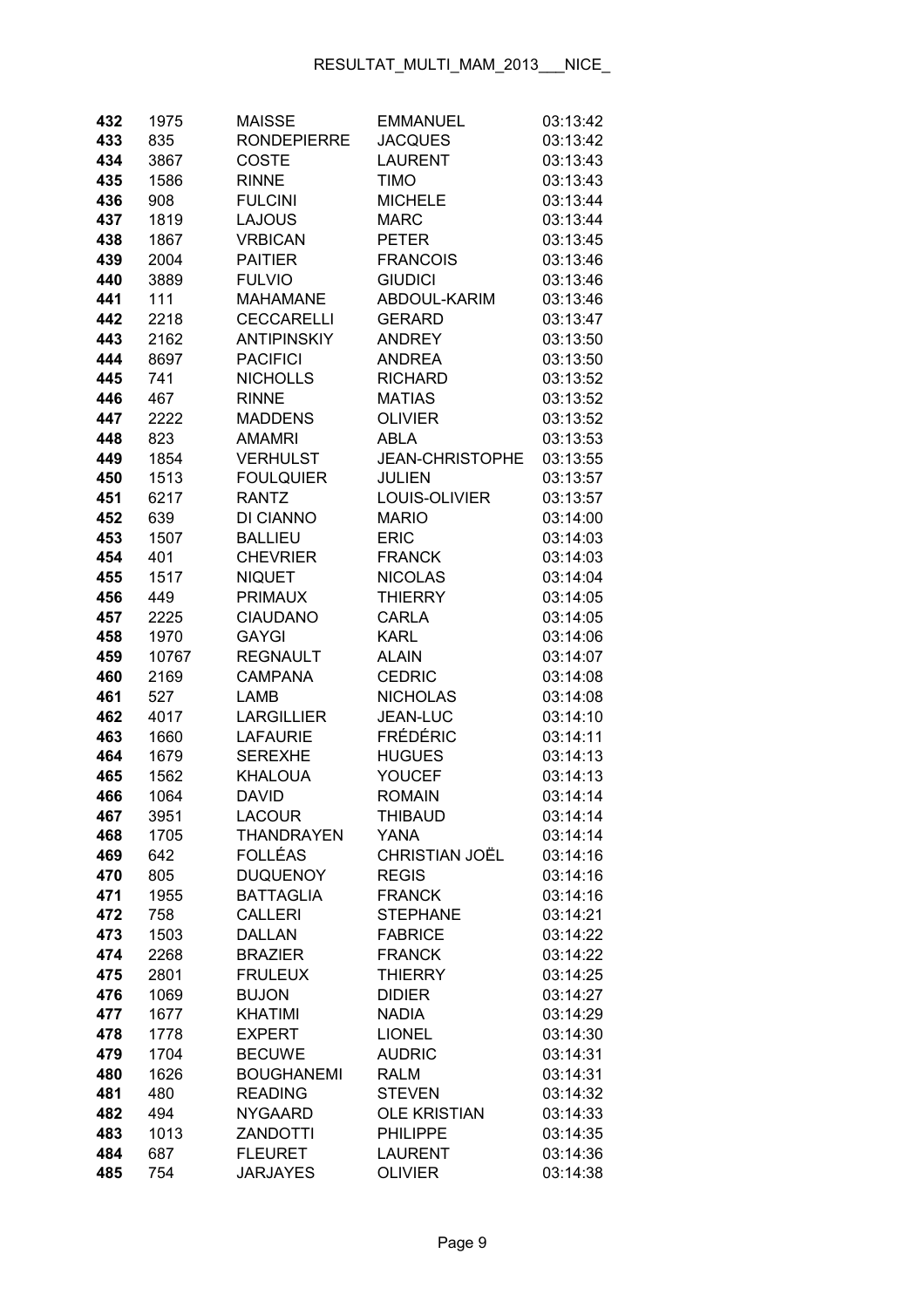| 432 | 1975  | <b>MAISSE</b>      | <b>EMMANUEL</b>        | 03:13:42 |
|-----|-------|--------------------|------------------------|----------|
| 433 | 835   | <b>RONDEPIERRE</b> | <b>JACQUES</b>         | 03:13:42 |
| 434 | 3867  | <b>COSTE</b>       | <b>LAURENT</b>         | 03:13:43 |
| 435 | 1586  | <b>RINNE</b>       | <b>TIMO</b>            | 03:13:43 |
| 436 | 908   | <b>FULCINI</b>     | <b>MICHELE</b>         | 03:13:44 |
| 437 | 1819  | <b>LAJOUS</b>      | <b>MARC</b>            | 03:13:44 |
| 438 | 1867  | <b>VRBICAN</b>     | <b>PETER</b>           | 03:13:45 |
| 439 | 2004  | <b>PAITIER</b>     | <b>FRANCOIS</b>        | 03:13:46 |
| 440 | 3889  | <b>FULVIO</b>      | <b>GIUDICI</b>         | 03:13:46 |
| 441 | 111   | <b>MAHAMANE</b>    | ABDOUL-KARIM           | 03:13:46 |
| 442 | 2218  | <b>CECCARELLI</b>  | <b>GERARD</b>          | 03:13:47 |
| 443 | 2162  | <b>ANTIPINSKIY</b> | <b>ANDREY</b>          | 03:13:50 |
| 444 | 8697  | <b>PACIFICI</b>    | <b>ANDREA</b>          | 03:13:50 |
| 445 | 741   | <b>NICHOLLS</b>    | <b>RICHARD</b>         | 03:13:52 |
| 446 | 467   | <b>RINNE</b>       | <b>MATIAS</b>          | 03:13:52 |
| 447 | 2222  | <b>MADDENS</b>     | <b>OLIVIER</b>         | 03:13:52 |
| 448 | 823   | <b>AMAMRI</b>      | <b>ABLA</b>            | 03:13:53 |
| 449 | 1854  | <b>VERHULST</b>    | <b>JEAN-CHRISTOPHE</b> | 03:13:55 |
| 450 | 1513  | <b>FOULQUIER</b>   | <b>JULIEN</b>          | 03:13:57 |
| 451 | 6217  | <b>RANTZ</b>       | LOUIS-OLIVIER          | 03:13:57 |
| 452 | 639   | <b>DI CIANNO</b>   | <b>MARIO</b>           | 03:14:00 |
| 453 | 1507  | <b>BALLIEU</b>     | <b>ERIC</b>            | 03:14:03 |
| 454 | 401   | <b>CHEVRIER</b>    | <b>FRANCK</b>          | 03:14:03 |
| 455 | 1517  | <b>NIQUET</b>      | <b>NICOLAS</b>         | 03:14:04 |
| 456 | 449   | <b>PRIMAUX</b>     | <b>THIERRY</b>         | 03:14:05 |
| 457 | 2225  | <b>CIAUDANO</b>    | <b>CARLA</b>           | 03:14:05 |
| 458 | 1970  | <b>GAYGI</b>       | <b>KARL</b>            | 03:14:06 |
| 459 | 10767 | <b>REGNAULT</b>    | <b>ALAIN</b>           | 03:14:07 |
| 460 | 2169  | <b>CAMPANA</b>     | <b>CEDRIC</b>          | 03:14:08 |
| 461 | 527   | LAMB               | <b>NICHOLAS</b>        | 03:14:08 |
| 462 | 4017  | <b>LARGILLIER</b>  | <b>JEAN-LUC</b>        | 03:14:10 |
| 463 | 1660  | <b>LAFAURIE</b>    | <b>FRÉDÉRIC</b>        | 03:14:11 |
| 464 | 1679  | <b>SEREXHE</b>     | <b>HUGUES</b>          | 03:14:13 |
| 465 | 1562  | <b>KHALOUA</b>     | <b>YOUCEF</b>          | 03:14:13 |
| 466 | 1064  | <b>DAVID</b>       | <b>ROMAIN</b>          | 03:14:14 |
| 467 | 3951  | <b>LACOUR</b>      | <b>THIBAUD</b>         | 03:14:14 |
| 468 | 1705  | <b>THANDRAYEN</b>  | <b>YANA</b>            | 03:14:14 |
| 469 | 642   | <b>FOLLÉAS</b>     | <b>CHRISTIAN JOËL</b>  | 03:14:16 |
| 470 | 805   | <b>DUQUENOY</b>    | <b>REGIS</b>           | 03:14:16 |
| 471 | 1955  | <b>BATTAGLIA</b>   | <b>FRANCK</b>          | 03:14:16 |
| 472 | 758   | <b>CALLERI</b>     | <b>STEPHANE</b>        | 03:14:21 |
| 473 | 1503  | <b>DALLAN</b>      | <b>FABRICE</b>         | 03:14:22 |
| 474 | 2268  | <b>BRAZIER</b>     | <b>FRANCK</b>          | 03:14:22 |
| 475 | 2801  | <b>FRULEUX</b>     | <b>THIERRY</b>         | 03:14:25 |
| 476 | 1069  | <b>BUJON</b>       | <b>DIDIER</b>          | 03:14:27 |
| 477 | 1677  | <b>KHATIMI</b>     | <b>NADIA</b>           | 03:14:29 |
| 478 | 1778  | <b>EXPERT</b>      | <b>LIONEL</b>          | 03:14:30 |
| 479 | 1704  | <b>BECUWE</b>      | <b>AUDRIC</b>          | 03:14:31 |
| 480 | 1626  | <b>BOUGHANEMI</b>  | <b>RALM</b>            | 03:14:31 |
| 481 | 480   | <b>READING</b>     | <b>STEVEN</b>          | 03:14:32 |
| 482 | 494   | <b>NYGAARD</b>     | <b>OLE KRISTIAN</b>    | 03:14:33 |
| 483 | 1013  | <b>ZANDOTTI</b>    | <b>PHILIPPE</b>        | 03:14:35 |
| 484 | 687   | <b>FLEURET</b>     | <b>LAURENT</b>         | 03:14:36 |
| 485 | 754   | <b>JARJAYES</b>    | <b>OLIVIER</b>         | 03:14:38 |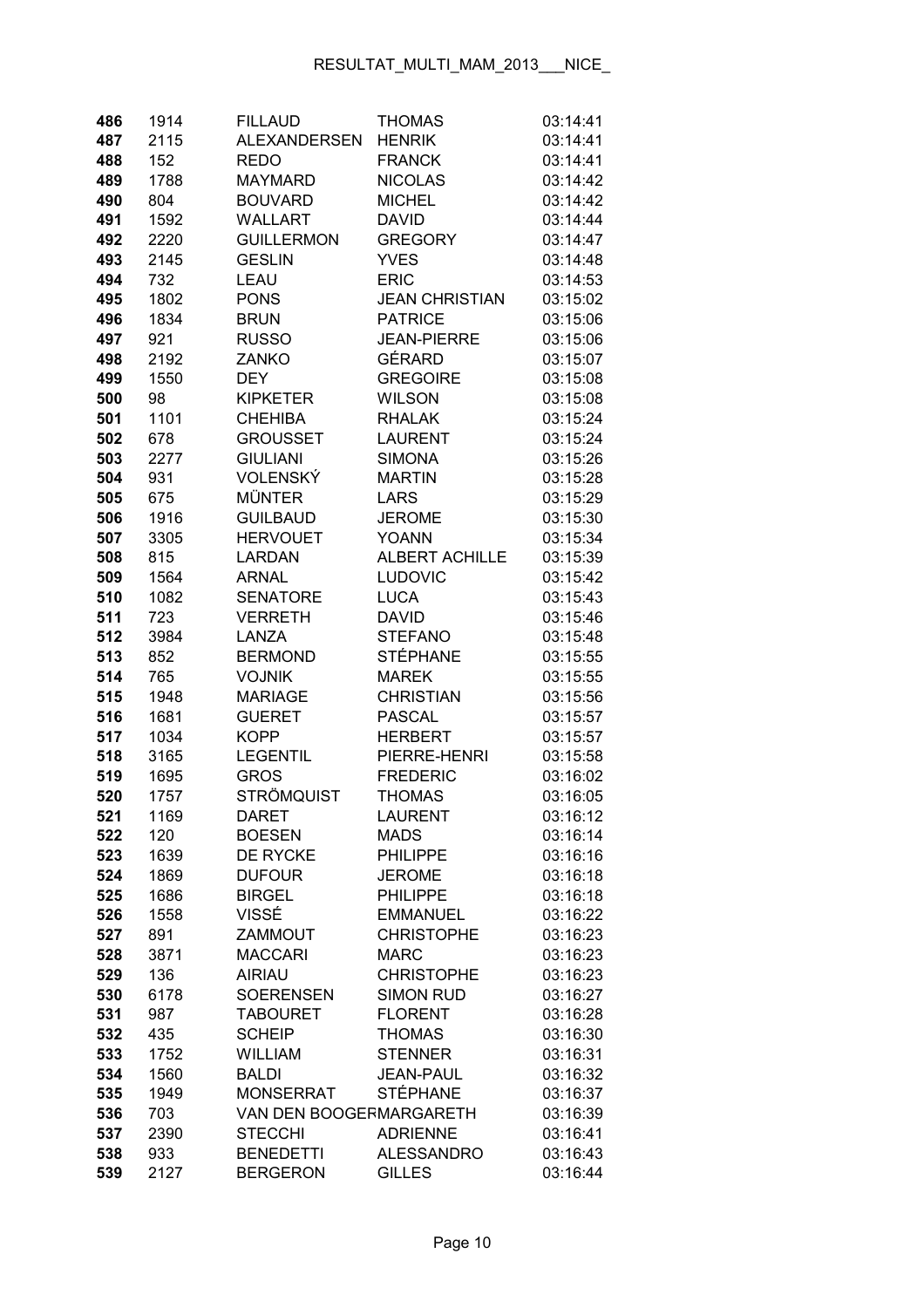| 486 | 1914 | <b>FILLAUD</b>          | <b>THOMAS</b>         | 03:14:41 |
|-----|------|-------------------------|-----------------------|----------|
| 487 | 2115 | <b>ALEXANDERSEN</b>     | <b>HENRIK</b>         | 03:14:41 |
| 488 | 152  | <b>REDO</b>             | <b>FRANCK</b>         | 03:14:41 |
| 489 | 1788 | <b>MAYMARD</b>          | <b>NICOLAS</b>        | 03:14:42 |
| 490 | 804  | <b>BOUVARD</b>          | <b>MICHEL</b>         | 03:14:42 |
| 491 | 1592 | <b>WALLART</b>          | <b>DAVID</b>          | 03:14:44 |
| 492 | 2220 | <b>GUILLERMON</b>       | <b>GREGORY</b>        | 03:14:47 |
| 493 | 2145 | <b>GESLIN</b>           | <b>YVES</b>           | 03:14:48 |
| 494 | 732  | LEAU                    | <b>ERIC</b>           | 03:14:53 |
| 495 | 1802 | <b>PONS</b>             | <b>JEAN CHRISTIAN</b> | 03:15:02 |
| 496 | 1834 | <b>BRUN</b>             | <b>PATRICE</b>        | 03:15:06 |
| 497 | 921  | <b>RUSSO</b>            | <b>JEAN-PIERRE</b>    | 03:15:06 |
| 498 | 2192 | ZANKO                   | GÉRARD                | 03:15:07 |
| 499 | 1550 | <b>DEY</b>              | <b>GREGOIRE</b>       | 03:15:08 |
| 500 | 98   | <b>KIPKETER</b>         | <b>WILSON</b>         | 03:15:08 |
| 501 | 1101 | <b>CHEHIBA</b>          | <b>RHALAK</b>         | 03:15:24 |
| 502 | 678  | <b>GROUSSET</b>         | <b>LAURENT</b>        | 03:15:24 |
| 503 | 2277 | <b>GIULIANI</b>         | <b>SIMONA</b>         | 03:15:26 |
| 504 | 931  | VOLENSKÝ                | <b>MARTIN</b>         | 03:15:28 |
|     | 675  | <b>MÜNTER</b>           | <b>LARS</b>           | 03:15:29 |
| 505 |      | <b>GUILBAUD</b>         | <b>JEROME</b>         | 03:15:30 |
| 506 | 1916 | <b>HERVOUET</b>         | <b>YOANN</b>          |          |
| 507 | 3305 |                         |                       | 03:15:34 |
| 508 | 815  | <b>LARDAN</b>           | <b>ALBERT ACHILLE</b> | 03:15:39 |
| 509 | 1564 | <b>ARNAL</b>            | <b>LUDOVIC</b>        | 03:15:42 |
| 510 | 1082 | <b>SENATORE</b>         | <b>LUCA</b>           | 03:15:43 |
| 511 | 723  | <b>VERRETH</b>          | <b>DAVID</b>          | 03:15:46 |
| 512 | 3984 | LANZA                   | <b>STEFANO</b>        | 03:15:48 |
| 513 | 852  | <b>BERMOND</b>          | <b>STÉPHANE</b>       | 03:15:55 |
| 514 | 765  | <b>VOJNIK</b>           | <b>MAREK</b>          | 03:15:55 |
| 515 | 1948 | <b>MARIAGE</b>          | <b>CHRISTIAN</b>      | 03:15:56 |
| 516 | 1681 | <b>GUERET</b>           | <b>PASCAL</b>         | 03:15:57 |
| 517 | 1034 | <b>KOPP</b>             | <b>HERBERT</b>        | 03:15:57 |
| 518 | 3165 | <b>LEGENTIL</b>         | PIERRE-HENRI          | 03:15:58 |
| 519 | 1695 | <b>GROS</b>             | <b>FREDERIC</b>       | 03:16:02 |
| 520 | 1757 | <b>STRÖMQUIST</b>       | <b>THOMAS</b>         | 03:16:05 |
| 521 | 1169 | DARET                   | LAURENT               | 03:16:12 |
| 522 | 120  | <b>BOESEN</b>           | <b>MADS</b>           | 03:16:14 |
| 523 | 1639 | <b>DE RYCKE</b>         | <b>PHILIPPE</b>       | 03:16:16 |
| 524 | 1869 | <b>DUFOUR</b>           | <b>JEROME</b>         | 03:16:18 |
| 525 | 1686 | <b>BIRGEL</b>           | <b>PHILIPPE</b>       | 03:16:18 |
| 526 | 1558 | VISSÉ                   | <b>EMMANUEL</b>       | 03:16:22 |
| 527 | 891  | ZAMMOUT                 | <b>CHRISTOPHE</b>     | 03:16:23 |
| 528 | 3871 | <b>MACCARI</b>          | <b>MARC</b>           | 03:16:23 |
| 529 | 136  | <b>AIRIAU</b>           | <b>CHRISTOPHE</b>     | 03:16:23 |
| 530 | 6178 | <b>SOERENSEN</b>        | <b>SIMON RUD</b>      | 03:16:27 |
| 531 | 987  | <b>TABOURET</b>         | <b>FLORENT</b>        | 03:16:28 |
| 532 | 435  | <b>SCHEIP</b>           | <b>THOMAS</b>         | 03:16:30 |
| 533 | 1752 | <b>WILLIAM</b>          | <b>STENNER</b>        | 03:16:31 |
| 534 | 1560 | <b>BALDI</b>            | <b>JEAN-PAUL</b>      | 03:16:32 |
| 535 | 1949 | <b>MONSERRAT</b>        | <b>STÉPHANE</b>       | 03:16:37 |
| 536 | 703  | VAN DEN BOOGERMARGARETH |                       | 03:16:39 |
| 537 | 2390 | <b>STECCHI</b>          | <b>ADRIENNE</b>       | 03:16:41 |
| 538 | 933  | <b>BENEDETTI</b>        | <b>ALESSANDRO</b>     | 03:16:43 |
| 539 | 2127 | <b>BERGERON</b>         | <b>GILLES</b>         | 03:16:44 |
|     |      |                         |                       |          |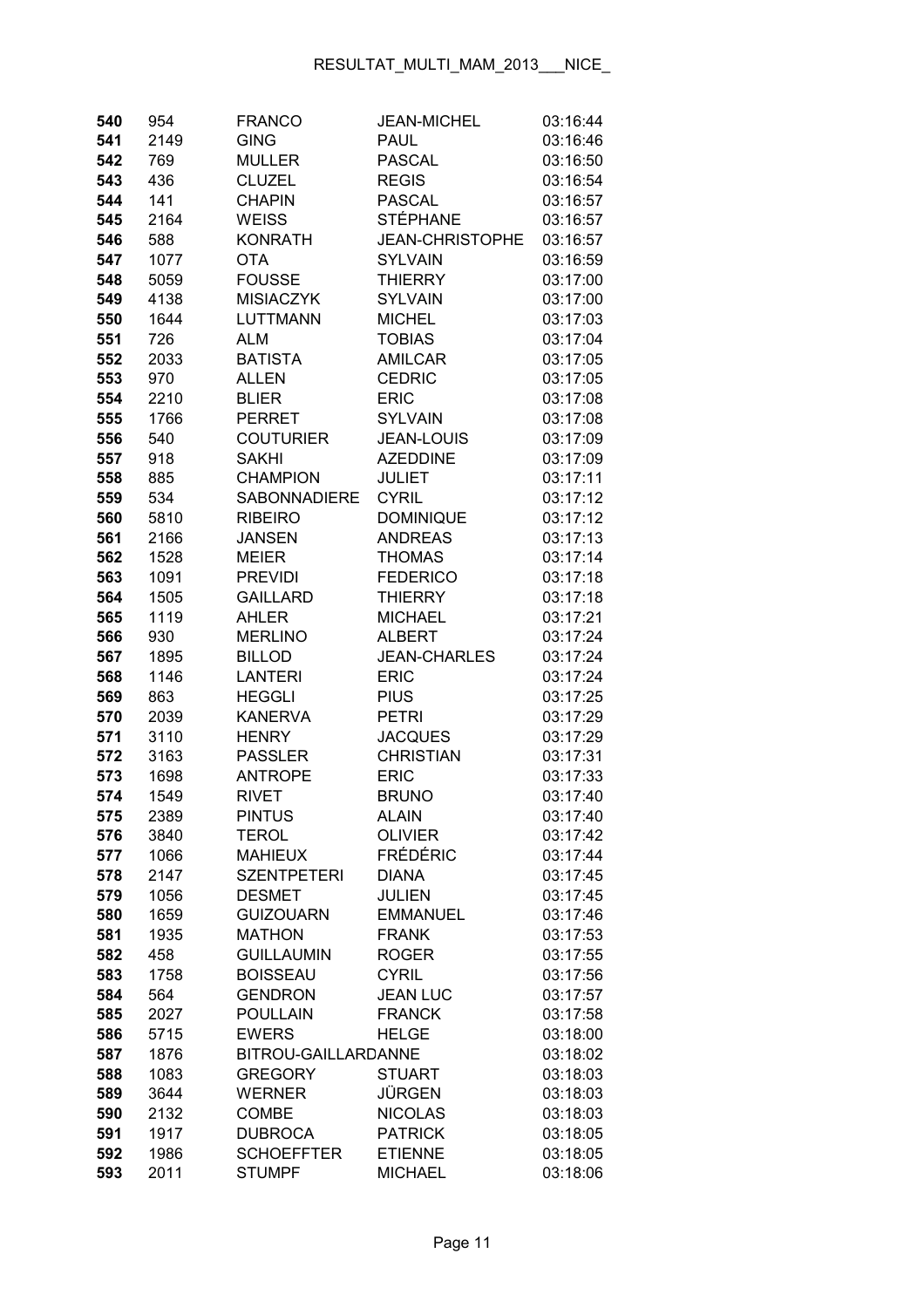| 540 | 954  | <b>FRANCO</b>       | <b>JEAN-MICHEL</b>     | 03:16:44 |
|-----|------|---------------------|------------------------|----------|
| 541 | 2149 | <b>GING</b>         | <b>PAUL</b>            | 03:16:46 |
| 542 | 769  | <b>MULLER</b>       | <b>PASCAL</b>          | 03:16:50 |
| 543 | 436  | <b>CLUZEL</b>       | <b>REGIS</b>           | 03:16:54 |
| 544 | 141  | <b>CHAPIN</b>       | <b>PASCAL</b>          | 03:16:57 |
| 545 | 2164 | <b>WEISS</b>        | <b>STÉPHANE</b>        | 03:16:57 |
| 546 | 588  | <b>KONRATH</b>      | <b>JEAN-CHRISTOPHE</b> | 03:16:57 |
| 547 | 1077 | <b>OTA</b>          | <b>SYLVAIN</b>         | 03:16:59 |
| 548 | 5059 | <b>FOUSSE</b>       | <b>THIERRY</b>         | 03:17:00 |
| 549 | 4138 | <b>MISIACZYK</b>    | <b>SYLVAIN</b>         | 03:17:00 |
| 550 | 1644 | <b>LUTTMANN</b>     | <b>MICHEL</b>          | 03:17:03 |
| 551 | 726  | <b>ALM</b>          | <b>TOBIAS</b>          | 03:17:04 |
| 552 | 2033 | <b>BATISTA</b>      | <b>AMILCAR</b>         | 03:17:05 |
| 553 | 970  | ALLEN               | <b>CEDRIC</b>          | 03:17:05 |
| 554 | 2210 | <b>BLIER</b>        | <b>ERIC</b>            | 03:17:08 |
| 555 | 1766 | <b>PERRET</b>       | <b>SYLVAIN</b>         | 03:17:08 |
| 556 | 540  | <b>COUTURIER</b>    | <b>JEAN-LOUIS</b>      | 03:17:09 |
| 557 | 918  | <b>SAKHI</b>        | <b>AZEDDINE</b>        | 03:17:09 |
| 558 | 885  | <b>CHAMPION</b>     | <b>JULIET</b>          | 03:17:11 |
| 559 | 534  | <b>SABONNADIERE</b> | <b>CYRIL</b>           | 03:17:12 |
| 560 | 5810 | <b>RIBEIRO</b>      | <b>DOMINIQUE</b>       | 03:17:12 |
| 561 | 2166 | <b>JANSEN</b>       | <b>ANDREAS</b>         | 03:17:13 |
| 562 | 1528 | <b>MEIER</b>        | <b>THOMAS</b>          | 03:17:14 |
| 563 | 1091 | <b>PREVIDI</b>      | <b>FEDERICO</b>        | 03:17:18 |
| 564 | 1505 | <b>GAILLARD</b>     | <b>THIERRY</b>         | 03:17:18 |
| 565 | 1119 | AHLER               | <b>MICHAEL</b>         | 03:17:21 |
| 566 | 930  | <b>MERLINO</b>      | <b>ALBERT</b>          | 03:17:24 |
| 567 | 1895 | <b>BILLOD</b>       | <b>JEAN-CHARLES</b>    | 03:17:24 |
| 568 | 1146 | <b>LANTERI</b>      | <b>ERIC</b>            | 03:17:24 |
| 569 | 863  | <b>HEGGLI</b>       | <b>PIUS</b>            | 03:17:25 |
| 570 | 2039 | <b>KANERVA</b>      | <b>PETRI</b>           | 03:17:29 |
| 571 | 3110 | <b>HENRY</b>        | <b>JACQUES</b>         | 03:17:29 |
| 572 | 3163 | <b>PASSLER</b>      | <b>CHRISTIAN</b>       | 03:17:31 |
| 573 | 1698 | <b>ANTROPE</b>      | <b>ERIC</b>            | 03:17:33 |
| 574 | 1549 | <b>RIVET</b>        | <b>BRUNO</b>           | 03:17:40 |
| 575 | 2389 | <b>PINTUS</b>       | <b>ALAIN</b>           | 03:17:40 |
| 576 | 3840 | <b>TEROL</b>        | <b>OLIVIER</b>         | 03:17:42 |
| 577 | 1066 | <b>MAHIEUX</b>      | <b>FRÉDÉRIC</b>        | 03:17:44 |
| 578 | 2147 | <b>SZENTPETERI</b>  | <b>DIANA</b>           | 03:17:45 |
| 579 | 1056 | <b>DESMET</b>       | <b>JULIEN</b>          | 03:17:45 |
| 580 | 1659 | <b>GUIZOUARN</b>    | <b>EMMANUEL</b>        | 03:17:46 |
| 581 | 1935 | <b>MATHON</b>       | <b>FRANK</b>           | 03:17:53 |
| 582 | 458  | <b>GUILLAUMIN</b>   | <b>ROGER</b>           | 03:17:55 |
| 583 | 1758 | <b>BOISSEAU</b>     | <b>CYRIL</b>           | 03:17:56 |
| 584 | 564  | <b>GENDRON</b>      | <b>JEAN LUC</b>        | 03:17:57 |
| 585 | 2027 | <b>POULLAIN</b>     | <b>FRANCK</b>          | 03:17:58 |
| 586 | 5715 | <b>EWERS</b>        | <b>HELGE</b>           | 03:18:00 |
| 587 | 1876 | BITROU-GAILLARDANNE |                        | 03:18:02 |
| 588 | 1083 | <b>GREGORY</b>      | <b>STUART</b>          | 03:18:03 |
| 589 | 3644 | <b>WERNER</b>       | JÜRGEN                 | 03:18:03 |
| 590 | 2132 | <b>COMBE</b>        | <b>NICOLAS</b>         | 03:18:03 |
| 591 | 1917 | <b>DUBROCA</b>      | <b>PATRICK</b>         | 03:18:05 |
| 592 | 1986 | <b>SCHOEFFTER</b>   | <b>ETIENNE</b>         | 03:18:05 |
| 593 | 2011 | <b>STUMPF</b>       | <b>MICHAEL</b>         | 03:18:06 |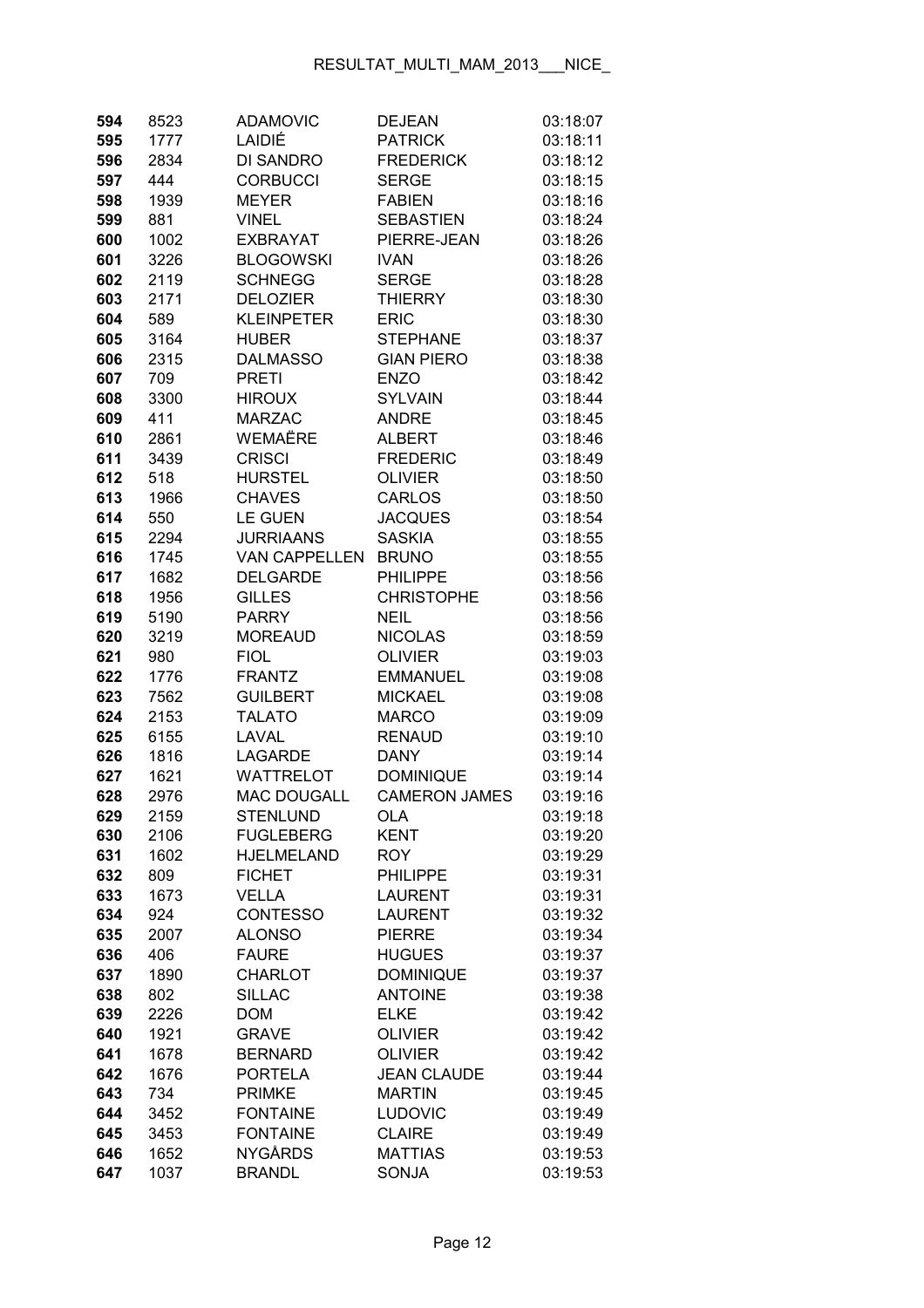| 594        | 8523         | <b>ADAMOVIC</b>                 | <b>DEJEAN</b>                    | 03:18:07             |
|------------|--------------|---------------------------------|----------------------------------|----------------------|
| 595        | 1777         | LAIDIÉ                          | <b>PATRICK</b>                   | 03:18:11             |
| 596        | 2834         | <b>DI SANDRO</b>                | <b>FREDERICK</b>                 | 03:18:12             |
| 597        | 444          | <b>CORBUCCI</b>                 | <b>SERGE</b>                     | 03:18:15             |
| 598        | 1939         | <b>MEYER</b>                    | <b>FABIEN</b>                    | 03:18:16             |
| 599        | 881          | <b>VINEL</b>                    | <b>SEBASTIEN</b>                 | 03:18:24             |
| 600        | 1002         | <b>EXBRAYAT</b>                 | PIERRE-JEAN                      | 03:18:26             |
| 601        | 3226         | <b>BLOGOWSKI</b>                | <b>IVAN</b>                      | 03:18:26             |
| 602        | 2119         | <b>SCHNEGG</b>                  | <b>SERGE</b>                     | 03:18:28             |
| 603        | 2171         | <b>DELOZIER</b>                 | <b>THIERRY</b>                   | 03:18:30             |
| 604        | 589          | <b>KLEINPETER</b>               | <b>ERIC</b>                      | 03:18:30             |
| 605        | 3164         | <b>HUBER</b>                    | <b>STEPHANE</b>                  | 03:18:37             |
| 606        | 2315         | <b>DALMASSO</b>                 | <b>GIAN PIERO</b>                | 03:18:38             |
| 607        | 709          | <b>PRETI</b>                    | <b>ENZO</b>                      | 03:18:42             |
| 608        | 3300         | <b>HIROUX</b>                   | <b>SYLVAIN</b>                   | 03:18:44             |
| 609        | 411          | <b>MARZAC</b>                   | <b>ANDRE</b>                     | 03:18:45             |
| 610        | 2861         | <b>WEMAËRE</b>                  | <b>ALBERT</b>                    | 03:18:46             |
| 611        | 3439         | <b>CRISCI</b>                   | <b>FREDERIC</b>                  | 03:18:49             |
| 612        | 518          | <b>HURSTEL</b>                  | <b>OLIVIER</b>                   | 03:18:50             |
| 613        | 1966         | <b>CHAVES</b>                   | <b>CARLOS</b>                    | 03:18:50             |
| 614        | 550          | <b>LE GUEN</b>                  | <b>JACQUES</b>                   | 03:18:54             |
| 615        | 2294         | <b>JURRIAANS</b>                | <b>SASKIA</b>                    | 03:18:55             |
| 616        | 1745         | <b>VAN CAPPELLEN</b>            | <b>BRUNO</b>                     | 03:18:55             |
| 617        | 1682         | <b>DELGARDE</b>                 | <b>PHILIPPE</b>                  | 03:18:56             |
| 618        | 1956         | <b>GILLES</b>                   | <b>CHRISTOPHE</b>                | 03:18:56             |
| 619        | 5190         | <b>PARRY</b>                    | <b>NEIL</b>                      | 03:18:56             |
| 620        | 3219         | <b>MOREAUD</b>                  | <b>NICOLAS</b>                   | 03:18:59             |
| 621        | 980          | <b>FIOL</b>                     | <b>OLIVIER</b>                   | 03:19:03             |
| 622        | 1776         | <b>FRANTZ</b>                   | <b>EMMANUEL</b>                  | 03:19:08             |
| 623        | 7562         | <b>GUILBERT</b>                 | <b>MICKAEL</b>                   | 03:19:08             |
| 624        | 2153         | <b>TALATO</b>                   | <b>MARCO</b>                     | 03:19:09             |
| 625        | 6155         | LAVAL                           | <b>RENAUD</b>                    | 03:19:10             |
| 626        | 1816         | <b>LAGARDE</b>                  | <b>DANY</b>                      | 03:19:14             |
| 627        |              | <b>WATTRELOT</b>                | <b>DOMINIQUE</b>                 | 03:19:14             |
| 628        | 1621<br>2976 | <b>MAC DOUGALL</b>              | <b>CAMERON JAMES</b>             | 03:19:16             |
|            |              |                                 |                                  |                      |
| 629        | 2159         | STENLUND<br><b>FUGLEBERG</b>    | OLA<br><b>KENT</b>               | 03:19:18<br>03:19:20 |
| 630        | 2106<br>1602 | <b>HJELMELAND</b>               | <b>ROY</b>                       |                      |
| 631<br>632 | 809          | <b>FICHET</b>                   | <b>PHILIPPE</b>                  | 03:19:29<br>03:19:31 |
| 633        | 1673         | <b>VELLA</b>                    | <b>LAURENT</b>                   | 03:19:31             |
| 634        | 924          | <b>CONTESSO</b>                 | <b>LAURENT</b>                   | 03:19:32             |
|            | 2007         | <b>ALONSO</b>                   | <b>PIERRE</b>                    | 03:19:34             |
| 635<br>636 | 406          | <b>FAURE</b>                    | <b>HUGUES</b>                    | 03:19:37             |
|            | 1890         | <b>CHARLOT</b>                  | <b>DOMINIQUE</b>                 | 03:19:37             |
| 637        |              |                                 | <b>ANTOINE</b>                   | 03:19:38             |
| 638<br>639 | 802<br>2226  | <b>SILLAC</b><br><b>DOM</b>     | <b>ELKE</b>                      |                      |
|            |              |                                 |                                  | 03:19:42             |
| 640        | 1921         | <b>GRAVE</b><br><b>BERNARD</b>  | <b>OLIVIER</b><br><b>OLIVIER</b> | 03:19:42             |
| 641        | 1678         |                                 | <b>JEAN CLAUDE</b>               | 03:19:42             |
| 642<br>643 | 1676         | <b>PORTELA</b><br><b>PRIMKE</b> | <b>MARTIN</b>                    | 03:19:44             |
| 644        | 734          | <b>FONTAINE</b>                 | <b>LUDOVIC</b>                   | 03:19:45<br>03:19:49 |
|            | 3452         | <b>FONTAINE</b>                 | <b>CLAIRE</b>                    | 03:19:49             |
| 645        | 3453         |                                 |                                  |                      |
| 646        | 1652         | <b>NYGÅRDS</b>                  | <b>MATTIAS</b>                   | 03:19:53             |
| 647        | 1037         | <b>BRANDL</b>                   | SONJA                            | 03:19:53             |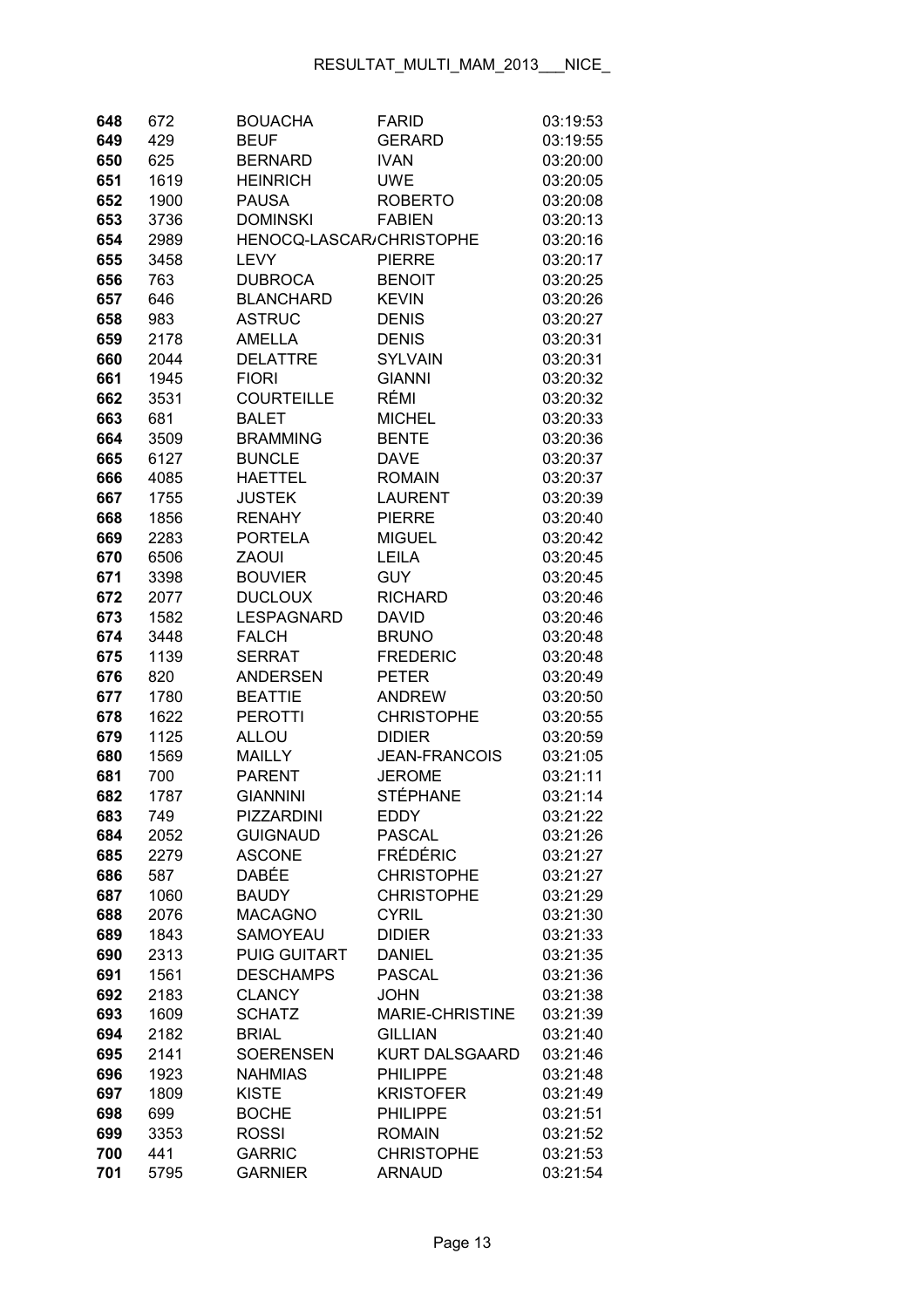| 648        | 672          | <b>BOUACHA</b>                 | <b>FARID</b>                 | 03:19:53             |
|------------|--------------|--------------------------------|------------------------------|----------------------|
| 649        | 429          | <b>BEUF</b>                    | <b>GERARD</b>                | 03:19:55             |
| 650        | 625          | <b>BERNARD</b>                 | <b>IVAN</b>                  | 03:20:00             |
| 651        | 1619         | <b>HEINRICH</b>                | <b>UWE</b>                   | 03:20:05             |
| 652        | 1900         | <b>PAUSA</b>                   | <b>ROBERTO</b>               | 03:20:08             |
| 653        | 3736         | <b>DOMINSKI</b>                | <b>FABIEN</b>                | 03:20:13             |
| 654        | 2989         | HENOCQ-LASCAR/CHRISTOPHE       |                              | 03:20:16             |
| 655        | 3458         | <b>LEVY</b>                    | <b>PIERRE</b>                | 03:20:17             |
| 656        | 763          | <b>DUBROCA</b>                 | <b>BENOIT</b>                | 03:20:25             |
| 657        | 646          | <b>BLANCHARD</b>               | <b>KEVIN</b>                 | 03:20:26             |
| 658        | 983          | <b>ASTRUC</b>                  | <b>DENIS</b>                 | 03:20:27             |
| 659        | 2178         | <b>AMELLA</b>                  | <b>DENIS</b>                 | 03:20:31             |
| 660        | 2044         | <b>DELATTRE</b>                | <b>SYLVAIN</b>               | 03:20:31             |
| 661        | 1945         | <b>FIORI</b>                   | <b>GIANNI</b>                | 03:20:32             |
| 662        | 3531         | <b>COURTEILLE</b>              | RÉMI                         | 03:20:32             |
| 663        | 681          | <b>BALET</b>                   | <b>MICHEL</b>                | 03:20:33             |
| 664        | 3509         | <b>BRAMMING</b>                | <b>BENTE</b>                 | 03:20:36             |
| 665        | 6127         | <b>BUNCLE</b>                  | <b>DAVE</b>                  | 03:20:37             |
| 666        | 4085         | <b>HAETTEL</b>                 | <b>ROMAIN</b>                | 03:20:37             |
| 667        | 1755         | <b>JUSTEK</b>                  | <b>LAURENT</b>               | 03:20:39             |
| 668        | 1856         | <b>RENAHY</b>                  | <b>PIERRE</b>                | 03:20:40             |
| 669        | 2283         | <b>PORTELA</b>                 | <b>MIGUEL</b>                | 03:20:42             |
| 670        | 6506         | <b>ZAOUI</b>                   | <b>LEILA</b>                 | 03:20:45             |
| 671        | 3398         | <b>BOUVIER</b>                 | <b>GUY</b>                   | 03:20:45             |
| 672        | 2077         | <b>DUCLOUX</b>                 | <b>RICHARD</b>               | 03:20:46             |
| 673        | 1582         | <b>LESPAGNARD</b>              | <b>DAVID</b>                 | 03:20:46             |
| 674        | 3448         | <b>FALCH</b>                   | <b>BRUNO</b>                 | 03:20:48             |
| 675        | 1139         | <b>SERRAT</b>                  | <b>FREDERIC</b>              | 03:20:48             |
| 676        | 820          | <b>ANDERSEN</b>                | <b>PETER</b>                 | 03:20:49             |
| 677        | 1780         | <b>BEATTIE</b>                 | <b>ANDREW</b>                | 03:20:50             |
| 678        | 1622         | <b>PEROTTI</b>                 | <b>CHRISTOPHE</b>            | 03:20:55             |
| 679        | 1125         | ALLOU                          | <b>DIDIER</b>                | 03:20:59             |
| 680        | 1569         | <b>MAILLY</b>                  | <b>JEAN-FRANCOIS</b>         | 03:21:05             |
| 681        | 700          | <b>PARENT</b>                  | <b>JEROME</b>                | 03:21:11             |
| 682        | 1787         | <b>GIANNINI</b>                | <b>STÉPHANE</b>              | 03:21:14             |
| 683        | 749          | PIZZARDINI                     | EDDY                         | 03:21:22             |
| 684        | 2052         | <b>GUIGNAUD</b>                | <b>PASCAL</b>                | 03:21:26             |
| 685        | 2279         | <b>ASCONE</b>                  | <b>FRÉDÉRIC</b>              | 03:21:27             |
| 686        | 587          | DABÉE                          | <b>CHRISTOPHE</b>            | 03:21:27             |
| 687        | 1060         | <b>BAUDY</b>                   | <b>CHRISTOPHE</b>            | 03:21:29             |
| 688        | 2076         | <b>MACAGNO</b>                 | <b>CYRIL</b>                 | 03:21:30             |
| 689        | 1843         | SAMOYEAU                       | <b>DIDIER</b>                | 03:21:33             |
| 690        | 2313         | <b>PUIG GUITART</b>            | <b>DANIEL</b>                | 03:21:35             |
| 691        | 1561         | <b>DESCHAMPS</b>               | <b>PASCAL</b><br><b>JOHN</b> | 03:21:36             |
| 692<br>693 | 2183<br>1609 | <b>CLANCY</b><br><b>SCHATZ</b> | MARIE-CHRISTINE              | 03:21:38<br>03:21:39 |
| 694        | 2182         | <b>BRIAL</b>                   | <b>GILLIAN</b>               | 03:21:40             |
| 695        | 2141         | <b>SOERENSEN</b>               | <b>KURT DALSGAARD</b>        | 03:21:46             |
| 696        | 1923         | <b>NAHMIAS</b>                 | <b>PHILIPPE</b>              | 03:21:48             |
| 697        | 1809         | <b>KISTE</b>                   | <b>KRISTOFER</b>             | 03:21:49             |
| 698        | 699          | <b>BOCHE</b>                   | <b>PHILIPPE</b>              | 03:21:51             |
| 699        | 3353         | <b>ROSSI</b>                   | <b>ROMAIN</b>                | 03:21:52             |
| 700        | 441          | <b>GARRIC</b>                  | <b>CHRISTOPHE</b>            | 03:21:53             |
| 701        | 5795         | <b>GARNIER</b>                 | <b>ARNAUD</b>                | 03:21:54             |
|            |              |                                |                              |                      |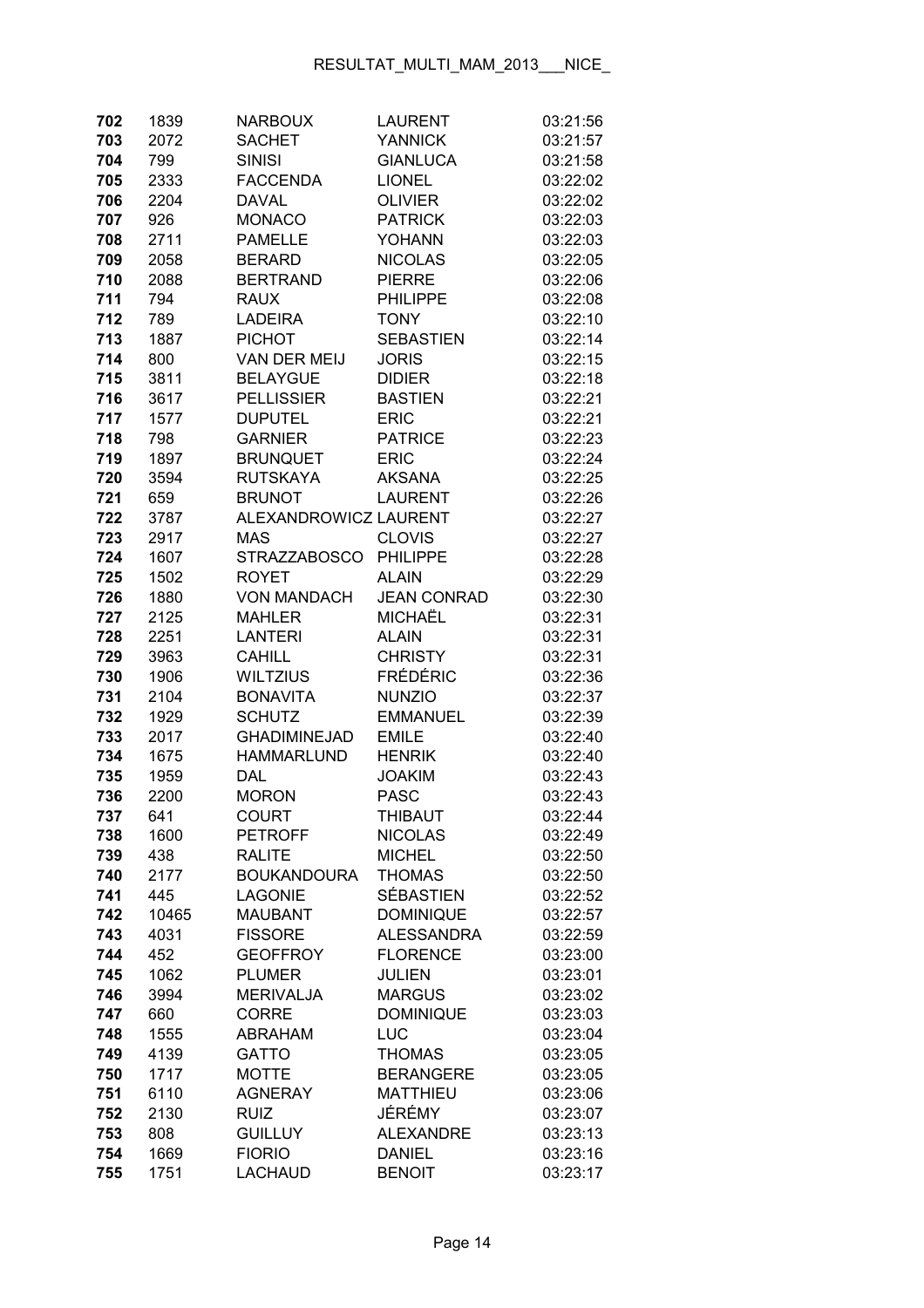| 702 | 1839  | <b>NARBOUX</b>        | <b>LAURENT</b>     | 03:21:56 |
|-----|-------|-----------------------|--------------------|----------|
| 703 | 2072  | <b>SACHET</b>         | <b>YANNICK</b>     | 03:21:57 |
| 704 | 799   | <b>SINISI</b>         | <b>GIANLUCA</b>    | 03:21:58 |
| 705 | 2333  | <b>FACCENDA</b>       | <b>LIONEL</b>      | 03:22:02 |
| 706 | 2204  | <b>DAVAL</b>          | <b>OLIVIER</b>     | 03:22:02 |
| 707 | 926   | <b>MONACO</b>         | <b>PATRICK</b>     | 03:22:03 |
| 708 | 2711  | <b>PAMELLE</b>        | <b>YOHANN</b>      | 03:22:03 |
| 709 | 2058  | <b>BERARD</b>         | <b>NICOLAS</b>     | 03:22:05 |
| 710 | 2088  | <b>BERTRAND</b>       | <b>PIERRE</b>      | 03:22:06 |
| 711 | 794   | RAUX                  | <b>PHILIPPE</b>    | 03:22:08 |
| 712 | 789   | <b>LADEIRA</b>        | <b>TONY</b>        | 03:22:10 |
| 713 | 1887  | <b>PICHOT</b>         | <b>SEBASTIEN</b>   | 03:22:14 |
| 714 | 800   | VAN DER MEIJ          | <b>JORIS</b>       | 03:22:15 |
| 715 | 3811  | <b>BELAYGUE</b>       | <b>DIDIER</b>      | 03:22:18 |
| 716 | 3617  | <b>PELLISSIER</b>     | <b>BASTIEN</b>     | 03:22:21 |
| 717 | 1577  | <b>DUPUTEL</b>        | <b>ERIC</b>        | 03:22:21 |
| 718 | 798   | <b>GARNIER</b>        | <b>PATRICE</b>     | 03:22:23 |
| 719 | 1897  | <b>BRUNQUET</b>       | <b>ERIC</b>        | 03:22:24 |
| 720 | 3594  | <b>RUTSKAYA</b>       | <b>AKSANA</b>      | 03:22:25 |
| 721 | 659   | <b>BRUNOT</b>         | <b>LAURENT</b>     | 03:22:26 |
| 722 | 3787  | ALEXANDROWICZ LAURENT |                    | 03:22:27 |
| 723 | 2917  | <b>MAS</b>            | <b>CLOVIS</b>      | 03:22:27 |
| 724 | 1607  | <b>STRAZZABOSCO</b>   | <b>PHILIPPE</b>    | 03:22:28 |
| 725 | 1502  | <b>ROYET</b>          | <b>ALAIN</b>       | 03:22:29 |
| 726 | 1880  | <b>VON MANDACH</b>    | <b>JEAN CONRAD</b> | 03:22:30 |
| 727 | 2125  | <b>MAHLER</b>         | <b>MICHAËL</b>     | 03:22:31 |
| 728 | 2251  | <b>LANTERI</b>        | <b>ALAIN</b>       | 03:22:31 |
| 729 | 3963  | <b>CAHILL</b>         | <b>CHRISTY</b>     | 03:22:31 |
| 730 | 1906  | <b>WILTZIUS</b>       | <b>FRÉDÉRIC</b>    | 03:22:36 |
| 731 | 2104  | <b>BONAVITA</b>       | <b>NUNZIO</b>      | 03:22:37 |
| 732 | 1929  | <b>SCHUTZ</b>         | <b>EMMANUEL</b>    | 03:22:39 |
| 733 | 2017  | <b>GHADIMINEJAD</b>   | <b>EMILE</b>       | 03:22:40 |
| 734 | 1675  | <b>HAMMARLUND</b>     | <b>HENRIK</b>      | 03:22:40 |
| 735 | 1959  | <b>DAL</b>            | <b>JOAKIM</b>      | 03:22:43 |
| 736 | 2200  | <b>MORON</b>          | <b>PASC</b>        | 03:22:43 |
| 737 | 641   | COURT                 | THIBAUT            | 03:22:44 |
| 738 | 1600  | <b>PETROFF</b>        | <b>NICOLAS</b>     | 03:22:49 |
| 739 | 438   | <b>RALITE</b>         | <b>MICHEL</b>      | 03:22:50 |
| 740 | 2177  | <b>BOUKANDOURA</b>    | <b>THOMAS</b>      | 03:22:50 |
| 741 | 445   | <b>LAGONIE</b>        | <b>SÉBASTIEN</b>   | 03:22:52 |
| 742 | 10465 | <b>MAUBANT</b>        | <b>DOMINIQUE</b>   | 03:22:57 |
| 743 | 4031  | <b>FISSORE</b>        | <b>ALESSANDRA</b>  | 03:22:59 |
| 744 | 452   | <b>GEOFFROY</b>       | <b>FLORENCE</b>    | 03:23:00 |
| 745 | 1062  | <b>PLUMER</b>         | <b>JULIEN</b>      | 03:23:01 |
| 746 | 3994  | <b>MERIVALJA</b>      | <b>MARGUS</b>      | 03:23:02 |
| 747 | 660   | <b>CORRE</b>          | <b>DOMINIQUE</b>   | 03:23:03 |
| 748 | 1555  | ABRAHAM               | <b>LUC</b>         | 03:23:04 |
| 749 | 4139  | <b>GATTO</b>          | <b>THOMAS</b>      | 03:23:05 |
| 750 | 1717  | <b>MOTTE</b>          | <b>BERANGERE</b>   | 03:23:05 |
| 751 | 6110  | <b>AGNERAY</b>        | <b>MATTHIEU</b>    | 03:23:06 |
| 752 | 2130  | <b>RUIZ</b>           | JÉRÉMY             | 03:23:07 |
| 753 | 808   | <b>GUILLUY</b>        | <b>ALEXANDRE</b>   | 03:23:13 |
| 754 | 1669  | <b>FIORIO</b>         | <b>DANIEL</b>      | 03:23:16 |
| 755 | 1751  | <b>LACHAUD</b>        | <b>BENOIT</b>      | 03:23:17 |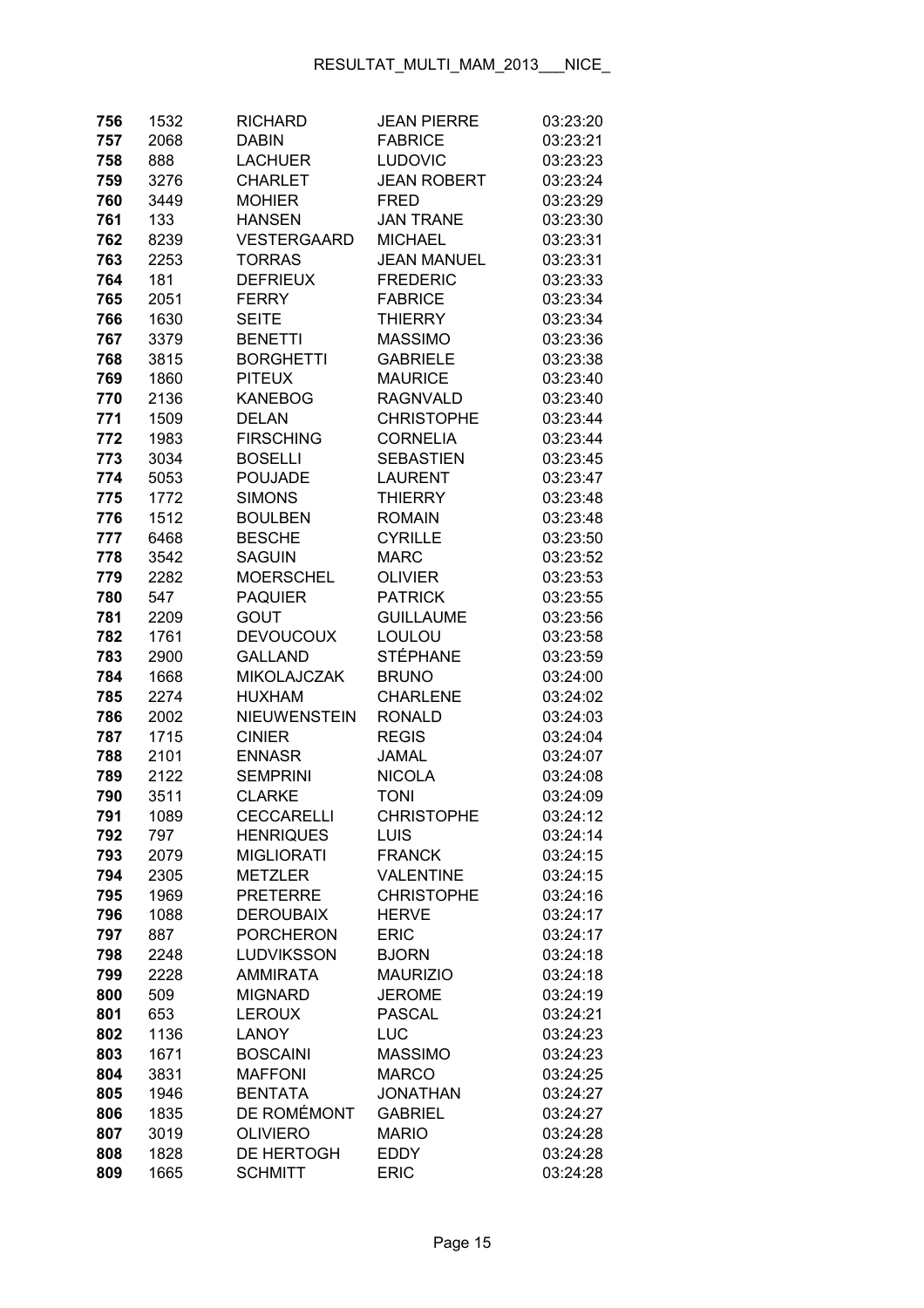| 756        | 1532        | <b>RICHARD</b>                      | <b>JEAN PIERRE</b>          | 03:23:20             |
|------------|-------------|-------------------------------------|-----------------------------|----------------------|
| 757        | 2068        | DABIN                               | <b>FABRICE</b>              | 03:23:21             |
| 758        | 888         | <b>LACHUER</b>                      | <b>LUDOVIC</b>              | 03:23:23             |
| 759        | 3276        | <b>CHARLET</b>                      | <b>JEAN ROBERT</b>          | 03:23:24             |
| 760        | 3449        | <b>MOHIER</b>                       | <b>FRED</b>                 | 03:23:29             |
| 761        | 133         | <b>HANSEN</b>                       | <b>JAN TRANE</b>            | 03:23:30             |
| 762        | 8239        | <b>VESTERGAARD</b>                  | <b>MICHAEL</b>              | 03:23:31             |
| 763        | 2253        | <b>TORRAS</b>                       | <b>JEAN MANUEL</b>          | 03:23:31             |
| 764        | 181         | <b>DEFRIEUX</b>                     | <b>FREDERIC</b>             | 03:23:33             |
| 765        | 2051        | <b>FERRY</b>                        | <b>FABRICE</b>              | 03:23:34             |
| 766        | 1630        | <b>SEITE</b>                        | <b>THIERRY</b>              | 03:23:34             |
| 767        | 3379        | <b>BENETTI</b>                      | <b>MASSIMO</b>              | 03:23:36             |
| 768        | 3815        | <b>BORGHETTI</b>                    | <b>GABRIELE</b>             | 03:23:38             |
| 769        | 1860        | <b>PITEUX</b>                       | <b>MAURICE</b>              | 03:23:40             |
| 770        | 2136        | <b>KANEBOG</b>                      | <b>RAGNVALD</b>             | 03:23:40             |
| 771        | 1509        | <b>DELAN</b>                        | <b>CHRISTOPHE</b>           | 03:23:44             |
| 772        | 1983        | <b>FIRSCHING</b>                    | <b>CORNELIA</b>             | 03:23:44             |
| 773        | 3034        | <b>BOSELLI</b>                      | <b>SEBASTIEN</b>            | 03:23:45             |
| 774        | 5053        | <b>POUJADE</b>                      | <b>LAURENT</b>              | 03:23:47             |
| 775        | 1772        | <b>SIMONS</b>                       | <b>THIERRY</b>              | 03:23:48             |
| 776        | 1512        | <b>BOULBEN</b>                      | <b>ROMAIN</b>               | 03:23:48             |
| 777        | 6468        | <b>BESCHE</b>                       | <b>CYRILLE</b>              | 03:23:50             |
| 778        | 3542        | <b>SAGUIN</b>                       | <b>MARC</b>                 | 03:23:52             |
| 779        | 2282        | <b>MOERSCHEL</b>                    | <b>OLIVIER</b>              | 03:23:53             |
| 780        | 547         | <b>PAQUIER</b>                      | <b>PATRICK</b>              | 03:23:55             |
| 781        | 2209        | GOUT                                | <b>GUILLAUME</b>            | 03:23:56             |
| 782        | 1761        | <b>DEVOUCOUX</b>                    | LOULOU                      | 03:23:58             |
| 783        | 2900        | <b>GALLAND</b>                      | <b>STÉPHANE</b>             | 03:23:59             |
| 784        | 1668        | <b>MIKOLAJCZAK</b>                  | <b>BRUNO</b>                | 03:24:00             |
| 785        | 2274        | <b>HUXHAM</b>                       | <b>CHARLENE</b>             | 03:24:02             |
| 786        | 2002        | <b>NIEUWENSTEIN</b>                 | <b>RONALD</b>               | 03:24:03             |
| 787        | 1715        | <b>CINIER</b>                       | <b>REGIS</b>                | 03:24:04             |
| 788        | 2101        | <b>ENNASR</b>                       | JAMAL                       | 03:24:07             |
| 789        | 2122        | <b>SEMPRINI</b>                     | <b>NICOLA</b>               | 03:24:08             |
| 790        | 3511        | <b>CLARKE</b>                       | <b>TONI</b>                 | 03:24:09             |
| 791        | 1089        | <b>CECCARELLI</b>                   | <b>CHRISTOPHE</b>           | 03:24:12             |
| 792        | 797         | <b>HENRIQUES</b>                    | <b>LUIS</b>                 | 03:24:14             |
| 793        | 2079        | <b>MIGLIORATI</b>                   | <b>FRANCK</b>               | 03:24:15             |
| 794        | 2305        | <b>METZLER</b>                      | <b>VALENTINE</b>            | 03:24:15             |
| 795        | 1969        | <b>PRETERRE</b><br><b>DEROUBAIX</b> | <b>CHRISTOPHE</b>           | 03:24:16             |
| 796<br>797 | 1088<br>887 | <b>PORCHERON</b>                    | <b>HERVE</b><br><b>ERIC</b> | 03:24:17<br>03:24:17 |
| 798        | 2248        | <b>LUDVIKSSON</b>                   | <b>BJORN</b>                | 03:24:18             |
| 799        | 2228        | <b>AMMIRATA</b>                     | <b>MAURIZIO</b>             | 03:24:18             |
| 800        | 509         | <b>MIGNARD</b>                      | <b>JEROME</b>               | 03:24:19             |
| 801        | 653         | <b>LEROUX</b>                       | <b>PASCAL</b>               | 03:24:21             |
| 802        | 1136        | <b>LANOY</b>                        | LUC                         | 03:24:23             |
| 803        | 1671        | <b>BOSCAINI</b>                     | <b>MASSIMO</b>              | 03:24:23             |
| 804        | 3831        | <b>MAFFONI</b>                      | <b>MARCO</b>                | 03:24:25             |
| 805        | 1946        | <b>BENTATA</b>                      | <b>JONATHAN</b>             | 03:24:27             |
| 806        | 1835        | DE ROMÉMONT                         | <b>GABRIEL</b>              | 03:24:27             |
| 807        | 3019        | <b>OLIVIERO</b>                     | <b>MARIO</b>                | 03:24:28             |
| 808        | 1828        | DE HERTOGH                          | <b>EDDY</b>                 | 03:24:28             |
| 809        | 1665        | <b>SCHMITT</b>                      | <b>ERIC</b>                 | 03:24:28             |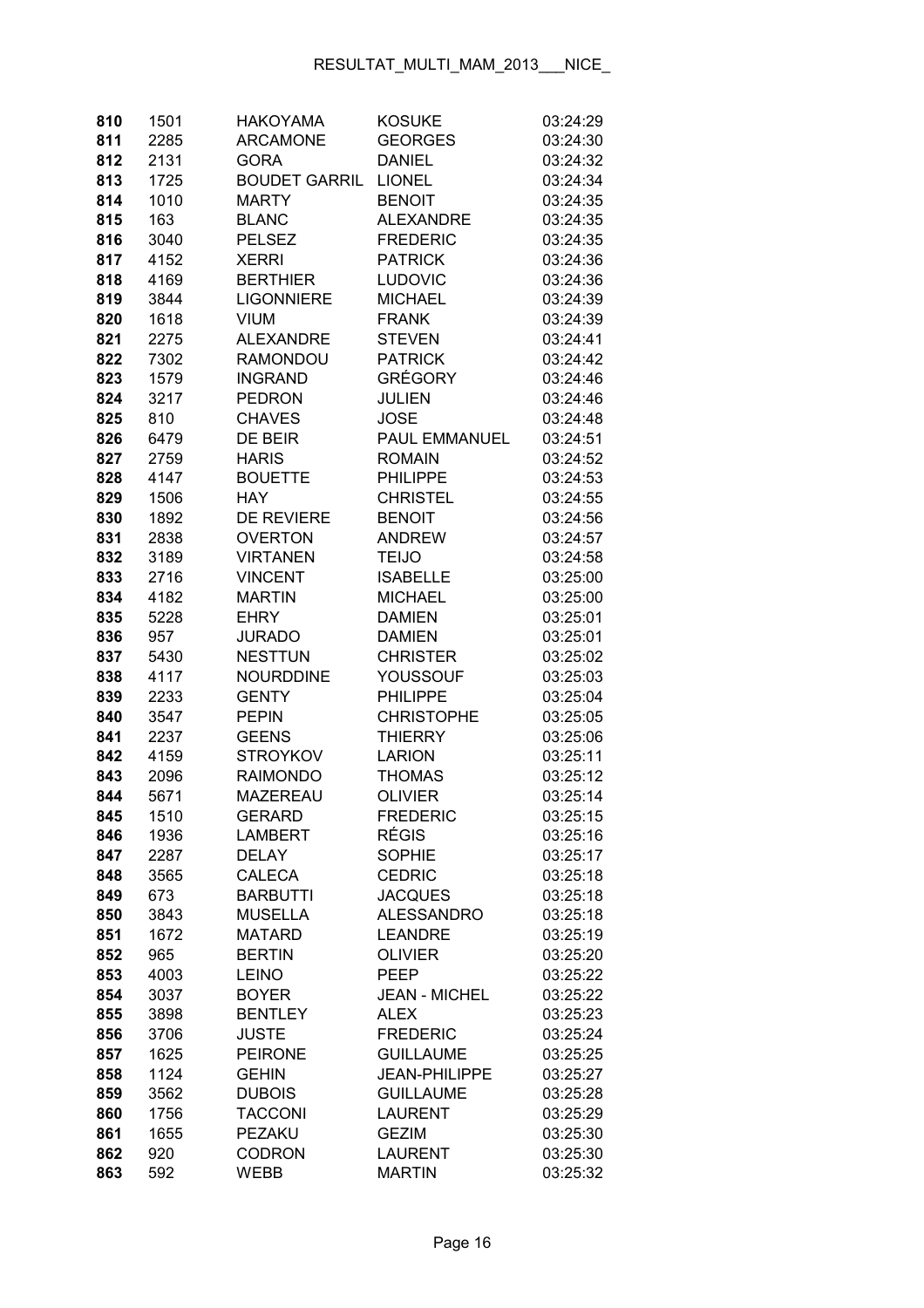| 810        | 1501         | <b>HAKOYAMA</b>                | <b>KOSUKE</b>                       | 03:24:29             |
|------------|--------------|--------------------------------|-------------------------------------|----------------------|
| 811        | 2285         | <b>ARCAMONE</b>                | <b>GEORGES</b>                      | 03:24:30             |
| 812        | 2131         | <b>GORA</b>                    | <b>DANIEL</b>                       | 03:24:32             |
| 813        | 1725         | <b>BOUDET GARRIL</b>           | <b>LIONEL</b>                       | 03:24:34             |
| 814        | 1010         | <b>MARTY</b>                   | <b>BENOIT</b>                       | 03:24:35             |
| 815        | 163          | <b>BLANC</b>                   | <b>ALEXANDRE</b>                    | 03:24:35             |
| 816        | 3040         | <b>PELSEZ</b>                  | <b>FREDERIC</b>                     | 03:24:35             |
| 817        | 4152         | <b>XERRI</b>                   | <b>PATRICK</b>                      | 03:24:36             |
| 818        | 4169         | <b>BERTHIER</b>                | <b>LUDOVIC</b>                      | 03:24:36             |
| 819        | 3844         | <b>LIGONNIERE</b>              | <b>MICHAEL</b>                      | 03:24:39             |
| 820        | 1618         | <b>VIUM</b>                    | <b>FRANK</b>                        | 03:24:39             |
| 821        | 2275         | <b>ALEXANDRE</b>               | <b>STEVEN</b>                       | 03:24:41             |
| 822        | 7302         | <b>RAMONDOU</b>                | <b>PATRICK</b>                      | 03:24:42             |
| 823        | 1579         | <b>INGRAND</b>                 | <b>GRÉGORY</b>                      | 03:24:46             |
| 824        | 3217         | <b>PEDRON</b>                  | <b>JULIEN</b>                       | 03:24:46             |
| 825        | 810          | <b>CHAVES</b>                  | <b>JOSE</b>                         | 03:24:48             |
| 826        | 6479         | DE BEIR                        | <b>PAUL EMMANUEL</b>                | 03:24:51             |
| 827        | 2759         | <b>HARIS</b>                   | <b>ROMAIN</b>                       | 03:24:52             |
| 828        | 4147         | <b>BOUETTE</b>                 | <b>PHILIPPE</b>                     | 03:24:53             |
| 829        | 1506         | <b>HAY</b>                     | <b>CHRISTEL</b>                     | 03:24:55             |
| 830        | 1892         | <b>DE REVIERE</b>              | <b>BENOIT</b>                       | 03:24:56             |
| 831        | 2838         | <b>OVERTON</b>                 | <b>ANDREW</b>                       | 03:24:57             |
| 832        | 3189         | <b>VIRTANEN</b>                | <b>TEIJO</b>                        | 03:24:58             |
| 833        | 2716         | <b>VINCENT</b>                 | <b>ISABELLE</b>                     | 03:25:00             |
| 834        | 4182         | <b>MARTIN</b>                  | <b>MICHAEL</b>                      | 03:25:00             |
| 835        | 5228         | <b>EHRY</b>                    | <b>DAMIEN</b>                       | 03:25:01             |
| 836        | 957          | <b>JURADO</b>                  | <b>DAMIEN</b>                       | 03:25:01             |
| 837        | 5430         | <b>NESTTUN</b>                 | <b>CHRISTER</b>                     | 03:25:02             |
| 838        | 4117         | <b>NOURDDINE</b>               | YOUSSOUF                            | 03:25:03             |
| 839        | 2233         | <b>GENTY</b>                   | <b>PHILIPPE</b>                     | 03:25:04             |
| 840        | 3547         | <b>PEPIN</b>                   | <b>CHRISTOPHE</b>                   | 03:25:05             |
| 841        | 2237         | <b>GEENS</b>                   | <b>THIERRY</b>                      | 03:25:06             |
| 842        | 4159         | <b>STROYKOV</b>                | <b>LARION</b>                       | 03:25:11             |
| 843        | 2096         | <b>RAIMONDO</b>                | <b>THOMAS</b>                       | 03:25:12             |
| 844        | 5671         | <b>MAZEREAU</b>                | <b>OLIVIER</b>                      | 03:25:14             |
| 845        | 1510         | <b>GERARD</b>                  | <b>FREDERIC</b>                     | 03:25:15             |
| 846        | 1936         | <b>LAMBERT</b>                 | <b>RÉGIS</b>                        | 03:25:16             |
| 847        | 2287         | <b>DELAY</b>                   | <b>SOPHIE</b>                       | 03:25:17             |
| 848        | 3565         | <b>CALECA</b>                  | <b>CEDRIC</b>                       | 03:25:18             |
| 849        | 673          | <b>BARBUTTI</b>                | <b>JACQUES</b>                      | 03:25:18             |
| 850        | 3843         | <b>MUSELLA</b>                 | <b>ALESSANDRO</b>                   | 03:25:18             |
| 851        | 1672         | <b>MATARD</b>                  | <b>LEANDRE</b>                      | 03:25:19             |
| 852        | 965          | <b>BERTIN</b>                  | <b>OLIVIER</b>                      | 03:25:20             |
| 853        | 4003         | <b>LEINO</b>                   | <b>PEEP</b>                         | 03:25:22             |
| 854        | 3037         | <b>BOYER</b>                   | <b>JEAN - MICHEL</b>                | 03:25:22             |
| 855        | 3898         | <b>BENTLEY</b>                 | <b>ALEX</b>                         | 03:25:23             |
| 856        | 3706         | <b>JUSTE</b><br><b>PEIRONE</b> | <b>FREDERIC</b><br><b>GUILLAUME</b> | 03:25:24             |
| 857        | 1625         | <b>GEHIN</b>                   | <b>JEAN-PHILIPPE</b>                | 03:25:25             |
| 858<br>859 | 1124<br>3562 | <b>DUBOIS</b>                  | <b>GUILLAUME</b>                    | 03:25:27<br>03:25:28 |
| 860        | 1756         | <b>TACCONI</b>                 | <b>LAURENT</b>                      | 03:25:29             |
| 861        | 1655         | PEZAKU                         | <b>GEZIM</b>                        | 03:25:30             |
| 862        | 920          | <b>CODRON</b>                  | <b>LAURENT</b>                      | 03:25:30             |
| 863        | 592          | <b>WEBB</b>                    | <b>MARTIN</b>                       | 03:25:32             |
|            |              |                                |                                     |                      |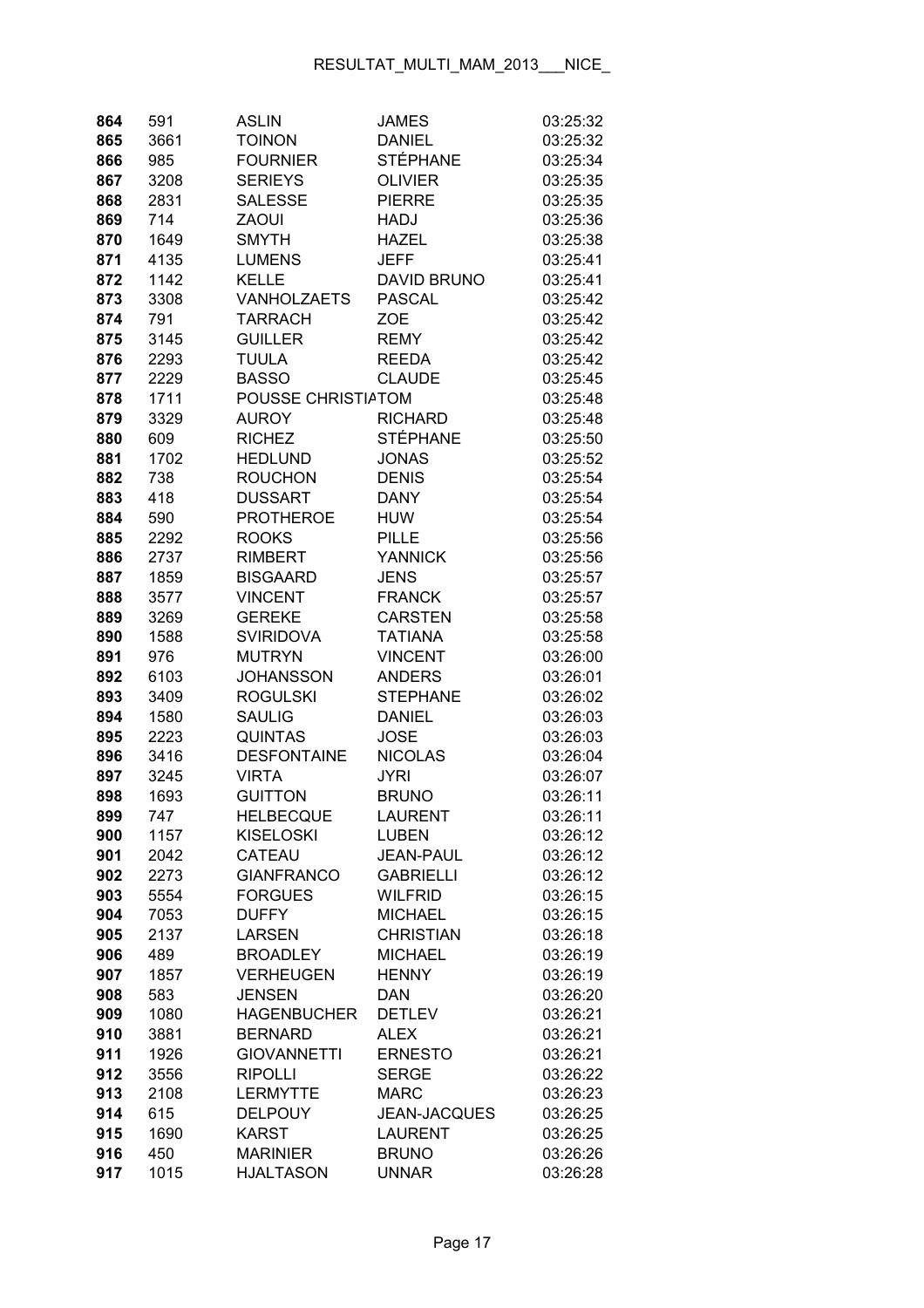| 864 | 591  | <b>ASLIN</b>       | <b>JAMES</b>        | 03:25:32 |
|-----|------|--------------------|---------------------|----------|
| 865 | 3661 | <b>TOINON</b>      | <b>DANIEL</b>       | 03:25:32 |
| 866 | 985  | <b>FOURNIER</b>    | <b>STÉPHANE</b>     | 03:25:34 |
| 867 | 3208 | <b>SERIEYS</b>     | <b>OLIVIER</b>      | 03:25:35 |
| 868 | 2831 | <b>SALESSE</b>     | <b>PIERRE</b>       | 03:25:35 |
| 869 | 714  | <b>ZAOUI</b>       | <b>HADJ</b>         | 03:25:36 |
| 870 | 1649 | <b>SMYTH</b>       | <b>HAZEL</b>        | 03:25:38 |
| 871 | 4135 | <b>LUMENS</b>      | <b>JEFF</b>         | 03:25:41 |
| 872 | 1142 | <b>KELLE</b>       | <b>DAVID BRUNO</b>  | 03:25:41 |
| 873 | 3308 | VANHOLZAETS        | <b>PASCAL</b>       | 03:25:42 |
| 874 | 791  | <b>TARRACH</b>     | ZOE                 | 03:25:42 |
| 875 | 3145 | <b>GUILLER</b>     | <b>REMY</b>         | 03:25:42 |
| 876 | 2293 | <b>TUULA</b>       | <b>REEDA</b>        | 03:25:42 |
| 877 | 2229 | <b>BASSO</b>       | <b>CLAUDE</b>       | 03:25:45 |
| 878 | 1711 | POUSSE CHRISTIATOM |                     | 03:25:48 |
| 879 | 3329 | <b>AUROY</b>       | <b>RICHARD</b>      | 03:25:48 |
| 880 | 609  | <b>RICHEZ</b>      | <b>STÉPHANE</b>     | 03:25:50 |
| 881 | 1702 | <b>HEDLUND</b>     | <b>JONAS</b>        | 03:25:52 |
| 882 | 738  | <b>ROUCHON</b>     | <b>DENIS</b>        | 03:25:54 |
| 883 | 418  | <b>DUSSART</b>     | <b>DANY</b>         | 03:25:54 |
| 884 | 590  | <b>PROTHEROE</b>   | <b>HUW</b>          | 03:25:54 |
| 885 | 2292 | <b>ROOKS</b>       | <b>PILLE</b>        | 03:25:56 |
| 886 | 2737 | <b>RIMBERT</b>     | <b>YANNICK</b>      | 03:25:56 |
| 887 | 1859 | <b>BISGAARD</b>    | <b>JENS</b>         | 03:25:57 |
| 888 | 3577 | <b>VINCENT</b>     | <b>FRANCK</b>       | 03:25:57 |
| 889 | 3269 | <b>GEREKE</b>      | <b>CARSTEN</b>      | 03:25:58 |
| 890 | 1588 | <b>SVIRIDOVA</b>   | <b>TATIANA</b>      | 03:25:58 |
| 891 | 976  | <b>MUTRYN</b>      | <b>VINCENT</b>      | 03:26:00 |
| 892 | 6103 | <b>JOHANSSON</b>   | <b>ANDERS</b>       | 03:26:01 |
| 893 | 3409 | <b>ROGULSKI</b>    | <b>STEPHANE</b>     | 03:26:02 |
| 894 | 1580 | <b>SAULIG</b>      | <b>DANIEL</b>       | 03:26:03 |
| 895 | 2223 | <b>QUINTAS</b>     | <b>JOSE</b>         | 03:26:03 |
| 896 | 3416 | <b>DESFONTAINE</b> | <b>NICOLAS</b>      | 03:26:04 |
| 897 | 3245 | <b>VIRTA</b>       | <b>JYRI</b>         | 03:26:07 |
| 898 | 1693 | <b>GUITTON</b>     | <b>BRUNO</b>        | 03:26:11 |
| 899 | 747  | <b>HELBECQUE</b>   | LAURENT             | 03:26:11 |
| 900 | 1157 | <b>KISELOSKI</b>   | <b>LUBEN</b>        | 03:26:12 |
| 901 | 2042 | CATEAU             | <b>JEAN-PAUL</b>    | 03:26:12 |
| 902 | 2273 | <b>GIANFRANCO</b>  | <b>GABRIELLI</b>    | 03:26:12 |
| 903 | 5554 | <b>FORGUES</b>     | <b>WILFRID</b>      | 03:26:15 |
| 904 | 7053 | <b>DUFFY</b>       | <b>MICHAEL</b>      | 03:26:15 |
| 905 | 2137 | <b>LARSEN</b>      | <b>CHRISTIAN</b>    | 03:26:18 |
| 906 | 489  | <b>BROADLEY</b>    | <b>MICHAEL</b>      | 03:26:19 |
| 907 | 1857 | <b>VERHEUGEN</b>   | <b>HENNY</b>        | 03:26:19 |
| 908 | 583  | <b>JENSEN</b>      | <b>DAN</b>          | 03:26:20 |
| 909 | 1080 | <b>HAGENBUCHER</b> | <b>DETLEV</b>       | 03:26:21 |
| 910 | 3881 | <b>BERNARD</b>     | <b>ALEX</b>         | 03:26:21 |
| 911 | 1926 | <b>GIOVANNETTI</b> | <b>ERNESTO</b>      | 03:26:21 |
| 912 | 3556 | <b>RIPOLLI</b>     | <b>SERGE</b>        | 03:26:22 |
| 913 | 2108 | <b>LERMYTTE</b>    | <b>MARC</b>         | 03:26:23 |
| 914 | 615  | <b>DELPOUY</b>     | <b>JEAN-JACQUES</b> | 03:26:25 |
| 915 | 1690 | <b>KARST</b>       | <b>LAURENT</b>      | 03:26:25 |
| 916 | 450  | <b>MARINIER</b>    | <b>BRUNO</b>        | 03:26:26 |
| 917 | 1015 | <b>HJALTASON</b>   | <b>UNNAR</b>        | 03:26:28 |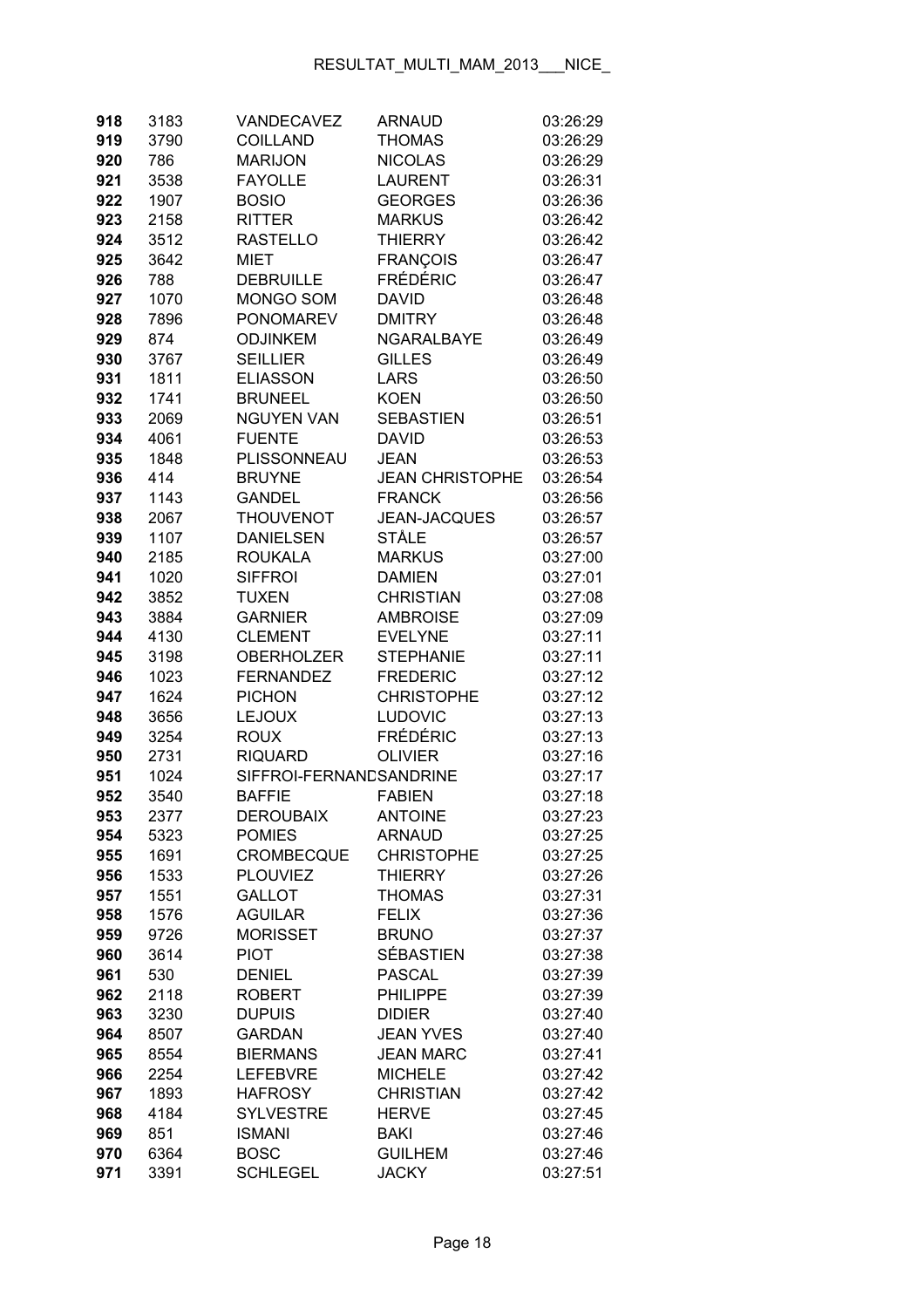| 918 | 3183 | VANDECAVEZ              | <b>ARNAUD</b>          | 03:26:29 |
|-----|------|-------------------------|------------------------|----------|
| 919 | 3790 | <b>COILLAND</b>         | <b>THOMAS</b>          | 03:26:29 |
| 920 | 786  | <b>MARIJON</b>          | <b>NICOLAS</b>         | 03:26:29 |
| 921 | 3538 | <b>FAYOLLE</b>          | <b>LAURENT</b>         | 03:26:31 |
| 922 | 1907 | <b>BOSIO</b>            | <b>GEORGES</b>         | 03:26:36 |
| 923 | 2158 | <b>RITTER</b>           | <b>MARKUS</b>          | 03:26:42 |
| 924 | 3512 | <b>RASTELLO</b>         | <b>THIERRY</b>         | 03:26:42 |
| 925 | 3642 | <b>MIET</b>             | <b>FRANÇOIS</b>        | 03:26:47 |
| 926 | 788  | <b>DEBRUILLE</b>        | <b>FRÉDÉRIC</b>        | 03:26:47 |
| 927 | 1070 | MONGO SOM               | <b>DAVID</b>           | 03:26:48 |
| 928 | 7896 | <b>PONOMAREV</b>        | <b>DMITRY</b>          | 03:26:48 |
| 929 | 874  | <b>ODJINKEM</b>         | <b>NGARALBAYE</b>      | 03:26:49 |
| 930 | 3767 | <b>SEILLIER</b>         | <b>GILLES</b>          | 03:26:49 |
| 931 | 1811 | <b>ELIASSON</b>         | LARS                   | 03:26:50 |
| 932 | 1741 | <b>BRUNEEL</b>          | <b>KOEN</b>            | 03:26:50 |
| 933 | 2069 | <b>NGUYEN VAN</b>       | <b>SEBASTIEN</b>       | 03:26:51 |
| 934 | 4061 | <b>FUENTE</b>           | <b>DAVID</b>           | 03:26:53 |
| 935 | 1848 | PLISSONNEAU             | <b>JEAN</b>            | 03:26:53 |
| 936 | 414  | <b>BRUYNE</b>           | <b>JEAN CHRISTOPHE</b> | 03:26:54 |
| 937 | 1143 | <b>GANDEL</b>           | <b>FRANCK</b>          | 03:26:56 |
| 938 | 2067 | <b>THOUVENOT</b>        | <b>JEAN-JACQUES</b>    | 03:26:57 |
| 939 | 1107 | <b>DANIELSEN</b>        | STÅLE                  | 03:26:57 |
| 940 | 2185 | <b>ROUKALA</b>          | <b>MARKUS</b>          | 03:27:00 |
| 941 | 1020 | <b>SIFFROI</b>          | <b>DAMIEN</b>          | 03:27:01 |
| 942 | 3852 | <b>TUXEN</b>            | <b>CHRISTIAN</b>       | 03:27:08 |
| 943 | 3884 | <b>GARNIER</b>          | <b>AMBROISE</b>        | 03:27:09 |
| 944 | 4130 | <b>CLEMENT</b>          | <b>EVELYNE</b>         | 03:27:11 |
| 945 | 3198 | <b>OBERHOLZER</b>       | <b>STEPHANIE</b>       | 03:27:11 |
| 946 | 1023 | <b>FERNANDEZ</b>        | <b>FREDERIC</b>        | 03:27:12 |
| 947 | 1624 | <b>PICHON</b>           | <b>CHRISTOPHE</b>      | 03:27:12 |
| 948 | 3656 | <b>LEJOUX</b>           | <b>LUDOVIC</b>         | 03:27:13 |
| 949 | 3254 | <b>ROUX</b>             | <b>FRÉDÉRIC</b>        | 03:27:13 |
| 950 | 2731 | <b>RIQUARD</b>          | <b>OLIVIER</b>         | 03:27:16 |
| 951 | 1024 | SIFFROI-FERNANDSANDRINE |                        | 03:27:17 |
| 952 | 3540 | <b>BAFFIE</b>           | <b>FABIEN</b>          | 03:27:18 |
| 953 | 2377 | <b>DEROUBAIX</b>        | <b>ANTOINE</b>         | 03:27:23 |
| 954 | 5323 | <b>POMIES</b>           | <b>ARNAUD</b>          | 03:27:25 |
| 955 | 1691 | <b>CROMBECQUE</b>       | <b>CHRISTOPHE</b>      | 03:27:25 |
| 956 | 1533 | <b>PLOUVIEZ</b>         | <b>THIERRY</b>         | 03:27:26 |
| 957 | 1551 | <b>GALLOT</b>           | <b>THOMAS</b>          | 03:27:31 |
| 958 | 1576 | <b>AGUILAR</b>          | <b>FELIX</b>           | 03:27:36 |
| 959 | 9726 | <b>MORISSET</b>         | <b>BRUNO</b>           | 03:27:37 |
| 960 | 3614 | <b>PIOT</b>             | <b>SÉBASTIEN</b>       | 03:27:38 |
| 961 | 530  | <b>DENIEL</b>           | <b>PASCAL</b>          | 03:27:39 |
| 962 | 2118 | <b>ROBERT</b>           | <b>PHILIPPE</b>        | 03:27:39 |
| 963 | 3230 | <b>DUPUIS</b>           | <b>DIDIER</b>          | 03:27:40 |
| 964 | 8507 | <b>GARDAN</b>           | <b>JEAN YVES</b>       | 03:27:40 |
| 965 | 8554 | <b>BIERMANS</b>         | <b>JEAN MARC</b>       | 03:27:41 |
| 966 | 2254 | <b>LEFEBVRE</b>         | <b>MICHELE</b>         | 03:27:42 |
| 967 | 1893 | <b>HAFROSY</b>          | <b>CHRISTIAN</b>       | 03:27:42 |
| 968 | 4184 | <b>SYLVESTRE</b>        | <b>HERVE</b>           | 03:27:45 |
| 969 | 851  | <b>ISMANI</b>           | <b>BAKI</b>            | 03:27:46 |
| 970 | 6364 | <b>BOSC</b>             | <b>GUILHEM</b>         | 03:27:46 |
| 971 | 3391 | <b>SCHLEGEL</b>         | <b>JACKY</b>           | 03:27:51 |
|     |      |                         |                        |          |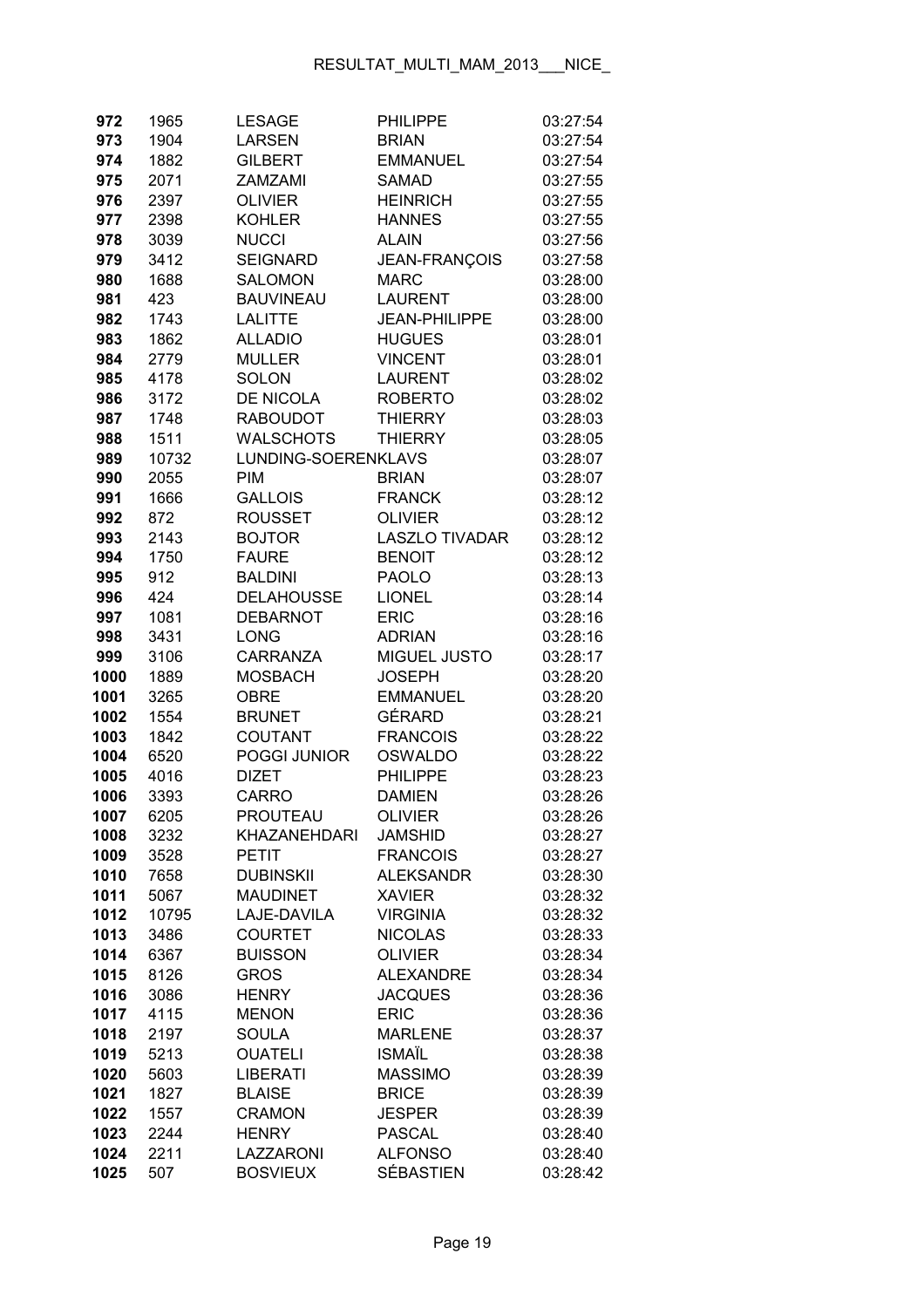| 972          | 1965         | <b>LESAGE</b>                  | <b>PHILIPPE</b>               | 03:27:54             |
|--------------|--------------|--------------------------------|-------------------------------|----------------------|
| 973          | 1904         | <b>LARSEN</b>                  | <b>BRIAN</b>                  | 03:27:54             |
| 974          | 1882         | <b>GILBERT</b>                 | <b>EMMANUEL</b>               | 03:27:54             |
| 975          | 2071         | <b>ZAMZAMI</b>                 | <b>SAMAD</b>                  | 03:27:55             |
| 976          | 2397         | <b>OLIVIER</b>                 | <b>HEINRICH</b>               | 03:27:55             |
| 977          | 2398         | <b>KOHLER</b>                  | <b>HANNES</b>                 | 03:27:55             |
| 978          | 3039         | <b>NUCCI</b>                   | <b>ALAIN</b>                  | 03:27:56             |
| 979          | 3412         | <b>SEIGNARD</b>                | JEAN-FRANÇOIS                 | 03:27:58             |
| 980          | 1688         | <b>SALOMON</b>                 | <b>MARC</b>                   | 03:28:00             |
| 981          | 423          | <b>BAUVINEAU</b>               | <b>LAURENT</b>                | 03:28:00             |
| 982          | 1743         | <b>LALITTE</b>                 | <b>JEAN-PHILIPPE</b>          | 03:28:00             |
| 983          | 1862         | <b>ALLADIO</b>                 | <b>HUGUES</b>                 | 03:28:01             |
| 984          | 2779         | MULLER                         | <b>VINCENT</b>                | 03:28:01             |
| 985          | 4178         | SOLON                          | <b>LAURENT</b>                | 03:28:02             |
| 986          | 3172         | <b>DE NICOLA</b>               | <b>ROBERTO</b>                | 03:28:02             |
| 987          | 1748         | <b>RABOUDOT</b>                | <b>THIERRY</b>                | 03:28:03             |
| 988          | 1511         | <b>WALSCHOTS</b>               | <b>THIERRY</b>                | 03:28:05             |
| 989          | 10732        | LUNDING-SOERENKLAVS            |                               | 03:28:07             |
| 990          | 2055         | <b>PIM</b>                     | <b>BRIAN</b>                  | 03:28:07             |
| 991          | 1666         | <b>GALLOIS</b>                 | <b>FRANCK</b>                 | 03:28:12             |
| 992          | 872          | <b>ROUSSET</b>                 | <b>OLIVIER</b>                | 03:28:12             |
| 993          | 2143         | <b>BOJTOR</b>                  | <b>LASZLO TIVADAR</b>         | 03:28:12             |
| 994          | 1750         | <b>FAURE</b>                   | <b>BENOIT</b>                 | 03:28:12             |
| 995          | 912          | <b>BALDINI</b>                 | <b>PAOLO</b>                  | 03:28:13             |
| 996          | 424          | <b>DELAHOUSSE</b>              | <b>LIONEL</b>                 | 03:28:14             |
| 997          | 1081         | <b>DEBARNOT</b>                | <b>ERIC</b>                   | 03:28:16             |
| 998          | 3431         | <b>LONG</b>                    | <b>ADRIAN</b>                 | 03:28:16             |
| 999          | 3106         | CARRANZA                       | MIGUEL JUSTO                  | 03:28:17             |
| 1000         | 1889         | <b>MOSBACH</b>                 | <b>JOSEPH</b>                 | 03:28:20             |
| 1001         | 3265         | <b>OBRE</b>                    | <b>EMMANUEL</b>               | 03:28:20             |
| 1002         | 1554         | <b>BRUNET</b>                  | GÉRARD                        | 03:28:21             |
| 1003         | 1842         | COUTANT                        | <b>FRANCOIS</b>               | 03:28:22             |
| 1004         | 6520         | POGGI JUNIOR                   | <b>OSWALDO</b>                | 03:28:22             |
| 1005         | 4016         | <b>DIZET</b>                   | <b>PHILIPPE</b>               | 03:28:23             |
| 1006         | 3393         | <b>CARRO</b>                   | <b>DAMIEN</b>                 | 03:28:26             |
| 1007         | 6205         | PROUTEAU                       | OLIVIER                       | 03:28:26             |
| 1008         | 3232         | <b>KHAZANEHDARI</b>            | <b>JAMSHID</b>                | 03:28:27             |
| 1009         | 3528         | <b>PETIT</b>                   | <b>FRANCOIS</b>               | 03:28:27             |
| 1010         | 7658         | <b>DUBINSKII</b>               | <b>ALEKSANDR</b>              | 03:28:30             |
| 1011         | 5067         | <b>MAUDINET</b>                | <b>XAVIER</b>                 | 03:28:32             |
| 1012         | 10795        | LAJE-DAVILA                    | <b>VIRGINIA</b>               | 03:28:32             |
| 1013         | 3486         | <b>COURTET</b>                 | <b>NICOLAS</b>                | 03:28:33             |
| 1014         | 6367         | <b>BUISSON</b>                 | <b>OLIVIER</b>                | 03:28:34             |
| 1015         | 8126         | <b>GROS</b>                    | <b>ALEXANDRE</b>              | 03:28:34             |
| 1016         | 3086         | <b>HENRY</b>                   | <b>JACQUES</b>                | 03:28:36             |
| 1017         | 4115         | <b>MENON</b>                   | <b>ERIC</b>                   | 03:28:36             |
| 1018         | 2197         | <b>SOULA</b>                   | <b>MARLENE</b>                | 03:28:37             |
| 1019         | 5213         | <b>OUATELI</b>                 | <b>ISMAÏL</b>                 | 03:28:38             |
| 1020         | 5603         | <b>LIBERATI</b>                | <b>MASSIMO</b>                | 03:28:39             |
| 1021<br>1022 | 1827<br>1557 | <b>BLAISE</b><br><b>CRAMON</b> | <b>BRICE</b><br><b>JESPER</b> | 03:28:39<br>03:28:39 |
| 1023         | 2244         | <b>HENRY</b>                   | <b>PASCAL</b>                 | 03:28:40             |
| 1024         | 2211         | LAZZARONI                      | <b>ALFONSO</b>                | 03:28:40             |
| 1025         | 507          | <b>BOSVIEUX</b>                | <b>SÉBASTIEN</b>              | 03:28:42             |
|              |              |                                |                               |                      |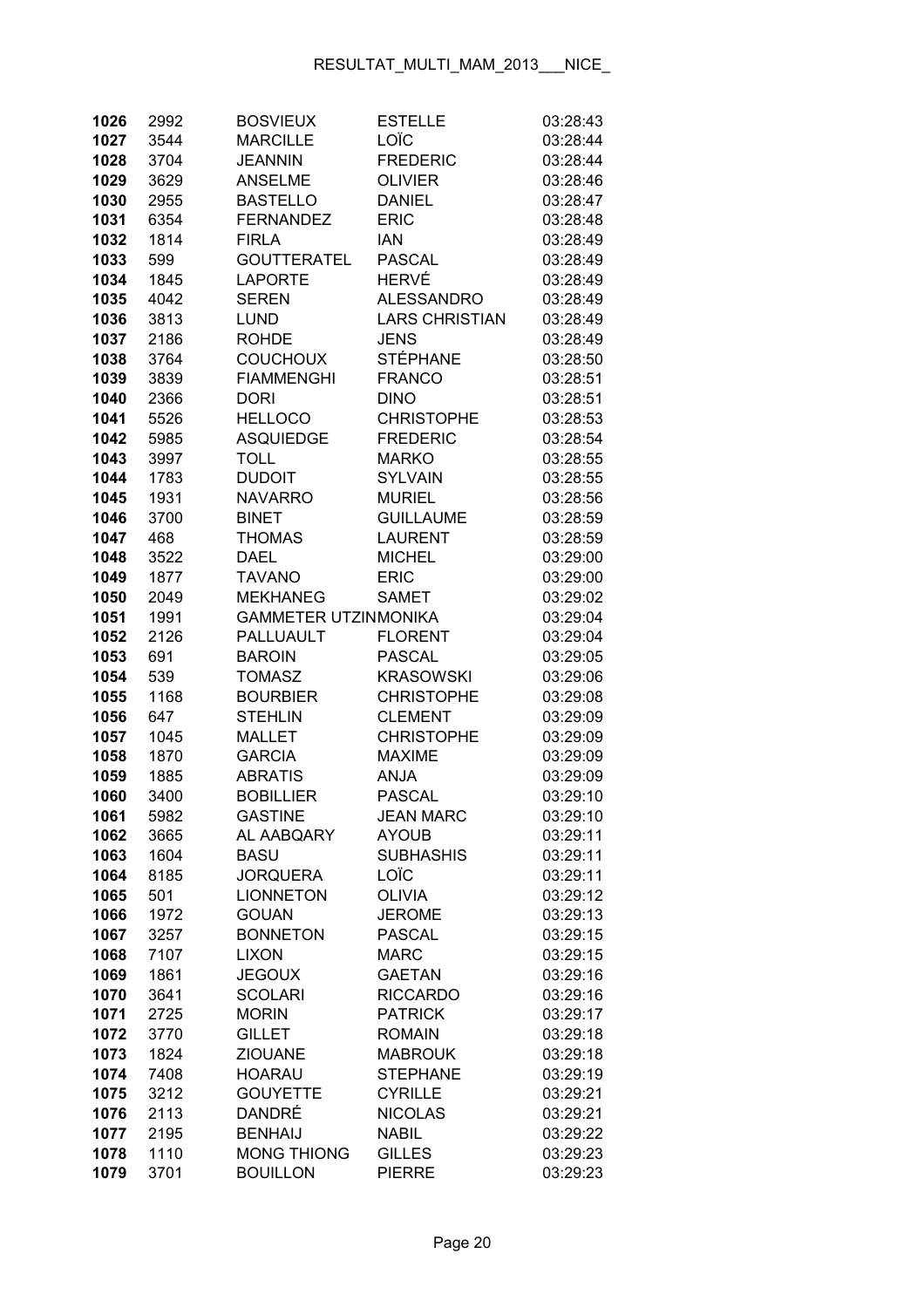| 1026         | 2992         | <b>BOSVIEUX</b>                 | <b>ESTELLE</b>                  | 03:28:43             |
|--------------|--------------|---------------------------------|---------------------------------|----------------------|
| 1027         | 3544         | <b>MARCILLE</b>                 | LOÏC                            | 03:28:44             |
| 1028         | 3704         | <b>JEANNIN</b>                  | <b>FREDERIC</b>                 | 03:28:44             |
| 1029         | 3629         | <b>ANSELME</b>                  | <b>OLIVIER</b>                  | 03:28:46             |
| 1030         | 2955         | <b>BASTELLO</b>                 | <b>DANIEL</b>                   | 03:28:47             |
| 1031         | 6354         | <b>FERNANDEZ</b>                | <b>ERIC</b>                     | 03:28:48             |
| 1032         | 1814         | <b>FIRLA</b>                    | <b>IAN</b>                      | 03:28:49             |
| 1033         | 599          | <b>GOUTTERATEL</b>              | <b>PASCAL</b>                   | 03:28:49             |
| 1034         | 1845         | <b>LAPORTE</b>                  | HERVÉ                           | 03:28:49             |
| 1035         | 4042         | <b>SEREN</b>                    | <b>ALESSANDRO</b>               | 03:28:49             |
| 1036         | 3813         | <b>LUND</b>                     | <b>LARS CHRISTIAN</b>           | 03:28:49             |
| 1037         | 2186         | <b>ROHDE</b>                    | <b>JENS</b>                     | 03:28:49             |
| 1038         | 3764         | <b>COUCHOUX</b>                 | <b>STÉPHANE</b>                 | 03:28:50             |
| 1039         | 3839         | <b>FIAMMENGHI</b>               | <b>FRANCO</b>                   | 03:28:51             |
| 1040         | 2366         | <b>DORI</b>                     | <b>DINO</b>                     | 03:28:51             |
| 1041         | 5526         | <b>HELLOCO</b>                  | <b>CHRISTOPHE</b>               | 03:28:53             |
| 1042         | 5985         | <b>ASQUIEDGE</b>                | <b>FREDERIC</b>                 | 03:28:54             |
| 1043         | 3997         | <b>TOLL</b>                     | <b>MARKO</b>                    | 03:28:55             |
| 1044         | 1783         | <b>DUDOIT</b>                   | <b>SYLVAIN</b>                  | 03:28:55             |
| 1045         | 1931         | <b>NAVARRO</b>                  | <b>MURIEL</b>                   | 03:28:56             |
| 1046         | 3700         | <b>BINET</b>                    | <b>GUILLAUME</b>                | 03:28:59             |
| 1047         | 468          | <b>THOMAS</b>                   | <b>LAURENT</b>                  | 03:28:59             |
| 1048         | 3522         | <b>DAEL</b>                     | <b>MICHEL</b>                   | 03:29:00             |
| 1049         | 1877         | <b>TAVANO</b>                   | <b>ERIC</b>                     | 03:29:00             |
| 1050         | 2049         | <b>MEKHANEG</b>                 | <b>SAMET</b>                    | 03:29:02             |
| 1051         | 1991         | <b>GAMMETER UTZINMONIKA</b>     |                                 | 03:29:04             |
| 1052         | 2126         | PALLUAULT                       | <b>FLORENT</b>                  | 03:29:04             |
| 1053         | 691          | <b>BAROIN</b>                   | <b>PASCAL</b>                   | 03:29:05             |
| 1054         | 539          | <b>TOMASZ</b>                   | <b>KRASOWSKI</b>                | 03:29:06             |
| 1055         | 1168         | <b>BOURBIER</b>                 | <b>CHRISTOPHE</b>               | 03:29:08             |
| 1056         | 647          | <b>STEHLIN</b>                  | <b>CLEMENT</b>                  | 03:29:09             |
| 1057         | 1045         | <b>MALLET</b>                   | <b>CHRISTOPHE</b>               | 03:29:09             |
| 1058         | 1870         | <b>GARCIA</b>                   | <b>MAXIME</b>                   | 03:29:09             |
| 1059         | 1885         | <b>ABRATIS</b>                  | <b>ANJA</b>                     | 03:29:09             |
| 1060         | 3400         | <b>BOBILLIER</b>                | <b>PASCAL</b>                   | 03:29:10             |
| 1061         | 5982         | GASTINE                         | JEAN MARC                       | 03:29:10             |
| 1062         | 3665         | AL AABQARY                      | <b>AYOUB</b>                    | 03:29:11             |
| 1063         | 1604         | <b>BASU</b>                     | <b>SUBHASHIS</b>                | 03:29:11             |
| 1064         | 8185         | <b>JORQUERA</b>                 | LOÏC                            | 03:29:11             |
| 1065         | 501          | <b>LIONNETON</b>                | <b>OLIVIA</b>                   | 03:29:12             |
| 1066         | 1972         | <b>GOUAN</b>                    | <b>JEROME</b>                   | 03:29:13             |
| 1067         | 3257         | <b>BONNETON</b>                 | <b>PASCAL</b>                   | 03:29:15             |
| 1068         | 7107         | <b>LIXON</b>                    | <b>MARC</b>                     | 03:29:15             |
| 1069         | 1861         | <b>JEGOUX</b>                   | <b>GAETAN</b>                   | 03:29:16             |
| 1070         | 3641         | <b>SCOLARI</b><br><b>MORIN</b>  | <b>RICCARDO</b>                 | 03:29:16             |
| 1071         | 2725         |                                 | <b>PATRICK</b><br><b>ROMAIN</b> | 03:29:17             |
| 1072<br>1073 | 3770<br>1824 | <b>GILLET</b><br><b>ZIOUANE</b> | <b>MABROUK</b>                  | 03:29:18<br>03:29:18 |
|              | 7408         | <b>HOARAU</b>                   | <b>STEPHANE</b>                 | 03:29:19             |
| 1074<br>1075 | 3212         | <b>GOUYETTE</b>                 | <b>CYRILLE</b>                  | 03:29:21             |
| 1076         | 2113         | DANDRÉ                          | <b>NICOLAS</b>                  | 03:29:21             |
| 1077         | 2195         | <b>BENHAIJ</b>                  | <b>NABIL</b>                    | 03:29:22             |
| 1078         | 1110         | <b>MONG THIONG</b>              | <b>GILLES</b>                   | 03:29:23             |
| 1079         | 3701         | <b>BOUILLON</b>                 | <b>PIERRE</b>                   | 03:29:23             |
|              |              |                                 |                                 |                      |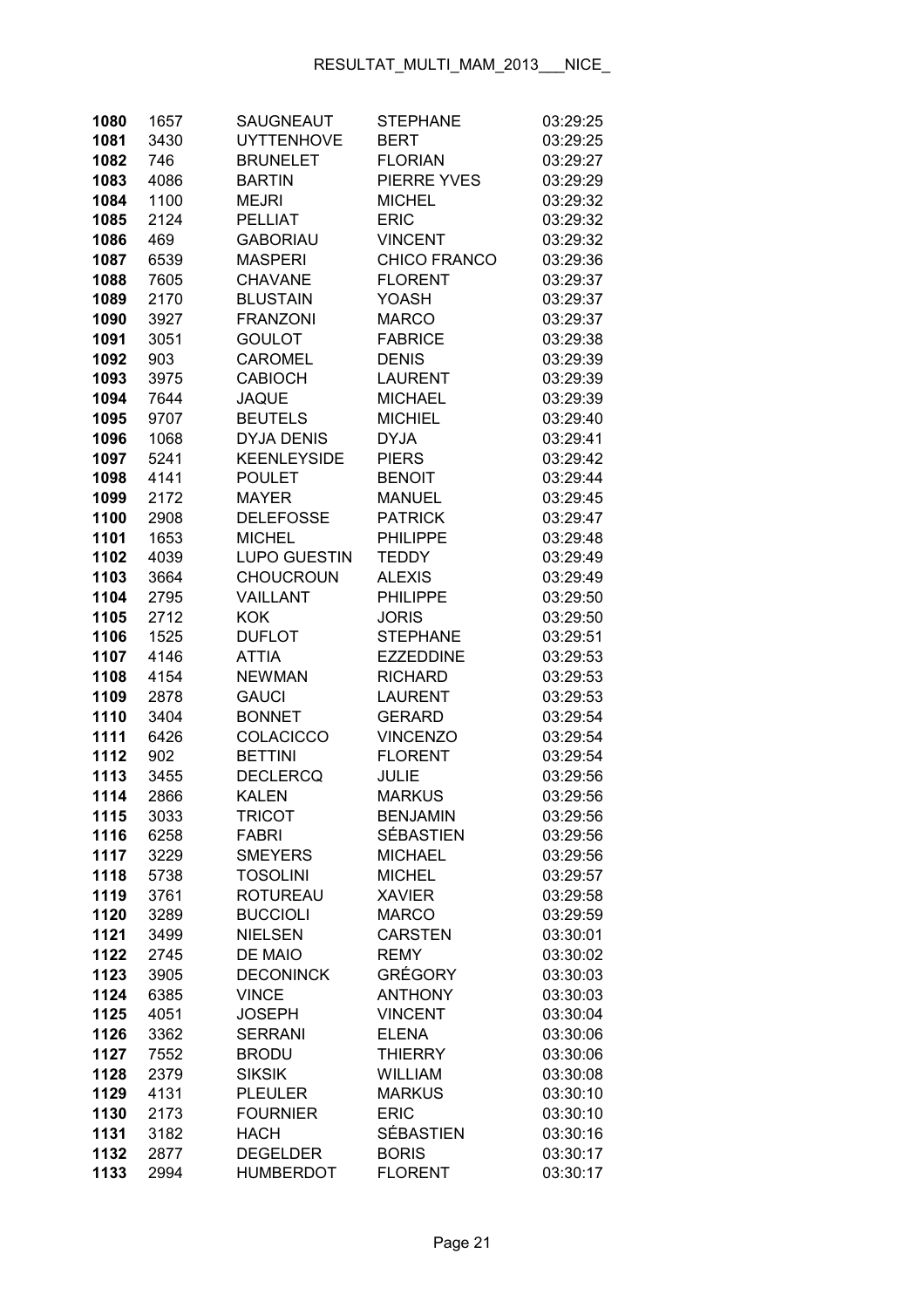| 1080         | 1657         | SAUGNEAUT                     | <b>STEPHANE</b>                | 03:29:25             |
|--------------|--------------|-------------------------------|--------------------------------|----------------------|
| 1081         | 3430         | <b>UYTTENHOVE</b>             | <b>BERT</b>                    | 03:29:25             |
| 1082         | 746          | <b>BRUNELET</b>               | <b>FLORIAN</b>                 | 03:29:27             |
| 1083         | 4086         | <b>BARTIN</b>                 | PIERRE YVES                    | 03:29:29             |
| 1084         | 1100         | <b>MEJRI</b>                  | <b>MICHEL</b>                  | 03:29:32             |
| 1085         | 2124         | <b>PELLIAT</b>                | <b>ERIC</b>                    | 03:29:32             |
| 1086         | 469          | <b>GABORIAU</b>               | <b>VINCENT</b>                 | 03:29:32             |
| 1087         | 6539         | <b>MASPERI</b>                | CHICO FRANCO                   | 03:29:36             |
| 1088         | 7605         | <b>CHAVANE</b>                | <b>FLORENT</b>                 | 03:29:37             |
| 1089         | 2170         | <b>BLUSTAIN</b>               | YOASH                          | 03:29:37             |
| 1090         | 3927         | <b>FRANZONI</b>               | <b>MARCO</b>                   | 03:29:37             |
| 1091         | 3051         | <b>GOULOT</b>                 | <b>FABRICE</b>                 | 03:29:38             |
| 1092         | 903          | <b>CAROMEL</b>                | <b>DENIS</b>                   | 03:29:39             |
| 1093         | 3975         | <b>CABIOCH</b>                | <b>LAURENT</b>                 | 03:29:39             |
| 1094         | 7644         | <b>JAQUE</b>                  | <b>MICHAEL</b>                 | 03:29:39             |
| 1095         | 9707         | <b>BEUTELS</b>                | <b>MICHIEL</b>                 | 03:29:40             |
| 1096         | 1068         | <b>DYJA DENIS</b>             | <b>DYJA</b>                    | 03:29:41             |
| 1097         | 5241         | <b>KEENLEYSIDE</b>            | <b>PIERS</b>                   | 03:29:42             |
| 1098         | 4141         | <b>POULET</b>                 | <b>BENOIT</b>                  | 03:29:44             |
| 1099         | 2172         | <b>MAYER</b>                  | <b>MANUEL</b>                  | 03:29:45             |
| 1100         | 2908         | <b>DELEFOSSE</b>              | <b>PATRICK</b>                 | 03:29:47             |
| 1101         | 1653         | <b>MICHEL</b>                 | <b>PHILIPPE</b>                | 03:29:48             |
| 1102         | 4039         | <b>LUPO GUESTIN</b>           | <b>TEDDY</b>                   | 03:29:49             |
| 1103         | 3664         | <b>CHOUCROUN</b>              | <b>ALEXIS</b>                  | 03:29:49             |
| 1104         | 2795         | VAILLANT                      | <b>PHILIPPE</b>                | 03:29:50             |
| 1105         | 2712         | <b>KOK</b>                    | <b>JORIS</b>                   | 03:29:50             |
| 1106         | 1525         | <b>DUFLOT</b>                 | <b>STEPHANE</b>                | 03:29:51             |
| 1107         | 4146         | <b>ATTIA</b>                  | <b>EZZEDDINE</b>               | 03:29:53             |
| 1108         | 4154         | <b>NEWMAN</b>                 | <b>RICHARD</b>                 | 03:29:53             |
| 1109         | 2878         | <b>GAUCI</b>                  | <b>LAURENT</b>                 | 03:29:53             |
| 1110         | 3404         | <b>BONNET</b>                 | <b>GERARD</b>                  | 03:29:54             |
| 1111         | 6426         | <b>COLACICCO</b>              | <b>VINCENZO</b>                | 03:29:54             |
| 1112         | 902          | <b>BETTINI</b>                | <b>FLORENT</b>                 | 03:29:54             |
| 1113         | 3455         | <b>DECLERCQ</b>               | <b>JULIE</b>                   | 03:29:56             |
| 1114         | 2866         | <b>KALEN</b>                  | <b>MARKUS</b>                  | 03:29:56             |
| 1115         | 3033         | <b>TRICOT</b>                 | <b>BENJAMIN</b>                | 03:29:56             |
| 1116         | 6258         | <b>FABRI</b>                  | <b>SÉBASTIEN</b>               | 03:29:56             |
| 1117         | 3229         | <b>SMEYERS</b>                | <b>MICHAEL</b>                 | 03:29:56             |
| 1118         | 5738         | <b>TOSOLINI</b>               | <b>MICHEL</b>                  | 03:29:57             |
| 1119         | 3761         | <b>ROTUREAU</b>               | <b>XAVIER</b>                  | 03:29:58             |
| 1120         | 3289         | <b>BUCCIOLI</b>               | <b>MARCO</b>                   | 03:29:59             |
| 1121         | 3499         | <b>NIELSEN</b>                | <b>CARSTEN</b>                 | 03:30:01             |
| 1122         | 2745         | DE MAIO                       | <b>REMY</b>                    | 03:30:02             |
| 1123         | 3905         | <b>DECONINCK</b>              | <b>GRÉGORY</b>                 | 03:30:03             |
| 1124         | 6385         | <b>VINCE</b>                  | <b>ANTHONY</b>                 | 03:30:03             |
| 1125         | 4051         | <b>JOSEPH</b>                 | <b>VINCENT</b>                 | 03:30:04             |
| 1126<br>1127 | 3362         | <b>SERRANI</b>                | <b>ELENA</b><br><b>THIERRY</b> | 03:30:06<br>03:30:06 |
|              | 7552         | <b>BRODU</b><br><b>SIKSIK</b> | <b>WILLIAM</b>                 |                      |
| 1128<br>1129 | 2379<br>4131 | <b>PLEULER</b>                | <b>MARKUS</b>                  | 03:30:08<br>03:30:10 |
| 1130         | 2173         | <b>FOURNIER</b>               | <b>ERIC</b>                    | 03:30:10             |
| 1131         | 3182         | <b>HACH</b>                   | <b>SÉBASTIEN</b>               | 03:30:16             |
| 1132         | 2877         | <b>DEGELDER</b>               | <b>BORIS</b>                   | 03:30:17             |
| 1133         | 2994         | <b>HUMBERDOT</b>              | <b>FLORENT</b>                 | 03:30:17             |
|              |              |                               |                                |                      |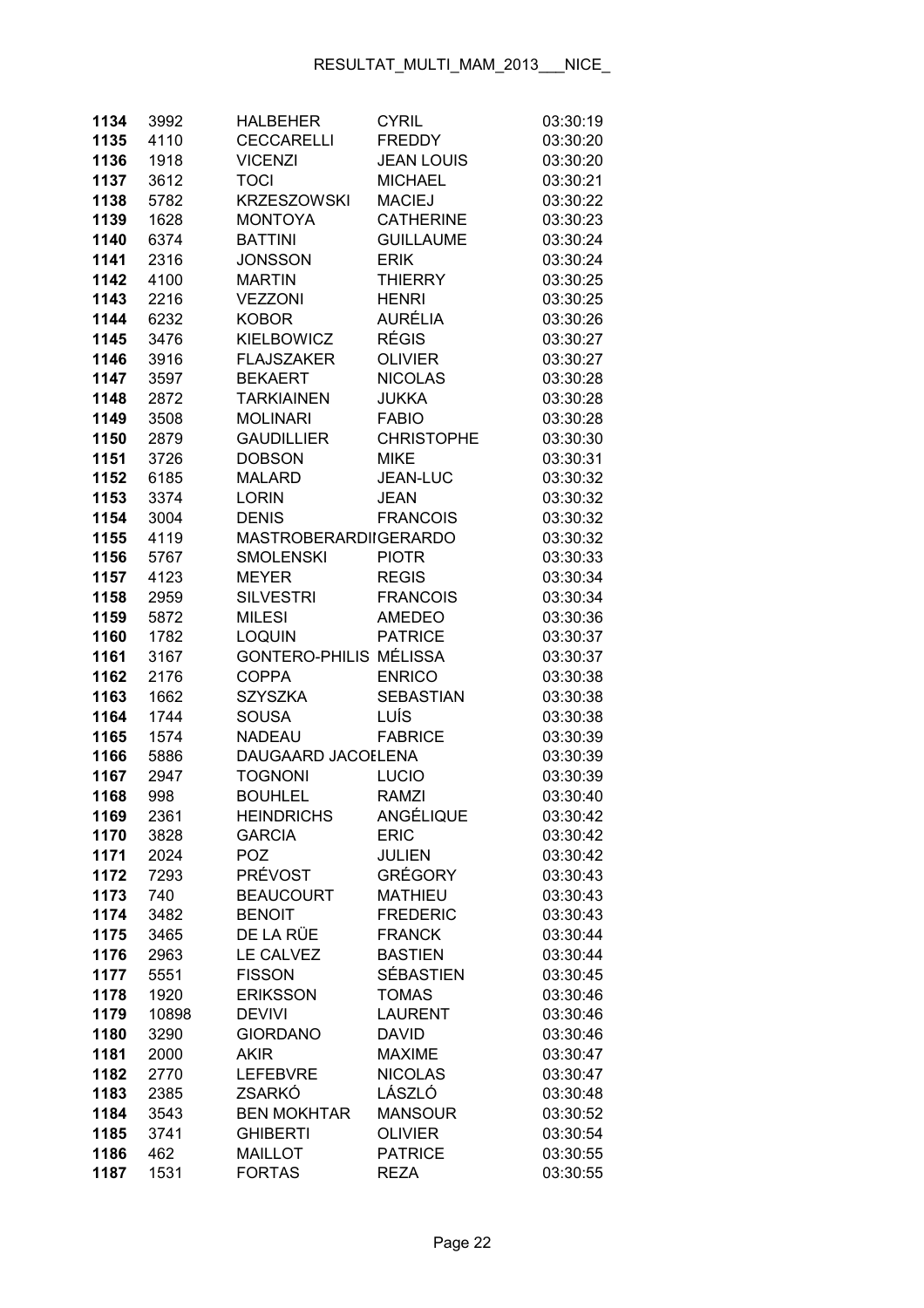| 1134         | 3992         | <b>HALBEHER</b>              | <b>CYRIL</b>                  | 03:30:19             |
|--------------|--------------|------------------------------|-------------------------------|----------------------|
| 1135         | 4110         | <b>CECCARELLI</b>            | <b>FREDDY</b>                 | 03:30:20             |
| 1136         | 1918         | <b>VICENZI</b>               | <b>JEAN LOUIS</b>             | 03:30:20             |
| 1137         | 3612         | <b>TOCI</b>                  | <b>MICHAEL</b>                | 03:30:21             |
| 1138         | 5782         | <b>KRZESZOWSKI</b>           | <b>MACIEJ</b>                 | 03:30:22             |
| 1139         | 1628         | <b>MONTOYA</b>               | <b>CATHERINE</b>              | 03:30:23             |
| 1140         | 6374         | <b>BATTINI</b>               | <b>GUILLAUME</b>              | 03:30:24             |
| 1141         | 2316         | <b>JONSSON</b>               | <b>ERIK</b>                   | 03:30:24             |
| 1142         | 4100         | <b>MARTIN</b>                | <b>THIERRY</b>                | 03:30:25             |
| 1143         | 2216         | <b>VEZZONI</b>               | <b>HENRI</b>                  | 03:30:25             |
| 1144         | 6232         | <b>KOBOR</b>                 | <b>AURÉLIA</b>                | 03:30:26             |
| 1145         | 3476         | <b>KIELBOWICZ</b>            | <b>RÉGIS</b>                  | 03:30:27             |
| 1146         | 3916         | <b>FLAJSZAKER</b>            | <b>OLIVIER</b>                | 03:30:27             |
| 1147         | 3597         | <b>BEKAERT</b>               | <b>NICOLAS</b>                | 03:30:28             |
| 1148         | 2872         | <b>TARKIAINEN</b>            | <b>JUKKA</b>                  | 03:30:28             |
| 1149         | 3508         | <b>MOLINARI</b>              | <b>FABIO</b>                  | 03:30:28             |
| 1150         | 2879         | <b>GAUDILLIER</b>            | <b>CHRISTOPHE</b>             | 03:30:30             |
| 1151         | 3726         | <b>DOBSON</b>                | <b>MIKE</b>                   | 03:30:31             |
| 1152         | 6185         | <b>MALARD</b>                | JEAN-LUC                      | 03:30:32             |
| 1153         | 3374         | <b>LORIN</b>                 | <b>JEAN</b>                   | 03:30:32             |
| 1154         | 3004         | <b>DENIS</b>                 | <b>FRANCOIS</b>               | 03:30:32             |
| 1155         | 4119         | <b>MASTROBERARDIIGERARDO</b> |                               | 03:30:32             |
| 1156         | 5767         | <b>SMOLENSKI</b>             | <b>PIOTR</b>                  | 03:30:33             |
| 1157         | 4123         | <b>MEYER</b>                 | <b>REGIS</b>                  | 03:30:34             |
| 1158         | 2959         | <b>SILVESTRI</b>             | <b>FRANCOIS</b>               | 03:30:34             |
| 1159         | 5872         | <b>MILESI</b>                | <b>AMEDEO</b>                 | 03:30:36             |
| 1160         | 1782         | <b>LOQUIN</b>                | <b>PATRICE</b>                | 03:30:37             |
| 1161         | 3167         | GONTERO-PHILIS MÉLISSA       |                               | 03:30:37             |
| 1162         | 2176         | <b>COPPA</b>                 | <b>ENRICO</b>                 | 03:30:38             |
| 1163         | 1662         | <b>SZYSZKA</b>               | <b>SEBASTIAN</b>              | 03:30:38             |
| 1164         | 1744         | <b>SOUSA</b>                 | LUÍS                          | 03:30:38             |
| 1165         | 1574         | <b>NADEAU</b>                | <b>FABRICE</b>                | 03:30:39             |
| 1166         | 5886         | DAUGAARD JACOELENA           |                               | 03:30:39             |
| 1167         | 2947         | <b>TOGNONI</b>               | LUCIO                         | 03:30:39             |
| 1168         | 998          | <b>BOUHLEL</b>               | <b>RAMZI</b>                  | 03:30:40             |
| 1169         | 2361         | <b>HEINDRICHS</b>            | ANGÉLIQUE                     | 03:30:42             |
| 1170         | 3828         | <b>GARCIA</b>                | <b>ERIC</b>                   | 03:30:42             |
| 1171         | 2024         | <b>POZ</b>                   | <b>JULIEN</b>                 | 03:30:42             |
| 1172         | 7293         | <b>PRÉVOST</b>               | <b>GRÉGORY</b>                | 03:30:43             |
| 1173         | 740          | <b>BEAUCOURT</b>             | <b>MATHIEU</b>                | 03:30:43             |
| 1174         | 3482         | <b>BENOIT</b>                | <b>FREDERIC</b>               | 03:30:43             |
| 1175         | 3465         | DE LA RÜE                    | <b>FRANCK</b>                 | 03:30:44             |
| 1176         | 2963         | LE CALVEZ                    | <b>BASTIEN</b>                | 03:30:44             |
| 1177         | 5551         | <b>FISSON</b>                | <b>SÉBASTIEN</b>              | 03:30:45             |
| 1178         | 1920         | <b>ERIKSSON</b>              | <b>TOMAS</b>                  | 03:30:46             |
| 1179         | 10898        | <b>DEVIVI</b>                | <b>LAURENT</b>                | 03:30:46             |
| 1180         | 3290         | <b>GIORDANO</b>              | <b>DAVID</b><br><b>MAXIME</b> | 03:30:46             |
| 1181         | 2000         | <b>AKIR</b>                  |                               | 03:30:47             |
| 1182<br>1183 | 2770<br>2385 | <b>LEFEBVRE</b><br>ZSARKÓ    | <b>NICOLAS</b><br>LÁSZLÓ      | 03:30:47<br>03:30:48 |
| 1184         | 3543         | <b>BEN MOKHTAR</b>           | <b>MANSOUR</b>                | 03:30:52             |
| 1185         | 3741         | <b>GHIBERTI</b>              | <b>OLIVIER</b>                | 03:30:54             |
| 1186         | 462          | <b>MAILLOT</b>               | <b>PATRICE</b>                | 03:30:55             |
| 1187         | 1531         | <b>FORTAS</b>                | <b>REZA</b>                   | 03:30:55             |
|              |              |                              |                               |                      |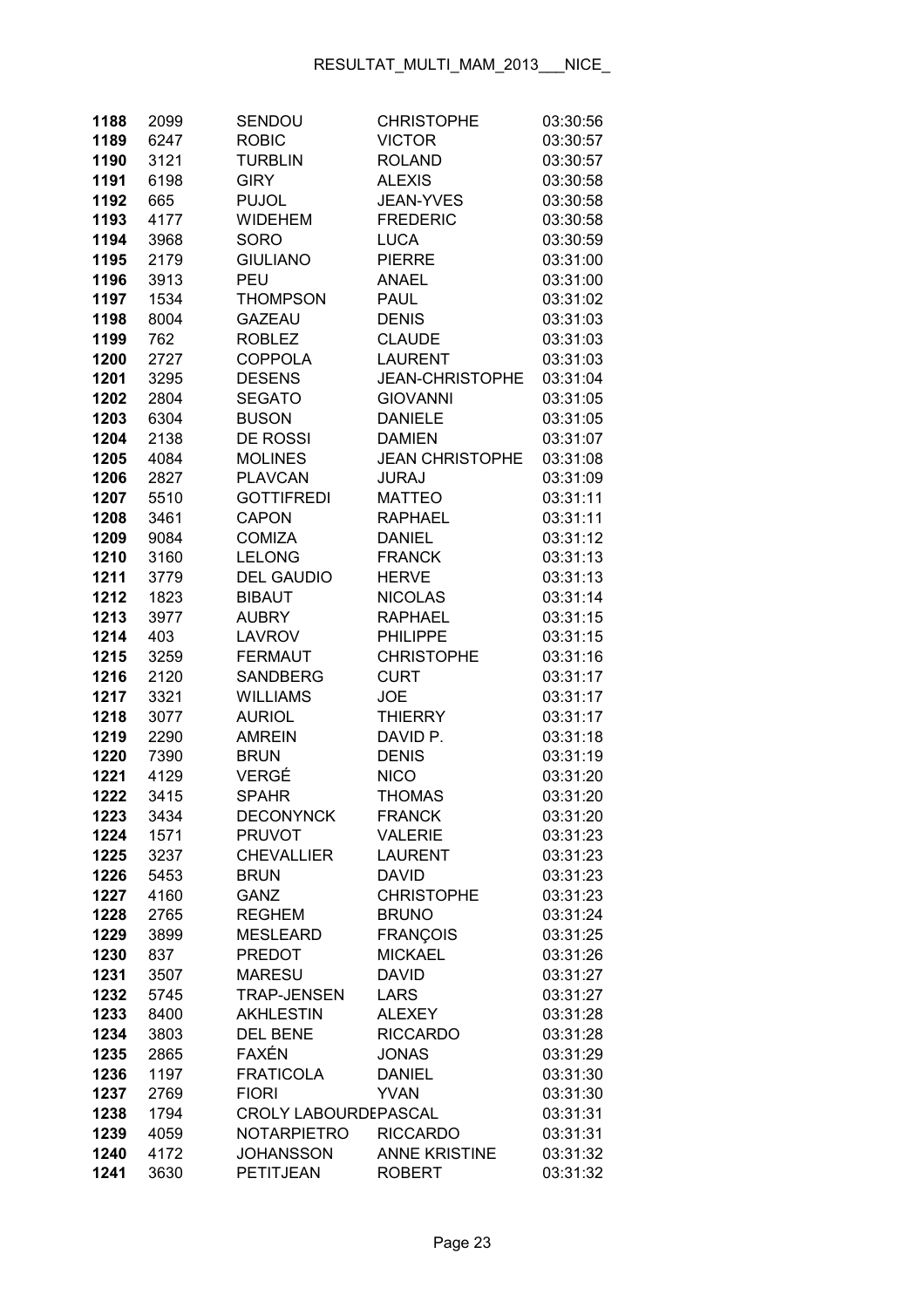| 1188         | 2099         | SENDOU                                 | <b>CHRISTOPHE</b>                | 03:30:56             |
|--------------|--------------|----------------------------------------|----------------------------------|----------------------|
| 1189         | 6247         | <b>ROBIC</b>                           | <b>VICTOR</b>                    | 03:30:57             |
| 1190         | 3121         | <b>TURBLIN</b>                         | <b>ROLAND</b>                    | 03:30:57             |
| 1191         | 6198         | <b>GIRY</b>                            | <b>ALEXIS</b>                    | 03:30:58             |
| 1192         | 665          | <b>PUJOL</b>                           | <b>JEAN-YVES</b>                 | 03:30:58             |
| 1193         | 4177         | <b>WIDEHEM</b>                         | <b>FREDERIC</b>                  | 03:30:58             |
| 1194         | 3968         | <b>SORO</b>                            | <b>LUCA</b>                      | 03:30:59             |
| 1195         | 2179         | <b>GIULIANO</b>                        | <b>PIERRE</b>                    | 03:31:00             |
| 1196         | 3913         | PEU                                    | <b>ANAEL</b>                     | 03:31:00             |
| 1197         | 1534         | <b>THOMPSON</b>                        | <b>PAUL</b>                      | 03:31:02             |
| 1198         | 8004         | <b>GAZEAU</b>                          | <b>DENIS</b>                     | 03:31:03             |
| 1199         | 762          | <b>ROBLEZ</b>                          | <b>CLAUDE</b>                    | 03:31:03             |
| 1200         | 2727         | <b>COPPOLA</b>                         | <b>LAURENT</b>                   | 03:31:03             |
| 1201         | 3295         | <b>DESENS</b>                          | <b>JEAN-CHRISTOPHE</b>           | 03:31:04             |
| 1202         | 2804         | <b>SEGATO</b>                          | <b>GIOVANNI</b>                  | 03:31:05             |
| 1203         | 6304         | <b>BUSON</b>                           | <b>DANIELE</b>                   | 03:31:05             |
| 1204         | 2138         | <b>DE ROSSI</b>                        | <b>DAMIEN</b>                    | 03:31:07             |
| 1205         | 4084         | <b>MOLINES</b>                         | <b>JEAN CHRISTOPHE</b>           | 03:31:08             |
| 1206         | 2827         | <b>PLAVCAN</b>                         | <b>JURAJ</b>                     | 03:31:09             |
| 1207         | 5510         | <b>GOTTIFREDI</b>                      | <b>MATTEO</b>                    | 03:31:11             |
| 1208         | 3461         | <b>CAPON</b>                           | <b>RAPHAEL</b>                   | 03:31:11             |
| 1209         | 9084         | <b>COMIZA</b>                          | <b>DANIEL</b>                    | 03:31:12             |
| 1210         | 3160         | <b>LELONG</b>                          | <b>FRANCK</b>                    | 03:31:13             |
| 1211         | 3779         | <b>DEL GAUDIO</b>                      | <b>HERVE</b>                     | 03:31:13             |
| 1212         | 1823         | <b>BIBAUT</b>                          | <b>NICOLAS</b>                   | 03:31:14             |
| 1213         | 3977         | <b>AUBRY</b>                           | <b>RAPHAEL</b>                   | 03:31:15             |
| 1214         | 403          | <b>LAVROV</b>                          | <b>PHILIPPE</b>                  | 03:31:15             |
| 1215         | 3259         | <b>FERMAUT</b>                         | <b>CHRISTOPHE</b>                | 03:31:16             |
| 1216         | 2120         | <b>SANDBERG</b>                        | <b>CURT</b>                      | 03:31:17             |
| 1217         | 3321         | <b>WILLIAMS</b>                        | <b>JOE</b>                       | 03:31:17             |
| 1218         | 3077         | <b>AURIOL</b>                          | <b>THIERRY</b>                   | 03:31:17             |
| 1219         | 2290         | <b>AMREIN</b>                          | DAVID P.                         | 03:31:18             |
| 1220         | 7390         | <b>BRUN</b>                            | <b>DENIS</b>                     | 03:31:19             |
| 1221         | 4129         | VERGÉ                                  | <b>NICO</b>                      | 03:31:20             |
| 1222         | 3415         | <b>SPAHR</b>                           | <b>THOMAS</b>                    | 03:31:20             |
| 1223         | 3434         | <b>DECONYNCK</b>                       | <b>FRANCK</b>                    | 03:31:20             |
| 1224         | 1571         | <b>PRUVOT</b>                          | <b>VALERIE</b>                   | 03:31:23             |
| 1225         | 3237         | <b>CHEVALLIER</b>                      | <b>LAURENT</b>                   | 03:31:23             |
| 1226         | 5453         | <b>BRUN</b>                            | <b>DAVID</b>                     | 03:31:23             |
| 1227         | 4160         | <b>GANZ</b>                            | <b>CHRISTOPHE</b>                | 03:31:23             |
| 1228         | 2765         | <b>REGHEM</b>                          | <b>BRUNO</b>                     | 03:31:24             |
| 1229         | 3899         | <b>MESLEARD</b>                        | <b>FRANÇOIS</b>                  | 03:31:25             |
| 1230         | 837          | <b>PREDOT</b>                          | <b>MICKAEL</b>                   | 03:31:26             |
| 1231         | 3507         | <b>MARESU</b>                          | <b>DAVID</b>                     | 03:31:27             |
| 1232         | 5745         | <b>TRAP-JENSEN</b><br><b>AKHLESTIN</b> | <b>LARS</b>                      | 03:31:27<br>03:31:28 |
| 1233         | 8400         | <b>DEL BENE</b>                        | <b>ALEXEY</b><br><b>RICCARDO</b> | 03:31:28             |
| 1234<br>1235 | 3803<br>2865 | FAXÉN                                  | <b>JONAS</b>                     | 03:31:29             |
| 1236         | 1197         | <b>FRATICOLA</b>                       | <b>DANIEL</b>                    | 03:31:30             |
| 1237         | 2769         | <b>FIORI</b>                           | <b>YVAN</b>                      | 03:31:30             |
| 1238         | 1794         | CROLY LABOURDEPASCAL                   |                                  | 03:31:31             |
| 1239         | 4059         | <b>NOTARPIETRO</b>                     | <b>RICCARDO</b>                  | 03:31:31             |
| 1240         | 4172         | <b>JOHANSSON</b>                       | <b>ANNE KRISTINE</b>             | 03:31:32             |
| 1241         | 3630         | PETITJEAN                              | <b>ROBERT</b>                    | 03:31:32             |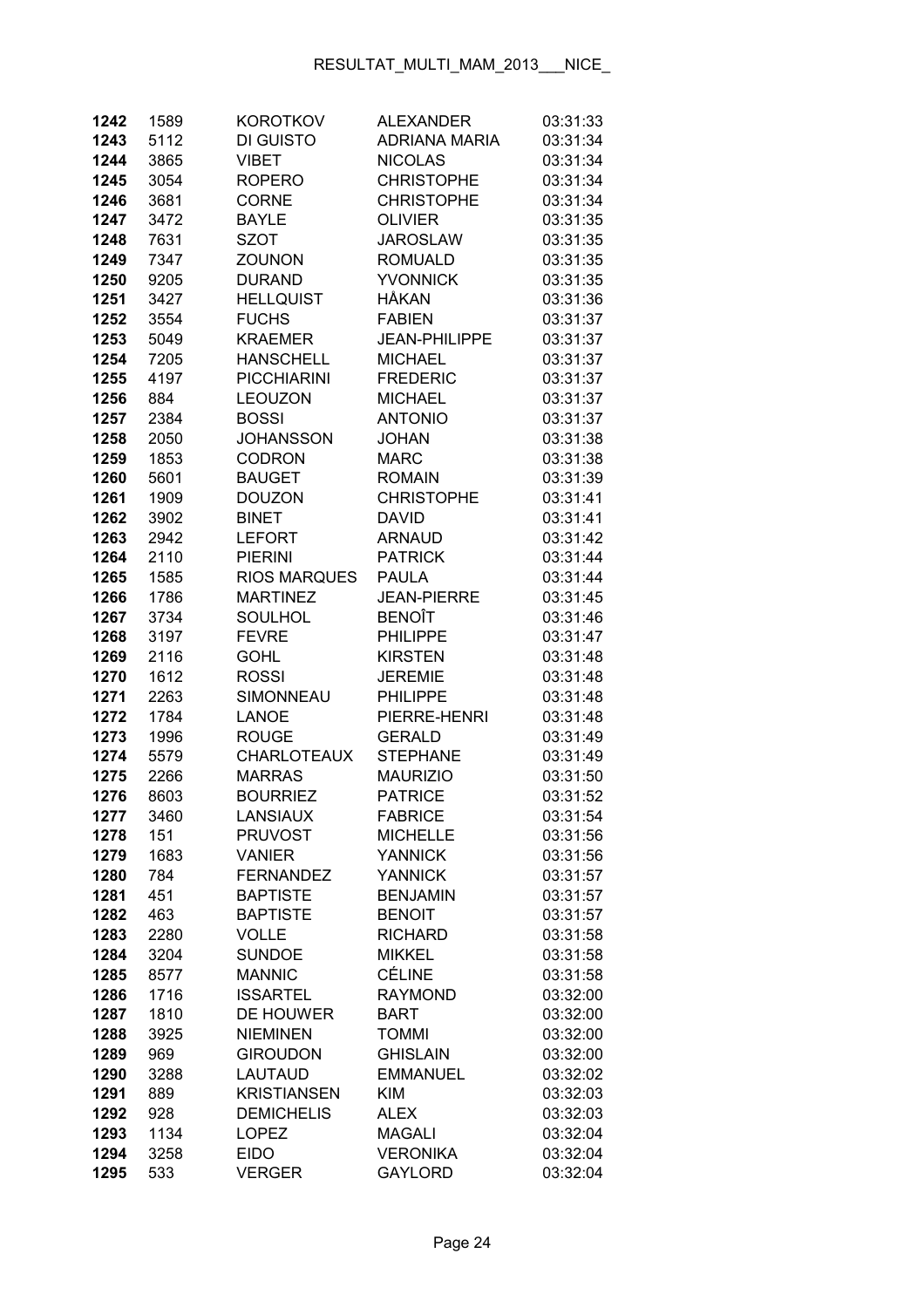| 1242         | 1589        | <b>KOROTKOV</b>                    | <b>ALEXANDER</b>                   | 03:31:33             |
|--------------|-------------|------------------------------------|------------------------------------|----------------------|
| 1243         | 5112        | DI GUISTO                          | <b>ADRIANA MARIA</b>               | 03:31:34             |
| 1244         | 3865        | <b>VIBET</b>                       | <b>NICOLAS</b>                     | 03:31:34             |
| 1245         | 3054        | <b>ROPERO</b>                      | <b>CHRISTOPHE</b>                  | 03:31:34             |
| 1246         | 3681        | <b>CORNE</b>                       | <b>CHRISTOPHE</b>                  | 03:31:34             |
| 1247         | 3472        | <b>BAYLE</b>                       | <b>OLIVIER</b>                     | 03:31:35             |
| 1248         | 7631        | <b>SZOT</b>                        | <b>JAROSLAW</b>                    | 03:31:35             |
| 1249         | 7347        | <b>ZOUNON</b>                      | <b>ROMUALD</b>                     | 03:31:35             |
| 1250         | 9205        | <b>DURAND</b>                      | <b>YVONNICK</b>                    | 03:31:35             |
| 1251         | 3427        | <b>HELLQUIST</b>                   | <b>HÅKAN</b>                       | 03:31:36             |
| 1252         | 3554        | <b>FUCHS</b>                       | <b>FABIEN</b>                      | 03:31:37             |
| 1253         | 5049        | <b>KRAEMER</b>                     | <b>JEAN-PHILIPPE</b>               | 03:31:37             |
| 1254         | 7205        | <b>HANSCHELL</b>                   | <b>MICHAEL</b>                     | 03:31:37             |
| 1255         | 4197        | <b>PICCHIARINI</b>                 | <b>FREDERIC</b>                    | 03:31:37             |
| 1256         | 884         | <b>LEOUZON</b>                     | <b>MICHAEL</b>                     | 03:31:37             |
| 1257         | 2384        | <b>BOSSI</b>                       | <b>ANTONIO</b>                     | 03:31:37             |
| 1258         | 2050        | <b>JOHANSSON</b>                   | <b>JOHAN</b>                       | 03:31:38             |
| 1259         | 1853        | <b>CODRON</b>                      | <b>MARC</b>                        | 03:31:38             |
| 1260         | 5601        | <b>BAUGET</b>                      | <b>ROMAIN</b>                      | 03:31:39             |
| 1261         | 1909        | <b>DOUZON</b>                      | <b>CHRISTOPHE</b>                  | 03:31:41             |
| 1262         | 3902        | <b>BINET</b>                       | <b>DAVID</b>                       | 03:31:41             |
| 1263         | 2942        | <b>LEFORT</b>                      | <b>ARNAUD</b>                      | 03:31:42             |
| 1264         | 2110        | <b>PIERINI</b>                     | <b>PATRICK</b>                     | 03:31:44             |
| 1265         | 1585        | <b>RIOS MARQUES</b>                | <b>PAULA</b>                       | 03:31:44             |
| 1266         | 1786        | <b>MARTINEZ</b>                    | <b>JEAN-PIERRE</b>                 | 03:31:45             |
| 1267         | 3734        | <b>SOULHOL</b>                     | <b>BENOÎT</b>                      | 03:31:46             |
| 1268         | 3197        | <b>FEVRE</b>                       | <b>PHILIPPE</b>                    | 03:31:47             |
| 1269         | 2116        | <b>GOHL</b>                        | <b>KIRSTEN</b>                     | 03:31:48             |
| 1270         | 1612        | <b>ROSSI</b>                       | <b>JEREMIE</b>                     | 03:31:48             |
| 1271         | 2263        | SIMONNEAU                          | <b>PHILIPPE</b>                    | 03:31:48             |
| 1272         | 1784        | <b>LANOE</b>                       | PIERRE-HENRI                       | 03:31:48             |
| 1273         | 1996        | <b>ROUGE</b>                       | <b>GERALD</b>                      | 03:31:49             |
| 1274         | 5579        | <b>CHARLOTEAUX</b>                 | <b>STEPHANE</b>                    | 03:31:49             |
| 1275         | 2266        | <b>MARRAS</b>                      | <b>MAURIZIO</b>                    | 03:31:50             |
| 1276         | 8603        | <b>BOURRIEZ</b>                    | <b>PATRICE</b>                     | 03:31:52             |
| 1277         | 3460        | <b>LANSIAUX</b>                    | <b>FABRICE</b>                     | 03:31:54             |
| 1278         | 151         | <b>PRUVOST</b>                     | <b>MICHELLE</b>                    | 03:31:56             |
| 1279         | 1683        | <b>VANIER</b>                      | <b>YANNICK</b>                     | 03:31:56             |
| 1280         | 784         | <b>FERNANDEZ</b>                   | <b>YANNICK</b>                     | 03:31:57             |
| 1281         | 451         | <b>BAPTISTE</b>                    | <b>BENJAMIN</b>                    | 03:31:57             |
| 1282         | 463         | <b>BAPTISTE</b>                    | <b>BENOIT</b>                      | 03:31:57             |
| 1283         | 2280        | <b>VOLLE</b>                       | <b>RICHARD</b>                     | 03:31:58             |
| 1284         | 3204        | <b>SUNDOE</b>                      | <b>MIKKEL</b>                      | 03:31:58             |
| 1285         | 8577        | <b>MANNIC</b>                      | CÉLINE                             | 03:31:58             |
| 1286         | 1716        | <b>ISSARTEL</b>                    | <b>RAYMOND</b>                     | 03:32:00             |
| 1287         | 1810        | DE HOUWER                          | <b>BART</b>                        | 03:32:00             |
| 1288         | 3925        | <b>NIEMINEN</b><br><b>GIROUDON</b> | <b>TOMMI</b>                       | 03:32:00             |
| 1289<br>1290 | 969         | <b>LAUTAUD</b>                     | <b>GHISLAIN</b><br><b>EMMANUEL</b> | 03:32:00             |
| 1291         | 3288<br>889 | <b>KRISTIANSEN</b>                 | <b>KIM</b>                         | 03:32:02<br>03:32:03 |
| 1292         | 928         | <b>DEMICHELIS</b>                  | <b>ALEX</b>                        | 03:32:03             |
| 1293         | 1134        | <b>LOPEZ</b>                       | <b>MAGALI</b>                      | 03:32:04             |
| 1294         | 3258        | <b>EIDO</b>                        | <b>VERONIKA</b>                    | 03:32:04             |
| 1295         | 533         | <b>VERGER</b>                      | <b>GAYLORD</b>                     | 03:32:04             |
|              |             |                                    |                                    |                      |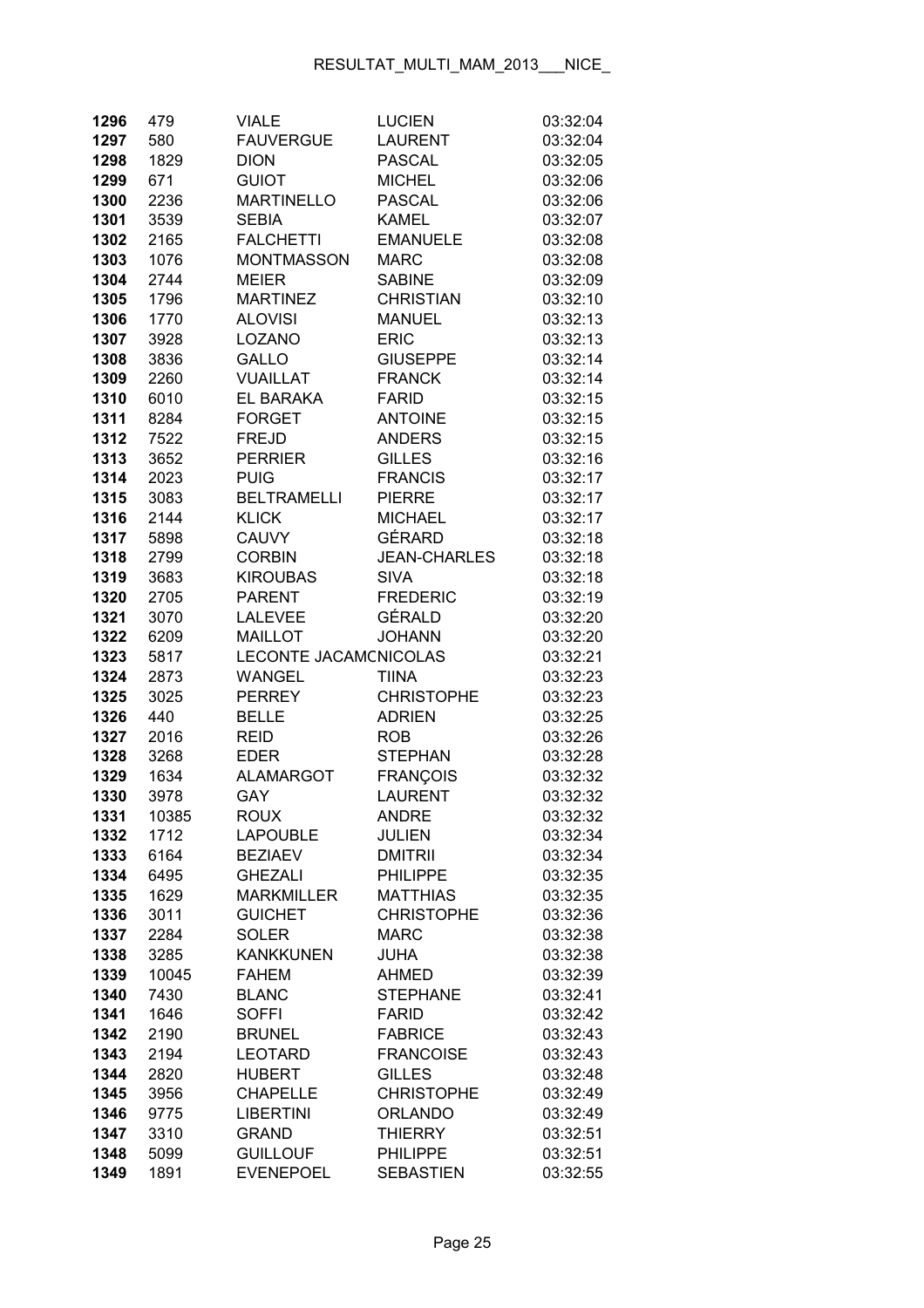| 1296 | 479   | <b>VIALE</b>          | <b>LUCIEN</b>       | 03:32:04 |
|------|-------|-----------------------|---------------------|----------|
| 1297 | 580   | <b>FAUVERGUE</b>      | <b>LAURENT</b>      | 03:32:04 |
| 1298 | 1829  | <b>DION</b>           | <b>PASCAL</b>       | 03:32:05 |
| 1299 | 671   | <b>GUIOT</b>          | <b>MICHEL</b>       | 03:32:06 |
| 1300 | 2236  | <b>MARTINELLO</b>     | <b>PASCAL</b>       | 03:32:06 |
| 1301 | 3539  | <b>SEBIA</b>          | <b>KAMEL</b>        | 03:32:07 |
| 1302 | 2165  | <b>FALCHETTI</b>      | <b>EMANUELE</b>     | 03:32:08 |
| 1303 | 1076  | <b>MONTMASSON</b>     | <b>MARC</b>         | 03:32:08 |
| 1304 | 2744  | <b>MEIER</b>          | <b>SABINE</b>       | 03:32:09 |
| 1305 | 1796  | <b>MARTINEZ</b>       | <b>CHRISTIAN</b>    | 03:32:10 |
| 1306 | 1770  | <b>ALOVISI</b>        | <b>MANUEL</b>       | 03:32:13 |
| 1307 | 3928  | LOZANO                | <b>ERIC</b>         | 03:32:13 |
| 1308 | 3836  | GALLO                 | <b>GIUSEPPE</b>     | 03:32:14 |
| 1309 | 2260  | <b>VUAILLAT</b>       | <b>FRANCK</b>       | 03:32:14 |
| 1310 | 6010  | EL BARAKA             | <b>FARID</b>        | 03:32:15 |
| 1311 | 8284  | <b>FORGET</b>         | <b>ANTOINE</b>      | 03:32:15 |
| 1312 | 7522  | <b>FREJD</b>          | <b>ANDERS</b>       | 03:32:15 |
| 1313 | 3652  | <b>PERRIER</b>        | <b>GILLES</b>       | 03:32:16 |
| 1314 | 2023  | <b>PUIG</b>           | <b>FRANCIS</b>      | 03:32:17 |
| 1315 | 3083  | <b>BELTRAMELLI</b>    | <b>PIERRE</b>       | 03:32:17 |
| 1316 | 2144  | <b>KLICK</b>          | <b>MICHAEL</b>      | 03:32:17 |
| 1317 | 5898  | <b>CAUVY</b>          | GÉRARD              | 03:32:18 |
| 1318 | 2799  | <b>CORBIN</b>         | <b>JEAN-CHARLES</b> | 03:32:18 |
| 1319 | 3683  | <b>KIROUBAS</b>       | <b>SIVA</b>         | 03:32:18 |
| 1320 | 2705  | <b>PARENT</b>         | <b>FREDERIC</b>     | 03:32:19 |
| 1321 | 3070  | <b>LALEVEE</b>        | GÉRALD              | 03:32:20 |
| 1322 | 6209  | <b>MAILLOT</b>        | <b>JOHANN</b>       | 03:32:20 |
| 1323 | 5817  | LECONTE JACAMCNICOLAS |                     | 03:32:21 |
| 1324 | 2873  | <b>WANGEL</b>         | <b>TIINA</b>        | 03:32:23 |
| 1325 | 3025  | <b>PERREY</b>         | <b>CHRISTOPHE</b>   | 03:32:23 |
| 1326 | 440   | <b>BELLE</b>          | <b>ADRIEN</b>       | 03:32:25 |
| 1327 | 2016  | <b>REID</b>           | <b>ROB</b>          | 03:32:26 |
| 1328 | 3268  | <b>EDER</b>           | <b>STEPHAN</b>      | 03:32:28 |
| 1329 | 1634  | <b>ALAMARGOT</b>      | <b>FRANÇOIS</b>     | 03:32:32 |
| 1330 | 3978  | GAY                   | <b>LAURENT</b>      | 03:32:32 |
| 1331 | 10385 | <b>ROUX</b>           | <b>ANDRE</b>        | 03:32:32 |
| 1332 | 1712  | <b>LAPOUBLE</b>       | <b>JULIEN</b>       | 03:32:34 |
| 1333 | 6164  | <b>BEZIAEV</b>        | <b>DMITRII</b>      | 03:32:34 |
| 1334 | 6495  | <b>GHEZALI</b>        | <b>PHILIPPE</b>     | 03:32:35 |
| 1335 | 1629  | <b>MARKMILLER</b>     | <b>MATTHIAS</b>     | 03:32:35 |
| 1336 | 3011  | <b>GUICHET</b>        | <b>CHRISTOPHE</b>   | 03:32:36 |
| 1337 | 2284  | <b>SOLER</b>          | <b>MARC</b>         | 03:32:38 |
| 1338 | 3285  | <b>KANKKUNEN</b>      | <b>JUHA</b>         | 03:32:38 |
| 1339 | 10045 | <b>FAHEM</b>          | <b>AHMED</b>        | 03:32:39 |
| 1340 | 7430  | <b>BLANC</b>          | <b>STEPHANE</b>     | 03:32:41 |
| 1341 | 1646  | <b>SOFFI</b>          | <b>FARID</b>        | 03:32:42 |
| 1342 | 2190  | <b>BRUNEL</b>         | <b>FABRICE</b>      | 03:32:43 |
| 1343 | 2194  | <b>LEOTARD</b>        | <b>FRANCOISE</b>    | 03:32:43 |
| 1344 | 2820  | <b>HUBERT</b>         | <b>GILLES</b>       | 03:32:48 |
| 1345 | 3956  | <b>CHAPELLE</b>       | <b>CHRISTOPHE</b>   | 03:32:49 |
| 1346 | 9775  | <b>LIBERTINI</b>      | <b>ORLANDO</b>      | 03:32:49 |
| 1347 | 3310  | <b>GRAND</b>          | <b>THIERRY</b>      | 03:32:51 |
| 1348 | 5099  | <b>GUILLOUF</b>       | <b>PHILIPPE</b>     | 03:32:51 |
| 1349 | 1891  | <b>EVENEPOEL</b>      | <b>SEBASTIEN</b>    | 03:32:55 |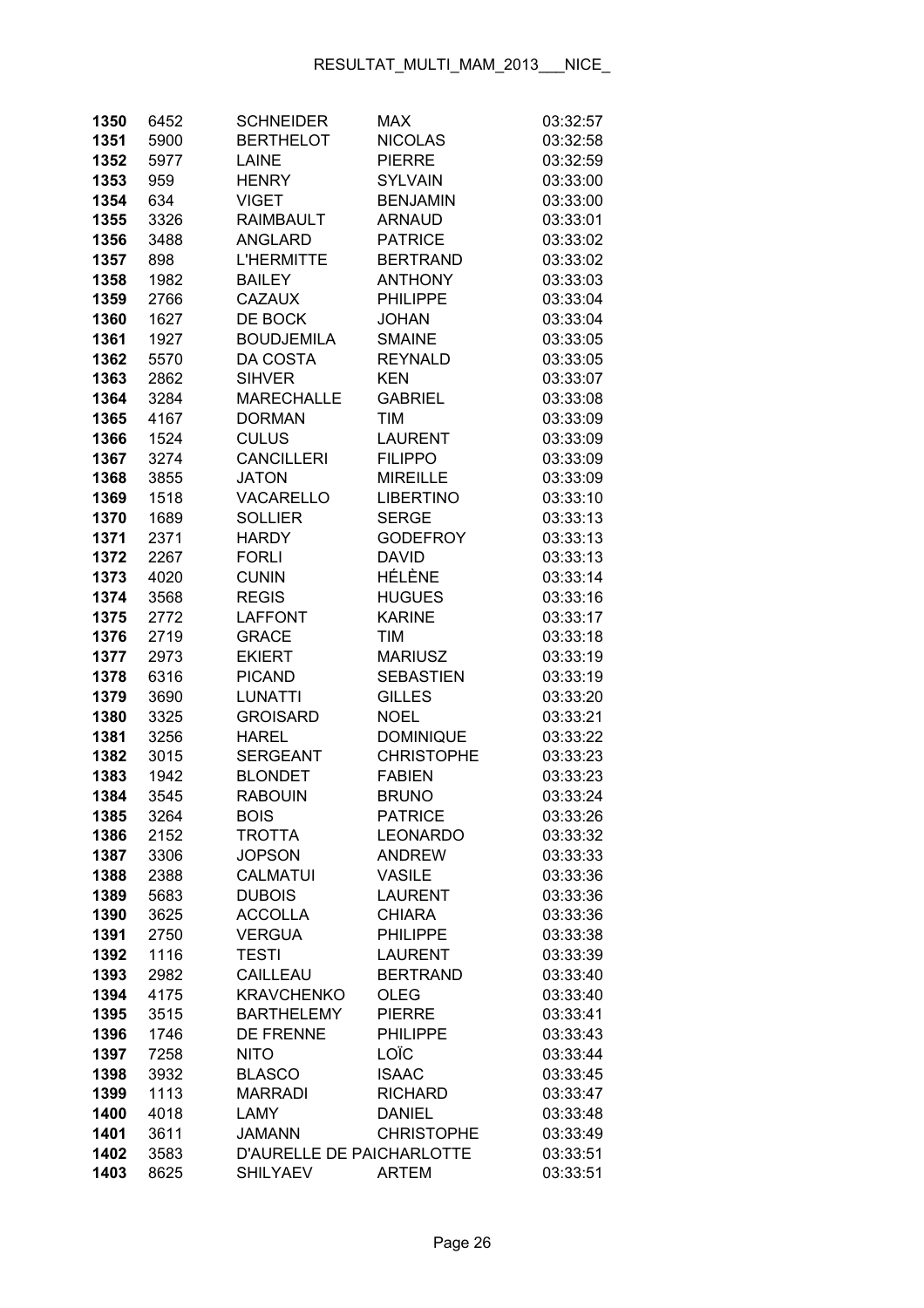| 1350         | 6452         | <b>SCHNEIDER</b>              | <b>MAX</b>                      | 03:32:57             |
|--------------|--------------|-------------------------------|---------------------------------|----------------------|
| 1351         | 5900         | <b>BERTHELOT</b>              | <b>NICOLAS</b>                  | 03:32:58             |
| 1352         | 5977         | <b>LAINE</b>                  | <b>PIERRE</b>                   | 03:32:59             |
| 1353         | 959          | <b>HENRY</b>                  | <b>SYLVAIN</b>                  | 03:33:00             |
| 1354         | 634          | <b>VIGET</b>                  | <b>BENJAMIN</b>                 | 03:33:00             |
| 1355         | 3326         | <b>RAIMBAULT</b>              | <b>ARNAUD</b>                   | 03:33:01             |
| 1356         | 3488         | <b>ANGLARD</b>                | <b>PATRICE</b>                  | 03:33:02             |
| 1357         | 898          | <b>L'HERMITTE</b>             | <b>BERTRAND</b>                 | 03:33:02             |
| 1358         | 1982         | <b>BAILEY</b>                 | <b>ANTHONY</b>                  | 03:33:03             |
| 1359         | 2766         | <b>CAZAUX</b>                 | <b>PHILIPPE</b>                 | 03:33:04             |
| 1360         | 1627         | DE BOCK                       | <b>JOHAN</b>                    | 03:33:04             |
| 1361         | 1927         | <b>BOUDJEMILA</b>             | <b>SMAINE</b>                   | 03:33:05             |
| 1362         | 5570         | DA COSTA                      | <b>REYNALD</b>                  | 03:33:05             |
| 1363         | 2862         | <b>SIHVER</b>                 | <b>KEN</b>                      | 03:33:07             |
| 1364         | 3284         | <b>MARECHALLE</b>             | <b>GABRIEL</b>                  | 03:33:08             |
| 1365         | 4167         | <b>DORMAN</b>                 | <b>TIM</b>                      | 03:33:09             |
| 1366         | 1524         | <b>CULUS</b>                  | <b>LAURENT</b>                  | 03:33:09             |
| 1367         | 3274         | <b>CANCILLERI</b>             | <b>FILIPPO</b>                  | 03:33:09             |
| 1368         | 3855         | <b>JATON</b>                  | <b>MIREILLE</b>                 | 03:33:09             |
| 1369         | 1518         | <b>VACARELLO</b>              | <b>LIBERTINO</b>                | 03:33:10             |
| 1370         | 1689         | <b>SOLLIER</b>                | <b>SERGE</b>                    | 03:33:13             |
| 1371         | 2371         | <b>HARDY</b>                  | <b>GODEFROY</b>                 | 03:33:13             |
| 1372         | 2267         | <b>FORLI</b>                  | <b>DAVID</b>                    | 03:33:13             |
| 1373         | 4020         | <b>CUNIN</b>                  | HÉLÈNE                          | 03:33:14             |
| 1374         | 3568         | <b>REGIS</b>                  | <b>HUGUES</b>                   | 03:33:16             |
| 1375         | 2772         | <b>LAFFONT</b>                | <b>KARINE</b>                   | 03:33:17             |
| 1376         | 2719         | <b>GRACE</b>                  | <b>TIM</b>                      | 03:33:18             |
| 1377         | 2973         | <b>EKIERT</b>                 | <b>MARIUSZ</b>                  | 03:33:19             |
| 1378         | 6316         | <b>PICAND</b>                 | <b>SEBASTIEN</b>                | 03:33:19             |
| 1379         | 3690         | <b>LUNATTI</b>                | <b>GILLES</b>                   | 03:33:20             |
| 1380         | 3325         | <b>GROISARD</b>               | <b>NOEL</b>                     | 03:33:21             |
| 1381         | 3256         | <b>HAREL</b>                  | <b>DOMINIQUE</b>                | 03:33:22             |
| 1382         | 3015         | <b>SERGEANT</b>               | <b>CHRISTOPHE</b>               | 03:33:23             |
| 1383         | 1942         | <b>BLONDET</b>                | <b>FABIEN</b>                   | 03:33:23             |
| 1384         | 3545         | <b>RABOUIN</b>                | <b>BRUNO</b>                    | 03:33:24             |
| 1385         | 3264         | <b>BOIS</b>                   | <b>PATRICE</b>                  | 03:33:26             |
| 1386         | 2152         | <b>TROTTA</b>                 | <b>LEONARDO</b>                 | 03:33:32             |
| 1387         | 3306         | <b>JOPSON</b>                 | <b>ANDREW</b>                   | 03:33:33             |
| 1388         | 2388         | <b>CALMATUI</b>               | <b>VASILE</b>                   | 03:33:36             |
| 1389         | 5683         | <b>DUBOIS</b>                 | <b>LAURENT</b>                  | 03:33:36             |
| 1390         | 3625         | <b>ACCOLLA</b>                | <b>CHIARA</b>                   | 03:33:36             |
| 1391         | 2750         | <b>VERGUA</b>                 | <b>PHILIPPE</b>                 | 03:33:38             |
| 1392         | 1116         | <b>TESTI</b>                  | <b>LAURENT</b>                  | 03:33:39             |
| 1393         | 2982         | CAILLEAU                      | <b>BERTRAND</b>                 | 03:33:40             |
| 1394         | 4175         | <b>KRAVCHENKO</b>             | <b>OLEG</b>                     | 03:33:40             |
| 1395         | 3515         | <b>BARTHELEMY</b>             | <b>PIERRE</b>                   | 03:33:41             |
| 1396         | 1746         | <b>DE FRENNE</b>              | <b>PHILIPPE</b>                 | 03:33:43             |
| 1397         | 7258         | <b>NITO</b>                   | LOÏC                            | 03:33:44             |
| 1398         | 3932         | <b>BLASCO</b>                 | <b>ISAAC</b>                    | 03:33:45             |
| 1399<br>1400 | 1113<br>4018 | <b>MARRADI</b><br><b>LAMY</b> | <b>RICHARD</b><br><b>DANIEL</b> | 03:33:47<br>03:33:48 |
| 1401         | 3611         | <b>JAMANN</b>                 | <b>CHRISTOPHE</b>               | 03:33:49             |
| 1402         | 3583         | D'AURELLE DE PAICHARLOTTE     |                                 | 03:33:51             |
| 1403         | 8625         | <b>SHILYAEV</b>               | <b>ARTEM</b>                    | 03:33:51             |
|              |              |                               |                                 |                      |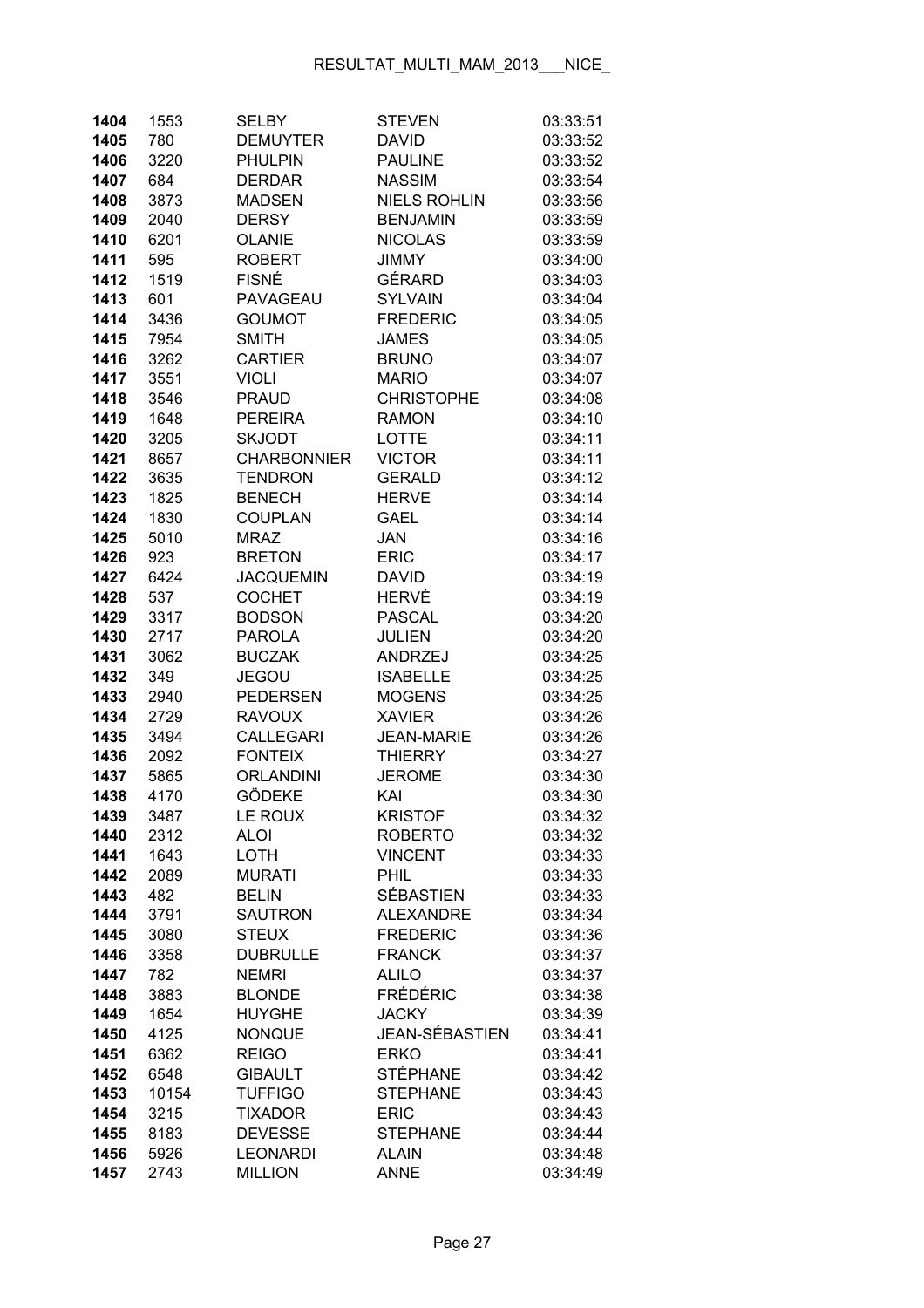| 1404 | 1553  | <b>SELBY</b>       | <b>STEVEN</b>         | 03:33:51 |
|------|-------|--------------------|-----------------------|----------|
| 1405 | 780   | <b>DEMUYTER</b>    | <b>DAVID</b>          | 03:33:52 |
| 1406 | 3220  | <b>PHULPIN</b>     | <b>PAULINE</b>        | 03:33:52 |
| 1407 | 684   | <b>DERDAR</b>      | <b>NASSIM</b>         | 03:33:54 |
| 1408 | 3873  | <b>MADSEN</b>      | <b>NIELS ROHLIN</b>   | 03:33:56 |
| 1409 | 2040  | <b>DERSY</b>       | <b>BENJAMIN</b>       | 03:33:59 |
| 1410 | 6201  | <b>OLANIE</b>      | <b>NICOLAS</b>        | 03:33:59 |
| 1411 | 595   | <b>ROBERT</b>      | <b>JIMMY</b>          | 03:34:00 |
| 1412 | 1519  | <b>FISNÉ</b>       | GÉRARD                | 03:34:03 |
| 1413 | 601   | <b>PAVAGEAU</b>    | <b>SYLVAIN</b>        | 03:34:04 |
| 1414 | 3436  | <b>GOUMOT</b>      | <b>FREDERIC</b>       | 03:34:05 |
| 1415 | 7954  | <b>SMITH</b>       | <b>JAMES</b>          | 03:34:05 |
| 1416 | 3262  | <b>CARTIER</b>     | <b>BRUNO</b>          | 03:34:07 |
| 1417 | 3551  | <b>VIOLI</b>       | <b>MARIO</b>          | 03:34:07 |
| 1418 | 3546  | <b>PRAUD</b>       | <b>CHRISTOPHE</b>     | 03:34:08 |
| 1419 | 1648  | <b>PEREIRA</b>     | <b>RAMON</b>          | 03:34:10 |
| 1420 | 3205  | <b>SKJODT</b>      | <b>LOTTE</b>          | 03:34:11 |
| 1421 | 8657  | <b>CHARBONNIER</b> | <b>VICTOR</b>         | 03:34:11 |
| 1422 | 3635  | <b>TENDRON</b>     | <b>GERALD</b>         | 03:34:12 |
| 1423 | 1825  | <b>BENECH</b>      | <b>HERVE</b>          | 03:34:14 |
| 1424 | 1830  | <b>COUPLAN</b>     | <b>GAEL</b>           | 03:34:14 |
| 1425 | 5010  | <b>MRAZ</b>        | <b>JAN</b>            | 03:34:16 |
| 1426 | 923   | <b>BRETON</b>      | <b>ERIC</b>           | 03:34:17 |
| 1427 | 6424  | <b>JACQUEMIN</b>   | <b>DAVID</b>          | 03:34:19 |
| 1428 | 537   | <b>COCHET</b>      | <b>HERVÉ</b>          | 03:34:19 |
| 1429 | 3317  | <b>BODSON</b>      | <b>PASCAL</b>         | 03:34:20 |
| 1430 | 2717  | <b>PAROLA</b>      | <b>JULIEN</b>         | 03:34:20 |
| 1431 | 3062  | <b>BUCZAK</b>      | ANDRZEJ               | 03:34:25 |
| 1432 | 349   | <b>JEGOU</b>       | <b>ISABELLE</b>       | 03:34:25 |
| 1433 | 2940  | <b>PEDERSEN</b>    | <b>MOGENS</b>         | 03:34:25 |
| 1434 | 2729  | <b>RAVOUX</b>      | <b>XAVIER</b>         | 03:34:26 |
| 1435 | 3494  | <b>CALLEGARI</b>   | <b>JEAN-MARIE</b>     | 03:34:26 |
| 1436 | 2092  | <b>FONTEIX</b>     | <b>THIERRY</b>        | 03:34:27 |
| 1437 | 5865  | <b>ORLANDINI</b>   | <b>JEROME</b>         | 03:34:30 |
| 1438 | 4170  | <b>GÖDEKE</b>      | KAI                   | 03:34:30 |
| 1439 | 3487  | LE ROUX            | <b>KRISTOF</b>        | 03:34:32 |
| 1440 | 2312  | <b>ALOI</b>        | <b>ROBERTO</b>        | 03:34:32 |
| 1441 | 1643  | LOTH               | <b>VINCENT</b>        | 03:34:33 |
| 1442 | 2089  | <b>MURATI</b>      | PHIL                  | 03:34:33 |
| 1443 | 482   | <b>BELIN</b>       | <b>SÉBASTIEN</b>      | 03:34:33 |
| 1444 | 3791  | <b>SAUTRON</b>     | <b>ALEXANDRE</b>      | 03:34:34 |
| 1445 | 3080  | <b>STEUX</b>       | <b>FREDERIC</b>       | 03:34:36 |
| 1446 | 3358  | <b>DUBRULLE</b>    | <b>FRANCK</b>         | 03:34:37 |
| 1447 | 782   | <b>NEMRI</b>       | <b>ALILO</b>          | 03:34:37 |
| 1448 | 3883  | <b>BLONDE</b>      | <b>FRÉDÉRIC</b>       | 03:34:38 |
| 1449 | 1654  | <b>HUYGHE</b>      | <b>JACKY</b>          | 03:34:39 |
| 1450 | 4125  | <b>NONQUE</b>      | <b>JEAN-SÉBASTIEN</b> | 03:34:41 |
| 1451 | 6362  | <b>REIGO</b>       | <b>ERKO</b>           | 03:34:41 |
| 1452 | 6548  | <b>GIBAULT</b>     | <b>STÉPHANE</b>       | 03:34:42 |
| 1453 | 10154 | <b>TUFFIGO</b>     | <b>STEPHANE</b>       | 03:34:43 |
| 1454 | 3215  | <b>TIXADOR</b>     | <b>ERIC</b>           | 03:34:43 |
| 1455 | 8183  | <b>DEVESSE</b>     | <b>STEPHANE</b>       | 03:34:44 |
| 1456 | 5926  | <b>LEONARDI</b>    | <b>ALAIN</b>          | 03:34:48 |
| 1457 | 2743  | <b>MILLION</b>     | <b>ANNE</b>           | 03:34:49 |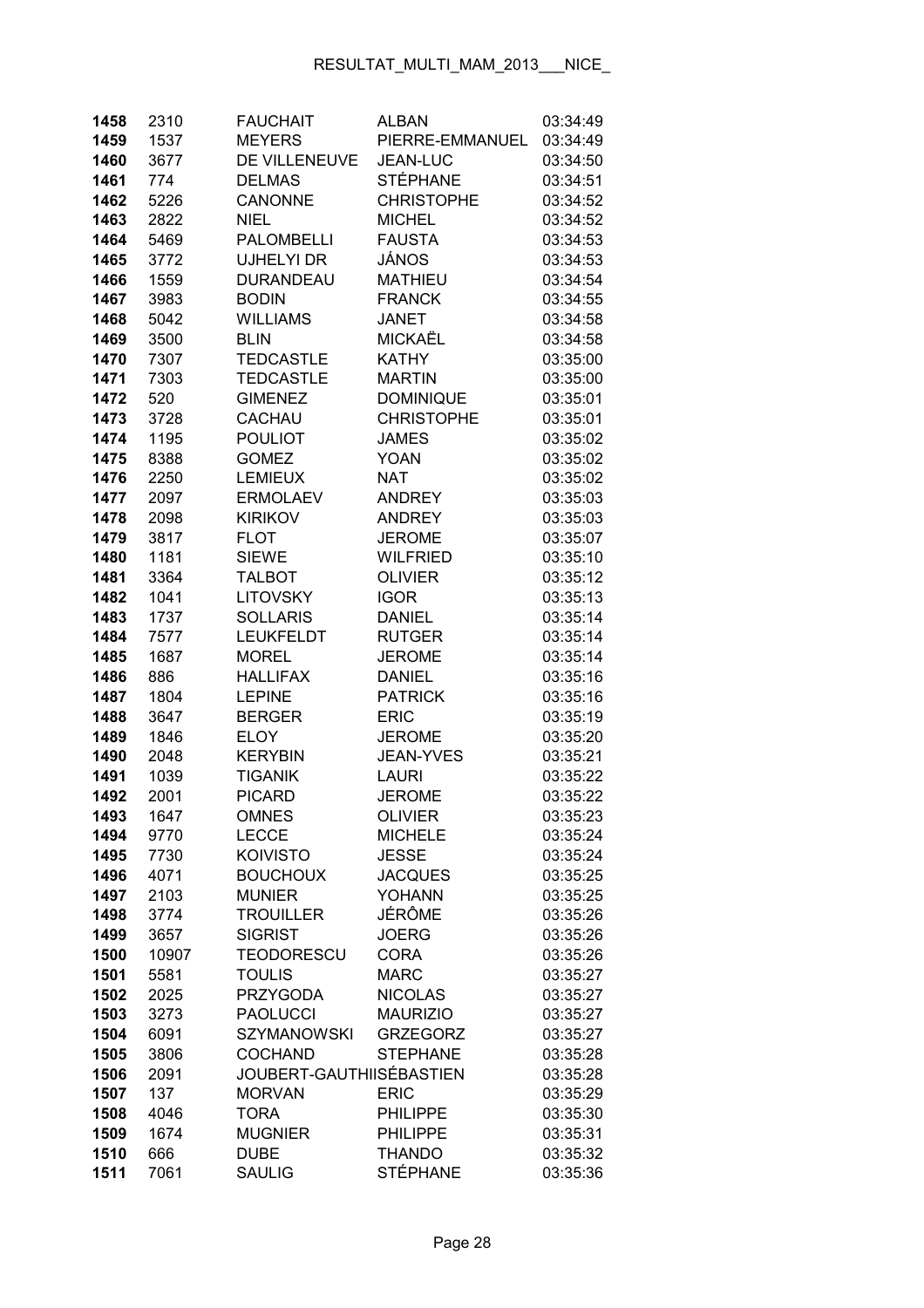| 1458         | 2310         | <b>FAUCHAIT</b>                  | <b>ALBAN</b>               | 03:34:49             |
|--------------|--------------|----------------------------------|----------------------------|----------------------|
| 1459         | 1537         | <b>MEYERS</b>                    | PIERRE-EMMANUEL            | 03:34:49             |
| 1460         | 3677         | DE VILLENEUVE                    | <b>JEAN-LUC</b>            | 03:34:50             |
| 1461         | 774          | <b>DELMAS</b>                    | <b>STÉPHANE</b>            | 03:34:51             |
| 1462         | 5226         | <b>CANONNE</b>                   | <b>CHRISTOPHE</b>          | 03:34:52             |
| 1463         | 2822         | <b>NIEL</b>                      | <b>MICHEL</b>              | 03:34:52             |
| 1464         | 5469         | <b>PALOMBELLI</b>                | <b>FAUSTA</b>              | 03:34:53             |
| 1465         | 3772         | UJHELYI DR                       | JÁNOS                      | 03:34:53             |
| 1466         | 1559         | <b>DURANDEAU</b>                 | <b>MATHIEU</b>             | 03:34:54             |
| 1467         | 3983         | <b>BODIN</b>                     | <b>FRANCK</b>              | 03:34:55             |
| 1468         | 5042         | <b>WILLIAMS</b>                  | <b>JANET</b>               | 03:34:58             |
| 1469         | 3500         | <b>BLIN</b>                      | <b>MICKAËL</b>             | 03:34:58             |
| 1470         | 7307         | <b>TEDCASTLE</b>                 | <b>KATHY</b>               | 03:35:00             |
| 1471         | 7303         | <b>TEDCASTLE</b>                 | <b>MARTIN</b>              | 03:35:00             |
| 1472         | 520          | <b>GIMENEZ</b>                   | <b>DOMINIQUE</b>           | 03:35:01             |
| 1473         | 3728         | CACHAU                           | <b>CHRISTOPHE</b>          | 03:35:01             |
| 1474         | 1195         | <b>POULIOT</b>                   | <b>JAMES</b>               | 03:35:02             |
| 1475         | 8388         | <b>GOMEZ</b>                     | <b>YOAN</b>                | 03:35:02             |
| 1476         | 2250         | <b>LEMIEUX</b>                   | <b>NAT</b>                 | 03:35:02             |
| 1477         | 2097         | <b>ERMOLAEV</b>                  | <b>ANDREY</b>              | 03:35:03             |
| 1478         | 2098         | <b>KIRIKOV</b>                   | <b>ANDREY</b>              | 03:35:03             |
| 1479         | 3817         | <b>FLOT</b>                      | <b>JEROME</b>              | 03:35:07             |
| 1480         | 1181         | <b>SIEWE</b>                     | <b>WILFRIED</b>            | 03:35:10             |
| 1481         | 3364         | <b>TALBOT</b>                    | <b>OLIVIER</b>             | 03:35:12             |
| 1482         | 1041         | <b>LITOVSKY</b>                  | <b>IGOR</b>                | 03:35:13             |
| 1483         | 1737         | <b>SOLLARIS</b>                  | <b>DANIEL</b>              | 03:35:14             |
| 1484         | 7577         | <b>LEUKFELDT</b>                 | <b>RUTGER</b>              | 03:35:14             |
| 1485         | 1687         | <b>MOREL</b>                     | <b>JEROME</b>              | 03:35:14             |
| 1486         | 886          | <b>HALLIFAX</b>                  | <b>DANIEL</b>              | 03:35:16             |
| 1487         | 1804         | <b>LEPINE</b>                    | <b>PATRICK</b>             | 03:35:16             |
| 1488         | 3647         | <b>BERGER</b>                    | <b>ERIC</b>                | 03:35:19             |
| 1489         | 1846         | <b>ELOY</b>                      | <b>JEROME</b>              | 03:35:20             |
| 1490         | 2048         | <b>KERYBIN</b>                   | <b>JEAN-YVES</b>           | 03:35:21             |
| 1491         | 1039         | <b>TIGANIK</b>                   | <b>LAURI</b>               | 03:35:22             |
| 1492         | 2001         | <b>PICARD</b>                    | <b>JEROME</b>              | 03:35:22             |
| 1493         | 1647         | <b>OMNES</b>                     | <b>OLIVIER</b>             | 03:35:23             |
| 1494         | 9770         | <b>LECCE</b>                     | <b>MICHELE</b>             | 03:35:24             |
| 1495         | 7730         | <b>KOIVISTO</b>                  | <b>JESSE</b>               | 03:35:24             |
| 1496         | 4071         | <b>BOUCHOUX</b>                  | <b>JACQUES</b>             | 03:35:25             |
| 1497         | 2103         | <b>MUNIER</b>                    | <b>YOHANN</b>              | 03:35:25             |
| 1498         | 3774         | <b>TROUILLER</b>                 | JÉRÔME                     | 03:35:26             |
| 1499         | 3657         | <b>SIGRIST</b>                   | <b>JOERG</b>               | 03:35:26             |
| 1500         | 10907        | <b>TEODORESCU</b>                | <b>CORA</b><br><b>MARC</b> | 03:35:26             |
| 1501         | 5581         | <b>TOULIS</b><br><b>PRZYGODA</b> | <b>NICOLAS</b>             | 03:35:27<br>03:35:27 |
| 1502<br>1503 | 2025<br>3273 | <b>PAOLUCCI</b>                  | <b>MAURIZIO</b>            | 03:35:27             |
| 1504         | 6091         | <b>SZYMANOWSKI</b>               | <b>GRZEGORZ</b>            | 03:35:27             |
| 1505         | 3806         | <b>COCHAND</b>                   | <b>STEPHANE</b>            | 03:35:28             |
| 1506         | 2091         | JOUBERT-GAUTHIISÉBASTIEN         |                            | 03:35:28             |
| 1507         | 137          | <b>MORVAN</b>                    | <b>ERIC</b>                | 03:35:29             |
| 1508         | 4046         | <b>TORA</b>                      | <b>PHILIPPE</b>            | 03:35:30             |
| 1509         | 1674         | <b>MUGNIER</b>                   | <b>PHILIPPE</b>            | 03:35:31             |
| 1510         | 666          | <b>DUBE</b>                      | <b>THANDO</b>              | 03:35:32             |
| 1511         | 7061         | <b>SAULIG</b>                    | <b>STÉPHANE</b>            | 03:35:36             |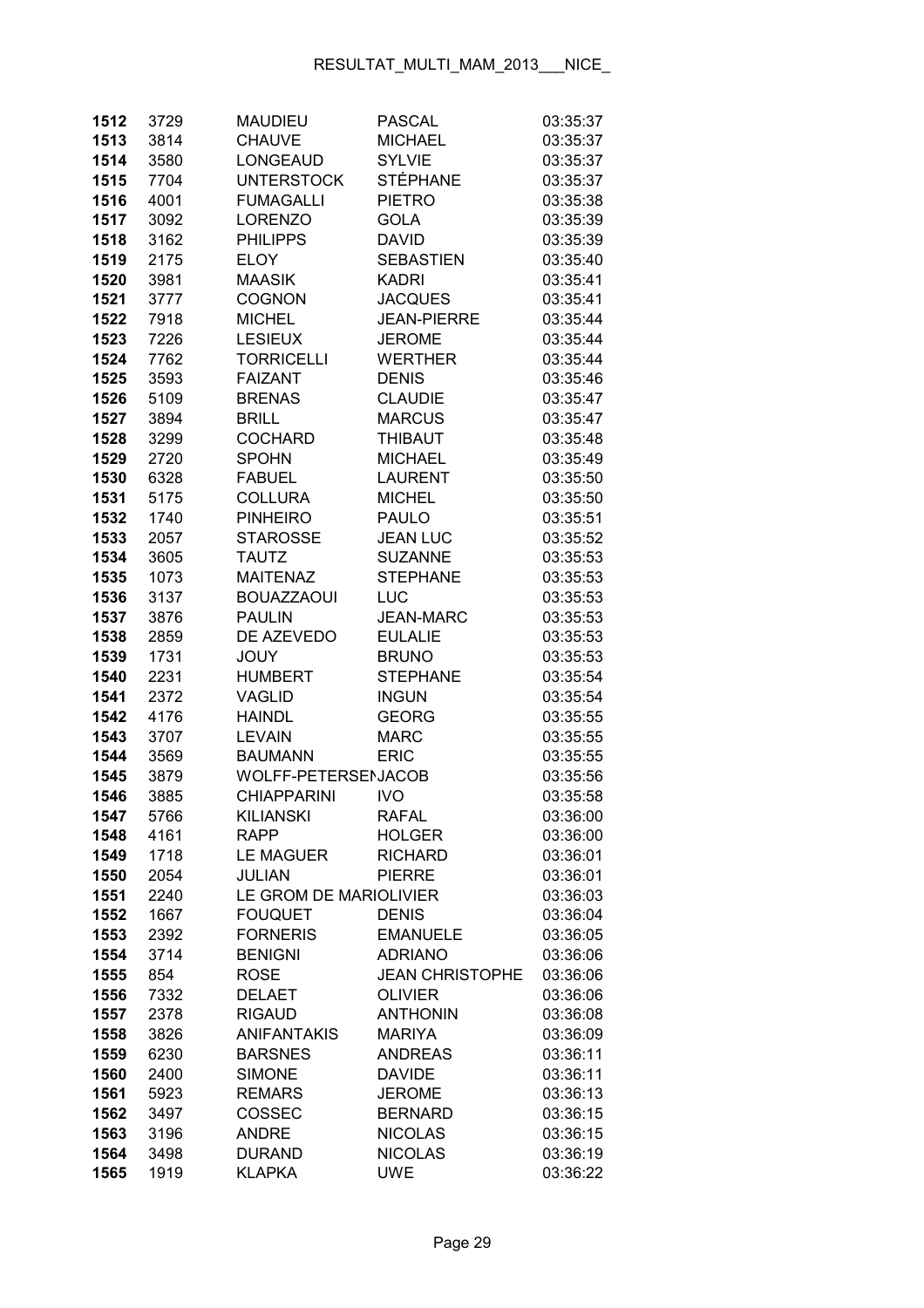| 1512         | 3729         | <b>MAUDIEU</b>                 | <b>PASCAL</b>                            | 03:35:37             |
|--------------|--------------|--------------------------------|------------------------------------------|----------------------|
| 1513         | 3814         | <b>CHAUVE</b>                  | <b>MICHAEL</b>                           | 03:35:37             |
| 1514         | 3580         | LONGEAUD                       | <b>SYLVIE</b>                            | 03:35:37             |
| 1515         | 7704         | <b>UNTERSTOCK</b>              | STÉPHANE                                 | 03:35:37             |
| 1516         | 4001         | <b>FUMAGALLI</b>               | <b>PIETRO</b>                            | 03:35:38             |
| 1517         | 3092         | <b>LORENZO</b>                 | <b>GOLA</b>                              | 03:35:39             |
| 1518         | 3162         | <b>PHILIPPS</b>                | <b>DAVID</b>                             | 03:35:39             |
| 1519         | 2175         | <b>ELOY</b>                    | <b>SEBASTIEN</b>                         | 03:35:40             |
| 1520         | 3981         | <b>MAASIK</b>                  | <b>KADRI</b>                             | 03:35:41             |
| 1521         | 3777         | <b>COGNON</b>                  | <b>JACQUES</b>                           | 03:35:41             |
| 1522         | 7918         | <b>MICHEL</b>                  | <b>JEAN-PIERRE</b>                       | 03:35:44             |
| 1523         | 7226         | <b>LESIEUX</b>                 | <b>JEROME</b>                            | 03:35:44             |
| 1524         | 7762         | <b>TORRICELLI</b>              | <b>WERTHER</b>                           | 03:35:44             |
| 1525         | 3593         | <b>FAIZANT</b>                 | <b>DENIS</b>                             | 03:35:46             |
| 1526         | 5109         | <b>BRENAS</b>                  | <b>CLAUDIE</b>                           | 03:35:47             |
| 1527         | 3894         | <b>BRILL</b>                   | <b>MARCUS</b>                            | 03:35:47             |
| 1528         | 3299         | <b>COCHARD</b>                 | <b>THIBAUT</b>                           | 03:35:48             |
| 1529         | 2720         | <b>SPOHN</b>                   | <b>MICHAEL</b>                           | 03:35:49             |
| 1530         | 6328         | <b>FABUEL</b>                  | <b>LAURENT</b>                           | 03:35:50             |
| 1531         | 5175         | <b>COLLURA</b>                 | <b>MICHEL</b>                            | 03:35:50             |
| 1532         | 1740         | <b>PINHEIRO</b>                | <b>PAULO</b>                             | 03:35:51             |
| 1533         | 2057         | <b>STAROSSE</b>                | <b>JEAN LUC</b>                          | 03:35:52             |
| 1534         | 3605         | <b>TAUTZ</b>                   | <b>SUZANNE</b>                           | 03:35:53             |
| 1535         | 1073         | <b>MAITENAZ</b>                | <b>STEPHANE</b>                          | 03:35:53             |
| 1536         | 3137         | <b>BOUAZZAOUI</b>              | LUC                                      | 03:35:53             |
| 1537         | 3876         | <b>PAULIN</b>                  | <b>JEAN-MARC</b>                         | 03:35:53             |
| 1538         | 2859         | DE AZEVEDO                     | <b>EULALIE</b>                           | 03:35:53             |
| 1539         | 1731         | JOUY                           | <b>BRUNO</b>                             | 03:35:53             |
| 1540         | 2231         | <b>HUMBERT</b>                 | <b>STEPHANE</b>                          | 03:35:54             |
| 1541         | 2372         | <b>VAGLID</b>                  | <b>INGUN</b>                             | 03:35:54             |
| 1542         | 4176         | <b>HAINDL</b>                  | <b>GEORG</b>                             | 03:35:55             |
| 1543         | 3707         | <b>LEVAIN</b>                  | <b>MARC</b>                              | 03:35:55             |
| 1544         | 3569         | <b>BAUMANN</b>                 | <b>ERIC</b>                              | 03:35:55             |
| 1545         | 3879         | WOLFF-PETERSENJACOB            |                                          | 03:35:56             |
| 1546         | 3885         | <b>CHIAPPARINI</b>             | <b>IVO</b>                               | 03:35:58             |
| 1547         | 5766         | <b>KILIANSKI</b>               | <b>RAFAL</b>                             | 03:36:00             |
| 1548         | 4161         | <b>RAPP</b>                    | <b>HOLGER</b>                            | 03:36:00             |
| 1549         | 1718         | <b>LE MAGUER</b>               | <b>RICHARD</b>                           | 03:36:01             |
| 1550         | 2054         | <b>JULIAN</b>                  | <b>PIERRE</b>                            | 03:36:01             |
| 1551         | 2240         | LE GROM DE MARIOLIVIER         |                                          | 03:36:03             |
| 1552         | 1667         | <b>FOUQUET</b>                 | <b>DENIS</b>                             | 03:36:04             |
| 1553         | 2392         | <b>FORNERIS</b>                | <b>EMANUELE</b>                          | 03:36:05             |
| 1554         | 3714         | <b>BENIGNI</b>                 | <b>ADRIANO</b>                           | 03:36:06             |
| 1555         | 854          | <b>ROSE</b>                    | <b>JEAN CHRISTOPHE</b><br><b>OLIVIER</b> | 03:36:06<br>03:36:06 |
| 1556<br>1557 | 7332<br>2378 | <b>DELAET</b><br><b>RIGAUD</b> | <b>ANTHONIN</b>                          | 03:36:08             |
| 1558         | 3826         | <b>ANIFANTAKIS</b>             | <b>MARIYA</b>                            | 03:36:09             |
| 1559         | 6230         | <b>BARSNES</b>                 | <b>ANDREAS</b>                           | 03:36:11             |
| 1560         | 2400         | <b>SIMONE</b>                  | <b>DAVIDE</b>                            | 03:36:11             |
| 1561         | 5923         | <b>REMARS</b>                  | <b>JEROME</b>                            | 03:36:13             |
| 1562         | 3497         | COSSEC                         | <b>BERNARD</b>                           | 03:36:15             |
| 1563         | 3196         | <b>ANDRE</b>                   | <b>NICOLAS</b>                           | 03:36:15             |
| 1564         | 3498         | <b>DURAND</b>                  | <b>NICOLAS</b>                           | 03:36:19             |
| 1565         | 1919         | <b>KLAPKA</b>                  | <b>UWE</b>                               | 03:36:22             |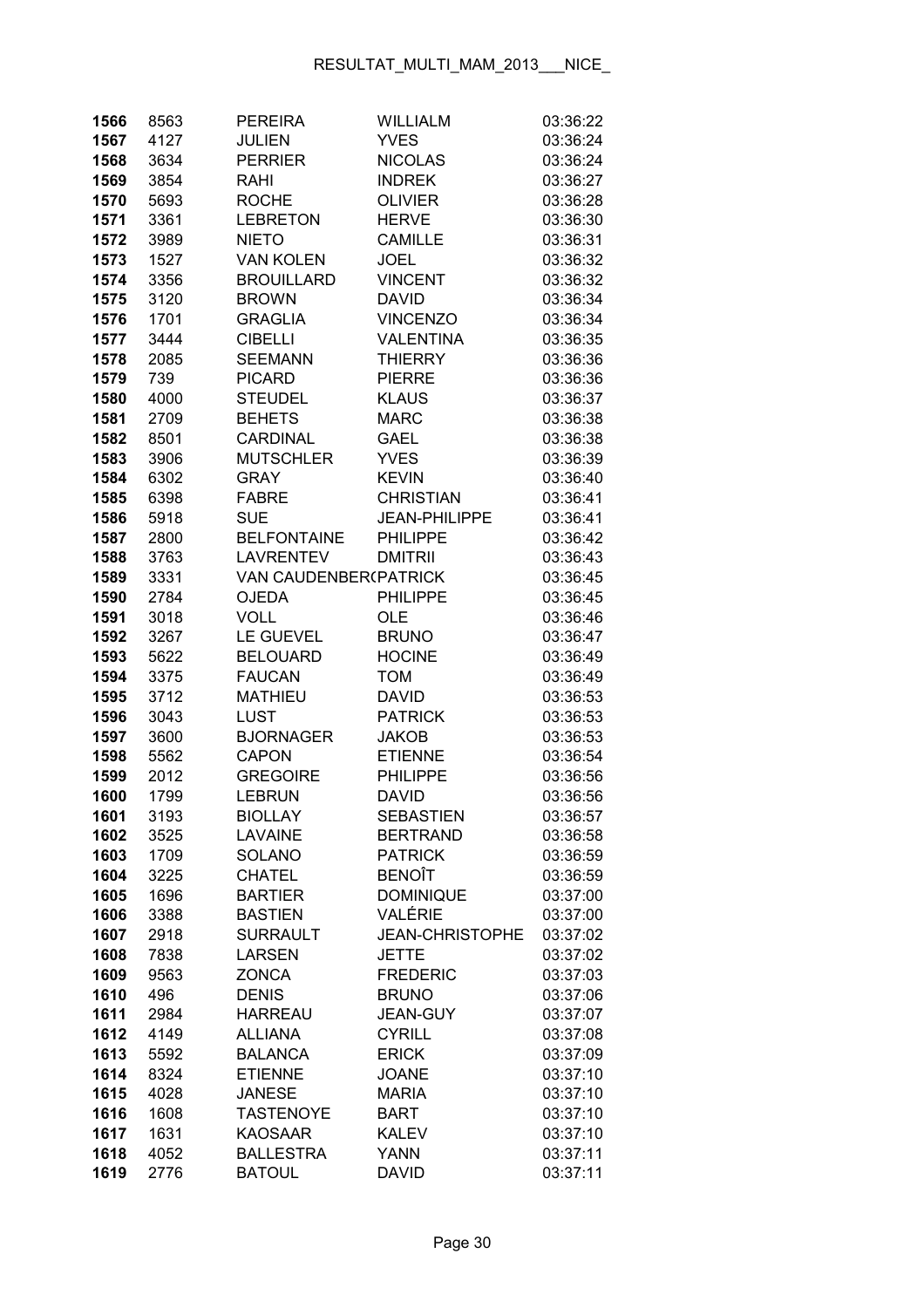| 1566 | 8563 | <b>PEREIRA</b>        | WILLIALM               | 03:36:22 |
|------|------|-----------------------|------------------------|----------|
| 1567 | 4127 | <b>JULIEN</b>         | <b>YVES</b>            | 03:36:24 |
| 1568 | 3634 | <b>PERRIER</b>        | <b>NICOLAS</b>         | 03:36:24 |
| 1569 | 3854 | RAHI                  | <b>INDREK</b>          | 03:36:27 |
| 1570 | 5693 | <b>ROCHE</b>          | <b>OLIVIER</b>         | 03:36:28 |
| 1571 | 3361 | <b>LEBRETON</b>       | <b>HERVE</b>           | 03:36:30 |
| 1572 | 3989 | <b>NIETO</b>          | <b>CAMILLE</b>         | 03:36:31 |
| 1573 | 1527 | <b>VAN KOLEN</b>      | <b>JOEL</b>            | 03:36:32 |
| 1574 | 3356 | <b>BROUILLARD</b>     | <b>VINCENT</b>         | 03:36:32 |
| 1575 | 3120 | <b>BROWN</b>          | <b>DAVID</b>           | 03:36:34 |
| 1576 | 1701 | <b>GRAGLIA</b>        | <b>VINCENZO</b>        | 03:36:34 |
| 1577 | 3444 | <b>CIBELLI</b>        | <b>VALENTINA</b>       | 03:36:35 |
| 1578 | 2085 | <b>SEEMANN</b>        | <b>THIERRY</b>         | 03:36:36 |
| 1579 | 739  | <b>PICARD</b>         | <b>PIERRE</b>          | 03:36:36 |
| 1580 | 4000 | <b>STEUDEL</b>        | <b>KLAUS</b>           | 03:36:37 |
| 1581 | 2709 | <b>BEHETS</b>         | <b>MARC</b>            | 03:36:38 |
| 1582 | 8501 | <b>CARDINAL</b>       | <b>GAEL</b>            | 03:36:38 |
| 1583 | 3906 | <b>MUTSCHLER</b>      | <b>YVES</b>            | 03:36:39 |
| 1584 | 6302 | <b>GRAY</b>           | <b>KEVIN</b>           | 03:36:40 |
| 1585 | 6398 | <b>FABRE</b>          | <b>CHRISTIAN</b>       | 03:36:41 |
| 1586 | 5918 | <b>SUE</b>            | <b>JEAN-PHILIPPE</b>   | 03:36:41 |
| 1587 | 2800 | <b>BELFONTAINE</b>    | <b>PHILIPPE</b>        | 03:36:42 |
| 1588 | 3763 | <b>LAVRENTEV</b>      | <b>DMITRII</b>         | 03:36:43 |
| 1589 | 3331 | VAN CAUDENBER(PATRICK |                        | 03:36:45 |
| 1590 | 2784 | <b>OJEDA</b>          | <b>PHILIPPE</b>        | 03:36:45 |
| 1591 | 3018 | <b>VOLL</b>           | <b>OLE</b>             | 03:36:46 |
| 1592 | 3267 | <b>LE GUEVEL</b>      | <b>BRUNO</b>           | 03:36:47 |
| 1593 | 5622 | <b>BELOUARD</b>       | <b>HOCINE</b>          | 03:36:49 |
| 1594 | 3375 | <b>FAUCAN</b>         | <b>TOM</b>             | 03:36:49 |
| 1595 | 3712 | <b>MATHIEU</b>        | <b>DAVID</b>           | 03:36:53 |
| 1596 | 3043 | LUST                  | <b>PATRICK</b>         | 03:36:53 |
| 1597 | 3600 | <b>BJORNAGER</b>      | <b>JAKOB</b>           | 03:36:53 |
| 1598 | 5562 | <b>CAPON</b>          | <b>ETIENNE</b>         | 03:36:54 |
| 1599 | 2012 | <b>GREGOIRE</b>       | <b>PHILIPPE</b>        | 03:36:56 |
| 1600 | 1799 | <b>LEBRUN</b>         | <b>DAVID</b>           | 03:36:56 |
| 1601 | 3193 | <b>BIOLLAY</b>        | SEBASTIEN              | 03:36:57 |
| 1602 | 3525 | <b>LAVAINE</b>        | <b>BERTRAND</b>        | 03:36:58 |
| 1603 | 1709 | SOLANO                | <b>PATRICK</b>         | 03:36:59 |
| 1604 | 3225 | <b>CHATEL</b>         | <b>BENOÎT</b>          | 03:36:59 |
| 1605 | 1696 | <b>BARTIER</b>        | <b>DOMINIQUE</b>       | 03:37:00 |
| 1606 | 3388 | <b>BASTIEN</b>        | VALÉRIE                | 03:37:00 |
| 1607 | 2918 | <b>SURRAULT</b>       | <b>JEAN-CHRISTOPHE</b> | 03:37:02 |
| 1608 | 7838 | <b>LARSEN</b>         | <b>JETTE</b>           | 03:37:02 |
| 1609 | 9563 | <b>ZONCA</b>          | <b>FREDERIC</b>        | 03:37:03 |
| 1610 | 496  | <b>DENIS</b>          | <b>BRUNO</b>           | 03:37:06 |
| 1611 | 2984 | <b>HARREAU</b>        | JEAN-GUY               | 03:37:07 |
| 1612 | 4149 | <b>ALLIANA</b>        | <b>CYRILL</b>          | 03:37:08 |
| 1613 | 5592 | <b>BALANCA</b>        | <b>ERICK</b>           | 03:37:09 |
| 1614 | 8324 | <b>ETIENNE</b>        | <b>JOANE</b>           | 03:37:10 |
| 1615 | 4028 | <b>JANESE</b>         | <b>MARIA</b>           | 03:37:10 |
| 1616 | 1608 | <b>TASTENOYE</b>      | <b>BART</b>            | 03:37:10 |
| 1617 | 1631 | <b>KAOSAAR</b>        | <b>KALEV</b>           | 03:37:10 |
| 1618 | 4052 | <b>BALLESTRA</b>      | <b>YANN</b>            | 03:37:11 |
| 1619 | 2776 | <b>BATOUL</b>         | <b>DAVID</b>           | 03:37:11 |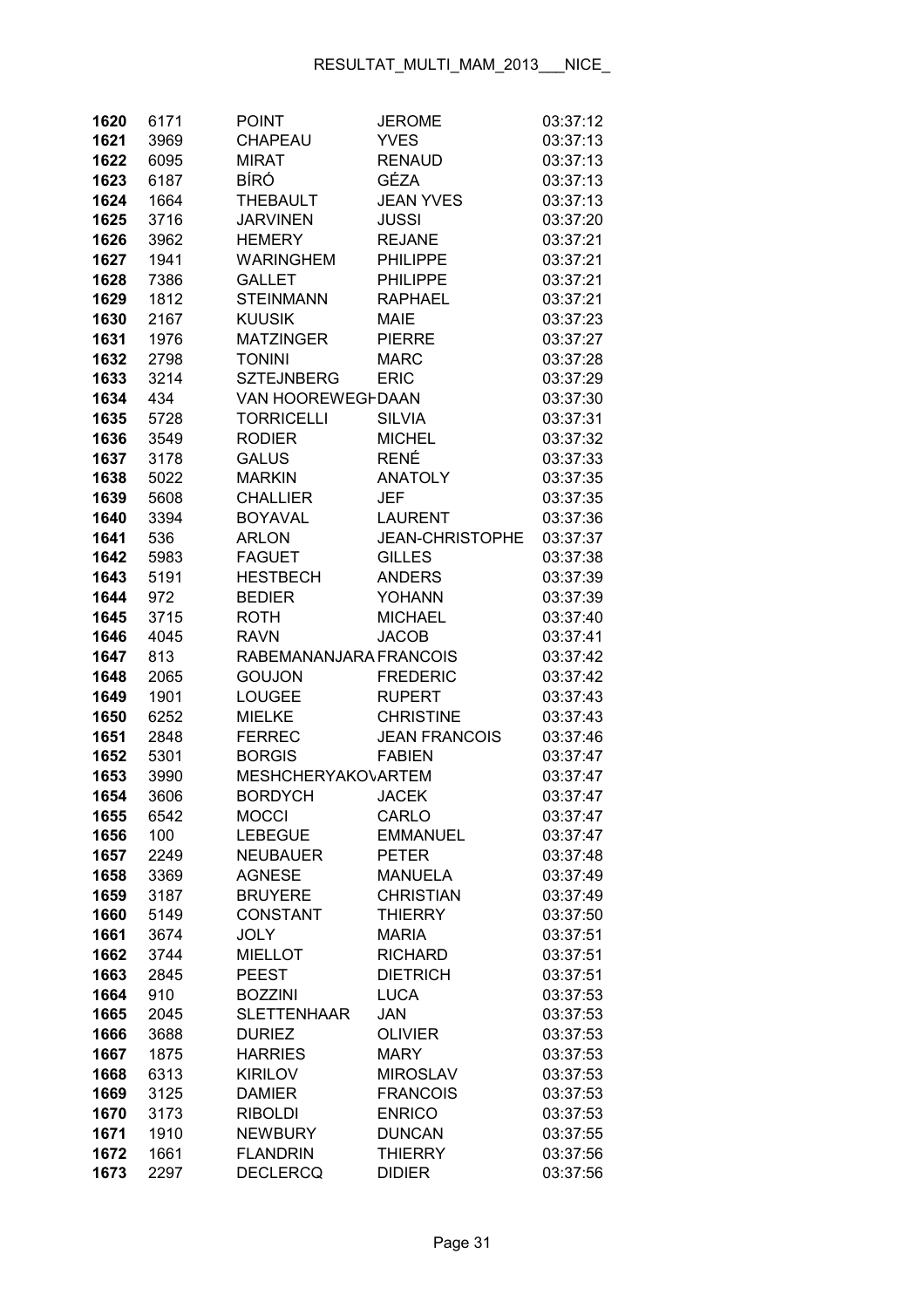| 1620         | 6171         | <b>POINT</b>                     | <b>JEROME</b>                   | 03:37:12             |
|--------------|--------------|----------------------------------|---------------------------------|----------------------|
| 1621         | 3969         | CHAPEAU                          | <b>YVES</b>                     | 03:37:13             |
| 1622         | 6095         | <b>MIRAT</b>                     | <b>RENAUD</b>                   | 03:37:13             |
| 1623         | 6187         | <b>BÍRÓ</b>                      | GÉZA                            | 03:37:13             |
| 1624         | 1664         | <b>THEBAULT</b>                  | <b>JEAN YVES</b>                | 03:37:13             |
| 1625         | 3716         | <b>JARVINEN</b>                  | <b>JUSSI</b>                    | 03:37:20             |
| 1626         | 3962         | <b>HEMERY</b>                    | <b>REJANE</b>                   | 03:37:21             |
| 1627         | 1941         | <b>WARINGHEM</b>                 | <b>PHILIPPE</b>                 | 03:37:21             |
| 1628         | 7386         | <b>GALLET</b>                    | <b>PHILIPPE</b>                 | 03:37:21             |
| 1629         | 1812         | <b>STEINMANN</b>                 | <b>RAPHAEL</b>                  | 03:37:21             |
| 1630         | 2167         | <b>KUUSIK</b>                    | <b>MAIE</b>                     | 03:37:23             |
| 1631         | 1976         | <b>MATZINGER</b>                 | <b>PIERRE</b>                   | 03:37:27             |
| 1632         | 2798         | <b>TONINI</b>                    | MARC                            | 03:37:28             |
| 1633         | 3214         | <b>SZTEJNBERG</b>                | <b>ERIC</b>                     | 03:37:29             |
| 1634         | 434          | VAN HOOREWEGFDAAN                |                                 | 03:37:30             |
| 1635         | 5728         | <b>TORRICELLI</b>                | <b>SILVIA</b>                   | 03:37:31             |
| 1636         | 3549         | <b>RODIER</b>                    | <b>MICHEL</b>                   | 03:37:32             |
| 1637         | 3178         | <b>GALUS</b>                     | <b>RENÉ</b>                     | 03:37:33             |
| 1638         | 5022         | <b>MARKIN</b>                    | <b>ANATOLY</b>                  | 03:37:35             |
| 1639         | 5608         | <b>CHALLIER</b>                  | <b>JEF</b>                      | 03:37:35             |
| 1640         | 3394         | <b>BOYAVAL</b>                   | <b>LAURENT</b>                  | 03:37:36             |
| 1641         | 536          | <b>ARLON</b>                     | <b>JEAN-CHRISTOPHE</b>          | 03:37:37             |
| 1642         | 5983         | <b>FAGUET</b>                    | <b>GILLES</b>                   | 03:37:38             |
| 1643         | 5191         | <b>HESTBECH</b>                  | <b>ANDERS</b>                   | 03:37:39             |
| 1644         | 972          | <b>BEDIER</b>                    | <b>YOHANN</b>                   | 03:37:39             |
| 1645         | 3715         | <b>ROTH</b>                      | <b>MICHAEL</b>                  | 03:37:40             |
| 1646         | 4045         | <b>RAVN</b>                      | <b>JACOB</b>                    | 03:37:41             |
| 1647         | 813          | RABEMANANJARA FRANCOIS           |                                 | 03:37:42             |
| 1648         | 2065         | <b>GOUJON</b>                    | <b>FREDERIC</b>                 | 03:37:42             |
| 1649         | 1901         | <b>LOUGEE</b>                    | <b>RUPERT</b>                   | 03:37:43             |
| 1650         | 6252         | <b>MIELKE</b>                    | <b>CHRISTINE</b>                | 03:37:43             |
| 1651         | 2848         | <b>FERREC</b>                    | <b>JEAN FRANCOIS</b>            | 03:37:46             |
| 1652         | 5301         | <b>BORGIS</b>                    | <b>FABIEN</b>                   | 03:37:47             |
| 1653         | 3990         | <b>MESHCHERYAKOVARTEM</b>        |                                 | 03:37:47             |
| 1654         | 3606         | <b>BORDYCH</b>                   | <b>JACEK</b>                    | 03:37:47             |
| 1655         | 6542         | MOCCI                            | CARLO                           | 03:37:47             |
| 1656         | 100          | <b>LEBEGUE</b>                   | <b>EMMANUEL</b><br><b>PETER</b> | 03:37:47             |
| 1657         | 2249         | <b>NEUBAUER</b><br><b>AGNESE</b> | <b>MANUELA</b>                  | 03:37:48<br>03:37:49 |
| 1658<br>1659 | 3369<br>3187 | <b>BRUYERE</b>                   | <b>CHRISTIAN</b>                | 03:37:49             |
| 1660         | 5149         | <b>CONSTANT</b>                  | <b>THIERRY</b>                  | 03:37:50             |
| 1661         | 3674         | <b>JOLY</b>                      | <b>MARIA</b>                    | 03:37:51             |
| 1662         | 3744         | <b>MIELLOT</b>                   | <b>RICHARD</b>                  | 03:37:51             |
| 1663         | 2845         | <b>PEEST</b>                     | <b>DIETRICH</b>                 | 03:37:51             |
| 1664         | 910          | <b>BOZZINI</b>                   | <b>LUCA</b>                     | 03:37:53             |
| 1665         | 2045         | <b>SLETTENHAAR</b>               | JAN                             | 03:37:53             |
| 1666         | 3688         | <b>DURIEZ</b>                    | <b>OLIVIER</b>                  | 03:37:53             |
| 1667         | 1875         | <b>HARRIES</b>                   | <b>MARY</b>                     | 03:37:53             |
| 1668         | 6313         | <b>KIRILOV</b>                   | <b>MIROSLAV</b>                 | 03:37:53             |
| 1669         | 3125         | <b>DAMIER</b>                    | <b>FRANCOIS</b>                 | 03:37:53             |
| 1670         | 3173         | <b>RIBOLDI</b>                   | <b>ENRICO</b>                   | 03:37:53             |
| 1671         | 1910         | <b>NEWBURY</b>                   | <b>DUNCAN</b>                   | 03:37:55             |
| 1672         | 1661         | <b>FLANDRIN</b>                  | <b>THIERRY</b>                  | 03:37:56             |
| 1673         | 2297         | <b>DECLERCQ</b>                  | <b>DIDIER</b>                   | 03:37:56             |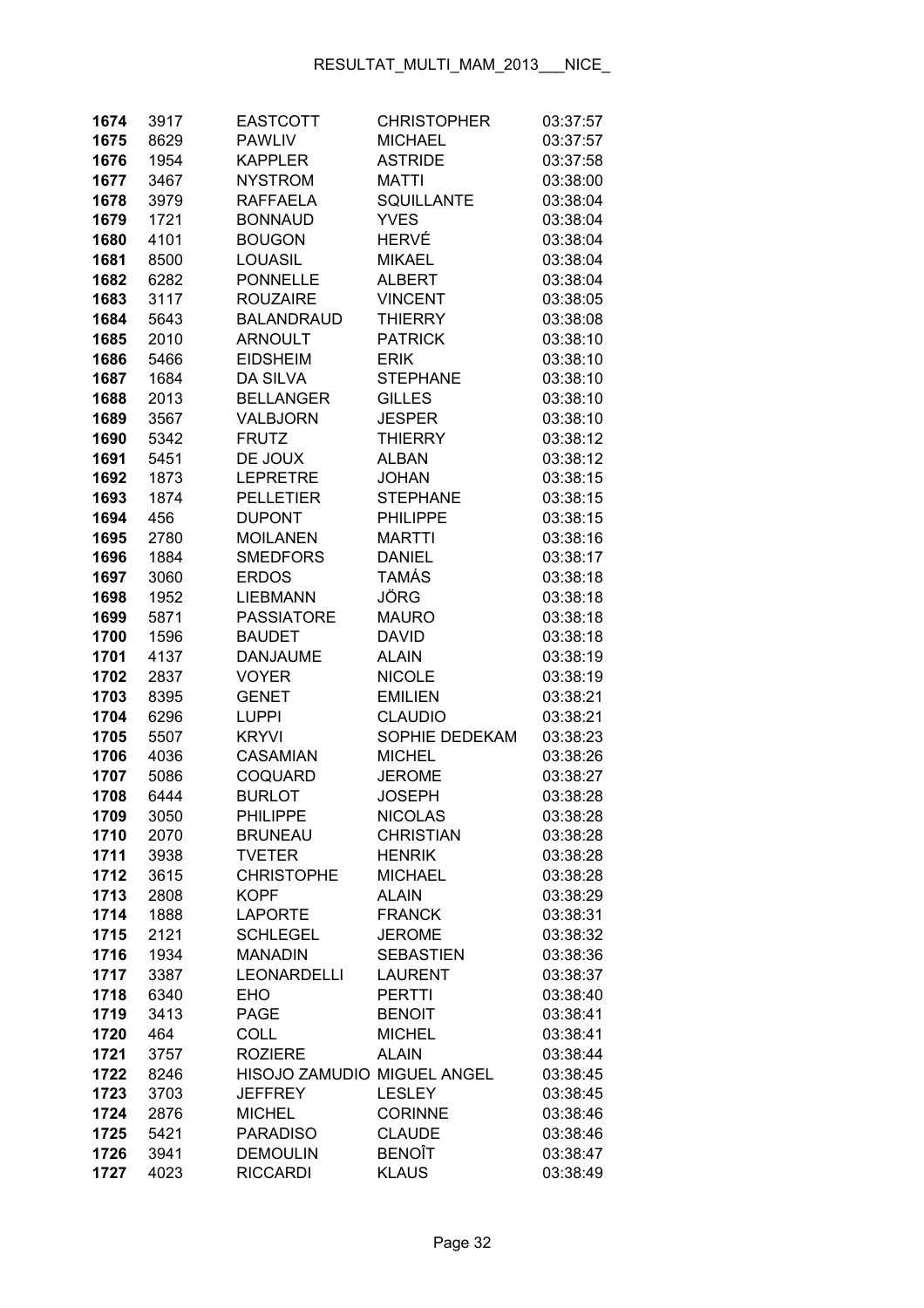| 1674         | 3917         | <b>EASTCOTT</b>                  | <b>CHRISTOPHER</b>             | 03:37:57             |
|--------------|--------------|----------------------------------|--------------------------------|----------------------|
| 1675         | 8629         | <b>PAWLIV</b>                    | <b>MICHAEL</b>                 | 03:37:57             |
| 1676         | 1954         | <b>KAPPLER</b>                   | <b>ASTRIDE</b>                 | 03:37:58             |
| 1677         | 3467         | <b>NYSTROM</b>                   | <b>MATTI</b>                   | 03:38:00             |
| 1678         | 3979         | <b>RAFFAELA</b>                  | SQUILLANTE                     | 03:38:04             |
| 1679         | 1721         | <b>BONNAUD</b>                   | <b>YVES</b>                    | 03:38:04             |
| 1680         | 4101         | <b>BOUGON</b>                    | HERVÉ                          | 03:38:04             |
| 1681         | 8500         | <b>LOUASIL</b>                   | <b>MIKAEL</b>                  | 03:38:04             |
| 1682         | 6282         | <b>PONNELLE</b>                  | <b>ALBERT</b>                  | 03:38:04             |
| 1683         | 3117         | <b>ROUZAIRE</b>                  | <b>VINCENT</b>                 | 03:38:05             |
| 1684         | 5643         | <b>BALANDRAUD</b>                | <b>THIERRY</b>                 | 03:38:08             |
| 1685         | 2010         | <b>ARNOULT</b>                   | <b>PATRICK</b>                 | 03:38:10             |
| 1686         | 5466         | <b>EIDSHEIM</b>                  | <b>ERIK</b>                    | 03:38:10             |
| 1687         | 1684         | <b>DA SILVA</b>                  | <b>STEPHANE</b>                | 03:38:10             |
| 1688         | 2013         | <b>BELLANGER</b>                 | <b>GILLES</b>                  | 03:38:10             |
| 1689         | 3567         | VALBJORN                         | <b>JESPER</b>                  | 03:38:10             |
| 1690         | 5342         | <b>FRUTZ</b>                     | <b>THIERRY</b>                 | 03:38:12             |
| 1691         | 5451         | DE JOUX                          | <b>ALBAN</b>                   | 03:38:12             |
| 1692         | 1873         | <b>LEPRETRE</b>                  | <b>JOHAN</b>                   | 03:38:15             |
| 1693         | 1874         | <b>PELLETIER</b>                 | <b>STEPHANE</b>                | 03:38:15             |
| 1694         | 456          | <b>DUPONT</b>                    | <b>PHILIPPE</b>                | 03:38:15             |
| 1695         | 2780         | <b>MOILANEN</b>                  | <b>MARTTI</b>                  | 03:38:16             |
| 1696         | 1884         | <b>SMEDFORS</b>                  | <b>DANIEL</b>                  | 03:38:17             |
| 1697         | 3060         | <b>ERDOS</b>                     | <b>TAMÁS</b>                   | 03:38:18             |
| 1698         | 1952         | <b>LIEBMANN</b>                  | JÖRG                           | 03:38:18             |
| 1699         | 5871         | <b>PASSIATORE</b>                | <b>MAURO</b>                   | 03:38:18             |
| 1700         | 1596         | <b>BAUDET</b>                    | <b>DAVID</b>                   | 03:38:18             |
| 1701         | 4137         | <b>DANJAUME</b>                  | <b>ALAIN</b>                   | 03:38:19             |
| 1702         | 2837         | <b>VOYER</b>                     | <b>NICOLE</b>                  | 03:38:19             |
| 1703         | 8395         | <b>GENET</b>                     | <b>EMILIEN</b>                 | 03:38:21             |
| 1704         | 6296         | <b>LUPPI</b>                     | <b>CLAUDIO</b>                 | 03:38:21             |
| 1705         | 5507         | <b>KRYVI</b>                     | SOPHIE DEDEKAM                 | 03:38:23             |
| 1706         | 4036         | <b>CASAMIAN</b>                  | <b>MICHEL</b>                  | 03:38:26             |
| 1707         | 5086         | <b>COQUARD</b>                   | <b>JEROME</b>                  | 03:38:27             |
| 1708         | 6444         | <b>BURLOT</b>                    | <b>JOSEPH</b>                  | 03:38:28             |
| 1709         | 3050         | <b>PHILIPPE</b>                  | <b>NICOLAS</b>                 | 03:38:28             |
| 1710         | 2070         | <b>BRUNEAU</b>                   | <b>CHRISTIAN</b>               | 03:38:28             |
| 1711         | 3938         | <b>TVETER</b>                    | <b>HENRIK</b>                  | 03:38:28             |
| 1712<br>1713 | 3615         | <b>CHRISTOPHE</b><br><b>KOPF</b> | <b>MICHAEL</b><br><b>ALAIN</b> | 03:38:28             |
| 1714         | 2808<br>1888 | <b>LAPORTE</b>                   | <b>FRANCK</b>                  | 03:38:29             |
| 1715         | 2121         | <b>SCHLEGEL</b>                  | <b>JEROME</b>                  | 03:38:31<br>03:38:32 |
| 1716         | 1934         | <b>MANADIN</b>                   | <b>SEBASTIEN</b>               | 03:38:36             |
| 1717         | 3387         | <b>LEONARDELLI</b>               | <b>LAURENT</b>                 | 03:38:37             |
| 1718         | 6340         | <b>EHO</b>                       | <b>PERTTI</b>                  | 03:38:40             |
| 1719         | 3413         | <b>PAGE</b>                      | <b>BENOIT</b>                  | 03:38:41             |
| 1720         | 464          | <b>COLL</b>                      | <b>MICHEL</b>                  | 03:38:41             |
| 1721         | 3757         | <b>ROZIERE</b>                   | <b>ALAIN</b>                   | 03:38:44             |
| 1722         | 8246         | HISOJO ZAMUDIO MIGUEL ANGEL      |                                | 03:38:45             |
| 1723         | 3703         | <b>JEFFREY</b>                   | <b>LESLEY</b>                  | 03:38:45             |
| 1724         | 2876         | <b>MICHEL</b>                    | <b>CORINNE</b>                 | 03:38:46             |
| 1725         | 5421         | <b>PARADISO</b>                  | <b>CLAUDE</b>                  | 03:38:46             |
| 1726         | 3941         | <b>DEMOULIN</b>                  | <b>BENOÎT</b>                  | 03:38:47             |
| 1727         | 4023         | <b>RICCARDI</b>                  | <b>KLAUS</b>                   | 03:38:49             |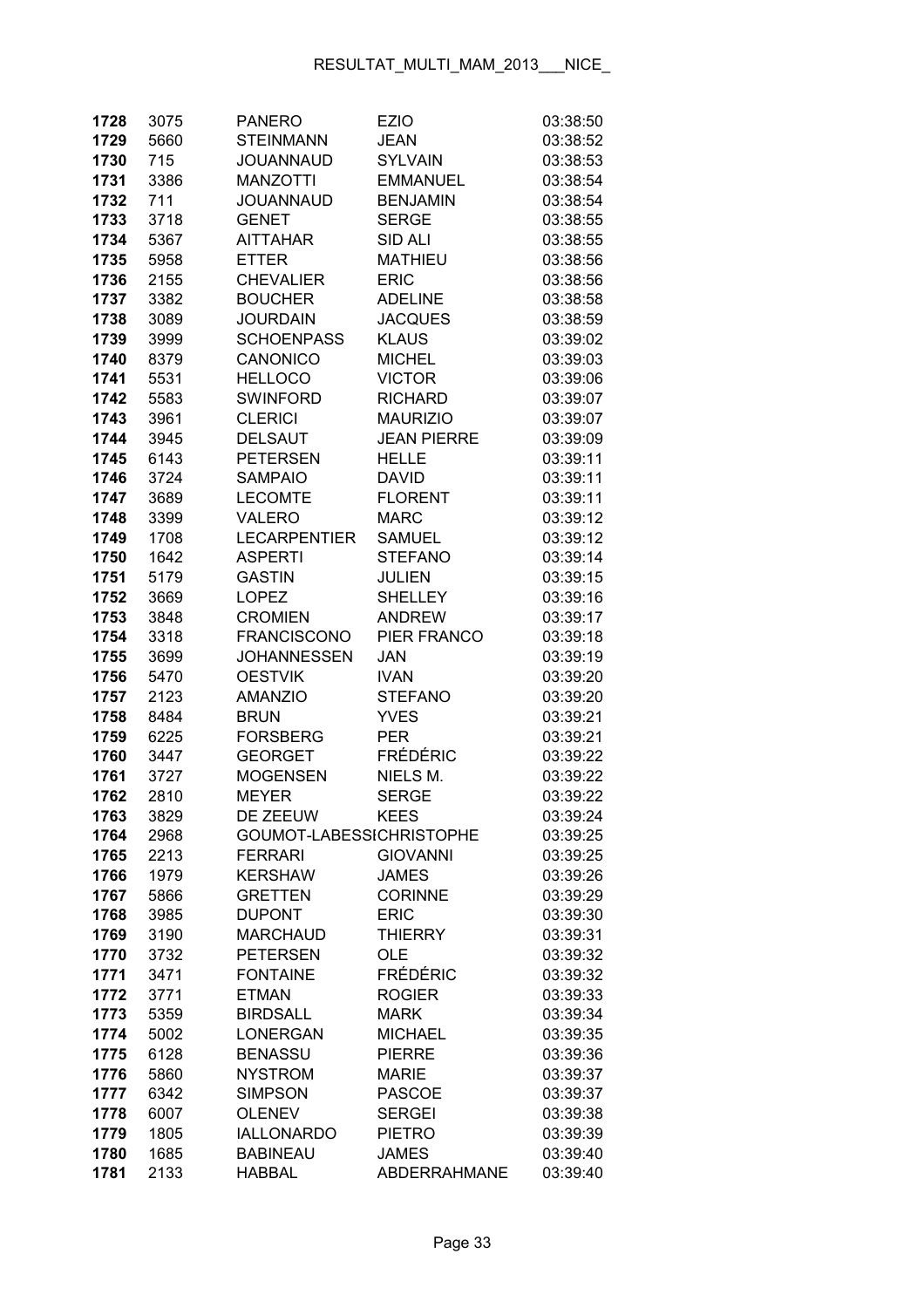| 1728 | 3075 | <b>PANERO</b>            | <b>EZIO</b>         | 03:38:50 |
|------|------|--------------------------|---------------------|----------|
| 1729 | 5660 | <b>STEINMANN</b>         | <b>JEAN</b>         | 03:38:52 |
| 1730 | 715  | JOUANNAUD                | <b>SYLVAIN</b>      | 03:38:53 |
| 1731 | 3386 | <b>MANZOTTI</b>          | <b>EMMANUEL</b>     | 03:38:54 |
| 1732 | 711  | <b>JOUANNAUD</b>         | <b>BENJAMIN</b>     | 03:38:54 |
| 1733 | 3718 | <b>GENET</b>             | <b>SERGE</b>        | 03:38:55 |
| 1734 | 5367 | <b>AITTAHAR</b>          | SID ALI             | 03:38:55 |
| 1735 | 5958 | <b>ETTER</b>             | <b>MATHIEU</b>      | 03:38:56 |
| 1736 | 2155 | <b>CHEVALIER</b>         | <b>ERIC</b>         | 03:38:56 |
| 1737 | 3382 | <b>BOUCHER</b>           | <b>ADELINE</b>      | 03:38:58 |
| 1738 | 3089 | <b>JOURDAIN</b>          | <b>JACQUES</b>      | 03:38:59 |
| 1739 | 3999 | <b>SCHOENPASS</b>        | <b>KLAUS</b>        | 03:39:02 |
| 1740 | 8379 | CANONICO                 | <b>MICHEL</b>       | 03:39:03 |
| 1741 | 5531 | <b>HELLOCO</b>           | <b>VICTOR</b>       | 03:39:06 |
| 1742 | 5583 | <b>SWINFORD</b>          | <b>RICHARD</b>      | 03:39:07 |
| 1743 | 3961 | <b>CLERICI</b>           | <b>MAURIZIO</b>     | 03:39:07 |
| 1744 | 3945 | <b>DELSAUT</b>           | <b>JEAN PIERRE</b>  | 03:39:09 |
| 1745 | 6143 | <b>PETERSEN</b>          | <b>HELLE</b>        | 03:39:11 |
| 1746 | 3724 | <b>SAMPAIO</b>           | <b>DAVID</b>        | 03:39:11 |
| 1747 | 3689 | <b>LECOMTE</b>           | <b>FLORENT</b>      | 03:39:11 |
| 1748 | 3399 | <b>VALERO</b>            | <b>MARC</b>         | 03:39:12 |
| 1749 | 1708 | <b>LECARPENTIER</b>      | <b>SAMUEL</b>       | 03:39:12 |
| 1750 | 1642 | <b>ASPERTI</b>           | <b>STEFANO</b>      | 03:39:14 |
| 1751 | 5179 | <b>GASTIN</b>            | JULIEN              | 03:39:15 |
| 1752 | 3669 | <b>LOPEZ</b>             | <b>SHELLEY</b>      | 03:39:16 |
| 1753 | 3848 | <b>CROMIEN</b>           | <b>ANDREW</b>       | 03:39:17 |
| 1754 | 3318 | <b>FRANCISCONO</b>       | PIER FRANCO         | 03:39:18 |
| 1755 | 3699 | <b>JOHANNESSEN</b>       | <b>JAN</b>          | 03:39:19 |
| 1756 | 5470 | <b>OESTVIK</b>           | <b>IVAN</b>         | 03:39:20 |
| 1757 | 2123 | <b>AMANZIO</b>           | <b>STEFANO</b>      | 03:39:20 |
| 1758 | 8484 | <b>BRUN</b>              | <b>YVES</b>         | 03:39:21 |
| 1759 | 6225 | <b>FORSBERG</b>          | <b>PER</b>          | 03:39:21 |
| 1760 | 3447 | <b>GEORGET</b>           | <b>FRÉDÉRIC</b>     | 03:39:22 |
| 1761 | 3727 | <b>MOGENSEN</b>          | NIELS M.            | 03:39:22 |
| 1762 | 2810 | <b>MEYER</b>             | <b>SERGE</b>        | 03:39:22 |
| 1763 | 3829 | DE ZEEUW                 | <b>KEES</b>         | 03:39:24 |
| 1764 | 2968 | GOUMOT-LABESSICHRISTOPHE |                     | 03:39:25 |
| 1765 | 2213 | <b>FERRARI</b>           | <b>GIOVANNI</b>     | 03:39:25 |
| 1766 | 1979 | <b>KERSHAW</b>           | <b>JAMES</b>        | 03:39:26 |
| 1767 | 5866 | <b>GRETTEN</b>           | <b>CORINNE</b>      | 03:39:29 |
| 1768 | 3985 | <b>DUPONT</b>            | <b>ERIC</b>         | 03:39:30 |
| 1769 | 3190 | <b>MARCHAUD</b>          | <b>THIERRY</b>      | 03:39:31 |
| 1770 | 3732 | <b>PETERSEN</b>          | <b>OLE</b>          | 03:39:32 |
| 1771 | 3471 | <b>FONTAINE</b>          | <b>FRÉDÉRIC</b>     | 03:39:32 |
| 1772 | 3771 | <b>ETMAN</b>             | <b>ROGIER</b>       | 03:39:33 |
| 1773 | 5359 | <b>BIRDSALL</b>          | <b>MARK</b>         | 03:39:34 |
| 1774 | 5002 | <b>LONERGAN</b>          | <b>MICHAEL</b>      | 03:39:35 |
| 1775 | 6128 | <b>BENASSU</b>           | <b>PIERRE</b>       | 03:39:36 |
| 1776 | 5860 | <b>NYSTROM</b>           | <b>MARIE</b>        | 03:39:37 |
| 1777 | 6342 | <b>SIMPSON</b>           | <b>PASCOE</b>       | 03:39:37 |
| 1778 | 6007 | <b>OLENEV</b>            | <b>SERGEI</b>       | 03:39:38 |
| 1779 | 1805 | <b>IALLONARDO</b>        | <b>PIETRO</b>       | 03:39:39 |
| 1780 | 1685 | <b>BABINEAU</b>          | <b>JAMES</b>        | 03:39:40 |
| 1781 | 2133 | <b>HABBAL</b>            | <b>ABDERRAHMANE</b> | 03:39:40 |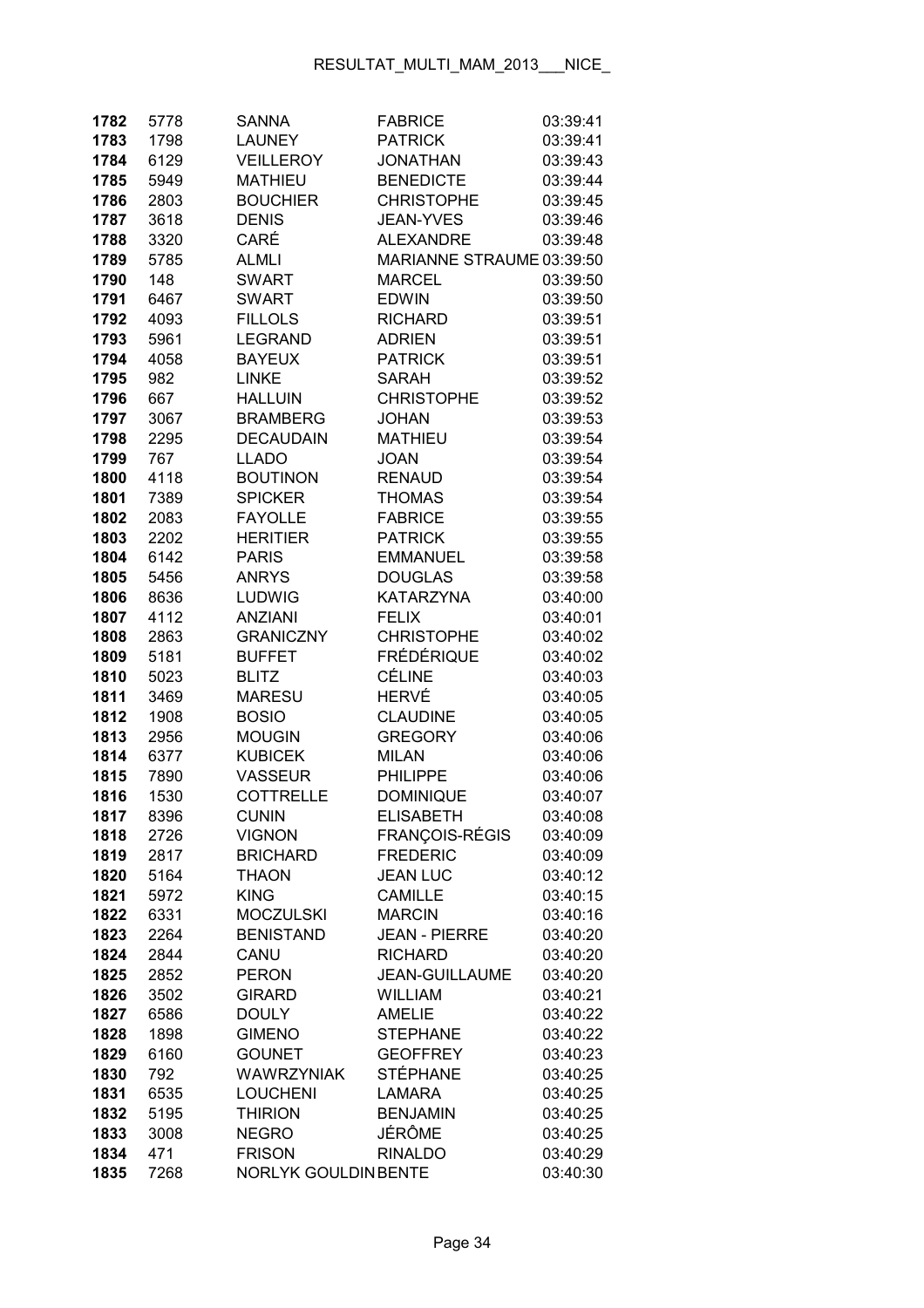| 1782         | 5778        | <b>SANNA</b>                   | <b>FABRICE</b>                     | 03:39:41             |
|--------------|-------------|--------------------------------|------------------------------------|----------------------|
| 1783         | 1798        | <b>LAUNEY</b>                  | <b>PATRICK</b>                     | 03:39:41             |
| 1784         | 6129        | <b>VEILLEROY</b>               | <b>JONATHAN</b>                    | 03:39:43             |
| 1785         | 5949        | <b>MATHIEU</b>                 | <b>BENEDICTE</b>                   | 03:39:44             |
| 1786         | 2803        | <b>BOUCHIER</b>                | <b>CHRISTOPHE</b>                  | 03:39:45             |
| 1787         | 3618        | <b>DENIS</b>                   | <b>JEAN-YVES</b>                   | 03:39:46             |
| 1788         | 3320        | CARÉ                           | <b>ALEXANDRE</b>                   | 03:39:48             |
| 1789         | 5785        | <b>ALMLI</b>                   | MARIANNE STRAUME 03:39:50          |                      |
| 1790         | 148         | <b>SWART</b>                   | <b>MARCEL</b>                      | 03:39:50             |
| 1791         | 6467        | <b>SWART</b>                   | <b>EDWIN</b>                       | 03:39:50             |
| 1792         | 4093        | <b>FILLOLS</b>                 | <b>RICHARD</b>                     | 03:39:51             |
| 1793         | 5961        | <b>LEGRAND</b>                 | <b>ADRIEN</b>                      | 03:39:51             |
| 1794         | 4058        | <b>BAYEUX</b>                  | <b>PATRICK</b>                     | 03:39:51             |
| 1795         | 982         | <b>LINKE</b>                   | <b>SARAH</b>                       | 03:39:52             |
| 1796         | 667         | <b>HALLUIN</b>                 | <b>CHRISTOPHE</b>                  | 03:39:52             |
| 1797         | 3067        | <b>BRAMBERG</b>                | <b>JOHAN</b>                       | 03:39:53             |
| 1798         | 2295        | <b>DECAUDAIN</b>               | <b>MATHIEU</b>                     | 03:39:54             |
| 1799         | 767         | <b>LLADO</b>                   | <b>JOAN</b>                        | 03:39:54             |
| 1800         | 4118        | <b>BOUTINON</b>                | <b>RENAUD</b>                      | 03:39:54             |
| 1801         | 7389        | <b>SPICKER</b>                 | <b>THOMAS</b>                      | 03:39:54             |
| 1802         | 2083        | <b>FAYOLLE</b>                 | <b>FABRICE</b>                     | 03:39:55             |
| 1803         | 2202        | <b>HERITIER</b>                | <b>PATRICK</b>                     | 03:39:55             |
| 1804         | 6142        | <b>PARIS</b>                   | <b>EMMANUEL</b>                    | 03:39:58             |
| 1805         | 5456        | <b>ANRYS</b>                   | <b>DOUGLAS</b>                     | 03:39:58             |
| 1806         | 8636        | <b>LUDWIG</b>                  | <b>KATARZYNA</b>                   | 03:40:00             |
| 1807         | 4112        | <b>ANZIANI</b>                 | <b>FELIX</b>                       | 03:40:01             |
| 1808         | 2863        | <b>GRANICZNY</b>               | <b>CHRISTOPHE</b>                  | 03:40:02             |
| 1809         | 5181        | <b>BUFFET</b>                  | <b>FRÉDÉRIQUE</b>                  | 03:40:02             |
| 1810         | 5023        | <b>BLITZ</b>                   | <b>CÉLINE</b>                      | 03:40:03             |
| 1811         | 3469        | <b>MARESU</b>                  | HERVÉ                              | 03:40:05             |
| 1812         | 1908        | <b>BOSIO</b>                   | <b>CLAUDINE</b>                    | 03:40:05             |
| 1813         | 2956        | <b>MOUGIN</b>                  | <b>GREGORY</b>                     | 03:40:06             |
| 1814         | 6377        | <b>KUBICEK</b>                 | <b>MILAN</b>                       | 03:40:06             |
| 1815         | 7890        | <b>VASSEUR</b>                 | <b>PHILIPPE</b>                    | 03:40:06             |
| 1816         | 1530        | <b>COTTRELLE</b>               | <b>DOMINIQUE</b>                   | 03:40:07             |
| 1817         | 8396        | <b>CUNIN</b>                   | ELISABETH                          | 03:40:08             |
| 1818         | 2726        | <b>VIGNON</b>                  | <b>FRANÇOIS-RÉGIS</b>              | 03:40:09             |
| 1819         | 2817        | <b>BRICHARD</b>                | <b>FREDERIC</b>                    | 03:40:09             |
| 1820         | 5164        | <b>THAON</b>                   | <b>JEAN LUC</b>                    | 03:40:12             |
| 1821         | 5972        | <b>KING</b>                    | <b>CAMILLE</b>                     | 03:40:15             |
| 1822         | 6331        | <b>MOCZULSKI</b>               | <b>MARCIN</b>                      | 03:40:16             |
| 1823         | 2264        | <b>BENISTAND</b>               | <b>JEAN - PIERRE</b>               | 03:40:20             |
| 1824         | 2844        | CANU                           | <b>RICHARD</b>                     | 03:40:20             |
| 1825         | 2852        | <b>PERON</b>                   | JEAN-GUILLAUME                     | 03:40:20             |
| 1826         | 3502        | <b>GIRARD</b>                  | <b>WILLIAM</b>                     | 03:40:21             |
| 1827         | 6586        | <b>DOULY</b>                   | <b>AMELIE</b>                      | 03:40:22             |
| 1828         | 1898        | <b>GIMENO</b><br><b>GOUNET</b> | <b>STEPHANE</b><br><b>GEOFFREY</b> | 03:40:22             |
| 1829         | 6160        | <b>WAWRZYNIAK</b>              | <b>STÉPHANE</b>                    | 03:40:23             |
| 1830<br>1831 | 792<br>6535 | <b>LOUCHENI</b>                | <b>LAMARA</b>                      | 03:40:25<br>03:40:25 |
| 1832         | 5195        | <b>THIRION</b>                 | <b>BENJAMIN</b>                    | 03:40:25             |
| 1833         | 3008        | <b>NEGRO</b>                   | JÉRÔME                             | 03:40:25             |
| 1834         | 471         | <b>FRISON</b>                  | <b>RINALDO</b>                     | 03:40:29             |
| 1835         | 7268        | NORLYK GOULDINBENTE            |                                    | 03:40:30             |
|              |             |                                |                                    |                      |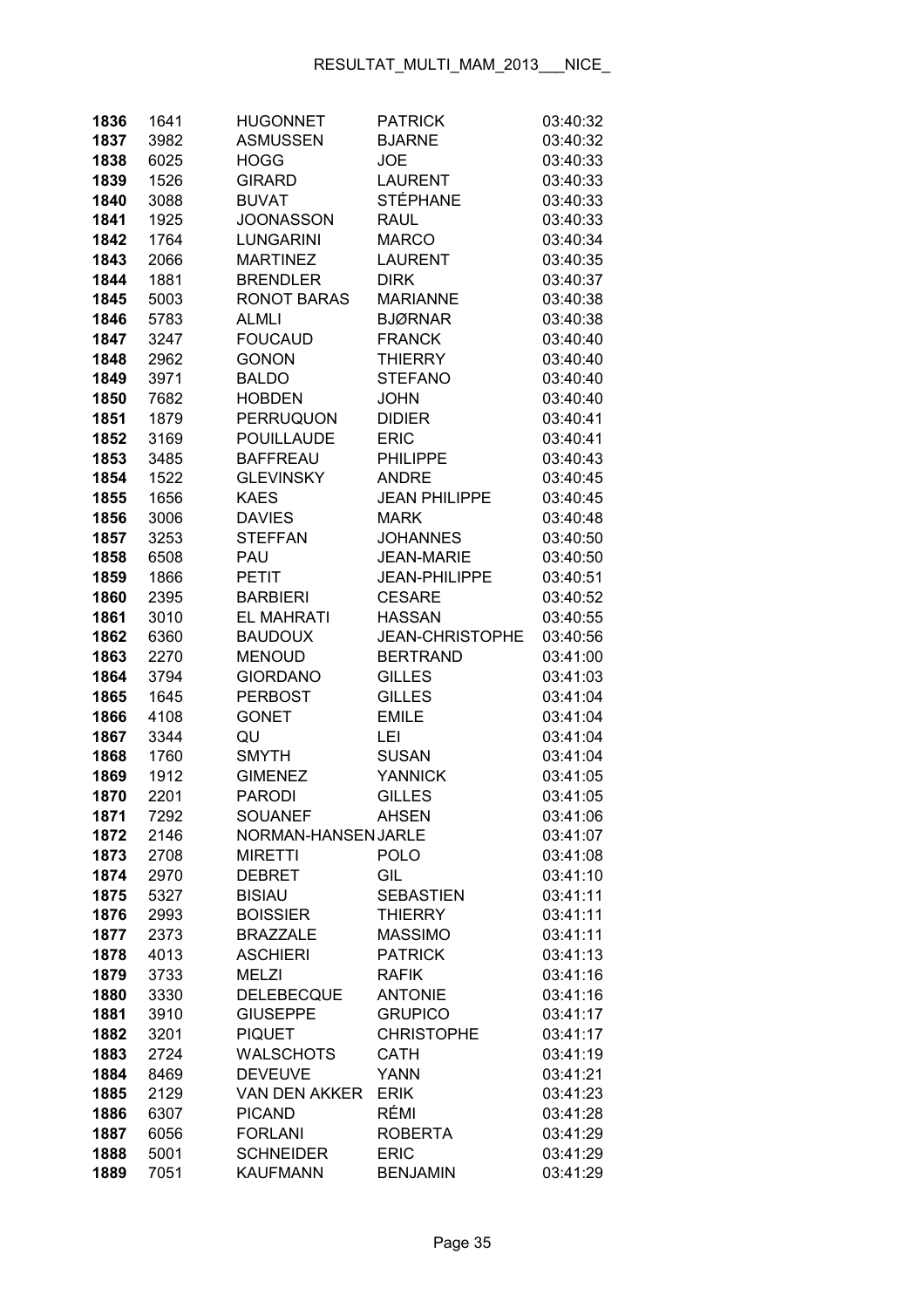| 1836         | 1641         | <b>HUGONNET</b>                   | <b>PATRICK</b>                      | 03:40:32             |
|--------------|--------------|-----------------------------------|-------------------------------------|----------------------|
| 1837         | 3982         | <b>ASMUSSEN</b>                   | <b>BJARNE</b>                       | 03:40:32             |
| 1838         | 6025         | HOGG                              | <b>JOE</b>                          | 03:40:33             |
| 1839         | 1526         | <b>GIRARD</b>                     | <b>LAURENT</b>                      | 03:40:33             |
| 1840         | 3088         | <b>BUVAT</b>                      | <b>STÉPHANE</b>                     | 03:40:33             |
| 1841         | 1925         | <b>JOONASSON</b>                  | <b>RAUL</b>                         | 03:40:33             |
| 1842         | 1764         | <b>LUNGARINI</b>                  | <b>MARCO</b>                        | 03:40:34             |
| 1843         | 2066         | <b>MARTINEZ</b>                   | <b>LAURENT</b>                      | 03:40:35             |
| 1844         | 1881         | <b>BRENDLER</b>                   | <b>DIRK</b>                         | 03:40:37             |
| 1845         | 5003         | <b>RONOT BARAS</b>                | <b>MARIANNE</b>                     | 03:40:38             |
| 1846         | 5783         | <b>ALMLI</b>                      | <b>BJØRNAR</b>                      | 03:40:38             |
| 1847         | 3247         | <b>FOUCAUD</b>                    | <b>FRANCK</b>                       | 03:40:40             |
| 1848         | 2962         | <b>GONON</b>                      | <b>THIERRY</b>                      | 03:40:40             |
| 1849         | 3971         | <b>BALDO</b>                      | <b>STEFANO</b>                      | 03:40:40             |
| 1850         | 7682         | <b>HOBDEN</b>                     | <b>JOHN</b>                         | 03:40:40             |
| 1851         | 1879         | PERRUQUON                         | <b>DIDIER</b>                       | 03:40:41             |
| 1852         | 3169         | <b>POUILLAUDE</b>                 | <b>ERIC</b>                         | 03:40:41             |
| 1853         | 3485         | <b>BAFFREAU</b>                   | <b>PHILIPPE</b>                     | 03:40:43             |
| 1854         | 1522         | <b>GLEVINSKY</b>                  | <b>ANDRE</b>                        | 03:40:45             |
| 1855         | 1656         | <b>KAES</b>                       | <b>JEAN PHILIPPE</b>                | 03:40:45             |
| 1856         | 3006         | <b>DAVIES</b>                     | <b>MARK</b>                         | 03:40:48             |
| 1857         | 3253         | <b>STEFFAN</b>                    | <b>JOHANNES</b>                     | 03:40:50             |
| 1858         | 6508         | PAU                               | <b>JEAN-MARIE</b>                   | 03:40:50             |
| 1859         | 1866         | <b>PETIT</b>                      | <b>JEAN-PHILIPPE</b>                | 03:40:51             |
| 1860         | 2395         | <b>BARBIERI</b>                   | <b>CESARE</b>                       | 03:40:52             |
| 1861         | 3010         | <b>EL MAHRATI</b>                 | <b>HASSAN</b>                       | 03:40:55             |
| 1862         | 6360         | <b>BAUDOUX</b>                    | <b>JEAN-CHRISTOPHE</b>              | 03:40:56             |
| 1863         | 2270         | <b>MENOUD</b>                     | <b>BERTRAND</b>                     | 03:41:00             |
| 1864         | 3794         | <b>GIORDANO</b>                   | <b>GILLES</b>                       | 03:41:03             |
| 1865         | 1645         | <b>PERBOST</b>                    | <b>GILLES</b>                       | 03:41:04             |
| 1866         | 4108         | <b>GONET</b>                      | <b>EMILE</b>                        | 03:41:04             |
| 1867         | 3344         | QU                                | LEI                                 | 03:41:04             |
| 1868         | 1760         | <b>SMYTH</b>                      | <b>SUSAN</b>                        | 03:41:04             |
| 1869         | 1912         | <b>GIMENEZ</b>                    | <b>YANNICK</b>                      | 03:41:05             |
| 1870         | 2201         | <b>PARODI</b>                     | <b>GILLES</b>                       | 03:41:05             |
| 1871         | 7292         | <b>SOUANEF</b>                    | <b>AHSEN</b>                        | 03:41:06             |
| 1872         | 2146         | NORMAN-HANSEN JARLE               |                                     | 03:41:07             |
| 1873         | 2708         | <b>MIRETTI</b>                    | <b>POLO</b>                         | 03:41:08             |
| 1874         | 2970         | <b>DEBRET</b>                     | GIL                                 | 03:41:10             |
| 1875         | 5327         | <b>BISIAU</b>                     | <b>SEBASTIEN</b>                    | 03:41:11             |
| 1876         | 2993         | <b>BOISSIER</b>                   | <b>THIERRY</b>                      | 03:41:11             |
| 1877         | 2373         | <b>BRAZZALE</b>                   | <b>MASSIMO</b>                      | 03:41:11             |
| 1878         | 4013         | <b>ASCHIERI</b>                   | <b>PATRICK</b>                      | 03:41:13             |
| 1879         | 3733         | <b>MELZI</b>                      | <b>RAFIK</b>                        | 03:41:16             |
| 1880         | 3330         | <b>DELEBECQUE</b>                 | <b>ANTONIE</b>                      | 03:41:16             |
| 1881         | 3910         | <b>GIUSEPPE</b>                   | <b>GRUPICO</b><br><b>CHRISTOPHE</b> | 03:41:17             |
| 1882<br>1883 | 3201<br>2724 | <b>PIQUET</b><br><b>WALSCHOTS</b> | <b>CATH</b>                         | 03:41:17<br>03:41:19 |
| 1884         | 8469         | <b>DEVEUVE</b>                    | <b>YANN</b>                         | 03:41:21             |
| 1885         | 2129         | <b>VAN DEN AKKER</b>              | <b>ERIK</b>                         | 03:41:23             |
| 1886         | 6307         | <b>PICAND</b>                     | RÉMI                                | 03:41:28             |
| 1887         | 6056         | <b>FORLANI</b>                    | <b>ROBERTA</b>                      | 03:41:29             |
| 1888         | 5001         | <b>SCHNEIDER</b>                  | <b>ERIC</b>                         | 03:41:29             |
| 1889         | 7051         | <b>KAUFMANN</b>                   | <b>BENJAMIN</b>                     | 03:41:29             |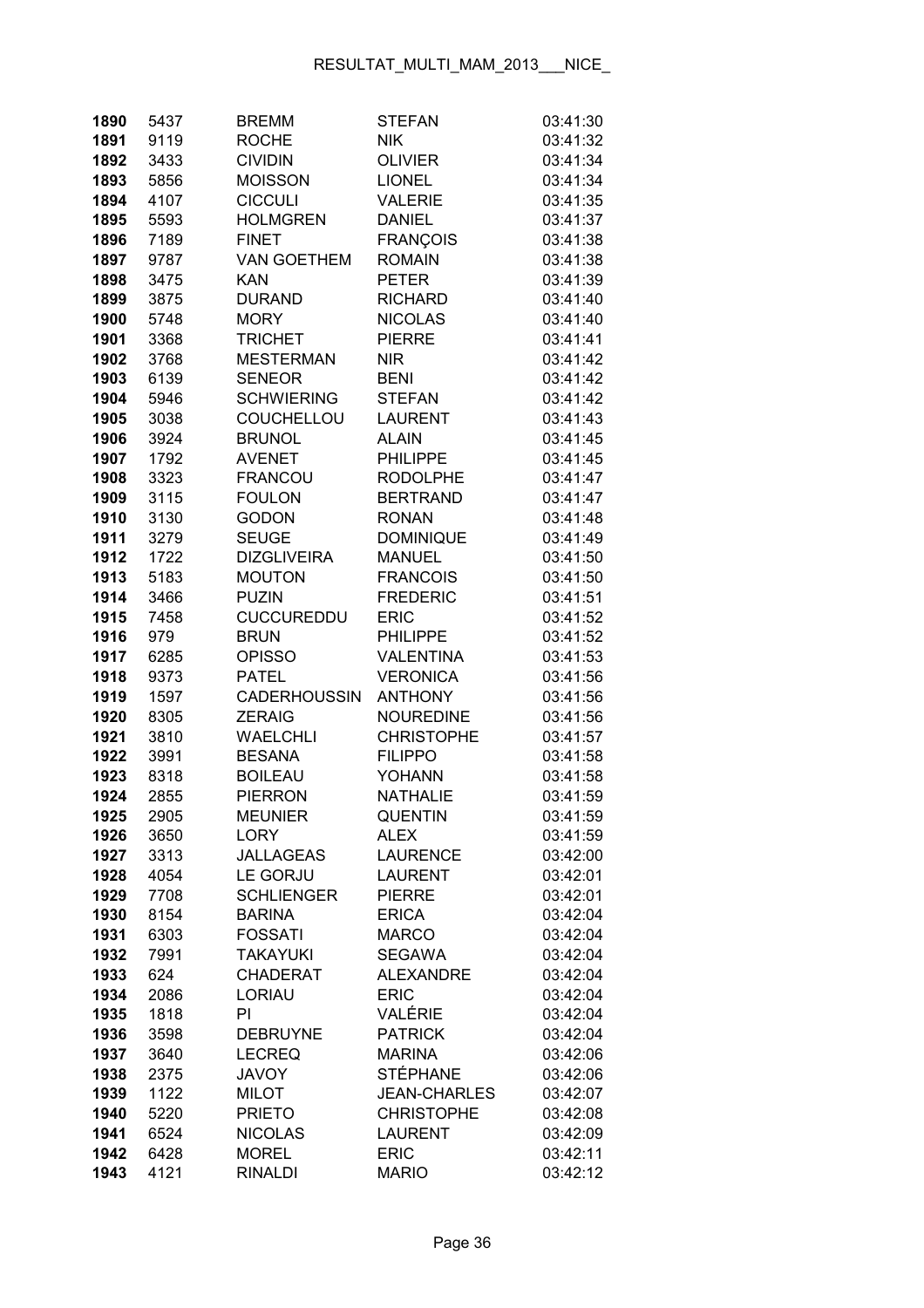| 1890         | 5437         | <b>BREMM</b>                      | <b>STEFAN</b>                 | 03:41:30             |
|--------------|--------------|-----------------------------------|-------------------------------|----------------------|
| 1891         | 9119         | <b>ROCHE</b>                      | <b>NIK</b>                    | 03:41:32             |
| 1892         | 3433         | <b>CIVIDIN</b>                    | <b>OLIVIER</b>                | 03:41:34             |
| 1893         | 5856         | <b>MOISSON</b>                    | <b>LIONEL</b>                 | 03:41:34             |
| 1894         | 4107         | <b>CICCULI</b>                    | <b>VALERIE</b>                | 03:41:35             |
| 1895         | 5593         | <b>HOLMGREN</b>                   | <b>DANIEL</b>                 | 03:41:37             |
| 1896         | 7189         | <b>FINET</b>                      | <b>FRANÇOIS</b>               | 03:41:38             |
| 1897         | 9787         | <b>VAN GOETHEM</b>                | <b>ROMAIN</b>                 | 03:41:38             |
| 1898         | 3475         | <b>KAN</b>                        | <b>PETER</b>                  | 03:41:39             |
| 1899         | 3875         | <b>DURAND</b>                     | <b>RICHARD</b>                | 03:41:40             |
| 1900         | 5748         | <b>MORY</b>                       | <b>NICOLAS</b>                | 03:41:40             |
| 1901         | 3368         | <b>TRICHET</b>                    | <b>PIERRE</b>                 | 03:41:41             |
| 1902         | 3768         | <b>MESTERMAN</b>                  | <b>NIR</b>                    | 03:41:42             |
| 1903         | 6139         | <b>SENEOR</b>                     | <b>BENI</b>                   | 03:41:42             |
| 1904         | 5946         | <b>SCHWIERING</b>                 | <b>STEFAN</b>                 | 03:41:42             |
| 1905         | 3038         | COUCHELLOU                        | <b>LAURENT</b>                | 03:41:43             |
| 1906         | 3924         | <b>BRUNOL</b>                     | <b>ALAIN</b>                  | 03:41:45             |
| 1907         | 1792         | <b>AVENET</b>                     | <b>PHILIPPE</b>               | 03:41:45             |
| 1908         | 3323         | <b>FRANCOU</b>                    | <b>RODOLPHE</b>               | 03:41:47             |
| 1909         | 3115         | <b>FOULON</b>                     | <b>BERTRAND</b>               | 03:41:47             |
| 1910         | 3130         | <b>GODON</b>                      | <b>RONAN</b>                  | 03:41:48             |
| 1911         | 3279         | <b>SEUGE</b>                      | <b>DOMINIQUE</b>              | 03:41:49             |
| 1912         | 1722         | <b>DIZGLIVEIRA</b>                | <b>MANUEL</b>                 | 03:41:50             |
| 1913         | 5183         | <b>MOUTON</b>                     | <b>FRANCOIS</b>               | 03:41:50             |
| 1914         | 3466         | <b>PUZIN</b>                      | <b>FREDERIC</b>               | 03:41:51             |
| 1915         | 7458         | <b>CUCCUREDDU</b>                 | <b>ERIC</b>                   | 03:41:52             |
| 1916         | 979          | <b>BRUN</b>                       | <b>PHILIPPE</b>               | 03:41:52             |
| 1917         | 6285         | <b>OPISSO</b>                     | <b>VALENTINA</b>              | 03:41:53             |
| 1918         | 9373         | <b>PATEL</b>                      | <b>VERONICA</b>               | 03:41:56             |
| 1919         | 1597         | <b>CADERHOUSSIN</b>               | <b>ANTHONY</b>                | 03:41:56             |
| 1920         | 8305         | ZERAIG                            | <b>NOUREDINE</b>              | 03:41:56             |
| 1921         | 3810         | <b>WAELCHLI</b>                   | <b>CHRISTOPHE</b>             | 03:41:57             |
| 1922         | 3991         | <b>BESANA</b>                     | <b>FILIPPO</b>                | 03:41:58             |
| 1923         | 8318         | <b>BOILEAU</b>                    | <b>YOHANN</b>                 | 03:41:58             |
| 1924         | 2855         | <b>PIERRON</b>                    | <b>NATHALIE</b>               | 03:41:59             |
| 1925         | 2905         | <b>MEUNIER</b>                    | QUENTIN                       | 03:41:59             |
| 1926         | 3650         | LORY                              | <b>ALEX</b>                   | 03:41:59             |
| 1927         | 3313         | <b>JALLAGEAS</b>                  | <b>LAURENCE</b>               | 03:42:00             |
| 1928         | 4054         | <b>LE GORJU</b>                   | <b>LAURENT</b>                | 03:42:01             |
| 1929         | 7708         | <b>SCHLIENGER</b>                 | <b>PIERRE</b>                 | 03:42:01             |
| 1930         | 8154<br>6303 | <b>BARINA</b>                     | <b>ERICA</b>                  | 03:42:04             |
| 1931         |              | <b>FOSSATI</b><br><b>TAKAYUKI</b> | <b>MARCO</b><br><b>SEGAWA</b> | 03:42:04<br>03:42:04 |
| 1932<br>1933 | 7991<br>624  | <b>CHADERAT</b>                   | <b>ALEXANDRE</b>              | 03:42:04             |
| 1934         | 2086         | <b>LORIAU</b>                     | <b>ERIC</b>                   | 03:42:04             |
| 1935         | 1818         | PI                                | VALÉRIE                       | 03:42:04             |
| 1936         | 3598         | <b>DEBRUYNE</b>                   | <b>PATRICK</b>                | 03:42:04             |
| 1937         | 3640         | <b>LECREQ</b>                     | <b>MARINA</b>                 | 03:42:06             |
| 1938         | 2375         | <b>JAVOY</b>                      | <b>STÉPHANE</b>               | 03:42:06             |
| 1939         | 1122         | <b>MILOT</b>                      | <b>JEAN-CHARLES</b>           | 03:42:07             |
| 1940         | 5220         | <b>PRIETO</b>                     | <b>CHRISTOPHE</b>             | 03:42:08             |
| 1941         | 6524         | <b>NICOLAS</b>                    | <b>LAURENT</b>                | 03:42:09             |
| 1942         | 6428         | <b>MOREL</b>                      | <b>ERIC</b>                   | 03:42:11             |
| 1943         | 4121         | <b>RINALDI</b>                    | <b>MARIO</b>                  | 03:42:12             |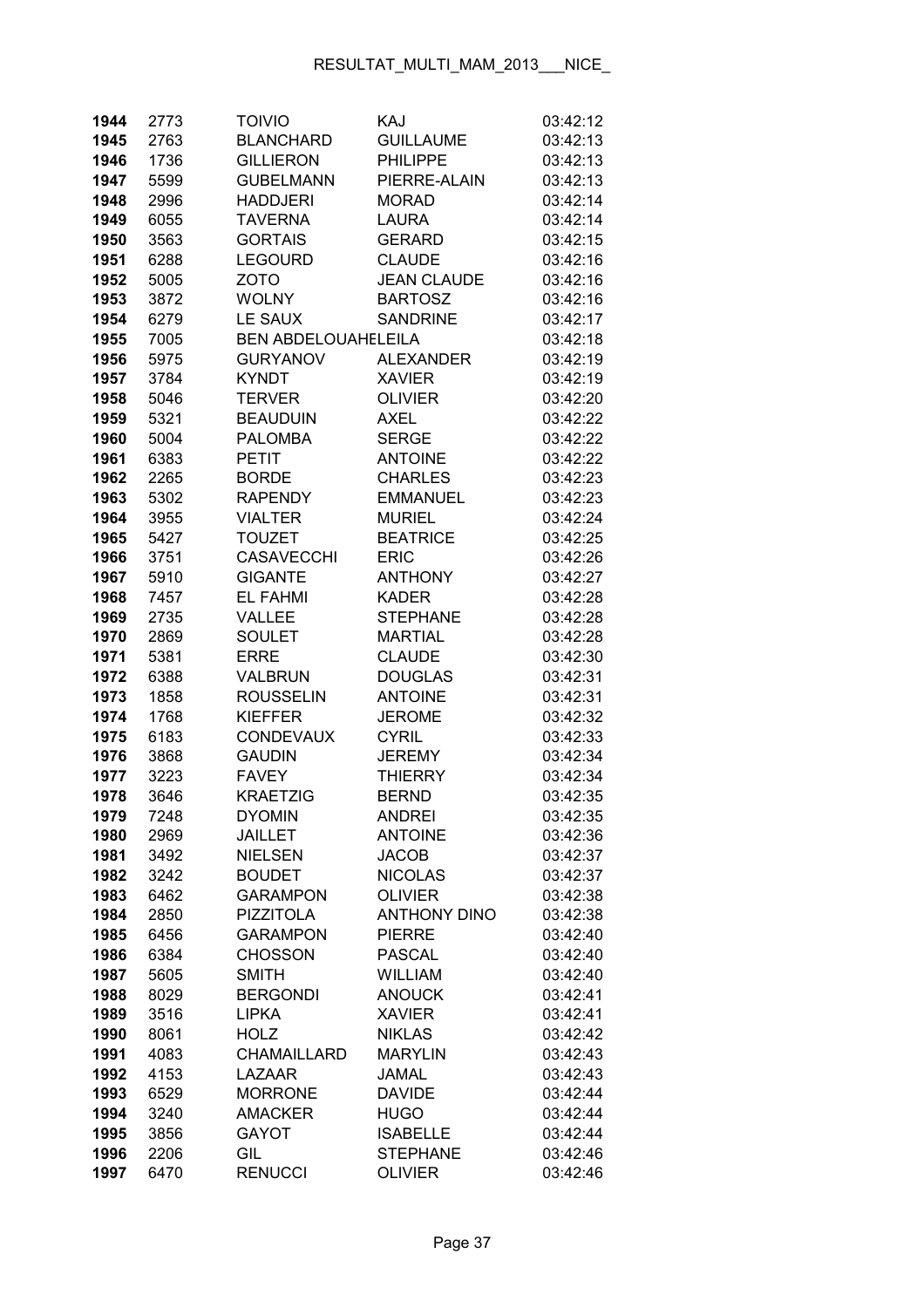| 1944         | 2773         | <b>TOIVIO</b>              | KAJ                            | 03:42:12             |
|--------------|--------------|----------------------------|--------------------------------|----------------------|
| 1945         | 2763         | <b>BLANCHARD</b>           | <b>GUILLAUME</b>               | 03:42:13             |
| 1946         | 1736         | <b>GILLIERON</b>           | <b>PHILIPPE</b>                | 03:42:13             |
| 1947         | 5599         | <b>GUBELMANN</b>           | PIERRE-ALAIN                   | 03:42:13             |
| 1948         | 2996         | <b>HADDJERI</b>            | <b>MORAD</b>                   | 03:42:14             |
| 1949         | 6055         | <b>TAVERNA</b>             | <b>LAURA</b>                   | 03:42:14             |
| 1950         | 3563         | <b>GORTAIS</b>             | <b>GERARD</b>                  | 03:42:15             |
| 1951         | 6288         | <b>LEGOURD</b>             | <b>CLAUDE</b>                  | 03:42:16             |
| 1952         | 5005         | <b>ZOTO</b>                | <b>JEAN CLAUDE</b>             | 03:42:16             |
| 1953         | 3872         | <b>WOLNY</b>               | <b>BARTOSZ</b>                 | 03:42:16             |
| 1954         | 6279         | LE SAUX                    | <b>SANDRINE</b>                | 03:42:17             |
| 1955         | 7005         | <b>BEN ABDELOUAHELEILA</b> |                                | 03:42:18             |
| 1956         | 5975         | <b>GURYANOV</b>            | <b>ALEXANDER</b>               | 03:42:19             |
| 1957         | 3784         | <b>KYNDT</b>               | <b>XAVIER</b>                  | 03:42:19             |
| 1958         | 5046         | <b>TERVER</b>              | <b>OLIVIER</b>                 | 03:42:20             |
| 1959         | 5321         | <b>BEAUDUIN</b>            | AXEL                           | 03:42:22             |
| 1960         | 5004         | <b>PALOMBA</b>             | <b>SERGE</b>                   | 03:42:22             |
| 1961         | 6383         | <b>PETIT</b>               | <b>ANTOINE</b>                 | 03:42:22             |
| 1962         | 2265         | <b>BORDE</b>               | <b>CHARLES</b>                 | 03:42:23             |
| 1963         | 5302         | <b>RAPENDY</b>             | <b>EMMANUEL</b>                | 03:42:23             |
| 1964         | 3955         | <b>VIALTER</b>             | <b>MURIEL</b>                  | 03:42:24             |
| 1965         | 5427         | <b>TOUZET</b>              | <b>BEATRICE</b>                | 03:42:25             |
| 1966         | 3751         | <b>CASAVECCHI</b>          | <b>ERIC</b>                    | 03:42:26             |
| 1967         | 5910         | <b>GIGANTE</b>             | <b>ANTHONY</b>                 | 03:42:27             |
| 1968         | 7457         | <b>EL FAHMI</b>            | <b>KADER</b>                   | 03:42:28             |
| 1969         | 2735         | VALLEE                     | <b>STEPHANE</b>                | 03:42:28             |
| 1970         | 2869         | <b>SOULET</b>              | <b>MARTIAL</b>                 | 03:42:28             |
| 1971         | 5381         | <b>ERRE</b>                | <b>CLAUDE</b>                  | 03:42:30             |
| 1972         | 6388         | VALBRUN                    | <b>DOUGLAS</b>                 | 03:42:31             |
| 1973         | 1858         | <b>ROUSSELIN</b>           | <b>ANTOINE</b>                 | 03:42:31             |
| 1974         | 1768         | <b>KIEFFER</b>             | <b>JEROME</b>                  | 03:42:32             |
| 1975         | 6183         | <b>CONDEVAUX</b>           | <b>CYRIL</b>                   | 03:42:33             |
| 1976         | 3868         | <b>GAUDIN</b>              | <b>JEREMY</b>                  | 03:42:34             |
| 1977         | 3223         | <b>FAVEY</b>               | <b>THIERRY</b>                 | 03:42:34             |
| 1978         | 3646         | <b>KRAETZIG</b>            | <b>BERND</b>                   | 03:42:35             |
| 1979         | 7248         | <b>DYOMIN</b>              | <b>ANDREI</b>                  | 03:42:35             |
| 1980         | 2969         | <b>JAILLET</b>             | <b>ANTOINE</b>                 | 03:42:36             |
| 1981         | 3492         | <b>NIELSEN</b>             | <b>JACOB</b>                   | 03:42:37             |
| 1982         | 3242         | <b>BOUDET</b>              | <b>NICOLAS</b>                 | 03:42:37             |
| 1983         | 6462         | <b>GARAMPON</b>            | <b>OLIVIER</b>                 | 03:42:38             |
| 1984         | 2850         | <b>PIZZITOLA</b>           | <b>ANTHONY DINO</b>            | 03:42:38             |
| 1985         | 6456         | <b>GARAMPON</b>            | <b>PIERRE</b>                  | 03:42:40             |
| 1986         | 6384         | <b>CHOSSON</b>             | <b>PASCAL</b>                  | 03:42:40             |
| 1987         | 5605         | <b>SMITH</b>               | <b>WILLIAM</b>                 | 03:42:40             |
| 1988         | 8029         | <b>BERGONDI</b>            | <b>ANOUCK</b>                  | 03:42:41             |
| 1989         | 3516         | <b>LIPKA</b>               | <b>XAVIER</b><br><b>NIKLAS</b> | 03:42:41             |
| 1990<br>1991 | 8061<br>4083 | <b>HOLZ</b><br>CHAMAILLARD | <b>MARYLIN</b>                 | 03:42:42<br>03:42:43 |
| 1992         | 4153         | LAZAAR                     | <b>JAMAL</b>                   | 03:42:43             |
| 1993         | 6529         | <b>MORRONE</b>             | <b>DAVIDE</b>                  | 03:42:44             |
| 1994         | 3240         | <b>AMACKER</b>             | <b>HUGO</b>                    | 03:42:44             |
| 1995         | 3856         | <b>GAYOT</b>               | <b>ISABELLE</b>                | 03:42:44             |
| 1996         | 2206         | GIL                        | <b>STEPHANE</b>                | 03:42:46             |
| 1997         | 6470         | <b>RENUCCI</b>             | <b>OLIVIER</b>                 | 03:42:46             |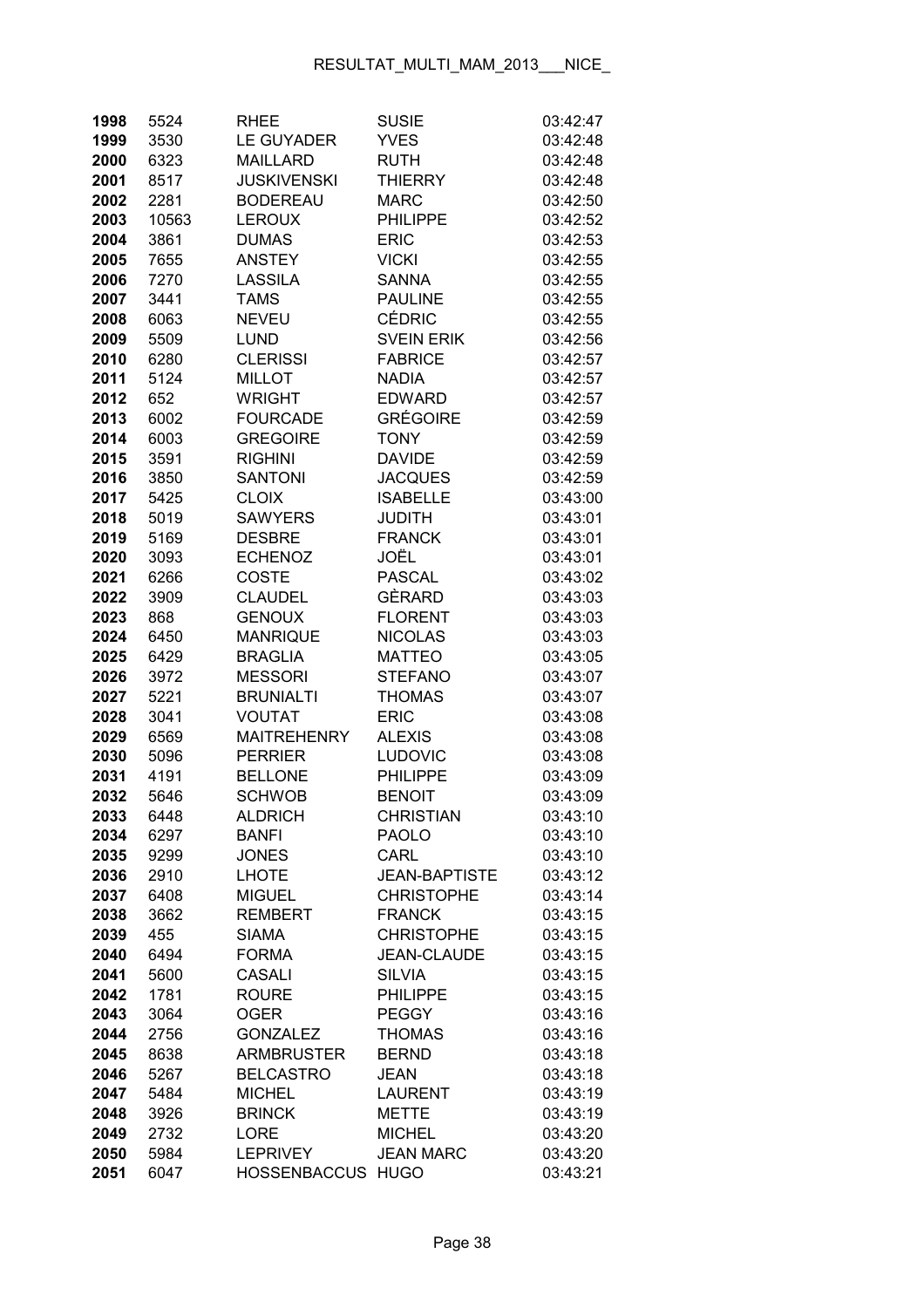| 1998 | 5524  | <b>RHEE</b>        | <b>SUSIE</b>         | 03:42:47 |
|------|-------|--------------------|----------------------|----------|
| 1999 | 3530  | <b>LE GUYADER</b>  | <b>YVES</b>          | 03:42:48 |
| 2000 | 6323  | <b>MAILLARD</b>    | <b>RUTH</b>          | 03:42:48 |
| 2001 | 8517  | <b>JUSKIVENSKI</b> | <b>THIERRY</b>       | 03:42:48 |
| 2002 | 2281  | <b>BODEREAU</b>    | <b>MARC</b>          | 03:42:50 |
| 2003 | 10563 | <b>LEROUX</b>      | <b>PHILIPPE</b>      | 03:42:52 |
| 2004 | 3861  | <b>DUMAS</b>       | <b>ERIC</b>          | 03:42:53 |
| 2005 | 7655  | <b>ANSTEY</b>      | <b>VICKI</b>         | 03:42:55 |
| 2006 | 7270  | LASSILA            | <b>SANNA</b>         | 03:42:55 |
| 2007 | 3441  | <b>TAMS</b>        | <b>PAULINE</b>       | 03:42:55 |
| 2008 | 6063  | <b>NEVEU</b>       | <b>CÉDRIC</b>        | 03:42:55 |
| 2009 | 5509  | <b>LUND</b>        | <b>SVEIN ERIK</b>    | 03:42:56 |
| 2010 | 6280  | <b>CLERISSI</b>    | <b>FABRICE</b>       | 03:42:57 |
| 2011 | 5124  | <b>MILLOT</b>      | <b>NADIA</b>         | 03:42:57 |
| 2012 | 652   | <b>WRIGHT</b>      | <b>EDWARD</b>        | 03:42:57 |
| 2013 | 6002  | <b>FOURCADE</b>    | <b>GRÉGOIRE</b>      | 03:42:59 |
| 2014 | 6003  | <b>GREGOIRE</b>    | <b>TONY</b>          | 03:42:59 |
| 2015 | 3591  | <b>RIGHINI</b>     | <b>DAVIDE</b>        | 03:42:59 |
| 2016 | 3850  | <b>SANTONI</b>     | <b>JACQUES</b>       | 03:42:59 |
| 2017 | 5425  | <b>CLOIX</b>       | <b>ISABELLE</b>      | 03:43:00 |
| 2018 | 5019  | <b>SAWYERS</b>     | <b>JUDITH</b>        | 03:43:01 |
| 2019 | 5169  | <b>DESBRE</b>      | <b>FRANCK</b>        | 03:43:01 |
| 2020 | 3093  | <b>ECHENOZ</b>     | JOËL                 | 03:43:01 |
| 2021 | 6266  | <b>COSTE</b>       | <b>PASCAL</b>        | 03:43:02 |
| 2022 | 3909  | <b>CLAUDEL</b>     | GÈRARD               | 03:43:03 |
| 2023 | 868   | <b>GENOUX</b>      | <b>FLORENT</b>       | 03:43:03 |
| 2024 | 6450  | <b>MANRIQUE</b>    | <b>NICOLAS</b>       | 03:43:03 |
| 2025 | 6429  | <b>BRAGLIA</b>     | <b>MATTEO</b>        | 03:43:05 |
| 2026 | 3972  | <b>MESSORI</b>     | <b>STEFANO</b>       | 03:43:07 |
| 2027 | 5221  | <b>BRUNIALTI</b>   | <b>THOMAS</b>        | 03:43:07 |
| 2028 | 3041  | <b>VOUTAT</b>      | <b>ERIC</b>          | 03:43:08 |
| 2029 | 6569  | <b>MAITREHENRY</b> | <b>ALEXIS</b>        | 03:43:08 |
| 2030 | 5096  | <b>PERRIER</b>     | <b>LUDOVIC</b>       | 03:43:08 |
| 2031 | 4191  | <b>BELLONE</b>     | <b>PHILIPPE</b>      | 03:43:09 |
| 2032 | 5646  | <b>SCHWOB</b>      | <b>BENOIT</b>        | 03:43:09 |
| 2033 | 6448  | <b>ALDRICH</b>     | <b>CHRISTIAN</b>     | 03:43:10 |
| 2034 | 6297  | <b>BANFI</b>       | <b>PAOLO</b>         | 03:43:10 |
| 2035 | 9299  | <b>JONES</b>       | CARL                 | 03:43:10 |
| 2036 | 2910  | <b>LHOTE</b>       | <b>JEAN-BAPTISTE</b> | 03:43:12 |
| 2037 | 6408  | <b>MIGUEL</b>      | <b>CHRISTOPHE</b>    | 03:43:14 |
| 2038 | 3662  | <b>REMBERT</b>     | <b>FRANCK</b>        | 03:43:15 |
| 2039 | 455   | <b>SIAMA</b>       | <b>CHRISTOPHE</b>    | 03:43:15 |
| 2040 | 6494  | <b>FORMA</b>       | <b>JEAN-CLAUDE</b>   | 03:43:15 |
| 2041 | 5600  | <b>CASALI</b>      | <b>SILVIA</b>        | 03:43:15 |
| 2042 | 1781  | <b>ROURE</b>       | <b>PHILIPPE</b>      | 03:43:15 |
| 2043 | 3064  | <b>OGER</b>        | <b>PEGGY</b>         | 03:43:16 |
| 2044 | 2756  | <b>GONZALEZ</b>    | <b>THOMAS</b>        | 03:43:16 |
| 2045 | 8638  | <b>ARMBRUSTER</b>  | <b>BERND</b>         | 03:43:18 |
| 2046 | 5267  | <b>BELCASTRO</b>   | <b>JEAN</b>          | 03:43:18 |
| 2047 | 5484  | <b>MICHEL</b>      | <b>LAURENT</b>       | 03:43:19 |
| 2048 | 3926  | <b>BRINCK</b>      | <b>METTE</b>         | 03:43:19 |
| 2049 | 2732  | <b>LORE</b>        | <b>MICHEL</b>        | 03:43:20 |
| 2050 | 5984  | <b>LEPRIVEY</b>    | <b>JEAN MARC</b>     | 03:43:20 |
| 2051 | 6047  | HOSSENBACCUS HUGO  |                      | 03:43:21 |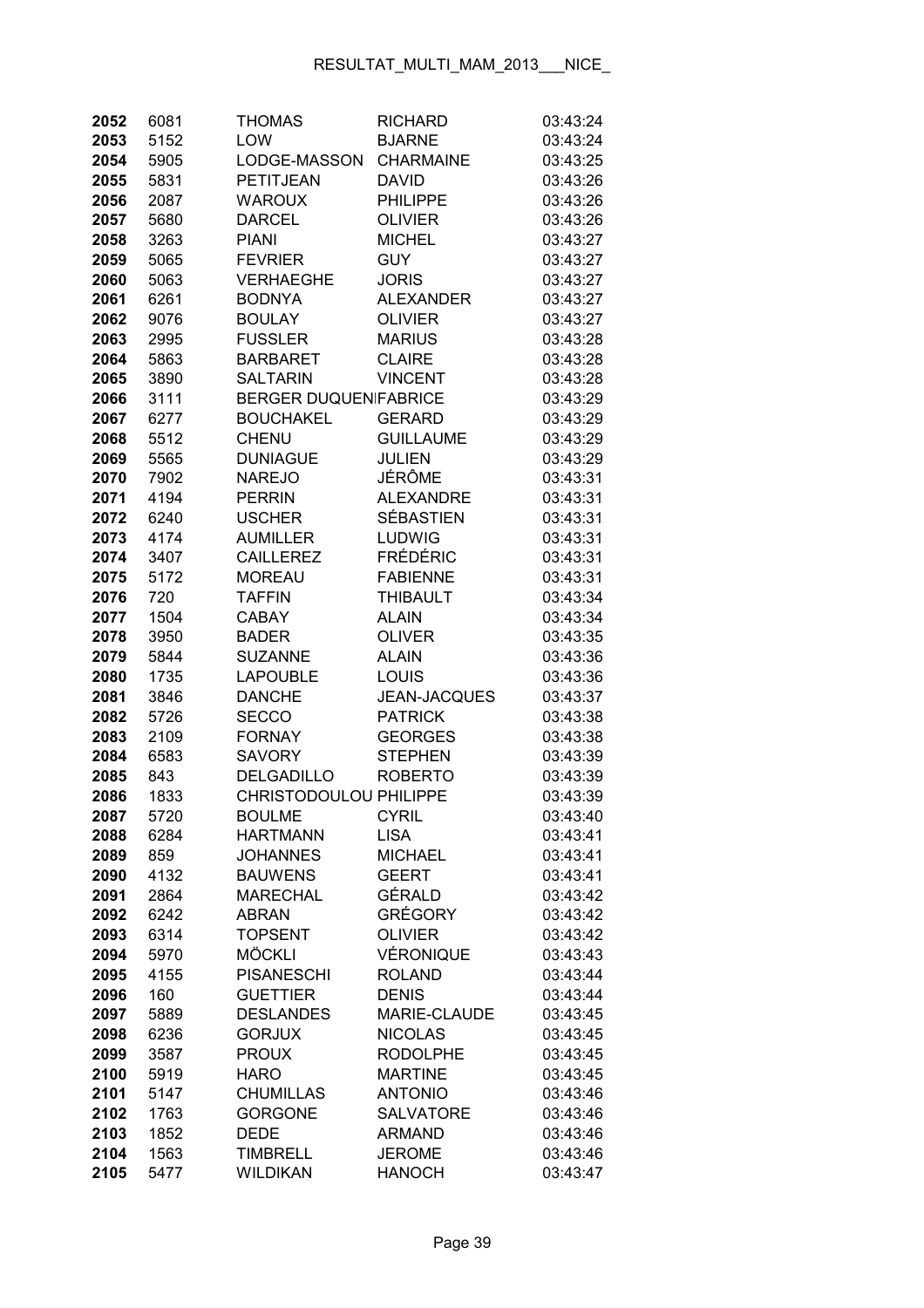| 2052         | 6081         | <b>THOMAS</b>                   | <b>RICHARD</b>                   | 03:43:24             |
|--------------|--------------|---------------------------------|----------------------------------|----------------------|
| 2053         | 5152         | LOW                             | <b>BJARNE</b>                    | 03:43:24             |
| 2054         | 5905         | LODGE-MASSON                    | <b>CHARMAINE</b>                 | 03:43:25             |
| 2055         | 5831         | PETITJEAN                       | <b>DAVID</b>                     | 03:43:26             |
| 2056         | 2087         | <b>WAROUX</b>                   | <b>PHILIPPE</b>                  | 03:43:26             |
| 2057         | 5680         | <b>DARCEL</b>                   | OLIVIER                          | 03:43:26             |
| 2058         | 3263         | <b>PIANI</b>                    | <b>MICHEL</b>                    | 03:43:27             |
| 2059         | 5065         | <b>FEVRIER</b>                  | <b>GUY</b>                       | 03:43:27             |
| 2060         | 5063         | <b>VERHAEGHE</b>                | <b>JORIS</b>                     | 03:43:27             |
| 2061         | 6261         | <b>BODNYA</b>                   | <b>ALEXANDER</b>                 | 03:43:27             |
| 2062         | 9076         | <b>BOULAY</b>                   | <b>OLIVIER</b>                   | 03:43:27             |
| 2063         | 2995         | <b>FUSSLER</b>                  | <b>MARIUS</b>                    | 03:43:28             |
| 2064         | 5863         | <b>BARBARET</b>                 | <b>CLAIRE</b>                    | 03:43:28             |
| 2065         | 3890         | <b>SALTARIN</b>                 | <b>VINCENT</b>                   | 03:43:28             |
| 2066         | 3111         | <b>BERGER DUQUEN FABRICE</b>    |                                  | 03:43:29             |
| 2067         | 6277         | <b>BOUCHAKEL</b>                | <b>GERARD</b>                    | 03:43:29             |
| 2068         | 5512         | <b>CHENU</b>                    | <b>GUILLAUME</b>                 | 03:43:29             |
| 2069         | 5565         | <b>DUNIAGUE</b>                 | <b>JULIEN</b>                    | 03:43:29             |
| 2070         | 7902         | <b>NAREJO</b>                   | JÉRÔME                           | 03:43:31             |
| 2071         | 4194         | <b>PERRIN</b>                   | <b>ALEXANDRE</b>                 | 03:43:31             |
| 2072         | 6240         | <b>USCHER</b>                   | <b>SÉBASTIEN</b>                 | 03:43:31             |
| 2073         | 4174         | <b>AUMILLER</b>                 | LUDWIG                           | 03:43:31             |
| 2074         | 3407         | <b>CAILLEREZ</b>                | <b>FRÉDÉRIC</b>                  | 03:43:31             |
| 2075         | 5172         | <b>MOREAU</b>                   | <b>FABIENNE</b>                  | 03:43:31             |
| 2076         | 720          | <b>TAFFIN</b>                   | <b>THIBAULT</b>                  | 03:43:34             |
| 2077         | 1504         | <b>CABAY</b>                    | <b>ALAIN</b>                     | 03:43:34             |
| 2078         | 3950         | <b>BADER</b>                    | <b>OLIVER</b>                    | 03:43:35             |
| 2079         | 5844         | <b>SUZANNE</b>                  | <b>ALAIN</b>                     | 03:43:36             |
| 2080         | 1735         | <b>LAPOUBLE</b>                 | LOUIS                            | 03:43:36             |
| 2081         | 3846         | <b>DANCHE</b>                   | <b>JEAN-JACQUES</b>              | 03:43:37             |
| 2082         | 5726         | <b>SECCO</b>                    | <b>PATRICK</b>                   | 03:43:38             |
| 2083         | 2109         | <b>FORNAY</b>                   | <b>GEORGES</b>                   | 03:43:38             |
| 2084         | 6583         | <b>SAVORY</b>                   | <b>STEPHEN</b>                   | 03:43:39             |
| 2085         | 843          | <b>DELGADILLO</b>               | <b>ROBERTO</b>                   | 03:43:39             |
| 2086         | 1833         | CHRISTODOULOU PHILIPPE          |                                  | 03:43:39             |
| 2087         | 5720         | <b>BOULME</b>                   | <b>CYRIL</b>                     | 03:43:40             |
| 2088         | 6284         | <b>HARTMANN</b>                 | <b>LISA</b>                      | 03:43:41             |
| 2089         | 859          | <b>JOHANNES</b>                 | <b>MICHAEL</b>                   | 03:43:41             |
| 2090         | 4132         | <b>BAUWENS</b>                  | <b>GEERT</b>                     | 03:43:41             |
| 2091         | 2864         | <b>MARECHAL</b>                 | GÉRALD                           | 03:43:42             |
| 2092         | 6242         | <b>ABRAN</b>                    | <b>GRÉGORY</b>                   | 03:43:42             |
| 2093         | 6314         | <b>TOPSENT</b>                  | <b>OLIVIER</b>                   | 03:43:42             |
| 2094         | 5970         | <b>MÖCKLI</b>                   | VÉRONIQUE                        | 03:43:43             |
| 2095         | 4155         | <b>PISANESCHI</b>               | <b>ROLAND</b>                    | 03:43:44             |
| 2096         | 160          | <b>GUETTIER</b>                 | <b>DENIS</b>                     | 03:43:44             |
| 2097         | 5889         | <b>DESLANDES</b>                | MARIE-CLAUDE                     | 03:43:45             |
| 2098         | 6236         | <b>GORJUX</b>                   | <b>NICOLAS</b>                   | 03:43:45             |
| 2099         | 3587         | <b>PROUX</b>                    | <b>RODOLPHE</b>                  | 03:43:45             |
| 2100<br>2101 | 5919         | <b>HARO</b><br><b>CHUMILLAS</b> | <b>MARTINE</b><br><b>ANTONIO</b> | 03:43:45<br>03:43:46 |
| 2102         | 5147<br>1763 | <b>GORGONE</b>                  | <b>SALVATORE</b>                 | 03:43:46             |
| 2103         | 1852         | <b>DEDE</b>                     | <b>ARMAND</b>                    | 03:43:46             |
| 2104         | 1563         | <b>TIMBRELL</b>                 | <b>JEROME</b>                    | 03:43:46             |
| 2105         | 5477         | <b>WILDIKAN</b>                 | <b>HANOCH</b>                    | 03:43:47             |
|              |              |                                 |                                  |                      |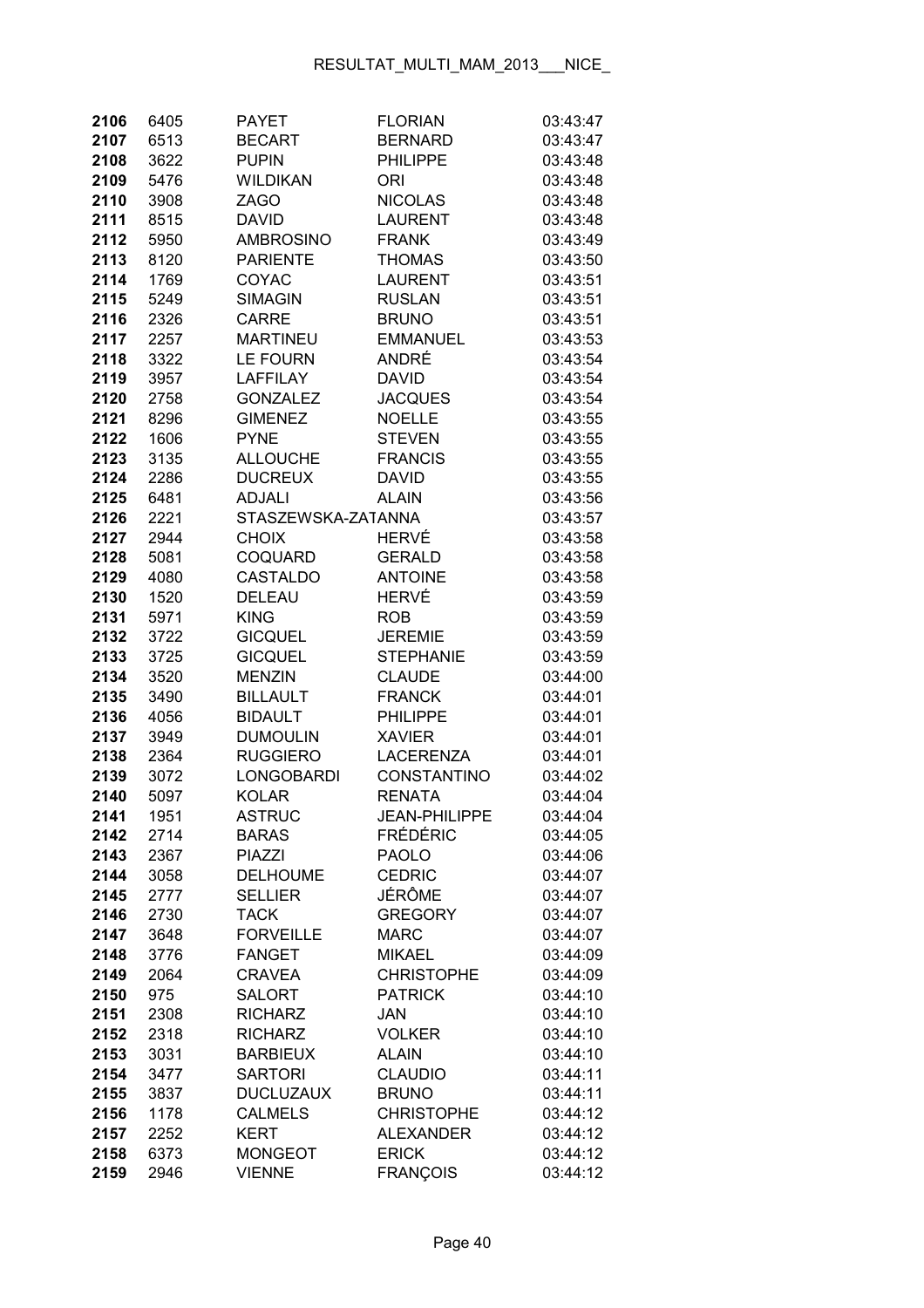| 2106         | 6405         | <b>PAYET</b>                     | <b>FLORIAN</b>                   | 03:43:47             |
|--------------|--------------|----------------------------------|----------------------------------|----------------------|
| 2107         | 6513         | <b>BECART</b>                    | <b>BERNARD</b>                   | 03:43:47             |
| 2108         | 3622         | <b>PUPIN</b>                     | PHILIPPE                         | 03:43:48             |
| 2109         | 5476         | <b>WILDIKAN</b>                  | ORI                              | 03:43:48             |
| 2110         | 3908         | <b>ZAGO</b>                      | <b>NICOLAS</b>                   | 03:43:48             |
| 2111         | 8515         | <b>DAVID</b>                     | <b>LAURENT</b>                   | 03:43:48             |
| 2112         | 5950         | <b>AMBROSINO</b>                 | <b>FRANK</b>                     | 03:43:49             |
| 2113         | 8120         | <b>PARIENTE</b>                  | <b>THOMAS</b>                    | 03:43:50             |
| 2114         | 1769         | COYAC                            | <b>LAURENT</b>                   | 03:43:51             |
| 2115         | 5249         | <b>SIMAGIN</b>                   | <b>RUSLAN</b>                    | 03:43:51             |
| 2116         | 2326         | <b>CARRE</b>                     | <b>BRUNO</b>                     | 03:43:51             |
| 2117         | 2257         | <b>MARTINEU</b>                  | <b>EMMANUEL</b>                  | 03:43:53             |
| 2118         | 3322         | LE FOURN                         | ANDRÉ                            | 03:43:54             |
| 2119         | 3957         | <b>LAFFILAY</b>                  | DAVID                            | 03:43:54             |
| 2120         | 2758         | <b>GONZALEZ</b>                  | <b>JACQUES</b>                   | 03:43:54             |
| 2121         | 8296         | <b>GIMENEZ</b>                   | <b>NOELLE</b>                    | 03:43:55             |
| 2122         | 1606         | <b>PYNE</b>                      | <b>STEVEN</b>                    | 03:43:55             |
| 2123         | 3135         | <b>ALLOUCHE</b>                  | <b>FRANCIS</b>                   | 03:43:55             |
| 2124         | 2286         | <b>DUCREUX</b>                   | <b>DAVID</b>                     | 03:43:55             |
| 2125         | 6481         | <b>ADJALI</b>                    | <b>ALAIN</b>                     | 03:43:56             |
| 2126         | 2221         | STASZEWSKA-ZATANNA               |                                  | 03:43:57             |
| 2127         | 2944         | <b>CHOIX</b>                     | HERVÉ                            | 03:43:58             |
| 2128         | 5081         | <b>COQUARD</b>                   | <b>GERALD</b>                    | 03:43:58             |
| 2129         | 4080         | <b>CASTALDO</b>                  | <b>ANTOINE</b>                   | 03:43:58             |
| 2130         | 1520         | DELEAU                           | <b>HERVÉ</b>                     | 03:43:59             |
| 2131         | 5971         | <b>KING</b>                      | <b>ROB</b>                       | 03:43:59             |
| 2132         | 3722         | <b>GICQUEL</b>                   | <b>JEREMIE</b>                   | 03:43:59             |
| 2133         | 3725         | <b>GICQUEL</b>                   | <b>STEPHANIE</b>                 | 03:43:59             |
| 2134         | 3520         | <b>MENZIN</b>                    | <b>CLAUDE</b>                    | 03:44:00             |
| 2135         | 3490         | <b>BILLAULT</b>                  | <b>FRANCK</b>                    | 03:44:01             |
| 2136         | 4056         | <b>BIDAULT</b>                   | <b>PHILIPPE</b>                  | 03:44:01             |
| 2137         | 3949         | <b>DUMOULIN</b>                  | <b>XAVIER</b>                    | 03:44:01             |
| 2138         | 2364         | <b>RUGGIERO</b>                  | <b>LACERENZA</b>                 | 03:44:01             |
| 2139         | 3072         | LONGOBARDI                       | CONSTANTINO                      | 03:44:02             |
| 2140         | 5097         | <b>KOLAR</b>                     | <b>RENATA</b>                    | 03:44:04             |
| 2141         | 1951         | ASTRUC                           | JEAN-PHILIPPE<br><b>FRÉDÉRIC</b> | 03:44:04             |
| 2142<br>2143 | 2714<br>2367 | <b>BARAS</b>                     | <b>PAOLO</b>                     | 03:44:05             |
| 2144         | 3058         | <b>PIAZZI</b><br><b>DELHOUME</b> | <b>CEDRIC</b>                    | 03:44:06<br>03:44:07 |
| 2145         | 2777         | <b>SELLIER</b>                   | JÉRÔME                           | 03:44:07             |
| 2146         | 2730         | <b>TACK</b>                      | <b>GREGORY</b>                   | 03:44:07             |
| 2147         | 3648         | <b>FORVEILLE</b>                 | <b>MARC</b>                      | 03:44:07             |
| 2148         | 3776         | <b>FANGET</b>                    | <b>MIKAEL</b>                    | 03:44:09             |
| 2149         | 2064         | <b>CRAVEA</b>                    | <b>CHRISTOPHE</b>                | 03:44:09             |
| 2150         | 975          | <b>SALORT</b>                    | <b>PATRICK</b>                   | 03:44:10             |
| 2151         | 2308         | <b>RICHARZ</b>                   | <b>JAN</b>                       | 03:44:10             |
| 2152         | 2318         | <b>RICHARZ</b>                   | <b>VOLKER</b>                    | 03:44:10             |
| 2153         | 3031         | <b>BARBIEUX</b>                  | <b>ALAIN</b>                     | 03:44:10             |
| 2154         | 3477         | <b>SARTORI</b>                   | <b>CLAUDIO</b>                   | 03:44:11             |
| 2155         | 3837         | <b>DUCLUZAUX</b>                 | <b>BRUNO</b>                     | 03:44:11             |
| 2156         | 1178         | <b>CALMELS</b>                   | <b>CHRISTOPHE</b>                | 03:44:12             |
| 2157         | 2252         | <b>KERT</b>                      | <b>ALEXANDER</b>                 | 03:44:12             |
| 2158         | 6373         | <b>MONGEOT</b>                   | <b>ERICK</b>                     | 03:44:12             |
| 2159         | 2946         | <b>VIENNE</b>                    | <b>FRANÇOIS</b>                  | 03:44:12             |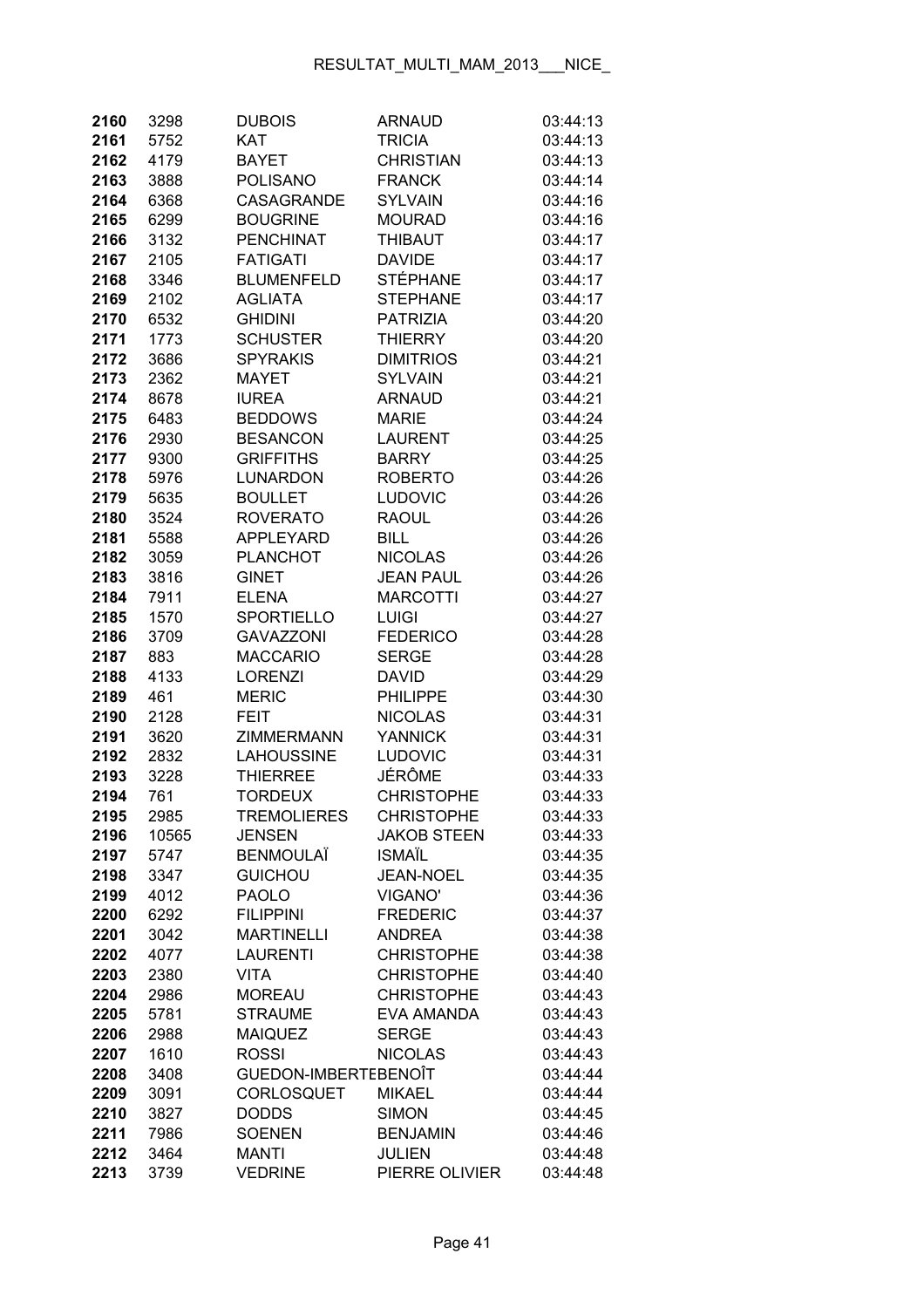| 2160 | 3298  | <b>DUBOIS</b>        | <b>ARNAUD</b>      | 03:44:13 |
|------|-------|----------------------|--------------------|----------|
| 2161 | 5752  | <b>KAT</b>           | <b>TRICIA</b>      | 03:44:13 |
| 2162 | 4179  | <b>BAYET</b>         | <b>CHRISTIAN</b>   | 03:44:13 |
| 2163 | 3888  | POLISANO             | <b>FRANCK</b>      | 03:44:14 |
| 2164 | 6368  | <b>CASAGRANDE</b>    | <b>SYLVAIN</b>     | 03:44:16 |
| 2165 | 6299  | <b>BOUGRINE</b>      | <b>MOURAD</b>      | 03:44:16 |
| 2166 | 3132  | <b>PENCHINAT</b>     | <b>THIBAUT</b>     | 03:44:17 |
| 2167 | 2105  | <b>FATIGATI</b>      | <b>DAVIDE</b>      | 03:44:17 |
| 2168 | 3346  | <b>BLUMENFELD</b>    | <b>STÉPHANE</b>    | 03:44:17 |
| 2169 | 2102  | <b>AGLIATA</b>       | <b>STEPHANE</b>    | 03:44:17 |
| 2170 | 6532  | <b>GHIDINI</b>       | <b>PATRIZIA</b>    | 03:44:20 |
| 2171 | 1773  | <b>SCHUSTER</b>      | <b>THIERRY</b>     | 03:44:20 |
| 2172 | 3686  | <b>SPYRAKIS</b>      | <b>DIMITRIOS</b>   | 03:44:21 |
| 2173 | 2362  | <b>MAYET</b>         | <b>SYLVAIN</b>     | 03:44:21 |
| 2174 | 8678  | <b>IUREA</b>         | <b>ARNAUD</b>      | 03:44:21 |
| 2175 | 6483  | <b>BEDDOWS</b>       | <b>MARIE</b>       | 03:44:24 |
| 2176 | 2930  | <b>BESANCON</b>      | <b>LAURENT</b>     | 03:44:25 |
| 2177 | 9300  | <b>GRIFFITHS</b>     | <b>BARRY</b>       | 03:44:25 |
| 2178 | 5976  | <b>LUNARDON</b>      | <b>ROBERTO</b>     | 03:44:26 |
| 2179 | 5635  | <b>BOULLET</b>       | <b>LUDOVIC</b>     | 03:44:26 |
| 2180 | 3524  | <b>ROVERATO</b>      | <b>RAOUL</b>       | 03:44:26 |
| 2181 | 5588  | <b>APPLEYARD</b>     | <b>BILL</b>        | 03:44:26 |
| 2182 | 3059  | <b>PLANCHOT</b>      | <b>NICOLAS</b>     | 03:44:26 |
| 2183 | 3816  | <b>GINET</b>         | <b>JEAN PAUL</b>   | 03:44:26 |
| 2184 | 7911  | <b>ELENA</b>         | <b>MARCOTTI</b>    | 03:44:27 |
| 2185 | 1570  | <b>SPORTIELLO</b>    | <b>LUIGI</b>       | 03:44:27 |
| 2186 | 3709  | <b>GAVAZZONI</b>     | <b>FEDERICO</b>    | 03:44:28 |
| 2187 | 883   | <b>MACCARIO</b>      | <b>SERGE</b>       | 03:44:28 |
| 2188 | 4133  | <b>LORENZI</b>       | <b>DAVID</b>       | 03:44:29 |
| 2189 | 461   | <b>MERIC</b>         | <b>PHILIPPE</b>    | 03:44:30 |
| 2190 | 2128  | FEIT                 | <b>NICOLAS</b>     | 03:44:31 |
| 2191 | 3620  | <b>ZIMMERMANN</b>    | <b>YANNICK</b>     | 03:44:31 |
| 2192 | 2832  | <b>LAHOUSSINE</b>    | <b>LUDOVIC</b>     | 03:44:31 |
| 2193 | 3228  | <b>THIERREE</b>      | JÉRÔME             | 03:44:33 |
| 2194 | 761   | <b>TORDEUX</b>       | <b>CHRISTOPHE</b>  | 03:44:33 |
| 2195 | 2985  | TREMOLIERES          | <b>CHRISTOPHE</b>  | 03:44:33 |
| 2196 | 10565 | <b>JENSEN</b>        | <b>JAKOB STEEN</b> | 03:44:33 |
| 2197 | 5747  | <b>BENMOULAÏ</b>     | <b>ISMAÏL</b>      | 03:44:35 |
| 2198 | 3347  | <b>GUICHOU</b>       | <b>JEAN-NOEL</b>   | 03:44:35 |
| 2199 | 4012  | <b>PAOLO</b>         | <b>VIGANO'</b>     | 03:44:36 |
| 2200 | 6292  | <b>FILIPPINI</b>     | <b>FREDERIC</b>    | 03:44:37 |
| 2201 | 3042  | <b>MARTINELLI</b>    | <b>ANDREA</b>      | 03:44:38 |
| 2202 | 4077  | <b>LAURENTI</b>      | <b>CHRISTOPHE</b>  | 03:44:38 |
| 2203 | 2380  | <b>VITA</b>          | <b>CHRISTOPHE</b>  | 03:44:40 |
| 2204 | 2986  | <b>MOREAU</b>        | <b>CHRISTOPHE</b>  | 03:44:43 |
| 2205 | 5781  | <b>STRAUME</b>       | EVA AMANDA         | 03:44:43 |
| 2206 | 2988  | <b>MAIQUEZ</b>       | <b>SERGE</b>       | 03:44:43 |
| 2207 | 1610  | <b>ROSSI</b>         | <b>NICOLAS</b>     | 03:44:43 |
| 2208 | 3408  | GUEDON-IMBERTEBENOÎT |                    | 03:44:44 |
| 2209 | 3091  | <b>CORLOSQUET</b>    | <b>MIKAEL</b>      | 03:44:44 |
| 2210 | 3827  | <b>DODDS</b>         | <b>SIMON</b>       | 03:44:45 |
| 2211 | 7986  | <b>SOENEN</b>        | <b>BENJAMIN</b>    | 03:44:46 |
| 2212 | 3464  | <b>MANTI</b>         | <b>JULIEN</b>      | 03:44:48 |
| 2213 | 3739  | <b>VEDRINE</b>       | PIERRE OLIVIER     | 03:44:48 |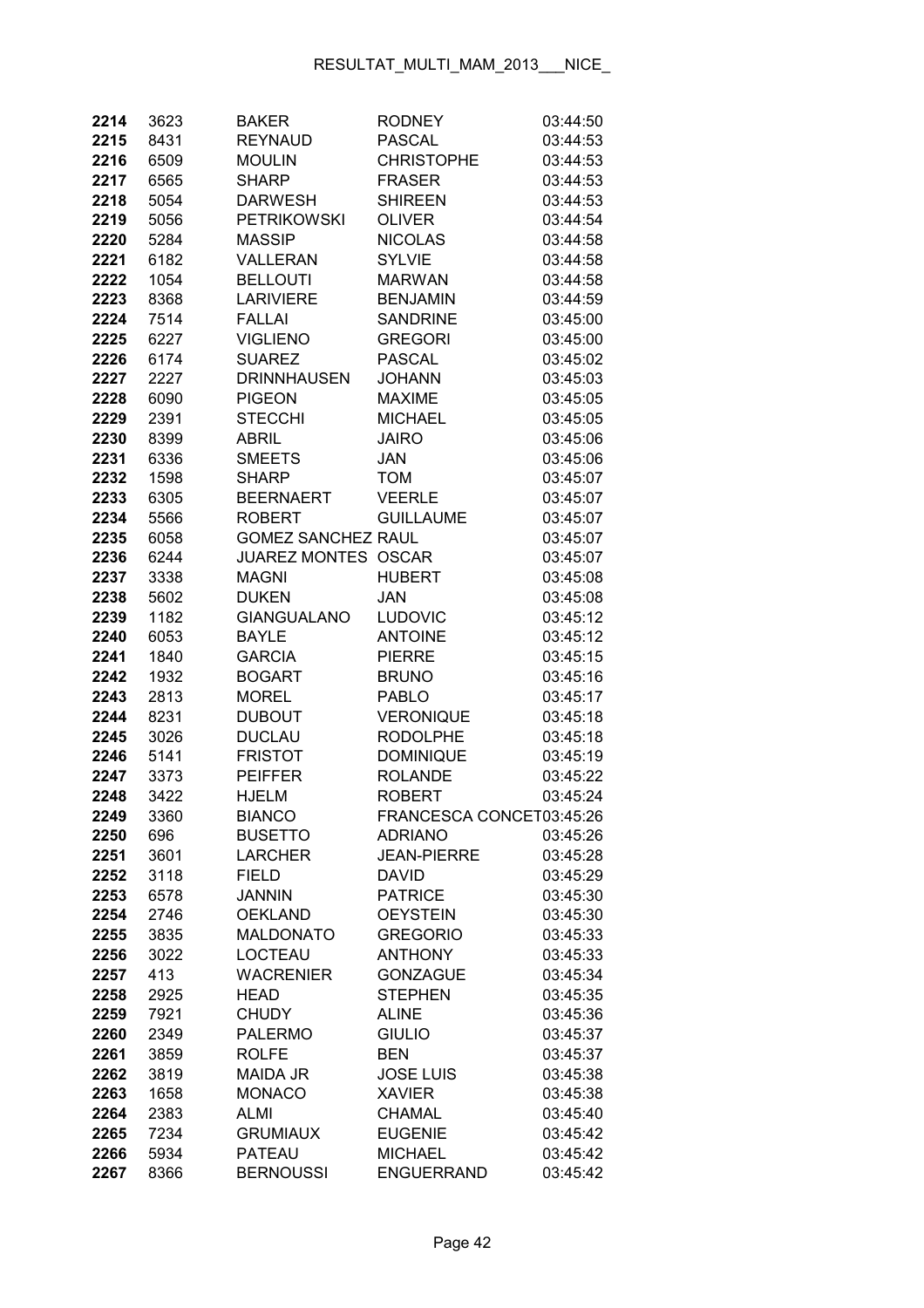| 2214         | 3623        | <b>BAKER</b>                | <b>RODNEY</b>                     | 03:44:50             |
|--------------|-------------|-----------------------------|-----------------------------------|----------------------|
| 2215         | 8431        | <b>REYNAUD</b>              | <b>PASCAL</b>                     | 03:44:53             |
| 2216         | 6509        | <b>MOULIN</b>               | <b>CHRISTOPHE</b>                 | 03:44:53             |
| 2217         | 6565        | <b>SHARP</b>                | <b>FRASER</b>                     | 03:44:53             |
| 2218         | 5054        | <b>DARWESH</b>              | <b>SHIREEN</b>                    | 03:44:53             |
| 2219         | 5056        | <b>PETRIKOWSKI</b>          | <b>OLIVER</b>                     | 03:44:54             |
| 2220         | 5284        | <b>MASSIP</b>               | <b>NICOLAS</b>                    | 03:44:58             |
| 2221         | 6182        | VALLERAN                    | <b>SYLVIE</b>                     | 03:44:58             |
| 2222         | 1054        | <b>BELLOUTI</b>             | <b>MARWAN</b>                     | 03:44:58             |
| 2223         | 8368        | <b>LARIVIERE</b>            | <b>BENJAMIN</b>                   | 03:44:59             |
| 2224         | 7514        | <b>FALLAI</b>               | <b>SANDRINE</b>                   | 03:45:00             |
| 2225         | 6227        | <b>VIGLIENO</b>             | <b>GREGORI</b>                    | 03:45:00             |
| 2226         | 6174        | <b>SUAREZ</b>               | <b>PASCAL</b>                     | 03:45:02             |
| 2227         | 2227        | <b>DRINNHAUSEN</b>          | <b>JOHANN</b>                     | 03:45:03             |
| 2228         | 6090        | <b>PIGEON</b>               | <b>MAXIME</b>                     | 03:45:05             |
| 2229         | 2391        | <b>STECCHI</b>              | <b>MICHAEL</b>                    | 03:45:05             |
| 2230         | 8399        | ABRIL                       | <b>JAIRO</b>                      | 03:45:06             |
| 2231         | 6336        | <b>SMEETS</b>               | JAN                               | 03:45:06             |
| 2232         | 1598        | <b>SHARP</b>                | <b>TOM</b>                        | 03:45:07             |
| 2233         | 6305        | <b>BEERNAERT</b>            | <b>VEERLE</b>                     | 03:45:07             |
| 2234         | 5566        | <b>ROBERT</b>               | <b>GUILLAUME</b>                  | 03:45:07             |
| 2235         | 6058        | <b>GOMEZ SANCHEZ RAUL</b>   |                                   | 03:45:07             |
| 2236         | 6244        | JUAREZ MONTES OSCAR         |                                   | 03:45:07             |
| 2237         | 3338        | <b>MAGNI</b>                | <b>HUBERT</b>                     | 03:45:08             |
| 2238         | 5602        | <b>DUKEN</b>                | <b>JAN</b>                        | 03:45:08             |
| 2239         | 1182        | <b>GIANGUALANO</b>          | <b>LUDOVIC</b>                    | 03:45:12             |
| 2240         | 6053        | <b>BAYLE</b>                | <b>ANTOINE</b>                    | 03:45:12             |
| 2241         | 1840        | <b>GARCIA</b>               | <b>PIERRE</b>                     | 03:45:15             |
| 2242         | 1932        | <b>BOGART</b>               | <b>BRUNO</b>                      | 03:45:16             |
| 2243         | 2813        | <b>MOREL</b>                | <b>PABLO</b>                      | 03:45:17             |
| 2244         | 8231        | <b>DUBOUT</b>               | <b>VERONIQUE</b>                  | 03:45:18             |
| 2245         | 3026        | <b>DUCLAU</b>               | <b>RODOLPHE</b>                   | 03:45:18             |
| 2246         | 5141        | <b>FRISTOT</b>              | <b>DOMINIQUE</b>                  | 03:45:19             |
| 2247         | 3373        | <b>PEIFFER</b>              | <b>ROLANDE</b>                    | 03:45:22             |
| 2248         | 3422        | <b>HJELM</b>                | <b>ROBERT</b>                     | 03:45:24             |
| 2249         | 3360        | <b>BIANCO</b>               | FRANCESCA CONCET03:45:26          |                      |
| 2250         | 696         | <b>BUSETTO</b>              | <b>ADRIANO</b>                    | 03:45:26             |
| 2251         | 3601        | <b>LARCHER</b>              | <b>JEAN-PIERRE</b>                | 03:45:28             |
| 2252         | 3118        | <b>FIELD</b>                | <b>DAVID</b>                      | 03:45:29             |
| 2253         | 6578        | <b>JANNIN</b>               | <b>PATRICE</b>                    | 03:45:30             |
| 2254         | 2746        | <b>OEKLAND</b>              | <b>OEYSTEIN</b>                   | 03:45:30             |
| 2255         | 3835        | <b>MALDONATO</b>            | <b>GREGORIO</b><br><b>ANTHONY</b> | 03:45:33             |
| 2256<br>2257 | 3022<br>413 | LOCTEAU<br><b>WACRENIER</b> | <b>GONZAGUE</b>                   | 03:45:33<br>03:45:34 |
| 2258         | 2925        | <b>HEAD</b>                 | <b>STEPHEN</b>                    | 03:45:35             |
| 2259         | 7921        | <b>CHUDY</b>                | <b>ALINE</b>                      | 03:45:36             |
| 2260         | 2349        | <b>PALERMO</b>              | <b>GIULIO</b>                     | 03:45:37             |
| 2261         | 3859        | <b>ROLFE</b>                | <b>BEN</b>                        | 03:45:37             |
| 2262         | 3819        | <b>MAIDA JR</b>             | <b>JOSE LUIS</b>                  | 03:45:38             |
| 2263         | 1658        | <b>MONACO</b>               | <b>XAVIER</b>                     | 03:45:38             |
| 2264         | 2383        | ALMI                        | <b>CHAMAL</b>                     | 03:45:40             |
| 2265         | 7234        | <b>GRUMIAUX</b>             | <b>EUGENIE</b>                    | 03:45:42             |
| 2266         | 5934        | <b>PATEAU</b>               | <b>MICHAEL</b>                    | 03:45:42             |
| 2267         | 8366        | <b>BERNOUSSI</b>            | <b>ENGUERRAND</b>                 | 03:45:42             |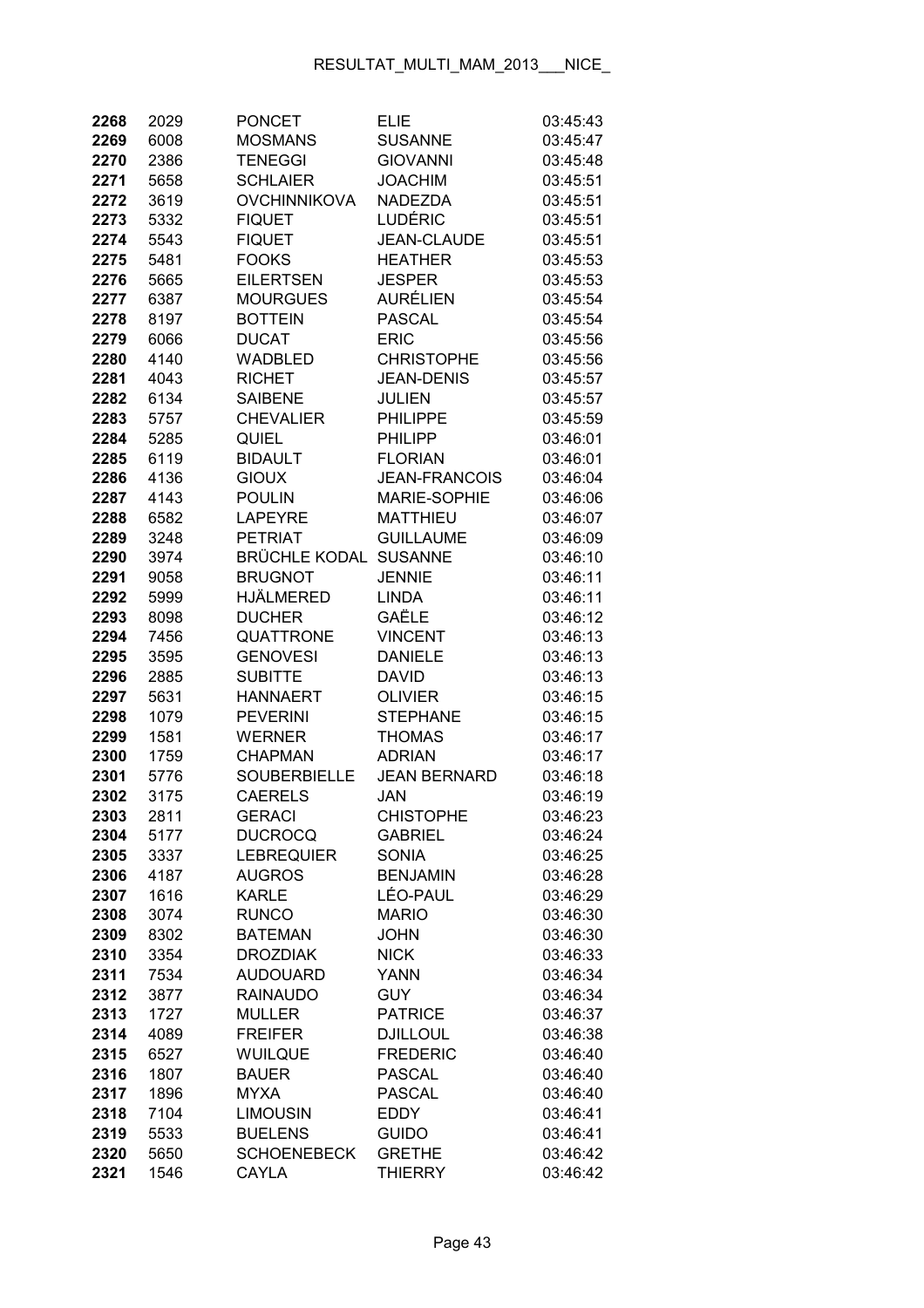| 2268         | 2029         | <b>PONCET</b>                | <b>ELIE</b>                 | 03:45:43             |
|--------------|--------------|------------------------------|-----------------------------|----------------------|
| 2269         | 6008         | <b>MOSMANS</b>               | <b>SUSANNE</b>              | 03:45:47             |
| 2270         | 2386         | <b>TENEGGI</b>               | <b>GIOVANNI</b>             | 03:45:48             |
| 2271         | 5658         | <b>SCHLAIER</b>              | <b>JOACHIM</b>              | 03:45:51             |
| 2272         | 3619         | <b>OVCHINNIKOVA</b>          | <b>NADEZDA</b>              | 03:45:51             |
| 2273         | 5332         | <b>FIQUET</b>                | LUDÉRIC                     | 03:45:51             |
| 2274         | 5543         | <b>FIQUET</b>                | <b>JEAN-CLAUDE</b>          | 03:45:51             |
| 2275         | 5481         | <b>FOOKS</b>                 | <b>HEATHER</b>              | 03:45:53             |
| 2276         | 5665         | <b>EILERTSEN</b>             | <b>JESPER</b>               | 03:45:53             |
| 2277         | 6387         | <b>MOURGUES</b>              | <b>AURÉLIEN</b>             | 03:45:54             |
| 2278         | 8197         | <b>BOTTEIN</b>               | <b>PASCAL</b>               | 03:45:54             |
| 2279         | 6066         | <b>DUCAT</b>                 | <b>ERIC</b>                 | 03:45:56             |
| 2280         | 4140         | WADBLED                      | <b>CHRISTOPHE</b>           | 03:45:56             |
| 2281         | 4043         | <b>RICHET</b>                | <b>JEAN-DENIS</b>           | 03:45:57             |
| 2282         | 6134         | <b>SAIBENE</b>               | <b>JULIEN</b>               | 03:45:57             |
| 2283         | 5757         | <b>CHEVALIER</b>             | <b>PHILIPPE</b>             | 03:45:59             |
| 2284         | 5285         | <b>QUIEL</b>                 | <b>PHILIPP</b>              | 03:46:01             |
| 2285         | 6119         | <b>BIDAULT</b>               | <b>FLORIAN</b>              | 03:46:01             |
| 2286         | 4136         | <b>GIOUX</b>                 | <b>JEAN-FRANCOIS</b>        | 03:46:04             |
| 2287         | 4143         | <b>POULIN</b>                | <b>MARIE-SOPHIE</b>         | 03:46:06             |
| 2288         | 6582         | <b>LAPEYRE</b>               | <b>MATTHIEU</b>             | 03:46:07             |
| 2289         | 3248         | <b>PETRIAT</b>               | <b>GUILLAUME</b>            | 03:46:09             |
| 2290         | 3974         | <b>BRÜCHLE KODAL</b>         | <b>SUSANNE</b>              | 03:46:10             |
| 2291         | 9058         | <b>BRUGNOT</b>               | <b>JENNIE</b>               | 03:46:11             |
| 2292         | 5999         | <b>HJÄLMERED</b>             | <b>LINDA</b>                | 03:46:11             |
| 2293         | 8098         | <b>DUCHER</b>                | GAËLE                       | 03:46:12             |
| 2294         | 7456         | QUATTRONE                    | <b>VINCENT</b>              | 03:46:13             |
| 2295         | 3595         | <b>GENOVESI</b>              | <b>DANIELE</b>              | 03:46:13             |
| 2296         | 2885         | <b>SUBITTE</b>               | <b>DAVID</b>                | 03:46:13             |
| 2297         | 5631         | <b>HANNAERT</b>              | <b>OLIVIER</b>              | 03:46:15             |
| 2298         | 1079         | <b>PEVERINI</b>              | <b>STEPHANE</b>             | 03:46:15             |
| 2299         | 1581         | <b>WERNER</b>                | <b>THOMAS</b>               | 03:46:17             |
| 2300         | 1759         | <b>CHAPMAN</b>               | <b>ADRIAN</b>               | 03:46:17             |
| 2301         | 5776         | <b>SOUBERBIELLE</b>          | <b>JEAN BERNARD</b>         | 03:46:18             |
| 2302         | 3175         | <b>CAERELS</b>               | JAN                         | 03:46:19             |
| 2303         | 2811         | <b>GERACI</b>                | <b>CHISTOPHE</b>            | 03:46:23             |
| 2304         | 5177         | <b>DUCROCQ</b>               | <b>GABRIEL</b>              | 03:46:24             |
| 2305         | 3337         | <b>LEBREQUIER</b>            | <b>SONIA</b>                | 03:46:25             |
| 2306         | 4187         | <b>AUGROS</b>                | <b>BENJAMIN</b><br>LÉO-PAUL | 03:46:28             |
| 2307         | 1616         | <b>KARLE</b><br><b>RUNCO</b> | <b>MARIO</b>                | 03:46:29             |
| 2308<br>2309 | 3074<br>8302 | <b>BATEMAN</b>               | <b>JOHN</b>                 | 03:46:30<br>03:46:30 |
| 2310         | 3354         | <b>DROZDIAK</b>              | <b>NICK</b>                 | 03:46:33             |
| 2311         | 7534         | <b>AUDOUARD</b>              | <b>YANN</b>                 | 03:46:34             |
| 2312         | 3877         | <b>RAINAUDO</b>              | <b>GUY</b>                  | 03:46:34             |
| 2313         | 1727         | <b>MULLER</b>                | <b>PATRICE</b>              | 03:46:37             |
| 2314         | 4089         | <b>FREIFER</b>               | <b>DJILLOUL</b>             | 03:46:38             |
| 2315         | 6527         | <b>WUILQUE</b>               | <b>FREDERIC</b>             | 03:46:40             |
| 2316         | 1807         | <b>BAUER</b>                 | <b>PASCAL</b>               | 03:46:40             |
| 2317         | 1896         | <b>MYXA</b>                  | <b>PASCAL</b>               | 03:46:40             |
| 2318         | 7104         | <b>LIMOUSIN</b>              | <b>EDDY</b>                 | 03:46:41             |
| 2319         | 5533         | <b>BUELENS</b>               | <b>GUIDO</b>                | 03:46:41             |
| 2320         | 5650         | <b>SCHOENEBECK</b>           | <b>GRETHE</b>               | 03:46:42             |
| 2321         | 1546         | CAYLA                        | <b>THIERRY</b>              | 03:46:42             |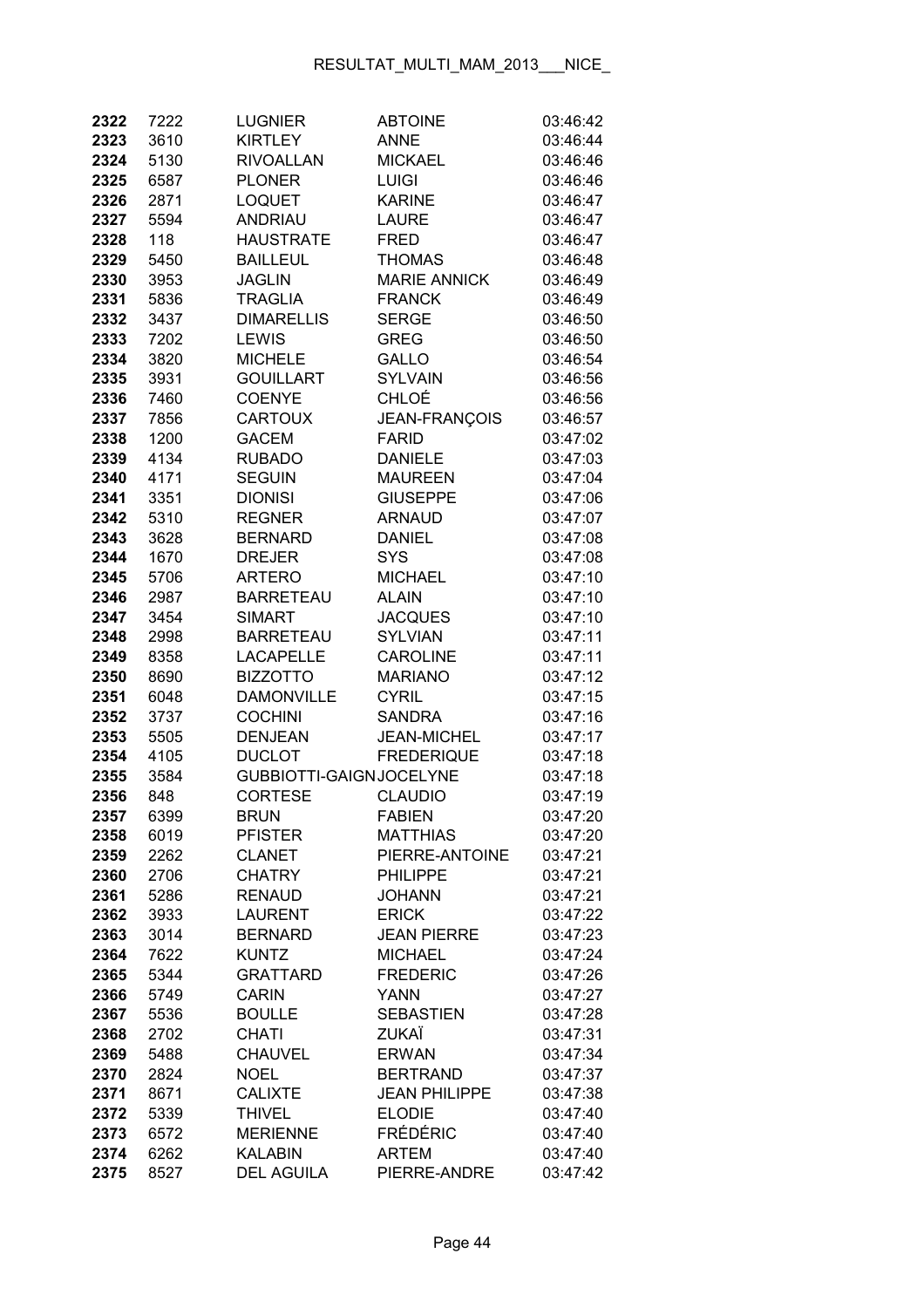| 2322 | 7222 | <b>LUGNIER</b>          | <b>ABTOINE</b>       | 03:46:42 |
|------|------|-------------------------|----------------------|----------|
| 2323 | 3610 | <b>KIRTLEY</b>          | <b>ANNE</b>          | 03:46:44 |
| 2324 | 5130 | <b>RIVOALLAN</b>        | <b>MICKAEL</b>       | 03:46:46 |
| 2325 | 6587 | <b>PLONER</b>           | <b>LUIGI</b>         | 03:46:46 |
| 2326 | 2871 | <b>LOQUET</b>           | <b>KARINE</b>        | 03:46:47 |
| 2327 | 5594 | <b>ANDRIAU</b>          | <b>LAURE</b>         | 03:46:47 |
| 2328 | 118  | <b>HAUSTRATE</b>        | <b>FRED</b>          | 03:46:47 |
| 2329 | 5450 | <b>BAILLEUL</b>         | <b>THOMAS</b>        | 03:46:48 |
| 2330 | 3953 | <b>JAGLIN</b>           | <b>MARIE ANNICK</b>  | 03:46:49 |
| 2331 | 5836 | <b>TRAGLIA</b>          | <b>FRANCK</b>        | 03:46:49 |
| 2332 | 3437 | <b>DIMARELLIS</b>       | <b>SERGE</b>         | 03:46:50 |
| 2333 | 7202 | <b>LEWIS</b>            | <b>GREG</b>          | 03:46:50 |
| 2334 | 3820 | <b>MICHELE</b>          | <b>GALLO</b>         | 03:46:54 |
| 2335 | 3931 | <b>GOUILLART</b>        | <b>SYLVAIN</b>       | 03:46:56 |
| 2336 | 7460 | <b>COENYE</b>           | CHLOÉ                | 03:46:56 |
| 2337 | 7856 | <b>CARTOUX</b>          | JEAN-FRANÇOIS        | 03:46:57 |
| 2338 | 1200 | <b>GACEM</b>            | <b>FARID</b>         | 03:47:02 |
| 2339 | 4134 | <b>RUBADO</b>           | <b>DANIELE</b>       | 03:47:03 |
| 2340 | 4171 | <b>SEGUIN</b>           | <b>MAUREEN</b>       | 03:47:04 |
| 2341 | 3351 | <b>DIONISI</b>          | <b>GIUSEPPE</b>      | 03:47:06 |
| 2342 | 5310 | <b>REGNER</b>           | <b>ARNAUD</b>        | 03:47:07 |
| 2343 | 3628 | <b>BERNARD</b>          | <b>DANIEL</b>        | 03:47:08 |
| 2344 | 1670 | <b>DREJER</b>           | <b>SYS</b>           | 03:47:08 |
| 2345 | 5706 | <b>ARTERO</b>           | <b>MICHAEL</b>       | 03:47:10 |
| 2346 | 2987 | <b>BARRETEAU</b>        | <b>ALAIN</b>         | 03:47:10 |
| 2347 | 3454 | <b>SIMART</b>           | <b>JACQUES</b>       | 03:47:10 |
| 2348 | 2998 | <b>BARRETEAU</b>        | <b>SYLVIAN</b>       | 03:47:11 |
| 2349 | 8358 | <b>LACAPELLE</b>        | <b>CAROLINE</b>      | 03:47:11 |
| 2350 | 8690 | <b>BIZZOTTO</b>         | <b>MARIANO</b>       | 03:47:12 |
| 2351 | 6048 | <b>DAMONVILLE</b>       | <b>CYRIL</b>         | 03:47:15 |
| 2352 | 3737 | <b>COCHINI</b>          | <b>SANDRA</b>        | 03:47:16 |
| 2353 | 5505 | <b>DENJEAN</b>          | <b>JEAN-MICHEL</b>   | 03:47:17 |
| 2354 | 4105 | <b>DUCLOT</b>           | <b>FREDERIQUE</b>    | 03:47:18 |
| 2355 | 3584 | GUBBIOTTI-GAIGNJOCELYNE |                      | 03:47:18 |
| 2356 | 848  | <b>CORTESE</b>          | <b>CLAUDIO</b>       | 03:47:19 |
| 2357 | 6399 | <b>BRUN</b>             | <b>FABIEN</b>        | 03:47:20 |
| 2358 | 6019 | <b>PFISTER</b>          | <b>MATTHIAS</b>      | 03:47:20 |
| 2359 | 2262 | <b>CLANET</b>           | PIERRE-ANTOINE       | 03:47:21 |
| 2360 | 2706 | <b>CHATRY</b>           | <b>PHILIPPE</b>      | 03:47:21 |
| 2361 | 5286 | <b>RENAUD</b>           | <b>JOHANN</b>        | 03:47:21 |
| 2362 | 3933 | <b>LAURENT</b>          | <b>ERICK</b>         | 03:47:22 |
| 2363 | 3014 | <b>BERNARD</b>          | <b>JEAN PIERRE</b>   | 03:47:23 |
| 2364 | 7622 | <b>KUNTZ</b>            | <b>MICHAEL</b>       | 03:47:24 |
| 2365 | 5344 | <b>GRATTARD</b>         | <b>FREDERIC</b>      | 03:47:26 |
| 2366 | 5749 | <b>CARIN</b>            | <b>YANN</b>          | 03:47:27 |
| 2367 | 5536 | <b>BOULLE</b>           | <b>SEBASTIEN</b>     | 03:47:28 |
| 2368 | 2702 | <b>CHATI</b>            | ZUKAÏ                | 03:47:31 |
| 2369 | 5488 | <b>CHAUVEL</b>          | <b>ERWAN</b>         | 03:47:34 |
| 2370 | 2824 | <b>NOEL</b>             | <b>BERTRAND</b>      | 03:47:37 |
| 2371 | 8671 | <b>CALIXTE</b>          | <b>JEAN PHILIPPE</b> | 03:47:38 |
| 2372 | 5339 | <b>THIVEL</b>           | <b>ELODIE</b>        | 03:47:40 |
| 2373 | 6572 | <b>MERIENNE</b>         | <b>FRÉDÉRIC</b>      | 03:47:40 |
| 2374 | 6262 | <b>KALABIN</b>          | <b>ARTEM</b>         | 03:47:40 |
| 2375 | 8527 | <b>DEL AGUILA</b>       | PIERRE-ANDRE         | 03:47:42 |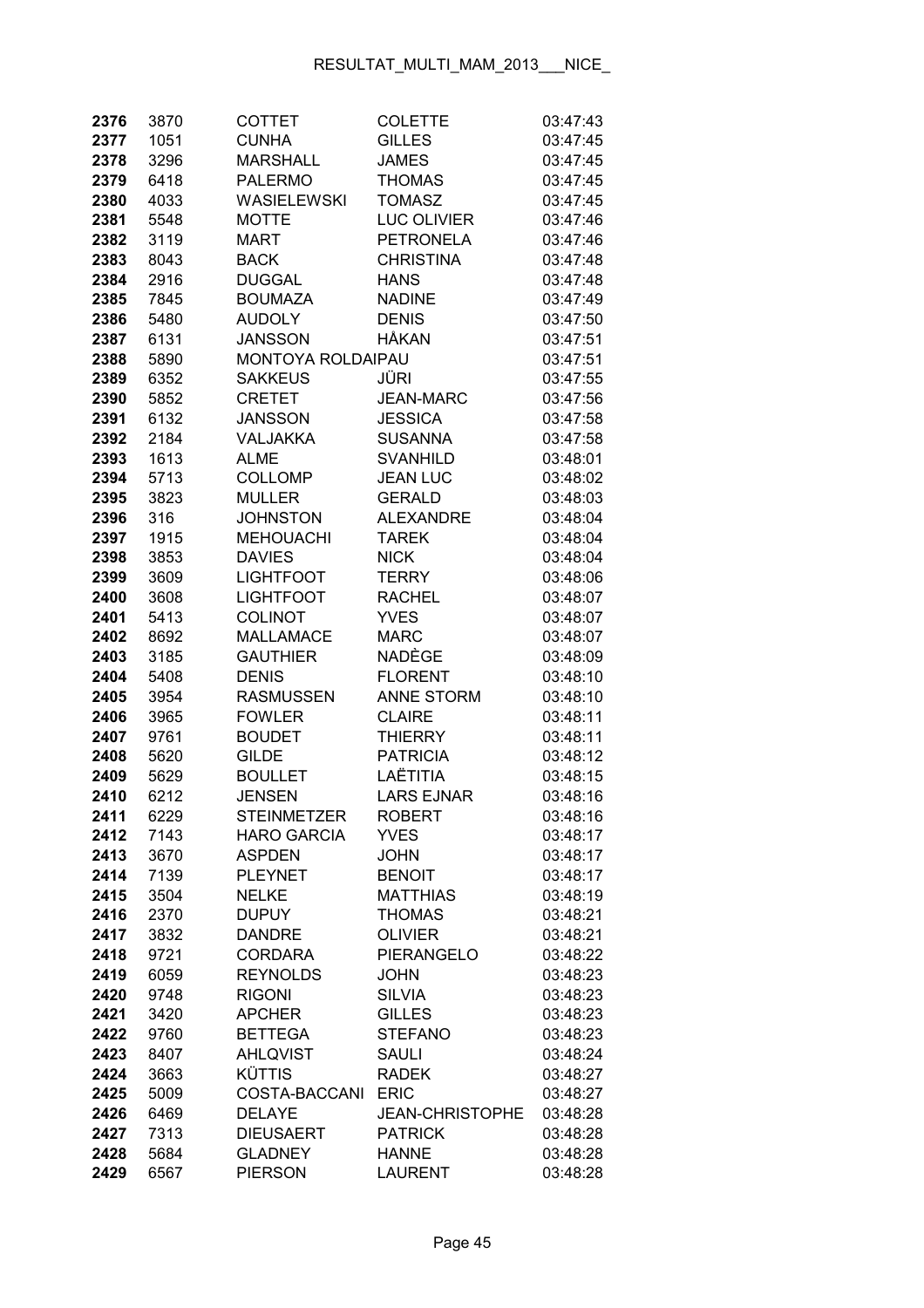| 2376         | 3870         | COTTET                            | <b>COLETTE</b>               | 03:47:43             |
|--------------|--------------|-----------------------------------|------------------------------|----------------------|
| 2377         | 1051         | <b>CUNHA</b>                      | <b>GILLES</b>                | 03:47:45             |
| 2378         | 3296         | <b>MARSHALL</b>                   | <b>JAMES</b>                 | 03:47:45             |
| 2379         | 6418         | <b>PALERMO</b>                    | <b>THOMAS</b>                | 03:47:45             |
| 2380         | 4033         | WASIELEWSKI                       | <b>TOMASZ</b>                | 03:47:45             |
| 2381         | 5548         | <b>MOTTE</b>                      | <b>LUC OLIVIER</b>           | 03:47:46             |
| 2382         | 3119         | <b>MART</b>                       | <b>PETRONELA</b>             | 03:47:46             |
| 2383         | 8043         | <b>BACK</b>                       | <b>CHRISTINA</b>             | 03:47:48             |
| 2384         | 2916         | <b>DUGGAL</b>                     | <b>HANS</b>                  | 03:47:48             |
| 2385         | 7845         | <b>BOUMAZA</b>                    | <b>NADINE</b>                | 03:47:49             |
| 2386         | 5480         | <b>AUDOLY</b>                     | <b>DENIS</b>                 | 03:47:50             |
| 2387         | 6131         | <b>JANSSON</b>                    | HÅKAN                        | 03:47:51             |
| 2388         | 5890         | MONTOYA ROLDAIPAU                 |                              | 03:47:51             |
| 2389         | 6352         | <b>SAKKEUS</b>                    | JÜRI                         | 03:47:55             |
| 2390         | 5852         | <b>CRETET</b>                     | <b>JEAN-MARC</b>             | 03:47:56             |
| 2391         | 6132         | JANSSON                           | <b>JESSICA</b>               | 03:47:58             |
| 2392         | 2184         | <b>VALJAKKA</b>                   | <b>SUSANNA</b>               | 03:47:58             |
| 2393         | 1613         | <b>ALME</b>                       | <b>SVANHILD</b>              | 03:48:01             |
| 2394         | 5713         | <b>COLLOMP</b>                    | <b>JEAN LUC</b>              | 03:48:02             |
| 2395         | 3823         | <b>MULLER</b>                     | <b>GERALD</b>                | 03:48:03             |
| 2396         | 316          | <b>JOHNSTON</b>                   | <b>ALEXANDRE</b>             | 03:48:04             |
| 2397         | 1915         | <b>MEHOUACHI</b>                  | <b>TAREK</b>                 | 03:48:04             |
| 2398         | 3853         | <b>DAVIES</b>                     | <b>NICK</b>                  | 03:48:04             |
| 2399         | 3609         | <b>LIGHTFOOT</b>                  | <b>TERRY</b>                 | 03:48:06             |
| 2400         | 3608         | <b>LIGHTFOOT</b>                  | <b>RACHEL</b>                | 03:48:07             |
| 2401         | 5413         | <b>COLINOT</b>                    | <b>YVES</b>                  | 03:48:07             |
| 2402         | 8692         | <b>MALLAMACE</b>                  | <b>MARC</b>                  | 03:48:07             |
| 2403         | 3185         | <b>GAUTHIER</b>                   | NADÈGE                       | 03:48:09             |
| 2404         | 5408         | <b>DENIS</b>                      | <b>FLORENT</b>               | 03:48:10             |
| 2405         | 3954         | <b>RASMUSSEN</b>                  | <b>ANNE STORM</b>            | 03:48:10             |
| 2406         | 3965         | <b>FOWLER</b>                     | <b>CLAIRE</b>                | 03:48:11             |
| 2407         | 9761         | <b>BOUDET</b>                     | <b>THIERRY</b>               | 03:48:11             |
| 2408         | 5620         | <b>GILDE</b>                      | <b>PATRICIA</b>              | 03:48:12             |
| 2409         | 5629         | <b>BOULLET</b>                    | LAËTITIA                     | 03:48:15             |
| 2410         | 6212         | <b>JENSEN</b>                     | <b>LARS EJNAR</b>            | 03:48:16             |
| 2411         | 6229         | <b>STEINMETZER</b>                | <b>ROBERT</b>                | 03:48:16             |
| 2412         | 7143         | <b>HARO GARCIA</b>                | <b>YVES</b>                  | 03:48:17             |
| 2413         | 3670         | <b>ASPDEN</b>                     | <b>JOHN</b>                  | 03:48:17             |
| 2414         | 7139         | <b>PLEYNET</b>                    | <b>BENOIT</b>                | 03:48:17             |
| 2415         | 3504         | <b>NELKE</b>                      | <b>MATTHIAS</b>              | 03:48:19             |
| 2416         | 2370         | <b>DUPUY</b>                      | <b>THOMAS</b>                | 03:48:21             |
| 2417         | 3832         | <b>DANDRE</b>                     | <b>OLIVIER</b>               | 03:48:21             |
| 2418         | 9721         | <b>CORDARA</b>                    | PIERANGELO                   | 03:48:22             |
| 2419         | 6059         | <b>REYNOLDS</b>                   | <b>JOHN</b>                  | 03:48:23             |
| 2420         | 9748         | <b>RIGONI</b>                     | <b>SILVIA</b>                | 03:48:23             |
| 2421         | 3420         | <b>APCHER</b>                     | <b>GILLES</b>                | 03:48:23             |
| 2422         | 9760         | <b>BETTEGA</b><br><b>AHLQVIST</b> | <b>STEFANO</b>               | 03:48:23             |
| 2423         | 8407         | <b>KÜTTIS</b>                     | <b>SAULI</b><br><b>RADEK</b> | 03:48:24             |
| 2424<br>2425 | 3663<br>5009 | COSTA-BACCANI                     | <b>ERIC</b>                  | 03:48:27<br>03:48:27 |
| 2426         | 6469         | <b>DELAYE</b>                     | <b>JEAN-CHRISTOPHE</b>       | 03:48:28             |
| 2427         | 7313         | <b>DIEUSAERT</b>                  | <b>PATRICK</b>               | 03:48:28             |
| 2428         | 5684         | <b>GLADNEY</b>                    | <b>HANNE</b>                 | 03:48:28             |
| 2429         | 6567         | <b>PIERSON</b>                    | <b>LAURENT</b>               | 03:48:28             |
|              |              |                                   |                              |                      |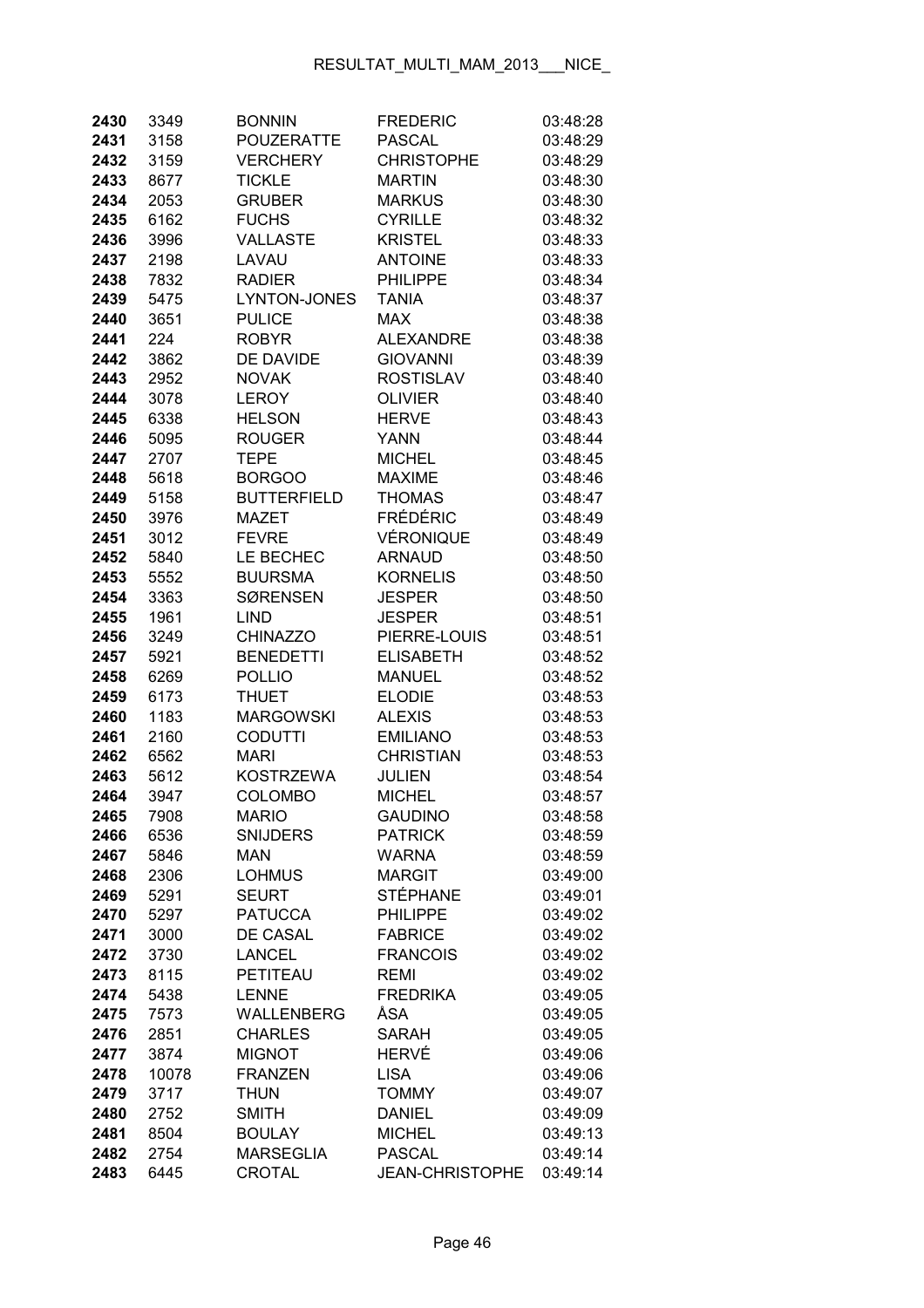| 2430         | 3349         | <b>BONNIN</b>            | <b>FREDERIC</b>                | 03:48:28             |
|--------------|--------------|--------------------------|--------------------------------|----------------------|
| 2431         | 3158         | POUZERATTE               | <b>PASCAL</b>                  | 03:48:29             |
| 2432         | 3159         | VERCHERY                 | <b>CHRISTOPHE</b>              | 03:48:29             |
| 2433         | 8677         | <b>TICKLE</b>            | <b>MARTIN</b>                  | 03:48:30             |
| 2434         | 2053         | <b>GRUBER</b>            | <b>MARKUS</b>                  | 03:48:30             |
| 2435         | 6162         | <b>FUCHS</b>             | <b>CYRILLE</b>                 | 03:48:32             |
| 2436         | 3996         | <b>VALLASTE</b>          | <b>KRISTEL</b>                 | 03:48:33             |
| 2437         | 2198         | LAVAU                    | <b>ANTOINE</b>                 | 03:48:33             |
| 2438         | 7832         | <b>RADIER</b>            | <b>PHILIPPE</b>                | 03:48:34             |
| 2439         | 5475         | LYNTON-JONES             | <b>TANIA</b>                   | 03:48:37             |
| 2440         | 3651         | <b>PULICE</b>            | <b>MAX</b>                     | 03:48:38             |
| 2441         | 224          | <b>ROBYR</b>             | ALEXANDRE                      | 03:48:38             |
| 2442         | 3862         | DE DAVIDE                | <b>GIOVANNI</b>                | 03:48:39             |
| 2443         | 2952         | <b>NOVAK</b>             | <b>ROSTISLAV</b>               | 03:48:40             |
| 2444         | 3078         | <b>LEROY</b>             | <b>OLIVIER</b>                 | 03:48:40             |
| 2445         | 6338         | <b>HELSON</b>            | <b>HERVE</b>                   | 03:48:43             |
| 2446         | 5095         | <b>ROUGER</b>            | <b>YANN</b>                    | 03:48:44             |
| 2447         | 2707         | <b>TEPE</b>              | <b>MICHEL</b>                  | 03:48:45             |
| 2448         | 5618         | <b>BORGOO</b>            | <b>MAXIME</b>                  | 03:48:46             |
| 2449         | 5158         | <b>BUTTERFIELD</b>       | <b>THOMAS</b>                  | 03:48:47             |
| 2450         | 3976         | MAZET                    | <b>FRÉDÉRIC</b>                | 03:48:49             |
| 2451         | 3012         | <b>FEVRE</b>             | VÉRONIQUE                      | 03:48:49             |
| 2452         | 5840         | LE BECHEC                | <b>ARNAUD</b>                  | 03:48:50             |
| 2453         | 5552         | <b>BUURSMA</b>           | <b>KORNELIS</b>                | 03:48:50             |
| 2454         | 3363         | <b>SØRENSEN</b>          | <b>JESPER</b>                  | 03:48:50             |
| 2455         | 1961         | <b>LIND</b>              | <b>JESPER</b>                  | 03:48:51             |
| 2456         | 3249         | <b>CHINAZZO</b>          | PIERRE-LOUIS                   | 03:48:51             |
| 2457         | 5921         | <b>BENEDETTI</b>         | <b>ELISABETH</b>               | 03:48:52             |
| 2458         | 6269         | <b>POLLIO</b>            | <b>MANUEL</b>                  | 03:48:52             |
| 2459         | 6173         | <b>THUET</b>             | <b>ELODIE</b>                  | 03:48:53             |
| 2460         | 1183         | <b>MARGOWSKI</b>         | <b>ALEXIS</b>                  | 03:48:53             |
| 2461         | 2160         | <b>CODUTTI</b>           | <b>EMILIANO</b>                | 03:48:53             |
| 2462         | 6562         | <b>MARI</b>              | <b>CHRISTIAN</b>               | 03:48:53             |
| 2463         | 5612         | <b>KOSTRZEWA</b>         | <b>JULIEN</b>                  | 03:48:54             |
| 2464         | 3947         | <b>COLOMBO</b>           | <b>MICHEL</b>                  | 03:48:57             |
| 2465         | 7908         | <b>MARIO</b>             | <b>GAUDINO</b>                 | 03:48:58             |
| 2466         | 6536         | <b>SNIJDERS</b>          | <b>PATRICK</b>                 | 03:48:59             |
| 2467         | 5846         | MAN                      | WARNA                          | 03:48:59             |
| 2468         | 2306         | <b>LOHMUS</b>            | <b>MARGIT</b>                  | 03:49:00             |
| 2469         | 5291         | <b>SEURT</b>             | <b>STÉPHANE</b>                | 03:49:01             |
| 2470         | 5297         | <b>PATUCCA</b>           | <b>PHILIPPE</b>                | 03:49:02             |
| 2471         | 3000         | DE CASAL                 | <b>FABRICE</b>                 | 03:49:02             |
| 2472         | 3730         | <b>LANCEL</b>            | <b>FRANCOIS</b>                | 03:49:02             |
| 2473         | 8115         | PETITEAU<br><b>LENNE</b> | <b>REMI</b><br><b>FREDRIKA</b> | 03:49:02             |
| 2474<br>2475 | 5438<br>7573 | WALLENBERG               | ÅSA                            | 03:49:05<br>03:49:05 |
| 2476         | 2851         | <b>CHARLES</b>           | <b>SARAH</b>                   | 03:49:05             |
| 2477         | 3874         | <b>MIGNOT</b>            | HERVÉ                          | 03:49:06             |
| 2478         | 10078        | <b>FRANZEN</b>           | <b>LISA</b>                    | 03:49:06             |
| 2479         | 3717         | <b>THUN</b>              | <b>TOMMY</b>                   | 03:49:07             |
| 2480         | 2752         | <b>SMITH</b>             | <b>DANIEL</b>                  | 03:49:09             |
| 2481         | 8504         | <b>BOULAY</b>            | <b>MICHEL</b>                  | 03:49:13             |
| 2482         | 2754         | <b>MARSEGLIA</b>         | <b>PASCAL</b>                  | 03:49:14             |
| 2483         | 6445         | CROTAL                   | <b>JEAN-CHRISTOPHE</b>         | 03:49:14             |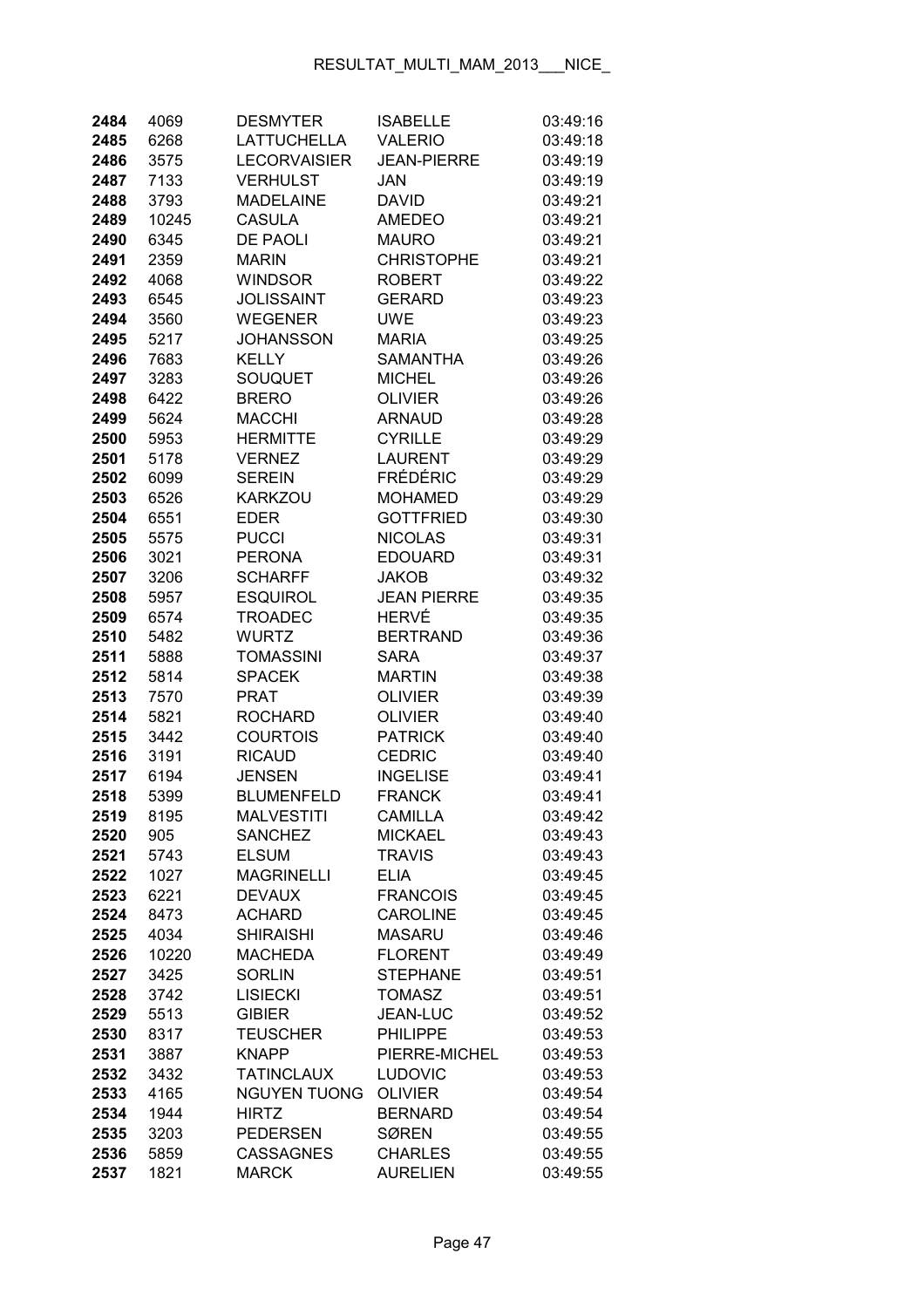| 2484         | 4069         | <b>DESMYTER</b>                   | <b>ISABELLE</b>                  | 03:49:16             |
|--------------|--------------|-----------------------------------|----------------------------------|----------------------|
| 2485         | 6268         | <b>LATTUCHELLA</b>                | <b>VALERIO</b>                   | 03:49:18             |
| 2486         | 3575         | <b>LECORVAISIER</b>               | <b>JEAN-PIERRE</b>               | 03:49:19             |
| 2487         | 7133         | <b>VERHULST</b>                   | JAN                              | 03:49:19             |
| 2488         | 3793         | <b>MADELAINE</b>                  | <b>DAVID</b>                     | 03:49:21             |
| 2489         | 10245        | <b>CASULA</b>                     | <b>AMEDEO</b>                    | 03:49:21             |
| 2490         | 6345         | DE PAOLI                          | <b>MAURO</b>                     | 03:49:21             |
| 2491         | 2359         | <b>MARIN</b>                      | <b>CHRISTOPHE</b>                | 03:49:21             |
| 2492         | 4068         | <b>WINDSOR</b>                    | <b>ROBERT</b>                    | 03:49:22             |
| 2493         | 6545         | <b>JOLISSAINT</b>                 | <b>GERARD</b>                    | 03:49:23             |
| 2494         | 3560         | <b>WEGENER</b>                    | <b>UWE</b>                       | 03:49:23             |
| 2495         | 5217         | <b>JOHANSSON</b>                  | <b>MARIA</b>                     | 03:49:25             |
| 2496         | 7683         | <b>KELLY</b>                      | <b>SAMANTHA</b>                  | 03:49:26             |
| 2497         | 3283         | SOUQUET                           | <b>MICHEL</b>                    | 03:49:26             |
| 2498         | 6422         | <b>BRERO</b>                      | <b>OLIVIER</b>                   | 03:49:26             |
| 2499         | 5624         | <b>MACCHI</b>                     | <b>ARNAUD</b>                    | 03:49:28             |
| 2500         | 5953         | <b>HERMITTE</b>                   | <b>CYRILLE</b>                   | 03:49:29             |
| 2501         | 5178         | <b>VERNEZ</b>                     | <b>LAURENT</b>                   | 03:49:29             |
| 2502         | 6099         | <b>SEREIN</b>                     | <b>FRÉDÉRIC</b>                  | 03:49:29             |
| 2503         | 6526         | <b>KARKZOU</b>                    | <b>MOHAMED</b>                   | 03:49:29             |
| 2504         | 6551         | <b>EDER</b>                       | <b>GOTTFRIED</b>                 | 03:49:30             |
| 2505         | 5575         | <b>PUCCI</b>                      | <b>NICOLAS</b>                   | 03:49:31             |
| 2506         | 3021         | <b>PERONA</b>                     | <b>EDOUARD</b>                   | 03:49:31             |
| 2507         | 3206         | <b>SCHARFF</b>                    | <b>JAKOB</b>                     | 03:49:32             |
| 2508         | 5957         | <b>ESQUIROL</b>                   | <b>JEAN PIERRE</b>               | 03:49:35             |
| 2509         | 6574         | <b>TROADEC</b>                    | HERVÉ                            | 03:49:35             |
| 2510         | 5482         | <b>WURTZ</b>                      | <b>BERTRAND</b>                  | 03:49:36             |
| 2511         | 5888         | <b>TOMASSINI</b>                  | <b>SARA</b>                      | 03:49:37             |
| 2512         | 5814         | <b>SPACEK</b>                     | <b>MARTIN</b>                    | 03:49:38             |
| 2513         | 7570         | <b>PRAT</b>                       | <b>OLIVIER</b>                   | 03:49:39             |
| 2514         | 5821         | <b>ROCHARD</b>                    | <b>OLIVIER</b>                   | 03:49:40             |
| 2515         | 3442         | <b>COURTOIS</b>                   | <b>PATRICK</b>                   | 03:49:40             |
| 2516         | 3191         | <b>RICAUD</b>                     | <b>CEDRIC</b>                    | 03:49:40             |
| 2517         | 6194         | <b>JENSEN</b>                     | <b>INGELISE</b>                  | 03:49:41             |
| 2518         | 5399         | <b>BLUMENFELD</b>                 | <b>FRANCK</b>                    | 03:49:41             |
| 2519         | 8195         | <b>MALVESTITI</b>                 | <b>CAMILLA</b>                   | 03:49:42             |
| 2520         | 905          | <b>SANCHEZ</b>                    | <b>MICKAEL</b>                   | 03:49:43             |
| 2521         | 5743         | <b>ELSUM</b>                      | <b>TRAVIS</b>                    | 03:49:43             |
| 2522         | 1027         | <b>MAGRINELLI</b>                 | <b>ELIA</b><br><b>FRANCOIS</b>   | 03:49:45             |
| 2523         | 6221         | <b>DEVAUX</b>                     |                                  | 03:49:45             |
| 2524         | 8473<br>4034 | <b>ACHARD</b><br><b>SHIRAISHI</b> | <b>CAROLINE</b><br><b>MASARU</b> | 03:49:45<br>03:49:46 |
| 2525<br>2526 | 10220        | <b>MACHEDA</b>                    | <b>FLORENT</b>                   | 03:49:49             |
| 2527         | 3425         | <b>SORLIN</b>                     | <b>STEPHANE</b>                  | 03:49:51             |
| 2528         | 3742         | <b>LISIECKI</b>                   | <b>TOMASZ</b>                    | 03:49:51             |
| 2529         | 5513         | <b>GIBIER</b>                     | <b>JEAN-LUC</b>                  | 03:49:52             |
| 2530         | 8317         | <b>TEUSCHER</b>                   | <b>PHILIPPE</b>                  | 03:49:53             |
| 2531         | 3887         | <b>KNAPP</b>                      | PIERRE-MICHEL                    | 03:49:53             |
| 2532         | 3432         | <b>TATINCLAUX</b>                 | <b>LUDOVIC</b>                   | 03:49:53             |
| 2533         | 4165         | <b>NGUYEN TUONG</b>               | <b>OLIVIER</b>                   | 03:49:54             |
| 2534         | 1944         | <b>HIRTZ</b>                      | <b>BERNARD</b>                   | 03:49:54             |
| 2535         | 3203         | <b>PEDERSEN</b>                   | <b>SØREN</b>                     | 03:49:55             |
| 2536         | 5859         | <b>CASSAGNES</b>                  | <b>CHARLES</b>                   | 03:49:55             |
| 2537         | 1821         | <b>MARCK</b>                      | <b>AURELIEN</b>                  | 03:49:55             |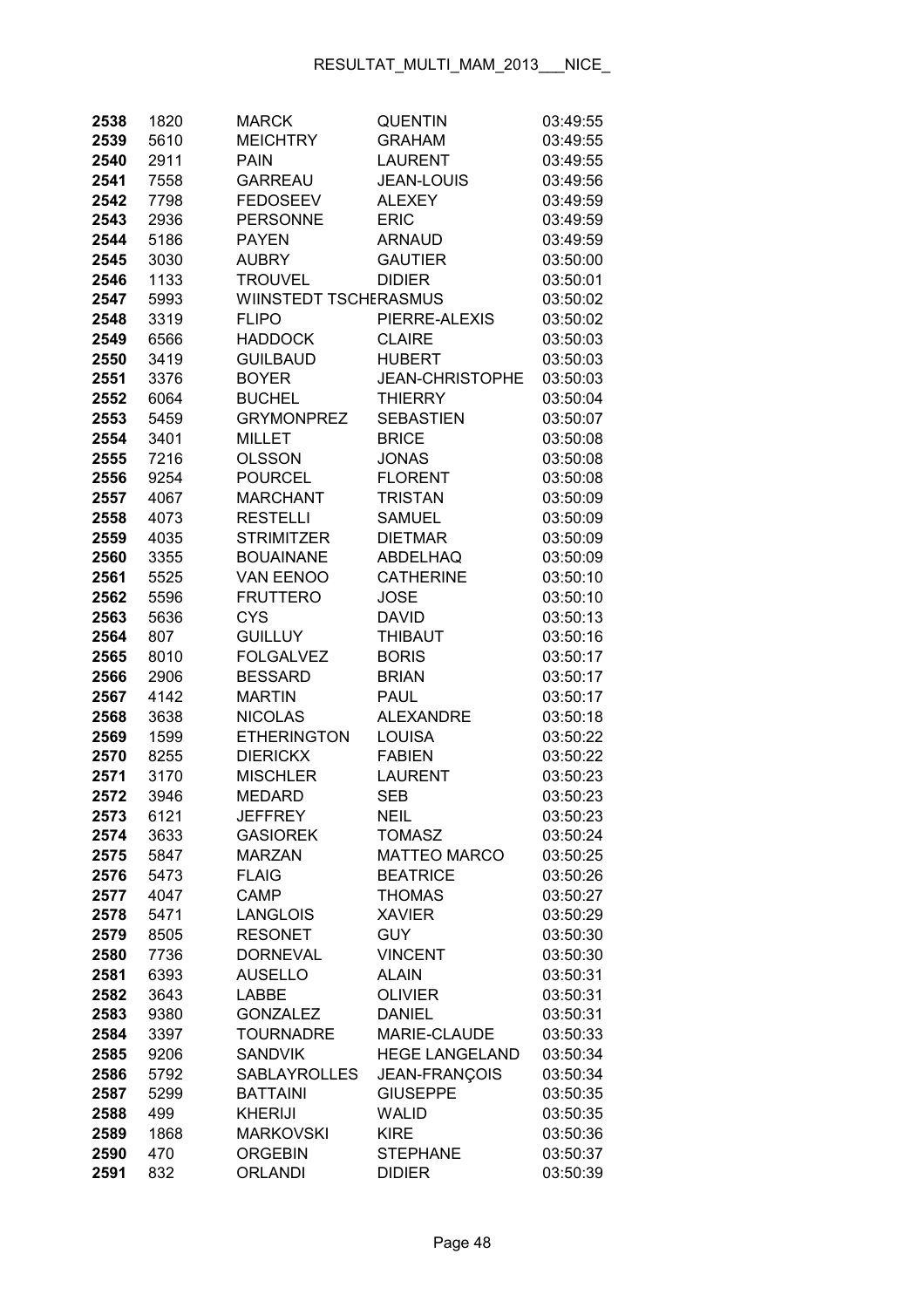| 2538         | 1820         | <b>MARCK</b>                           | <b>QUENTIN</b>                        | 03:49:55             |
|--------------|--------------|----------------------------------------|---------------------------------------|----------------------|
| 2539         | 5610         | <b>MEICHTRY</b>                        | <b>GRAHAM</b>                         | 03:49:55             |
| 2540         | 2911         | <b>PAIN</b>                            | <b>LAURENT</b>                        | 03:49:55             |
| 2541         | 7558         | <b>GARREAU</b>                         | <b>JEAN-LOUIS</b>                     | 03:49:56             |
| 2542         | 7798         | <b>FEDOSEEV</b>                        | <b>ALEXEY</b>                         | 03:49:59             |
| 2543         | 2936         | <b>PERSONNE</b>                        | <b>ERIC</b>                           | 03:49:59             |
| 2544         | 5186         | <b>PAYEN</b>                           | <b>ARNAUD</b>                         | 03:49:59             |
| 2545         | 3030         | <b>AUBRY</b>                           | <b>GAUTIER</b>                        | 03:50:00             |
| 2546         | 1133         | <b>TROUVEL</b>                         | <b>DIDIER</b>                         | 03:50:01             |
| 2547         | 5993         | WIINSTEDT TSCHERASMUS                  |                                       | 03:50:02             |
| 2548         | 3319         | <b>FLIPO</b>                           | PIERRE-ALEXIS                         | 03:50:02             |
| 2549         | 6566         | <b>HADDOCK</b>                         | <b>CLAIRE</b>                         | 03:50:03             |
| 2550         | 3419         | <b>GUILBAUD</b>                        | <b>HUBERT</b>                         | 03:50:03             |
| 2551         | 3376         | <b>BOYER</b>                           | <b>JEAN-CHRISTOPHE</b>                | 03:50:03             |
| 2552         | 6064         | <b>BUCHEL</b>                          | <b>THIERRY</b>                        | 03:50:04             |
| 2553         | 5459         | <b>GRYMONPREZ</b>                      | <b>SEBASTIEN</b>                      | 03:50:07             |
| 2554         | 3401         | <b>MILLET</b>                          | <b>BRICE</b>                          | 03:50:08             |
| 2555         | 7216         | <b>OLSSON</b>                          | <b>JONAS</b>                          | 03:50:08             |
| 2556         | 9254         | <b>POURCEL</b>                         | <b>FLORENT</b>                        | 03:50:08             |
| 2557         | 4067         | <b>MARCHANT</b>                        | <b>TRISTAN</b>                        | 03:50:09             |
| 2558         | 4073         | <b>RESTELLI</b>                        | <b>SAMUEL</b>                         | 03:50:09             |
| 2559         | 4035         | <b>STRIMITZER</b>                      | <b>DIETMAR</b>                        | 03:50:09             |
| 2560         | 3355         | <b>BOUAINANE</b>                       | ABDELHAQ                              | 03:50:09             |
| 2561         | 5525         | <b>VAN EENOO</b>                       | <b>CATHERINE</b>                      | 03:50:10             |
| 2562         | 5596         | <b>FRUTTERO</b>                        | <b>JOSE</b>                           | 03:50:10             |
| 2563         | 5636         | <b>CYS</b>                             | <b>DAVID</b>                          | 03:50:13             |
| 2564         | 807          | <b>GUILLUY</b>                         | <b>THIBAUT</b>                        | 03:50:16             |
| 2565         | 8010         | <b>FOLGALVEZ</b>                       | <b>BORIS</b>                          | 03:50:17             |
| 2566         | 2906         | <b>BESSARD</b>                         | <b>BRIAN</b>                          | 03:50:17             |
| 2567         | 4142         | <b>MARTIN</b>                          | <b>PAUL</b>                           | 03:50:17             |
| 2568         | 3638         | <b>NICOLAS</b>                         | <b>ALEXANDRE</b>                      | 03:50:18             |
| 2569         | 1599         | <b>ETHERINGTON</b>                     | <b>LOUISA</b>                         | 03:50:22             |
| 2570         | 8255         | <b>DIERICKX</b>                        | <b>FABIEN</b>                         | 03:50:22             |
| 2571         | 3170         | <b>MISCHLER</b>                        | <b>LAURENT</b>                        | 03:50:23             |
| 2572         | 3946         | <b>MEDARD</b>                          | <b>SEB</b>                            | 03:50:23             |
| 2573         | 6121         | <b>JEFFREY</b>                         | <b>NEIL</b>                           | 03:50:23             |
| 2574         | 3633         | <b>GASIOREK</b>                        | <b>TOMASZ</b>                         | 03:50:24             |
| 2575         | 5847         | <b>MARZAN</b>                          | <b>MATTEO MARCO</b>                   | 03:50:25             |
| 2576         | 5473         | <b>FLAIG</b>                           | <b>BEATRICE</b>                       | 03:50:26             |
| 2577         | 4047         | <b>CAMP</b>                            | <b>THOMAS</b>                         | 03:50:27             |
| 2578         | 5471         | <b>LANGLOIS</b>                        | <b>XAVIER</b>                         | 03:50:29             |
| 2579         | 8505         | <b>RESONET</b>                         | <b>GUY</b>                            | 03:50:30             |
| 2580         | 7736         | <b>DORNEVAL</b>                        | <b>VINCENT</b>                        | 03:50:30             |
| 2581         | 6393         | <b>AUSELLO</b>                         | <b>ALAIN</b>                          | 03:50:31             |
| 2582         | 3643         | LABBE                                  | <b>OLIVIER</b>                        | 03:50:31             |
| 2583         | 9380         | <b>GONZALEZ</b>                        | <b>DANIEL</b>                         | 03:50:31             |
| 2584         | 3397         | <b>TOURNADRE</b>                       | MARIE-CLAUDE<br><b>HEGE LANGELAND</b> | 03:50:33             |
| 2585         | 9206         | <b>SANDVIK</b>                         |                                       | 03:50:34             |
| 2586<br>2587 | 5792<br>5299 | <b>SABLAYROLLES</b><br><b>BATTAINI</b> | JEAN-FRANÇOIS<br><b>GIUSEPPE</b>      | 03:50:34<br>03:50:35 |
| 2588         | 499          | <b>KHERIJI</b>                         | <b>WALID</b>                          | 03:50:35             |
| 2589         | 1868         | <b>MARKOVSKI</b>                       | <b>KIRE</b>                           | 03:50:36             |
| 2590         | 470          | <b>ORGEBIN</b>                         | <b>STEPHANE</b>                       | 03:50:37             |
| 2591         | 832          | <b>ORLANDI</b>                         | <b>DIDIER</b>                         | 03:50:39             |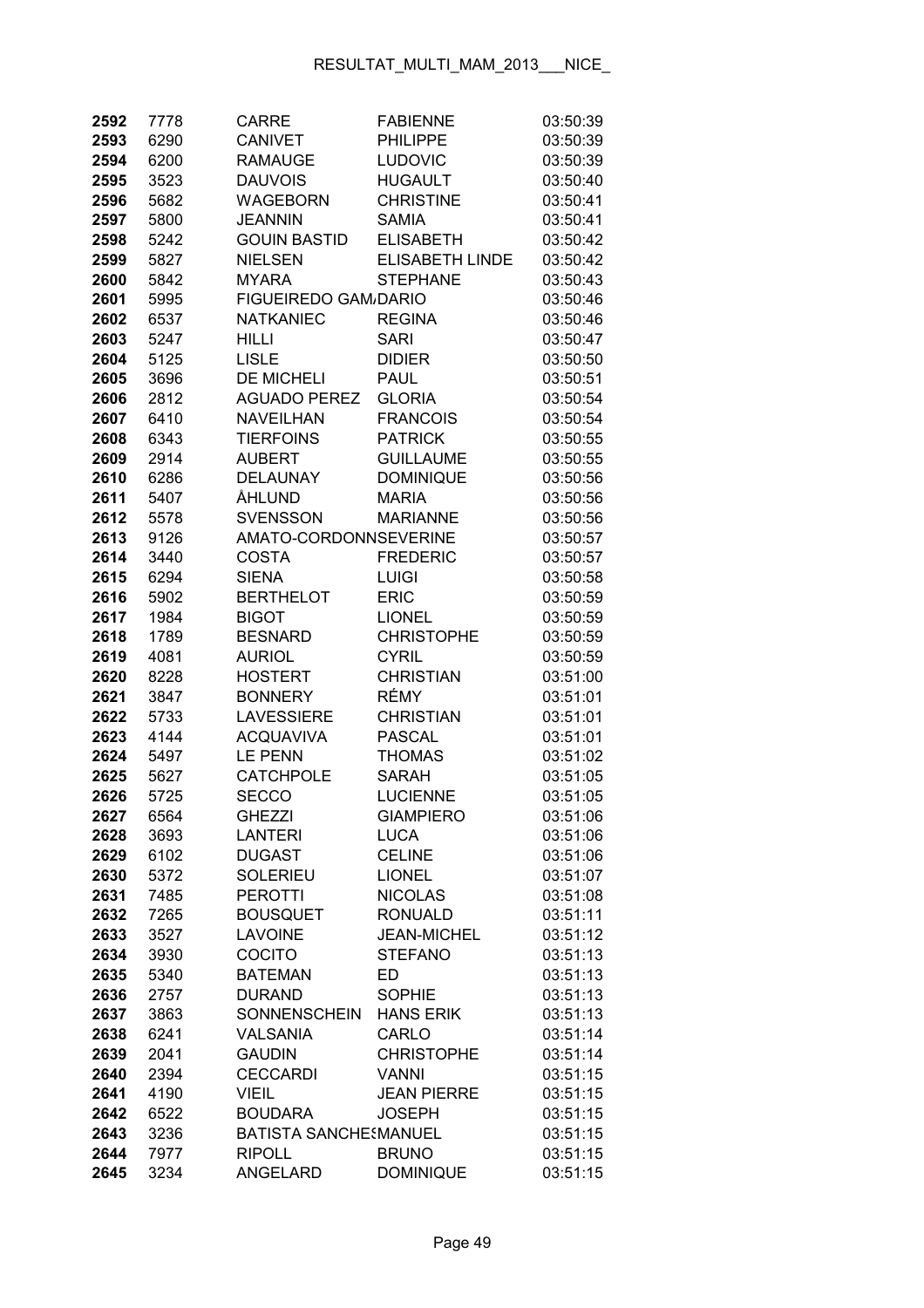| 2592         | 7778         | <b>CARRE</b>                 | <b>FABIENNE</b>                    | 03:50:39             |
|--------------|--------------|------------------------------|------------------------------------|----------------------|
| 2593         | 6290         | <b>CANIVET</b>               | <b>PHILIPPE</b>                    | 03:50:39             |
| 2594         | 6200         | <b>RAMAUGE</b>               | <b>LUDOVIC</b>                     | 03:50:39             |
| 2595         | 3523         | <b>DAUVOIS</b>               | <b>HUGAULT</b>                     | 03:50:40             |
| 2596         | 5682         | <b>WAGEBORN</b>              | <b>CHRISTINE</b>                   | 03:50:41             |
| 2597         | 5800         | <b>JEANNIN</b>               | <b>SAMIA</b>                       | 03:50:41             |
| 2598         | 5242         | <b>GOUIN BASTID</b>          | <b>ELISABETH</b>                   | 03:50:42             |
| 2599         | 5827         | <b>NIELSEN</b>               | <b>ELISABETH LINDE</b>             | 03:50:42             |
| 2600         | 5842         | <b>MYARA</b>                 | <b>STEPHANE</b>                    | 03:50:43             |
| 2601         | 5995         | <b>FIGUEIREDO GAM/DARIO</b>  |                                    | 03:50:46             |
| 2602         | 6537         | <b>NATKANIEC</b>             | <b>REGINA</b>                      | 03:50:46             |
| 2603         | 5247         | <b>HILLI</b>                 | <b>SARI</b>                        | 03:50:47             |
| 2604         | 5125         | <b>LISLE</b>                 | <b>DIDIER</b>                      | 03:50:50             |
| 2605         | 3696         | <b>DE MICHELI</b>            | <b>PAUL</b>                        | 03:50:51             |
| 2606         | 2812         | <b>AGUADO PEREZ</b>          | <b>GLORIA</b>                      | 03:50:54             |
| 2607         | 6410         | <b>NAVEILHAN</b>             | <b>FRANCOIS</b>                    | 03:50:54             |
| 2608         | 6343         | <b>TIERFOINS</b>             | <b>PATRICK</b>                     | 03:50:55             |
| 2609         | 2914         | <b>AUBERT</b>                | <b>GUILLAUME</b>                   | 03:50:55             |
| 2610         | 6286         | <b>DELAUNAY</b>              | <b>DOMINIQUE</b>                   | 03:50:56             |
| 2611         | 5407         | ÅHLUND                       | <b>MARIA</b>                       | 03:50:56             |
| 2612         | 5578         | <b>SVENSSON</b>              | <b>MARIANNE</b>                    | 03:50:56             |
| 2613         | 9126         | AMATO-CORDONNSEVERINE        |                                    | 03:50:57             |
| 2614         | 3440         | <b>COSTA</b>                 | <b>FREDERIC</b>                    | 03:50:57             |
| 2615         | 6294         | <b>SIENA</b>                 | <b>LUIGI</b>                       | 03:50:58             |
| 2616         | 5902         | <b>BERTHELOT</b>             | <b>ERIC</b>                        | 03:50:59             |
| 2617         | 1984         | <b>BIGOT</b>                 | <b>LIONEL</b>                      | 03:50:59             |
| 2618         | 1789         | <b>BESNARD</b>               | <b>CHRISTOPHE</b>                  | 03:50:59             |
| 2619         | 4081         | <b>AURIOL</b>                | <b>CYRIL</b>                       | 03:50:59             |
| 2620         | 8228         | <b>HOSTERT</b>               | <b>CHRISTIAN</b>                   | 03:51:00             |
| 2621         | 3847         | <b>BONNERY</b>               | RÉMY                               | 03:51:01             |
| 2622         | 5733         | <b>LAVESSIERE</b>            | <b>CHRISTIAN</b>                   | 03:51:01             |
| 2623         | 4144         | <b>ACQUAVIVA</b>             | <b>PASCAL</b>                      | 03:51:01             |
| 2624         | 5497         | <b>LE PENN</b>               | <b>THOMAS</b>                      | 03:51:02             |
| 2625         | 5627         | <b>CATCHPOLE</b>             | <b>SARAH</b>                       | 03:51:05             |
| 2626         | 5725         | <b>SECCO</b>                 | <b>LUCIENNE</b>                    | 03:51:05             |
| 2627         | 6564         | <b>GHEZZI</b>                | <b>GIAMPIERO</b>                   | 03:51:06             |
| 2628         | 3693         | <b>LANTERI</b>               | <b>LUCA</b>                        | 03:51:06             |
| 2629         | 6102         | <b>DUGAST</b>                | <b>CELINE</b>                      | 03:51:06             |
| 2630         | 5372         | <b>SOLERIEU</b>              | <b>LIONEL</b>                      | 03:51:07             |
| 2631         | 7485         | <b>PEROTTI</b>               | <b>NICOLAS</b>                     | 03:51:08             |
| 2632         | 7265         | <b>BOUSQUET</b>              | <b>RONUALD</b>                     | 03:51:11             |
| 2633         | 3527         | <b>LAVOINE</b>               | <b>JEAN-MICHEL</b>                 | 03:51:12             |
| 2634         | 3930         | COCITO                       | <b>STEFANO</b>                     | 03:51:13             |
| 2635         | 5340         | <b>BATEMAN</b>               | ED                                 | 03:51:13             |
| 2636         | 2757         | <b>DURAND</b>                | <b>SOPHIE</b>                      | 03:51:13             |
| 2637         | 3863         | SONNENSCHEIN                 | <b>HANS ERIK</b>                   | 03:51:13             |
| 2638         | 6241         | <b>VALSANIA</b>              | CARLO                              | 03:51:14             |
| 2639         | 2041         | <b>GAUDIN</b>                | <b>CHRISTOPHE</b>                  | 03:51:14             |
| 2640<br>2641 | 2394         | <b>CECCARDI</b><br>VIEIL     | <b>VANNI</b><br><b>JEAN PIERRE</b> | 03:51:15<br>03:51:15 |
| 2642         | 4190<br>6522 | <b>BOUDARA</b>               | <b>JOSEPH</b>                      | 03:51:15             |
| 2643         | 3236         | <b>BATISTA SANCHESMANUEL</b> |                                    | 03:51:15             |
| 2644         | 7977         | <b>RIPOLL</b>                | <b>BRUNO</b>                       | 03:51:15             |
| 2645         | 3234         | ANGELARD                     | <b>DOMINIQUE</b>                   | 03:51:15             |
|              |              |                              |                                    |                      |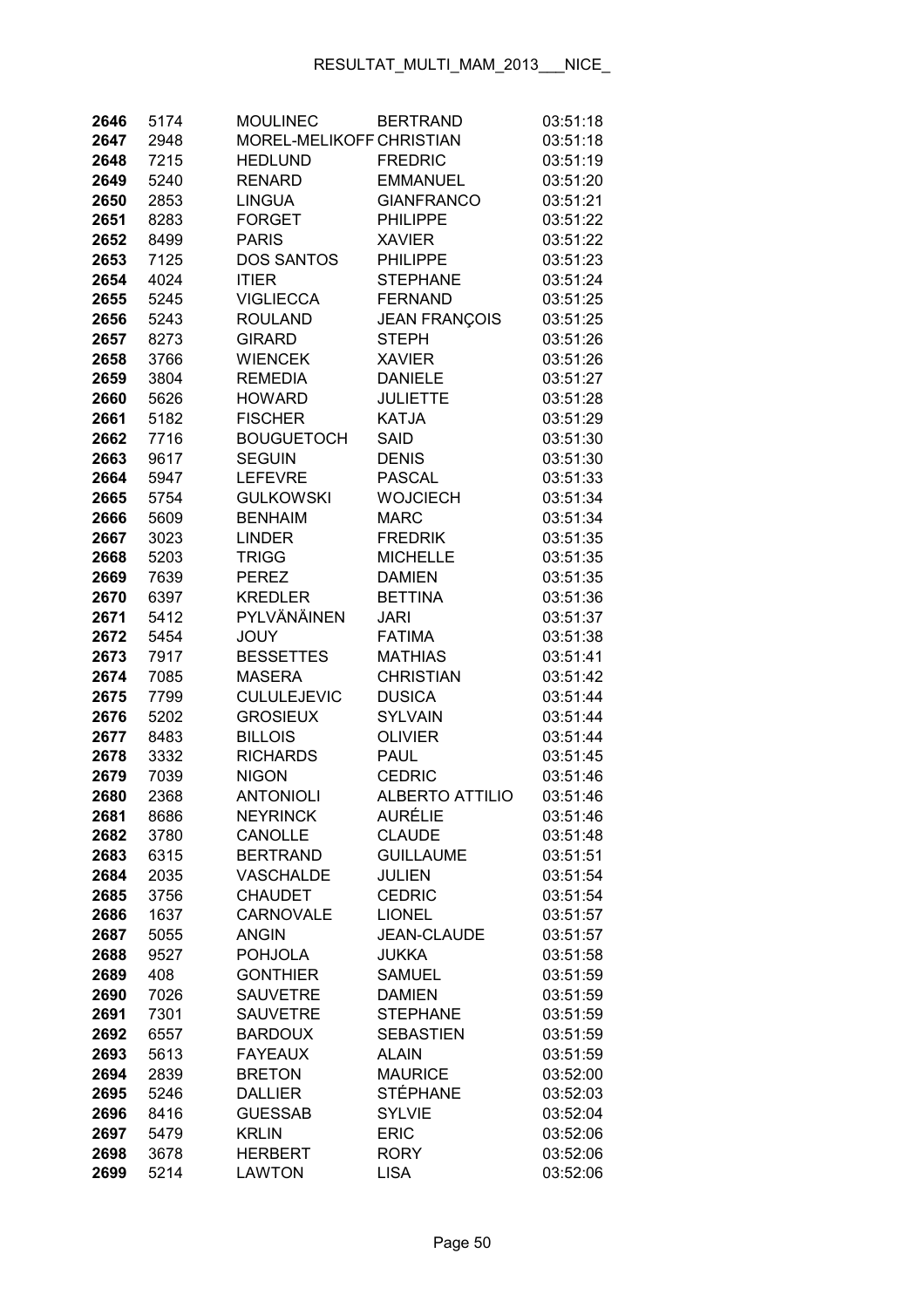| 2646         | 5174        | <b>MOULINEC</b>                   | <b>BERTRAND</b>                    | 03:51:18             |
|--------------|-------------|-----------------------------------|------------------------------------|----------------------|
| 2647         | 2948        | MOREL-MELIKOFF CHRISTIAN          |                                    | 03:51:18             |
| 2648         | 7215        | <b>HEDLUND</b>                    | <b>FREDRIC</b>                     | 03:51:19             |
| 2649         | 5240        | <b>RENARD</b>                     | <b>EMMANUEL</b>                    | 03:51:20             |
| 2650         | 2853        | <b>LINGUA</b>                     | <b>GIANFRANCO</b>                  | 03:51:21             |
| 2651         | 8283        | <b>FORGET</b>                     | <b>PHILIPPE</b>                    | 03:51:22             |
| 2652         | 8499        | <b>PARIS</b>                      | <b>XAVIER</b>                      | 03:51:22             |
| 2653         | 7125        | <b>DOS SANTOS</b>                 | <b>PHILIPPE</b>                    | 03:51:23             |
| 2654         | 4024        | <b>ITIER</b>                      | <b>STEPHANE</b>                    | 03:51:24             |
| 2655         | 5245        | <b>VIGLIECCA</b>                  | <b>FERNAND</b>                     | 03:51:25             |
| 2656         | 5243        | <b>ROULAND</b>                    | <b>JEAN FRANÇOIS</b>               | 03:51:25             |
| 2657         | 8273        | <b>GIRARD</b>                     | <b>STEPH</b>                       | 03:51:26             |
| 2658         | 3766        | <b>WIENCEK</b>                    | <b>XAVIER</b>                      | 03:51:26             |
| 2659         | 3804        | <b>REMEDIA</b>                    | <b>DANIELE</b>                     | 03:51:27             |
| 2660         | 5626        | <b>HOWARD</b>                     | JULIETTE                           | 03:51:28             |
| 2661         | 5182        | <b>FISCHER</b>                    | <b>KATJA</b>                       | 03:51:29             |
| 2662         | 7716        | <b>BOUGUETOCH</b>                 | <b>SAID</b>                        | 03:51:30             |
| 2663         | 9617        | <b>SEGUIN</b>                     | <b>DENIS</b>                       | 03:51:30             |
| 2664         | 5947        | <b>LEFEVRE</b>                    | <b>PASCAL</b>                      | 03:51:33             |
| 2665         | 5754        | <b>GULKOWSKI</b>                  | <b>WOJCIECH</b>                    | 03:51:34             |
| 2666         | 5609        | <b>BENHAIM</b>                    | <b>MARC</b>                        | 03:51:34             |
| 2667         | 3023        | <b>LINDER</b>                     | <b>FREDRIK</b>                     | 03:51:35             |
| 2668         | 5203        | <b>TRIGG</b>                      | <b>MICHELLE</b>                    | 03:51:35             |
| 2669         | 7639        | <b>PEREZ</b>                      | <b>DAMIEN</b>                      | 03:51:35             |
| 2670         | 6397        | <b>KREDLER</b>                    | <b>BETTINA</b>                     | 03:51:36             |
| 2671         | 5412        | PYLVÄNÄINEN                       | <b>JARI</b>                        | 03:51:37             |
| 2672         | 5454        | <b>JOUY</b>                       | <b>FATIMA</b>                      | 03:51:38             |
| 2673         | 7917        | <b>BESSETTES</b>                  | <b>MATHIAS</b>                     | 03:51:41             |
| 2674         | 7085        | <b>MASERA</b>                     | <b>CHRISTIAN</b>                   | 03:51:42             |
| 2675         | 7799        | <b>CULULEJEVIC</b>                | <b>DUSICA</b>                      | 03:51:44             |
| 2676         | 5202        | <b>GROSIEUX</b>                   | <b>SYLVAIN</b>                     | 03:51:44             |
| 2677         | 8483        | <b>BILLOIS</b>                    | <b>OLIVIER</b>                     | 03:51:44             |
| 2678         | 3332        | <b>RICHARDS</b>                   | <b>PAUL</b>                        | 03:51:45             |
| 2679         | 7039        | <b>NIGON</b>                      | <b>CEDRIC</b>                      | 03:51:46             |
| 2680         | 2368        | <b>ANTONIOLI</b>                  | <b>ALBERTO ATTILIO</b>             | 03:51:46             |
| 2681         | 8686        | <b>NEYRINCK</b>                   | <b>AURÉLIE</b>                     | 03:51:46             |
| 2682         | 3780        | CANOLLE                           | <b>CLAUDE</b>                      | 03:51:48             |
| 2683         | 6315        | <b>BERTRAND</b>                   | <b>GUILLAUME</b>                   | 03:51:51             |
| 2684         | 2035        | VASCHALDE                         | <b>JULIEN</b>                      | 03:51:54             |
| 2685         | 3756        | <b>CHAUDET</b>                    | <b>CEDRIC</b>                      | 03:51:54             |
| 2686         | 1637        | <b>CARNOVALE</b>                  | <b>LIONEL</b>                      | 03:51:57<br>03:51:57 |
| 2687         | 5055        | <b>ANGIN</b>                      | <b>JEAN-CLAUDE</b><br><b>JUKKA</b> |                      |
| 2688<br>2689 | 9527<br>408 | <b>POHJOLA</b><br><b>GONTHIER</b> | <b>SAMUEL</b>                      | 03:51:58<br>03:51:59 |
| 2690         | 7026        | <b>SAUVETRE</b>                   | <b>DAMIEN</b>                      | 03:51:59             |
| 2691         | 7301        | <b>SAUVETRE</b>                   | <b>STEPHANE</b>                    | 03:51:59             |
| 2692         | 6557        | <b>BARDOUX</b>                    | <b>SEBASTIEN</b>                   | 03:51:59             |
| 2693         | 5613        | <b>FAYEAUX</b>                    | <b>ALAIN</b>                       | 03:51:59             |
| 2694         | 2839        | <b>BRETON</b>                     | <b>MAURICE</b>                     | 03:52:00             |
| 2695         | 5246        | <b>DALLIER</b>                    | <b>STÉPHANE</b>                    | 03:52:03             |
| 2696         | 8416        | <b>GUESSAB</b>                    | <b>SYLVIE</b>                      | 03:52:04             |
| 2697         | 5479        | <b>KRLIN</b>                      | <b>ERIC</b>                        | 03:52:06             |
| 2698         | 3678        | <b>HERBERT</b>                    | <b>RORY</b>                        | 03:52:06             |
| 2699         | 5214        | <b>LAWTON</b>                     | <b>LISA</b>                        | 03:52:06             |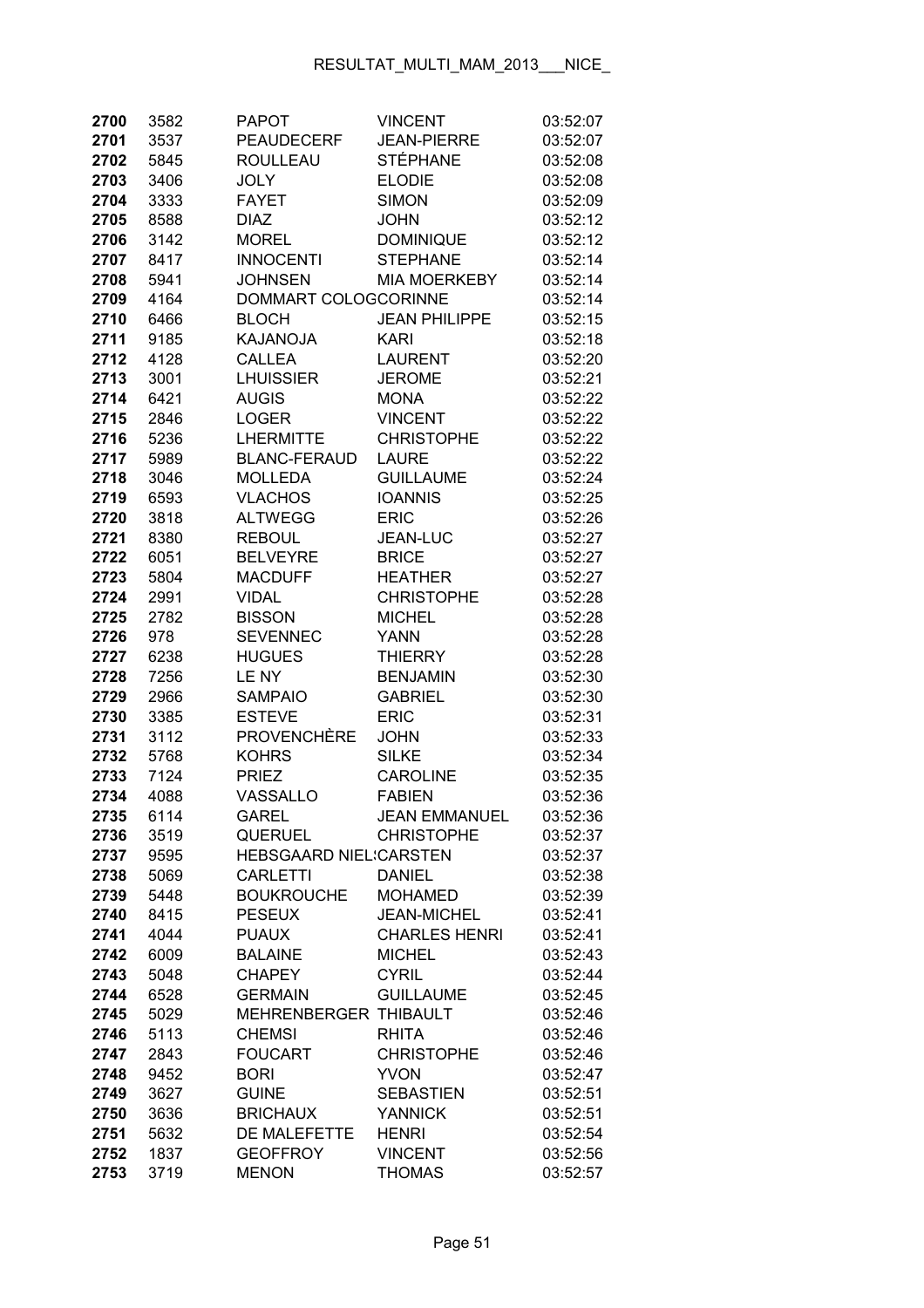| 2700         | 3582         | <b>PAPOT</b>                    | <b>VINCENT</b>                    | 03:52:07             |
|--------------|--------------|---------------------------------|-----------------------------------|----------------------|
| 2701         | 3537         | <b>PEAUDECERF</b>               | <b>JEAN-PIERRE</b>                | 03:52:07             |
| 2702         | 5845         | <b>ROULLEAU</b>                 | <b>STÉPHANE</b>                   | 03:52:08             |
| 2703         | 3406         | <b>JOLY</b>                     | <b>ELODIE</b>                     | 03:52:08             |
| 2704         | 3333         | <b>FAYET</b>                    | <b>SIMON</b>                      | 03:52:09             |
| 2705         | 8588         | <b>DIAZ</b>                     | <b>JOHN</b>                       | 03:52:12             |
| 2706         | 3142         | <b>MOREL</b>                    | <b>DOMINIQUE</b>                  | 03:52:12             |
| 2707         | 8417         | <b>INNOCENTI</b>                | <b>STEPHANE</b>                   | 03:52:14             |
| 2708         | 5941         | <b>JOHNSEN</b>                  | <b>MIA MOERKEBY</b>               | 03:52:14             |
| 2709         | 4164         | DOMMART COLOGCORINNE            |                                   | 03:52:14             |
| 2710         | 6466         | <b>BLOCH</b>                    | <b>JEAN PHILIPPE</b>              | 03:52:15             |
| 2711         | 9185         | KAJANOJA                        | <b>KARI</b>                       | 03:52:18             |
| 2712         | 4128         | <b>CALLEA</b>                   | <b>LAURENT</b>                    | 03:52:20             |
| 2713         | 3001         | <b>LHUISSIER</b>                | <b>JEROME</b>                     | 03:52:21             |
| 2714         | 6421         | <b>AUGIS</b>                    | <b>MONA</b>                       | 03:52:22             |
| 2715         | 2846         | <b>LOGER</b>                    | <b>VINCENT</b>                    | 03:52:22             |
| 2716         | 5236         | <b>LHERMITTE</b>                | <b>CHRISTOPHE</b>                 | 03:52:22             |
| 2717         | 5989         | <b>BLANC-FERAUD</b>             | <b>LAURE</b>                      | 03:52:22             |
| 2718         | 3046         | <b>MOLLEDA</b>                  | <b>GUILLAUME</b>                  | 03:52:24             |
| 2719         | 6593         | <b>VLACHOS</b>                  | <b>IOANNIS</b>                    | 03:52:25             |
| 2720         | 3818         | <b>ALTWEGG</b>                  | <b>ERIC</b>                       | 03:52:26             |
| 2721         | 8380         | <b>REBOUL</b>                   | JEAN-LUC                          | 03:52:27             |
| 2722         | 6051         | <b>BELVEYRE</b>                 | <b>BRICE</b>                      | 03:52:27             |
| 2723         | 5804         | <b>MACDUFF</b>                  | <b>HEATHER</b>                    | 03:52:27             |
| 2724         | 2991         | <b>VIDAL</b>                    | <b>CHRISTOPHE</b>                 | 03:52:28             |
| 2725         | 2782         | <b>BISSON</b>                   | <b>MICHEL</b>                     | 03:52:28             |
| 2726         | 978          | <b>SEVENNEC</b>                 | <b>YANN</b>                       | 03:52:28             |
| 2727         | 6238         | <b>HUGUES</b>                   | <b>THIERRY</b>                    | 03:52:28             |
| 2728         | 7256         | LE NY                           | <b>BENJAMIN</b>                   | 03:52:30             |
| 2729         | 2966         | <b>SAMPAIO</b>                  | <b>GABRIEL</b>                    | 03:52:30             |
| 2730         | 3385         | <b>ESTEVE</b>                   | <b>ERIC</b>                       | 03:52:31             |
| 2731         | 3112         | <b>PROVENCHÈRE</b>              | <b>JOHN</b>                       | 03:52:33             |
| 2732         | 5768         | <b>KOHRS</b>                    | <b>SILKE</b>                      | 03:52:34             |
| 2733         | 7124         | <b>PRIEZ</b>                    | <b>CAROLINE</b>                   | 03:52:35             |
| 2734         | 4088         | VASSALLO                        | <b>FABIEN</b>                     | 03:52:36             |
| 2735         | 6114         | <b>GAREL</b>                    | <b>JEAN EMMANUEL</b>              | 03:52:36             |
| 2736         | 3519         | <b>QUERUEL</b>                  | <b>CHRISTOPHE</b>                 | 03:52:37             |
| 2737         | 9595         | <b>HEBSGAARD NIEL:CARSTEN</b>   |                                   | 03:52:37             |
| 2738         | 5069         | <b>CARLETTI</b>                 | <b>DANIEL</b>                     | 03:52:38             |
| 2739         | 5448         | <b>BOUKROUCHE</b>               | <b>MOHAMED</b>                    | 03:52:39             |
| 2740         | 8415         | <b>PESEUX</b>                   | <b>JEAN-MICHEL</b>                | 03:52:41             |
| 2741         | 4044         | <b>PUAUX</b>                    | <b>CHARLES HENRI</b>              | 03:52:41             |
| 2742         | 6009         | <b>BALAINE</b>                  | <b>MICHEL</b>                     | 03:52:43             |
| 2743         | 5048         | <b>CHAPEY</b>                   | <b>CYRIL</b>                      | 03:52:44             |
| 2744         | 6528         | <b>GERMAIN</b>                  | <b>GUILLAUME</b>                  | 03:52:45<br>03:52:46 |
| 2745         | 5029         | MEHRENBERGER THIBAULT           |                                   |                      |
| 2746<br>2747 | 5113<br>2843 | <b>CHEMSI</b><br><b>FOUCART</b> | <b>RHITA</b><br><b>CHRISTOPHE</b> | 03:52:46<br>03:52:46 |
| 2748         | 9452         | <b>BORI</b>                     | <b>YVON</b>                       | 03:52:47             |
| 2749         | 3627         | <b>GUINE</b>                    | <b>SEBASTIEN</b>                  | 03:52:51             |
| 2750         | 3636         | <b>BRICHAUX</b>                 | <b>YANNICK</b>                    | 03:52:51             |
| 2751         | 5632         | DE MALEFETTE                    | <b>HENRI</b>                      | 03:52:54             |
| 2752         | 1837         | <b>GEOFFROY</b>                 | <b>VINCENT</b>                    | 03:52:56             |
| 2753         | 3719         | <b>MENON</b>                    | <b>THOMAS</b>                     | 03:52:57             |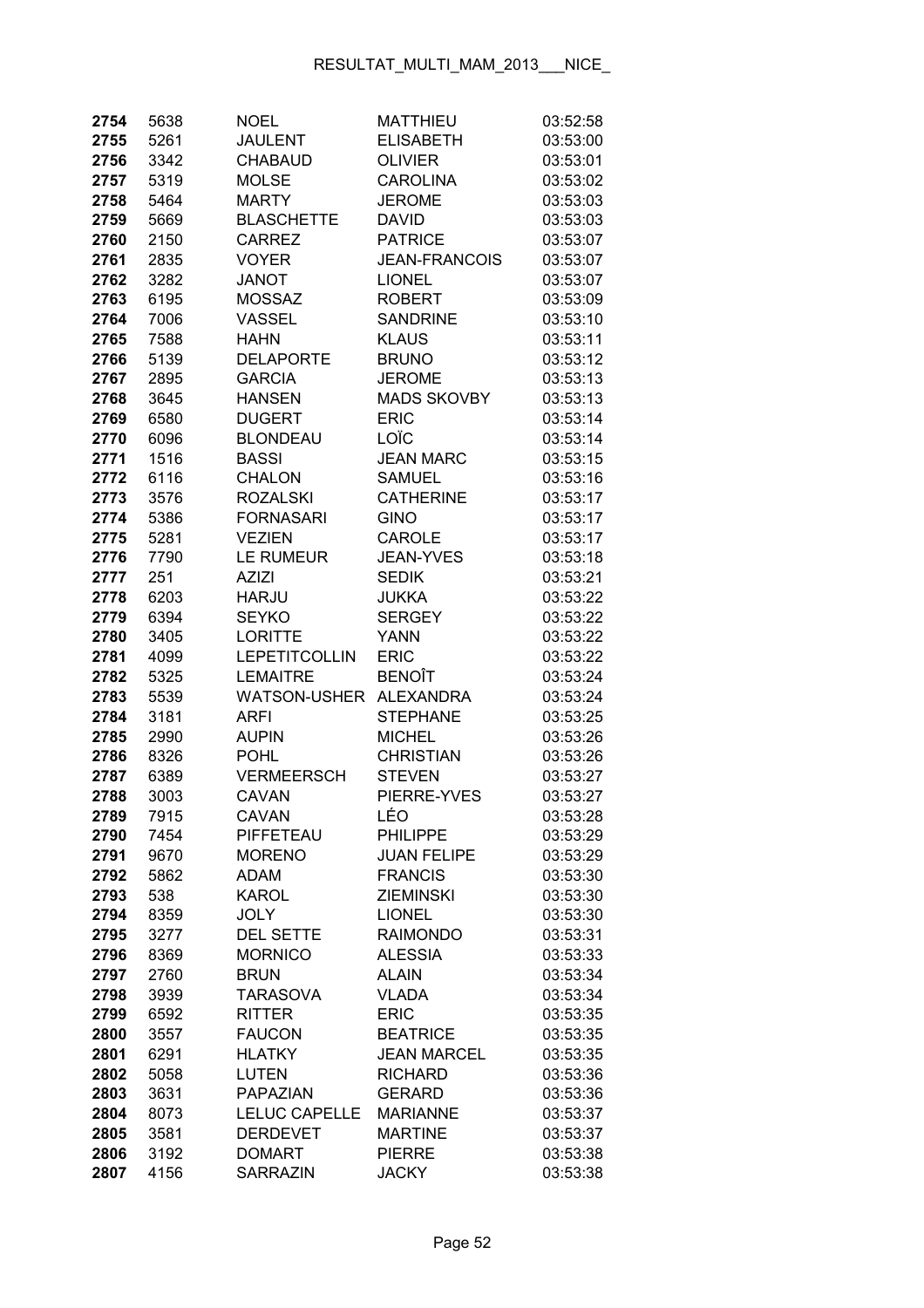| 2754 | 5638 | <b>NOEL</b>          | <b>MATTHIEU</b>      | 03:52:58 |
|------|------|----------------------|----------------------|----------|
| 2755 | 5261 | <b>JAULENT</b>       | <b>ELISABETH</b>     | 03:53:00 |
| 2756 | 3342 | <b>CHABAUD</b>       | <b>OLIVIER</b>       | 03:53:01 |
| 2757 | 5319 | <b>MOLSE</b>         | <b>CAROLINA</b>      | 03:53:02 |
| 2758 | 5464 | <b>MARTY</b>         | <b>JEROME</b>        | 03:53:03 |
| 2759 | 5669 | <b>BLASCHETTE</b>    | <b>DAVID</b>         | 03:53:03 |
| 2760 | 2150 | <b>CARREZ</b>        | <b>PATRICE</b>       | 03:53:07 |
| 2761 | 2835 | <b>VOYER</b>         | <b>JEAN-FRANCOIS</b> | 03:53:07 |
| 2762 | 3282 | <b>JANOT</b>         | <b>LIONEL</b>        | 03:53:07 |
| 2763 | 6195 | <b>MOSSAZ</b>        | <b>ROBERT</b>        | 03:53:09 |
| 2764 | 7006 | VASSEL               | <b>SANDRINE</b>      | 03:53:10 |
| 2765 | 7588 | HAHN                 | <b>KLAUS</b>         | 03:53:11 |
| 2766 | 5139 | <b>DELAPORTE</b>     | <b>BRUNO</b>         | 03:53:12 |
| 2767 | 2895 | <b>GARCIA</b>        | <b>JEROME</b>        | 03:53:13 |
| 2768 | 3645 | <b>HANSEN</b>        | <b>MADS SKOVBY</b>   | 03:53:13 |
| 2769 | 6580 | <b>DUGERT</b>        | <b>ERIC</b>          | 03:53:14 |
| 2770 | 6096 | <b>BLONDEAU</b>      | LOÏC                 | 03:53:14 |
| 2771 | 1516 | <b>BASSI</b>         | <b>JEAN MARC</b>     | 03:53:15 |
| 2772 | 6116 | <b>CHALON</b>        | <b>SAMUEL</b>        | 03:53:16 |
| 2773 | 3576 | <b>ROZALSKI</b>      | <b>CATHERINE</b>     | 03:53:17 |
| 2774 | 5386 | <b>FORNASARI</b>     | <b>GINO</b>          | 03:53:17 |
| 2775 | 5281 | <b>VEZIEN</b>        | <b>CAROLE</b>        | 03:53:17 |
| 2776 | 7790 | LE RUMEUR            | <b>JEAN-YVES</b>     | 03:53:18 |
| 2777 | 251  | <b>AZIZI</b>         | <b>SEDIK</b>         | 03:53:21 |
| 2778 | 6203 | <b>HARJU</b>         | <b>JUKKA</b>         | 03:53:22 |
| 2779 | 6394 | <b>SEYKO</b>         | <b>SERGEY</b>        | 03:53:22 |
| 2780 | 3405 | <b>LORITTE</b>       | <b>YANN</b>          | 03:53:22 |
| 2781 | 4099 | LEPETITCOLLIN        | <b>ERIC</b>          | 03:53:22 |
| 2782 | 5325 | <b>LEMAITRE</b>      | <b>BENOÎT</b>        | 03:53:24 |
| 2783 | 5539 | <b>WATSON-USHER</b>  | <b>ALEXANDRA</b>     | 03:53:24 |
| 2784 | 3181 | ARFI                 | <b>STEPHANE</b>      | 03:53:25 |
| 2785 | 2990 | <b>AUPIN</b>         | <b>MICHEL</b>        | 03:53:26 |
| 2786 | 8326 | <b>POHL</b>          | <b>CHRISTIAN</b>     | 03:53:26 |
| 2787 | 6389 | <b>VERMEERSCH</b>    | <b>STEVEN</b>        | 03:53:27 |
| 2788 | 3003 | CAVAN                | PIERRE-YVES          | 03:53:27 |
| 2789 | 7915 | CAVAN                | LÉO                  | 03:53:28 |
| 2790 | 7454 | PIFFETEAU            | <b>PHILIPPE</b>      | 03:53:29 |
| 2791 | 9670 | <b>MORENO</b>        | <b>JUAN FELIPE</b>   | 03:53:29 |
| 2792 | 5862 | <b>ADAM</b>          | <b>FRANCIS</b>       | 03:53:30 |
| 2793 | 538  | KAROL                | <b>ZIEMINSKI</b>     | 03:53:30 |
| 2794 | 8359 | <b>JOLY</b>          | <b>LIONEL</b>        | 03:53:30 |
| 2795 | 3277 | <b>DEL SETTE</b>     | <b>RAIMONDO</b>      | 03:53:31 |
| 2796 | 8369 | <b>MORNICO</b>       | <b>ALESSIA</b>       | 03:53:33 |
| 2797 | 2760 | <b>BRUN</b>          | <b>ALAIN</b>         | 03:53:34 |
| 2798 | 3939 | <b>TARASOVA</b>      | <b>VLADA</b>         | 03:53:34 |
| 2799 | 6592 | <b>RITTER</b>        | <b>ERIC</b>          | 03:53:35 |
| 2800 | 3557 | <b>FAUCON</b>        | <b>BEATRICE</b>      | 03:53:35 |
| 2801 | 6291 | <b>HLATKY</b>        | <b>JEAN MARCEL</b>   | 03:53:35 |
| 2802 | 5058 | LUTEN                | <b>RICHARD</b>       | 03:53:36 |
| 2803 | 3631 | PAPAZIAN             | <b>GERARD</b>        | 03:53:36 |
| 2804 | 8073 | <b>LELUC CAPELLE</b> | <b>MARIANNE</b>      | 03:53:37 |
| 2805 | 3581 | <b>DERDEVET</b>      | <b>MARTINE</b>       | 03:53:37 |
| 2806 | 3192 | <b>DOMART</b>        | <b>PIERRE</b>        | 03:53:38 |
| 2807 | 4156 | <b>SARRAZIN</b>      | <b>JACKY</b>         | 03:53:38 |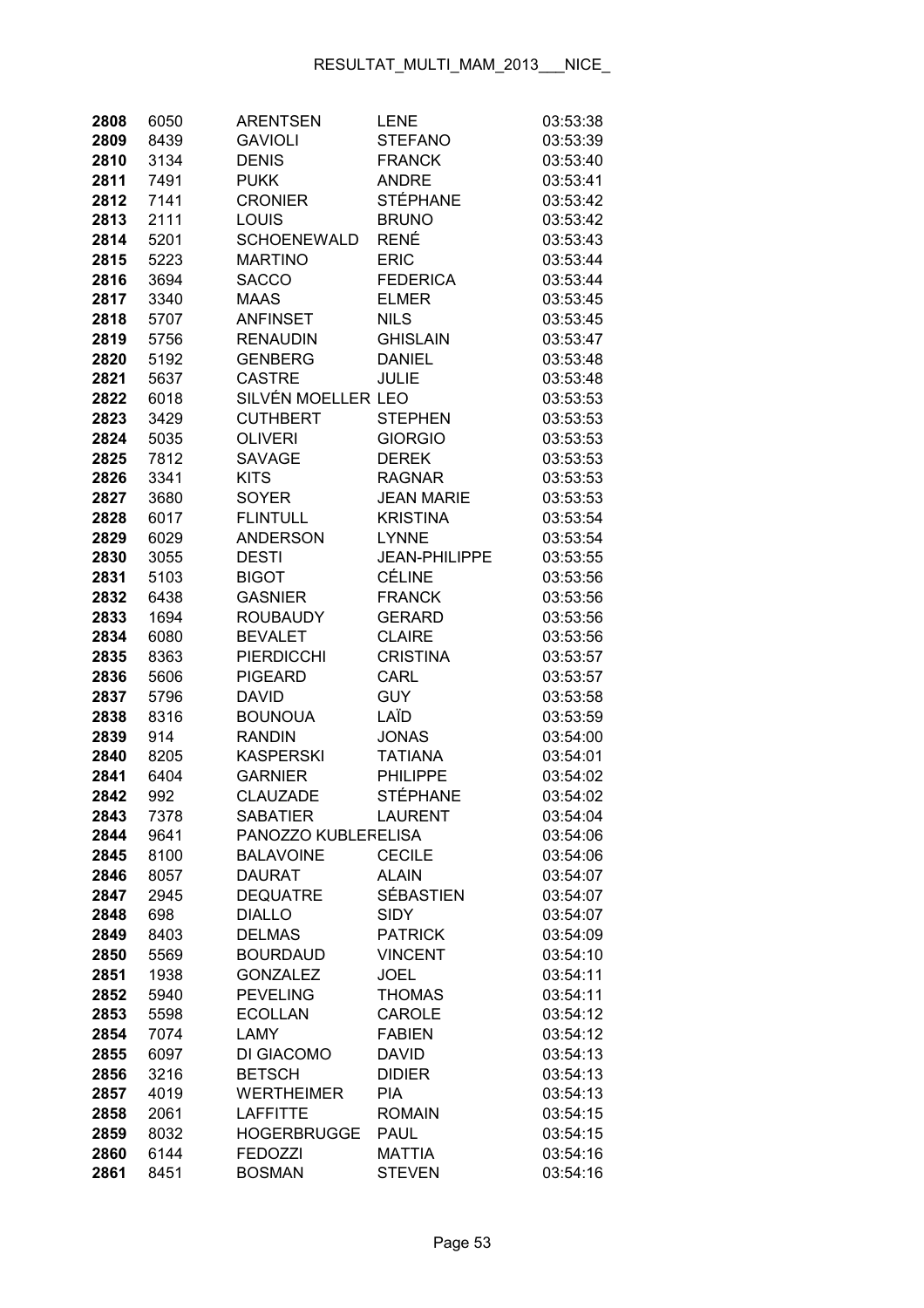| 2808         | 6050         | <b>ARENTSEN</b>                | <b>LENE</b>                     | 03:53:38             |
|--------------|--------------|--------------------------------|---------------------------------|----------------------|
| 2809         | 8439         | <b>GAVIOLI</b>                 | <b>STEFANO</b>                  | 03:53:39             |
| 2810         | 3134         | <b>DENIS</b>                   | <b>FRANCK</b>                   | 03:53:40             |
| 2811         | 7491         | <b>PUKK</b>                    | <b>ANDRE</b>                    | 03:53:41             |
| 2812         | 7141         | <b>CRONIER</b>                 | <b>STÉPHANE</b>                 | 03:53:42             |
| 2813         | 2111         | LOUIS                          | <b>BRUNO</b>                    | 03:53:42             |
| 2814         | 5201         | <b>SCHOENEWALD</b>             | <b>RENÉ</b>                     | 03:53:43             |
| 2815         | 5223         | <b>MARTINO</b>                 | <b>ERIC</b>                     | 03:53:44             |
| 2816         | 3694         | <b>SACCO</b>                   | <b>FEDERICA</b>                 | 03:53:44             |
| 2817         | 3340         | <b>MAAS</b>                    | <b>ELMER</b>                    | 03:53:45             |
| 2818         | 5707         | <b>ANFINSET</b>                | <b>NILS</b>                     | 03:53:45             |
| 2819         | 5756         | <b>RENAUDIN</b>                | <b>GHISLAIN</b>                 | 03:53:47             |
| 2820         | 5192         | <b>GENBERG</b>                 | <b>DANIEL</b>                   | 03:53:48             |
| 2821         | 5637         | <b>CASTRE</b>                  | <b>JULIE</b>                    | 03:53:48             |
| 2822         | 6018         | SILVÉN MOELLER LEO             |                                 | 03:53:53             |
| 2823         | 3429         | <b>CUTHBERT</b>                | <b>STEPHEN</b>                  | 03:53:53             |
| 2824         | 5035         | <b>OLIVERI</b>                 | <b>GIORGIO</b>                  | 03:53:53             |
| 2825         | 7812         | <b>SAVAGE</b>                  | <b>DEREK</b>                    | 03:53:53             |
| 2826         | 3341         | <b>KITS</b>                    | <b>RAGNAR</b>                   | 03:53:53             |
| 2827         | 3680         | <b>SOYER</b>                   | <b>JEAN MARIE</b>               | 03:53:53             |
| 2828         | 6017         | <b>FLINTULL</b>                | <b>KRISTINA</b>                 | 03:53:54             |
| 2829         | 6029         | <b>ANDERSON</b>                | <b>LYNNE</b>                    | 03:53:54             |
| 2830         | 3055         | <b>DESTI</b>                   | <b>JEAN-PHILIPPE</b>            | 03:53:55             |
| 2831         | 5103         | <b>BIGOT</b>                   | <b>CÉLINE</b>                   | 03:53:56             |
| 2832         | 6438         | <b>GASNIER</b>                 | <b>FRANCK</b>                   | 03:53:56             |
| 2833         | 1694         | <b>ROUBAUDY</b>                | <b>GERARD</b>                   | 03:53:56             |
| 2834         | 6080         | <b>BEVALET</b>                 | <b>CLAIRE</b>                   | 03:53:56             |
| 2835         | 8363         | <b>PIERDICCHI</b>              | <b>CRISTINA</b>                 | 03:53:57             |
| 2836         | 5606         | <b>PIGEARD</b>                 | CARL                            | 03:53:57             |
| 2837         | 5796         | DAVID                          | <b>GUY</b>                      | 03:53:58             |
| 2838         | 8316         | <b>BOUNOUA</b>                 | LAÏD                            | 03:53:59             |
| 2839         | 914          | <b>RANDIN</b>                  | <b>JONAS</b>                    | 03:54:00             |
| 2840         | 8205         | <b>KASPERSKI</b>               | <b>TATIANA</b>                  | 03:54:01             |
| 2841         | 6404         | <b>GARNIER</b>                 | <b>PHILIPPE</b>                 | 03:54:02             |
| 2842         | 992          | <b>CLAUZADE</b>                | <b>STÉPHANE</b>                 | 03:54:02             |
| 2843         | 7378         | SABATIER                       | <b>LAURENT</b>                  | 03:54:04             |
| 2844         | 9641         | PANOZZO KUBLERELISA            |                                 | 03:54:06             |
| 2845         | 8100         | <b>BALAVOINE</b>               | <b>CECILE</b>                   | 03:54:06             |
| 2846         | 8057         | <b>DAURAT</b>                  | <b>ALAIN</b>                    | 03:54:07             |
| 2847         | 2945         | <b>DEQUATRE</b>                | <b>SÉBASTIEN</b><br><b>SIDY</b> | 03:54:07             |
| 2848         | 698          | <b>DIALLO</b><br><b>DELMAS</b> | <b>PATRICK</b>                  | 03:54:07             |
| 2849<br>2850 | 8403<br>5569 | <b>BOURDAUD</b>                | <b>VINCENT</b>                  | 03:54:09<br>03:54:10 |
| 2851         | 1938         | <b>GONZALEZ</b>                | <b>JOEL</b>                     | 03:54:11             |
| 2852         | 5940         | <b>PEVELING</b>                | <b>THOMAS</b>                   | 03:54:11             |
| 2853         | 5598         | <b>ECOLLAN</b>                 | CAROLE                          | 03:54:12             |
| 2854         | 7074         | <b>LAMY</b>                    | <b>FABIEN</b>                   | 03:54:12             |
| 2855         | 6097         | DI GIACOMO                     | <b>DAVID</b>                    | 03:54:13             |
| 2856         | 3216         | <b>BETSCH</b>                  | <b>DIDIER</b>                   | 03:54:13             |
| 2857         | 4019         | <b>WERTHEIMER</b>              | <b>PIA</b>                      | 03:54:13             |
| 2858         | 2061         | <b>LAFFITTE</b>                | <b>ROMAIN</b>                   | 03:54:15             |
| 2859         | 8032         | <b>HOGERBRUGGE</b>             | <b>PAUL</b>                     | 03:54:15             |
| 2860         | 6144         | <b>FEDOZZI</b>                 | <b>MATTIA</b>                   | 03:54:16             |
| 2861         | 8451         | <b>BOSMAN</b>                  | <b>STEVEN</b>                   | 03:54:16             |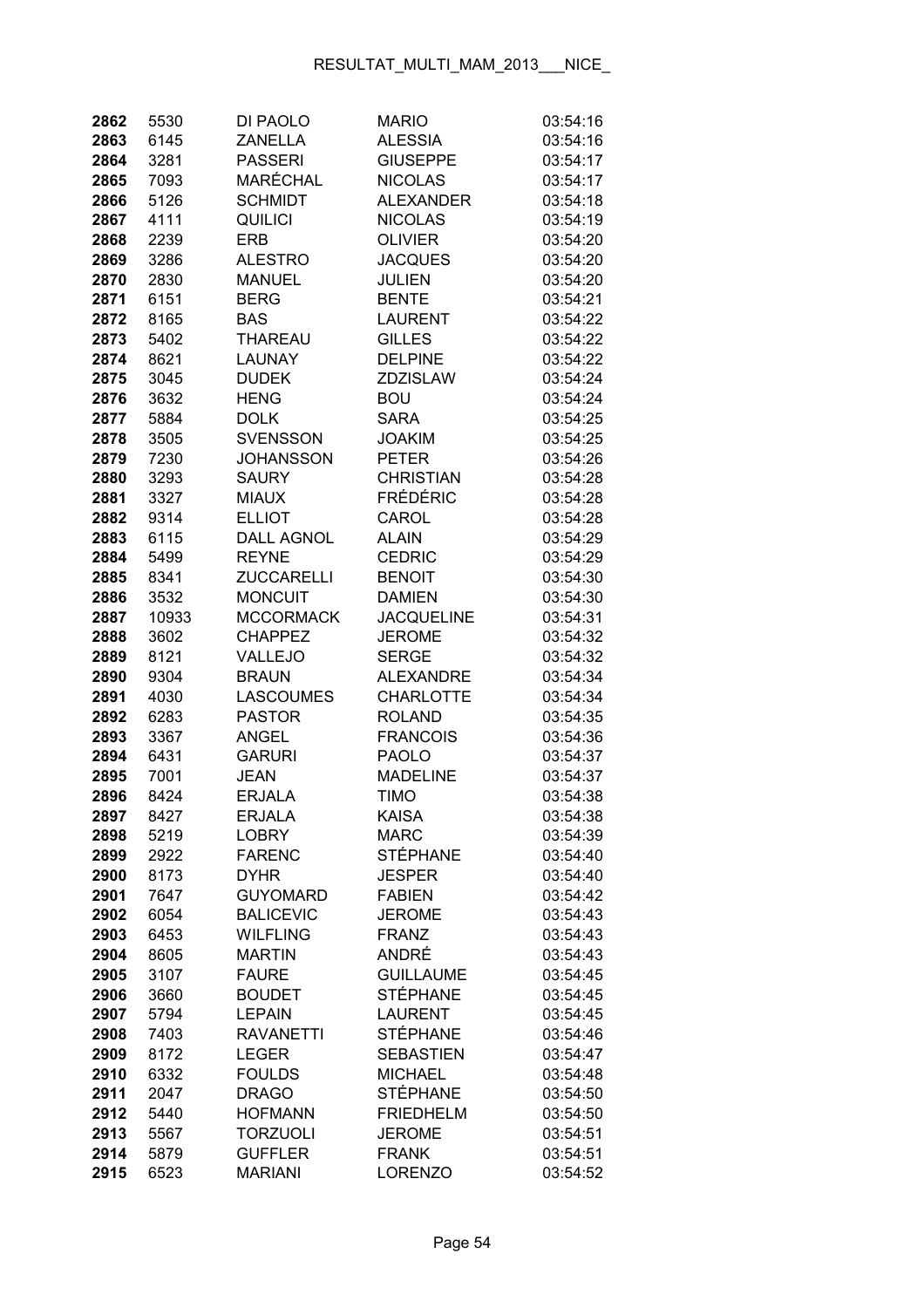| 2862         | 5530         | DI PAOLO                       | <b>MARIO</b>                        | 03:54:16             |
|--------------|--------------|--------------------------------|-------------------------------------|----------------------|
| 2863         | 6145         | <b>ZANELLA</b>                 | <b>ALESSIA</b>                      | 03:54:16             |
| 2864         | 3281         | <b>PASSERI</b>                 | <b>GIUSEPPE</b>                     | 03:54:17             |
| 2865         | 7093         | MARÉCHAL                       | <b>NICOLAS</b>                      | 03:54:17             |
| 2866         | 5126         | <b>SCHMIDT</b>                 | <b>ALEXANDER</b>                    | 03:54:18             |
| 2867         | 4111         | QUILICI                        | <b>NICOLAS</b>                      | 03:54:19             |
| 2868         | 2239         | <b>ERB</b>                     | <b>OLIVIER</b>                      | 03:54:20             |
| 2869         | 3286         | <b>ALESTRO</b>                 | <b>JACQUES</b>                      | 03:54:20             |
| 2870         | 2830         | <b>MANUEL</b>                  | <b>JULIEN</b>                       | 03:54:20             |
| 2871         | 6151         | <b>BERG</b>                    | <b>BENTE</b>                        | 03:54:21             |
| 2872         | 8165         | <b>BAS</b>                     | <b>LAURENT</b>                      | 03:54:22             |
| 2873         | 5402         | THAREAU                        | <b>GILLES</b>                       | 03:54:22             |
| 2874         | 8621         | <b>LAUNAY</b>                  | <b>DELPINE</b>                      | 03:54:22             |
| 2875         | 3045         | <b>DUDEK</b>                   | <b>ZDZISLAW</b>                     | 03:54:24             |
| 2876         | 3632         | <b>HENG</b>                    | <b>BOU</b>                          | 03:54:24             |
| 2877         | 5884         | <b>DOLK</b>                    | <b>SARA</b>                         | 03:54:25             |
| 2878         | 3505         | <b>SVENSSON</b>                | <b>JOAKIM</b>                       | 03:54:25             |
| 2879         | 7230         | <b>JOHANSSON</b>               | <b>PETER</b>                        | 03:54:26             |
| 2880         | 3293         | <b>SAURY</b>                   | <b>CHRISTIAN</b>                    | 03:54:28             |
| 2881         | 3327         | <b>MIAUX</b>                   | <b>FRÉDÉRIC</b>                     | 03:54:28             |
| 2882         | 9314         | <b>ELLIOT</b>                  | CAROL                               | 03:54:28             |
| 2883         | 6115         | <b>DALL AGNOL</b>              | <b>ALAIN</b>                        | 03:54:29             |
| 2884         | 5499         | <b>REYNE</b>                   | <b>CEDRIC</b>                       | 03:54:29             |
| 2885         | 8341         | ZUCCARELLI                     | <b>BENOIT</b>                       | 03:54:30             |
| 2886         | 3532         | <b>MONCUIT</b>                 | <b>DAMIEN</b>                       | 03:54:30             |
| 2887         | 10933        | <b>MCCORMACK</b>               | <b>JACQUELINE</b>                   | 03:54:31             |
| 2888         | 3602         | <b>CHAPPEZ</b>                 | <b>JEROME</b>                       | 03:54:32             |
| 2889         | 8121         | VALLEJO                        | <b>SERGE</b>                        | 03:54:32             |
| 2890         | 9304         | <b>BRAUN</b>                   | <b>ALEXANDRE</b>                    | 03:54:34             |
| 2891         | 4030         | <b>LASCOUMES</b>               | <b>CHARLOTTE</b>                    | 03:54:34             |
| 2892         | 6283         | <b>PASTOR</b>                  | <b>ROLAND</b>                       | 03:54:35             |
| 2893         | 3367         | <b>ANGEL</b>                   | <b>FRANCOIS</b>                     | 03:54:36             |
| 2894         | 6431         | <b>GARURI</b>                  | <b>PAOLO</b>                        | 03:54:37             |
| 2895         | 7001         | <b>JEAN</b>                    | <b>MADELINE</b>                     | 03:54:37             |
| 2896         | 8424         | <b>ERJALA</b>                  | <b>TIMO</b>                         | 03:54:38             |
| 2897         | 8427         | <b>ERJALA</b>                  | KAISA                               | 03:54:38             |
| 2898         | 5219         | <b>LOBRY</b>                   | <b>MARC</b>                         | 03:54:39             |
| 2899         | 2922         | <b>FARENC</b>                  | <b>STÉPHANE</b>                     | 03:54:40             |
| 2900         | 8173         | <b>DYHR</b>                    | <b>JESPER</b>                       | 03:54:40             |
| 2901         | 7647         | <b>GUYOMARD</b>                | <b>FABIEN</b>                       | 03:54:42             |
| 2902         | 6054         | <b>BALICEVIC</b>               | <b>JEROME</b>                       | 03:54:43             |
| 2903         | 6453         | <b>WILFLING</b>                | <b>FRANZ</b>                        | 03:54:43             |
| 2904         | 8605         | <b>MARTIN</b>                  | ANDRÉ                               | 03:54:43             |
| 2905         | 3107         | <b>FAURE</b>                   | <b>GUILLAUME</b>                    | 03:54:45             |
| 2906         | 3660         | <b>BOUDET</b>                  | <b>STÉPHANE</b>                     | 03:54:45             |
| 2907         | 5794         | <b>LEPAIN</b>                  | <b>LAURENT</b>                      | 03:54:45             |
| 2908         | 7403         | <b>RAVANETTI</b>               | <b>STÉPHANE</b>                     | 03:54:46             |
| 2909         | 8172         | <b>LEGER</b>                   | <b>SEBASTIEN</b>                    | 03:54:47             |
| 2910         | 6332         | <b>FOULDS</b>                  | <b>MICHAEL</b>                      | 03:54:48             |
| 2911<br>2912 | 2047<br>5440 | <b>DRAGO</b><br><b>HOFMANN</b> | <b>STÉPHANE</b><br><b>FRIEDHELM</b> | 03:54:50<br>03:54:50 |
| 2913         | 5567         | <b>TORZUOLI</b>                | <b>JEROME</b>                       | 03:54:51             |
| 2914         | 5879         | <b>GUFFLER</b>                 | <b>FRANK</b>                        | 03:54:51             |
| 2915         | 6523         | <b>MARIANI</b>                 | <b>LORENZO</b>                      | 03:54:52             |
|              |              |                                |                                     |                      |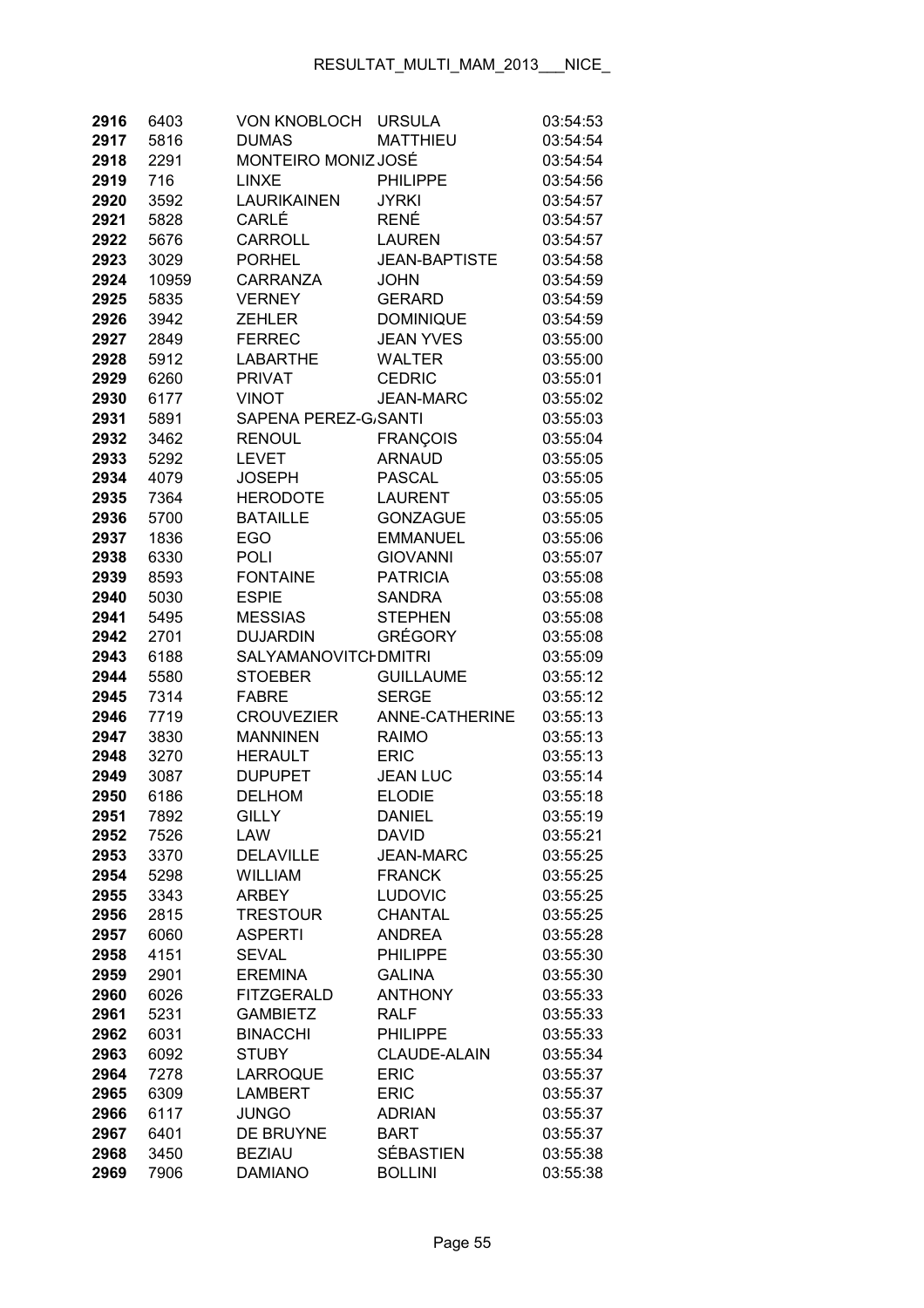| 2916         | 6403         | <b>VON KNOBLOCH</b>               | <b>URSULA</b>                          | 03:54:53             |
|--------------|--------------|-----------------------------------|----------------------------------------|----------------------|
| 2917         | 5816         | <b>DUMAS</b>                      | <b>MATTHIEU</b>                        | 03:54:54             |
| 2918         | 2291         | MONTEIRO MONIZ JOSÉ               |                                        | 03:54:54             |
| 2919         | 716          | <b>LINXE</b>                      | <b>PHILIPPE</b>                        | 03:54:56             |
| 2920         | 3592         | <b>LAURIKAINEN</b>                | <b>JYRKI</b>                           | 03:54:57             |
| 2921         | 5828         | CARLÉ                             | <b>RENÉ</b>                            | 03:54:57             |
| 2922         | 5676         | <b>CARROLL</b>                    | <b>LAUREN</b>                          | 03:54:57             |
| 2923         | 3029         | <b>PORHEL</b>                     | <b>JEAN-BAPTISTE</b>                   | 03:54:58             |
| 2924         | 10959        | CARRANZA                          | <b>JOHN</b>                            | 03:54:59             |
| 2925         | 5835         | <b>VERNEY</b>                     | <b>GERARD</b>                          | 03:54:59             |
| 2926         | 3942         | <b>ZEHLER</b>                     | <b>DOMINIQUE</b>                       | 03:54:59             |
| 2927         | 2849         | <b>FERREC</b>                     | <b>JEAN YVES</b>                       | 03:55:00             |
| 2928         | 5912         | LABARTHE                          | <b>WALTER</b>                          | 03:55:00             |
| 2929         | 6260         | <b>PRIVAT</b>                     | <b>CEDRIC</b>                          | 03:55:01             |
| 2930         | 6177         | <b>VINOT</b>                      | <b>JEAN-MARC</b>                       | 03:55:02             |
| 2931         | 5891         | SAPENA PEREZ-G/SANTI              |                                        | 03:55:03             |
| 2932         | 3462         | <b>RENOUL</b>                     | <b>FRANÇOIS</b>                        | 03:55:04             |
| 2933         | 5292         | <b>LEVET</b>                      | <b>ARNAUD</b>                          | 03:55:05             |
| 2934         | 4079         | <b>JOSEPH</b>                     | <b>PASCAL</b>                          | 03:55:05             |
| 2935         | 7364         | <b>HERODOTE</b>                   | <b>LAURENT</b>                         | 03:55:05             |
| 2936         | 5700         | <b>BATAILLE</b>                   | <b>GONZAGUE</b>                        | 03:55:05             |
| 2937         | 1836         | <b>EGO</b>                        | <b>EMMANUEL</b>                        | 03:55:06             |
| 2938         | 6330         | <b>POLI</b>                       | <b>GIOVANNI</b>                        | 03:55:07             |
| 2939         | 8593         | <b>FONTAINE</b>                   | <b>PATRICIA</b>                        | 03:55:08             |
| 2940         | 5030         | <b>ESPIE</b>                      | <b>SANDRA</b>                          | 03:55:08             |
| 2941         | 5495         | <b>MESSIAS</b>                    | <b>STEPHEN</b>                         | 03:55:08             |
| 2942         | 2701         | <b>DUJARDIN</b>                   | <b>GRÉGORY</b>                         | 03:55:08             |
| 2943         | 6188         | <b>SALYAMANOVITCI DMITRI</b>      |                                        | 03:55:09             |
| 2944         | 5580         | <b>STOEBER</b>                    | <b>GUILLAUME</b>                       | 03:55:12             |
| 2945         | 7314         | <b>FABRE</b>                      | <b>SERGE</b>                           | 03:55:12             |
| 2946         | 7719         | <b>CROUVEZIER</b>                 | ANNE-CATHERINE                         | 03:55:13             |
| 2947         | 3830         | <b>MANNINEN</b>                   | <b>RAIMO</b>                           | 03:55:13             |
| 2948         | 3270         | <b>HERAULT</b>                    | <b>ERIC</b>                            | 03:55:13             |
| 2949         | 3087         | <b>DUPUPET</b>                    | <b>JEAN LUC</b>                        | 03:55:14             |
| 2950         | 6186         | <b>DELHOM</b>                     | <b>ELODIE</b>                          | 03:55:18             |
| 2951         | 7892         | <b>GILLY</b>                      | DANIEL                                 | 03:55:19             |
| 2952         | 7526         | LAW                               | <b>DAVID</b>                           | 03:55:21             |
| 2953         | 3370         | <b>DELAVILLE</b>                  | <b>JEAN-MARC</b>                       | 03:55:25             |
| 2954         | 5298         | <b>WILLIAM</b>                    | <b>FRANCK</b>                          | 03:55:25             |
| 2955         | 3343         | <b>ARBEY</b>                      | LUDOVIC                                | 03:55:25             |
| 2956         | 2815         | <b>TRESTOUR</b>                   | <b>CHANTAL</b>                         | 03:55:25             |
| 2957         | 6060         | <b>ASPERTI</b>                    | <b>ANDREA</b>                          | 03:55:28             |
| 2958         | 4151         | <b>SEVAL</b>                      | <b>PHILIPPE</b>                        | 03:55:30             |
| 2959         | 2901         | <b>EREMINA</b>                    | <b>GALINA</b>                          | 03:55:30             |
| 2960         | 6026         | <b>FITZGERALD</b>                 | <b>ANTHONY</b>                         | 03:55:33             |
| 2961         | 5231         | <b>GAMBIETZ</b>                   | <b>RALF</b>                            | 03:55:33             |
| 2962         | 6031         | <b>BINACCHI</b>                   | <b>PHILIPPE</b><br><b>CLAUDE-ALAIN</b> | 03:55:33             |
| 2963         | 6092         | <b>STUBY</b>                      |                                        | 03:55:34             |
| 2964<br>2965 | 7278<br>6309 | <b>LARROQUE</b><br><b>LAMBERT</b> | <b>ERIC</b><br><b>ERIC</b>             | 03:55:37<br>03:55:37 |
| 2966         | 6117         | <b>JUNGO</b>                      | <b>ADRIAN</b>                          | 03:55:37             |
| 2967         | 6401         | DE BRUYNE                         | <b>BART</b>                            | 03:55:37             |
| 2968         | 3450         | <b>BEZIAU</b>                     | SÉBASTIEN                              | 03:55:38             |
| 2969         | 7906         | <b>DAMIANO</b>                    | <b>BOLLINI</b>                         | 03:55:38             |
|              |              |                                   |                                        |                      |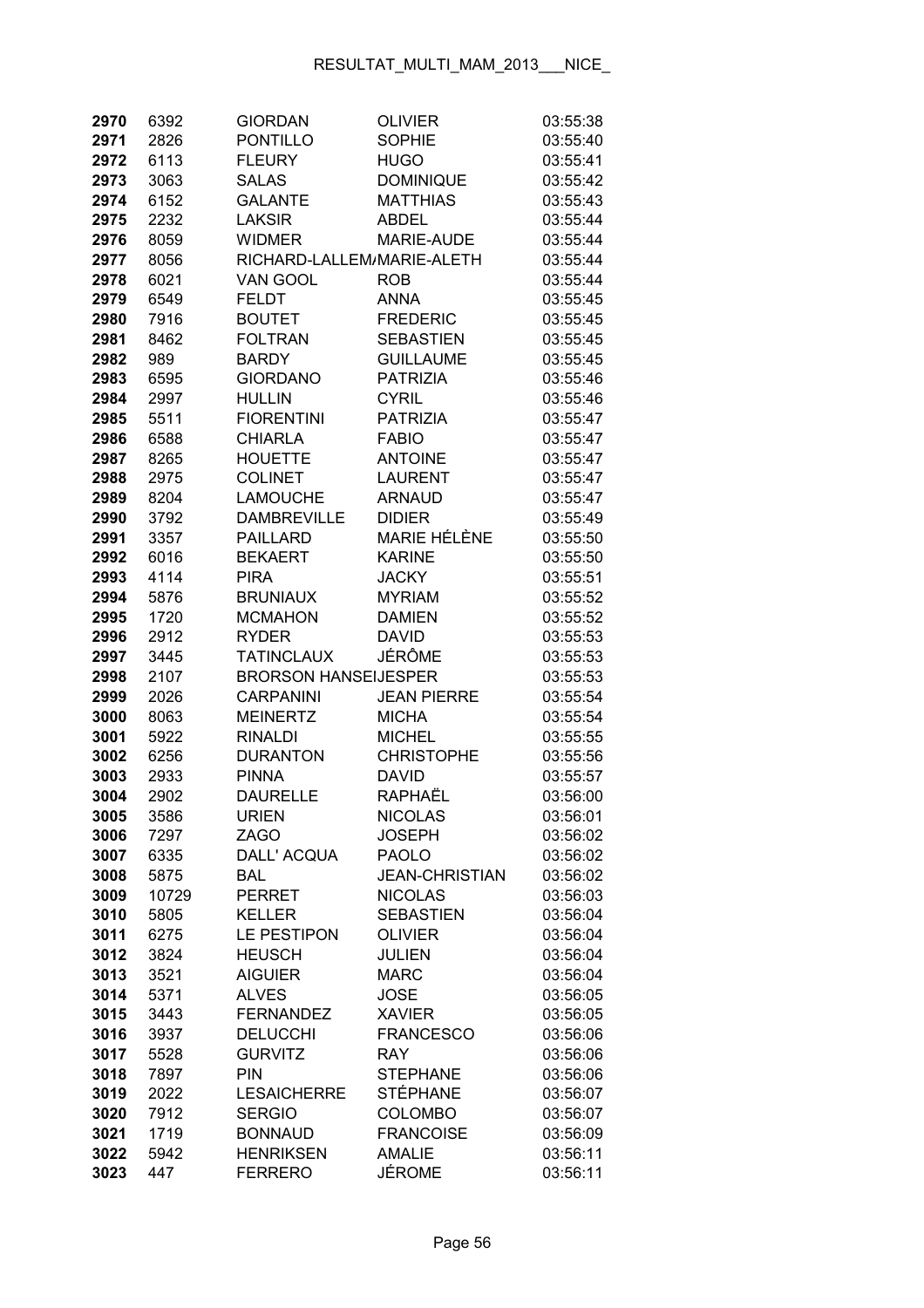| 2970         | 6392         | <b>GIORDAN</b>                      | <b>OLIVIER</b>                     | 03:55:38             |
|--------------|--------------|-------------------------------------|------------------------------------|----------------------|
| 2971         | 2826         | <b>PONTILLO</b>                     | <b>SOPHIE</b>                      | 03:55:40             |
| 2972         | 6113         | <b>FLEURY</b>                       | <b>HUGO</b>                        | 03:55:41             |
| 2973         | 3063         | <b>SALAS</b>                        | <b>DOMINIQUE</b>                   | 03:55:42             |
| 2974         | 6152         | <b>GALANTE</b>                      | <b>MATTHIAS</b>                    | 03:55:43             |
| 2975         | 2232         | <b>LAKSIR</b>                       | <b>ABDEL</b>                       | 03:55:44             |
| 2976         | 8059         | <b>WIDMER</b>                       | <b>MARIE-AUDE</b>                  | 03:55:44             |
| 2977         | 8056         | RICHARD-LALLEM/MARIE-ALETH          |                                    | 03:55:44             |
| 2978         | 6021         | VAN GOOL                            | <b>ROB</b>                         | 03:55:44             |
| 2979         | 6549         | <b>FELDT</b>                        | <b>ANNA</b>                        | 03:55:45             |
| 2980         | 7916         | <b>BOUTET</b>                       | <b>FREDERIC</b>                    | 03:55:45             |
| 2981         | 8462         | <b>FOLTRAN</b>                      | <b>SEBASTIEN</b>                   | 03:55:45             |
| 2982         | 989          | <b>BARDY</b>                        | <b>GUILLAUME</b>                   | 03:55:45             |
| 2983         | 6595         | <b>GIORDANO</b>                     | <b>PATRIZIA</b>                    | 03:55:46             |
| 2984         | 2997         | <b>HULLIN</b>                       | <b>CYRIL</b>                       | 03:55:46             |
| 2985         | 5511         | <b>FIORENTINI</b>                   | <b>PATRIZIA</b>                    | 03:55:47             |
| 2986         | 6588         | <b>CHIARLA</b>                      | <b>FABIO</b>                       | 03:55:47             |
| 2987         | 8265         | <b>HOUETTE</b>                      | <b>ANTOINE</b>                     | 03:55:47             |
| 2988         | 2975         | <b>COLINET</b>                      | <b>LAURENT</b>                     | 03:55:47             |
| 2989         | 8204         | <b>LAMOUCHE</b>                     | <b>ARNAUD</b>                      | 03:55:47             |
| 2990         | 3792         | <b>DAMBREVILLE</b>                  | <b>DIDIER</b>                      | 03:55:49             |
| 2991         | 3357         | <b>PAILLARD</b>                     | <b>MARIE HÉLÈNE</b>                | 03:55:50             |
| 2992         | 6016         | <b>BEKAERT</b>                      | <b>KARINE</b>                      | 03:55:50             |
| 2993         | 4114         | <b>PIRA</b>                         | <b>JACKY</b>                       | 03:55:51             |
| 2994         | 5876         | <b>BRUNIAUX</b>                     | <b>MYRIAM</b>                      | 03:55:52             |
| 2995         | 1720         | <b>MCMAHON</b>                      | <b>DAMIEN</b>                      | 03:55:52             |
| 2996         | 2912         | <b>RYDER</b>                        | <b>DAVID</b>                       | 03:55:53             |
| 2997         | 3445         | <b>TATINCLAUX</b>                   | <b>JÉRÔME</b>                      | 03:55:53             |
| 2998         | 2107         | <b>BRORSON HANSEIJESPER</b>         |                                    | 03:55:53             |
| 2999         | 2026         | <b>CARPANINI</b>                    | <b>JEAN PIERRE</b>                 | 03:55:54             |
| 3000         | 8063         | <b>MEINERTZ</b>                     | <b>MICHA</b>                       | 03:55:54             |
| 3001         | 5922         | <b>RINALDI</b>                      | <b>MICHEL</b>                      | 03:55:55             |
| 3002         | 6256         | <b>DURANTON</b>                     | <b>CHRISTOPHE</b>                  | 03:55:56             |
| 3003         | 2933         | <b>PINNA</b>                        | <b>DAVID</b>                       | 03:55:57             |
| 3004         | 2902         | <b>DAURELLE</b>                     | RAPHAËL                            | 03:56:00             |
| 3005         | 3586         | <b>URIEN</b>                        | <b>NICOLAS</b>                     | 03:56:01             |
| 3006         | 7297         | <b>ZAGO</b>                         | <b>JOSEPH</b>                      | 03:56:02             |
| 3007         | 6335         | DALL' ACQUA                         | <b>PAOLO</b>                       | 03:56:02             |
| 3008         | 5875         | <b>BAL</b>                          | <b>JEAN-CHRISTIAN</b>              | 03:56:02             |
| 3009         | 10729        | <b>PERRET</b>                       | <b>NICOLAS</b>                     | 03:56:03             |
| 3010         | 5805         | <b>KELLER</b><br><b>LE PESTIPON</b> | <b>SEBASTIEN</b><br><b>OLIVIER</b> | 03:56:04             |
| 3011<br>3012 | 6275<br>3824 | <b>HEUSCH</b>                       | <b>JULIEN</b>                      | 03:56:04<br>03:56:04 |
| 3013         | 3521         | <b>AIGUIER</b>                      | <b>MARC</b>                        | 03:56:04             |
| 3014         | 5371         | <b>ALVES</b>                        | <b>JOSE</b>                        | 03:56:05             |
| 3015         | 3443         | <b>FERNANDEZ</b>                    | <b>XAVIER</b>                      | 03:56:05             |
| 3016         | 3937         | <b>DELUCCHI</b>                     | <b>FRANCESCO</b>                   | 03:56:06             |
| 3017         | 5528         | <b>GURVITZ</b>                      | <b>RAY</b>                         | 03:56:06             |
| 3018         | 7897         | PIN                                 | <b>STEPHANE</b>                    | 03:56:06             |
| 3019         | 2022         | <b>LESAICHERRE</b>                  | STÉPHANE                           | 03:56:07             |
| 3020         | 7912         | <b>SERGIO</b>                       | <b>COLOMBO</b>                     | 03:56:07             |
| 3021         | 1719         | <b>BONNAUD</b>                      | <b>FRANCOISE</b>                   | 03:56:09             |
| 3022         | 5942         | <b>HENRIKSEN</b>                    | <b>AMALIE</b>                      | 03:56:11             |
| 3023         | 447          | <b>FERRERO</b>                      | <b>JÉROME</b>                      | 03:56:11             |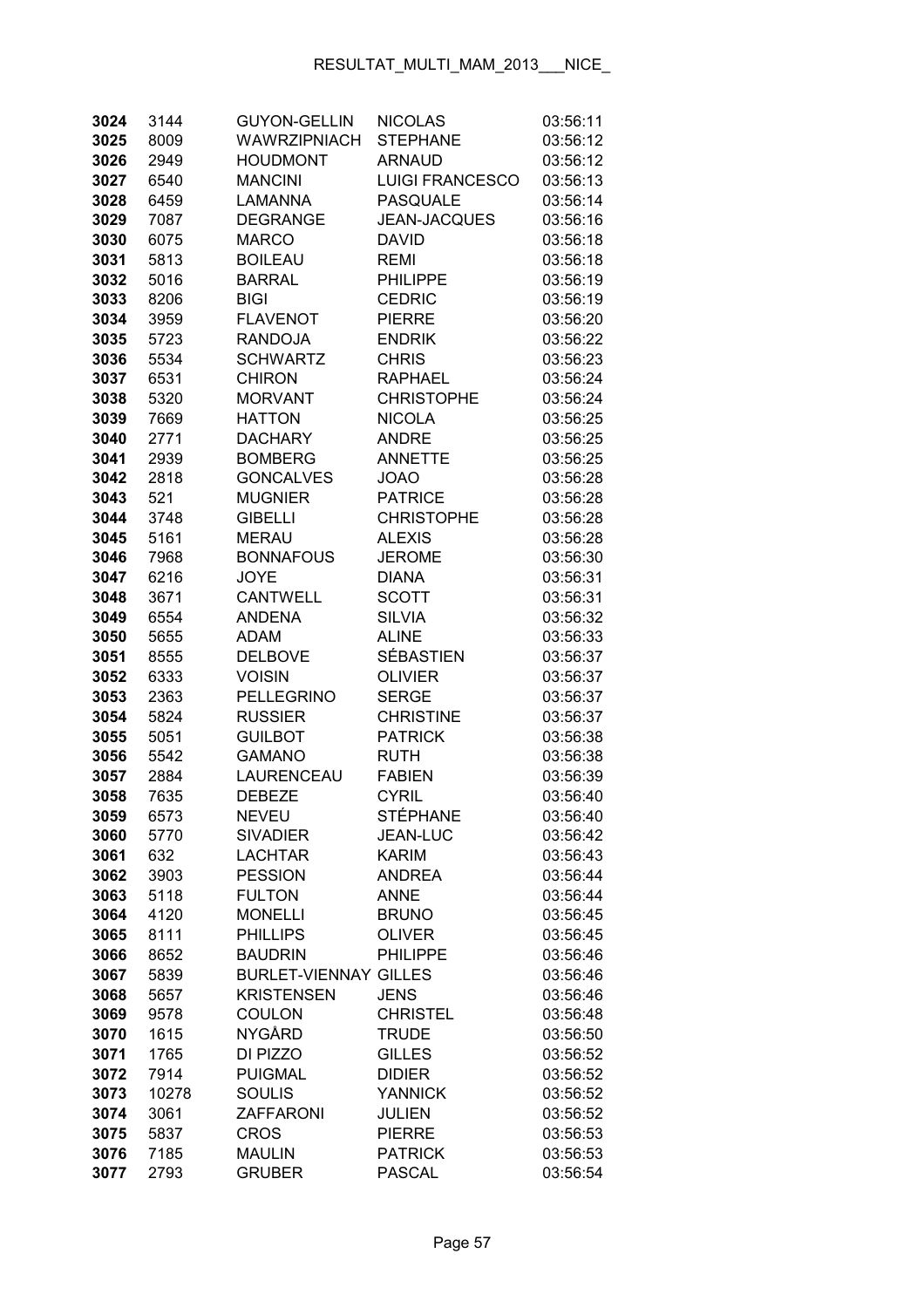| 3024         | 3144         | <b>GUYON-GELLIN</b>              | <b>NICOLAS</b>               | 03:56:11             |
|--------------|--------------|----------------------------------|------------------------------|----------------------|
| 3025         | 8009         | <b>WAWRZIPNIACH</b>              | <b>STEPHANE</b>              | 03:56:12             |
| 3026         | 2949         | <b>HOUDMONT</b>                  | <b>ARNAUD</b>                | 03:56:12             |
| 3027         | 6540         | <b>MANCINI</b>                   | <b>LUIGI FRANCESCO</b>       | 03:56:13             |
| 3028         | 6459         | <b>LAMANNA</b>                   | <b>PASQUALE</b>              | 03:56:14             |
| 3029         | 7087         | <b>DEGRANGE</b>                  | <b>JEAN-JACQUES</b>          | 03:56:16             |
| 3030         | 6075         | <b>MARCO</b>                     | <b>DAVID</b>                 | 03:56:18             |
| 3031         | 5813         | <b>BOILEAU</b>                   | <b>REMI</b>                  | 03:56:18             |
| 3032         | 5016         | <b>BARRAL</b>                    | <b>PHILIPPE</b>              | 03:56:19             |
| 3033         | 8206         | <b>BIGI</b>                      | <b>CEDRIC</b>                | 03:56:19             |
| 3034         | 3959         | <b>FLAVENOT</b>                  | <b>PIERRE</b>                | 03:56:20             |
| 3035         | 5723         | <b>RANDOJA</b>                   | <b>ENDRIK</b>                | 03:56:22             |
| 3036         | 5534         | <b>SCHWARTZ</b>                  | <b>CHRIS</b>                 | 03:56:23             |
| 3037         | 6531         | <b>CHIRON</b>                    | <b>RAPHAEL</b>               | 03:56:24             |
| 3038         | 5320         | <b>MORVANT</b>                   | <b>CHRISTOPHE</b>            | 03:56:24             |
| 3039         | 7669         | <b>HATTON</b>                    | <b>NICOLA</b>                | 03:56:25             |
| 3040         | 2771         | <b>DACHARY</b>                   | <b>ANDRE</b>                 | 03:56:25             |
| 3041         | 2939         | <b>BOMBERG</b>                   | <b>ANNETTE</b>               | 03:56:25             |
| 3042         | 2818         | <b>GONCALVES</b>                 | <b>JOAO</b>                  | 03:56:28             |
| 3043         | 521          | <b>MUGNIER</b>                   | <b>PATRICE</b>               | 03:56:28             |
| 3044         | 3748         | <b>GIBELLI</b>                   | <b>CHRISTOPHE</b>            | 03:56:28             |
| 3045         | 5161         | <b>MERAU</b>                     | <b>ALEXIS</b>                | 03:56:28             |
| 3046         | 7968         | <b>BONNAFOUS</b>                 | <b>JEROME</b>                | 03:56:30             |
| 3047         | 6216         | <b>JOYE</b>                      | <b>DIANA</b>                 | 03:56:31             |
| 3048         | 3671         | <b>CANTWELL</b>                  | <b>SCOTT</b>                 | 03:56:31             |
| 3049         | 6554         | <b>ANDENA</b>                    | <b>SILVIA</b>                | 03:56:32             |
| 3050         | 5655         | <b>ADAM</b>                      | <b>ALINE</b>                 | 03:56:33             |
| 3051         | 8555         | <b>DELBOVE</b>                   | SÉBASTIEN                    | 03:56:37             |
| 3052         | 6333         | <b>VOISIN</b>                    | <b>OLIVIER</b>               | 03:56:37             |
| 3053         | 2363         | <b>PELLEGRINO</b>                | <b>SERGE</b>                 | 03:56:37             |
| 3054         | 5824         | <b>RUSSIER</b>                   | <b>CHRISTINE</b>             | 03:56:37             |
| 3055         | 5051         | <b>GUILBOT</b>                   | <b>PATRICK</b>               | 03:56:38             |
| 3056         | 5542         | <b>GAMANO</b>                    | <b>RUTH</b>                  | 03:56:38             |
| 3057         | 2884         | LAURENCEAU                       | <b>FABIEN</b>                | 03:56:39             |
| 3058         | 7635         | <b>DEBEZE</b>                    | <b>CYRIL</b>                 | 03:56:40             |
| 3059         | 6573         | <b>NEVEU</b>                     | <b>STÉPHANE</b>              | 03:56:40             |
| 3060         | 5770         | <b>SIVADIER</b>                  | <b>JEAN-LUC</b>              | 03:56:42             |
| 3061         | 632          | <b>LACHTAR</b><br><b>PESSION</b> | <b>KARIM</b>                 | 03:56:43             |
| 3062         | 3903<br>5118 |                                  | <b>ANDREA</b><br><b>ANNE</b> | 03:56:44             |
| 3063         |              | <b>FULTON</b><br><b>MONELLI</b>  | <b>BRUNO</b>                 | 03:56:44             |
| 3064<br>3065 | 4120         | <b>PHILLIPS</b>                  | <b>OLIVER</b>                | 03:56:45<br>03:56:45 |
| 3066         | 8111<br>8652 | <b>BAUDRIN</b>                   | <b>PHILIPPE</b>              | 03:56:46             |
| 3067         | 5839         | <b>BURLET-VIENNAY GILLES</b>     |                              | 03:56:46             |
| 3068         | 5657         | <b>KRISTENSEN</b>                | <b>JENS</b>                  | 03:56:46             |
| 3069         | 9578         | <b>COULON</b>                    | <b>CHRISTEL</b>              | 03:56:48             |
| 3070         | 1615         | <b>NYGÅRD</b>                    | <b>TRUDE</b>                 | 03:56:50             |
| 3071         | 1765         | DI PIZZO                         | <b>GILLES</b>                | 03:56:52             |
| 3072         | 7914         | <b>PUIGMAL</b>                   | <b>DIDIER</b>                | 03:56:52             |
| 3073         | 10278        | <b>SOULIS</b>                    | <b>YANNICK</b>               | 03:56:52             |
| 3074         | 3061         | <b>ZAFFARONI</b>                 | JULIEN                       | 03:56:52             |
| 3075         | 5837         | <b>CROS</b>                      | <b>PIERRE</b>                | 03:56:53             |
| 3076         | 7185         | <b>MAULIN</b>                    | <b>PATRICK</b>               | 03:56:53             |
| 3077         | 2793         | <b>GRUBER</b>                    | <b>PASCAL</b>                | 03:56:54             |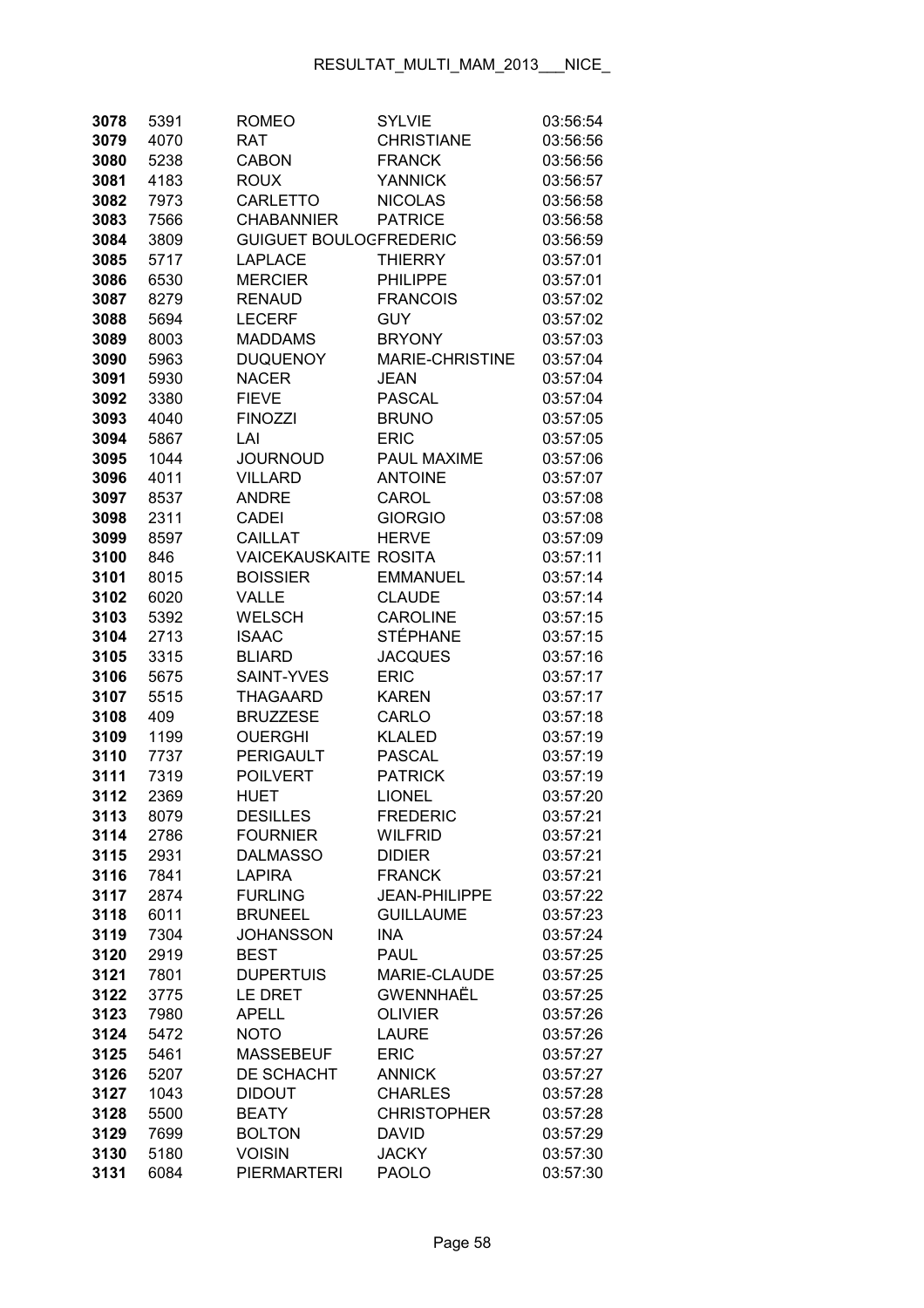| 5391 | <b>ROMEO</b>                                                                                                                                                                                                | <b>SYLVIE</b>                                                                                                                                                                                                                                                                                                                                                                                                                                         | 03:56:54                                                                                                                                                                                                                                                                                                                                                                                                                                                                                                                                                |
|------|-------------------------------------------------------------------------------------------------------------------------------------------------------------------------------------------------------------|-------------------------------------------------------------------------------------------------------------------------------------------------------------------------------------------------------------------------------------------------------------------------------------------------------------------------------------------------------------------------------------------------------------------------------------------------------|---------------------------------------------------------------------------------------------------------------------------------------------------------------------------------------------------------------------------------------------------------------------------------------------------------------------------------------------------------------------------------------------------------------------------------------------------------------------------------------------------------------------------------------------------------|
| 4070 | RAT                                                                                                                                                                                                         | <b>CHRISTIANE</b>                                                                                                                                                                                                                                                                                                                                                                                                                                     | 03:56:56                                                                                                                                                                                                                                                                                                                                                                                                                                                                                                                                                |
| 5238 | <b>CABON</b>                                                                                                                                                                                                | <b>FRANCK</b>                                                                                                                                                                                                                                                                                                                                                                                                                                         | 03:56:56                                                                                                                                                                                                                                                                                                                                                                                                                                                                                                                                                |
| 4183 | <b>ROUX</b>                                                                                                                                                                                                 | <b>YANNICK</b>                                                                                                                                                                                                                                                                                                                                                                                                                                        | 03:56:57                                                                                                                                                                                                                                                                                                                                                                                                                                                                                                                                                |
| 7973 | CARLETTO                                                                                                                                                                                                    | <b>NICOLAS</b>                                                                                                                                                                                                                                                                                                                                                                                                                                        | 03:56:58                                                                                                                                                                                                                                                                                                                                                                                                                                                                                                                                                |
| 7566 | <b>CHABANNIER</b>                                                                                                                                                                                           | <b>PATRICE</b>                                                                                                                                                                                                                                                                                                                                                                                                                                        | 03:56:58                                                                                                                                                                                                                                                                                                                                                                                                                                                                                                                                                |
| 3809 |                                                                                                                                                                                                             |                                                                                                                                                                                                                                                                                                                                                                                                                                                       | 03:56:59                                                                                                                                                                                                                                                                                                                                                                                                                                                                                                                                                |
| 5717 | <b>LAPLACE</b>                                                                                                                                                                                              | <b>THIERRY</b>                                                                                                                                                                                                                                                                                                                                                                                                                                        | 03:57:01                                                                                                                                                                                                                                                                                                                                                                                                                                                                                                                                                |
| 6530 | <b>MERCIER</b>                                                                                                                                                                                              | <b>PHILIPPE</b>                                                                                                                                                                                                                                                                                                                                                                                                                                       | 03:57:01                                                                                                                                                                                                                                                                                                                                                                                                                                                                                                                                                |
| 8279 | <b>RENAUD</b>                                                                                                                                                                                               | <b>FRANCOIS</b>                                                                                                                                                                                                                                                                                                                                                                                                                                       | 03:57:02                                                                                                                                                                                                                                                                                                                                                                                                                                                                                                                                                |
| 5694 | <b>LECERF</b>                                                                                                                                                                                               | <b>GUY</b>                                                                                                                                                                                                                                                                                                                                                                                                                                            | 03:57:02                                                                                                                                                                                                                                                                                                                                                                                                                                                                                                                                                |
| 8003 | <b>MADDAMS</b>                                                                                                                                                                                              | <b>BRYONY</b>                                                                                                                                                                                                                                                                                                                                                                                                                                         | 03:57:03                                                                                                                                                                                                                                                                                                                                                                                                                                                                                                                                                |
| 5963 | <b>DUQUENOY</b>                                                                                                                                                                                             | <b>MARIE-CHRISTINE</b>                                                                                                                                                                                                                                                                                                                                                                                                                                | 03:57:04                                                                                                                                                                                                                                                                                                                                                                                                                                                                                                                                                |
| 5930 | <b>NACER</b>                                                                                                                                                                                                | JEAN                                                                                                                                                                                                                                                                                                                                                                                                                                                  | 03:57:04                                                                                                                                                                                                                                                                                                                                                                                                                                                                                                                                                |
| 3380 | <b>FIEVE</b>                                                                                                                                                                                                | <b>PASCAL</b>                                                                                                                                                                                                                                                                                                                                                                                                                                         | 03:57:04                                                                                                                                                                                                                                                                                                                                                                                                                                                                                                                                                |
| 4040 | <b>FINOZZI</b>                                                                                                                                                                                              | <b>BRUNO</b>                                                                                                                                                                                                                                                                                                                                                                                                                                          | 03:57:05                                                                                                                                                                                                                                                                                                                                                                                                                                                                                                                                                |
| 5867 | LAI                                                                                                                                                                                                         | <b>ERIC</b>                                                                                                                                                                                                                                                                                                                                                                                                                                           | 03:57:05                                                                                                                                                                                                                                                                                                                                                                                                                                                                                                                                                |
| 1044 | <b>JOURNOUD</b>                                                                                                                                                                                             | PAUL MAXIME                                                                                                                                                                                                                                                                                                                                                                                                                                           | 03:57:06                                                                                                                                                                                                                                                                                                                                                                                                                                                                                                                                                |
| 4011 | <b>VILLARD</b>                                                                                                                                                                                              | <b>ANTOINE</b>                                                                                                                                                                                                                                                                                                                                                                                                                                        | 03:57:07                                                                                                                                                                                                                                                                                                                                                                                                                                                                                                                                                |
| 8537 | <b>ANDRE</b>                                                                                                                                                                                                | CAROL                                                                                                                                                                                                                                                                                                                                                                                                                                                 | 03:57:08                                                                                                                                                                                                                                                                                                                                                                                                                                                                                                                                                |
| 2311 | <b>CADEI</b>                                                                                                                                                                                                | <b>GIORGIO</b>                                                                                                                                                                                                                                                                                                                                                                                                                                        | 03:57:08                                                                                                                                                                                                                                                                                                                                                                                                                                                                                                                                                |
| 8597 | <b>CAILLAT</b>                                                                                                                                                                                              | <b>HERVE</b>                                                                                                                                                                                                                                                                                                                                                                                                                                          | 03:57:09                                                                                                                                                                                                                                                                                                                                                                                                                                                                                                                                                |
| 846  |                                                                                                                                                                                                             |                                                                                                                                                                                                                                                                                                                                                                                                                                                       | 03:57:11                                                                                                                                                                                                                                                                                                                                                                                                                                                                                                                                                |
| 8015 | <b>BOISSIER</b>                                                                                                                                                                                             | <b>EMMANUEL</b>                                                                                                                                                                                                                                                                                                                                                                                                                                       | 03:57:14                                                                                                                                                                                                                                                                                                                                                                                                                                                                                                                                                |
| 6020 | <b>VALLE</b>                                                                                                                                                                                                | <b>CLAUDE</b>                                                                                                                                                                                                                                                                                                                                                                                                                                         | 03:57:14                                                                                                                                                                                                                                                                                                                                                                                                                                                                                                                                                |
| 5392 | <b>WELSCH</b>                                                                                                                                                                                               |                                                                                                                                                                                                                                                                                                                                                                                                                                                       | 03:57:15                                                                                                                                                                                                                                                                                                                                                                                                                                                                                                                                                |
| 2713 |                                                                                                                                                                                                             |                                                                                                                                                                                                                                                                                                                                                                                                                                                       | 03:57:15                                                                                                                                                                                                                                                                                                                                                                                                                                                                                                                                                |
| 3315 | <b>BLIARD</b>                                                                                                                                                                                               | <b>JACQUES</b>                                                                                                                                                                                                                                                                                                                                                                                                                                        | 03:57:16                                                                                                                                                                                                                                                                                                                                                                                                                                                                                                                                                |
|      |                                                                                                                                                                                                             |                                                                                                                                                                                                                                                                                                                                                                                                                                                       | 03:57:17                                                                                                                                                                                                                                                                                                                                                                                                                                                                                                                                                |
|      |                                                                                                                                                                                                             |                                                                                                                                                                                                                                                                                                                                                                                                                                                       | 03:57:17                                                                                                                                                                                                                                                                                                                                                                                                                                                                                                                                                |
|      |                                                                                                                                                                                                             |                                                                                                                                                                                                                                                                                                                                                                                                                                                       | 03:57:18                                                                                                                                                                                                                                                                                                                                                                                                                                                                                                                                                |
|      |                                                                                                                                                                                                             |                                                                                                                                                                                                                                                                                                                                                                                                                                                       | 03:57:19                                                                                                                                                                                                                                                                                                                                                                                                                                                                                                                                                |
|      |                                                                                                                                                                                                             |                                                                                                                                                                                                                                                                                                                                                                                                                                                       | 03:57:19                                                                                                                                                                                                                                                                                                                                                                                                                                                                                                                                                |
|      |                                                                                                                                                                                                             |                                                                                                                                                                                                                                                                                                                                                                                                                                                       | 03:57:19                                                                                                                                                                                                                                                                                                                                                                                                                                                                                                                                                |
|      |                                                                                                                                                                                                             |                                                                                                                                                                                                                                                                                                                                                                                                                                                       | 03:57:20                                                                                                                                                                                                                                                                                                                                                                                                                                                                                                                                                |
|      |                                                                                                                                                                                                             |                                                                                                                                                                                                                                                                                                                                                                                                                                                       | 03:57:21                                                                                                                                                                                                                                                                                                                                                                                                                                                                                                                                                |
|      |                                                                                                                                                                                                             |                                                                                                                                                                                                                                                                                                                                                                                                                                                       | 03:57:21                                                                                                                                                                                                                                                                                                                                                                                                                                                                                                                                                |
|      |                                                                                                                                                                                                             |                                                                                                                                                                                                                                                                                                                                                                                                                                                       | 03:57:21                                                                                                                                                                                                                                                                                                                                                                                                                                                                                                                                                |
|      |                                                                                                                                                                                                             |                                                                                                                                                                                                                                                                                                                                                                                                                                                       | 03:57:21                                                                                                                                                                                                                                                                                                                                                                                                                                                                                                                                                |
|      |                                                                                                                                                                                                             |                                                                                                                                                                                                                                                                                                                                                                                                                                                       | 03:57:22                                                                                                                                                                                                                                                                                                                                                                                                                                                                                                                                                |
|      |                                                                                                                                                                                                             |                                                                                                                                                                                                                                                                                                                                                                                                                                                       | 03:57:23                                                                                                                                                                                                                                                                                                                                                                                                                                                                                                                                                |
|      |                                                                                                                                                                                                             |                                                                                                                                                                                                                                                                                                                                                                                                                                                       | 03:57:24                                                                                                                                                                                                                                                                                                                                                                                                                                                                                                                                                |
|      |                                                                                                                                                                                                             |                                                                                                                                                                                                                                                                                                                                                                                                                                                       | 03:57:25<br>03:57:25                                                                                                                                                                                                                                                                                                                                                                                                                                                                                                                                    |
|      |                                                                                                                                                                                                             |                                                                                                                                                                                                                                                                                                                                                                                                                                                       | 03:57:25                                                                                                                                                                                                                                                                                                                                                                                                                                                                                                                                                |
|      |                                                                                                                                                                                                             |                                                                                                                                                                                                                                                                                                                                                                                                                                                       | 03:57:26                                                                                                                                                                                                                                                                                                                                                                                                                                                                                                                                                |
|      |                                                                                                                                                                                                             |                                                                                                                                                                                                                                                                                                                                                                                                                                                       | 03:57:26                                                                                                                                                                                                                                                                                                                                                                                                                                                                                                                                                |
|      |                                                                                                                                                                                                             |                                                                                                                                                                                                                                                                                                                                                                                                                                                       | 03:57:27                                                                                                                                                                                                                                                                                                                                                                                                                                                                                                                                                |
|      |                                                                                                                                                                                                             |                                                                                                                                                                                                                                                                                                                                                                                                                                                       | 03:57:27                                                                                                                                                                                                                                                                                                                                                                                                                                                                                                                                                |
|      |                                                                                                                                                                                                             |                                                                                                                                                                                                                                                                                                                                                                                                                                                       | 03:57:28                                                                                                                                                                                                                                                                                                                                                                                                                                                                                                                                                |
|      |                                                                                                                                                                                                             |                                                                                                                                                                                                                                                                                                                                                                                                                                                       | 03:57:28                                                                                                                                                                                                                                                                                                                                                                                                                                                                                                                                                |
|      |                                                                                                                                                                                                             |                                                                                                                                                                                                                                                                                                                                                                                                                                                       | 03:57:29                                                                                                                                                                                                                                                                                                                                                                                                                                                                                                                                                |
|      |                                                                                                                                                                                                             |                                                                                                                                                                                                                                                                                                                                                                                                                                                       | 03:57:30                                                                                                                                                                                                                                                                                                                                                                                                                                                                                                                                                |
|      | <b>PIERMARTERI</b>                                                                                                                                                                                          |                                                                                                                                                                                                                                                                                                                                                                                                                                                       | 03:57:30                                                                                                                                                                                                                                                                                                                                                                                                                                                                                                                                                |
|      | 5675<br>5515<br>409<br>1199<br>7737<br>7319<br>2369<br>8079<br>2786<br>2931<br>7841<br>2874<br>6011<br>7304<br>2919<br>7801<br>3775<br>7980<br>5472<br>5461<br>5207<br>1043<br>5500<br>7699<br>5180<br>6084 | <b>ISAAC</b><br>SAINT-YVES<br><b>THAGAARD</b><br><b>BRUZZESE</b><br><b>OUERGHI</b><br>PERIGAULT<br><b>POILVERT</b><br><b>HUET</b><br><b>DESILLES</b><br><b>FOURNIER</b><br><b>DALMASSO</b><br><b>LAPIRA</b><br><b>FURLING</b><br><b>BRUNEEL</b><br><b>JOHANSSON</b><br><b>BEST</b><br><b>DUPERTUIS</b><br>LE DRET<br><b>APELL</b><br><b>NOTO</b><br><b>MASSEBEUF</b><br>DE SCHACHT<br><b>DIDOUT</b><br><b>BEATY</b><br><b>BOLTON</b><br><b>VOISIN</b> | <b>GUIGUET BOULOGFREDERIC</b><br><b>VAICEKAUSKAITE ROSITA</b><br>CAROLINE<br><b>STÉPHANE</b><br><b>ERIC</b><br><b>KAREN</b><br>CARLO<br><b>KLALED</b><br><b>PASCAL</b><br><b>PATRICK</b><br><b>LIONEL</b><br><b>FREDERIC</b><br><b>WILFRID</b><br><b>DIDIER</b><br><b>FRANCK</b><br><b>JEAN-PHILIPPE</b><br><b>GUILLAUME</b><br><b>INA</b><br><b>PAUL</b><br>MARIE-CLAUDE<br><b>GWENNHAËL</b><br><b>OLIVIER</b><br><b>LAURE</b><br><b>ERIC</b><br><b>ANNICK</b><br><b>CHARLES</b><br><b>CHRISTOPHER</b><br><b>DAVID</b><br><b>JACKY</b><br><b>PAOLO</b> |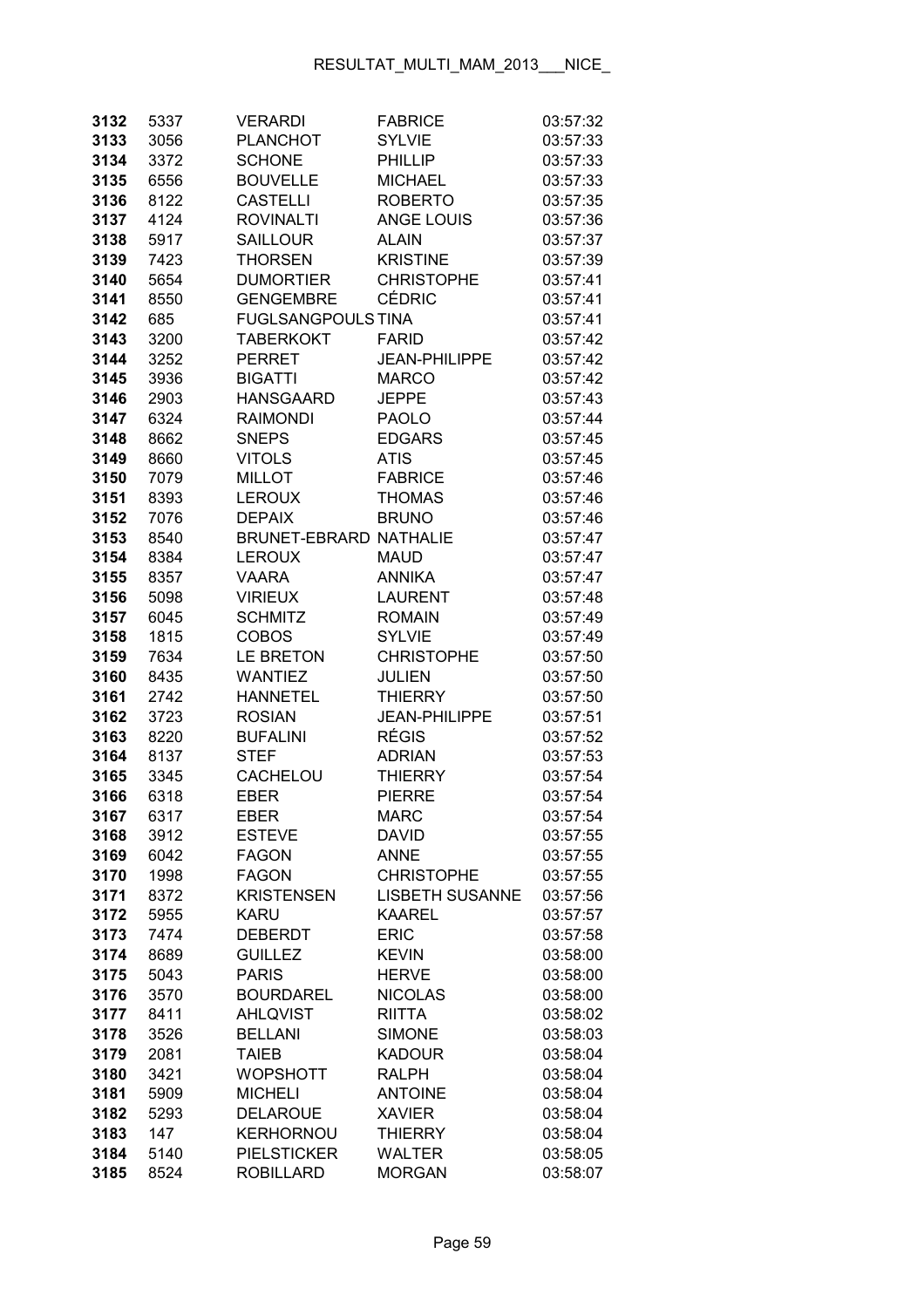| 3132         | 5337         | <b>VERARDI</b>                    | <b>FABRICE</b>                  | 03:57:32             |
|--------------|--------------|-----------------------------------|---------------------------------|----------------------|
| 3133         | 3056         | <b>PLANCHOT</b>                   | <b>SYLVIE</b>                   | 03:57:33             |
| 3134         | 3372         | <b>SCHONE</b>                     | <b>PHILLIP</b>                  | 03:57:33             |
| 3135         | 6556         | <b>BOUVELLE</b>                   | <b>MICHAEL</b>                  | 03:57:33             |
| 3136         | 8122         | <b>CASTELLI</b>                   | <b>ROBERTO</b>                  | 03:57:35             |
| 3137         | 4124         | <b>ROVINALTI</b>                  | <b>ANGE LOUIS</b>               | 03:57:36             |
| 3138         | 5917         | <b>SAILLOUR</b>                   | <b>ALAIN</b>                    | 03:57:37             |
| 3139         | 7423         | <b>THORSEN</b>                    | <b>KRISTINE</b>                 | 03:57:39             |
| 3140         | 5654         | <b>DUMORTIER</b>                  | <b>CHRISTOPHE</b>               | 03:57:41             |
| 3141         | 8550         | <b>GENGEMBRE</b>                  | <b>CÉDRIC</b>                   | 03:57:41             |
| 3142         | 685          | <b>FUGLSANGPOULS TINA</b>         |                                 | 03:57:41             |
| 3143         | 3200         | <b>TABERKOKT</b>                  | <b>FARID</b>                    | 03:57:42             |
| 3144         | 3252         | <b>PERRET</b>                     | <b>JEAN-PHILIPPE</b>            | 03:57:42             |
| 3145         | 3936         | <b>BIGATTI</b>                    | <b>MARCO</b>                    | 03:57:42             |
| 3146         | 2903         | <b>HANSGAARD</b>                  | <b>JEPPE</b>                    | 03:57:43             |
| 3147         | 6324         | <b>RAIMONDI</b>                   | <b>PAOLO</b>                    | 03:57:44             |
| 3148         | 8662         | <b>SNEPS</b>                      | <b>EDGARS</b>                   | 03:57:45             |
| 3149         | 8660         | <b>VITOLS</b>                     | <b>ATIS</b>                     | 03:57:45             |
| 3150         | 7079         | <b>MILLOT</b>                     | <b>FABRICE</b>                  | 03:57:46             |
| 3151         | 8393         | <b>LEROUX</b>                     | <b>THOMAS</b>                   | 03:57:46             |
| 3152         | 7076         | <b>DEPAIX</b>                     | <b>BRUNO</b>                    | 03:57:46             |
| 3153         | 8540         | <b>BRUNET-EBRARD NATHALIE</b>     |                                 | 03:57:47             |
| 3154         | 8384         | <b>LEROUX</b>                     | <b>MAUD</b>                     | 03:57:47             |
| 3155         | 8357         | <b>VAARA</b>                      | <b>ANNIKA</b>                   | 03:57:47             |
| 3156         | 5098         | <b>VIRIEUX</b>                    | <b>LAURENT</b>                  | 03:57:48             |
| 3157         | 6045         | <b>SCHMITZ</b>                    | <b>ROMAIN</b>                   | 03:57:49             |
| 3158         | 1815         | <b>COBOS</b>                      | <b>SYLVIE</b>                   | 03:57:49             |
| 3159         | 7634         | <b>LE BRETON</b>                  | <b>CHRISTOPHE</b>               | 03:57:50             |
| 3160         | 8435         | <b>WANTIEZ</b>                    | <b>JULIEN</b>                   | 03:57:50             |
| 3161         | 2742         | <b>HANNETEL</b>                   | <b>THIERRY</b>                  | 03:57:50             |
| 3162         | 3723         | <b>ROSIAN</b>                     | <b>JEAN-PHILIPPE</b>            | 03:57:51             |
| 3163         | 8220         | <b>BUFALINI</b>                   | <b>RÉGIS</b>                    | 03:57:52             |
| 3164         | 8137         | <b>STEF</b>                       | <b>ADRIAN</b>                   | 03:57:53             |
| 3165         | 3345         | CACHELOU                          | <b>THIERRY</b>                  | 03:57:54             |
| 3166         | 6318         | <b>EBER</b>                       | <b>PIERRE</b>                   | 03:57:54             |
| 3167         | 6317         | EBER                              | <b>MARC</b>                     | 03:57:54             |
| 3168         | 3912         | <b>ESTEVE</b>                     | <b>DAVID</b>                    | 03:57:55             |
| 3169         | 6042         | <b>FAGON</b>                      | <b>ANNE</b>                     | 03:57:55             |
| 3170         | 1998         | <b>FAGON</b>                      | <b>CHRISTOPHE</b>               | 03:57:55             |
| 3171         | 8372         | <b>KRISTENSEN</b>                 | <b>LISBETH SUSANNE</b>          | 03:57:56             |
| 3172         | 5955         | <b>KARU</b>                       | <b>KAAREL</b>                   | 03:57:57             |
| 3173         | 7474         | <b>DEBERDT</b>                    | <b>ERIC</b>                     | 03:57:58             |
| 3174         | 8689         | <b>GUILLEZ</b>                    | <b>KEVIN</b>                    | 03:58:00             |
| 3175         | 5043         | <b>PARIS</b>                      | <b>HERVE</b>                    | 03:58:00             |
| 3176         | 3570         | <b>BOURDAREL</b>                  | <b>NICOLAS</b>                  | 03:58:00             |
| 3177         | 8411         | <b>AHLQVIST</b>                   | <b>RIITTA</b>                   | 03:58:02             |
| 3178         | 3526         | <b>BELLANI</b>                    | <b>SIMONE</b>                   | 03:58:03             |
| 3179         | 2081         | <b>TAIEB</b>                      | <b>KADOUR</b>                   | 03:58:04             |
| 3180         | 3421         | <b>WOPSHOTT</b>                   | <b>RALPH</b>                    | 03:58:04             |
| 3181<br>3182 | 5909<br>5293 | <b>MICHELI</b><br><b>DELAROUE</b> | <b>ANTOINE</b><br><b>XAVIER</b> | 03:58:04             |
| 3183         | 147          | <b>KERHORNOU</b>                  | <b>THIERRY</b>                  | 03:58:04<br>03:58:04 |
| 3184         | 5140         | <b>PIELSTICKER</b>                | <b>WALTER</b>                   | 03:58:05             |
| 3185         | 8524         | <b>ROBILLARD</b>                  | <b>MORGAN</b>                   | 03:58:07             |
|              |              |                                   |                                 |                      |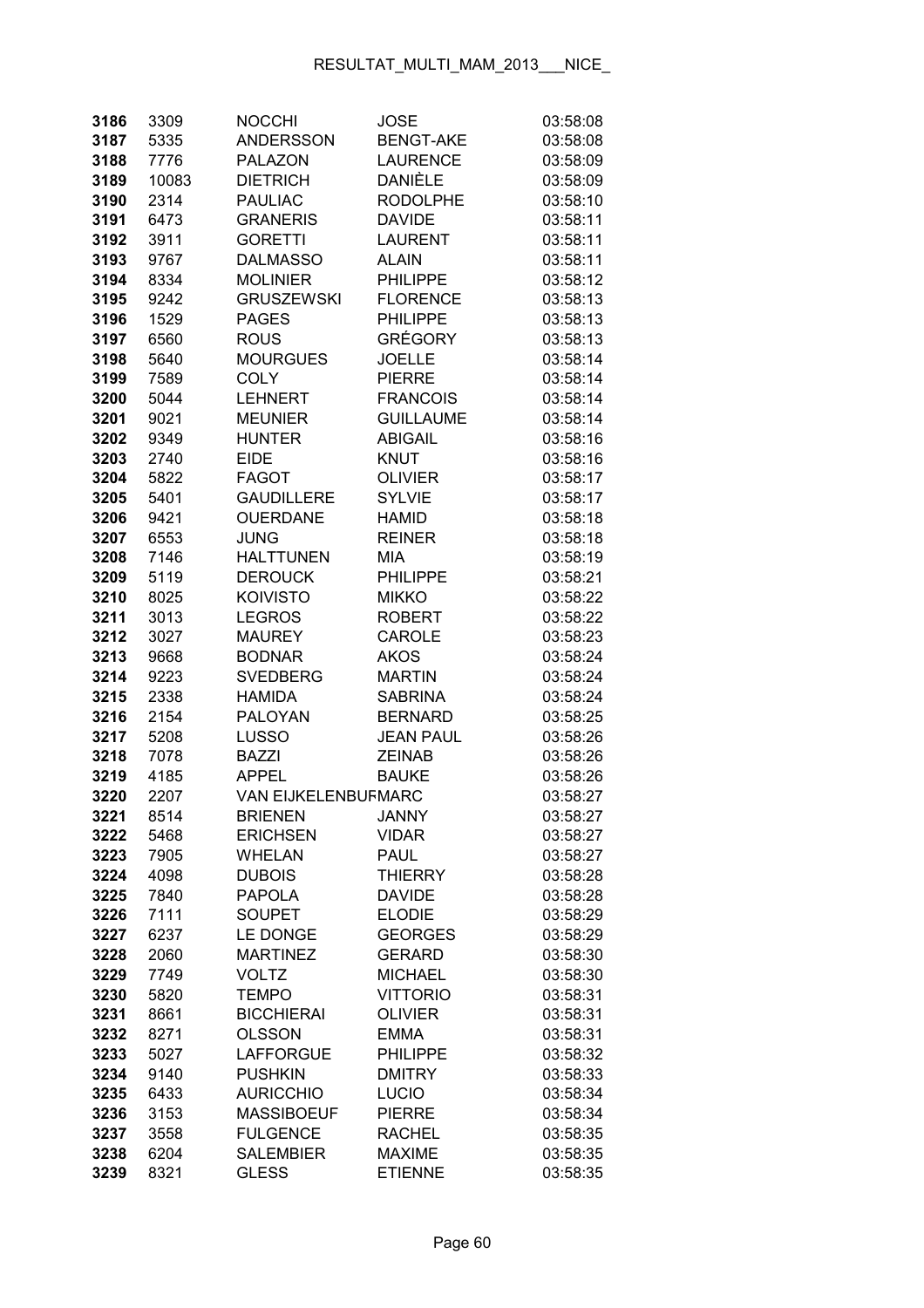| 3186         | 3309         | <b>NOCCHI</b>               | JOSE                            | 03:58:08             |
|--------------|--------------|-----------------------------|---------------------------------|----------------------|
| 3187         | 5335         | <b>ANDERSSON</b>            | <b>BENGT-AKE</b>                | 03:58:08             |
| 3188         | 7776         | <b>PALAZON</b>              | <b>LAURENCE</b>                 | 03:58:09             |
| 3189         | 10083        | <b>DIETRICH</b>             | DANIÈLE                         | 03:58:09             |
| 3190         | 2314         | <b>PAULIAC</b>              | <b>RODOLPHE</b>                 | 03:58:10             |
| 3191         | 6473         | <b>GRANERIS</b>             | <b>DAVIDE</b>                   | 03:58:11             |
| 3192         | 3911         | <b>GORETTI</b>              | <b>LAURENT</b>                  | 03:58:11             |
| 3193         | 9767         | <b>DALMASSO</b>             | <b>ALAIN</b>                    | 03:58:11             |
| 3194         | 8334         | <b>MOLINIER</b>             | <b>PHILIPPE</b>                 | 03:58:12             |
| 3195         | 9242         | <b>GRUSZEWSKI</b>           | <b>FLORENCE</b>                 | 03:58:13             |
| 3196         | 1529         | <b>PAGES</b>                | <b>PHILIPPE</b>                 | 03:58:13             |
| 3197         | 6560         | <b>ROUS</b>                 | <b>GRÉGORY</b>                  | 03:58:13             |
| 3198         | 5640         | <b>MOURGUES</b>             | <b>JOELLE</b>                   | 03:58:14             |
| 3199         | 7589         | <b>COLY</b>                 | <b>PIERRE</b>                   | 03:58:14             |
| 3200         | 5044         | <b>LEHNERT</b>              | <b>FRANCOIS</b>                 | 03:58:14             |
| 3201         | 9021         | <b>MEUNIER</b>              | <b>GUILLAUME</b>                | 03:58:14             |
| 3202         | 9349         | <b>HUNTER</b>               | <b>ABIGAIL</b>                  | 03:58:16             |
| 3203         | 2740         | <b>EIDE</b>                 | <b>KNUT</b>                     | 03:58:16             |
| 3204         | 5822         | <b>FAGOT</b>                | <b>OLIVIER</b>                  | 03:58:17             |
| 3205         | 5401         | <b>GAUDILLERE</b>           | <b>SYLVIE</b>                   | 03:58:17             |
| 3206         | 9421         | <b>OUERDANE</b>             | <b>HAMID</b>                    | 03:58:18             |
| 3207         | 6553         | <b>JUNG</b>                 | <b>REINER</b>                   | 03:58:18             |
| 3208         | 7146         | <b>HALTTUNEN</b>            | <b>MIA</b>                      | 03:58:19             |
| 3209         | 5119         | <b>DEROUCK</b>              | <b>PHILIPPE</b>                 | 03:58:21             |
| 3210         | 8025         | <b>KOIVISTO</b>             | <b>MIKKO</b>                    | 03:58:22             |
| 3211         | 3013         | <b>LEGROS</b>               | <b>ROBERT</b>                   | 03:58:22             |
| 3212         | 3027         | <b>MAUREY</b>               | CAROLE                          | 03:58:23             |
| 3213         | 9668         | <b>BODNAR</b>               | <b>AKOS</b>                     | 03:58:24             |
| 3214         | 9223         | <b>SVEDBERG</b>             | <b>MARTIN</b>                   | 03:58:24             |
| 3215         | 2338         | <b>HAMIDA</b>               | <b>SABRINA</b>                  | 03:58:24             |
| 3216         | 2154         | PALOYAN                     | <b>BERNARD</b>                  | 03:58:25             |
| 3217         | 5208         | <b>LUSSO</b>                | <b>JEAN PAUL</b>                | 03:58:26             |
| 3218         | 7078         | <b>BAZZI</b>                | <b>ZEINAB</b>                   | 03:58:26             |
| 3219         | 4185         | <b>APPEL</b>                | <b>BAUKE</b>                    | 03:58:26             |
| 3220         | 2207         | <b>VAN EIJKELENBUFMARC</b>  |                                 | 03:58:27             |
| 3221         | 8514         | <b>BRIENEN</b>              | <b>JANNY</b>                    | 03:58:27             |
| 3222         | 5468         | <b>ERICHSEN</b>             | <b>VIDAR</b>                    | 03:58:27             |
| 3223         | 7905         | <b>WHELAN</b>               | <b>PAUL</b>                     | 03:58:27             |
| 3224         | 4098         | <b>DUBOIS</b>               | <b>THIERRY</b>                  | 03:58:28             |
| 3225         | 7840         | <b>PAPOLA</b>               | <b>DAVIDE</b>                   | 03:58:28             |
| 3226         | 7111         | <b>SOUPET</b>               | <b>ELODIE</b>                   | 03:58:29             |
| 3227<br>3228 | 6237<br>2060 | LE DONGE<br><b>MARTINEZ</b> | <b>GEORGES</b><br><b>GERARD</b> | 03:58:29<br>03:58:30 |
| 3229         | 7749         | <b>VOLTZ</b>                | <b>MICHAEL</b>                  | 03:58:30             |
| 3230         | 5820         | <b>TEMPO</b>                | <b>VITTORIO</b>                 | 03:58:31             |
| 3231         | 8661         | <b>BICCHIERAI</b>           | <b>OLIVIER</b>                  | 03:58:31             |
| 3232         | 8271         | <b>OLSSON</b>               | <b>EMMA</b>                     | 03:58:31             |
| 3233         | 5027         | <b>LAFFORGUE</b>            | <b>PHILIPPE</b>                 | 03:58:32             |
| 3234         | 9140         | <b>PUSHKIN</b>              | <b>DMITRY</b>                   | 03:58:33             |
| 3235         | 6433         | <b>AURICCHIO</b>            | <b>LUCIO</b>                    | 03:58:34             |
| 3236         | 3153         | <b>MASSIBOEUF</b>           | <b>PIERRE</b>                   | 03:58:34             |
| 3237         | 3558         | <b>FULGENCE</b>             | <b>RACHEL</b>                   | 03:58:35             |
| 3238         | 6204         | <b>SALEMBIER</b>            | <b>MAXIME</b>                   | 03:58:35             |
| 3239         | 8321         | <b>GLESS</b>                | <b>ETIENNE</b>                  | 03:58:35             |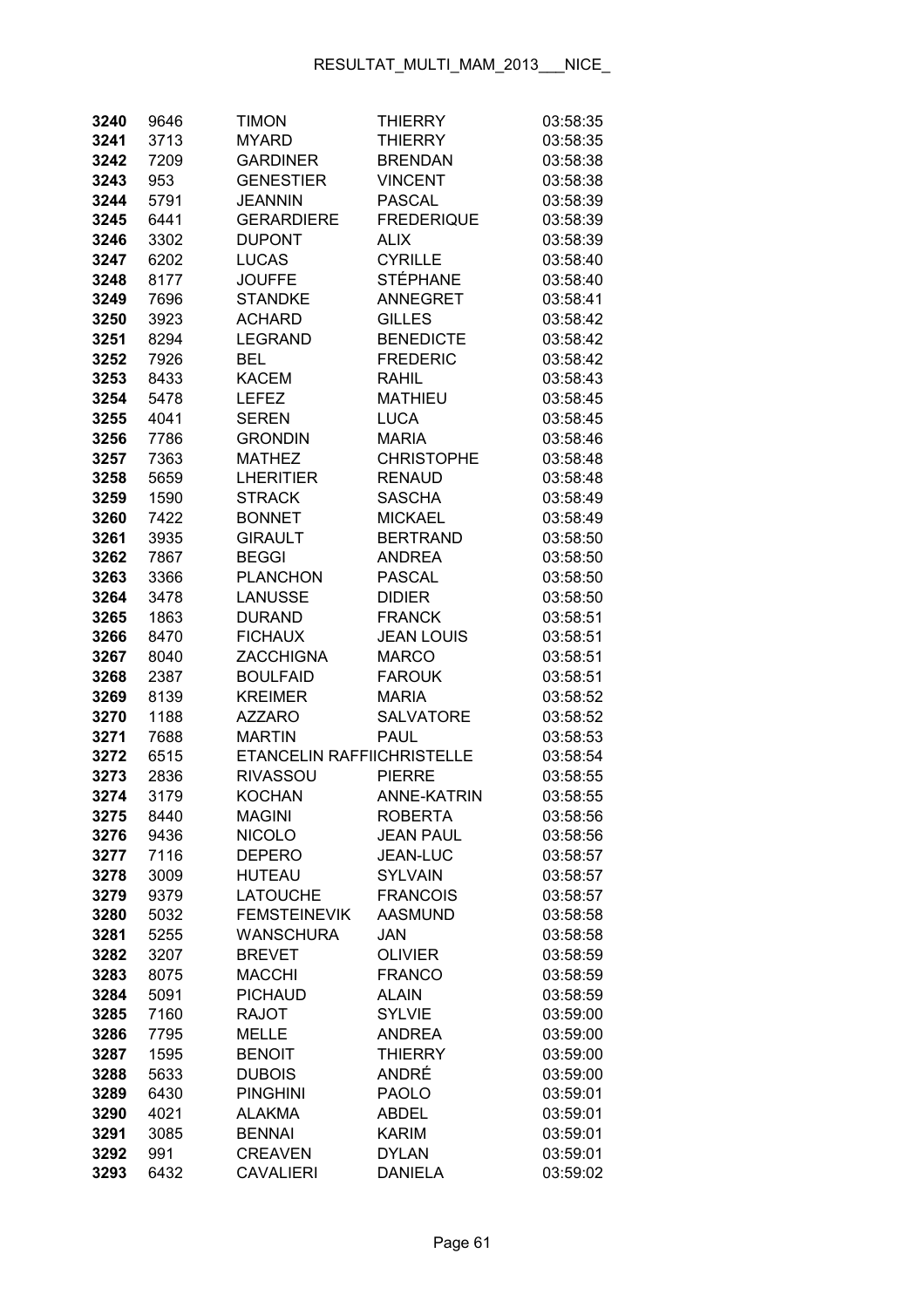| 3240         | 9646         | <b>TIMON</b>                  | <b>THIERRY</b>                 | 03:58:35             |
|--------------|--------------|-------------------------------|--------------------------------|----------------------|
| 3241         | 3713         | <b>MYARD</b>                  | <b>THIERRY</b>                 | 03:58:35             |
| 3242         | 7209         | <b>GARDINER</b>               | <b>BRENDAN</b>                 | 03:58:38             |
| 3243         | 953          | <b>GENESTIER</b>              | <b>VINCENT</b>                 | 03:58:38             |
| 3244         | 5791         | JEANNIN                       | <b>PASCAL</b>                  | 03:58:39             |
| 3245         | 6441         | <b>GERARDIERE</b>             | <b>FREDERIQUE</b>              | 03:58:39             |
| 3246         | 3302         | <b>DUPONT</b>                 | <b>ALIX</b>                    | 03:58:39             |
| 3247         | 6202         | <b>LUCAS</b>                  | <b>CYRILLE</b>                 | 03:58:40             |
| 3248         | 8177         | <b>JOUFFE</b>                 | <b>STÉPHANE</b>                | 03:58:40             |
| 3249         | 7696         | <b>STANDKE</b>                | <b>ANNEGRET</b>                | 03:58:41             |
| 3250         | 3923         | <b>ACHARD</b>                 | <b>GILLES</b>                  | 03:58:42             |
| 3251         | 8294         | <b>LEGRAND</b>                | <b>BENEDICTE</b>               | 03:58:42             |
| 3252         | 7926         | <b>BEL</b>                    | <b>FREDERIC</b>                | 03:58:42             |
| 3253         | 8433         | <b>KACEM</b>                  | <b>RAHIL</b>                   | 03:58:43             |
| 3254         | 5478         | <b>LEFEZ</b>                  | <b>MATHIEU</b>                 | 03:58:45             |
| 3255         | 4041         | <b>SEREN</b>                  | <b>LUCA</b>                    | 03:58:45             |
| 3256         | 7786         | <b>GRONDIN</b>                | <b>MARIA</b>                   | 03:58:46             |
| 3257         | 7363         | <b>MATHEZ</b>                 | <b>CHRISTOPHE</b>              | 03:58:48             |
| 3258         | 5659         | <b>LHERITIER</b>              | <b>RENAUD</b>                  | 03:58:48             |
| 3259         | 1590         | <b>STRACK</b>                 | <b>SASCHA</b>                  | 03:58:49             |
| 3260         | 7422         | <b>BONNET</b>                 | <b>MICKAEL</b>                 | 03:58:49             |
| 3261         | 3935         | <b>GIRAULT</b>                | <b>BERTRAND</b>                | 03:58:50             |
| 3262         | 7867         | <b>BEGGI</b>                  | <b>ANDREA</b>                  | 03:58:50             |
| 3263         | 3366         | <b>PLANCHON</b>               | <b>PASCAL</b>                  | 03:58:50             |
| 3264         | 3478         | <b>LANUSSE</b>                | <b>DIDIER</b>                  | 03:58:50             |
| 3265         | 1863         | <b>DURAND</b>                 | <b>FRANCK</b>                  | 03:58:51             |
| 3266         | 8470         | <b>FICHAUX</b>                | <b>JEAN LOUIS</b>              | 03:58:51             |
| 3267         | 8040         | <b>ZACCHIGNA</b>              | <b>MARCO</b>                   | 03:58:51             |
| 3268         | 2387         | <b>BOULFAID</b>               | <b>FAROUK</b>                  | 03:58:51             |
| 3269         | 8139         | <b>KREIMER</b>                | <b>MARIA</b>                   | 03:58:52             |
| 3270         | 1188         | <b>AZZARO</b>                 | <b>SALVATORE</b>               | 03:58:52             |
| 3271         | 7688         | <b>MARTIN</b>                 | <b>PAUL</b>                    | 03:58:53             |
| 3272         | 6515         | ETANCELIN RAFFIICHRISTELLE    |                                | 03:58:54             |
| 3273         | 2836         | <b>RIVASSOU</b>               | <b>PIERRE</b>                  | 03:58:55             |
| 3274         | 3179         | <b>KOCHAN</b>                 | <b>ANNE-KATRIN</b>             | 03:58:55             |
| 3275         | 8440         | <b>MAGINI</b>                 | <b>ROBERTA</b>                 | 03:58:56             |
| 3276         | 9436         | <b>NICOLO</b>                 | <b>JEAN PAUL</b>               | 03:58:56             |
| 3277         | 7116         | <b>DEPERO</b>                 | <b>JEAN-LUC</b>                | 03:58:57             |
| 3278         | 3009         | <b>HUTEAU</b>                 | <b>SYLVAIN</b>                 | 03:58:57             |
| 3279         | 9379         | <b>LATOUCHE</b>               | <b>FRANCOIS</b>                | 03:58:57             |
| 3280         | 5032         | <b>FEMSTEINEVIK</b>           | <b>AASMUND</b>                 | 03:58:58             |
| 3281         | 5255         | <b>WANSCHURA</b>              | JAN                            | 03:58:58             |
| 3282         | 3207         | <b>BREVET</b>                 | <b>OLIVIER</b>                 | 03:58:59             |
| 3283         | 8075         | <b>MACCHI</b>                 | <b>FRANCO</b>                  | 03:58:59             |
| 3284         | 5091         | <b>PICHAUD</b>                | <b>ALAIN</b>                   | 03:58:59             |
| 3285         | 7160         | <b>RAJOT</b>                  | <b>SYLVIE</b><br><b>ANDREA</b> | 03:59:00             |
| 3286<br>3287 | 7795<br>1595 | <b>MELLE</b><br><b>BENOIT</b> | <b>THIERRY</b>                 | 03:59:00<br>03:59:00 |
| 3288         | 5633         | <b>DUBOIS</b>                 | ANDRÉ                          | 03:59:00             |
| 3289         | 6430         | <b>PINGHINI</b>               | <b>PAOLO</b>                   | 03:59:01             |
| 3290         | 4021         | <b>ALAKMA</b>                 | <b>ABDEL</b>                   | 03:59:01             |
| 3291         | 3085         | <b>BENNAI</b>                 | <b>KARIM</b>                   | 03:59:01             |
| 3292         | 991          | <b>CREAVEN</b>                | <b>DYLAN</b>                   | 03:59:01             |
| 3293         | 6432         | <b>CAVALIERI</b>              | <b>DANIELA</b>                 | 03:59:02             |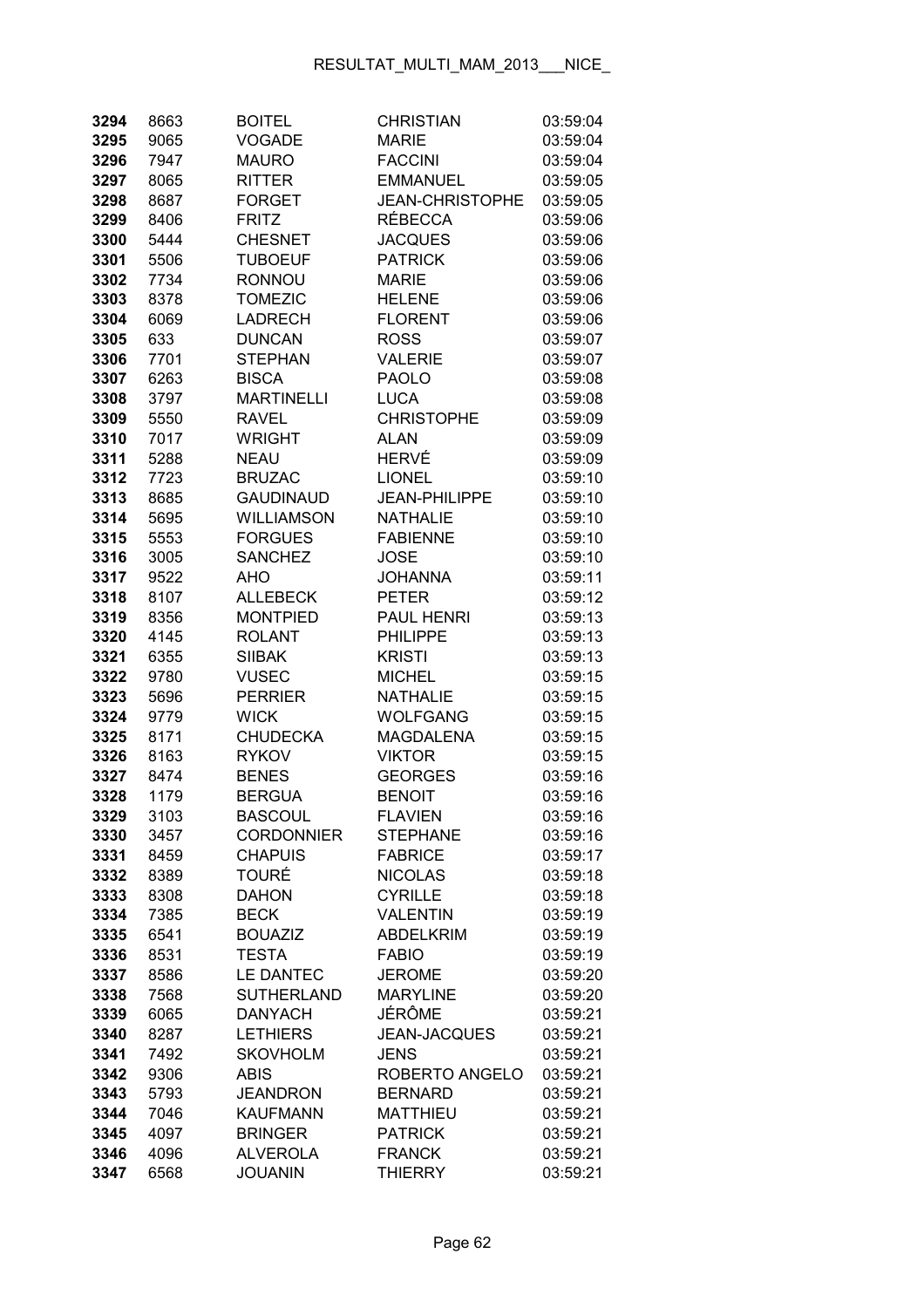| 3294         | 8663         | <b>BOITEL</b>                    | <b>CHRISTIAN</b>                 | 03:59:04             |
|--------------|--------------|----------------------------------|----------------------------------|----------------------|
| 3295         | 9065         | <b>VOGADE</b>                    | <b>MARIE</b>                     | 03:59:04             |
| 3296         | 7947         | <b>MAURO</b>                     | <b>FACCINI</b>                   | 03:59:04             |
| 3297         | 8065         | <b>RITTER</b>                    | <b>EMMANUEL</b>                  | 03:59:05             |
| 3298         | 8687         | <b>FORGET</b>                    | <b>JEAN-CHRISTOPHE</b>           | 03:59:05             |
| 3299         | 8406         | <b>FRITZ</b>                     | <b>RÉBECCA</b>                   | 03:59:06             |
| 3300         | 5444         | <b>CHESNET</b>                   | <b>JACQUES</b>                   | 03:59:06             |
| 3301         | 5506         | <b>TUBOEUF</b>                   | <b>PATRICK</b>                   | 03:59:06             |
| 3302         | 7734         | <b>RONNOU</b>                    | <b>MARIE</b>                     | 03:59:06             |
| 3303         | 8378         | <b>TOMEZIC</b>                   | <b>HELENE</b>                    | 03:59:06             |
| 3304         | 6069         | <b>LADRECH</b>                   | <b>FLORENT</b>                   | 03:59:06             |
| 3305         | 633          | <b>DUNCAN</b>                    | <b>ROSS</b>                      | 03:59:07             |
| 3306         | 7701         | <b>STEPHAN</b>                   | <b>VALERIE</b>                   | 03:59:07             |
| 3307         | 6263         | <b>BISCA</b>                     | <b>PAOLO</b>                     | 03:59:08             |
| 3308         | 3797         | <b>MARTINELLI</b>                | <b>LUCA</b>                      | 03:59:08             |
| 3309         | 5550         | <b>RAVEL</b>                     | <b>CHRISTOPHE</b>                | 03:59:09             |
| 3310         | 7017         | <b>WRIGHT</b>                    | <b>ALAN</b>                      | 03:59:09             |
| 3311         | 5288         | <b>NEAU</b>                      | HERVÉ                            | 03:59:09             |
| 3312         | 7723         | <b>BRUZAC</b>                    | <b>LIONEL</b>                    | 03:59:10             |
| 3313         | 8685         | <b>GAUDINAUD</b>                 | <b>JEAN-PHILIPPE</b>             | 03:59:10             |
| 3314         | 5695         | <b>WILLIAMSON</b>                | <b>NATHALIE</b>                  | 03:59:10             |
| 3315         | 5553         | <b>FORGUES</b>                   | <b>FABIENNE</b>                  | 03:59:10             |
| 3316         | 3005         | <b>SANCHEZ</b>                   | <b>JOSE</b>                      | 03:59:10             |
| 3317         | 9522         | AHO                              | <b>JOHANNA</b>                   | 03:59:11             |
| 3318         | 8107         | <b>ALLEBECK</b>                  | <b>PETER</b>                     | 03:59:12             |
| 3319         | 8356         | <b>MONTPIED</b>                  | PAUL HENRI                       | 03:59:13             |
| 3320         | 4145         | <b>ROLANT</b>                    | <b>PHILIPPE</b>                  | 03:59:13             |
| 3321         | 6355         | <b>SIIBAK</b>                    | <b>KRISTI</b>                    | 03:59:13             |
| 3322         | 9780         | <b>VUSEC</b>                     | <b>MICHEL</b>                    | 03:59:15             |
| 3323         | 5696         | <b>PERRIER</b>                   | <b>NATHALIE</b>                  | 03:59:15             |
| 3324         | 9779         | <b>WICK</b>                      | <b>WOLFGANG</b>                  | 03:59:15             |
| 3325         | 8171         | <b>CHUDECKA</b>                  | <b>MAGDALENA</b>                 | 03:59:15             |
| 3326         | 8163         | <b>RYKOV</b>                     | <b>VIKTOR</b>                    | 03:59:15             |
| 3327         | 8474         | <b>BENES</b>                     | <b>GEORGES</b>                   | 03:59:16             |
| 3328         | 1179         | <b>BERGUA</b>                    | <b>BENOIT</b>                    | 03:59:16             |
| 3329         | 3103         | <b>BASCOUL</b>                   | <b>FLAVIEN</b>                   | 03:59:16             |
| 3330         | 3457         | <b>CORDONNIER</b>                | <b>STEPHANE</b>                  | 03:59:16             |
| 3331         | 8459         | <b>CHAPUIS</b>                   | <b>FABRICE</b>                   | 03:59:17             |
| 3332         | 8389         | <b>TOURÉ</b>                     | <b>NICOLAS</b>                   | 03:59:18             |
| 3333         | 8308         | <b>DAHON</b>                     | <b>CYRILLE</b>                   | 03:59:18             |
| 3334         | 7385         | <b>BECK</b>                      | <b>VALENTIN</b>                  | 03:59:19             |
| 3335         | 6541         | <b>BOUAZIZ</b>                   | <b>ABDELKRIM</b>                 | 03:59:19             |
| 3336         | 8531         | <b>TESTA</b><br><b>LE DANTEC</b> | <b>FABIO</b>                     | 03:59:19             |
| 3337         | 8586         | <b>SUTHERLAND</b>                | <b>JEROME</b><br><b>MARYLINE</b> | 03:59:20             |
| 3338<br>3339 | 7568<br>6065 | <b>DANYACH</b>                   | JÉRÔME                           | 03:59:20<br>03:59:21 |
| 3340         | 8287         | <b>LETHIERS</b>                  | <b>JEAN-JACQUES</b>              | 03:59:21             |
| 3341         | 7492         | <b>SKOVHOLM</b>                  | <b>JENS</b>                      | 03:59:21             |
| 3342         | 9306         | <b>ABIS</b>                      | ROBERTO ANGELO                   | 03:59:21             |
| 3343         | 5793         | <b>JEANDRON</b>                  | <b>BERNARD</b>                   | 03:59:21             |
| 3344         | 7046         | <b>KAUFMANN</b>                  | <b>MATTHIEU</b>                  | 03:59:21             |
| 3345         | 4097         | <b>BRINGER</b>                   | <b>PATRICK</b>                   | 03:59:21             |
| 3346         | 4096         | <b>ALVEROLA</b>                  | <b>FRANCK</b>                    | 03:59:21             |
| 3347         | 6568         | <b>JOUANIN</b>                   | <b>THIERRY</b>                   | 03:59:21             |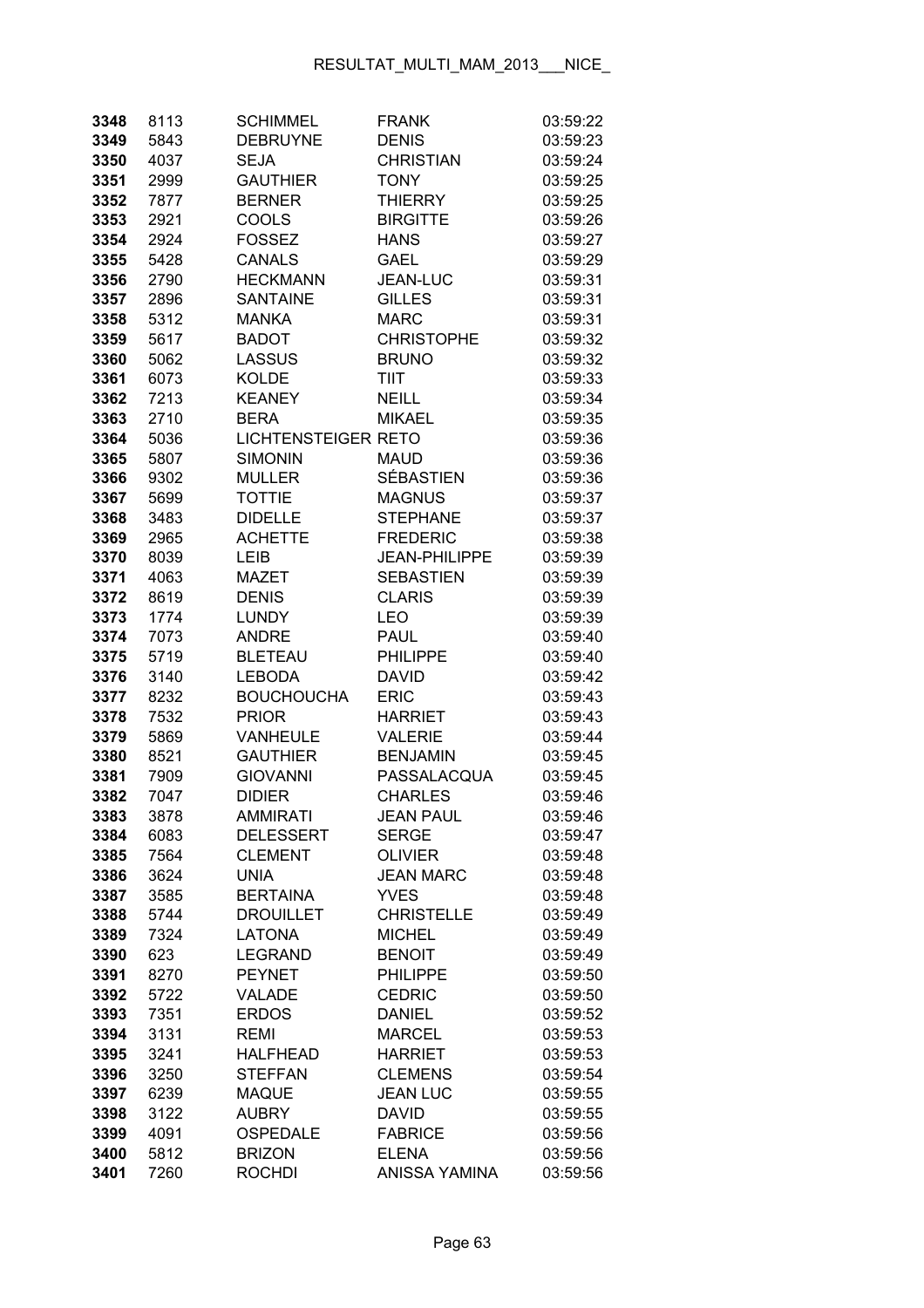| 3348         | 8113         | <b>SCHIMMEL</b>                | <b>FRANK</b>                      | 03:59:22             |
|--------------|--------------|--------------------------------|-----------------------------------|----------------------|
| 3349         | 5843         | <b>DEBRUYNE</b>                | <b>DENIS</b>                      | 03:59:23             |
| 3350         | 4037         | <b>SEJA</b>                    | <b>CHRISTIAN</b>                  | 03:59:24             |
| 3351         | 2999         | <b>GAUTHIER</b>                | <b>TONY</b>                       | 03:59:25             |
| 3352         | 7877         | <b>BERNER</b>                  | <b>THIERRY</b>                    | 03:59:25             |
| 3353         | 2921         | COOLS                          | <b>BIRGITTE</b>                   | 03:59:26             |
| 3354         | 2924         | <b>FOSSEZ</b>                  | <b>HANS</b>                       | 03:59:27             |
| 3355         | 5428         | <b>CANALS</b>                  | <b>GAEL</b>                       | 03:59:29             |
| 3356         | 2790         | <b>HECKMANN</b>                | <b>JEAN-LUC</b>                   | 03:59:31             |
| 3357         | 2896         | <b>SANTAINE</b>                | <b>GILLES</b>                     | 03:59:31             |
| 3358         | 5312         | <b>MANKA</b>                   | <b>MARC</b>                       | 03:59:31             |
| 3359         | 5617         | <b>BADOT</b>                   | <b>CHRISTOPHE</b>                 | 03:59:32             |
| 3360         | 5062         | <b>LASSUS</b>                  | <b>BRUNO</b>                      | 03:59:32             |
| 3361         | 6073         | <b>KOLDE</b>                   | <b>TIIT</b>                       | 03:59:33             |
| 3362         | 7213         | <b>KEANEY</b>                  | <b>NEILL</b>                      | 03:59:34             |
| 3363         | 2710         | <b>BERA</b>                    | <b>MIKAEL</b>                     | 03:59:35             |
| 3364         | 5036         | <b>LICHTENSTEIGER RETO</b>     |                                   | 03:59:36             |
| 3365         | 5807         | <b>SIMONIN</b>                 | <b>MAUD</b>                       | 03:59:36             |
| 3366         | 9302         | <b>MULLER</b>                  | <b>SÉBASTIEN</b>                  | 03:59:36             |
| 3367         | 5699         | <b>TOTTIE</b>                  | <b>MAGNUS</b>                     | 03:59:37             |
| 3368         | 3483         | <b>DIDELLE</b>                 | <b>STEPHANE</b>                   | 03:59:37             |
| 3369         | 2965         | <b>ACHETTE</b>                 | <b>FREDERIC</b>                   | 03:59:38             |
| 3370         | 8039         | LEIB                           | <b>JEAN-PHILIPPE</b>              | 03:59:39             |
| 3371         | 4063         | <b>MAZET</b>                   | <b>SEBASTIEN</b>                  | 03:59:39             |
| 3372         | 8619         | <b>DENIS</b>                   | <b>CLARIS</b>                     | 03:59:39             |
| 3373         | 1774         | <b>LUNDY</b>                   | LEO                               | 03:59:39             |
| 3374         | 7073         | <b>ANDRE</b>                   | <b>PAUL</b>                       | 03:59:40             |
| 3375         | 5719         | <b>BLETEAU</b>                 | <b>PHILIPPE</b>                   | 03:59:40             |
| 3376         | 3140         | <b>LEBODA</b>                  | <b>DAVID</b>                      | 03:59:42             |
| 3377         | 8232         | <b>BOUCHOUCHA</b>              | <b>ERIC</b>                       | 03:59:43             |
| 3378         | 7532         | <b>PRIOR</b>                   | <b>HARRIET</b>                    | 03:59:43             |
| 3379         | 5869         | <b>VANHEULE</b>                | <b>VALERIE</b>                    | 03:59:44             |
| 3380         | 8521         | <b>GAUTHIER</b>                | <b>BENJAMIN</b>                   | 03:59:45             |
| 3381         | 7909         | <b>GIOVANNI</b>                | PASSALACQUA                       | 03:59:45             |
| 3382         | 7047         | <b>DIDIER</b>                  | <b>CHARLES</b>                    | 03:59:46             |
| 3383         | 3878         | AMMIRATI                       | JEAN PAUL                         | 03:59:46             |
| 3384         | 6083         | <b>DELESSERT</b>               | <b>SERGE</b>                      | 03:59:47             |
| 3385         | 7564         | <b>CLEMENT</b>                 | <b>OLIVIER</b>                    | 03:59:48             |
| 3386         | 3624         | <b>UNIA</b>                    | <b>JEAN MARC</b>                  | 03:59:48             |
| 3387         | 3585         | <b>BERTAINA</b>                | <b>YVES</b>                       | 03:59:48             |
| 3388         | 5744         | <b>DROUILLET</b>               | <b>CHRISTELLE</b>                 | 03:59:49             |
| 3389         | 7324         | <b>LATONA</b>                  | <b>MICHEL</b>                     | 03:59:49             |
| 3390         | 623          | <b>LEGRAND</b>                 | <b>BENOIT</b>                     | 03:59:49             |
| 3391         | 8270         | <b>PEYNET</b>                  | <b>PHILIPPE</b>                   | 03:59:50             |
| 3392         | 5722         | VALADE                         | <b>CEDRIC</b>                     | 03:59:50             |
| 3393         | 7351         | <b>ERDOS</b>                   | <b>DANIEL</b>                     | 03:59:52             |
| 3394         | 3131         | <b>REMI</b>                    | <b>MARCEL</b>                     | 03:59:53             |
| 3395         | 3241         | <b>HALFHEAD</b>                | <b>HARRIET</b>                    | 03:59:53             |
| 3396         | 3250<br>6239 | <b>STEFFAN</b><br><b>MAQUE</b> | <b>CLEMENS</b><br><b>JEAN LUC</b> | 03:59:54<br>03:59:55 |
| 3397<br>3398 | 3122         | <b>AUBRY</b>                   | <b>DAVID</b>                      | 03:59:55             |
| 3399         | 4091         | OSPEDALE                       | <b>FABRICE</b>                    | 03:59:56             |
| 3400         | 5812         | <b>BRIZON</b>                  | <b>ELENA</b>                      | 03:59:56             |
| 3401         | 7260         | <b>ROCHDI</b>                  | <b>ANISSA YAMINA</b>              | 03:59:56             |
|              |              |                                |                                   |                      |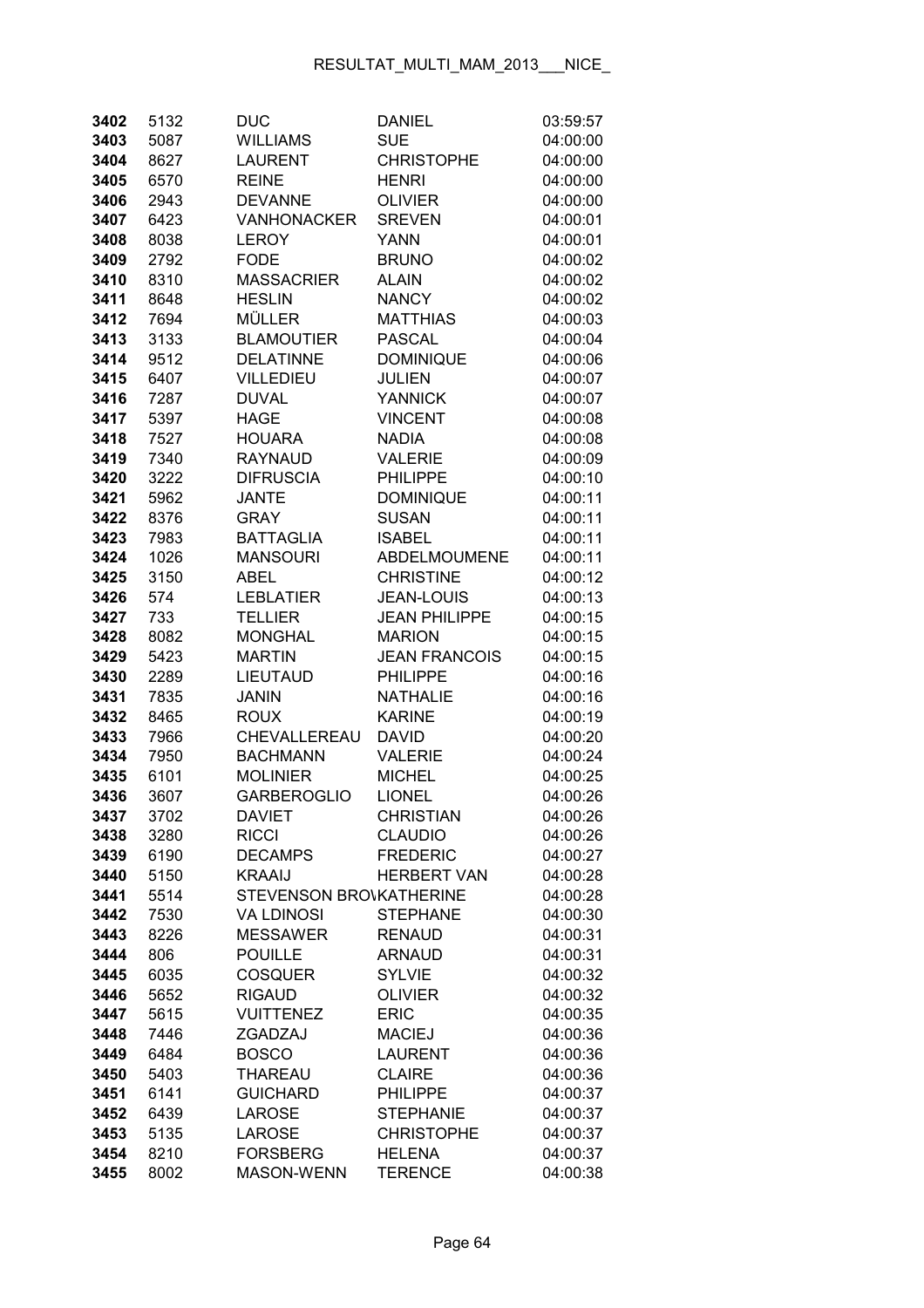| 3402         | 5132         | <b>DUC</b>                               | <b>DANIEL</b>                         | 03:59:57             |
|--------------|--------------|------------------------------------------|---------------------------------------|----------------------|
| 3403         | 5087         | <b>WILLIAMS</b>                          | <b>SUE</b>                            | 04:00:00             |
| 3404         | 8627         | <b>LAURENT</b>                           | <b>CHRISTOPHE</b>                     | 04:00:00             |
| 3405         | 6570         | <b>REINE</b>                             | <b>HENRI</b>                          | 04:00:00             |
| 3406         | 2943         | <b>DEVANNE</b>                           | <b>OLIVIER</b>                        | 04:00:00             |
| 3407         | 6423         | <b>VANHONACKER</b>                       | <b>SREVEN</b>                         | 04:00:01             |
| 3408         | 8038         | <b>LEROY</b>                             | <b>YANN</b>                           | 04:00:01             |
| 3409         | 2792         | <b>FODE</b>                              | <b>BRUNO</b>                          | 04:00:02             |
| 3410         | 8310         | <b>MASSACRIER</b>                        | <b>ALAIN</b>                          | 04:00:02             |
| 3411         | 8648         | <b>HESLIN</b>                            | <b>NANCY</b>                          | 04:00:02             |
| 3412         | 7694         | <b>MÜLLER</b>                            | <b>MATTHIAS</b>                       | 04:00:03             |
| 3413         | 3133         | <b>BLAMOUTIER</b>                        | <b>PASCAL</b>                         | 04:00:04             |
| 3414         | 9512         | <b>DELATINNE</b>                         | <b>DOMINIQUE</b>                      | 04:00:06             |
| 3415         | 6407         | <b>VILLEDIEU</b>                         | <b>JULIEN</b>                         | 04:00:07             |
| 3416         | 7287         | <b>DUVAL</b>                             | <b>YANNICK</b>                        | 04:00:07             |
| 3417         | 5397         | <b>HAGE</b>                              | <b>VINCENT</b>                        | 04:00:08             |
| 3418         | 7527         | <b>HOUARA</b>                            | <b>NADIA</b>                          | 04:00:08             |
| 3419         | 7340         | <b>RAYNAUD</b>                           | <b>VALERIE</b>                        | 04:00:09             |
| 3420         | 3222         | <b>DIFRUSCIA</b>                         | <b>PHILIPPE</b>                       | 04:00:10             |
| 3421         | 5962         | <b>JANTE</b>                             | <b>DOMINIQUE</b>                      | 04:00:11             |
| 3422         | 8376         | <b>GRAY</b>                              | <b>SUSAN</b>                          | 04:00:11             |
| 3423         | 7983         | <b>BATTAGLIA</b>                         | <b>ISABEL</b>                         | 04:00:11             |
| 3424         | 1026         | <b>MANSOURI</b>                          | ABDELMOUMENE                          | 04:00:11             |
| 3425         | 3150         | <b>ABEL</b>                              | <b>CHRISTINE</b>                      | 04:00:12             |
| 3426         | 574          | <b>LEBLATIER</b>                         | <b>JEAN-LOUIS</b>                     | 04:00:13             |
| 3427         | 733          | <b>TELLIER</b>                           | <b>JEAN PHILIPPE</b>                  | 04:00:15             |
| 3428         | 8082         | <b>MONGHAL</b>                           | <b>MARION</b>                         | 04:00:15             |
| 3429         | 5423         | <b>MARTIN</b>                            | <b>JEAN FRANCOIS</b>                  | 04:00:15             |
| 3430         | 2289         | LIEUTAUD                                 | <b>PHILIPPE</b>                       | 04:00:16             |
| 3431         | 7835         | <b>JANIN</b>                             | NATHALIE                              | 04:00:16             |
| 3432         | 8465         | <b>ROUX</b>                              | <b>KARINE</b>                         | 04:00:19             |
| 3433         | 7966         | CHEVALLEREAU                             | <b>DAVID</b>                          | 04:00:20             |
| 3434         | 7950         | <b>BACHMANN</b>                          | <b>VALERIE</b>                        | 04:00:24             |
| 3435         | 6101         | <b>MOLINIER</b>                          | <b>MICHEL</b>                         | 04:00:25             |
| 3436         | 3607         | <b>GARBEROGLIO</b>                       | <b>LIONEL</b>                         | 04:00:26             |
| 3437         | 3702         | <b>DAVIET</b>                            | CHRISTIAN                             | 04:00:26             |
| 3438         | 3280         | <b>RICCI</b>                             | <b>CLAUDIO</b>                        | 04:00:26             |
| 3439         | 6190         | <b>DECAMPS</b>                           | <b>FREDERIC</b><br><b>HERBERT VAN</b> | 04:00:27             |
| 3440<br>3441 | 5150<br>5514 | <b>KRAAIJ</b><br>STEVENSON BROVKATHERINE |                                       | 04:00:28<br>04:00:28 |
| 3442         | 7530         | <b>VA LDINOSI</b>                        | <b>STEPHANE</b>                       | 04:00:30             |
| 3443         | 8226         | <b>MESSAWER</b>                          | <b>RENAUD</b>                         | 04:00:31             |
| 3444         | 806          | <b>POUILLE</b>                           | <b>ARNAUD</b>                         | 04:00:31             |
| 3445         | 6035         | <b>COSQUER</b>                           | <b>SYLVIE</b>                         | 04:00:32             |
| 3446         | 5652         | <b>RIGAUD</b>                            | <b>OLIVIER</b>                        | 04:00:32             |
| 3447         | 5615         | <b>VUITTENEZ</b>                         | <b>ERIC</b>                           | 04:00:35             |
| 3448         | 7446         | ZGADZAJ                                  | <b>MACIEJ</b>                         | 04:00:36             |
| 3449         | 6484         | <b>BOSCO</b>                             | <b>LAURENT</b>                        | 04:00:36             |
| 3450         | 5403         | <b>THAREAU</b>                           | <b>CLAIRE</b>                         | 04:00:36             |
| 3451         | 6141         | <b>GUICHARD</b>                          | <b>PHILIPPE</b>                       | 04:00:37             |
| 3452         | 6439         | <b>LAROSE</b>                            | <b>STEPHANIE</b>                      | 04:00:37             |
| 3453         | 5135         | <b>LAROSE</b>                            | <b>CHRISTOPHE</b>                     | 04:00:37             |
| 3454         | 8210         | <b>FORSBERG</b>                          | <b>HELENA</b>                         | 04:00:37             |
| 3455         | 8002         | MASON-WENN                               | <b>TERENCE</b>                        | 04:00:38             |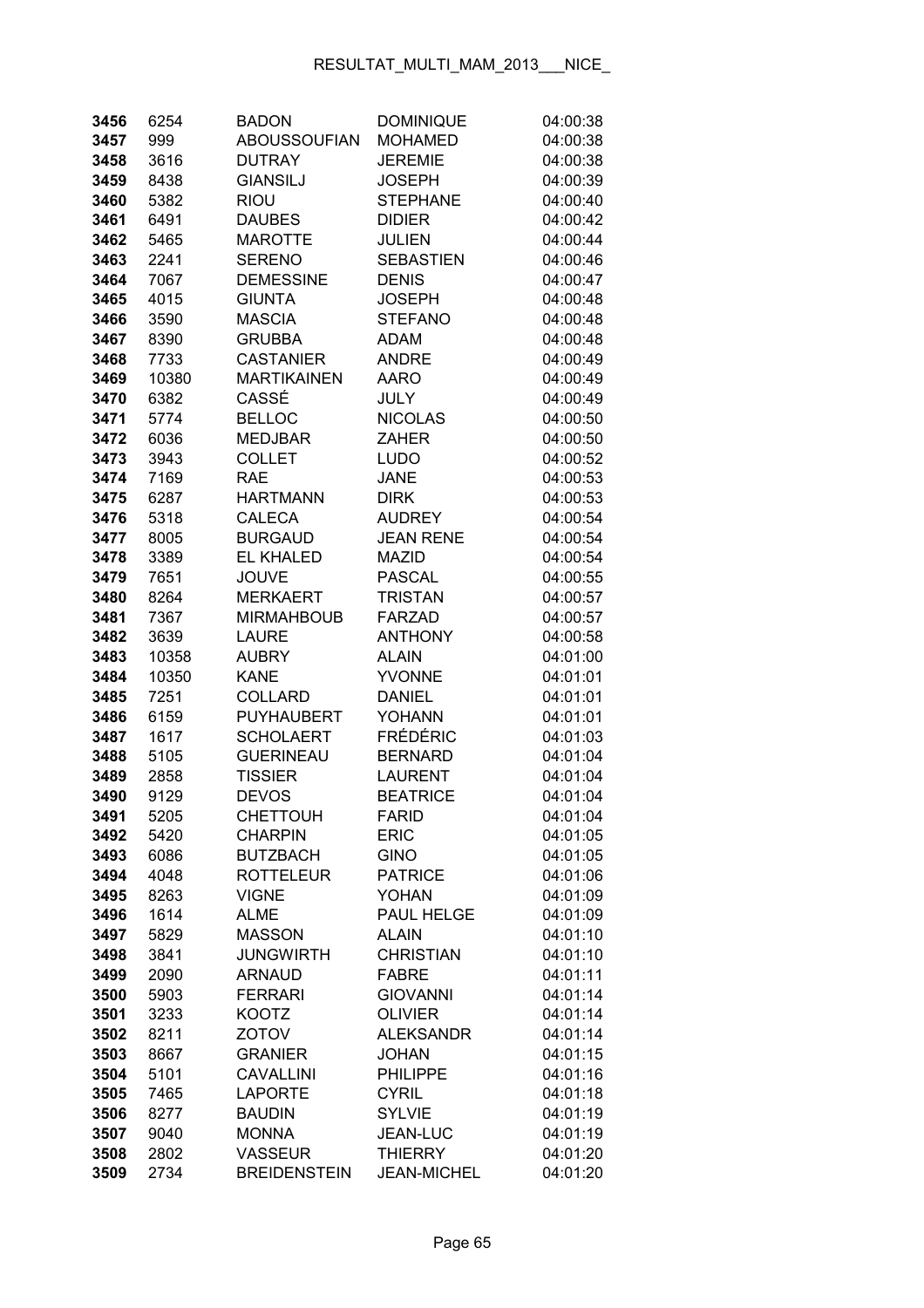| 3456         | 6254         | <b>BADON</b>                 | <b>DOMINIQUE</b>           | 04:00:38             |
|--------------|--------------|------------------------------|----------------------------|----------------------|
| 3457         | 999          | <b>ABOUSSOUFIAN</b>          | <b>MOHAMED</b>             | 04:00:38             |
| 3458         | 3616         | <b>DUTRAY</b>                | <b>JEREMIE</b>             | 04:00:38             |
| 3459         | 8438         | <b>GIANSILJ</b>              | <b>JOSEPH</b>              | 04:00:39             |
| 3460         | 5382         | <b>RIOU</b>                  | <b>STEPHANE</b>            | 04:00:40             |
| 3461         | 6491         | <b>DAUBES</b>                | <b>DIDIER</b>              | 04:00:42             |
| 3462         | 5465         | <b>MAROTTE</b>               | <b>JULIEN</b>              | 04:00:44             |
| 3463         | 2241         | <b>SERENO</b>                | <b>SEBASTIEN</b>           | 04:00:46             |
| 3464         | 7067         | <b>DEMESSINE</b>             | <b>DENIS</b>               | 04:00:47             |
| 3465         | 4015         | <b>GIUNTA</b>                | <b>JOSEPH</b>              | 04:00:48             |
| 3466         | 3590         | <b>MASCIA</b>                | <b>STEFANO</b>             | 04:00:48             |
| 3467         | 8390         | <b>GRUBBA</b>                | ADAM                       | 04:00:48             |
| 3468         | 7733         | <b>CASTANIER</b>             | <b>ANDRE</b>               | 04:00:49             |
| 3469         | 10380        | <b>MARTIKAINEN</b>           | <b>AARO</b>                | 04:00:49             |
| 3470         | 6382         | CASSÉ                        | JULY                       | 04:00:49             |
| 3471         | 5774         | <b>BELLOC</b>                | <b>NICOLAS</b>             | 04:00:50             |
| 3472         | 6036         | <b>MEDJBAR</b>               | ZAHER                      | 04:00:50             |
| 3473         | 3943         | <b>COLLET</b>                | <b>LUDO</b>                | 04:00:52             |
| 3474         | 7169         | <b>RAE</b>                   | <b>JANE</b>                | 04:00:53             |
| 3475         | 6287         | <b>HARTMANN</b>              | <b>DIRK</b>                | 04:00:53             |
| 3476         | 5318         | <b>CALECA</b>                | <b>AUDREY</b>              | 04:00:54             |
| 3477         | 8005         | <b>BURGAUD</b>               | <b>JEAN RENE</b>           | 04:00:54             |
| 3478         | 3389         | <b>EL KHALED</b>             | <b>MAZID</b>               | 04:00:54             |
| 3479         | 7651         | <b>JOUVE</b>                 | <b>PASCAL</b>              | 04:00:55             |
| 3480         | 8264         | <b>MERKAERT</b>              | <b>TRISTAN</b>             | 04:00:57             |
| 3481         | 7367         | <b>MIRMAHBOUB</b>            | <b>FARZAD</b>              | 04:00:57             |
| 3482         | 3639         | <b>LAURE</b>                 | <b>ANTHONY</b>             | 04:00:58             |
| 3483         | 10358        | <b>AUBRY</b>                 | <b>ALAIN</b>               | 04:01:00             |
| 3484         | 10350        | <b>KANE</b>                  | <b>YVONNE</b>              | 04:01:01             |
| 3485         | 7251         | <b>COLLARD</b>               | <b>DANIEL</b>              | 04:01:01             |
| 3486         | 6159         | <b>PUYHAUBERT</b>            | <b>YOHANN</b>              | 04:01:01             |
| 3487         | 1617         | <b>SCHOLAERT</b>             | <b>FRÉDÉRIC</b>            | 04:01:03             |
| 3488         | 5105         | <b>GUERINEAU</b>             | <b>BERNARD</b>             | 04:01:04             |
| 3489         | 2858         | <b>TISSIER</b>               | <b>LAURENT</b>             | 04:01:04             |
| 3490         | 9129         | <b>DEVOS</b>                 | <b>BEATRICE</b>            | 04:01:04             |
| 3491         | 5205         | <b>CHETTOUH</b>              | <b>FARID</b>               | 04:01:04             |
| 3492         | 5420         | <b>CHARPIN</b>               | <b>ERIC</b>                | 04:01:05             |
| 3493         | 6086         | <b>BUTZBACH</b>              | <b>GINO</b>                | 04:01:05             |
| 3494         | 4048         | <b>ROTTELEUR</b>             | <b>PATRICE</b>             | 04:01:06             |
| 3495         | 8263         | <b>VIGNE</b>                 | <b>YOHAN</b>               | 04:01:09             |
| 3496<br>3497 | 1614<br>5829 | <b>ALME</b><br><b>MASSON</b> | PAUL HELGE<br><b>ALAIN</b> | 04:01:09<br>04:01:10 |
| 3498         | 3841         | <b>JUNGWIRTH</b>             | <b>CHRISTIAN</b>           | 04:01:10             |
| 3499         | 2090         | <b>ARNAUD</b>                | <b>FABRE</b>               | 04:01:11             |
| 3500         | 5903         | <b>FERRARI</b>               | <b>GIOVANNI</b>            | 04:01:14             |
| 3501         | 3233         | KOOTZ                        | <b>OLIVIER</b>             | 04:01:14             |
| 3502         | 8211         | <b>ZOTOV</b>                 | <b>ALEKSANDR</b>           | 04:01:14             |
| 3503         | 8667         | <b>GRANIER</b>               | <b>JOHAN</b>               | 04:01:15             |
| 3504         | 5101         | <b>CAVALLINI</b>             | <b>PHILIPPE</b>            | 04:01:16             |
| 3505         | 7465         | <b>LAPORTE</b>               | <b>CYRIL</b>               | 04:01:18             |
| 3506         | 8277         | <b>BAUDIN</b>                | <b>SYLVIE</b>              | 04:01:19             |
| 3507         | 9040         | <b>MONNA</b>                 | <b>JEAN-LUC</b>            | 04:01:19             |
| 3508         | 2802         | <b>VASSEUR</b>               | <b>THIERRY</b>             | 04:01:20             |
| 3509         | 2734         | <b>BREIDENSTEIN</b>          | <b>JEAN-MICHEL</b>         | 04:01:20             |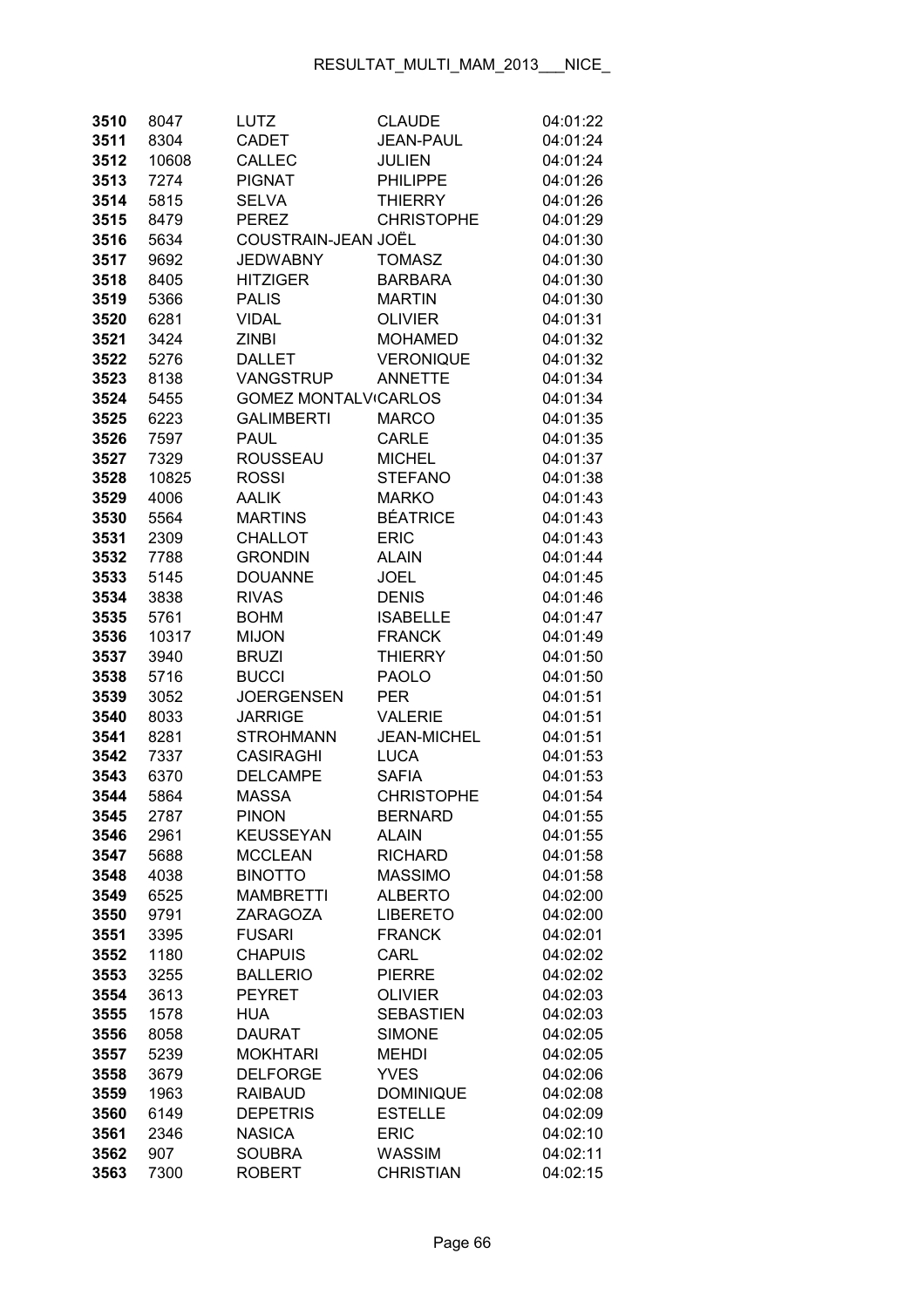| 3510 | 8047  | LUTZ                        | <b>CLAUDE</b>      | 04:01:22 |
|------|-------|-----------------------------|--------------------|----------|
| 3511 | 8304  | <b>CADET</b>                | <b>JEAN-PAUL</b>   | 04:01:24 |
| 3512 | 10608 | <b>CALLEC</b>               | <b>JULIEN</b>      | 04:01:24 |
| 3513 | 7274  | <b>PIGNAT</b>               | <b>PHILIPPE</b>    | 04:01:26 |
| 3514 | 5815  | <b>SELVA</b>                | <b>THIERRY</b>     | 04:01:26 |
| 3515 | 8479  | <b>PEREZ</b>                | <b>CHRISTOPHE</b>  | 04:01:29 |
| 3516 | 5634  | COUSTRAIN-JEAN JOËL         |                    | 04:01:30 |
| 3517 | 9692  | <b>JEDWABNY</b>             | <b>TOMASZ</b>      | 04:01:30 |
| 3518 | 8405  | <b>HITZIGER</b>             | <b>BARBARA</b>     | 04:01:30 |
| 3519 | 5366  | <b>PALIS</b>                | <b>MARTIN</b>      | 04:01:30 |
| 3520 | 6281  | <b>VIDAL</b>                | <b>OLIVIER</b>     | 04:01:31 |
| 3521 | 3424  | <b>ZINBI</b>                | <b>MOHAMED</b>     | 04:01:32 |
| 3522 | 5276  | <b>DALLET</b>               | <b>VERONIQUE</b>   | 04:01:32 |
| 3523 | 8138  | <b>VANGSTRUP</b>            | <b>ANNETTE</b>     | 04:01:34 |
| 3524 | 5455  | <b>GOMEZ MONTALVICARLOS</b> |                    | 04:01:34 |
| 3525 | 6223  | <b>GALIMBERTI</b>           | <b>MARCO</b>       | 04:01:35 |
| 3526 | 7597  | <b>PAUL</b>                 | CARLE              | 04:01:35 |
| 3527 | 7329  | <b>ROUSSEAU</b>             | <b>MICHEL</b>      | 04:01:37 |
| 3528 | 10825 | ROSSI                       | <b>STEFANO</b>     | 04:01:38 |
| 3529 | 4006  | <b>AALIK</b>                | <b>MARKO</b>       | 04:01:43 |
| 3530 | 5564  | <b>MARTINS</b>              | <b>BÉATRICE</b>    | 04:01:43 |
| 3531 | 2309  | <b>CHALLOT</b>              | <b>ERIC</b>        | 04:01:43 |
| 3532 | 7788  | <b>GRONDIN</b>              | <b>ALAIN</b>       | 04:01:44 |
| 3533 | 5145  | <b>DOUANNE</b>              | JOEL               | 04:01:45 |
| 3534 | 3838  | <b>RIVAS</b>                | <b>DENIS</b>       | 04:01:46 |
| 3535 | 5761  | <b>BOHM</b>                 | <b>ISABELLE</b>    | 04:01:47 |
| 3536 | 10317 | <b>MIJON</b>                | <b>FRANCK</b>      | 04:01:49 |
| 3537 | 3940  | <b>BRUZI</b>                | <b>THIERRY</b>     | 04:01:50 |
| 3538 | 5716  | <b>BUCCI</b>                | <b>PAOLO</b>       | 04:01:50 |
| 3539 | 3052  | <b>JOERGENSEN</b>           | <b>PER</b>         | 04:01:51 |
| 3540 | 8033  | <b>JARRIGE</b>              | <b>VALERIE</b>     | 04:01:51 |
| 3541 | 8281  | <b>STROHMANN</b>            | <b>JEAN-MICHEL</b> | 04:01:51 |
| 3542 | 7337  | <b>CASIRAGHI</b>            | <b>LUCA</b>        | 04:01:53 |
| 3543 | 6370  | <b>DELCAMPE</b>             | <b>SAFIA</b>       | 04:01:53 |
| 3544 | 5864  | <b>MASSA</b>                | <b>CHRISTOPHE</b>  | 04:01:54 |
| 3545 | 2787  | <b>PINON</b>                | <b>BERNARD</b>     | 04:01:55 |
| 3546 | 2961  | <b>KEUSSEYAN</b>            | <b>ALAIN</b>       | 04:01:55 |
| 3547 | 5688  | <b>MCCLEAN</b>              | <b>RICHARD</b>     | 04:01:58 |
| 3548 | 4038  | <b>BINOTTO</b>              | <b>MASSIMO</b>     | 04:01:58 |
| 3549 | 6525  | <b>MAMBRETTI</b>            | <b>ALBERTO</b>     | 04:02:00 |
| 3550 | 9791  | ZARAGOZA                    | <b>LIBERETO</b>    | 04:02:00 |
| 3551 | 3395  | <b>FUSARI</b>               | <b>FRANCK</b>      | 04:02:01 |
| 3552 | 1180  | <b>CHAPUIS</b>              | CARL               | 04:02:02 |
| 3553 | 3255  | <b>BALLERIO</b>             | <b>PIERRE</b>      | 04:02:02 |
| 3554 | 3613  | <b>PEYRET</b>               | <b>OLIVIER</b>     | 04:02:03 |
| 3555 | 1578  | <b>HUA</b>                  | <b>SEBASTIEN</b>   | 04:02:03 |
| 3556 | 8058  | <b>DAURAT</b>               | <b>SIMONE</b>      | 04:02:05 |
| 3557 | 5239  | <b>MOKHTARI</b>             | <b>MEHDI</b>       | 04:02:05 |
| 3558 | 3679  | <b>DELFORGE</b>             | <b>YVES</b>        | 04:02:06 |
| 3559 | 1963  | <b>RAIBAUD</b>              | <b>DOMINIQUE</b>   | 04:02:08 |
| 3560 | 6149  | <b>DEPETRIS</b>             | <b>ESTELLE</b>     | 04:02:09 |
| 3561 | 2346  | <b>NASICA</b>               | <b>ERIC</b>        | 04:02:10 |
| 3562 | 907   | <b>SOUBRA</b>               | <b>WASSIM</b>      | 04:02:11 |
| 3563 | 7300  | <b>ROBERT</b>               | <b>CHRISTIAN</b>   | 04:02:15 |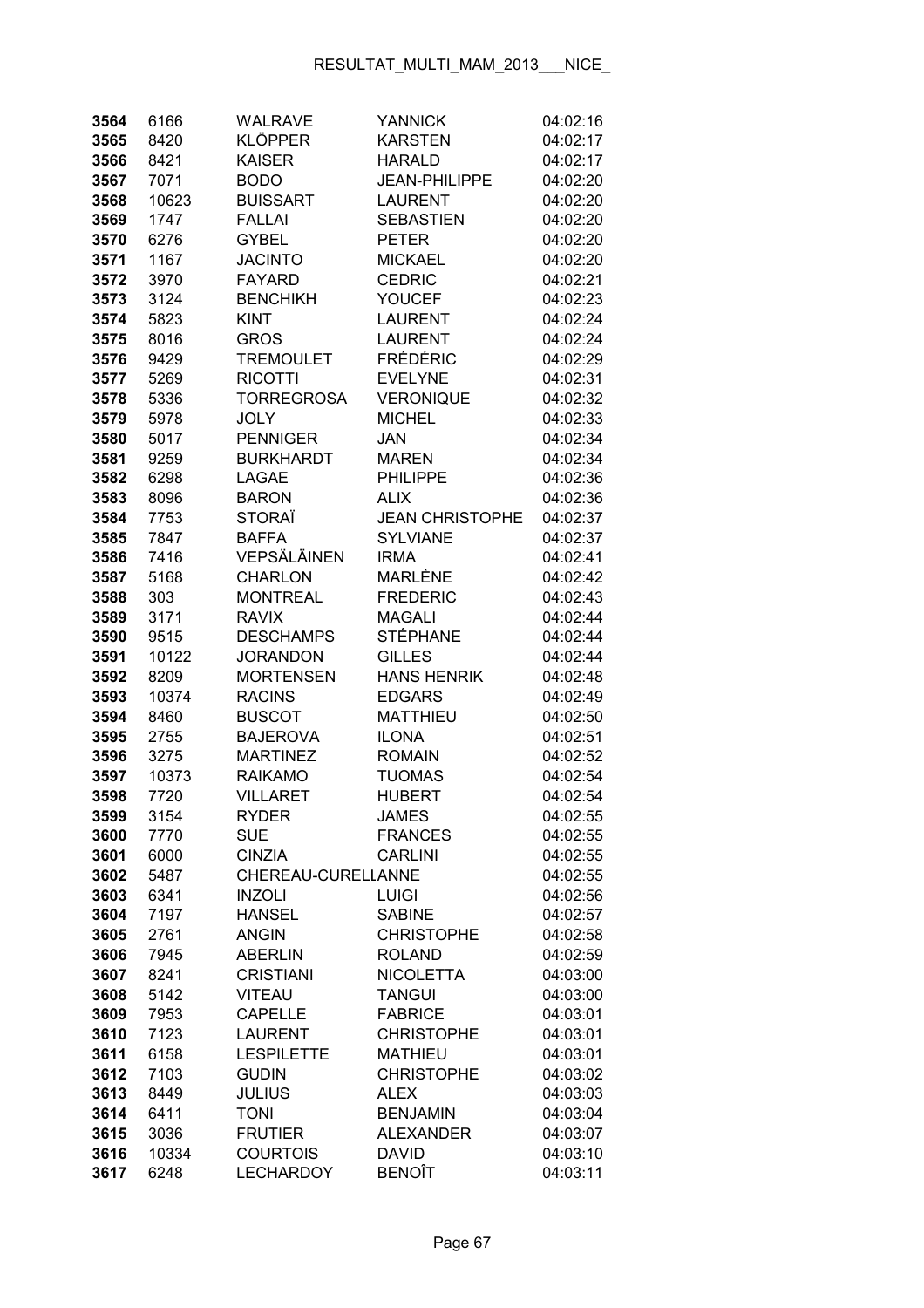| 3564         | 6166         | <b>WALRAVE</b>                      | <b>YANNICK</b>                 | 04:02:16             |
|--------------|--------------|-------------------------------------|--------------------------------|----------------------|
| 3565         | 8420         | <b>KLÖPPER</b>                      | <b>KARSTEN</b>                 | 04:02:17             |
| 3566         | 8421         | <b>KAISER</b>                       | <b>HARALD</b>                  | 04:02:17             |
| 3567         | 7071         | <b>BODO</b>                         | <b>JEAN-PHILIPPE</b>           | 04:02:20             |
| 3568         | 10623        | <b>BUISSART</b>                     | <b>LAURENT</b>                 | 04:02:20             |
| 3569         | 1747         | <b>FALLAI</b>                       | <b>SEBASTIEN</b>               | 04:02:20             |
| 3570         | 6276         | <b>GYBEL</b>                        | <b>PETER</b>                   | 04:02:20             |
| 3571         | 1167         | <b>JACINTO</b>                      | <b>MICKAEL</b>                 | 04:02:20             |
| 3572         | 3970         | <b>FAYARD</b>                       | <b>CEDRIC</b>                  | 04:02:21             |
| 3573         | 3124         | <b>BENCHIKH</b>                     | <b>YOUCEF</b>                  | 04:02:23             |
| 3574         | 5823         | <b>KINT</b>                         | <b>LAURENT</b>                 | 04:02:24             |
| 3575         | 8016         | <b>GROS</b>                         | <b>LAURENT</b>                 | 04:02:24             |
| 3576         | 9429         | <b>TREMOULET</b>                    | <b>FRÉDÉRIC</b>                | 04:02:29             |
| 3577         | 5269         | <b>RICOTTI</b>                      | <b>EVELYNE</b>                 | 04:02:31             |
| 3578         | 5336         | TORREGROSA                          | <b>VERONIQUE</b>               | 04:02:32             |
| 3579         | 5978         | <b>JOLY</b>                         | <b>MICHEL</b>                  | 04:02:33             |
| 3580         | 5017         | <b>PENNIGER</b>                     | JAN                            | 04:02:34             |
| 3581         | 9259         | <b>BURKHARDT</b>                    | <b>MAREN</b>                   | 04:02:34             |
| 3582         | 6298         | LAGAE                               | <b>PHILIPPE</b>                | 04:02:36             |
| 3583         | 8096         | <b>BARON</b>                        | <b>ALIX</b>                    | 04:02:36             |
| 3584         | 7753         | <b>STORAÏ</b>                       | <b>JEAN CHRISTOPHE</b>         | 04:02:37             |
| 3585         | 7847         | <b>BAFFA</b>                        | <b>SYLVIANE</b>                | 04:02:37             |
| 3586         | 7416         | VEPSÄLÄINEN                         | <b>IRMA</b>                    | 04:02:41             |
| 3587         | 5168         | <b>CHARLON</b>                      | MARLÈNE                        | 04:02:42             |
| 3588         | 303          | <b>MONTREAL</b>                     | <b>FREDERIC</b>                | 04:02:43             |
| 3589         | 3171         | <b>RAVIX</b>                        | <b>MAGALI</b>                  | 04:02:44             |
| 3590         | 9515         | <b>DESCHAMPS</b>                    | <b>STÉPHANE</b>                | 04:02:44             |
| 3591         | 10122        | <b>JORANDON</b>                     | <b>GILLES</b>                  | 04:02:44             |
| 3592         | 8209         | <b>MORTENSEN</b>                    | <b>HANS HENRIK</b>             | 04:02:48             |
| 3593         | 10374        | <b>RACINS</b>                       | <b>EDGARS</b>                  | 04:02:49             |
| 3594         | 8460         | <b>BUSCOT</b>                       | <b>MATTHIEU</b>                | 04:02:50             |
| 3595         | 2755         | <b>BAJEROVA</b>                     | <b>ILONA</b>                   | 04:02:51             |
| 3596         | 3275         | <b>MARTINEZ</b>                     | <b>ROMAIN</b>                  | 04:02:52             |
| 3597         | 10373        | <b>RAIKAMO</b>                      | <b>TUOMAS</b>                  | 04:02:54             |
| 3598         | 7720         | <b>VILLARET</b>                     | <b>HUBERT</b>                  | 04:02:54             |
| 3599         | 3154         | <b>RYDER</b>                        | JAMES                          | 04:02:55             |
| 3600         | 7770         | <b>SUE</b>                          | <b>FRANCES</b>                 | 04:02:55             |
| 3601         | 6000         | <b>CINZIA</b>                       | <b>CARLINI</b>                 | 04:02:55             |
| 3602         | 5487         | CHEREAU-CURELLANNE                  |                                | 04:02:55             |
| 3603         | 6341         | <b>INZOLI</b>                       | <b>LUIGI</b>                   | 04:02:56             |
| 3604         | 7197         | <b>HANSEL</b>                       | <b>SABINE</b>                  | 04:02:57             |
|              | 2761         | <b>ANGIN</b>                        | <b>CHRISTOPHE</b>              | 04:02:58             |
| 3605<br>3606 | 7945         | <b>ABERLIN</b>                      | <b>ROLAND</b>                  | 04:02:59             |
| 3607         | 8241         | <b>CRISTIANI</b>                    | <b>NICOLETTA</b>               | 04:03:00             |
|              |              | <b>VITEAU</b>                       | <b>TANGUI</b>                  |                      |
| 3608<br>3609 | 5142<br>7953 | <b>CAPELLE</b>                      | <b>FABRICE</b>                 | 04:03:00<br>04:03:01 |
|              |              |                                     |                                |                      |
| 3610         | 7123         | <b>LAURENT</b><br><b>LESPILETTE</b> | <b>CHRISTOPHE</b>              | 04:03:01             |
| 3611         | 6158         |                                     | <b>MATHIEU</b>                 | 04:03:01             |
| 3612         | 7103         | <b>GUDIN</b><br><b>JULIUS</b>       | <b>CHRISTOPHE</b>              | 04:03:02             |
| 3613         | 8449         | <b>TONI</b>                         | <b>ALEX</b><br><b>BENJAMIN</b> | 04:03:03             |
| 3614<br>3615 | 6411         | <b>FRUTIER</b>                      | <b>ALEXANDER</b>               | 04:03:04<br>04:03:07 |
|              | 3036         |                                     | <b>DAVID</b>                   |                      |
| 3616         | 10334        | <b>COURTOIS</b>                     |                                | 04:03:10             |
| 3617         | 6248         | <b>LECHARDOY</b>                    | <b>BENOÎT</b>                  | 04:03:11             |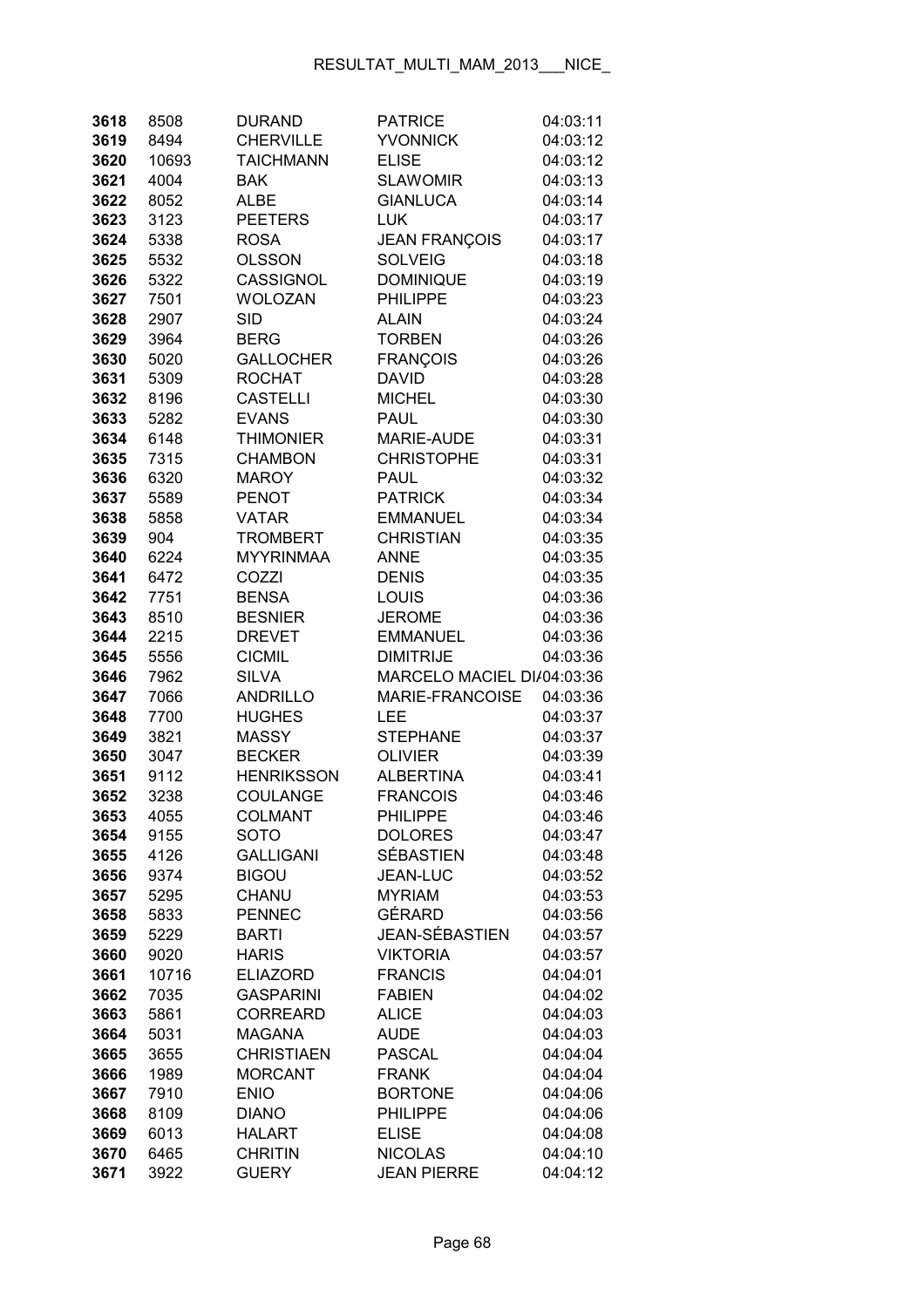| 3618 | 8508  | <b>DURAND</b>     | <b>PATRICE</b>                     | 04:03:11 |
|------|-------|-------------------|------------------------------------|----------|
| 3619 | 8494  | <b>CHERVILLE</b>  | <b>YVONNICK</b>                    | 04:03:12 |
| 3620 | 10693 | <b>TAICHMANN</b>  | <b>ELISE</b>                       | 04:03:12 |
| 3621 | 4004  | <b>BAK</b>        | <b>SLAWOMIR</b>                    | 04:03:13 |
| 3622 | 8052  | <b>ALBE</b>       | <b>GIANLUCA</b>                    | 04:03:14 |
| 3623 | 3123  | <b>PEETERS</b>    | <b>LUK</b>                         | 04:03:17 |
| 3624 | 5338  | <b>ROSA</b>       | <b>JEAN FRANÇOIS</b>               | 04:03:17 |
| 3625 | 5532  | <b>OLSSON</b>     | <b>SOLVEIG</b>                     | 04:03:18 |
| 3626 | 5322  | <b>CASSIGNOL</b>  | <b>DOMINIQUE</b>                   | 04:03:19 |
| 3627 | 7501  | <b>WOLOZAN</b>    | <b>PHILIPPE</b>                    | 04:03:23 |
| 3628 | 2907  | <b>SID</b>        | <b>ALAIN</b>                       | 04:03:24 |
| 3629 | 3964  | <b>BERG</b>       | <b>TORBEN</b>                      | 04:03:26 |
| 3630 | 5020  | <b>GALLOCHER</b>  | <b>FRANÇOIS</b>                    | 04:03:26 |
| 3631 | 5309  | <b>ROCHAT</b>     | <b>DAVID</b>                       | 04:03:28 |
| 3632 | 8196  | <b>CASTELLI</b>   | <b>MICHEL</b>                      | 04:03:30 |
| 3633 | 5282  | <b>EVANS</b>      | PAUL                               | 04:03:30 |
| 3634 | 6148  | <b>THIMONIER</b>  | MARIE-AUDE                         | 04:03:31 |
| 3635 | 7315  | <b>CHAMBON</b>    | <b>CHRISTOPHE</b>                  | 04:03:31 |
| 3636 | 6320  | <b>MAROY</b>      | <b>PAUL</b>                        | 04:03:32 |
| 3637 | 5589  | <b>PENOT</b>      | <b>PATRICK</b>                     | 04:03:34 |
| 3638 | 5858  | <b>VATAR</b>      | <b>EMMANUEL</b>                    | 04:03:34 |
| 3639 | 904   | <b>TROMBERT</b>   | <b>CHRISTIAN</b>                   | 04:03:35 |
| 3640 | 6224  | <b>MYYRINMAA</b>  | <b>ANNE</b>                        | 04:03:35 |
| 3641 | 6472  | COZZI             | <b>DENIS</b>                       | 04:03:35 |
| 3642 | 7751  | <b>BENSA</b>      | <b>LOUIS</b>                       | 04:03:36 |
| 3643 | 8510  | <b>BESNIER</b>    | <b>JEROME</b>                      |          |
| 3644 |       | <b>DREVET</b>     | <b>EMMANUEL</b>                    | 04:03:36 |
|      | 2215  |                   |                                    | 04:03:36 |
| 3645 | 5556  | <b>CICMIL</b>     | <b>DIMITRIJE</b>                   | 04:03:36 |
| 3646 | 7962  | <b>SILVA</b>      | MARCELO MACIEL DI/04:03:36         |          |
| 3647 | 7066  | <b>ANDRILLO</b>   | MARIE-FRANCOISE                    | 04:03:36 |
| 3648 | 7700  | <b>HUGHES</b>     | LEE                                | 04:03:37 |
| 3649 | 3821  | <b>MASSY</b>      | <b>STEPHANE</b>                    | 04:03:37 |
| 3650 | 3047  | <b>BECKER</b>     | <b>OLIVIER</b><br><b>ALBERTINA</b> | 04:03:39 |
| 3651 | 9112  | <b>HENRIKSSON</b> |                                    | 04:03:41 |
| 3652 | 3238  | COULANGE          | <b>FRANCOIS</b>                    | 04:03:46 |
| 3653 | 4055  | <b>COLMANT</b>    | <b>PHILIPPE</b><br><b>DOLORES</b>  | 04:03:46 |
| 3654 | 9155  | <b>SOTO</b>       | <b>SÉBASTIEN</b>                   | 04:03:47 |
| 3655 | 4126  | <b>GALLIGANI</b>  |                                    | 04:03:48 |
| 3656 | 9374  | <b>BIGOU</b>      | <b>JEAN-LUC</b>                    | 04:03:52 |
| 3657 | 5295  | CHANU             | <b>MYRIAM</b><br><b>GÉRARD</b>     | 04:03:53 |
| 3658 | 5833  | <b>PENNEC</b>     |                                    | 04:03:56 |
| 3659 | 5229  | <b>BARTI</b>      | JEAN-SÉBASTIEN                     | 04:03:57 |
| 3660 | 9020  | <b>HARIS</b>      | <b>VIKTORIA</b>                    | 04:03:57 |
| 3661 | 10716 | <b>ELIAZORD</b>   | <b>FRANCIS</b>                     | 04:04:01 |
| 3662 | 7035  | <b>GASPARINI</b>  | <b>FABIEN</b>                      | 04:04:02 |
| 3663 | 5861  | <b>CORREARD</b>   | <b>ALICE</b>                       | 04:04:03 |
| 3664 | 5031  | MAGANA            | <b>AUDE</b>                        | 04:04:03 |
| 3665 | 3655  | <b>CHRISTIAEN</b> | <b>PASCAL</b>                      | 04:04:04 |
| 3666 | 1989  | <b>MORCANT</b>    | <b>FRANK</b>                       | 04:04:04 |
| 3667 | 7910  | <b>ENIO</b>       | <b>BORTONE</b>                     | 04:04:06 |
| 3668 | 8109  | <b>DIANO</b>      | <b>PHILIPPE</b>                    | 04:04:06 |
| 3669 | 6013  | <b>HALART</b>     | <b>ELISE</b>                       | 04:04:08 |
| 3670 | 6465  | <b>CHRITIN</b>    | <b>NICOLAS</b>                     | 04:04:10 |
| 3671 | 3922  | <b>GUERY</b>      | <b>JEAN PIERRE</b>                 | 04:04:12 |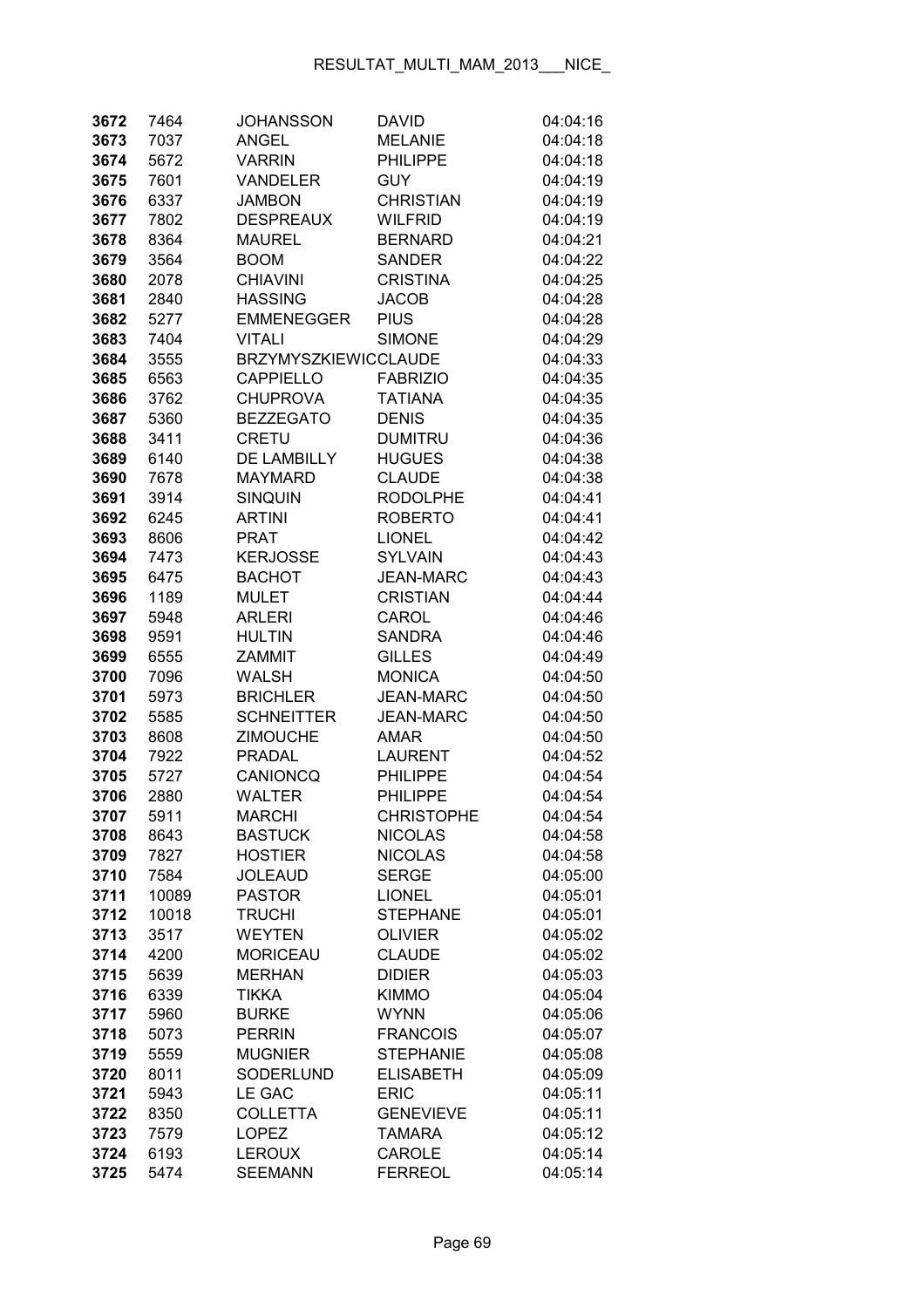| 3672         | 7464         | <b>JOHANSSON</b>            | <b>DAVID</b>                      | 04:04:16             |
|--------------|--------------|-----------------------------|-----------------------------------|----------------------|
| 3673         | 7037         | <b>ANGEL</b>                | <b>MELANIE</b>                    | 04:04:18             |
| 3674         | 5672         | <b>VARRIN</b>               | PHILIPPE                          | 04:04:18             |
| 3675         | 7601         | <b>VANDELER</b>             | GUY                               | 04:04:19             |
| 3676         | 6337         | JAMBON                      | <b>CHRISTIAN</b>                  | 04:04:19             |
| 3677         | 7802         | <b>DESPREAUX</b>            | <b>WILFRID</b>                    | 04:04:19             |
| 3678         | 8364         | <b>MAUREL</b>               | <b>BERNARD</b>                    | 04:04:21             |
| 3679         | 3564         | <b>BOOM</b>                 | <b>SANDER</b>                     | 04:04:22             |
| 3680         | 2078         | <b>CHIAVINI</b>             | <b>CRISTINA</b>                   | 04:04:25             |
| 3681         | 2840         | <b>HASSING</b>              | <b>JACOB</b>                      | 04:04:28             |
| 3682         | 5277         | <b>EMMENEGGER</b>           | <b>PIUS</b>                       | 04:04:28             |
| 3683         | 7404         | <b>VITALI</b>               | <b>SIMONE</b>                     | 04:04:29             |
| 3684         | 3555         | <b>BRZYMYSZKIEWICCLAUDE</b> |                                   | 04:04:33             |
| 3685         | 6563         | <b>CAPPIELLO</b>            | <b>FABRIZIO</b>                   | 04:04:35             |
| 3686         | 3762         | <b>CHUPROVA</b>             | <b>TATIANA</b>                    | 04:04:35             |
| 3687         | 5360         | <b>BEZZEGATO</b>            | <b>DENIS</b>                      | 04:04:35             |
| 3688         | 3411         | <b>CRETU</b>                | <b>DUMITRU</b>                    | 04:04:36             |
| 3689         | 6140         | <b>DE LAMBILLY</b>          | <b>HUGUES</b>                     | 04:04:38             |
| 3690         | 7678         | <b>MAYMARD</b>              | <b>CLAUDE</b>                     | 04:04:38             |
| 3691         | 3914         | <b>SINQUIN</b>              | <b>RODOLPHE</b>                   | 04:04:41             |
| 3692         | 6245         | <b>ARTINI</b>               | <b>ROBERTO</b>                    | 04:04:41             |
| 3693         | 8606         | PRAT                        | <b>LIONEL</b>                     | 04:04:42             |
| 3694         | 7473         | <b>KERJOSSE</b>             | <b>SYLVAIN</b>                    | 04:04:43             |
| 3695         | 6475         | <b>BACHOT</b>               | JEAN-MARC                         | 04:04:43             |
| 3696         | 1189         | <b>MULET</b>                | <b>CRISTIAN</b>                   | 04:04:44             |
| 3697         | 5948         | <b>ARLERI</b>               | CAROL                             | 04:04:46             |
| 3698         | 9591         | <b>HULTIN</b>               | <b>SANDRA</b>                     | 04:04:46             |
| 3699         | 6555         | ZAMMIT                      | <b>GILLES</b>                     | 04:04:49             |
| 3700         | 7096         | <b>WALSH</b>                | <b>MONICA</b>                     | 04:04:50             |
| 3701         | 5973         | <b>BRICHLER</b>             | <b>JEAN-MARC</b>                  | 04:04:50             |
| 3702         | 5585         | <b>SCHNEITTER</b>           | <b>JEAN-MARC</b>                  | 04:04:50             |
| 3703         | 8608         | <b>ZIMOUCHE</b>             | <b>AMAR</b>                       | 04:04:50             |
| 3704         | 7922         | PRADAL                      | <b>LAURENT</b>                    | 04:04:52             |
| 3705         | 5727         | CANIONCQ                    | <b>PHILIPPE</b>                   | 04:04:54             |
| 3706         | 2880         | <b>WALTER</b>               | <b>PHILIPPE</b>                   | 04:04:54             |
| 3707         | 5911         | MARCHI                      | <b>CHRISTOPHE</b>                 | 04:04:54             |
| 3708         | 8643         | <b>BASTUCK</b>              | <b>NICOLAS</b>                    | 04:04:58             |
| 3709         | 7827         | <b>HOSTIER</b>              | <b>NICOLAS</b>                    | 04:04:58             |
| 3710         | 7584         | <b>JOLEAUD</b>              | <b>SERGE</b>                      | 04:05:00             |
| 3711         | 10089        | <b>PASTOR</b>               | <b>LIONEL</b>                     | 04:05:01             |
| 3712         | 10018        | <b>TRUCHI</b>               | <b>STEPHANE</b>                   | 04:05:01             |
| 3713         | 3517         | <b>WEYTEN</b>               | <b>OLIVIER</b>                    | 04:05:02             |
| 3714         | 4200         | <b>MORICEAU</b>             | <b>CLAUDE</b>                     | 04:05:02             |
| 3715         | 5639         | <b>MERHAN</b>               | <b>DIDIER</b>                     | 04:05:03             |
| 3716         | 6339         | <b>TIKKA</b>                | <b>KIMMO</b>                      | 04:05:04             |
| 3717         | 5960         | <b>BURKE</b>                | <b>WYNN</b>                       | 04:05:06             |
| 3718         | 5073         | <b>PERRIN</b>               | <b>FRANCOIS</b>                   | 04:05:07             |
| 3719         | 5559         | <b>MUGNIER</b>              | <b>STEPHANIE</b>                  | 04:05:08             |
| 3720         | 8011         | SODERLUND                   | <b>ELISABETH</b>                  | 04:05:09             |
| 3721         | 5943         | LE GAC                      | <b>ERIC</b>                       | 04:05:11             |
| 3722<br>3723 | 8350<br>7579 | <b>COLLETTA</b><br>LOPEZ    | <b>GENEVIEVE</b><br><b>TAMARA</b> | 04:05:11<br>04:05:12 |
| 3724         | 6193         | <b>LEROUX</b>               | CAROLE                            | 04:05:14             |
| 3725         | 5474         | <b>SEEMANN</b>              | <b>FERREOL</b>                    | 04:05:14             |
|              |              |                             |                                   |                      |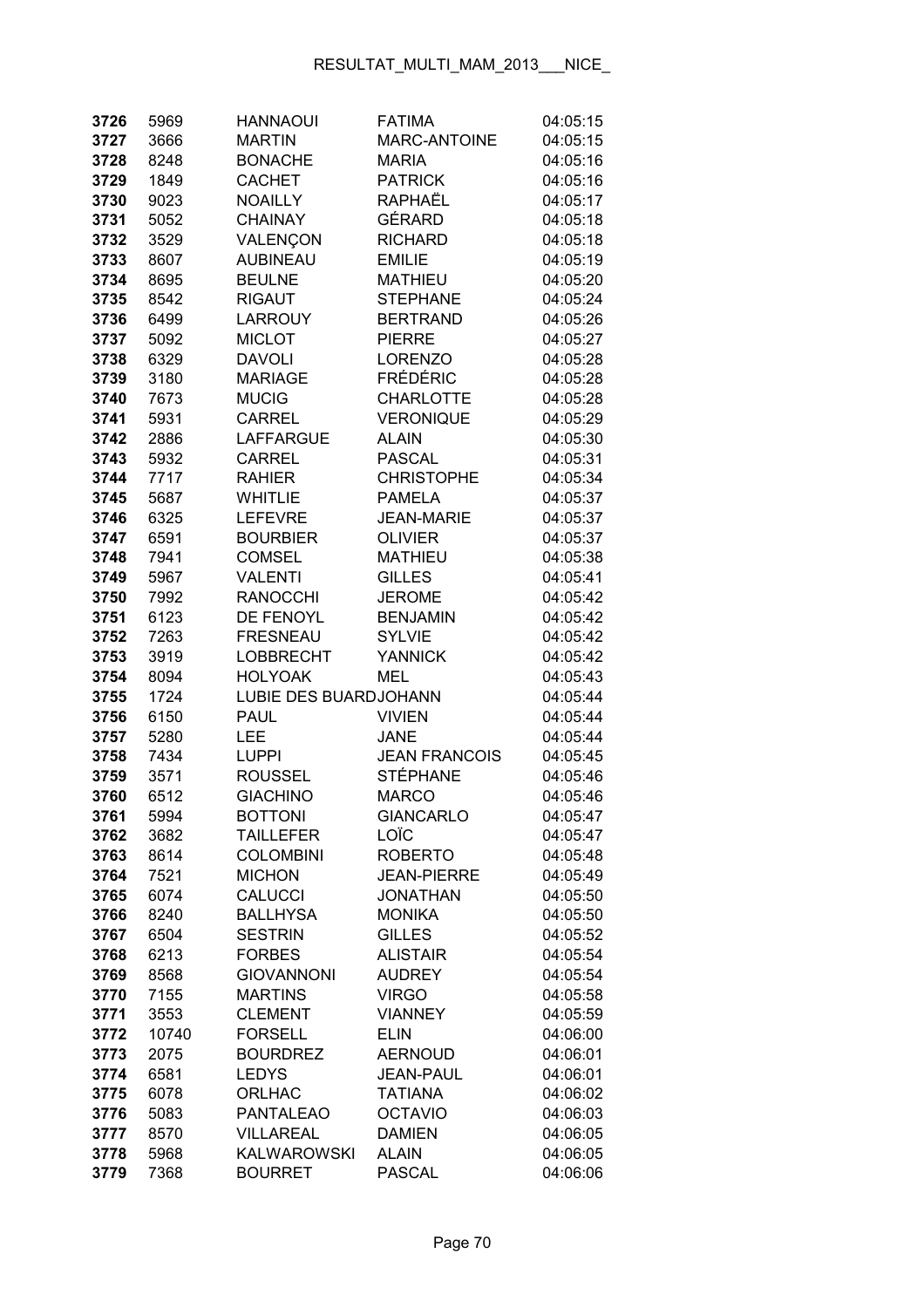| 3726         | 5969         | <b>HANNAOUI</b>                    | <b>FATIMA</b>                    | 04:05:15             |
|--------------|--------------|------------------------------------|----------------------------------|----------------------|
| 3727         | 3666         | <b>MARTIN</b>                      | <b>MARC-ANTOINE</b>              | 04:05:15             |
| 3728         | 8248         | <b>BONACHE</b>                     | <b>MARIA</b>                     | 04:05:16             |
| 3729         | 1849         | <b>CACHET</b>                      | <b>PATRICK</b>                   | 04:05:16             |
| 3730         | 9023         | <b>NOAILLY</b>                     | RAPHAËL                          | 04:05:17             |
| 3731         | 5052         | <b>CHAINAY</b>                     | GÉRARD                           | 04:05:18             |
| 3732         | 3529         | VALENÇON                           | <b>RICHARD</b>                   | 04:05:18             |
| 3733         | 8607         | <b>AUBINEAU</b>                    | <b>EMILIE</b>                    | 04:05:19             |
| 3734         | 8695         | <b>BEULNE</b>                      | <b>MATHIEU</b>                   | 04:05:20             |
| 3735         | 8542         | <b>RIGAUT</b>                      | <b>STEPHANE</b>                  | 04:05:24             |
| 3736         | 6499         | LARROUY                            | <b>BERTRAND</b>                  | 04:05:26             |
| 3737         | 5092         | <b>MICLOT</b>                      | <b>PIERRE</b>                    | 04:05:27             |
| 3738         | 6329         | <b>DAVOLI</b>                      | <b>LORENZO</b>                   | 04:05:28             |
| 3739         | 3180         | <b>MARIAGE</b>                     | <b>FRÉDÉRIC</b>                  | 04:05:28             |
| 3740         | 7673         | <b>MUCIG</b>                       | <b>CHARLOTTE</b>                 | 04:05:28             |
| 3741         | 5931         | <b>CARREL</b>                      | <b>VERONIQUE</b>                 | 04:05:29             |
| 3742         | 2886         | <b>LAFFARGUE</b>                   | <b>ALAIN</b>                     | 04:05:30             |
| 3743         | 5932         | <b>CARREL</b>                      | <b>PASCAL</b>                    | 04:05:31             |
| 3744         | 7717         | <b>RAHIER</b>                      | <b>CHRISTOPHE</b>                | 04:05:34             |
| 3745         | 5687         | <b>WHITLIE</b>                     | <b>PAMELA</b>                    | 04:05:37             |
| 3746         | 6325         | <b>LEFEVRE</b>                     | <b>JEAN-MARIE</b>                | 04:05:37             |
| 3747         | 6591         | <b>BOURBIER</b>                    | <b>OLIVIER</b>                   | 04:05:37             |
| 3748         | 7941         | <b>COMSEL</b>                      | <b>MATHIEU</b>                   | 04:05:38             |
| 3749         | 5967         | <b>VALENTI</b>                     | <b>GILLES</b>                    | 04:05:41             |
| 3750         | 7992         | <b>RANOCCHI</b>                    | <b>JEROME</b>                    | 04:05:42             |
| 3751         | 6123         | DE FENOYL                          | <b>BENJAMIN</b>                  | 04:05:42             |
| 3752         | 7263         | <b>FRESNEAU</b>                    | <b>SYLVIE</b>                    | 04:05:42             |
| 3753         | 3919         | <b>LOBBRECHT</b>                   | <b>YANNICK</b>                   | 04:05:42             |
| 3754         | 8094         | <b>HOLYOAK</b>                     | MEL                              | 04:05:43             |
| 3755         | 1724         | LUBIE DES BUARDJOHANN              |                                  | 04:05:44             |
| 3756         | 6150         | <b>PAUL</b>                        | <b>VIVIEN</b>                    | 04:05:44             |
| 3757         | 5280         | LEE                                | <b>JANE</b>                      | 04:05:44             |
| 3758         | 7434         | <b>LUPPI</b>                       | <b>JEAN FRANCOIS</b>             | 04:05:45             |
| 3759         | 3571         | <b>ROUSSEL</b>                     | STÉPHANE                         | 04:05:46             |
| 3760         | 6512         | <b>GIACHINO</b>                    | <b>MARCO</b>                     | 04:05:46             |
| 3761         | 5994         | <b>BOTTONI</b>                     | <b>GIANCARLO</b>                 | 04:05:47             |
| 3762         | 3682         | <b>TAILLEFER</b>                   | LOÏC                             | 04:05:47             |
| 3763         | 8614         | <b>COLOMBINI</b>                   | <b>ROBERTO</b>                   | 04:05:48             |
| 3764         | 7521         | <b>MICHON</b>                      | <b>JEAN-PIERRE</b>               | 04:05:49             |
| 3765         | 6074         | <b>CALUCCI</b>                     | <b>JONATHAN</b>                  | 04:05:50             |
| 3766         | 8240         | <b>BALLHYSA</b>                    | <b>MONIKA</b>                    | 04:05:50             |
| 3767         | 6504         | <b>SESTRIN</b>                     | <b>GILLES</b><br><b>ALISTAIR</b> | 04:05:52             |
| 3768<br>3769 | 6213<br>8568 | <b>FORBES</b><br><b>GIOVANNONI</b> | <b>AUDREY</b>                    | 04:05:54<br>04:05:54 |
| 3770         | 7155         | <b>MARTINS</b>                     | <b>VIRGO</b>                     | 04:05:58             |
| 3771         | 3553         | <b>CLEMENT</b>                     | <b>VIANNEY</b>                   | 04:05:59             |
| 3772         | 10740        | <b>FORSELL</b>                     | <b>ELIN</b>                      | 04:06:00             |
| 3773         | 2075         | <b>BOURDREZ</b>                    | <b>AERNOUD</b>                   | 04:06:01             |
| 3774         | 6581         | <b>LEDYS</b>                       | <b>JEAN-PAUL</b>                 | 04:06:01             |
| 3775         | 6078         | <b>ORLHAC</b>                      | <b>TATIANA</b>                   | 04:06:02             |
| 3776         | 5083         | <b>PANTALEAO</b>                   | <b>OCTAVIO</b>                   | 04:06:03             |
| 3777         | 8570         | <b>VILLAREAL</b>                   | <b>DAMIEN</b>                    | 04:06:05             |
| 3778         | 5968         | <b>KALWAROWSKI</b>                 | <b>ALAIN</b>                     | 04:06:05             |
| 3779         | 7368         | <b>BOURRET</b>                     | <b>PASCAL</b>                    | 04:06:06             |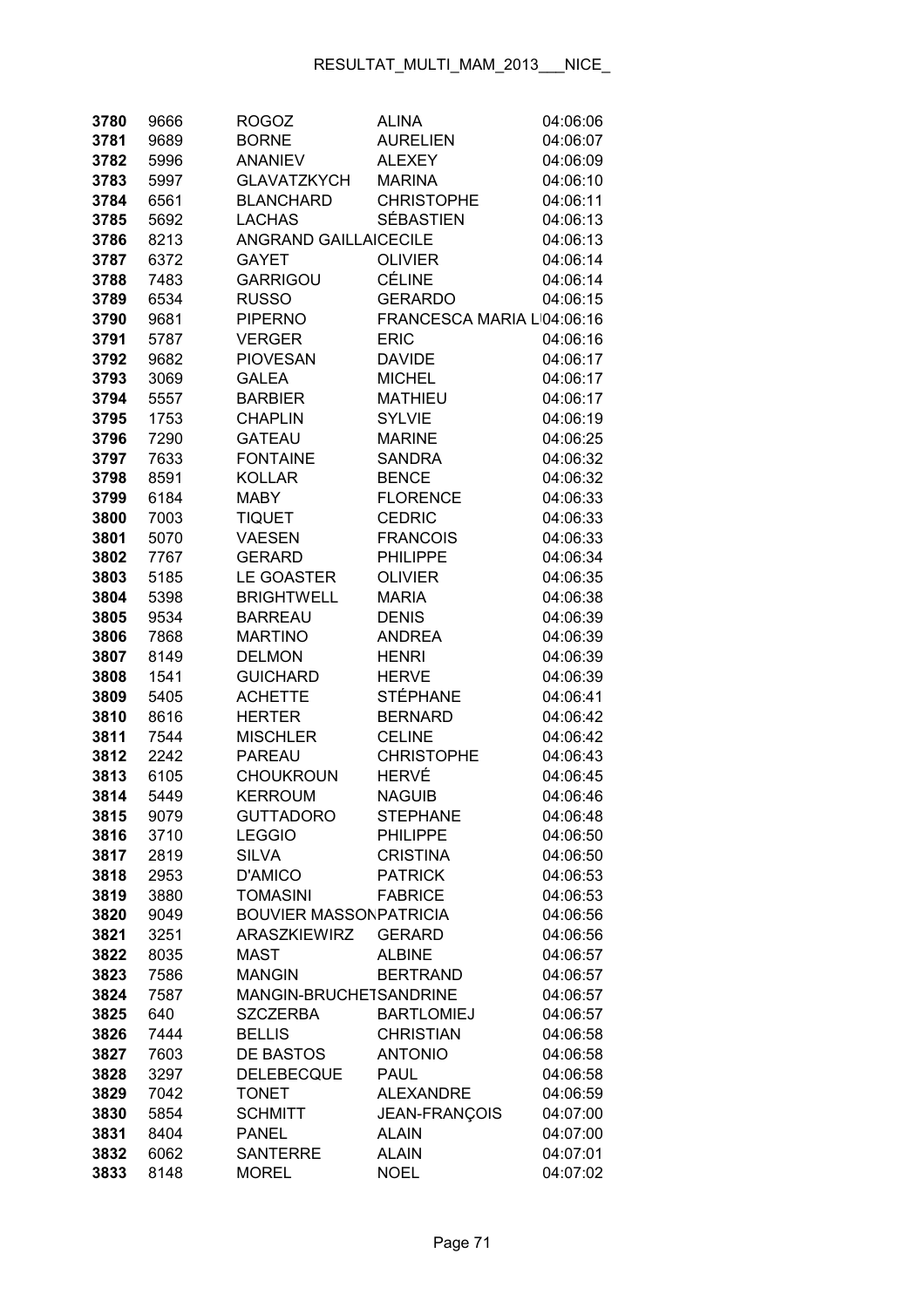| 3780         | 9666         | <b>ROGOZ</b>                      | <b>ALINA</b>                     | 04:06:06             |
|--------------|--------------|-----------------------------------|----------------------------------|----------------------|
| 3781         | 9689         | <b>BORNE</b>                      | <b>AURELIEN</b>                  | 04:06:07             |
| 3782         | 5996         | <b>ANANIEV</b>                    | <b>ALEXEY</b>                    | 04:06:09             |
| 3783         | 5997         | <b>GLAVATZKYCH</b>                | <b>MARINA</b>                    | 04:06:10             |
| 3784         | 6561         | <b>BLANCHARD</b>                  | <b>CHRISTOPHE</b>                | 04:06:11             |
| 3785         | 5692         | <b>LACHAS</b>                     | <b>SÉBASTIEN</b>                 | 04:06:13             |
| 3786         | 8213         | <b>ANGRAND GAILLAICECILE</b>      |                                  | 04:06:13             |
| 3787         | 6372         | <b>GAYET</b>                      | <b>OLIVIER</b>                   | 04:06:14             |
| 3788         | 7483         | <b>GARRIGOU</b>                   | <b>CÉLINE</b>                    | 04:06:14             |
| 3789         | 6534         | <b>RUSSO</b>                      | <b>GERARDO</b>                   | 04:06:15             |
| 3790         | 9681         | <b>PIPERNO</b>                    | FRANCESCA MARIA L'04:06:16       |                      |
| 3791         | 5787         | <b>VERGER</b>                     | <b>ERIC</b>                      | 04:06:16             |
| 3792         | 9682         | <b>PIOVESAN</b>                   | <b>DAVIDE</b>                    | 04:06:17             |
| 3793         | 3069         | <b>GALEA</b>                      | <b>MICHEL</b>                    | 04:06:17             |
| 3794         | 5557         | <b>BARBIER</b>                    | <b>MATHIEU</b>                   | 04:06:17             |
| 3795         | 1753         | <b>CHAPLIN</b>                    | <b>SYLVIE</b>                    | 04:06:19             |
| 3796         | 7290         | <b>GATEAU</b>                     | <b>MARINE</b>                    | 04:06:25             |
| 3797         | 7633         | <b>FONTAINE</b>                   | <b>SANDRA</b>                    | 04:06:32             |
| 3798         | 8591         | <b>KOLLAR</b>                     | <b>BENCE</b>                     | 04:06:32             |
| 3799         | 6184         | <b>MABY</b>                       | <b>FLORENCE</b>                  | 04:06:33             |
| 3800         | 7003         | <b>TIQUET</b>                     | <b>CEDRIC</b>                    | 04:06:33             |
| 3801         | 5070         | <b>VAESEN</b>                     | <b>FRANCOIS</b>                  | 04:06:33             |
| 3802         | 7767         | <b>GERARD</b>                     | <b>PHILIPPE</b>                  | 04:06:34             |
| 3803         | 5185         | LE GOASTER                        | <b>OLIVIER</b>                   | 04:06:35             |
| 3804         | 5398         | <b>BRIGHTWELL</b>                 | <b>MARIA</b>                     | 04:06:38             |
| 3805         | 9534         | <b>BARREAU</b>                    | <b>DENIS</b>                     | 04:06:39             |
| 3806         | 7868         | <b>MARTINO</b>                    | <b>ANDREA</b>                    | 04:06:39             |
| 3807         | 8149         | <b>DELMON</b>                     | <b>HENRI</b>                     | 04:06:39             |
| 3808         | 1541         | <b>GUICHARD</b>                   | <b>HERVE</b>                     | 04:06:39             |
| 3809         | 5405         | <b>ACHETTE</b>                    | <b>STÉPHANE</b>                  | 04:06:41             |
| 3810         | 8616         | <b>HERTER</b>                     | <b>BERNARD</b>                   | 04:06:42             |
| 3811         | 7544         | <b>MISCHLER</b>                   | <b>CELINE</b>                    | 04:06:42             |
| 3812         | 2242         | PAREAU                            | <b>CHRISTOPHE</b>                | 04:06:43             |
| 3813         | 6105         | <b>CHOUKROUN</b>                  | <b>HERVÉ</b>                     | 04:06:45             |
| 3814         | 5449         | <b>KERROUM</b>                    | <b>NAGUIB</b>                    | 04:06:46             |
| 3815         | 9079         | GUTTADORO                         | <b>STEPHANE</b>                  | 04:06:48             |
| 3816         | 3710         | <b>LEGGIO</b>                     | <b>PHILIPPE</b>                  | 04:06:50             |
| 3817         | 2819         | <b>SILVA</b>                      | <b>CRISTINA</b>                  | 04:06:50             |
| 3818         | 2953         | <b>D'AMICO</b><br><b>TOMASINI</b> | <b>PATRICK</b><br><b>FABRICE</b> | 04:06:53             |
| 3819         | 3880         | <b>BOUVIER MASSONPATRICIA</b>     |                                  | 04:06:53<br>04:06:56 |
| 3820         | 9049         | <b>ARASZKIEWIRZ</b>               | <b>GERARD</b>                    | 04:06:56             |
| 3821<br>3822 | 3251<br>8035 | <b>MAST</b>                       | <b>ALBINE</b>                    | 04:06:57             |
| 3823         | 7586         | <b>MANGIN</b>                     | <b>BERTRAND</b>                  | 04:06:57             |
| 3824         | 7587         | MANGIN-BRUCHETSANDRINE            |                                  | 04:06:57             |
| 3825         | 640          | <b>SZCZERBA</b>                   | <b>BARTLOMIEJ</b>                | 04:06:57             |
| 3826         | 7444         | <b>BELLIS</b>                     | <b>CHRISTIAN</b>                 | 04:06:58             |
| 3827         | 7603         | DE BASTOS                         | <b>ANTONIO</b>                   | 04:06:58             |
| 3828         | 3297         | <b>DELEBECQUE</b>                 | <b>PAUL</b>                      | 04:06:58             |
| 3829         | 7042         | <b>TONET</b>                      | <b>ALEXANDRE</b>                 | 04:06:59             |
| 3830         | 5854         | <b>SCHMITT</b>                    | <b>JEAN-FRANÇOIS</b>             | 04:07:00             |
| 3831         | 8404         | <b>PANEL</b>                      | <b>ALAIN</b>                     | 04:07:00             |
| 3832         | 6062         | <b>SANTERRE</b>                   | <b>ALAIN</b>                     | 04:07:01             |
| 3833         | 8148         | <b>MOREL</b>                      | <b>NOEL</b>                      | 04:07:02             |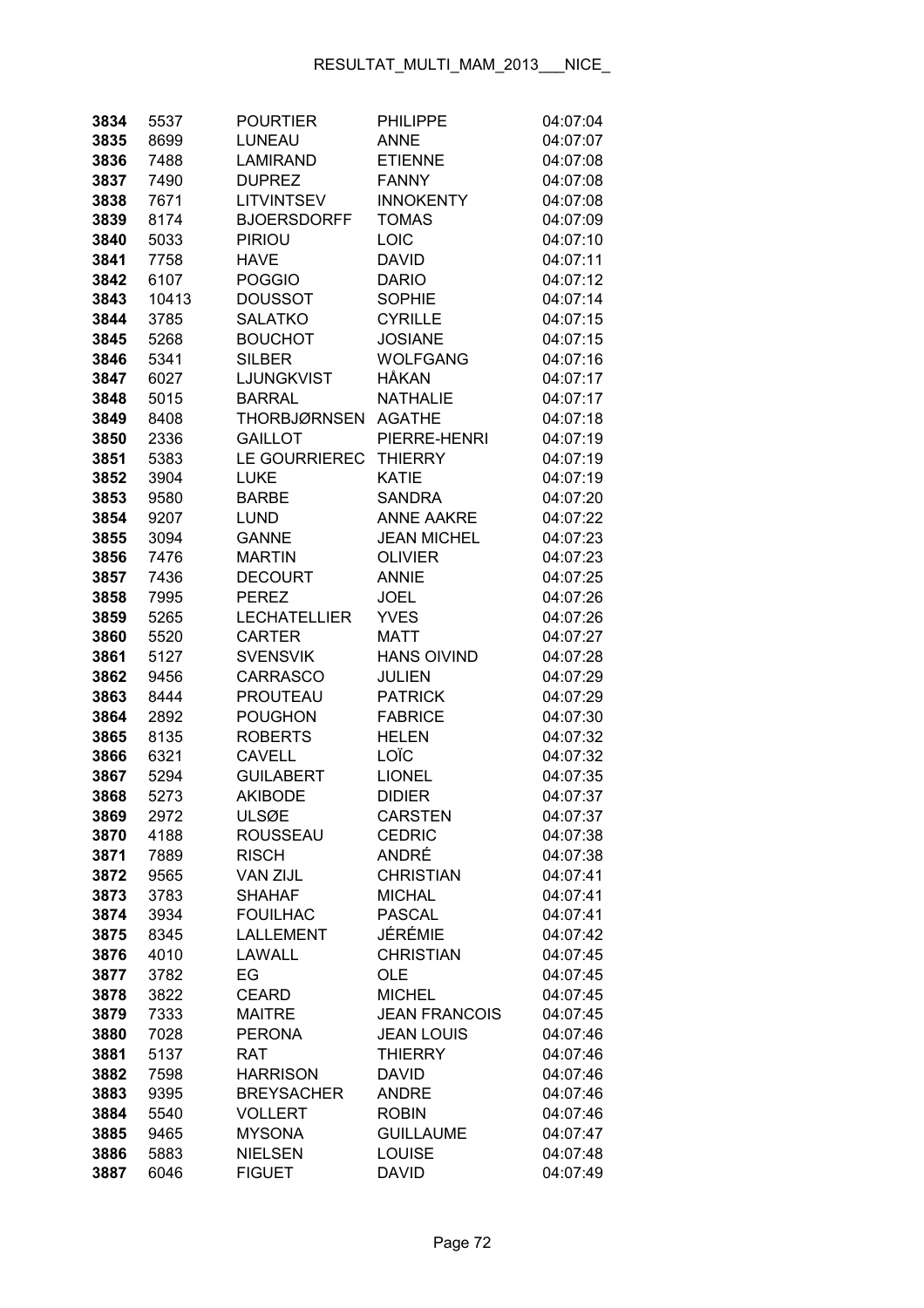| 3834         | 5537         | <b>POURTIER</b>                     | <b>PHILIPPE</b>          | 04:07:04             |
|--------------|--------------|-------------------------------------|--------------------------|----------------------|
| 3835         | 8699         | LUNEAU                              | <b>ANNE</b>              | 04:07:07             |
| 3836         | 7488         | <b>LAMIRAND</b>                     | <b>ETIENNE</b>           | 04:07:08             |
| 3837         | 7490         | <b>DUPREZ</b>                       | <b>FANNY</b>             | 04:07:08             |
| 3838         | 7671         | <b>LITVINTSEV</b>                   | <b>INNOKENTY</b>         | 04:07:08             |
| 3839         | 8174         | <b>BJOERSDORFF</b>                  | <b>TOMAS</b>             | 04:07:09             |
| 3840         | 5033         | <b>PIRIOU</b>                       | LOIC                     | 04:07:10             |
| 3841         | 7758         | <b>HAVE</b>                         | <b>DAVID</b>             | 04:07:11             |
| 3842         | 6107         | <b>POGGIO</b>                       | <b>DARIO</b>             | 04:07:12             |
| 3843         | 10413        | <b>DOUSSOT</b>                      | <b>SOPHIE</b>            | 04:07:14             |
| 3844         | 3785         | <b>SALATKO</b>                      | <b>CYRILLE</b>           | 04:07:15             |
| 3845         | 5268         | <b>BOUCHOT</b>                      | <b>JOSIANE</b>           | 04:07:15             |
| 3846         | 5341         | <b>SILBER</b>                       | <b>WOLFGANG</b>          | 04:07:16             |
| 3847         | 6027         | LJUNGKVIST                          | HÅKAN                    | 04:07:17             |
| 3848         | 5015         | <b>BARRAL</b>                       | <b>NATHALIE</b>          | 04:07:17             |
| 3849         | 8408         | <b>THORBJØRNSEN</b>                 | <b>AGATHE</b>            | 04:07:18             |
| 3850         | 2336         | <b>GAILLOT</b>                      | PIERRE-HENRI             | 04:07:19             |
| 3851         | 5383         | <b>LE GOURRIEREC</b>                | <b>THIERRY</b>           | 04:07:19             |
| 3852         | 3904         | <b>LUKE</b>                         | <b>KATIE</b>             | 04:07:19             |
| 3853         | 9580         | <b>BARBE</b>                        | <b>SANDRA</b>            | 04:07:20             |
| 3854         | 9207         | <b>LUND</b>                         | <b>ANNE AAKRE</b>        | 04:07:22             |
| 3855         | 3094         | <b>GANNE</b>                        | <b>JEAN MICHEL</b>       | 04:07:23             |
| 3856         | 7476         | <b>MARTIN</b>                       | <b>OLIVIER</b>           | 04:07:23             |
| 3857         | 7436         | <b>DECOURT</b>                      | <b>ANNIE</b>             | 04:07:25             |
| 3858         | 7995         | <b>PEREZ</b>                        | <b>JOEL</b>              | 04:07:26             |
| 3859         | 5265         | <b>LECHATELLIER</b>                 | <b>YVES</b>              | 04:07:26             |
| 3860         | 5520         | <b>CARTER</b>                       | <b>MATT</b>              | 04:07:27             |
| 3861         | 5127         | <b>SVENSVIK</b>                     | <b>HANS OIVIND</b>       | 04:07:28             |
| 3862         | 9456         | <b>CARRASCO</b>                     | <b>JULIEN</b>            | 04:07:29             |
| 3863         | 8444         | <b>PROUTEAU</b>                     | <b>PATRICK</b>           | 04:07:29             |
| 3864         | 2892         | <b>POUGHON</b>                      | <b>FABRICE</b>           | 04:07:30             |
| 3865         | 8135         | <b>ROBERTS</b>                      | <b>HELEN</b>             | 04:07:32             |
| 3866         | 6321         | <b>CAVELL</b>                       | LOÏC                     | 04:07:32             |
| 3867         | 5294         | <b>GUILABERT</b>                    | <b>LIONEL</b>            | 04:07:35             |
| 3868         | 5273         | <b>AKIBODE</b>                      | <b>DIDIER</b>            | 04:07:37             |
| 3869         | 2972         | <b>ULSØE</b>                        | CARSTEN                  | 04:07:37             |
| 3870         | 4188         | <b>ROUSSEAU</b>                     | <b>CEDRIC</b>            | 04:07:38             |
| 3871         | 7889         | <b>RISCH</b>                        | ANDRÉ                    | 04:07:38             |
| 3872         | 9565         | <b>VAN ZIJL</b>                     | <b>CHRISTIAN</b>         | 04:07:41             |
| 3873         | 3783         | <b>SHAHAF</b>                       | <b>MICHAL</b>            | 04:07:41             |
| 3874         | 3934         | <b>FOUILHAC</b><br><b>LALLEMENT</b> | <b>PASCAL</b><br>JÉRÉMIE | 04:07:41             |
| 3875         | 8345         | LAWALL                              | <b>CHRISTIAN</b>         | 04:07:42<br>04:07:45 |
| 3876<br>3877 | 4010<br>3782 | EG                                  | <b>OLE</b>               | 04:07:45             |
| 3878         | 3822         | <b>CEARD</b>                        | <b>MICHEL</b>            | 04:07:45             |
| 3879         | 7333         | <b>MAITRE</b>                       | <b>JEAN FRANCOIS</b>     | 04:07:45             |
| 3880         | 7028         | <b>PERONA</b>                       | <b>JEAN LOUIS</b>        | 04:07:46             |
| 3881         | 5137         | <b>RAT</b>                          | <b>THIERRY</b>           | 04:07:46             |
| 3882         | 7598         | <b>HARRISON</b>                     | <b>DAVID</b>             | 04:07:46             |
| 3883         | 9395         | <b>BREYSACHER</b>                   | <b>ANDRE</b>             | 04:07:46             |
| 3884         | 5540         | <b>VOLLERT</b>                      | <b>ROBIN</b>             | 04:07:46             |
| 3885         | 9465         | <b>MYSONA</b>                       | <b>GUILLAUME</b>         | 04:07:47             |
| 3886         | 5883         | <b>NIELSEN</b>                      | <b>LOUISE</b>            | 04:07:48             |
| 3887         | 6046         | <b>FIGUET</b>                       | <b>DAVID</b>             | 04:07:49             |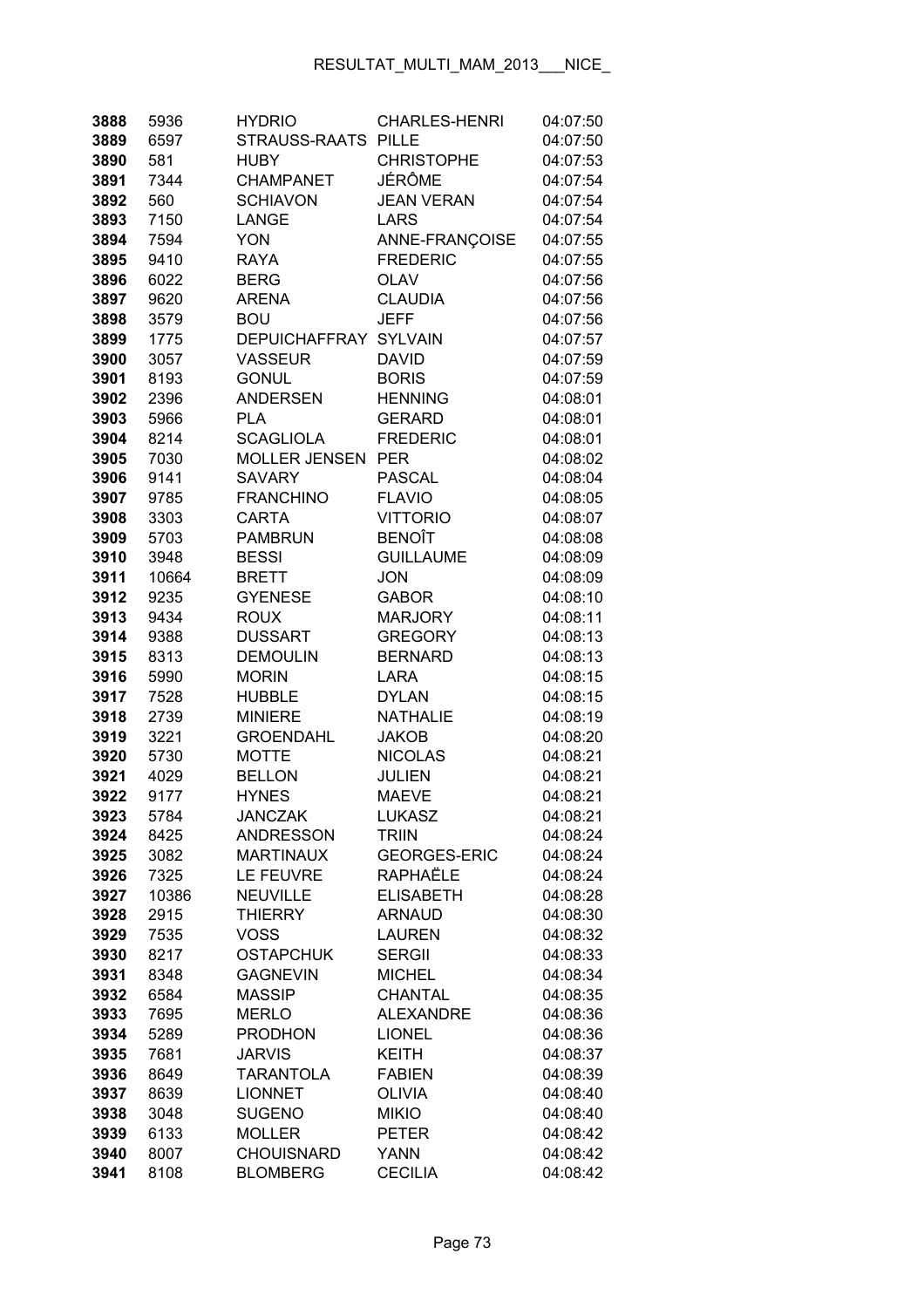| 3888         | 5936         | <b>HYDRIO</b>                   | <b>CHARLES-HENRI</b>          | 04:07:50             |
|--------------|--------------|---------------------------------|-------------------------------|----------------------|
| 3889         | 6597         | STRAUSS-RAATS                   | <b>PILLE</b>                  | 04:07:50             |
| 3890         | 581          | <b>HUBY</b>                     | <b>CHRISTOPHE</b>             | 04:07:53             |
| 3891         | 7344         | <b>CHAMPANET</b>                | JÉRÔME                        | 04:07:54             |
| 3892         | 560          | <b>SCHIAVON</b>                 | <b>JEAN VERAN</b>             | 04:07:54             |
| 3893         | 7150         | LANGE                           | <b>LARS</b>                   | 04:07:54             |
| 3894         | 7594         | <b>YON</b>                      | ANNE-FRANÇOISE                | 04:07:55             |
| 3895         | 9410         | <b>RAYA</b>                     | <b>FREDERIC</b>               | 04:07:55             |
| 3896         | 6022         | <b>BERG</b>                     | <b>OLAV</b>                   | 04:07:56             |
| 3897         | 9620         | <b>ARENA</b>                    | <b>CLAUDIA</b>                | 04:07:56             |
| 3898         | 3579         | <b>BOU</b>                      | <b>JEFF</b>                   | 04:07:56             |
| 3899         | 1775         | <b>DEPUICHAFFRAY</b>            | <b>SYLVAIN</b>                | 04:07:57             |
| 3900         | 3057         | <b>VASSEUR</b>                  | <b>DAVID</b>                  | 04:07:59             |
| 3901         | 8193         | <b>GONUL</b>                    | <b>BORIS</b>                  | 04:07:59             |
| 3902         | 2396         | <b>ANDERSEN</b>                 | <b>HENNING</b>                | 04:08:01             |
| 3903         | 5966         | <b>PLA</b>                      | <b>GERARD</b>                 | 04:08:01             |
| 3904         | 8214         | <b>SCAGLIOLA</b>                | <b>FREDERIC</b>               | 04:08:01             |
| 3905         | 7030         | <b>MOLLER JENSEN</b>            | <b>PER</b>                    | 04:08:02             |
| 3906         | 9141         | <b>SAVARY</b>                   | <b>PASCAL</b>                 | 04:08:04             |
| 3907         | 9785         | <b>FRANCHINO</b>                | <b>FLAVIO</b>                 | 04:08:05             |
| 3908         | 3303         | <b>CARTA</b>                    | <b>VITTORIO</b>               | 04:08:07             |
| 3909         | 5703         | <b>PAMBRUN</b>                  | <b>BENOÎT</b>                 | 04:08:08             |
| 3910         | 3948         | <b>BESSI</b>                    | <b>GUILLAUME</b>              | 04:08:09             |
| 3911         | 10664        | <b>BRETT</b>                    | <b>JON</b>                    | 04:08:09             |
| 3912         | 9235         | <b>GYENESE</b>                  | <b>GABOR</b>                  | 04:08:10             |
| 3913         | 9434         | <b>ROUX</b>                     | <b>MARJORY</b>                | 04:08:11             |
| 3914         | 9388         | <b>DUSSART</b>                  | <b>GREGORY</b>                | 04:08:13             |
| 3915         | 8313         | <b>DEMOULIN</b>                 | <b>BERNARD</b>                | 04:08:13             |
| 3916         | 5990         | <b>MORIN</b>                    | <b>LARA</b>                   | 04:08:15             |
| 3917         | 7528         | <b>HUBBLE</b>                   | <b>DYLAN</b>                  | 04:08:15             |
| 3918         | 2739         | <b>MINIERE</b>                  | <b>NATHALIE</b>               | 04:08:19             |
| 3919         | 3221         | <b>GROENDAHL</b>                | <b>JAKOB</b>                  | 04:08:20             |
| 3920         | 5730         | <b>MOTTE</b>                    | <b>NICOLAS</b>                | 04:08:21             |
| 3921         | 4029         | <b>BELLON</b>                   | <b>JULIEN</b>                 | 04:08:21             |
| 3922         | 9177         | <b>HYNES</b>                    | <b>MAEVE</b>                  | 04:08:21             |
| 3923         | 5784         | <b>JANCZAK</b>                  | <b>LUKASZ</b>                 | 04:08:21             |
| 3924         | 8425         | <b>ANDRESSON</b>                | <b>TRIIN</b>                  | 04:08:24             |
| 3925         | 3082         | <b>MARTINAUX</b>                | <b>GEORGES-ERIC</b>           | 04:08:24             |
| 3926         | 7325         | LE FEUVRE                       | RAPHAËLE                      | 04:08:24             |
| 3927         | 10386        | <b>NEUVILLE</b>                 | <b>ELISABETH</b>              | 04:08:28             |
| 3928         | 2915         | <b>THIERRY</b>                  | <b>ARNAUD</b>                 | 04:08:30             |
| 3929         | 7535         | <b>VOSS</b>                     | <b>LAUREN</b>                 | 04:08:32             |
| 3930         | 8217         | <b>OSTAPCHUK</b>                | <b>SERGII</b>                 | 04:08:33             |
| 3931         | 8348         | <b>GAGNEVIN</b>                 | <b>MICHEL</b>                 | 04:08:34             |
| 3932         | 6584         | <b>MASSIP</b>                   | CHANTAL                       | 04:08:35             |
| 3933         | 7695         | <b>MERLO</b>                    | <b>ALEXANDRE</b>              | 04:08:36             |
| 3934         | 5289         | <b>PRODHON</b><br><b>JARVIS</b> | <b>LIONEL</b>                 | 04:08:36             |
| 3935<br>3936 | 7681<br>8649 | <b>TARANTOLA</b>                | <b>KEITH</b><br><b>FABIEN</b> | 04:08:37<br>04:08:39 |
| 3937         | 8639         | <b>LIONNET</b>                  | <b>OLIVIA</b>                 | 04:08:40             |
| 3938         | 3048         | <b>SUGENO</b>                   | <b>MIKIO</b>                  | 04:08:40             |
| 3939         | 6133         | <b>MOLLER</b>                   | <b>PETER</b>                  | 04:08:42             |
| 3940         | 8007         | <b>CHOUISNARD</b>               | <b>YANN</b>                   | 04:08:42             |
| 3941         | 8108         | <b>BLOMBERG</b>                 | <b>CECILIA</b>                | 04:08:42             |
|              |              |                                 |                               |                      |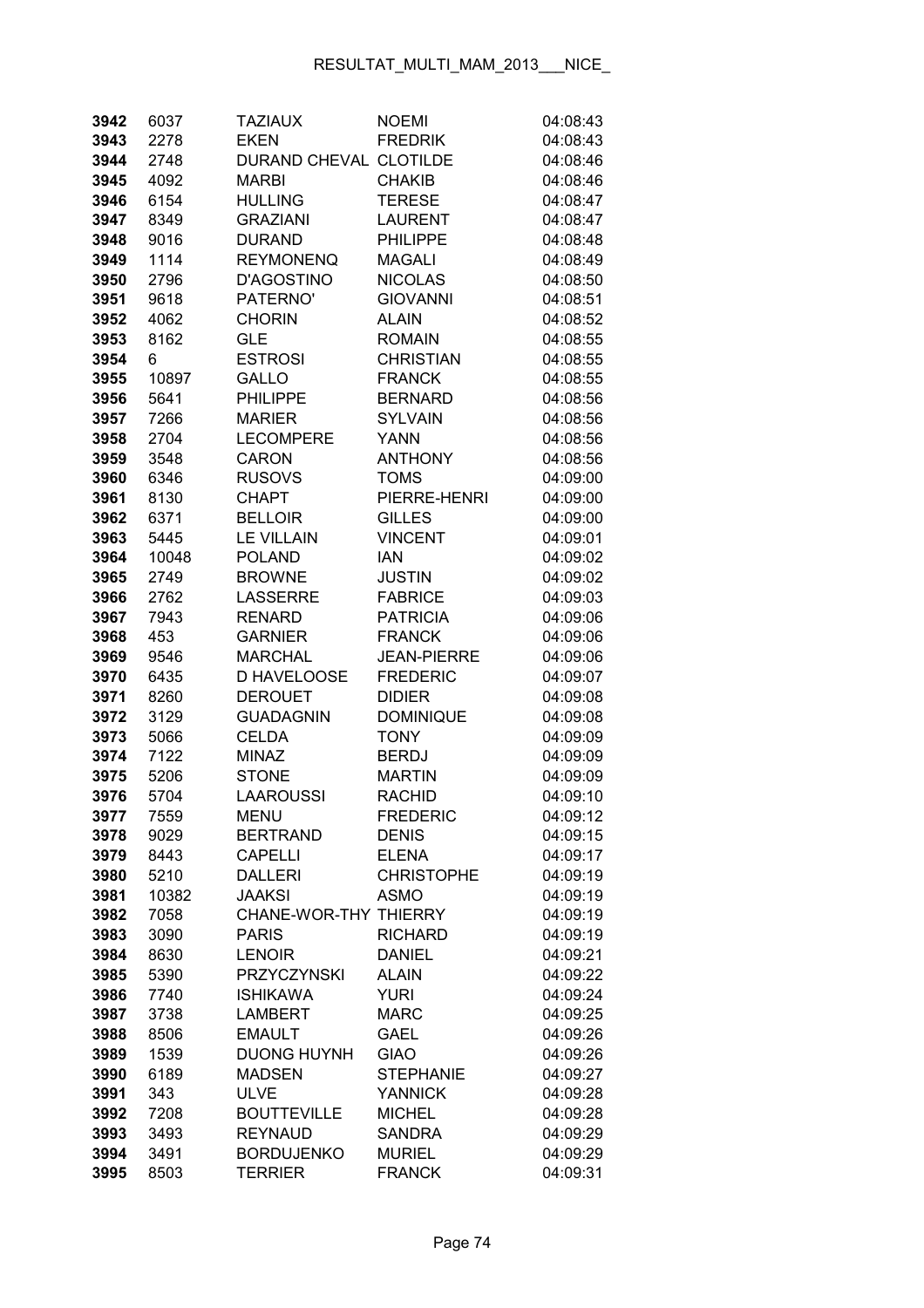| 3942         | 6037         | <b>TAZIAUX</b>                      | <b>NOEMI</b>                    | 04:08:43             |
|--------------|--------------|-------------------------------------|---------------------------------|----------------------|
| 3943         | 2278         | <b>EKEN</b>                         | <b>FREDRIK</b>                  | 04:08:43             |
| 3944         | 2748         | DURAND CHEVAL CLOTILDE              |                                 | 04:08:46             |
| 3945         | 4092         | <b>MARBI</b>                        | <b>CHAKIB</b>                   | 04:08:46             |
| 3946         | 6154         | <b>HULLING</b>                      | <b>TERESE</b>                   | 04:08:47             |
| 3947         | 8349         | <b>GRAZIANI</b>                     | <b>LAURENT</b>                  | 04:08:47             |
| 3948         | 9016         | <b>DURAND</b>                       | <b>PHILIPPE</b>                 | 04:08:48             |
| 3949         | 1114         | <b>REYMONENQ</b>                    | <b>MAGALI</b>                   | 04:08:49             |
| 3950         | 2796         | <b>D'AGOSTINO</b>                   | <b>NICOLAS</b>                  | 04:08:50             |
| 3951         | 9618         | PATERNO'                            | <b>GIOVANNI</b>                 | 04:08:51             |
| 3952         | 4062         | <b>CHORIN</b>                       | <b>ALAIN</b>                    | 04:08:52             |
| 3953         | 8162         | <b>GLE</b>                          | <b>ROMAIN</b>                   | 04:08:55             |
| 3954         | 6            | <b>ESTROSI</b>                      | <b>CHRISTIAN</b>                | 04:08:55             |
| 3955         | 10897        | <b>GALLO</b>                        | <b>FRANCK</b>                   | 04:08:55             |
| 3956         | 5641         | <b>PHILIPPE</b>                     | <b>BERNARD</b>                  | 04:08:56             |
| 3957         | 7266         | <b>MARIER</b>                       | <b>SYLVAIN</b>                  | 04:08:56             |
| 3958         | 2704         | <b>LECOMPERE</b>                    | YANN                            | 04:08:56             |
| 3959         | 3548         | <b>CARON</b>                        | <b>ANTHONY</b>                  | 04:08:56             |
| 3960         | 6346         | <b>RUSOVS</b>                       | <b>TOMS</b>                     | 04:09:00             |
| 3961         | 8130         | <b>CHAPT</b>                        | PIERRE-HENRI                    | 04:09:00             |
| 3962         | 6371         | <b>BELLOIR</b>                      | <b>GILLES</b>                   | 04:09:00             |
| 3963         | 5445         | <b>LE VILLAIN</b>                   | <b>VINCENT</b>                  | 04:09:01             |
| 3964         | 10048        | <b>POLAND</b>                       | <b>IAN</b>                      | 04:09:02             |
| 3965         | 2749         | <b>BROWNE</b>                       | <b>JUSTIN</b>                   | 04:09:02             |
| 3966         | 2762         | <b>LASSERRE</b>                     | <b>FABRICE</b>                  | 04:09:03             |
| 3967         | 7943         | <b>RENARD</b>                       | <b>PATRICIA</b>                 | 04:09:06             |
| 3968         | 453          | <b>GARNIER</b>                      | <b>FRANCK</b>                   | 04:09:06             |
| 3969         | 9546         | <b>MARCHAL</b>                      | <b>JEAN-PIERRE</b>              | 04:09:06             |
| 3970         | 6435         | D HAVELOOSE                         | <b>FREDERIC</b>                 | 04:09:07             |
| 3971         | 8260         | <b>DEROUET</b>                      | <b>DIDIER</b>                   | 04:09:08             |
| 3972         | 3129         | <b>GUADAGNIN</b>                    | <b>DOMINIQUE</b>                | 04:09:08             |
| 3973         | 5066         | CELDA                               | <b>TONY</b>                     | 04:09:09             |
| 3974         | 7122         | <b>MINAZ</b>                        | <b>BERDJ</b>                    | 04:09:09             |
| 3975         | 5206         | <b>STONE</b>                        | <b>MARTIN</b>                   | 04:09:09             |
| 3976         | 5704         | <b>LAAROUSSI</b>                    | <b>RACHID</b>                   | 04:09:10             |
| 3977         | 7559         | <b>MENU</b>                         | <b>FREDERIC</b>                 | 04:09:12             |
| 3978         | 9029         | <b>BERTRAND</b>                     | <b>DENIS</b>                    | 04:09:15             |
| 3979         | 8443         | <b>CAPELLI</b>                      | <b>ELENA</b>                    | 04:09:17             |
| 3980         | 5210         | <b>DALLERI</b>                      | <b>CHRISTOPHE</b>               | 04:09:19             |
| 3981         | 10382        | JAAKSI                              | <b>ASMO</b>                     | 04:09:19             |
| 3982         | 7058         | CHANE-WOR-THY THIERRY               |                                 | 04:09:19             |
| 3983         | 3090         | PARIS                               | <b>RICHARD</b><br><b>DANIEL</b> | 04:09:19<br>04:09:21 |
| 3984<br>3985 | 8630<br>5390 | <b>LENOIR</b><br><b>PRZYCZYNSKI</b> | <b>ALAIN</b>                    | 04:09:22             |
| 3986         | 7740         | <b>ISHIKAWA</b>                     | <b>YURI</b>                     | 04:09:24             |
| 3987         | 3738         | <b>LAMBERT</b>                      | <b>MARC</b>                     | 04:09:25             |
| 3988         | 8506         | <b>EMAULT</b>                       | <b>GAEL</b>                     | 04:09:26             |
| 3989         | 1539         | <b>DUONG HUYNH</b>                  | <b>GIAO</b>                     | 04:09:26             |
| 3990         | 6189         | <b>MADSEN</b>                       | <b>STEPHANIE</b>                | 04:09:27             |
| 3991         | 343          | <b>ULVE</b>                         | <b>YANNICK</b>                  | 04:09:28             |
| 3992         | 7208         | <b>BOUTTEVILLE</b>                  | <b>MICHEL</b>                   | 04:09:28             |
| 3993         | 3493         | <b>REYNAUD</b>                      | <b>SANDRA</b>                   | 04:09:29             |
| 3994         | 3491         | <b>BORDUJENKO</b>                   | <b>MURIEL</b>                   | 04:09:29             |
| 3995         | 8503         | <b>TERRIER</b>                      | <b>FRANCK</b>                   | 04:09:31             |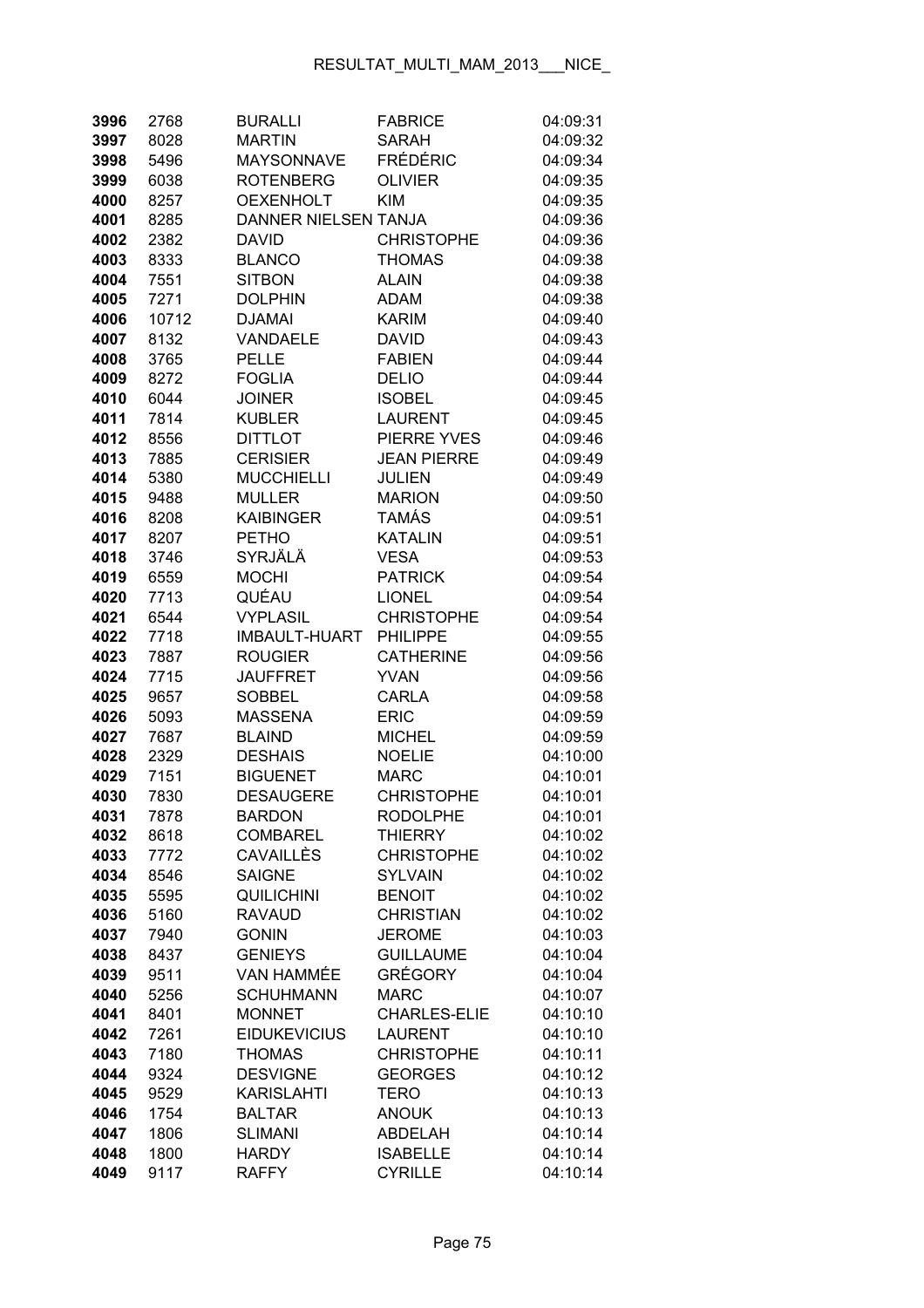| 3996         | 2768         | <b>BURALLI</b>                      | <b>FABRICE</b>                    | 04:09:31             |
|--------------|--------------|-------------------------------------|-----------------------------------|----------------------|
| 3997         | 8028         | <b>MARTIN</b>                       | <b>SARAH</b>                      | 04:09:32             |
| 3998         | 5496         | <b>MAYSONNAVE</b>                   | <b>FRÉDÉRIC</b>                   | 04:09:34             |
| 3999         | 6038         | <b>ROTENBERG</b>                    | <b>OLIVIER</b>                    | 04:09:35             |
| 4000         | 8257         | <b>OEXENHOLT</b>                    | <b>KIM</b>                        | 04:09:35             |
| 4001         | 8285         | DANNER NIELSEN TANJA                |                                   | 04:09:36             |
| 4002         | 2382         | <b>DAVID</b>                        | <b>CHRISTOPHE</b>                 | 04:09:36             |
| 4003         | 8333         | <b>BLANCO</b>                       | <b>THOMAS</b>                     | 04:09:38             |
| 4004         | 7551         | <b>SITBON</b>                       | <b>ALAIN</b>                      | 04:09:38             |
| 4005         | 7271         | <b>DOLPHIN</b>                      | <b>ADAM</b>                       | 04:09:38             |
| 4006         | 10712        | <b>DJAMAI</b>                       | <b>KARIM</b>                      | 04:09:40             |
| 4007         | 8132         | VANDAELE                            | <b>DAVID</b>                      | 04:09:43             |
| 4008         | 3765         | <b>PELLE</b>                        | <b>FABIEN</b>                     | 04:09:44             |
| 4009         | 8272         | <b>FOGLIA</b>                       | <b>DELIO</b>                      | 04:09:44             |
| 4010         | 6044         | <b>JOINER</b>                       | <b>ISOBEL</b>                     | 04:09:45             |
| 4011         | 7814         | <b>KUBLER</b>                       | <b>LAURENT</b>                    | 04:09:45             |
| 4012         | 8556         | <b>DITTLOT</b>                      | PIERRE YVES                       | 04:09:46             |
| 4013         | 7885         | <b>CERISIER</b>                     | <b>JEAN PIERRE</b>                | 04:09:49             |
| 4014         | 5380         | <b>MUCCHIELLI</b>                   | <b>JULIEN</b>                     | 04:09:49             |
| 4015         | 9488         | <b>MULLER</b>                       | <b>MARION</b>                     | 04:09:50             |
| 4016         | 8208         | <b>KAIBINGER</b>                    | TAMÁS                             | 04:09:51             |
| 4017         | 8207         | <b>PETHO</b>                        | <b>KATALIN</b>                    | 04:09:51             |
| 4018         | 3746         | SYRJÄLÄ                             | <b>VESA</b>                       | 04:09:53             |
| 4019         | 6559         | <b>MOCHI</b>                        | <b>PATRICK</b>                    | 04:09:54             |
| 4020         | 7713         | QUÉAU                               | <b>LIONEL</b>                     | 04:09:54             |
| 4021         | 6544         | <b>VYPLASIL</b>                     | <b>CHRISTOPHE</b>                 | 04:09:54             |
| 4022         | 7718         | <b>IMBAULT-HUART</b>                | <b>PHILIPPE</b>                   | 04:09:55             |
| 4023         | 7887         | <b>ROUGIER</b>                      | <b>CATHERINE</b>                  | 04:09:56             |
| 4024         | 7715         | <b>JAUFFRET</b>                     | <b>YVAN</b>                       | 04:09:56             |
| 4025         | 9657         | <b>SOBBEL</b>                       | CARLA                             | 04:09:58             |
| 4026         | 5093         | <b>MASSENA</b>                      | <b>ERIC</b>                       | 04:09:59             |
| 4027         | 7687         | <b>BLAIND</b>                       | <b>MICHEL</b>                     | 04:09:59             |
| 4028         | 2329         | <b>DESHAIS</b>                      | <b>NOELIE</b>                     | 04:10:00             |
| 4029         | 7151         | <b>BIGUENET</b>                     | <b>MARC</b>                       | 04:10:01             |
| 4030         | 7830         | <b>DESAUGERE</b>                    | <b>CHRISTOPHE</b>                 | 04:10:01             |
| 4031<br>4032 | 7878         | <b>BARDON</b>                       | <b>RODOLPHE</b><br><b>THIERRY</b> | 04:10:01             |
| 4033         | 8618<br>7772 | <b>COMBAREL</b><br><b>CAVAILLÈS</b> | <b>CHRISTOPHE</b>                 | 04:10:02<br>04:10:02 |
| 4034         | 8546         | <b>SAIGNE</b>                       | <b>SYLVAIN</b>                    | 04:10:02             |
| 4035         | 5595         | QUILICHINI                          | <b>BENOIT</b>                     | 04:10:02             |
| 4036         | 5160         | <b>RAVAUD</b>                       | <b>CHRISTIAN</b>                  | 04:10:02             |
| 4037         | 7940         | <b>GONIN</b>                        | <b>JEROME</b>                     | 04:10:03             |
| 4038         | 8437         | <b>GENIEYS</b>                      | <b>GUILLAUME</b>                  | 04:10:04             |
| 4039         | 9511         | VAN HAMMÉE                          | GRÉGORY                           | 04:10:04             |
| 4040         | 5256         | <b>SCHUHMANN</b>                    | <b>MARC</b>                       | 04:10:07             |
| 4041         | 8401         | <b>MONNET</b>                       | <b>CHARLES-ELIE</b>               | 04:10:10             |
| 4042         | 7261         | <b>EIDUKEVICIUS</b>                 | <b>LAURENT</b>                    | 04:10:10             |
| 4043         | 7180         | <b>THOMAS</b>                       | <b>CHRISTOPHE</b>                 | 04:10:11             |
| 4044         | 9324         | <b>DESVIGNE</b>                     | <b>GEORGES</b>                    | 04:10:12             |
| 4045         | 9529         | <b>KARISLAHTI</b>                   | <b>TERO</b>                       | 04:10:13             |
| 4046         | 1754         | <b>BALTAR</b>                       | <b>ANOUK</b>                      | 04:10:13             |
| 4047         | 1806         | <b>SLIMANI</b>                      | ABDELAH                           | 04:10:14             |
| 4048         | 1800         | <b>HARDY</b>                        | <b>ISABELLE</b>                   | 04:10:14             |
| 4049         | 9117         | <b>RAFFY</b>                        | <b>CYRILLE</b>                    | 04:10:14             |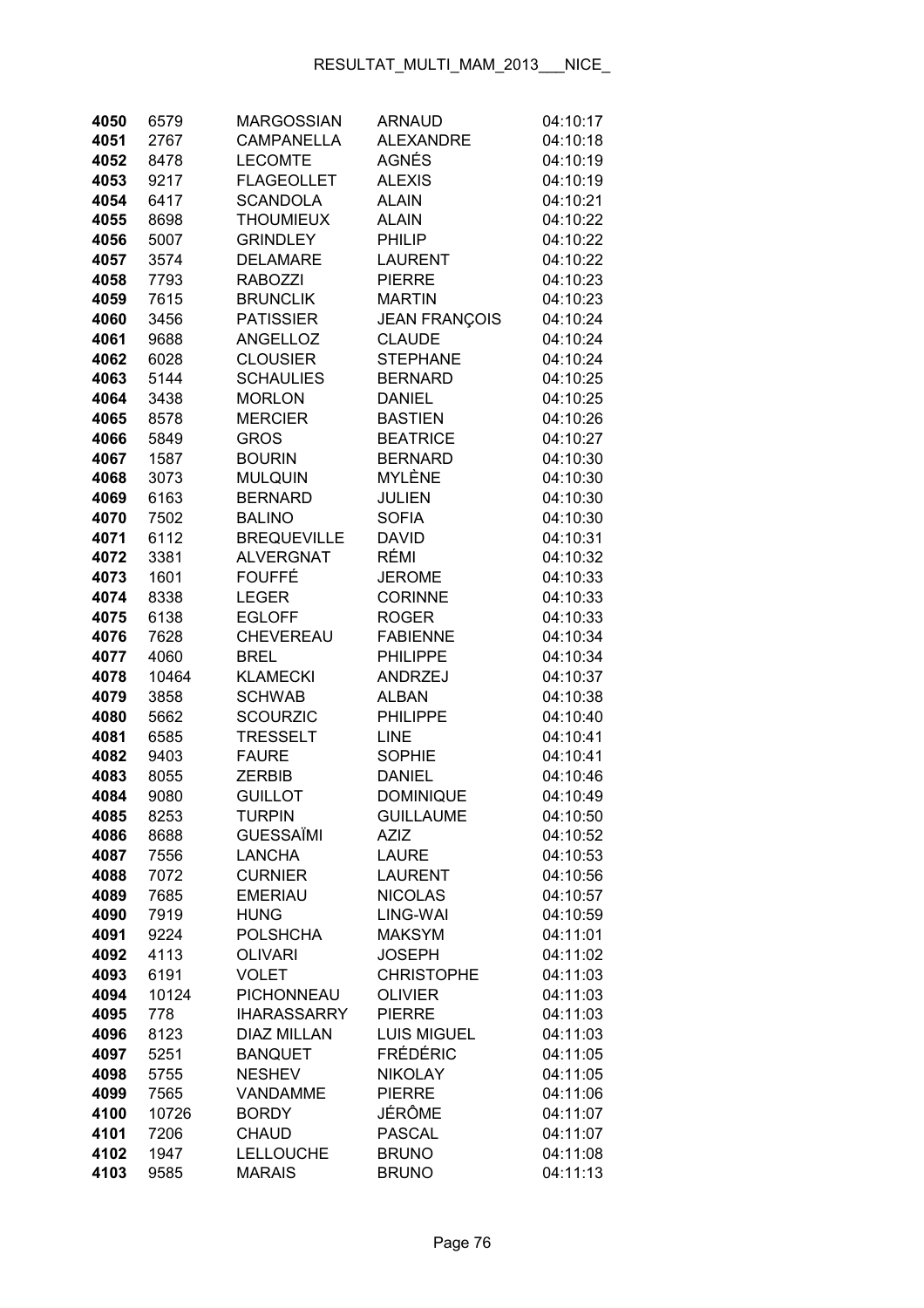| 4050         | 6579         | <b>MARGOSSIAN</b>                 | <b>ARNAUD</b>                  | 04:10:17             |
|--------------|--------------|-----------------------------------|--------------------------------|----------------------|
| 4051         | 2767         | <b>CAMPANELLA</b>                 | <b>ALEXANDRE</b>               | 04:10:18             |
| 4052         | 8478         | <b>LECOMTE</b>                    | AGNÉS                          | 04:10:19             |
| 4053         | 9217         | <b>FLAGEOLLET</b>                 | <b>ALEXIS</b>                  | 04:10:19             |
| 4054         | 6417         | <b>SCANDOLA</b>                   | <b>ALAIN</b>                   | 04:10:21             |
| 4055         | 8698         | <b>THOUMIEUX</b>                  | <b>ALAIN</b>                   | 04:10:22             |
| 4056         | 5007         | <b>GRINDLEY</b>                   | PHILIP                         | 04:10:22             |
| 4057         | 3574         | <b>DELAMARE</b>                   | <b>LAURENT</b>                 | 04:10:22             |
| 4058         | 7793         | <b>RABOZZI</b>                    | <b>PIERRE</b>                  | 04:10:23             |
| 4059         | 7615         | <b>BRUNCLIK</b>                   | <b>MARTIN</b>                  | 04:10:23             |
| 4060         | 3456         | <b>PATISSIER</b>                  | <b>JEAN FRANÇOIS</b>           | 04:10:24             |
| 4061         | 9688         | ANGELLOZ                          | <b>CLAUDE</b>                  | 04:10:24             |
| 4062         | 6028         | <b>CLOUSIER</b>                   | <b>STEPHANE</b>                | 04:10:24             |
| 4063         | 5144         | <b>SCHAULIES</b>                  | <b>BERNARD</b>                 | 04:10:25             |
| 4064         | 3438         | <b>MORLON</b>                     | <b>DANIEL</b>                  | 04:10:25             |
| 4065         | 8578         | <b>MERCIER</b>                    | <b>BASTIEN</b>                 | 04:10:26             |
| 4066         | 5849         | <b>GROS</b>                       | <b>BEATRICE</b>                | 04:10:27             |
| 4067         | 1587         | <b>BOURIN</b>                     | <b>BERNARD</b>                 | 04:10:30             |
| 4068         | 3073         | <b>MULQUIN</b>                    | <b>MYLÈNE</b>                  | 04:10:30             |
| 4069         | 6163         | <b>BERNARD</b>                    | <b>JULIEN</b>                  | 04:10:30             |
| 4070         | 7502         | <b>BALINO</b>                     | <b>SOFIA</b>                   | 04:10:30             |
| 4071         | 6112         | <b>BREQUEVILLE</b>                | <b>DAVID</b>                   | 04:10:31             |
| 4072         | 3381         | <b>ALVERGNAT</b>                  | RÉMI                           | 04:10:32             |
| 4073         | 1601         | <b>FOUFFÉ</b>                     | <b>JEROME</b>                  | 04:10:33             |
| 4074         | 8338         | <b>LEGER</b>                      | <b>CORINNE</b>                 | 04:10:33             |
| 4075         | 6138         | <b>EGLOFF</b>                     | <b>ROGER</b>                   | 04:10:33             |
| 4076         | 7628         | CHEVEREAU                         | <b>FABIENNE</b>                | 04:10:34             |
| 4077         | 4060         | <b>BREL</b>                       | <b>PHILIPPE</b>                | 04:10:34             |
| 4078         | 10464        | <b>KLAMECKI</b>                   | ANDRZEJ                        | 04:10:37             |
| 4079         | 3858         | <b>SCHWAB</b>                     | <b>ALBAN</b>                   | 04:10:38             |
| 4080         | 5662         | <b>SCOURZIC</b>                   | <b>PHILIPPE</b>                | 04:10:40             |
| 4081         | 6585         | <b>TRESSELT</b>                   | <b>LINE</b>                    | 04:10:41             |
| 4082         | 9403         | <b>FAURE</b>                      | <b>SOPHIE</b>                  | 04:10:41             |
| 4083         | 8055         | <b>ZERBIB</b>                     | <b>DANIEL</b>                  | 04:10:46             |
| 4084         | 9080         | <b>GUILLOT</b>                    | <b>DOMINIQUE</b>               | 04:10:49             |
| 4085         | 8253         | <b>TURPIN</b>                     | <b>GUILLAUME</b>               | 04:10:50             |
| 4086         | 8688         | <b>GUESSAÏMI</b>                  | <b>AZIZ</b>                    | 04:10:52             |
| 4087         | 7556         | <b>LANCHA</b>                     | <b>LAURE</b>                   | 04:10:53             |
| 4088         | 7072         | <b>CURNIER</b>                    | <b>LAURENT</b>                 | 04:10:56             |
| 4089         | 7685         | <b>EMERIAU</b>                    | <b>NICOLAS</b>                 | 04:10:57             |
| 4090         | 7919         | <b>HUNG</b>                       | LING-WAI                       | 04:10:59             |
| 4091<br>4092 | 9224<br>4113 | <b>POLSHCHA</b><br><b>OLIVARI</b> | <b>MAKSYM</b><br><b>JOSEPH</b> | 04:11:01             |
| 4093         | 6191         | <b>VOLET</b>                      | <b>CHRISTOPHE</b>              | 04:11:02<br>04:11:03 |
| 4094         | 10124        | PICHONNEAU                        | <b>OLIVIER</b>                 | 04:11:03             |
| 4095         | 778          | <b>IHARASSARRY</b>                | <b>PIERRE</b>                  | 04:11:03             |
| 4096         | 8123         | <b>DIAZ MILLAN</b>                | <b>LUIS MIGUEL</b>             | 04:11:03             |
| 4097         | 5251         | <b>BANQUET</b>                    | <b>FRÉDÉRIC</b>                | 04:11:05             |
| 4098         | 5755         | <b>NESHEV</b>                     | <b>NIKOLAY</b>                 | 04:11:05             |
| 4099         | 7565         | <b>VANDAMME</b>                   | <b>PIERRE</b>                  | 04:11:06             |
| 4100         | 10726        | <b>BORDY</b>                      | JÉRÔME                         | 04:11:07             |
| 4101         | 7206         | <b>CHAUD</b>                      | <b>PASCAL</b>                  | 04:11:07             |
| 4102         | 1947         | LELLOUCHE                         | <b>BRUNO</b>                   | 04:11:08             |
| 4103         | 9585         | <b>MARAIS</b>                     | <b>BRUNO</b>                   | 04:11:13             |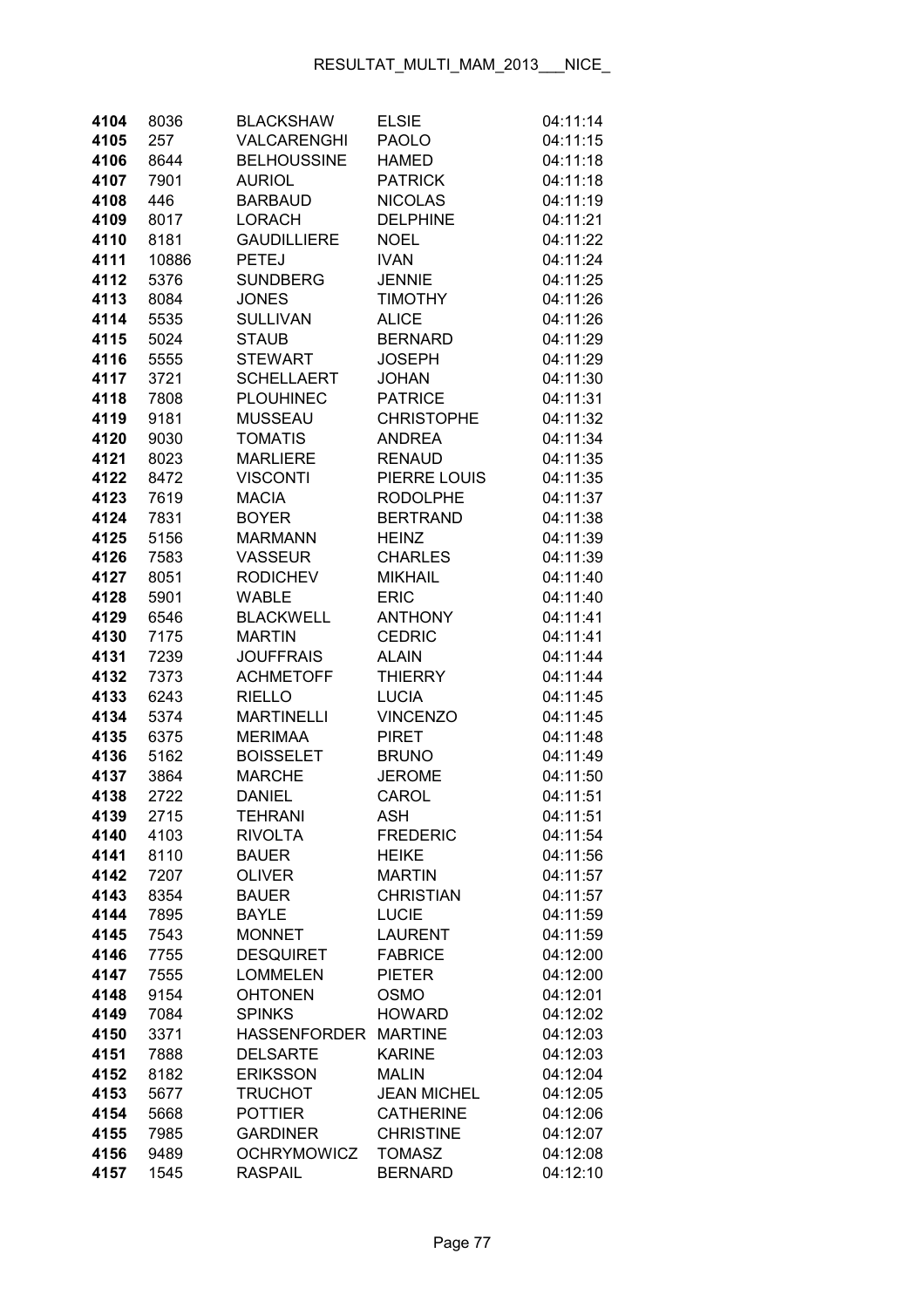| 4104         | 8036         | <b>BLACKSHAW</b>              | <b>ELSIE</b>                  | 04:11:14             |
|--------------|--------------|-------------------------------|-------------------------------|----------------------|
| 4105         | 257          | <b>VALCARENGHI</b>            | <b>PAOLO</b>                  | 04:11:15             |
| 4106         | 8644         | <b>BELHOUSSINE</b>            | <b>HAMED</b>                  | 04:11:18             |
| 4107         | 7901         | <b>AURIOL</b>                 | <b>PATRICK</b>                | 04:11:18             |
| 4108         | 446          | <b>BARBAUD</b>                | <b>NICOLAS</b>                | 04:11:19             |
| 4109         | 8017         | <b>LORACH</b>                 | <b>DELPHINE</b>               | 04:11:21             |
| 4110         | 8181         | <b>GAUDILLIERE</b>            | <b>NOEL</b>                   | 04:11:22             |
| 4111         | 10886        | <b>PETEJ</b>                  | <b>IVAN</b>                   | 04:11:24             |
| 4112         | 5376         | <b>SUNDBERG</b>               | <b>JENNIE</b>                 | 04:11:25             |
| 4113         | 8084         | <b>JONES</b>                  | <b>TIMOTHY</b>                | 04:11:26             |
| 4114         | 5535         | <b>SULLIVAN</b>               | <b>ALICE</b>                  | 04:11:26             |
| 4115         | 5024         | <b>STAUB</b>                  | <b>BERNARD</b>                | 04:11:29             |
| 4116         | 5555         | <b>STEWART</b>                | <b>JOSEPH</b>                 | 04:11:29             |
| 4117         | 3721         | <b>SCHELLAERT</b>             | <b>JOHAN</b>                  | 04:11:30             |
| 4118         | 7808         | <b>PLOUHINEC</b>              | <b>PATRICE</b>                | 04:11:31             |
| 4119         | 9181         | <b>MUSSEAU</b>                | <b>CHRISTOPHE</b>             | 04:11:32             |
| 4120         | 9030         | <b>TOMATIS</b>                | <b>ANDREA</b>                 | 04:11:34             |
| 4121         | 8023         | <b>MARLIERE</b>               | <b>RENAUD</b>                 | 04:11:35             |
| 4122         | 8472         | <b>VISCONTI</b>               | PIERRE LOUIS                  | 04:11:35             |
| 4123         | 7619         | <b>MACIA</b>                  | <b>RODOLPHE</b>               | 04:11:37             |
| 4124         | 7831         | <b>BOYER</b>                  | <b>BERTRAND</b>               | 04:11:38             |
| 4125         | 5156         | <b>MARMANN</b>                | <b>HEINZ</b>                  | 04:11:39             |
| 4126         | 7583         | <b>VASSEUR</b>                | <b>CHARLES</b>                | 04:11:39             |
| 4127         | 8051         | <b>RODICHEV</b>               | <b>MIKHAIL</b>                | 04:11:40             |
| 4128         | 5901         | <b>WABLE</b>                  | <b>ERIC</b>                   | 04:11:40             |
| 4129         | 6546         | <b>BLACKWELL</b>              | <b>ANTHONY</b>                | 04:11:41             |
| 4130         | 7175         | <b>MARTIN</b>                 | <b>CEDRIC</b>                 | 04:11:41             |
| 4131         | 7239         | <b>JOUFFRAIS</b>              | <b>ALAIN</b>                  | 04:11:44             |
| 4132         | 7373         | <b>ACHMETOFF</b>              | <b>THIERRY</b>                | 04:11:44             |
| 4133         | 6243         | <b>RIELLO</b>                 | <b>LUCIA</b>                  | 04:11:45             |
| 4134         | 5374         | <b>MARTINELLI</b>             | <b>VINCENZO</b>               | 04:11:45             |
| 4135         | 6375         | <b>MERIMAA</b>                | <b>PIRET</b>                  | 04:11:48             |
| 4136         | 5162         | <b>BOISSELET</b>              | <b>BRUNO</b>                  | 04:11:49             |
| 4137         | 3864         | <b>MARCHE</b>                 | <b>JEROME</b>                 | 04:11:50             |
| 4138         | 2722         | <b>DANIEL</b>                 | CAROL                         | 04:11:51             |
| 4139         | 2715         | <b>TEHRANI</b>                | <b>ASH</b>                    | 04:11:51             |
| 4140         | 4103         | <b>RIVOLTA</b>                | <b>FREDERIC</b>               | 04:11:54             |
| 4141         | 8110         | <b>BAUER</b>                  | <b>HEIKE</b><br><b>MARTIN</b> | 04:11:56             |
| 4142<br>4143 | 7207<br>8354 | <b>OLIVER</b><br><b>BAUER</b> | <b>CHRISTIAN</b>              | 04:11:57<br>04:11:57 |
| 4144         | 7895         | <b>BAYLE</b>                  | <b>LUCIE</b>                  | 04:11:59             |
| 4145         | 7543         | <b>MONNET</b>                 | <b>LAURENT</b>                | 04:11:59             |
| 4146         | 7755         | <b>DESQUIRET</b>              | <b>FABRICE</b>                | 04:12:00             |
| 4147         | 7555         | <b>LOMMELEN</b>               | <b>PIETER</b>                 | 04:12:00             |
| 4148         | 9154         | <b>OHTONEN</b>                | <b>OSMO</b>                   | 04:12:01             |
| 4149         | 7084         | <b>SPINKS</b>                 | <b>HOWARD</b>                 | 04:12:02             |
| 4150         | 3371         | <b>HASSENFORDER</b>           | <b>MARTINE</b>                | 04:12:03             |
| 4151         | 7888         | <b>DELSARTE</b>               | <b>KARINE</b>                 | 04:12:03             |
| 4152         | 8182         | <b>ERIKSSON</b>               | <b>MALIN</b>                  | 04:12:04             |
| 4153         | 5677         | <b>TRUCHOT</b>                | <b>JEAN MICHEL</b>            | 04:12:05             |
| 4154         | 5668         | <b>POTTIER</b>                | <b>CATHERINE</b>              | 04:12:06             |
| 4155         | 7985         | <b>GARDINER</b>               | <b>CHRISTINE</b>              | 04:12:07             |
| 4156         | 9489         | <b>OCHRYMOWICZ</b>            | <b>TOMASZ</b>                 | 04:12:08             |
| 4157         | 1545         | <b>RASPAIL</b>                | <b>BERNARD</b>                | 04:12:10             |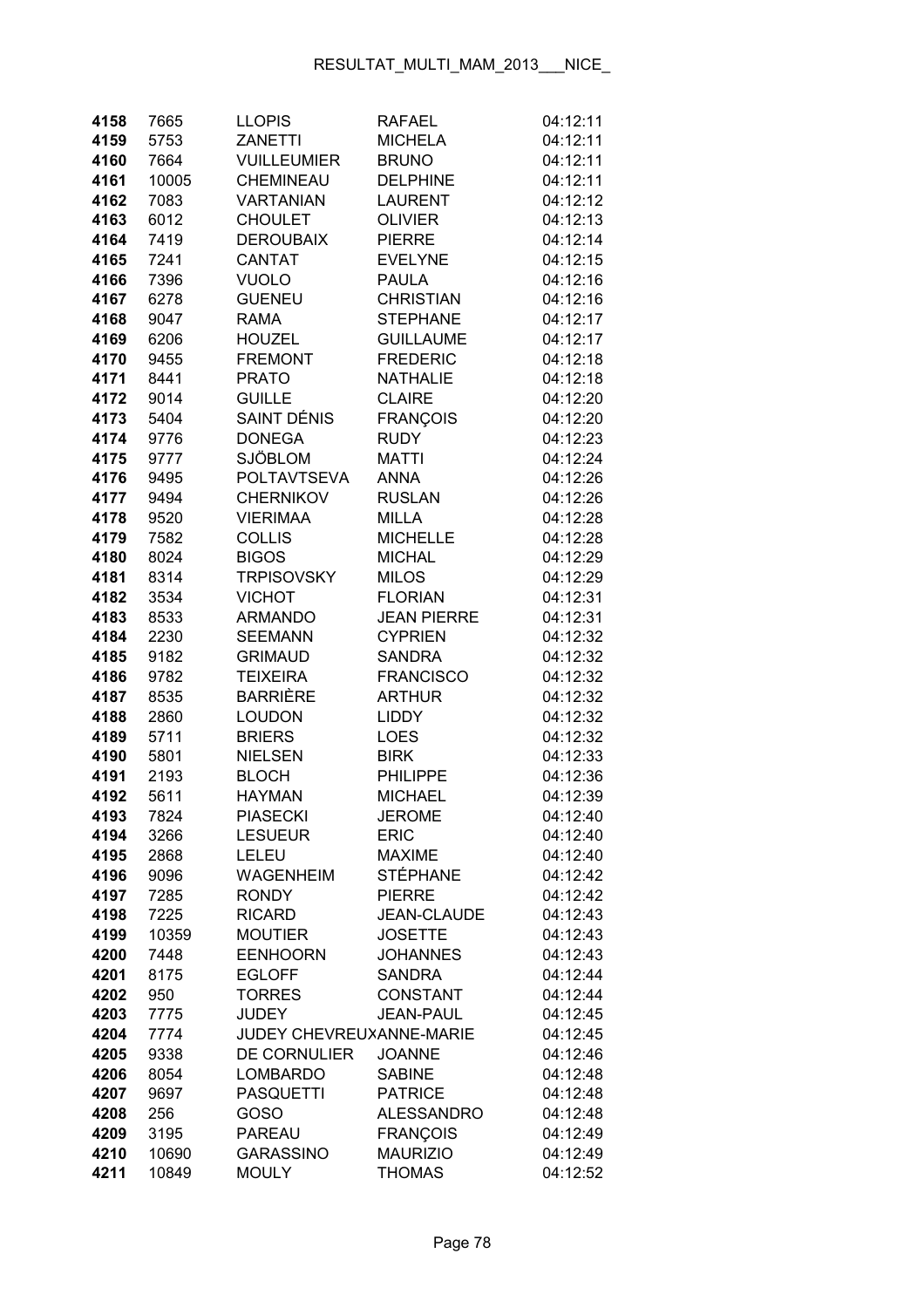| 4158         | 7665  | <b>LLOPIS</b>                     | <b>RAFAEL</b>      | 04:12:11 |
|--------------|-------|-----------------------------------|--------------------|----------|
| 4159         | 5753  | <b>ZANETTI</b>                    | <b>MICHELA</b>     | 04:12:11 |
| 4160         | 7664  | <b>VUILLEUMIER</b>                | <b>BRUNO</b>       | 04:12:11 |
| 4161         | 10005 | CHEMINEAU                         | <b>DELPHINE</b>    | 04:12:11 |
| 4162         | 7083  | <b>VARTANIAN</b>                  | <b>LAURENT</b>     | 04:12:12 |
| 4163         | 6012  | <b>CHOULET</b>                    | <b>OLIVIER</b>     | 04:12:13 |
| 4164         | 7419  | <b>DEROUBAIX</b>                  | <b>PIERRE</b>      | 04:12:14 |
| 4165         | 7241  | <b>CANTAT</b>                     | <b>EVELYNE</b>     | 04:12:15 |
| 4166         | 7396  | <b>VUOLO</b>                      | <b>PAULA</b>       | 04:12:16 |
| 4167         | 6278  | <b>GUENEU</b>                     | <b>CHRISTIAN</b>   | 04:12:16 |
| 4168         | 9047  | <b>RAMA</b>                       | <b>STEPHANE</b>    | 04:12:17 |
| 4169         | 6206  | <b>HOUZEL</b>                     | <b>GUILLAUME</b>   | 04:12:17 |
| 4170         | 9455  | <b>FREMONT</b>                    | <b>FREDERIC</b>    | 04:12:18 |
| 4171         | 8441  | <b>PRATO</b>                      | <b>NATHALIE</b>    | 04:12:18 |
| 4172         | 9014  | <b>GUILLE</b>                     | <b>CLAIRE</b>      | 04:12:20 |
| 4173         | 5404  | SAINT DÉNIS                       | <b>FRANÇOIS</b>    | 04:12:20 |
| 4174         | 9776  | <b>DONEGA</b>                     | <b>RUDY</b>        | 04:12:23 |
| 4175         | 9777  | <b>SJÖBLOM</b>                    | <b>MATTI</b>       | 04:12:24 |
| 4176         | 9495  | <b>POLTAVTSEVA</b>                | <b>ANNA</b>        | 04:12:26 |
| 4177         | 9494  | <b>CHERNIKOV</b>                  | <b>RUSLAN</b>      | 04:12:26 |
| 4178         | 9520  | <b>VIERIMAA</b>                   | <b>MILLA</b>       | 04:12:28 |
| 4179         | 7582  | <b>COLLIS</b>                     | <b>MICHELLE</b>    | 04:12:28 |
|              |       |                                   | <b>MICHAL</b>      | 04:12:29 |
| 4180<br>4181 | 8024  | <b>BIGOS</b><br><b>TRPISOVSKY</b> |                    | 04:12:29 |
|              | 8314  |                                   | <b>MILOS</b>       |          |
| 4182         | 3534  | <b>VICHOT</b>                     | <b>FLORIAN</b>     | 04:12:31 |
| 4183         | 8533  | <b>ARMANDO</b>                    | <b>JEAN PIERRE</b> | 04:12:31 |
| 4184         | 2230  | <b>SEEMANN</b>                    | <b>CYPRIEN</b>     | 04:12:32 |
| 4185         | 9182  | <b>GRIMAUD</b>                    | <b>SANDRA</b>      | 04:12:32 |
| 4186         | 9782  | <b>TEIXEIRA</b>                   | <b>FRANCISCO</b>   | 04:12:32 |
| 4187         | 8535  | <b>BARRIÈRE</b>                   | <b>ARTHUR</b>      | 04:12:32 |
| 4188         | 2860  | <b>LOUDON</b>                     | LIDDY              | 04:12:32 |
| 4189         | 5711  | <b>BRIERS</b>                     | LOES               | 04:12:32 |
| 4190         | 5801  | <b>NIELSEN</b>                    | <b>BIRK</b>        | 04:12:33 |
| 4191         | 2193  | <b>BLOCH</b>                      | <b>PHILIPPE</b>    | 04:12:36 |
| 4192         | 5611  | <b>HAYMAN</b>                     | <b>MICHAEL</b>     | 04:12:39 |
| 4193         | 7824  | <b>PIASECKI</b>                   | <b>JEROME</b>      | 04:12:40 |
| 4194         | 3266  | <b>LESUEUR</b>                    | <b>ERIC</b>        | 04:12:40 |
| 4195         | 2868  | LELEU                             | <b>MAXIME</b>      | 04:12:40 |
| 4196         | 9096  | <b>WAGENHEIM</b>                  | <b>STÉPHANE</b>    | 04:12:42 |
| 4197         | 7285  | <b>RONDY</b>                      | <b>PIERRE</b>      | 04:12:42 |
| 4198         | 7225  | <b>RICARD</b>                     | <b>JEAN-CLAUDE</b> | 04:12:43 |
| 4199         | 10359 | <b>MOUTIER</b>                    | <b>JOSETTE</b>     | 04:12:43 |
| 4200         | 7448  | <b>EENHOORN</b>                   | <b>JOHANNES</b>    | 04:12:43 |
| 4201         | 8175  | <b>EGLOFF</b>                     | <b>SANDRA</b>      | 04:12:44 |
| 4202         | 950   | <b>TORRES</b>                     | <b>CONSTANT</b>    | 04:12:44 |
| 4203         | 7775  | <b>JUDEY</b>                      | <b>JEAN-PAUL</b>   | 04:12:45 |
| 4204         | 7774  | JUDEY CHEVREUXANNE-MARIE          |                    | 04:12:45 |
| 4205         | 9338  | DE CORNULIER                      | <b>JOANNE</b>      | 04:12:46 |
| 4206         | 8054  | <b>LOMBARDO</b>                   | <b>SABINE</b>      | 04:12:48 |
| 4207         | 9697  | <b>PASQUETTI</b>                  | <b>PATRICE</b>     | 04:12:48 |
| 4208         | 256   | GOSO                              | <b>ALESSANDRO</b>  | 04:12:48 |
| 4209         | 3195  | <b>PAREAU</b>                     | <b>FRANÇOIS</b>    | 04:12:49 |
| 4210         | 10690 | <b>GARASSINO</b>                  | <b>MAURIZIO</b>    | 04:12:49 |
| 4211         | 10849 | <b>MOULY</b>                      | <b>THOMAS</b>      | 04:12:52 |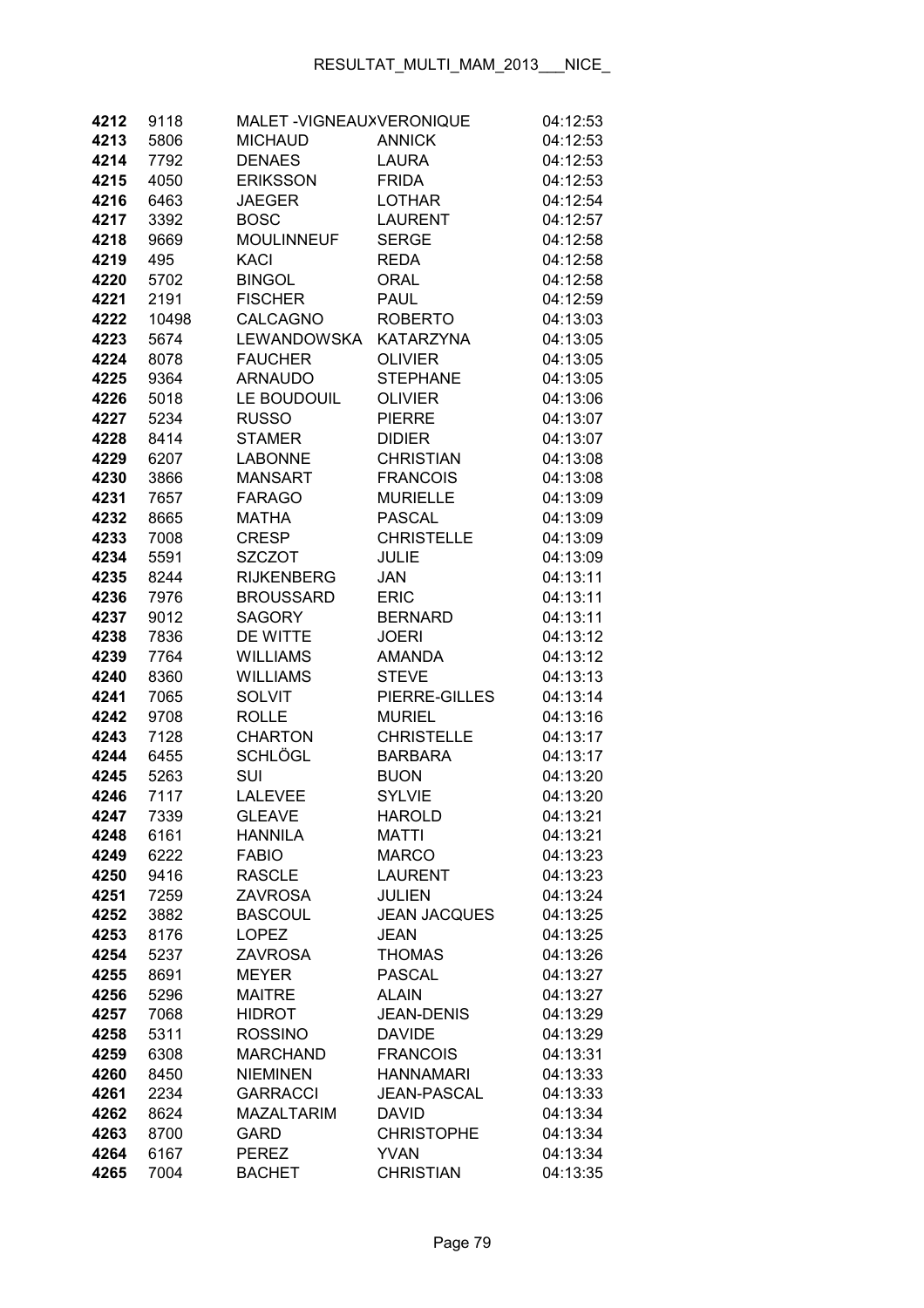| 4212         | 9118         | MALET-VIGNEAUXVERONIQUE |                               | 04:12:53             |
|--------------|--------------|-------------------------|-------------------------------|----------------------|
| 4213         | 5806         | <b>MICHAUD</b>          | <b>ANNICK</b>                 | 04:12:53             |
| 4214         | 7792         | <b>DENAES</b>           | <b>LAURA</b>                  | 04:12:53             |
| 4215         | 4050         | <b>ERIKSSON</b>         | <b>FRIDA</b>                  | 04:12:53             |
| 4216         | 6463         | JAEGER                  | <b>LOTHAR</b>                 | 04:12:54             |
| 4217         | 3392         | <b>BOSC</b>             | <b>LAURENT</b>                | 04:12:57             |
| 4218         | 9669         | <b>MOULINNEUF</b>       | <b>SERGE</b>                  | 04:12:58             |
| 4219         | 495          | KACI                    | <b>REDA</b>                   | 04:12:58             |
| 4220         | 5702         | <b>BINGOL</b>           | <b>ORAL</b>                   | 04:12:58             |
| 4221         | 2191         | <b>FISCHER</b>          | <b>PAUL</b>                   | 04:12:59             |
| 4222         | 10498        | CALCAGNO                | <b>ROBERTO</b>                | 04:13:03             |
| 4223         | 5674         | <b>LEWANDOWSKA</b>      | <b>KATARZYNA</b>              | 04:13:05             |
| 4224         | 8078         | <b>FAUCHER</b>          | <b>OLIVIER</b>                | 04:13:05             |
| 4225         | 9364         | <b>ARNAUDO</b>          | <b>STEPHANE</b>               | 04:13:05             |
| 4226         | 5018         | LE BOUDOUIL             | <b>OLIVIER</b>                | 04:13:06             |
| 4227         | 5234         | <b>RUSSO</b>            | <b>PIERRE</b>                 | 04:13:07             |
| 4228         | 8414         | <b>STAMER</b>           | <b>DIDIER</b>                 | 04:13:07             |
| 4229         | 6207         | <b>LABONNE</b>          | <b>CHRISTIAN</b>              | 04:13:08             |
| 4230         | 3866         | <b>MANSART</b>          | <b>FRANCOIS</b>               | 04:13:08             |
| 4231         | 7657         | <b>FARAGO</b>           | <b>MURIELLE</b>               | 04:13:09             |
| 4232         | 8665         | <b>MATHA</b>            | <b>PASCAL</b>                 | 04:13:09             |
| 4233         | 7008         | <b>CRESP</b>            | <b>CHRISTELLE</b>             | 04:13:09             |
| 4234         | 5591         | <b>SZCZOT</b>           | <b>JULIE</b>                  | 04:13:09             |
| 4235         | 8244         | <b>RIJKENBERG</b>       | JAN                           | 04:13:11             |
| 4236         | 7976         | <b>BROUSSARD</b>        | <b>ERIC</b>                   | 04:13:11             |
| 4237         | 9012         | <b>SAGORY</b>           | <b>BERNARD</b>                | 04:13:11             |
| 4238         | 7836         | DE WITTE                | <b>JOERI</b>                  | 04:13:12             |
| 4239         | 7764         | <b>WILLIAMS</b>         | <b>AMANDA</b>                 | 04:13:12             |
| 4240         | 8360         | <b>WILLIAMS</b>         | <b>STEVE</b>                  | 04:13:13             |
| 4241         | 7065         | <b>SOLVIT</b>           | PIERRE-GILLES                 | 04:13:14             |
| 4242         | 9708         | <b>ROLLE</b>            | <b>MURIEL</b>                 | 04:13:16             |
| 4243         | 7128         | <b>CHARTON</b>          | <b>CHRISTELLE</b>             | 04:13:17             |
| 4244<br>4245 | 6455         | SCHLÖGL<br>SUI          | <b>BARBARA</b><br><b>BUON</b> | 04:13:17<br>04:13:20 |
| 4246         | 5263<br>7117 | <b>LALEVEE</b>          | <b>SYLVIE</b>                 | 04:13:20             |
| 4247         | 7339         | <b>GLEAVE</b>           | <b>HAROLD</b>                 | 04:13:21             |
| 4248         | 6161         | <b>HANNILA</b>          | <b>MATTI</b>                  | 04:13:21             |
| 4249         | 6222         | <b>FABIO</b>            | <b>MARCO</b>                  | 04:13:23             |
| 4250         | 9416         | <b>RASCLE</b>           | <b>LAURENT</b>                | 04:13:23             |
| 4251         | 7259         | <b>ZAVROSA</b>          | <b>JULIEN</b>                 | 04:13:24             |
| 4252         | 3882         | <b>BASCOUL</b>          | <b>JEAN JACQUES</b>           | 04:13:25             |
| 4253         | 8176         | <b>LOPEZ</b>            | <b>JEAN</b>                   | 04:13:25             |
| 4254         | 5237         | <b>ZAVROSA</b>          | <b>THOMAS</b>                 | 04:13:26             |
| 4255         | 8691         | <b>MEYER</b>            | <b>PASCAL</b>                 | 04:13:27             |
| 4256         | 5296         | <b>MAITRE</b>           | <b>ALAIN</b>                  | 04:13:27             |
| 4257         | 7068         | <b>HIDROT</b>           | <b>JEAN-DENIS</b>             | 04:13:29             |
| 4258         | 5311         | <b>ROSSINO</b>          | <b>DAVIDE</b>                 | 04:13:29             |
| 4259         | 6308         | <b>MARCHAND</b>         | <b>FRANCOIS</b>               | 04:13:31             |
| 4260         | 8450         | <b>NIEMINEN</b>         | <b>HANNAMARI</b>              | 04:13:33             |
| 4261         | 2234         | <b>GARRACCI</b>         | <b>JEAN-PASCAL</b>            | 04:13:33             |
| 4262         | 8624         | <b>MAZALTARIM</b>       | <b>DAVID</b>                  | 04:13:34             |
| 4263         | 8700         | <b>GARD</b>             | <b>CHRISTOPHE</b>             | 04:13:34             |
| 4264         | 6167         | <b>PEREZ</b>            | <b>YVAN</b>                   | 04:13:34             |
| 4265         | 7004         | <b>BACHET</b>           | <b>CHRISTIAN</b>              | 04:13:35             |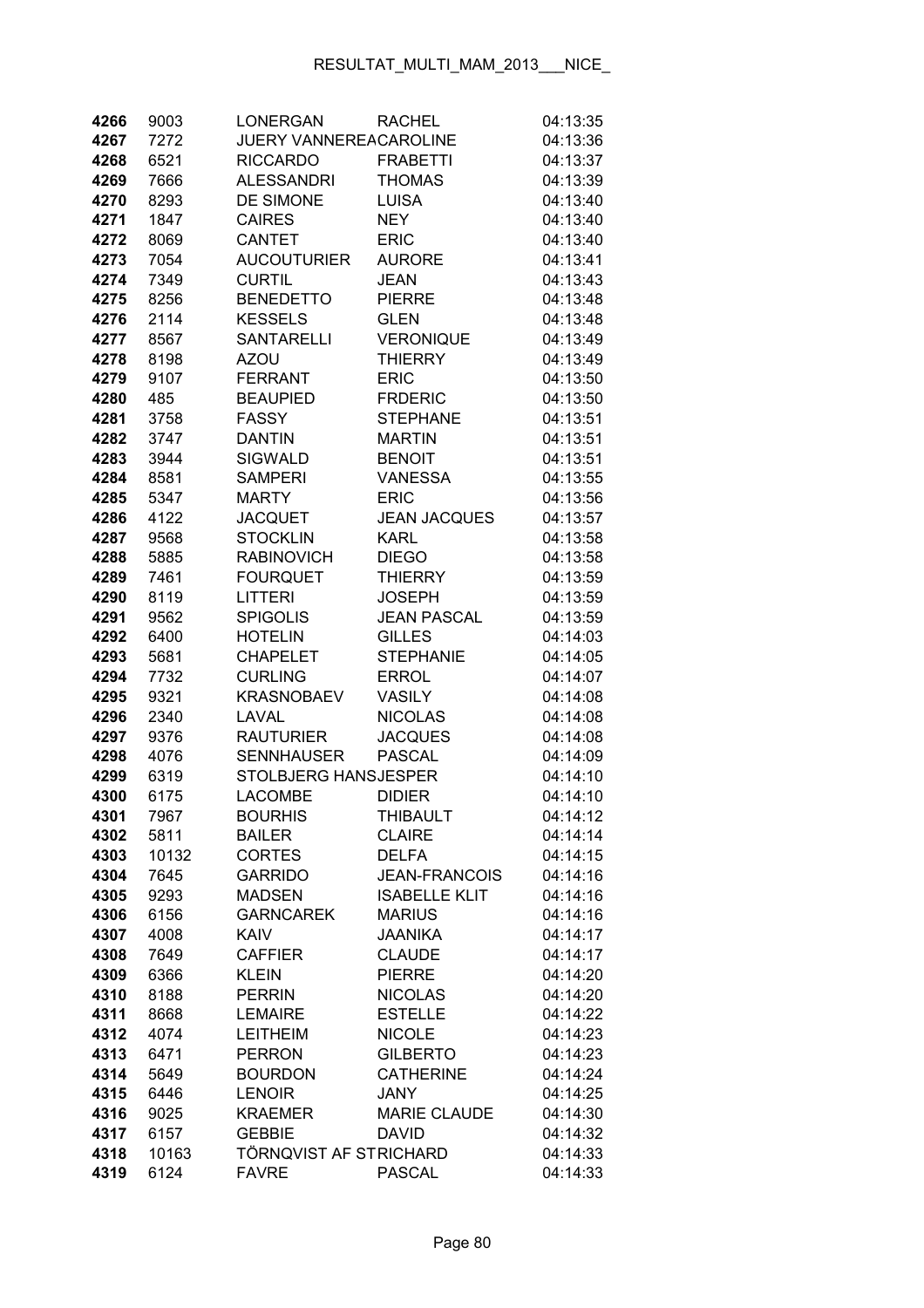| 4266         | 9003         | <b>LONERGAN</b>                  | <b>RACHEL</b>                    | 04:13:35             |
|--------------|--------------|----------------------------------|----------------------------------|----------------------|
| 4267         | 7272         | JUERY VANNEREACAROLINE           |                                  | 04:13:36             |
| 4268         | 6521         | <b>RICCARDO</b>                  | <b>FRABETTI</b>                  | 04:13:37             |
| 4269         | 7666         | <b>ALESSANDRI</b>                | <b>THOMAS</b>                    | 04:13:39             |
| 4270         | 8293         | DE SIMONE                        | <b>LUISA</b>                     | 04:13:40             |
| 4271         | 1847         | <b>CAIRES</b>                    | <b>NEY</b>                       | 04:13:40             |
| 4272         | 8069         | <b>CANTET</b>                    | <b>ERIC</b>                      | 04:13:40             |
| 4273         | 7054         | <b>AUCOUTURIER</b>               | <b>AURORE</b>                    | 04:13:41             |
| 4274         | 7349         | <b>CURTIL</b>                    | <b>JEAN</b>                      | 04:13:43             |
| 4275         | 8256         | <b>BENEDETTO</b>                 | <b>PIERRE</b>                    | 04:13:48             |
| 4276         | 2114         | <b>KESSELS</b>                   | <b>GLEN</b>                      | 04:13:48             |
| 4277         | 8567         | <b>SANTARELLI</b>                | <b>VERONIQUE</b>                 | 04:13:49             |
| 4278         | 8198         | <b>AZOU</b>                      | <b>THIERRY</b>                   | 04:13:49             |
| 4279         | 9107         | <b>FERRANT</b>                   | <b>ERIC</b>                      | 04:13:50             |
| 4280         | 485          | <b>BEAUPIED</b>                  | <b>FRDERIC</b>                   | 04:13:50             |
| 4281         | 3758         | <b>FASSY</b>                     | <b>STEPHANE</b>                  | 04:13:51             |
| 4282         | 3747         | <b>DANTIN</b>                    | <b>MARTIN</b>                    | 04:13:51             |
| 4283         | 3944         | <b>SIGWALD</b>                   | <b>BENOIT</b>                    | 04:13:51             |
| 4284         | 8581         | <b>SAMPERI</b>                   | <b>VANESSA</b>                   | 04:13:55             |
| 4285         | 5347         | <b>MARTY</b>                     | <b>ERIC</b>                      | 04:13:56             |
| 4286         | 4122         | <b>JACQUET</b>                   | <b>JEAN JACQUES</b>              | 04:13:57             |
| 4287         | 9568         | <b>STOCKLIN</b>                  | <b>KARL</b>                      | 04:13:58             |
| 4288         | 5885         | <b>RABINOVICH</b>                | <b>DIEGO</b>                     | 04:13:58             |
| 4289         | 7461         | <b>FOURQUET</b>                  | <b>THIERRY</b>                   | 04:13:59             |
| 4290         | 8119         | <b>LITTERI</b>                   | <b>JOSEPH</b>                    | 04:13:59             |
| 4291         | 9562         | <b>SPIGOLIS</b>                  | <b>JEAN PASCAL</b>               | 04:13:59             |
| 4292         | 6400         | <b>HOTELIN</b>                   | <b>GILLES</b>                    | 04:14:03             |
| 4293         | 5681         | <b>CHAPELET</b>                  | <b>STEPHANIE</b>                 | 04:14:05             |
| 4294         | 7732         | <b>CURLING</b>                   | <b>ERROL</b>                     | 04:14:07             |
| 4295         | 9321         | <b>KRASNOBAEV</b>                | <b>VASILY</b>                    | 04:14:08             |
| 4296         | 2340         | LAVAL                            | <b>NICOLAS</b>                   | 04:14:08             |
| 4297         | 9376         | <b>RAUTURIER</b>                 | <b>JACQUES</b>                   | 04:14:08             |
| 4298         | 4076         | <b>SENNHAUSER</b>                | <b>PASCAL</b>                    | 04:14:09             |
| 4299         | 6319         | STOLBJERG HANSJESPER             |                                  | 04:14:10             |
| 4300         | 6175         | <b>LACOMBE</b>                   | <b>DIDIER</b>                    | 04:14:10             |
| 4301         | 7967         | <b>BOURHIS</b>                   | THIBAULT                         | 04:14:12             |
| 4302         | 5811         | <b>BAILER</b>                    | <b>CLAIRE</b>                    | 04:14:14             |
| 4303         | 10132        | <b>CORTES</b>                    | <b>DELFA</b>                     | 04:14:15             |
| 4304         | 7645         | <b>GARRIDO</b>                   | <b>JEAN-FRANCOIS</b>             | 04:14:16             |
| 4305         | 9293         | <b>MADSEN</b>                    | <b>ISABELLE KLIT</b>             | 04:14:16             |
| 4306         | 6156         | <b>GARNCAREK</b>                 | <b>MARIUS</b>                    | 04:14:16             |
| 4307         | 4008         | <b>KAIV</b>                      | <b>JAANIKA</b>                   | 04:14:17             |
| 4308         | 7649         | <b>CAFFIER</b>                   | <b>CLAUDE</b>                    | 04:14:17             |
| 4309         | 6366         | <b>KLEIN</b>                     | <b>PIERRE</b>                    | 04:14:20             |
| 4310         | 8188         | <b>PERRIN</b><br><b>LEMAIRE</b>  | <b>NICOLAS</b>                   | 04:14:20             |
| 4311         | 8668         |                                  | <b>ESTELLE</b>                   | 04:14:22             |
| 4312<br>4313 | 4074<br>6471 | <b>LEITHEIM</b><br><b>PERRON</b> | <b>NICOLE</b><br><b>GILBERTO</b> | 04:14:23<br>04:14:23 |
| 4314         | 5649         | <b>BOURDON</b>                   | <b>CATHERINE</b>                 | 04:14:24             |
| 4315         | 6446         | <b>LENOIR</b>                    | <b>JANY</b>                      | 04:14:25             |
| 4316         | 9025         | <b>KRAEMER</b>                   | <b>MARIE CLAUDE</b>              | 04:14:30             |
| 4317         | 6157         | <b>GEBBIE</b>                    | <b>DAVID</b>                     | 04:14:32             |
| 4318         | 10163        | TÖRNQVIST AF STRICHARD           |                                  | 04:14:33             |
| 4319         | 6124         | <b>FAVRE</b>                     | <b>PASCAL</b>                    | 04:14:33             |
|              |              |                                  |                                  |                      |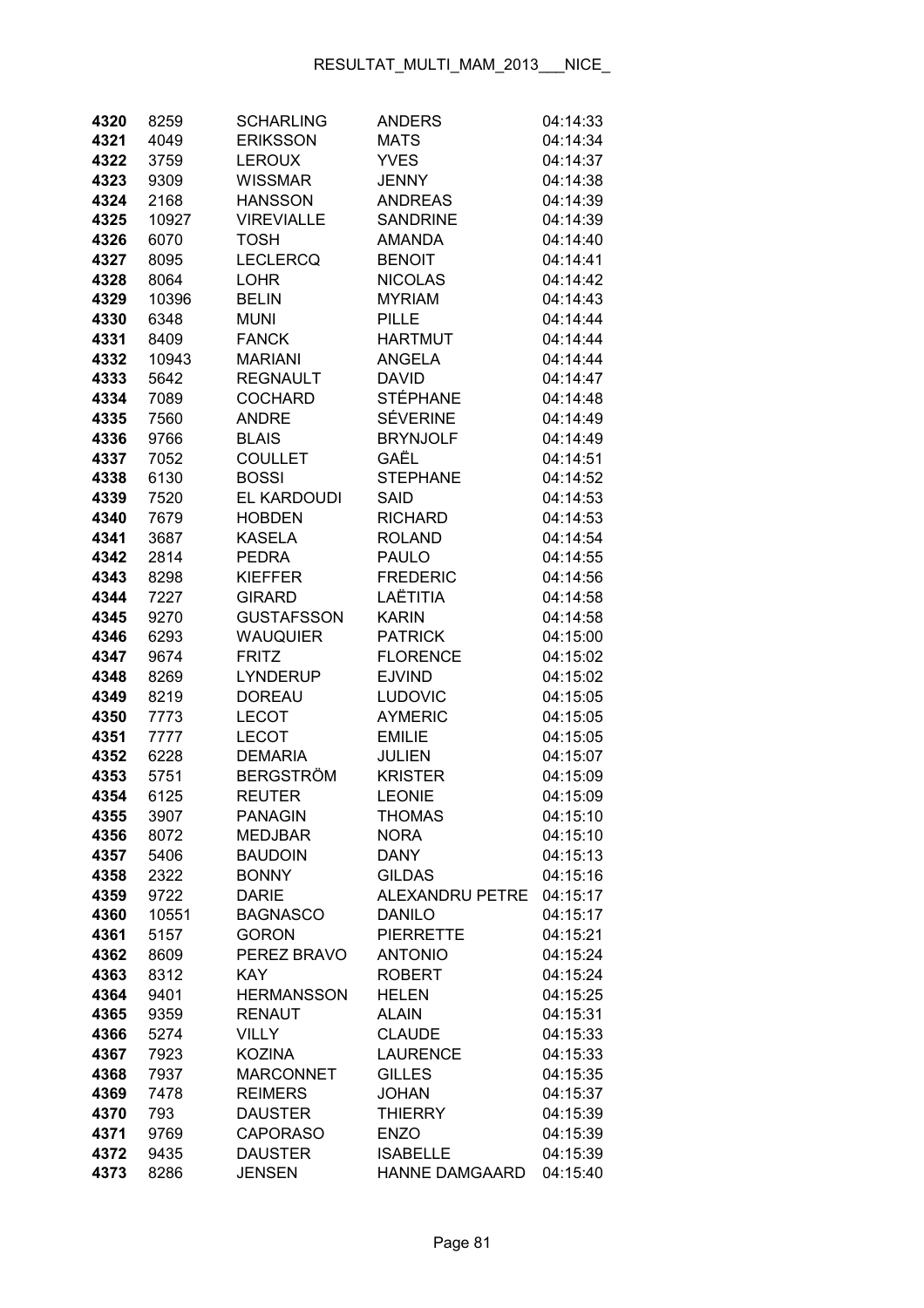| 4320         | 8259         | <b>SCHARLING</b>            | <b>ANDERS</b>                   | 04:14:33             |
|--------------|--------------|-----------------------------|---------------------------------|----------------------|
| 4321         | 4049         | <b>ERIKSSON</b>             | <b>MATS</b>                     | 04:14:34             |
| 4322         | 3759         | <b>LEROUX</b>               | <b>YVES</b>                     | 04:14:37             |
| 4323         | 9309         | <b>WISSMAR</b>              | <b>JENNY</b>                    | 04:14:38             |
| 4324         | 2168         | <b>HANSSON</b>              | <b>ANDREAS</b>                  | 04:14:39             |
| 4325         | 10927        | <b>VIREVIALLE</b>           | <b>SANDRINE</b>                 | 04:14:39             |
| 4326         | 6070         | <b>TOSH</b>                 | <b>AMANDA</b>                   | 04:14:40             |
| 4327         | 8095         | <b>LECLERCQ</b>             | <b>BENOIT</b>                   | 04:14:41             |
| 4328         | 8064         | <b>LOHR</b>                 | <b>NICOLAS</b>                  | 04:14:42             |
| 4329         | 10396        | <b>BELIN</b>                | <b>MYRIAM</b>                   | 04:14:43             |
| 4330         | 6348         | <b>MUNI</b>                 | <b>PILLE</b>                    | 04:14:44             |
| 4331         | 8409         | <b>FANCK</b>                | <b>HARTMUT</b>                  | 04:14:44             |
| 4332         | 10943        | <b>MARIANI</b>              | <b>ANGELA</b>                   | 04:14:44             |
| 4333         | 5642         | <b>REGNAULT</b>             | <b>DAVID</b>                    | 04:14:47             |
| 4334         | 7089         | <b>COCHARD</b>              | STÉPHANE                        | 04:14:48             |
| 4335         | 7560         | <b>ANDRE</b>                | <b>SÉVERINE</b>                 | 04:14:49             |
| 4336         | 9766         | <b>BLAIS</b>                | <b>BRYNJOLF</b>                 | 04:14:49             |
| 4337         | 7052         | <b>COULLET</b>              | GAËL                            | 04:14:51             |
| 4338         | 6130         | <b>BOSSI</b>                | <b>STEPHANE</b>                 | 04:14:52             |
| 4339         | 7520         | EL KARDOUDI                 | <b>SAID</b>                     | 04:14:53             |
| 4340         | 7679         | <b>HOBDEN</b>               | <b>RICHARD</b>                  | 04:14:53             |
| 4341         | 3687         | <b>KASELA</b>               | <b>ROLAND</b>                   | 04:14:54             |
| 4342         | 2814         | <b>PEDRA</b>                | <b>PAULO</b>                    | 04:14:55             |
| 4343         | 8298         | <b>KIEFFER</b>              | <b>FREDERIC</b>                 | 04:14:56             |
| 4344         | 7227         | <b>GIRARD</b>               | LAËTITIA                        | 04:14:58             |
| 4345         | 9270         | <b>GUSTAFSSON</b>           | <b>KARIN</b>                    | 04:14:58             |
| 4346         | 6293         | <b>WAUQUIER</b>             | <b>PATRICK</b>                  | 04:15:00             |
| 4347         | 9674         | <b>FRITZ</b>                | <b>FLORENCE</b>                 | 04:15:02             |
| 4348         | 8269         | <b>LYNDERUP</b>             | <b>EJVIND</b>                   | 04:15:02             |
| 4349         | 8219         | <b>DOREAU</b>               | <b>LUDOVIC</b>                  | 04:15:05             |
| 4350         | 7773         | <b>LECOT</b>                | <b>AYMERIC</b>                  | 04:15:05             |
| 4351         | 7777         | <b>LECOT</b>                | <b>EMILIE</b>                   | 04:15:05             |
| 4352<br>4353 | 6228<br>5751 | <b>DEMARIA</b><br>BERGSTRÖM | <b>JULIEN</b><br><b>KRISTER</b> | 04:15:07<br>04:15:09 |
| 4354         | 6125         | <b>REUTER</b>               | <b>LEONIE</b>                   | 04:15:09             |
| 4355         | 3907         | <b>PANAGIN</b>              | THOMAS                          | 04:15:10             |
| 4356         | 8072         | <b>MEDJBAR</b>              | <b>NORA</b>                     | 04:15:10             |
| 4357         | 5406         | <b>BAUDOIN</b>              | <b>DANY</b>                     | 04:15:13             |
| 4358         | 2322         | <b>BONNY</b>                | <b>GILDAS</b>                   | 04:15:16             |
| 4359         | 9722         | <b>DARIE</b>                | <b>ALEXANDRU PETRE</b>          | 04:15:17             |
| 4360         | 10551        | <b>BAGNASCO</b>             | <b>DANILO</b>                   | 04:15:17             |
| 4361         | 5157         | <b>GORON</b>                | <b>PIERRETTE</b>                | 04:15:21             |
| 4362         | 8609         | PEREZ BRAVO                 | <b>ANTONIO</b>                  | 04:15:24             |
| 4363         | 8312         | <b>KAY</b>                  | <b>ROBERT</b>                   | 04:15:24             |
| 4364         | 9401         | <b>HERMANSSON</b>           | <b>HELEN</b>                    | 04:15:25             |
| 4365         | 9359         | <b>RENAUT</b>               | <b>ALAIN</b>                    | 04:15:31             |
| 4366         | 5274         | <b>VILLY</b>                | <b>CLAUDE</b>                   | 04:15:33             |
| 4367         | 7923         | <b>KOZINA</b>               | <b>LAURENCE</b>                 | 04:15:33             |
| 4368         | 7937         | <b>MARCONNET</b>            | <b>GILLES</b>                   | 04:15:35             |
| 4369         | 7478         | <b>REIMERS</b>              | <b>JOHAN</b>                    | 04:15:37             |
| 4370         | 793          | <b>DAUSTER</b>              | <b>THIERRY</b>                  | 04:15:39             |
| 4371         | 9769         | <b>CAPORASO</b>             | <b>ENZO</b>                     | 04:15:39             |
| 4372         | 9435         | <b>DAUSTER</b>              | <b>ISABELLE</b>                 | 04:15:39             |
| 4373         | 8286         | <b>JENSEN</b>               | HANNE DAMGAARD                  | 04:15:40             |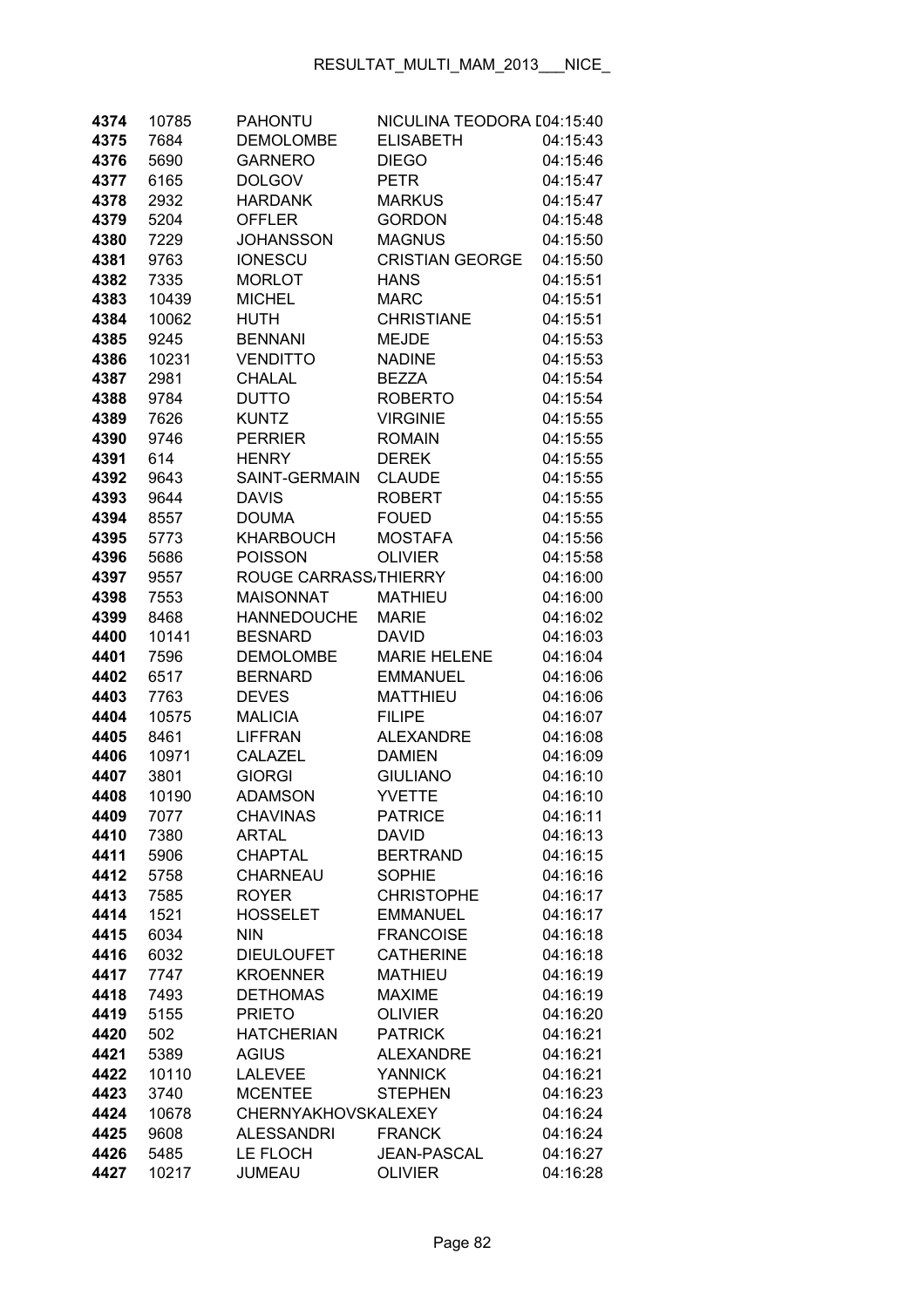| 4374         | 10785        | <b>PAHONTU</b>                | NICULINA TEODORA [04:15:40          |                      |
|--------------|--------------|-------------------------------|-------------------------------------|----------------------|
| 4375         | 7684         | <b>DEMOLOMBE</b>              | <b>ELISABETH</b>                    | 04:15:43             |
| 4376         | 5690         | <b>GARNERO</b>                | <b>DIEGO</b>                        | 04:15:46             |
| 4377         | 6165         | <b>DOLGOV</b>                 | <b>PETR</b>                         | 04:15:47             |
| 4378         | 2932         | <b>HARDANK</b>                | <b>MARKUS</b>                       | 04:15:47             |
| 4379         | 5204         | <b>OFFLER</b>                 | <b>GORDON</b>                       | 04:15:48             |
| 4380         | 7229         | <b>JOHANSSON</b>              | <b>MAGNUS</b>                       | 04:15:50             |
| 4381         | 9763         | <b>IONESCU</b>                | <b>CRISTIAN GEORGE</b>              | 04:15:50             |
| 4382         | 7335         | <b>MORLOT</b>                 | <b>HANS</b>                         | 04:15:51             |
| 4383         | 10439        | <b>MICHEL</b>                 | <b>MARC</b>                         | 04:15:51             |
| 4384         | 10062        | <b>HUTH</b>                   | <b>CHRISTIANE</b>                   | 04:15:51             |
| 4385         | 9245         | <b>BENNANI</b>                | <b>MEJDE</b>                        | 04:15:53             |
| 4386         | 10231        | <b>VENDITTO</b>               | <b>NADINE</b>                       | 04:15:53             |
| 4387         | 2981         | <b>CHALAL</b>                 | <b>BEZZA</b>                        | 04:15:54             |
| 4388         | 9784         | <b>DUTTO</b>                  | <b>ROBERTO</b>                      | 04:15:54             |
| 4389         | 7626         | <b>KUNTZ</b>                  | <b>VIRGINIE</b>                     | 04:15:55             |
| 4390         | 9746         | <b>PERRIER</b>                | <b>ROMAIN</b>                       | 04:15:55             |
| 4391         | 614          | <b>HENRY</b>                  | <b>DEREK</b>                        | 04:15:55             |
| 4392         | 9643         | SAINT-GERMAIN                 | <b>CLAUDE</b>                       | 04:15:55             |
| 4393         | 9644         | <b>DAVIS</b>                  | <b>ROBERT</b>                       | 04:15:55             |
| 4394         | 8557         | <b>DOUMA</b>                  | <b>FOUED</b>                        | 04:15:55             |
| 4395         | 5773         | <b>KHARBOUCH</b>              | <b>MOSTAFA</b>                      | 04:15:56             |
| 4396         | 5686         | <b>POISSON</b>                | <b>OLIVIER</b>                      | 04:15:58             |
| 4397         | 9557         | ROUGE CARRASS, THIERRY        |                                     | 04:16:00             |
| 4398         | 7553         | <b>MAISONNAT</b>              | <b>MATHIEU</b>                      | 04:16:00             |
| 4399         | 8468         | <b>HANNEDOUCHE</b>            | <b>MARIE</b>                        | 04:16:02             |
| 4400         | 10141        | <b>BESNARD</b>                | <b>DAVID</b>                        | 04:16:03             |
| 4401         | 7596         | <b>DEMOLOMBE</b>              | <b>MARIE HELENE</b>                 | 04:16:04             |
| 4402         | 6517         | <b>BERNARD</b>                | <b>EMMANUEL</b>                     | 04:16:06             |
| 4403         | 7763         | <b>DEVES</b>                  | <b>MATTHIEU</b>                     | 04:16:06             |
| 4404         | 10575        | <b>MALICIA</b>                | <b>FILIPE</b>                       | 04:16:07             |
| 4405         | 8461         | <b>LIFFRAN</b>                | <b>ALEXANDRE</b>                    | 04:16:08             |
| 4406         | 10971        | CALAZEL                       | <b>DAMIEN</b>                       | 04:16:09             |
| 4407         | 3801         | <b>GIORGI</b>                 | <b>GIULIANO</b>                     | 04:16:10             |
| 4408         | 10190        | <b>ADAMSON</b>                | <b>YVETTE</b>                       | 04:16:10             |
| 4409         | 7077         | <b>CHAVINAS</b>               | <b>PATRICE</b>                      | 04:16:11             |
| 4410         | 7380         | <b>ARTAL</b>                  | <b>DAVID</b>                        | 04:16:13             |
| 4411         | 5906         | <b>CHAPTAL</b>                | <b>BERTRAND</b>                     | 04:16:15             |
| 4412         | 5758         | CHARNEAU                      | <b>SOPHIE</b>                       | 04:16:16             |
| 4413         | 7585         | <b>ROYER</b>                  | <b>CHRISTOPHE</b>                   | 04:16:17             |
| 4414<br>4415 | 1521         | <b>HOSSELET</b><br><b>NIN</b> | <b>EMMANUEL</b><br><b>FRANCOISE</b> | 04:16:17             |
| 4416         | 6034<br>6032 | <b>DIEULOUFET</b>             | <b>CATHERINE</b>                    | 04:16:18<br>04:16:18 |
| 4417         | 7747         | <b>KROENNER</b>               | <b>MATHIEU</b>                      | 04:16:19             |
| 4418         | 7493         | <b>DETHOMAS</b>               | <b>MAXIME</b>                       | 04:16:19             |
| 4419         | 5155         | <b>PRIETO</b>                 | <b>OLIVIER</b>                      | 04:16:20             |
| 4420         | 502          | <b>HATCHERIAN</b>             | <b>PATRICK</b>                      | 04:16:21             |
| 4421         | 5389         | <b>AGIUS</b>                  | <b>ALEXANDRE</b>                    | 04:16:21             |
| 4422         | 10110        | <b>LALEVEE</b>                | <b>YANNICK</b>                      | 04:16:21             |
| 4423         | 3740         | <b>MCENTEE</b>                | <b>STEPHEN</b>                      | 04:16:23             |
| 4424         | 10678        | <b>CHERNYAKHOVSKALEXEY</b>    |                                     | 04:16:24             |
| 4425         | 9608         | <b>ALESSANDRI</b>             | <b>FRANCK</b>                       | 04:16:24             |
| 4426         | 5485         | LE FLOCH                      | <b>JEAN-PASCAL</b>                  | 04:16:27             |
| 4427         | 10217        | <b>JUMEAU</b>                 | <b>OLIVIER</b>                      | 04:16:28             |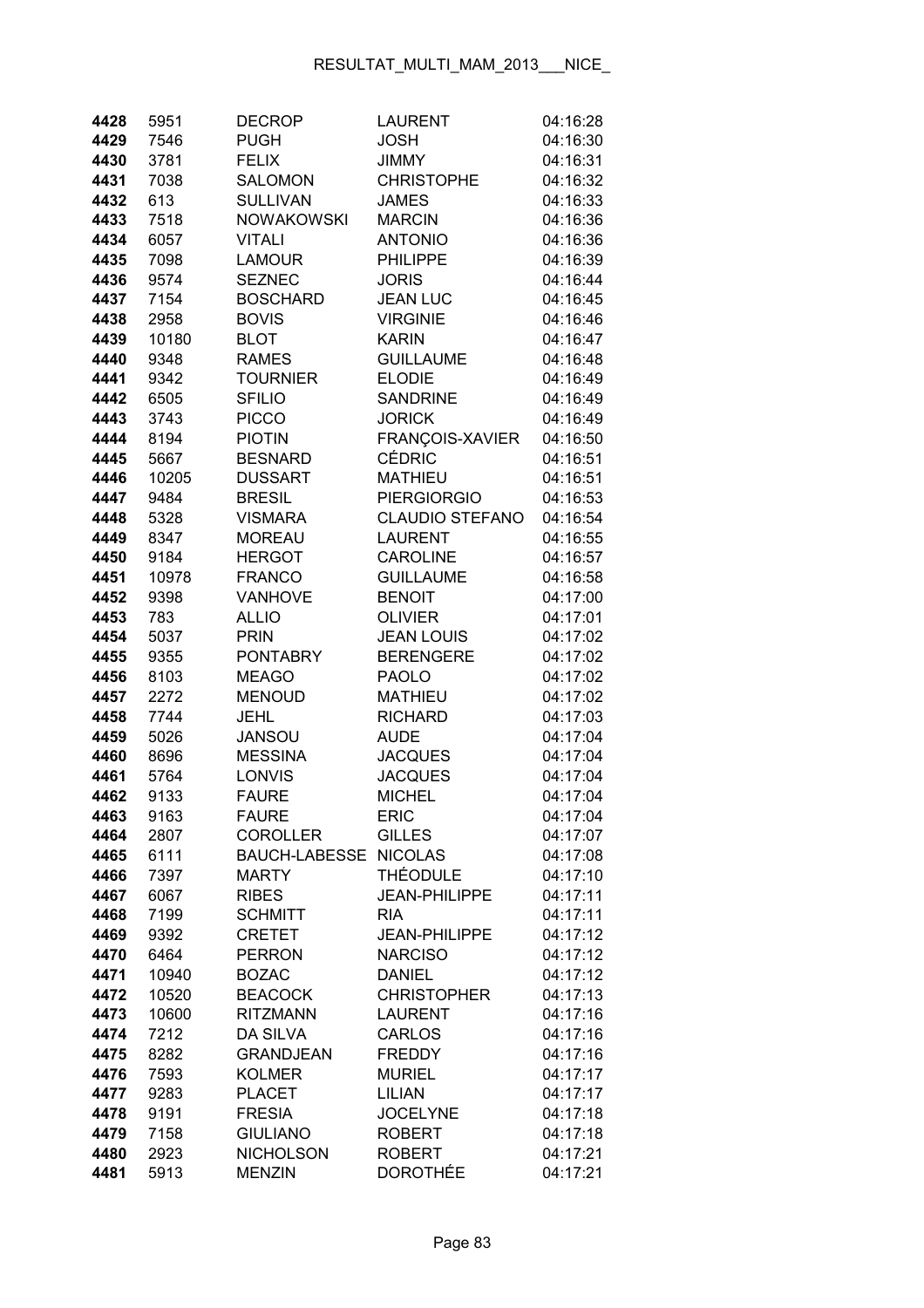| 4428         | 5951         | <b>DECROP</b>                  | <b>LAURENT</b>                   | 04:16:28             |
|--------------|--------------|--------------------------------|----------------------------------|----------------------|
| 4429         | 7546         | <b>PUGH</b>                    | <b>JOSH</b>                      | 04:16:30             |
| 4430         | 3781         | <b>FELIX</b>                   | <b>JIMMY</b>                     | 04:16:31             |
| 4431         | 7038         | <b>SALOMON</b>                 | <b>CHRISTOPHE</b>                | 04:16:32             |
| 4432         | 613          | <b>SULLIVAN</b>                | <b>JAMES</b>                     | 04:16:33             |
| 4433         | 7518         | <b>NOWAKOWSKI</b>              | <b>MARCIN</b>                    | 04:16:36             |
| 4434         | 6057         | <b>VITALI</b>                  | <b>ANTONIO</b>                   | 04:16:36             |
| 4435         | 7098         | <b>LAMOUR</b>                  | <b>PHILIPPE</b>                  | 04:16:39             |
| 4436         | 9574         | <b>SEZNEC</b>                  | <b>JORIS</b>                     | 04:16:44             |
| 4437         | 7154         | <b>BOSCHARD</b>                | <b>JEAN LUC</b>                  | 04:16:45             |
| 4438         | 2958         | <b>BOVIS</b>                   | <b>VIRGINIE</b>                  | 04:16:46             |
| 4439         | 10180        | <b>BLOT</b>                    | <b>KARIN</b>                     | 04:16:47             |
| 4440         | 9348         | <b>RAMES</b>                   | <b>GUILLAUME</b>                 | 04:16:48             |
| 4441         | 9342         | <b>TOURNIER</b>                | <b>ELODIE</b>                    | 04:16:49             |
| 4442         | 6505         | <b>SFILIO</b>                  | <b>SANDRINE</b>                  | 04:16:49             |
| 4443         | 3743         | <b>PICCO</b>                   | <b>JORICK</b>                    | 04:16:49             |
| 4444         | 8194         | <b>PIOTIN</b>                  | FRANÇOIS-XAVIER                  | 04:16:50             |
| 4445         | 5667         | <b>BESNARD</b>                 | <b>CÉDRIC</b>                    | 04:16:51             |
| 4446         | 10205        | <b>DUSSART</b>                 | <b>MATHIEU</b>                   | 04:16:51             |
| 4447         | 9484         | <b>BRESIL</b>                  | <b>PIERGIORGIO</b>               | 04:16:53             |
| 4448         | 5328         | <b>VISMARA</b>                 | <b>CLAUDIO STEFANO</b>           | 04:16:54             |
| 4449         | 8347         | <b>MOREAU</b>                  | <b>LAURENT</b>                   | 04:16:55             |
| 4450         | 9184         | <b>HERGOT</b>                  | <b>CAROLINE</b>                  | 04:16:57             |
| 4451         | 10978        | <b>FRANCO</b>                  | <b>GUILLAUME</b>                 | 04:16:58             |
| 4452         | 9398         | <b>VANHOVE</b>                 | <b>BENOIT</b>                    | 04:17:00             |
| 4453         | 783          | <b>ALLIO</b>                   | <b>OLIVIER</b>                   | 04:17:01             |
| 4454         | 5037         | <b>PRIN</b>                    | <b>JEAN LOUIS</b>                | 04:17:02             |
| 4455         | 9355         | <b>PONTABRY</b>                | <b>BERENGERE</b>                 | 04:17:02             |
| 4456         | 8103         | <b>MEAGO</b>                   | <b>PAOLO</b>                     | 04:17:02             |
| 4457         | 2272         | <b>MENOUD</b>                  | <b>MATHIEU</b>                   | 04:17:02             |
| 4458         | 7744         | <b>JEHL</b>                    | <b>RICHARD</b>                   | 04:17:03             |
| 4459         | 5026         | <b>JANSOU</b>                  | <b>AUDE</b>                      | 04:17:04             |
| 4460         | 8696         | <b>MESSINA</b>                 | <b>JACQUES</b>                   | 04:17:04             |
| 4461         | 5764         | LONVIS                         | <b>JACQUES</b>                   | 04:17:04             |
| 4462         | 9133         | <b>FAURE</b>                   | <b>MICHEL</b>                    | 04:17:04             |
| 4463         | 9163         | <b>FAURE</b>                   | ERIC                             | 04:17:04             |
| 4464         | 2807         | <b>COROLLER</b>                | <b>GILLES</b>                    | 04:17:07             |
| 4465         | 6111         | <b>BAUCH-LABESSE</b>           | <b>NICOLAS</b>                   | 04:17:08             |
| 4466         | 7397         | <b>MARTY</b>                   | <b>THÉODULE</b><br>JEAN-PHILIPPE | 04:17:10             |
| 4467         | 6067         | <b>RIBES</b><br><b>SCHMITT</b> | <b>RIA</b>                       | 04:17:11<br>04:17:11 |
| 4468<br>4469 | 7199<br>9392 | <b>CRETET</b>                  | <b>JEAN-PHILIPPE</b>             | 04:17:12             |
| 4470         | 6464         | <b>PERRON</b>                  | <b>NARCISO</b>                   | 04:17:12             |
| 4471         | 10940        | <b>BOZAC</b>                   | <b>DANIEL</b>                    | 04:17:12             |
| 4472         | 10520        | <b>BEACOCK</b>                 | <b>CHRISTOPHER</b>               | 04:17:13             |
| 4473         | 10600        | <b>RITZMANN</b>                | <b>LAURENT</b>                   | 04:17:16             |
| 4474         | 7212         | <b>DA SILVA</b>                | <b>CARLOS</b>                    | 04:17:16             |
| 4475         | 8282         | <b>GRANDJEAN</b>               | <b>FREDDY</b>                    | 04:17:16             |
| 4476         | 7593         | <b>KOLMER</b>                  | <b>MURIEL</b>                    | 04:17:17             |
| 4477         | 9283         | <b>PLACET</b>                  | <b>LILIAN</b>                    | 04:17:17             |
| 4478         | 9191         | <b>FRESIA</b>                  | <b>JOCELYNE</b>                  | 04:17:18             |
| 4479         | 7158         | <b>GIULIANO</b>                | <b>ROBERT</b>                    | 04:17:18             |
| 4480         | 2923         | <b>NICHOLSON</b>               | <b>ROBERT</b>                    | 04:17:21             |
| 4481         | 5913         | <b>MENZIN</b>                  | <b>DOROTHÉE</b>                  | 04:17:21             |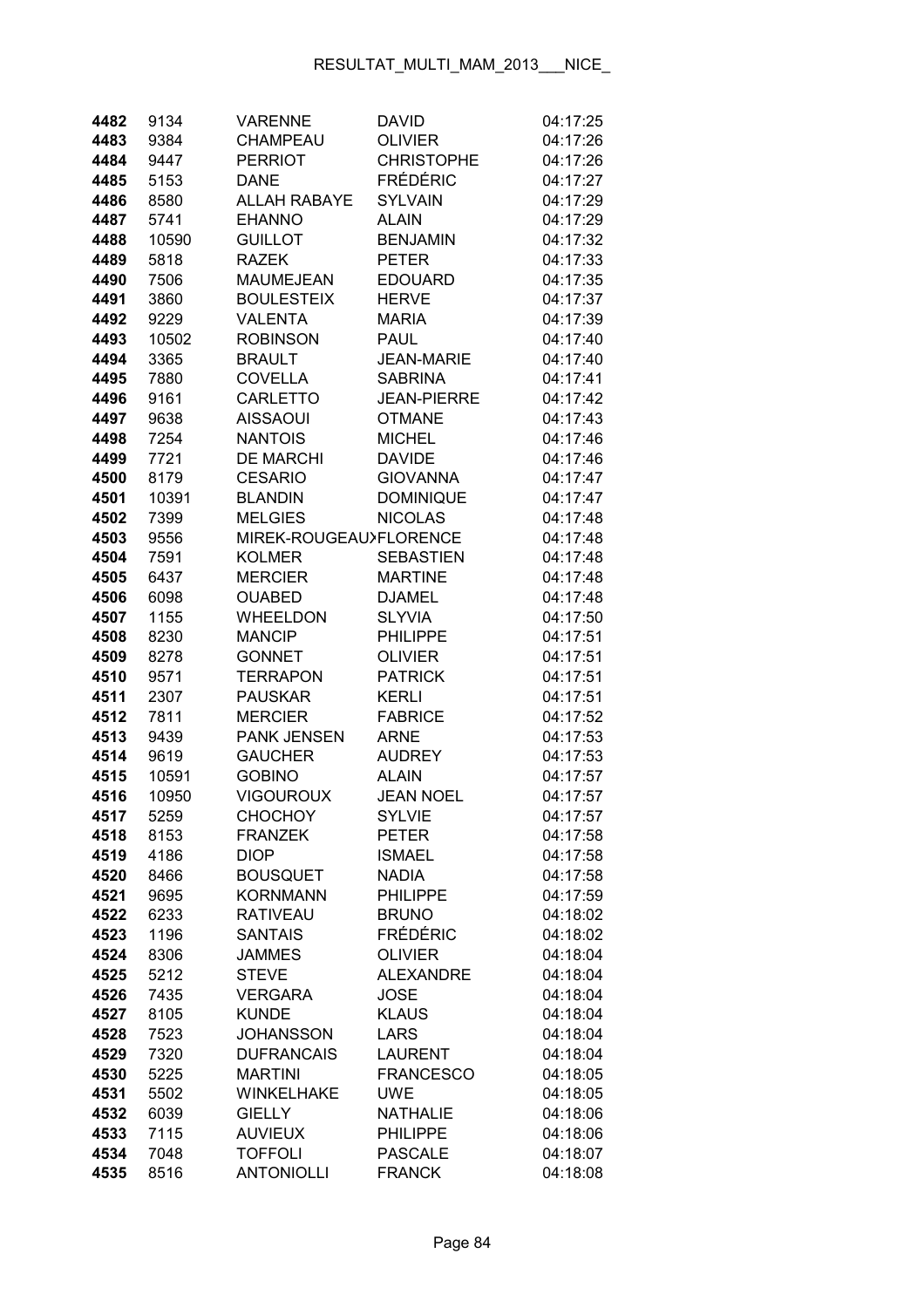| 4482         | 9134         | <b>VARENNE</b>                 | David                       | 04:17:25             |
|--------------|--------------|--------------------------------|-----------------------------|----------------------|
| 4483         | 9384         | CHAMPEAU                       | <b>OLIVIER</b>              | 04:17:26             |
| 4484         | 9447         | <b>PERRIOT</b>                 | <b>CHRISTOPHE</b>           | 04:17:26             |
| 4485         | 5153         | <b>DANE</b>                    | <b>FRÉDÉRIC</b>             | 04:17:27             |
| 4486         | 8580         | <b>ALLAH RABAYE</b>            | <b>SYLVAIN</b>              | 04:17:29             |
| 4487         | 5741         | <b>EHANNO</b>                  | <b>ALAIN</b>                | 04:17:29             |
| 4488         | 10590        | <b>GUILLOT</b>                 | <b>BENJAMIN</b>             | 04:17:32             |
| 4489         | 5818         | <b>RAZEK</b>                   | <b>PETER</b>                | 04:17:33             |
| 4490         | 7506         | <b>MAUMEJEAN</b>               | <b>EDOUARD</b>              | 04:17:35             |
| 4491         | 3860         | <b>BOULESTEIX</b>              | <b>HERVE</b>                | 04:17:37             |
| 4492         | 9229         | <b>VALENTA</b>                 | <b>MARIA</b>                | 04:17:39             |
| 4493         | 10502        | <b>ROBINSON</b>                | <b>PAUL</b>                 | 04:17:40             |
| 4494         | 3365         | <b>BRAULT</b>                  | <b>JEAN-MARIE</b>           | 04:17:40             |
| 4495         | 7880         | <b>COVELLA</b>                 | <b>SABRINA</b>              | 04:17:41             |
| 4496         | 9161         | <b>CARLETTO</b>                | <b>JEAN-PIERRE</b>          | 04:17:42             |
| 4497         | 9638         | <b>AISSAOUI</b>                | <b>OTMANE</b>               | 04:17:43             |
| 4498         | 7254         | <b>NANTOIS</b>                 | <b>MICHEL</b>               | 04:17:46             |
| 4499         | 7721         | <b>DE MARCHI</b>               | <b>DAVIDE</b>               | 04:17:46             |
| 4500         | 8179         | <b>CESARIO</b>                 | <b>GIOVANNA</b>             | 04:17:47             |
| 4501         | 10391        | <b>BLANDIN</b>                 | <b>DOMINIQUE</b>            | 04:17:47             |
| 4502         | 7399         | <b>MELGIES</b>                 | <b>NICOLAS</b>              | 04:17:48             |
| 4503         | 9556         | MIREK-ROUGEAU>FLORENCE         |                             | 04:17:48             |
| 4504         | 7591         | <b>KOLMER</b>                  | <b>SEBASTIEN</b>            | 04:17:48             |
| 4505         | 6437         | <b>MERCIER</b>                 | <b>MARTINE</b>              | 04:17:48             |
| 4506         | 6098         | <b>OUABED</b>                  | <b>DJAMEL</b>               | 04:17:48             |
| 4507         | 1155         | <b>WHEELDON</b>                | <b>SLYVIA</b>               | 04:17:50             |
| 4508         | 8230         | <b>MANCIP</b>                  | <b>PHILIPPE</b>             | 04:17:51             |
| 4509         | 8278         | <b>GONNET</b>                  | <b>OLIVIER</b>              | 04:17:51             |
| 4510         | 9571         | <b>TERRAPON</b>                | <b>PATRICK</b>              | 04:17:51             |
| 4511         | 2307         | <b>PAUSKAR</b>                 | KERLI                       | 04:17:51             |
| 4512         | 7811         | <b>MERCIER</b>                 | <b>FABRICE</b>              | 04:17:52             |
| 4513         | 9439         | <b>PANK JENSEN</b>             | <b>ARNE</b>                 | 04:17:53             |
| 4514         | 9619         | <b>GAUCHER</b>                 | <b>AUDREY</b>               | 04:17:53             |
| 4515         | 10591        | <b>GOBINO</b>                  | <b>ALAIN</b>                | 04:17:57             |
| 4516         | 10950        | <b>VIGOUROUX</b>               | <b>JEAN NOEL</b>            | 04:17:57             |
| 4517         | 5259         | <b>CHOCHOY</b>                 | <b>SYLVIE</b>               | 04:17:57             |
| 4518         | 8153         | <b>FRANZEK</b>                 | <b>PETER</b>                | 04:17:58             |
| 4519         | 4186         | <b>DIOP</b>                    | <b>ISMAEL</b>               | 04:17:58             |
| 4520         | 8466         | <b>BOUSQUET</b>                | <b>NADIA</b>                | 04:17:58             |
| 4521         | 9695         | <b>KORNMANN</b>                | <b>PHILIPPE</b>             | 04:17:59             |
| 4522         | 6233         | <b>RATIVEAU</b>                | <b>BRUNO</b>                | 04:18:02             |
| 4523         | 1196         | <b>SANTAIS</b>                 | FRÉDÉRIC                    | 04:18:02             |
| 4524         | 8306         | <b>JAMMES</b>                  | <b>OLIVIER</b>              | 04:18:04             |
| 4525         | 5212         | <b>STEVE</b>                   | <b>ALEXANDRE</b>            | 04:18:04             |
| 4526<br>4527 | 7435<br>8105 | <b>VERGARA</b><br><b>KUNDE</b> | <b>JOSE</b><br><b>KLAUS</b> | 04:18:04<br>04:18:04 |
| 4528         | 7523         | <b>JOHANSSON</b>               | <b>LARS</b>                 | 04:18:04             |
| 4529         | 7320         | <b>DUFRANCAIS</b>              | <b>LAURENT</b>              | 04:18:04             |
| 4530         | 5225         | <b>MARTINI</b>                 | <b>FRANCESCO</b>            | 04:18:05             |
| 4531         | 5502         | WINKELHAKE                     | <b>UWE</b>                  | 04:18:05             |
| 4532         | 6039         | <b>GIELLY</b>                  | <b>NATHALIE</b>             | 04:18:06             |
| 4533         | 7115         | <b>AUVIEUX</b>                 | <b>PHILIPPE</b>             | 04:18:06             |
| 4534         | 7048         | <b>TOFFOLI</b>                 | <b>PASCALE</b>              | 04:18:07             |
| 4535         | 8516         | <b>ANTONIOLLI</b>              | <b>FRANCK</b>               | 04:18:08             |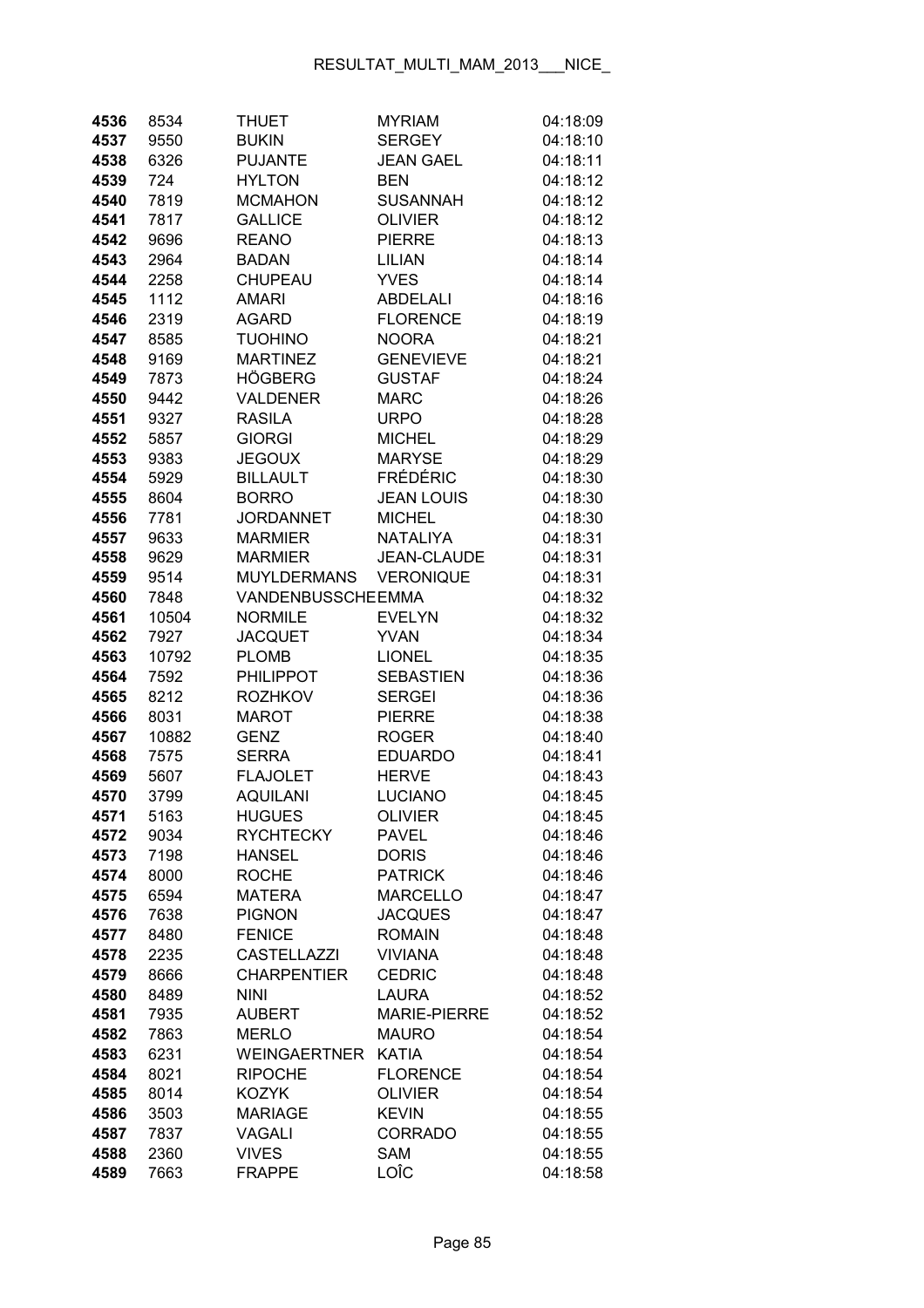| 4536         | 8534         | THUET                               | <b>MYRIAM</b>                       | 04:18:09             |
|--------------|--------------|-------------------------------------|-------------------------------------|----------------------|
| 4537         | 9550         | <b>BUKIN</b>                        | <b>SERGEY</b>                       | 04:18:10             |
| 4538         | 6326         | <b>PUJANTE</b>                      | <b>JEAN GAEL</b>                    | 04:18:11             |
| 4539         | 724          | <b>HYLTON</b>                       | <b>BEN</b>                          | 04:18:12             |
| 4540         | 7819         | <b>MCMAHON</b>                      | <b>SUSANNAH</b>                     | 04:18:12             |
| 4541         | 7817         | <b>GALLICE</b>                      | <b>OLIVIER</b>                      | 04:18:12             |
| 4542         | 9696         | <b>REANO</b>                        | <b>PIERRE</b>                       | 04:18:13             |
| 4543         | 2964         | <b>BADAN</b>                        | <b>LILIAN</b>                       | 04:18:14             |
| 4544         | 2258         | CHUPEAU                             | <b>YVES</b>                         | 04:18:14             |
| 4545         | 1112         | AMARI                               | <b>ABDELALI</b>                     | 04:18:16             |
| 4546         | 2319         | <b>AGARD</b>                        | <b>FLORENCE</b>                     | 04:18:19             |
| 4547         | 8585         | <b>TUOHINO</b>                      | <b>NOORA</b>                        | 04:18:21             |
| 4548         | 9169         | <b>MARTINEZ</b>                     | <b>GENEVIEVE</b>                    | 04:18:21             |
| 4549         | 7873         | HÖGBERG                             | <b>GUSTAF</b>                       | 04:18:24             |
| 4550         | 9442         | VALDENER                            | <b>MARC</b>                         | 04:18:26             |
| 4551         | 9327         | <b>RASILA</b>                       | <b>URPO</b>                         | 04:18:28             |
| 4552         | 5857         | <b>GIORGI</b>                       | <b>MICHEL</b>                       | 04:18:29             |
| 4553         | 9383         | <b>JEGOUX</b>                       | <b>MARYSE</b>                       | 04:18:29             |
| 4554         | 5929         | <b>BILLAULT</b>                     | <b>FRÉDÉRIC</b>                     | 04:18:30             |
| 4555         | 8604         | <b>BORRO</b>                        | <b>JEAN LOUIS</b>                   | 04:18:30             |
| 4556         | 7781         | <b>JORDANNET</b>                    | <b>MICHEL</b>                       | 04:18:30             |
| 4557         | 9633         | <b>MARMIER</b>                      | <b>NATALIYA</b>                     | 04:18:31             |
| 4558         | 9629         | <b>MARMIER</b>                      | <b>JEAN-CLAUDE</b>                  | 04:18:31             |
| 4559         | 9514         | <b>MUYLDERMANS</b>                  | <b>VERONIQUE</b>                    | 04:18:31             |
| 4560         | 7848         | <b>VANDENBUSSCHEEMMA</b>            |                                     | 04:18:32             |
| 4561         | 10504        | <b>NORMILE</b>                      | <b>EVELYN</b>                       | 04:18:32             |
| 4562         | 7927         | <b>JACQUET</b>                      | <b>YVAN</b>                         | 04:18:34             |
| 4563         | 10792        | <b>PLOMB</b>                        | <b>LIONEL</b>                       | 04:18:35             |
| 4564         | 7592         | <b>PHILIPPOT</b>                    | <b>SEBASTIEN</b>                    | 04:18:36             |
| 4565         | 8212         | <b>ROZHKOV</b>                      | <b>SERGEI</b>                       | 04:18:36             |
| 4566         | 8031         | <b>MAROT</b>                        | <b>PIERRE</b>                       | 04:18:38             |
| 4567         | 10882        | <b>GENZ</b>                         | <b>ROGER</b>                        | 04:18:40             |
| 4568         | 7575         | <b>SERRA</b>                        | <b>EDUARDO</b>                      | 04:18:41             |
| 4569         | 5607         | <b>FLAJOLET</b>                     | <b>HERVE</b>                        | 04:18:43             |
| 4570         | 3799         | <b>AQUILANI</b>                     | <b>LUCIANO</b>                      | 04:18:45             |
| 4571         | 5163         | <b>HUGUES</b>                       | OLIVIER                             | 04:18:45             |
| 4572         | 9034         | <b>RYCHTECKY</b>                    | <b>PAVEL</b>                        | 04:18:46             |
| 4573         | 7198         | <b>HANSEL</b>                       | <b>DORIS</b>                        | 04:18:46             |
| 4574         | 8000         | <b>ROCHE</b>                        | <b>PATRICK</b>                      | 04:18:46             |
| 4575         | 6594         | MATERA                              | <b>MARCELLO</b>                     | 04:18:47             |
| 4576         | 7638         | <b>PIGNON</b>                       | <b>JACQUES</b>                      | 04:18:47             |
| 4577         | 8480         | <b>FENICE</b>                       | <b>ROMAIN</b>                       | 04:18:48             |
| 4578         | 2235         | <b>CASTELLAZZI</b>                  | <b>VIVIANA</b>                      | 04:18:48             |
| 4579         | 8666         | <b>CHARPENTIER</b>                  | <b>CEDRIC</b>                       | 04:18:48             |
| 4580         | 8489         | <b>NINI</b><br><b>AUBERT</b>        | <b>LAURA</b><br><b>MARIE-PIERRE</b> | 04:18:52             |
| 4581         | 7935         |                                     |                                     | 04:18:52             |
| 4582<br>4583 | 7863<br>6231 | <b>MERLO</b><br><b>WEINGAERTNER</b> | <b>MAURO</b><br><b>KATIA</b>        | 04:18:54<br>04:18:54 |
| 4584         | 8021         | <b>RIPOCHE</b>                      | <b>FLORENCE</b>                     | 04:18:54             |
| 4585         | 8014         | <b>KOZYK</b>                        | <b>OLIVIER</b>                      | 04:18:54             |
| 4586         | 3503         | <b>MARIAGE</b>                      | <b>KEVIN</b>                        | 04:18:55             |
| 4587         | 7837         | <b>VAGALI</b>                       | <b>CORRADO</b>                      | 04:18:55             |
| 4588         | 2360         | <b>VIVES</b>                        | <b>SAM</b>                          | 04:18:55             |
| 4589         | 7663         | <b>FRAPPE</b>                       | LOÎC                                | 04:18:58             |
|              |              |                                     |                                     |                      |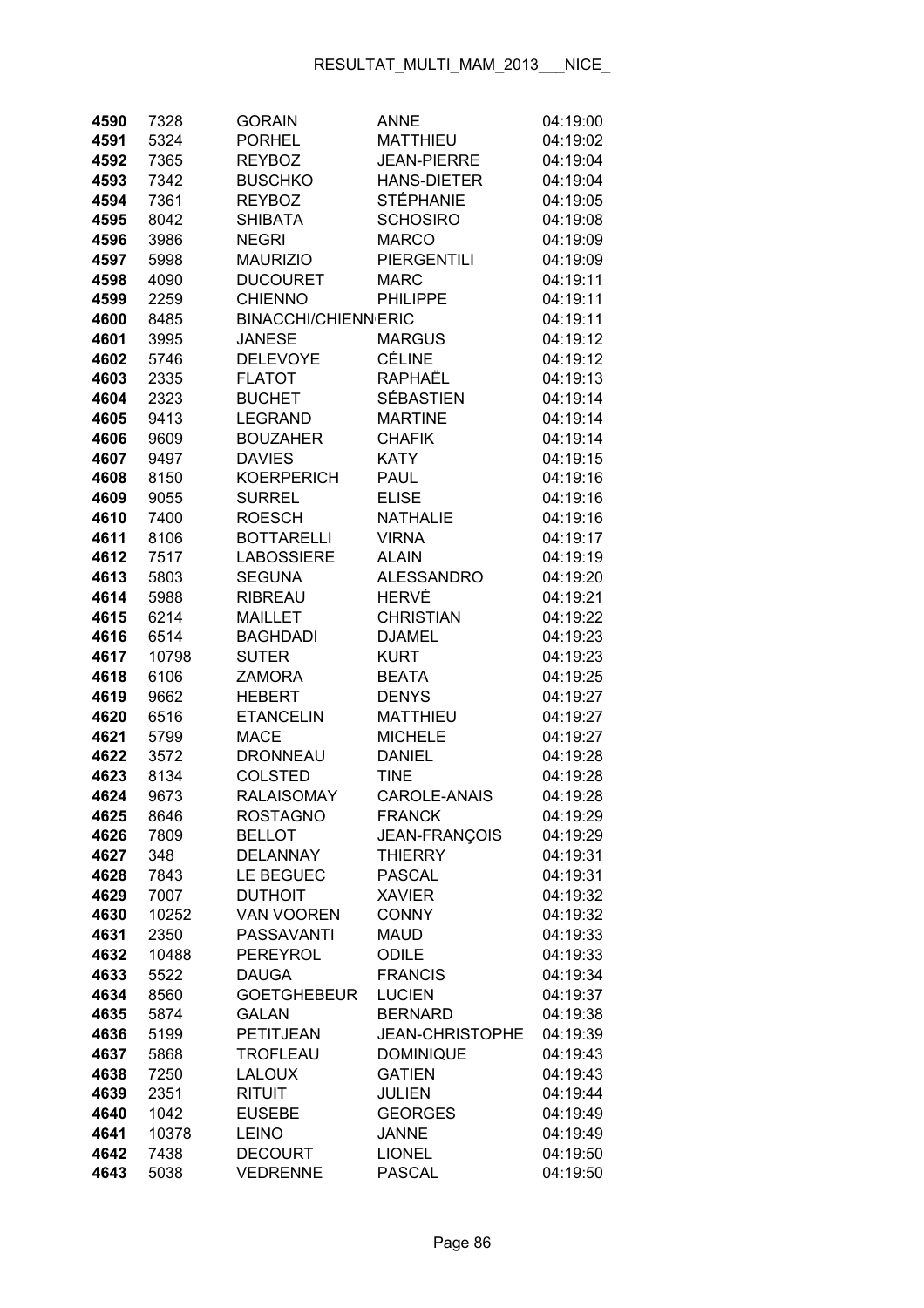| 4590         | 7328         | <b>GORAIN</b>               | <b>ANNE</b>                    | 04:19:00             |
|--------------|--------------|-----------------------------|--------------------------------|----------------------|
| 4591         | 5324         | <b>PORHEL</b>               | <b>MATTHIEU</b>                | 04:19:02             |
| 4592         | 7365         | <b>REYBOZ</b>               | <b>JEAN-PIERRE</b>             | 04:19:04             |
| 4593         | 7342         | <b>BUSCHKO</b>              | <b>HANS-DIETER</b>             | 04:19:04             |
| 4594         | 7361         | <b>REYBOZ</b>               | STÉPHANIE                      | 04:19:05             |
| 4595         | 8042         | <b>SHIBATA</b>              | <b>SCHOSIRO</b>                | 04:19:08             |
| 4596         | 3986         | <b>NEGRI</b>                | <b>MARCO</b>                   | 04:19:09             |
| 4597         | 5998         | <b>MAURIZIO</b>             | <b>PIERGENTILI</b>             | 04:19:09             |
| 4598         | 4090         | <b>DUCOURET</b>             | <b>MARC</b>                    | 04:19:11             |
| 4599         | 2259         | <b>CHIENNO</b>              | <b>PHILIPPE</b>                | 04:19:11             |
| 4600         | 8485         | <b>BINACCHI/CHIENN ERIC</b> |                                | 04:19:11             |
| 4601         | 3995         | <b>JANESE</b>               | <b>MARGUS</b>                  | 04:19:12             |
| 4602         | 5746         | <b>DELEVOYE</b>             | <b>CÉLINE</b>                  | 04:19:12             |
| 4603         | 2335         | <b>FLATOT</b>               | RAPHAËL                        | 04:19:13             |
| 4604         | 2323         | <b>BUCHET</b>               | SÉBASTIEN                      | 04:19:14             |
| 4605         | 9413         | <b>LEGRAND</b>              | <b>MARTINE</b>                 | 04:19:14             |
| 4606         | 9609         | <b>BOUZAHER</b>             | <b>CHAFIK</b>                  | 04:19:14             |
| 4607         | 9497         | <b>DAVIES</b>               | <b>KATY</b>                    | 04:19:15             |
| 4608         | 8150         | <b>KOERPERICH</b>           | <b>PAUL</b>                    | 04:19:16             |
| 4609         | 9055         | <b>SURREL</b>               | <b>ELISE</b>                   | 04:19:16             |
| 4610         | 7400         | <b>ROESCH</b>               | <b>NATHALIE</b>                | 04:19:16             |
| 4611         | 8106         | <b>BOTTARELLI</b>           | <b>VIRNA</b>                   | 04:19:17             |
| 4612         | 7517         | <b>LABOSSIERE</b>           | <b>ALAIN</b>                   | 04:19:19             |
| 4613         | 5803         | <b>SEGUNA</b>               | <b>ALESSANDRO</b>              | 04:19:20             |
| 4614         | 5988         | <b>RIBREAU</b>              | <b>HERVÉ</b>                   | 04:19:21             |
| 4615         | 6214         | <b>MAILLET</b>              | <b>CHRISTIAN</b>               | 04:19:22             |
| 4616         | 6514         | <b>BAGHDADI</b>             | <b>DJAMEL</b>                  | 04:19:23             |
| 4617         | 10798        | <b>SUTER</b>                | <b>KURT</b>                    | 04:19:23             |
| 4618         | 6106         | <b>ZAMORA</b>               | <b>BEATA</b>                   | 04:19:25             |
| 4619         | 9662         | <b>HEBERT</b>               | <b>DENYS</b>                   | 04:19:27             |
| 4620         | 6516         | <b>ETANCELIN</b>            | <b>MATTHIEU</b>                | 04:19:27             |
| 4621         | 5799         | <b>MACE</b>                 | <b>MICHELE</b>                 | 04:19:27             |
| 4622         | 3572         | <b>DRONNEAU</b>             | <b>DANIEL</b>                  | 04:19:28             |
| 4623         | 8134         | <b>COLSTED</b>              | <b>TINE</b>                    | 04:19:28             |
| 4624         | 9673         | <b>RALAISOMAY</b>           | <b>CAROLE-ANAIS</b>            | 04:19:28             |
| 4625         | 8646         | <b>ROSTAGNO</b>             | <b>FRANCK</b>                  | 04:19:29             |
| 4626         | 7809         | <b>BELLOT</b>               | JEAN-FRANÇOIS                  | 04:19:29             |
| 4627         | 348          | <b>DELANNAY</b>             | <b>THIERRY</b>                 | 04:19:31             |
| 4628         | 7843<br>7007 | LE BEGUEC<br><b>DUTHOIT</b> | <b>PASCAL</b><br><b>XAVIER</b> | 04:19:31<br>04:19:32 |
| 4629<br>4630 | 10252        | <b>VAN VOOREN</b>           | <b>CONNY</b>                   | 04:19:32             |
| 4631         | 2350         | <b>PASSAVANTI</b>           | <b>MAUD</b>                    | 04:19:33             |
| 4632         | 10488        | <b>PEREYROL</b>             | <b>ODILE</b>                   | 04:19:33             |
| 4633         | 5522         | <b>DAUGA</b>                | <b>FRANCIS</b>                 | 04:19:34             |
| 4634         | 8560         | <b>GOETGHEBEUR</b>          | <b>LUCIEN</b>                  | 04:19:37             |
| 4635         | 5874         | <b>GALAN</b>                | <b>BERNARD</b>                 | 04:19:38             |
| 4636         | 5199         | PETITJEAN                   | JEAN-CHRISTOPHE                | 04:19:39             |
| 4637         | 5868         | <b>TROFLEAU</b>             | <b>DOMINIQUE</b>               | 04:19:43             |
| 4638         | 7250         | <b>LALOUX</b>               | <b>GATIEN</b>                  | 04:19:43             |
| 4639         | 2351         | <b>RITUIT</b>               | <b>JULIEN</b>                  | 04:19:44             |
| 4640         | 1042         | <b>EUSEBE</b>               | <b>GEORGES</b>                 | 04:19:49             |
| 4641         | 10378        | <b>LEINO</b>                | <b>JANNE</b>                   | 04:19:49             |
| 4642         | 7438         | <b>DECOURT</b>              | <b>LIONEL</b>                  | 04:19:50             |
| 4643         | 5038         | <b>VEDRENNE</b>             | <b>PASCAL</b>                  | 04:19:50             |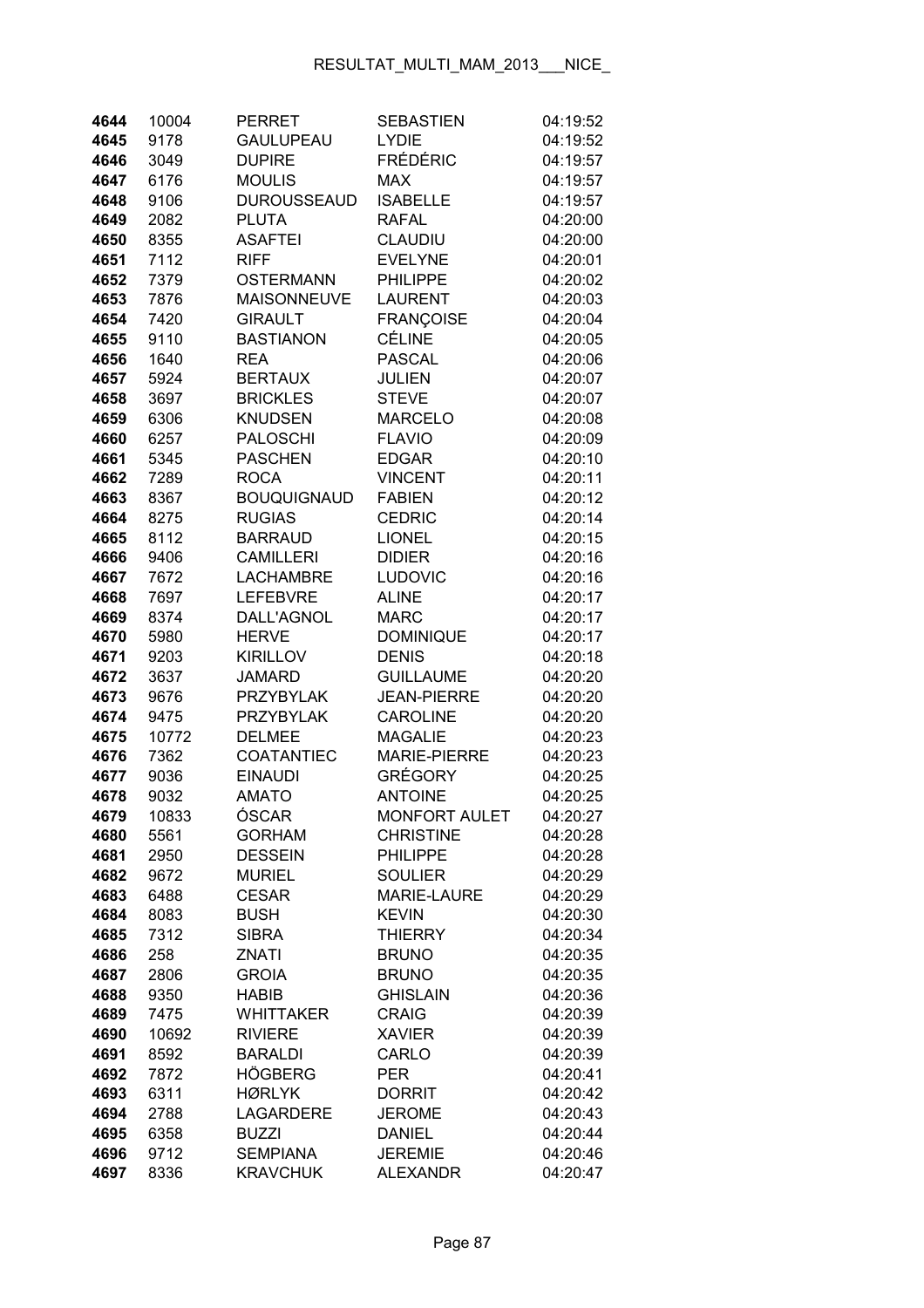| 4644         | 10004        | <b>PERRET</b>               | <b>SEBASTIEN</b>                   | 04:19:52             |
|--------------|--------------|-----------------------------|------------------------------------|----------------------|
| 4645         | 9178         | <b>GAULUPEAU</b>            | <b>LYDIE</b>                       | 04:19:52             |
| 4646         | 3049         | <b>DUPIRE</b>               | <b>FRÉDÉRIC</b>                    | 04:19:57             |
| 4647         | 6176         | <b>MOULIS</b>               | <b>MAX</b>                         | 04:19:57             |
| 4648         | 9106         | <b>DUROUSSEAUD</b>          | <b>ISABELLE</b>                    | 04:19:57             |
| 4649         | 2082         | <b>PLUTA</b>                | <b>RAFAL</b>                       | 04:20:00             |
| 4650         | 8355         | <b>ASAFTEI</b>              | CLAUDIU                            | 04:20:00             |
| 4651         | 7112         | <b>RIFF</b>                 | <b>EVELYNE</b>                     | 04:20:01             |
| 4652         | 7379         | <b>OSTERMANN</b>            | <b>PHILIPPE</b>                    | 04:20:02             |
| 4653         | 7876         | <b>MAISONNEUVE</b>          | <b>LAURENT</b>                     | 04:20:03             |
| 4654         | 7420         | <b>GIRAULT</b>              | <b>FRANÇOISE</b>                   | 04:20:04             |
| 4655         | 9110         | <b>BASTIANON</b>            | <b>CÉLINE</b>                      | 04:20:05             |
| 4656         | 1640         | <b>REA</b>                  | <b>PASCAL</b>                      | 04:20:06             |
| 4657         | 5924         | <b>BERTAUX</b>              | <b>JULIEN</b>                      | 04:20:07             |
| 4658         | 3697         | <b>BRICKLES</b>             | <b>STEVE</b>                       | 04:20:07             |
| 4659         | 6306         | <b>KNUDSEN</b>              | <b>MARCELO</b>                     | 04:20:08             |
| 4660         | 6257         | <b>PALOSCHI</b>             | <b>FLAVIO</b>                      | 04:20:09             |
| 4661         | 5345         | <b>PASCHEN</b>              | <b>EDGAR</b>                       | 04:20:10             |
| 4662         | 7289         | <b>ROCA</b>                 | <b>VINCENT</b>                     | 04:20:11             |
| 4663         | 8367         | <b>BOUQUIGNAUD</b>          | <b>FABIEN</b>                      | 04:20:12             |
| 4664         | 8275         | <b>RUGIAS</b>               | <b>CEDRIC</b>                      | 04:20:14             |
| 4665         | 8112         | <b>BARRAUD</b>              | <b>LIONEL</b>                      | 04:20:15             |
| 4666         | 9406         | <b>CAMILLERI</b>            | <b>DIDIER</b>                      | 04:20:16             |
| 4667         | 7672         | <b>LACHAMBRE</b>            | <b>LUDOVIC</b>                     | 04:20:16             |
| 4668         | 7697         | <b>LEFEBVRE</b>             | <b>ALINE</b>                       | 04:20:17             |
| 4669         | 8374         | DALL'AGNOL                  | <b>MARC</b>                        | 04:20:17             |
| 4670         | 5980         | <b>HERVE</b>                | <b>DOMINIQUE</b>                   | 04:20:17             |
| 4671         | 9203         | <b>KIRILLOV</b>             | <b>DENIS</b>                       | 04:20:18             |
| 4672         | 3637         | <b>JAMARD</b>               | <b>GUILLAUME</b>                   | 04:20:20             |
| 4673         | 9676         | <b>PRZYBYLAK</b>            | <b>JEAN-PIERRE</b>                 | 04:20:20             |
| 4674         | 9475         | <b>PRZYBYLAK</b>            | <b>CAROLINE</b>                    | 04:20:20             |
| 4675         | 10772        | <b>DELMEE</b>               | <b>MAGALIE</b>                     | 04:20:23             |
| 4676         | 7362         | <b>COATANTIEC</b>           | <b>MARIE-PIERRE</b>                | 04:20:23             |
| 4677         | 9036         | <b>EINAUDI</b>              | <b>GRÉGORY</b>                     | 04:20:25             |
| 4678         | 9032         | <b>AMATO</b>                | <b>ANTOINE</b>                     | 04:20:25             |
| 4679         | 10833        | ÓSCAR                       | <b>MONFORT AULET</b>               | 04:20:27             |
| 4680         | 5561         | <b>GORHAM</b>               | <b>CHRISTINE</b>                   | 04:20:28             |
| 4681         | 2950         | <b>DESSEIN</b>              | <b>PHILIPPE</b>                    | 04:20:28             |
| 4682         | 9672         | <b>MURIEL</b>               | <b>SOULIER</b>                     | 04:20:29             |
| 4683         | 6488         | <b>CESAR</b>                | <b>MARIE-LAURE</b><br><b>KEVIN</b> | 04:20:29<br>04:20:30 |
| 4684<br>4685 | 8083<br>7312 | <b>BUSH</b><br><b>SIBRA</b> | <b>THIERRY</b>                     | 04:20:34             |
| 4686         | 258          | ZNATI                       | <b>BRUNO</b>                       | 04:20:35             |
| 4687         | 2806         | <b>GROIA</b>                | <b>BRUNO</b>                       | 04:20:35             |
| 4688         | 9350         | <b>HABIB</b>                | <b>GHISLAIN</b>                    | 04:20:36             |
| 4689         | 7475         | <b>WHITTAKER</b>            | <b>CRAIG</b>                       | 04:20:39             |
| 4690         | 10692        | <b>RIVIERE</b>              | <b>XAVIER</b>                      | 04:20:39             |
| 4691         | 8592         | <b>BARALDI</b>              | CARLO                              | 04:20:39             |
| 4692         | 7872         | <b>HÖGBERG</b>              | <b>PER</b>                         | 04:20:41             |
| 4693         | 6311         | <b>HØRLYK</b>               | <b>DORRIT</b>                      | 04:20:42             |
| 4694         | 2788         | <b>LAGARDERE</b>            | <b>JEROME</b>                      | 04:20:43             |
| 4695         | 6358         | <b>BUZZI</b>                | <b>DANIEL</b>                      | 04:20:44             |
| 4696         | 9712         | <b>SEMPIANA</b>             | <b>JEREMIE</b>                     | 04:20:46             |
| 4697         | 8336         | <b>KRAVCHUK</b>             | <b>ALEXANDR</b>                    | 04:20:47             |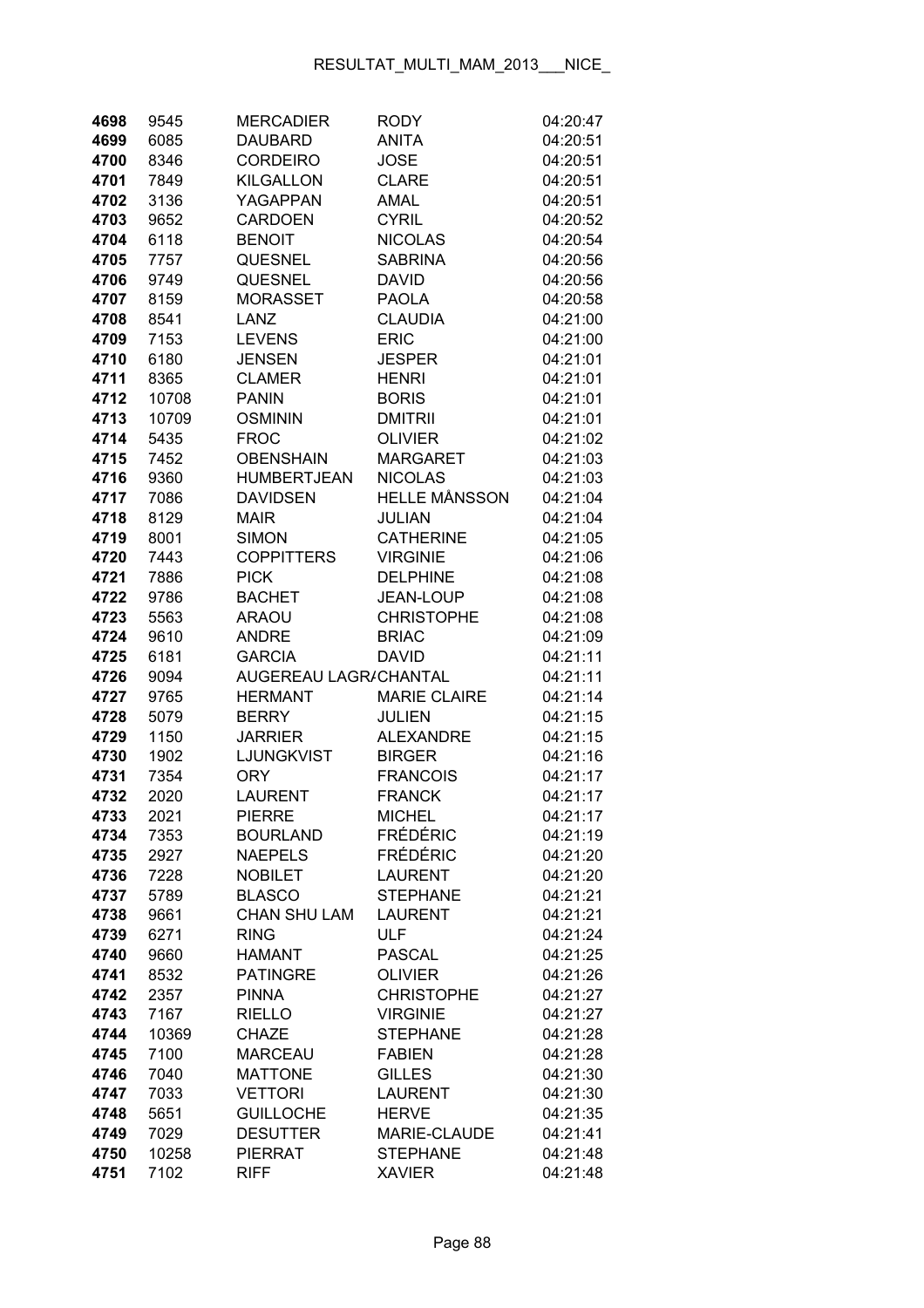| 4698 | 9545  | <b>MERCADIER</b>      | <b>RODY</b>          | 04:20:47 |
|------|-------|-----------------------|----------------------|----------|
| 4699 | 6085  | <b>DAUBARD</b>        | <b>ANITA</b>         | 04:20:51 |
| 4700 | 8346  | <b>CORDEIRO</b>       | <b>JOSE</b>          | 04:20:51 |
| 4701 | 7849  | <b>KILGALLON</b>      | <b>CLARE</b>         | 04:20:51 |
| 4702 | 3136  | YAGAPPAN              | AMAL                 | 04:20:51 |
| 4703 | 9652  | <b>CARDOEN</b>        | <b>CYRIL</b>         | 04:20:52 |
| 4704 | 6118  | <b>BENOIT</b>         | <b>NICOLAS</b>       | 04:20:54 |
| 4705 | 7757  | <b>QUESNEL</b>        | <b>SABRINA</b>       | 04:20:56 |
| 4706 | 9749  | <b>QUESNEL</b>        | <b>DAVID</b>         | 04:20:56 |
| 4707 | 8159  | <b>MORASSET</b>       | <b>PAOLA</b>         | 04:20:58 |
| 4708 | 8541  | LANZ                  | <b>CLAUDIA</b>       | 04:21:00 |
| 4709 | 7153  | <b>LEVENS</b>         | <b>ERIC</b>          | 04:21:00 |
| 4710 | 6180  | <b>JENSEN</b>         | <b>JESPER</b>        | 04:21:01 |
| 4711 | 8365  | <b>CLAMER</b>         | <b>HENRI</b>         | 04:21:01 |
| 4712 | 10708 | <b>PANIN</b>          | <b>BORIS</b>         | 04:21:01 |
| 4713 | 10709 | <b>OSMININ</b>        | <b>DMITRII</b>       | 04:21:01 |
| 4714 | 5435  | <b>FROC</b>           | <b>OLIVIER</b>       | 04:21:02 |
| 4715 | 7452  | <b>OBENSHAIN</b>      | <b>MARGARET</b>      | 04:21:03 |
| 4716 | 9360  | <b>HUMBERTJEAN</b>    | <b>NICOLAS</b>       | 04:21:03 |
| 4717 | 7086  | <b>DAVIDSEN</b>       | <b>HELLE MÅNSSON</b> | 04:21:04 |
| 4718 | 8129  | <b>MAIR</b>           | <b>JULIAN</b>        | 04:21:04 |
| 4719 | 8001  | <b>SIMON</b>          | <b>CATHERINE</b>     | 04:21:05 |
| 4720 | 7443  | <b>COPPITTERS</b>     | <b>VIRGINIE</b>      | 04:21:06 |
| 4721 | 7886  | <b>PICK</b>           | <b>DELPHINE</b>      | 04:21:08 |
| 4722 | 9786  | <b>BACHET</b>         | JEAN-LOUP            | 04:21:08 |
| 4723 | 5563  | <b>ARAOU</b>          | <b>CHRISTOPHE</b>    | 04:21:08 |
| 4724 | 9610  | <b>ANDRE</b>          | <b>BRIAC</b>         | 04:21:09 |
| 4725 | 6181  | <b>GARCIA</b>         | <b>DAVID</b>         | 04:21:11 |
| 4726 | 9094  | AUGEREAU LAGR/CHANTAL |                      | 04:21:11 |
| 4727 | 9765  | <b>HERMANT</b>        | <b>MARIE CLAIRE</b>  | 04:21:14 |
| 4728 | 5079  | <b>BERRY</b>          | <b>JULIEN</b>        | 04:21:15 |
| 4729 | 1150  | <b>JARRIER</b>        | <b>ALEXANDRE</b>     | 04:21:15 |
| 4730 | 1902  | LJUNGKVIST            | <b>BIRGER</b>        | 04:21:16 |
| 4731 | 7354  | <b>ORY</b>            | <b>FRANCOIS</b>      | 04:21:17 |
| 4732 | 2020  | <b>LAURENT</b>        | <b>FRANCK</b>        | 04:21:17 |
| 4733 | 2021  | <b>PIERRE</b>         | <b>MICHEL</b>        | 04:21:17 |
| 4734 | 7353  | <b>BOURLAND</b>       | <b>FRÉDÉRIC</b>      | 04:21:19 |
| 4735 | 2927  | <b>NAEPELS</b>        | <b>FRÉDÉRIC</b>      | 04:21:20 |
| 4736 | 7228  | <b>NOBILET</b>        | <b>LAURENT</b>       | 04:21:20 |
| 4737 | 5789  | <b>BLASCO</b>         | <b>STEPHANE</b>      | 04:21:21 |
| 4738 | 9661  | <b>CHAN SHU LAM</b>   | <b>LAURENT</b>       | 04:21:21 |
| 4739 | 6271  | <b>RING</b>           | <b>ULF</b>           | 04:21:24 |
| 4740 | 9660  | <b>HAMANT</b>         | <b>PASCAL</b>        | 04:21:25 |
| 4741 | 8532  | <b>PATINGRE</b>       | <b>OLIVIER</b>       | 04:21:26 |
| 4742 | 2357  | <b>PINNA</b>          | <b>CHRISTOPHE</b>    | 04:21:27 |
| 4743 | 7167  | <b>RIELLO</b>         | <b>VIRGINIE</b>      | 04:21:27 |
| 4744 | 10369 | <b>CHAZE</b>          | <b>STEPHANE</b>      | 04:21:28 |
| 4745 | 7100  | <b>MARCEAU</b>        | <b>FABIEN</b>        | 04:21:28 |
| 4746 | 7040  | <b>MATTONE</b>        | <b>GILLES</b>        | 04:21:30 |
| 4747 | 7033  | <b>VETTORI</b>        | <b>LAURENT</b>       | 04:21:30 |
| 4748 | 5651  | <b>GUILLOCHE</b>      | <b>HERVE</b>         | 04:21:35 |
| 4749 | 7029  | <b>DESUTTER</b>       | MARIE-CLAUDE         | 04:21:41 |
| 4750 | 10258 | <b>PIERRAT</b>        | <b>STEPHANE</b>      | 04:21:48 |
| 4751 | 7102  | <b>RIFF</b>           | <b>XAVIER</b>        | 04:21:48 |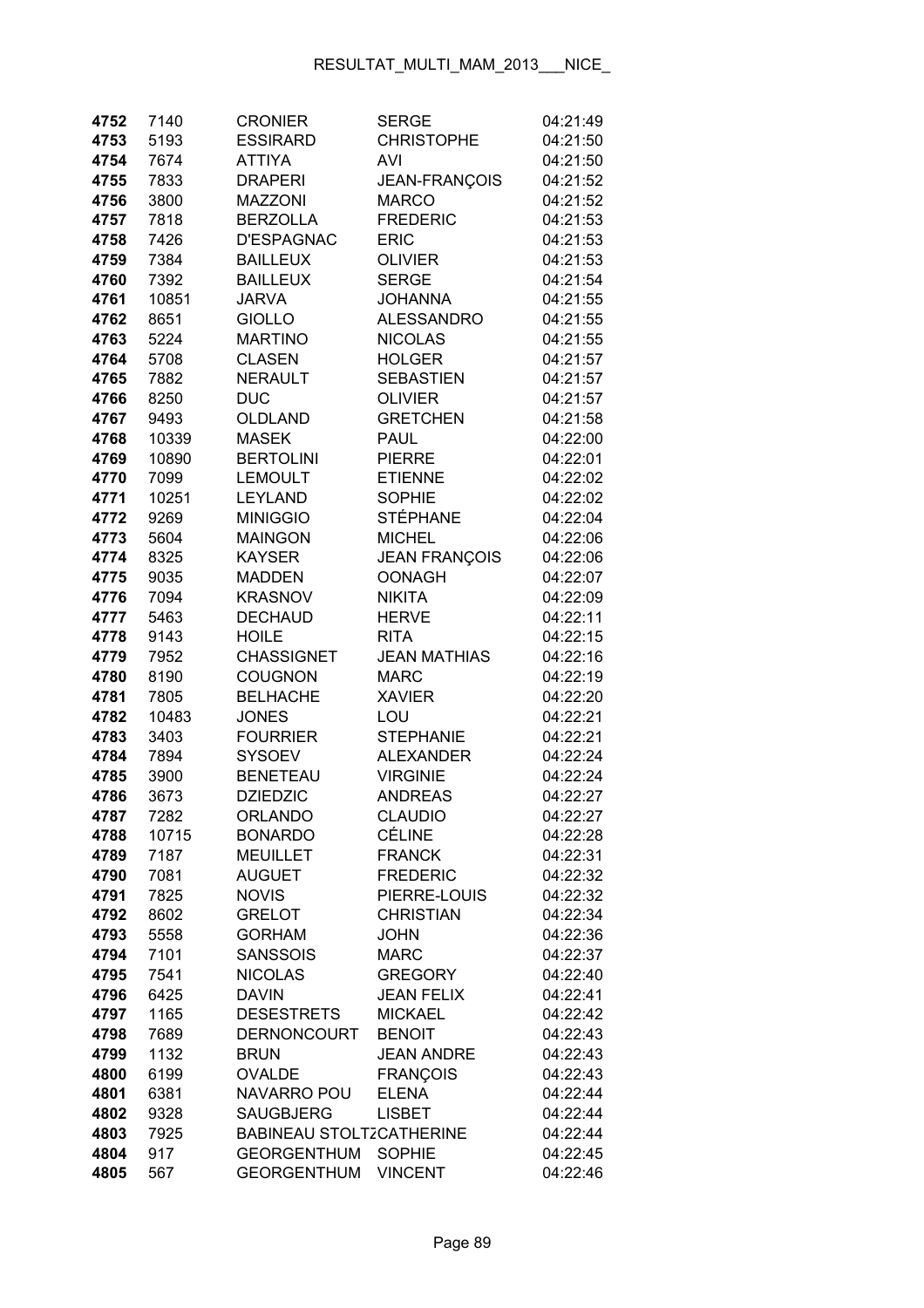| 4752         | 7140         | <b>CRONIER</b>                          | <b>SERGE</b>                    | 04:21:49             |
|--------------|--------------|-----------------------------------------|---------------------------------|----------------------|
| 4753         | 5193         | <b>ESSIRARD</b>                         | <b>CHRISTOPHE</b>               | 04:21:50             |
| 4754         | 7674         | <b>ATTIYA</b>                           | AVI                             | 04:21:50             |
| 4755         | 7833         | <b>DRAPERI</b>                          | JEAN-FRANÇOIS                   | 04:21:52             |
| 4756         | 3800         | <b>MAZZONI</b>                          | <b>MARCO</b>                    | 04:21:52             |
| 4757         | 7818         | <b>BERZOLLA</b>                         | <b>FREDERIC</b>                 | 04:21:53             |
| 4758         | 7426         | <b>D'ESPAGNAC</b>                       | <b>ERIC</b>                     | 04:21:53             |
| 4759         | 7384         | <b>BAILLEUX</b>                         | <b>OLIVIER</b>                  | 04:21:53             |
| 4760         | 7392         | <b>BAILLEUX</b>                         | <b>SERGE</b>                    | 04:21:54             |
| 4761         | 10851        | <b>JARVA</b>                            | <b>JOHANNA</b>                  | 04:21:55             |
| 4762         | 8651         | <b>GIOLLO</b>                           | <b>ALESSANDRO</b>               | 04:21:55             |
| 4763         | 5224         | <b>MARTINO</b>                          | <b>NICOLAS</b>                  | 04:21:55             |
| 4764         | 5708         | <b>CLASEN</b>                           | <b>HOLGER</b>                   | 04:21:57             |
| 4765         | 7882         | <b>NERAULT</b>                          | <b>SEBASTIEN</b>                | 04:21:57             |
| 4766         | 8250         | <b>DUC</b>                              | <b>OLIVIER</b>                  | 04:21:57             |
| 4767         | 9493         | OLDLAND                                 | <b>GRETCHEN</b>                 | 04:21:58             |
| 4768         | 10339        | <b>MASEK</b>                            | <b>PAUL</b>                     | 04:22:00             |
| 4769         | 10890        | <b>BERTOLINI</b>                        | <b>PIERRE</b>                   | 04:22:01             |
| 4770         | 7099         | <b>LEMOULT</b>                          | <b>ETIENNE</b>                  | 04:22:02             |
| 4771         | 10251        | <b>LEYLAND</b>                          | <b>SOPHIE</b>                   | 04:22:02             |
| 4772         | 9269         | <b>MINIGGIO</b>                         | <b>STÉPHANE</b>                 | 04:22:04             |
| 4773         | 5604         | <b>MAINGON</b>                          | <b>MICHEL</b>                   | 04:22:06             |
| 4774         | 8325         | <b>KAYSER</b>                           | <b>JEAN FRANÇOIS</b>            | 04:22:06             |
| 4775         | 9035         | <b>MADDEN</b>                           | <b>OONAGH</b>                   | 04:22:07             |
| 4776         | 7094         | <b>KRASNOV</b>                          | <b>NIKITA</b>                   | 04:22:09             |
| 4777         | 5463         | <b>DECHAUD</b>                          | <b>HERVE</b>                    | 04:22:11             |
| 4778         | 9143         | <b>HOILE</b>                            | <b>RITA</b>                     | 04:22:15             |
| 4779         | 7952         | <b>CHASSIGNET</b>                       | <b>JEAN MATHIAS</b>             | 04:22:16             |
| 4780         | 8190         | <b>COUGNON</b>                          | <b>MARC</b>                     | 04:22:19             |
| 4781         | 7805         | <b>BELHACHE</b>                         | <b>XAVIER</b>                   | 04:22:20             |
| 4782         | 10483        | <b>JONES</b>                            | LOU                             | 04:22:21             |
| 4783         | 3403         | <b>FOURRIER</b>                         | <b>STEPHANIE</b>                | 04:22:21             |
| 4784         | 7894         | <b>SYSOEV</b>                           | <b>ALEXANDER</b>                | 04:22:24             |
| 4785         | 3900         | <b>BENETEAU</b>                         | <b>VIRGINIE</b>                 | 04:22:24             |
| 4786         | 3673         | <b>DZIEDZIC</b>                         | <b>ANDREAS</b>                  | 04:22:27             |
| 4787         | 7282         | <b>ORLANDO</b>                          | <b>CLAUDIO</b>                  | 04:22:27             |
| 4788         | 10715        | <b>BONARDO</b>                          | <b>CÉLINE</b>                   | 04:22:28             |
| 4789         | 7187         | <b>MEUILLET</b>                         | <b>FRANCK</b>                   | 04:22:31             |
| 4790         | 7081         | <b>AUGUET</b>                           | <b>FREDERIC</b>                 | 04:22:32             |
| 4791         | 7825         | <b>NOVIS</b>                            | PIERRE-LOUIS                    | 04:22:32             |
| 4792         | 8602         | <b>GRELOT</b>                           | <b>CHRISTIAN</b>                | 04:22:34             |
| 4793         | 5558         | <b>GORHAM</b>                           | <b>JOHN</b>                     | 04:22:36             |
| 4794         | 7101         | <b>SANSSOIS</b>                         | <b>MARC</b>                     | 04:22:37             |
| 4795         | 7541         | <b>NICOLAS</b>                          | <b>GREGORY</b>                  | 04:22:40             |
| 4796         | 6425         | <b>DAVIN</b>                            | <b>JEAN FELIX</b>               | 04:22:41             |
| 4797         | 1165         | <b>DESESTRETS</b><br><b>DERNONCOURT</b> | <b>MICKAEL</b><br><b>BENOIT</b> | 04:22:42             |
| 4798<br>4799 | 7689<br>1132 | <b>BRUN</b>                             | <b>JEAN ANDRE</b>               | 04:22:43<br>04:22:43 |
| 4800         | 6199         | <b>OVALDE</b>                           | <b>FRANÇOIS</b>                 | 04:22:43             |
| 4801         | 6381         | <b>NAVARRO POU</b>                      | <b>ELENA</b>                    | 04:22:44             |
| 4802         | 9328         | <b>SAUGBJERG</b>                        | <b>LISBET</b>                   | 04:22:44             |
| 4803         | 7925         | <b>BABINEAU STOLTZCATHERINE</b>         |                                 | 04:22:44             |
| 4804         | 917          | <b>GEORGENTHUM</b>                      | <b>SOPHIE</b>                   | 04:22:45             |
| 4805         | 567          | <b>GEORGENTHUM</b>                      | <b>VINCENT</b>                  | 04:22:46             |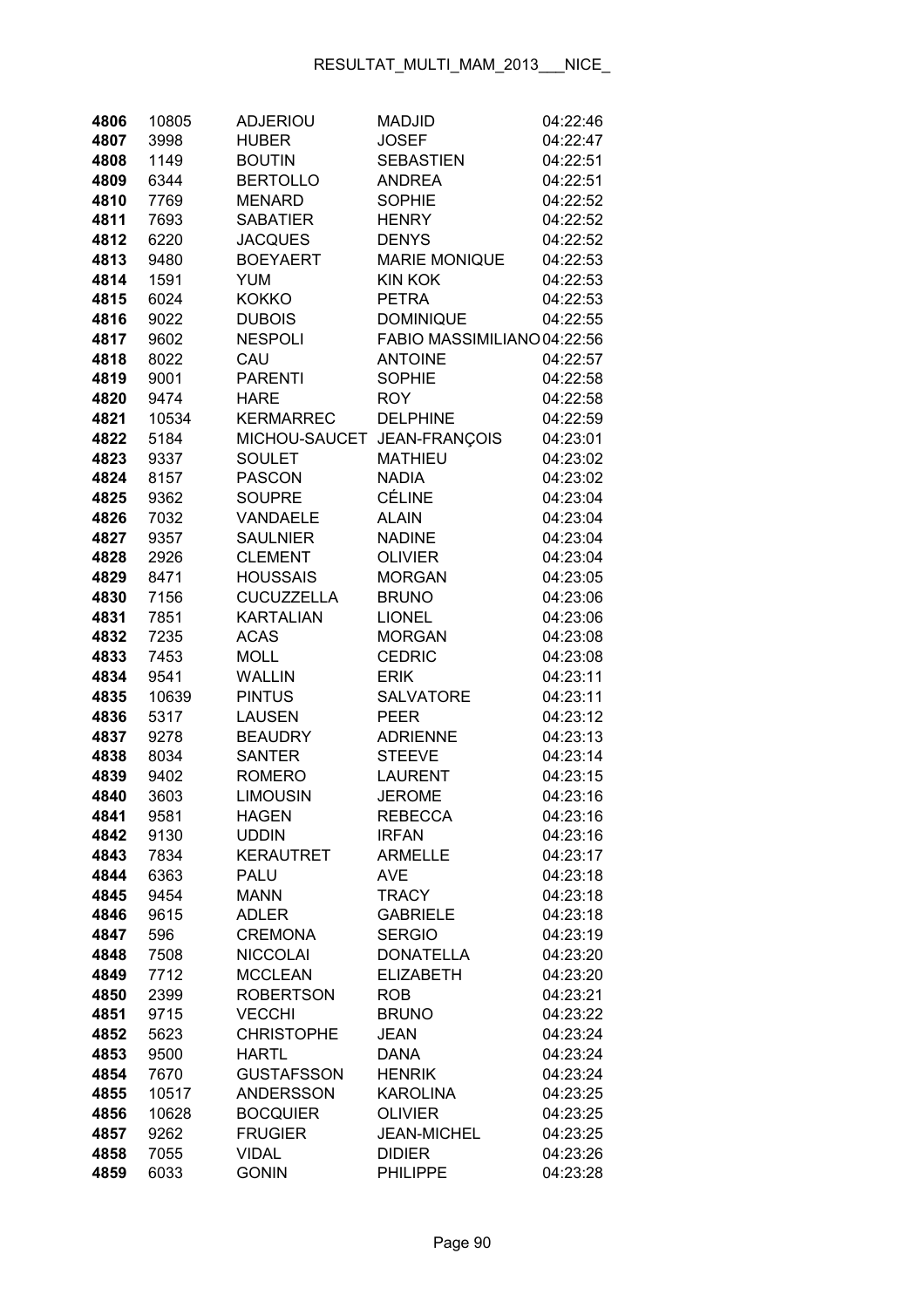| 4806 | 10805 | <b>ADJERIOU</b>   | <b>MADJID</b>               | 04:22:46 |
|------|-------|-------------------|-----------------------------|----------|
| 4807 | 3998  | <b>HUBER</b>      | <b>JOSEF</b>                | 04:22:47 |
| 4808 | 1149  | <b>BOUTIN</b>     | <b>SEBASTIEN</b>            | 04:22:51 |
| 4809 | 6344  | <b>BERTOLLO</b>   | <b>ANDREA</b>               | 04:22:51 |
| 4810 | 7769  | <b>MENARD</b>     | <b>SOPHIE</b>               | 04:22:52 |
| 4811 | 7693  | <b>SABATIER</b>   | <b>HENRY</b>                | 04:22:52 |
| 4812 | 6220  | <b>JACQUES</b>    | <b>DENYS</b>                | 04:22:52 |
| 4813 | 9480  | <b>BOEYAERT</b>   | <b>MARIE MONIQUE</b>        | 04:22:53 |
| 4814 | 1591  | <b>YUM</b>        | <b>KIN KOK</b>              | 04:22:53 |
| 4815 | 6024  | <b>KOKKO</b>      | <b>PETRA</b>                | 04:22:53 |
| 4816 | 9022  | <b>DUBOIS</b>     | <b>DOMINIQUE</b>            | 04:22:55 |
| 4817 | 9602  | <b>NESPOLI</b>    | FABIO MASSIMILIANO 04:22:56 |          |
| 4818 | 8022  | CAU               | <b>ANTOINE</b>              | 04:22:57 |
| 4819 | 9001  | <b>PARENTI</b>    | <b>SOPHIE</b>               | 04:22:58 |
| 4820 | 9474  | <b>HARE</b>       | <b>ROY</b>                  | 04:22:58 |
| 4821 | 10534 | <b>KERMARREC</b>  | <b>DELPHINE</b>             | 04:22:59 |
| 4822 | 5184  | MICHOU-SAUCET     | JEAN-FRANÇOIS               | 04:23:01 |
| 4823 | 9337  | <b>SOULET</b>     | <b>MATHIEU</b>              | 04:23:02 |
| 4824 | 8157  | <b>PASCON</b>     | NADIA                       | 04:23:02 |
| 4825 | 9362  | <b>SOUPRE</b>     | <b>CÉLINE</b>               | 04:23:04 |
| 4826 | 7032  | <b>VANDAELE</b>   | <b>ALAIN</b>                | 04:23:04 |
| 4827 | 9357  | <b>SAULNIER</b>   | <b>NADINE</b>               | 04:23:04 |
| 4828 | 2926  | <b>CLEMENT</b>    | <b>OLIVIER</b>              | 04:23:04 |
| 4829 | 8471  | <b>HOUSSAIS</b>   | <b>MORGAN</b>               | 04:23:05 |
|      |       | <b>CUCUZZELLA</b> |                             | 04:23:06 |
| 4830 | 7156  |                   | <b>BRUNO</b>                |          |
| 4831 | 7851  | <b>KARTALIAN</b>  | <b>LIONEL</b>               | 04:23:06 |
| 4832 | 7235  | <b>ACAS</b>       | <b>MORGAN</b>               | 04:23:08 |
| 4833 | 7453  | <b>MOLL</b>       | <b>CEDRIC</b>               | 04:23:08 |
| 4834 | 9541  | <b>WALLIN</b>     | ERIK                        | 04:23:11 |
| 4835 | 10639 | <b>PINTUS</b>     | <b>SALVATORE</b>            | 04:23:11 |
| 4836 | 5317  | <b>LAUSEN</b>     | PEER                        | 04:23:12 |
| 4837 | 9278  | <b>BEAUDRY</b>    | <b>ADRIENNE</b>             | 04:23:13 |
| 4838 | 8034  | <b>SANTER</b>     | <b>STEEVE</b>               | 04:23:14 |
| 4839 | 9402  | <b>ROMERO</b>     | <b>LAURENT</b>              | 04:23:15 |
| 4840 | 3603  | <b>LIMOUSIN</b>   | <b>JEROME</b>               | 04:23:16 |
| 4841 | 9581  | HAGEN             | REBECCA                     | 04:23:16 |
| 4842 | 9130  | <b>UDDIN</b>      | <b>IRFAN</b>                | 04:23:16 |
| 4843 | 7834  | <b>KERAUTRET</b>  | <b>ARMELLE</b>              | 04:23:17 |
| 4844 | 6363  | <b>PALU</b>       | <b>AVE</b>                  | 04:23:18 |
| 4845 | 9454  | <b>MANN</b>       | <b>TRACY</b>                | 04:23:18 |
| 4846 | 9615  | <b>ADLER</b>      | <b>GABRIELE</b>             | 04:23:18 |
| 4847 | 596   | <b>CREMONA</b>    | <b>SERGIO</b>               | 04:23:19 |
| 4848 | 7508  | <b>NICCOLAI</b>   | <b>DONATELLA</b>            | 04:23:20 |
| 4849 | 7712  | <b>MCCLEAN</b>    | <b>ELIZABETH</b>            | 04:23:20 |
| 4850 | 2399  | <b>ROBERTSON</b>  | <b>ROB</b>                  | 04:23:21 |
| 4851 | 9715  | <b>VECCHI</b>     | <b>BRUNO</b>                | 04:23:22 |
| 4852 | 5623  | <b>CHRISTOPHE</b> | JEAN                        | 04:23:24 |
| 4853 | 9500  | <b>HARTL</b>      | <b>DANA</b>                 | 04:23:24 |
| 4854 | 7670  | <b>GUSTAFSSON</b> | <b>HENRIK</b>               | 04:23:24 |
| 4855 | 10517 | <b>ANDERSSON</b>  | <b>KAROLINA</b>             | 04:23:25 |
| 4856 | 10628 | <b>BOCQUIER</b>   | <b>OLIVIER</b>              | 04:23:25 |
| 4857 | 9262  | <b>FRUGIER</b>    | <b>JEAN-MICHEL</b>          | 04:23:25 |
| 4858 | 7055  | <b>VIDAL</b>      | <b>DIDIER</b>               | 04:23:26 |
| 4859 | 6033  | <b>GONIN</b>      | <b>PHILIPPE</b>             | 04:23:28 |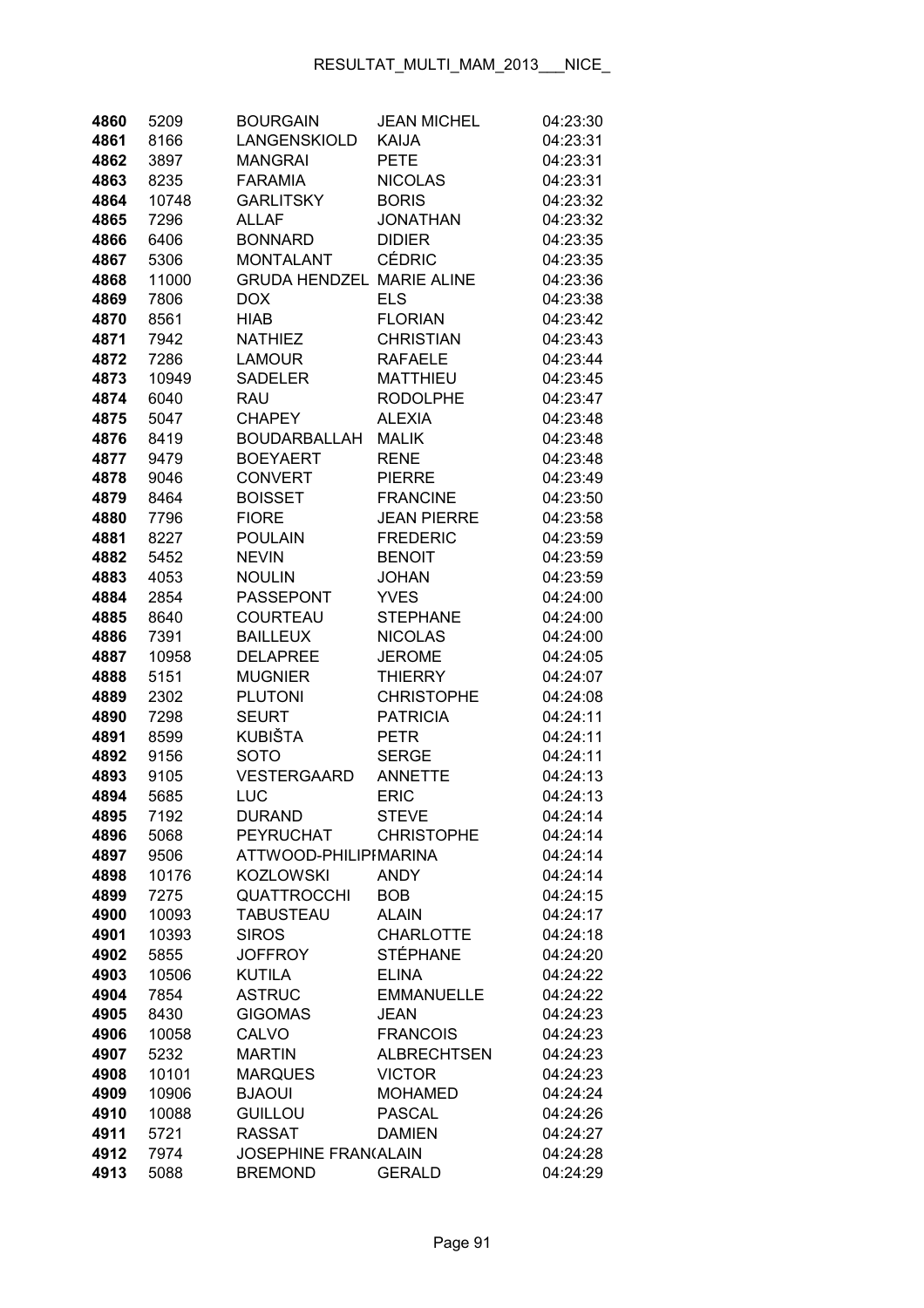| 4860 | 5209  | <b>BOURGAIN</b>                  | <b>JEAN MICHEL</b> | 04:23:30 |
|------|-------|----------------------------------|--------------------|----------|
| 4861 | 8166  | LANGENSKIOLD                     | <b>KAIJA</b>       | 04:23:31 |
| 4862 | 3897  | <b>MANGRAI</b>                   | <b>PETE</b>        | 04:23:31 |
| 4863 | 8235  | <b>FARAMIA</b>                   | <b>NICOLAS</b>     | 04:23:31 |
| 4864 | 10748 | <b>GARLITSKY</b>                 | <b>BORIS</b>       | 04:23:32 |
| 4865 | 7296  | <b>ALLAF</b>                     | <b>JONATHAN</b>    | 04:23:32 |
| 4866 | 6406  | <b>BONNARD</b>                   | <b>DIDIER</b>      | 04:23:35 |
| 4867 | 5306  | <b>MONTALANT</b>                 | <b>CÉDRIC</b>      | 04:23:35 |
| 4868 | 11000 | <b>GRUDA HENDZEL MARIE ALINE</b> |                    | 04:23:36 |
| 4869 | 7806  | <b>DOX</b>                       | <b>ELS</b>         | 04:23:38 |
| 4870 | 8561  | <b>HIAB</b>                      | <b>FLORIAN</b>     | 04:23:42 |
| 4871 | 7942  | <b>NATHIEZ</b>                   | <b>CHRISTIAN</b>   | 04:23:43 |
| 4872 | 7286  | <b>LAMOUR</b>                    | <b>RAFAELE</b>     | 04:23:44 |
| 4873 | 10949 | <b>SADELER</b>                   | <b>MATTHIEU</b>    | 04:23:45 |
| 4874 | 6040  | <b>RAU</b>                       | <b>RODOLPHE</b>    | 04:23:47 |
| 4875 | 5047  | <b>CHAPEY</b>                    | <b>ALEXIA</b>      | 04:23:48 |
| 4876 | 8419  | <b>BOUDARBALLAH</b>              | <b>MALIK</b>       | 04:23:48 |
| 4877 | 9479  | <b>BOEYAERT</b>                  | <b>RENE</b>        | 04:23:48 |
| 4878 | 9046  | <b>CONVERT</b>                   | <b>PIERRE</b>      | 04:23:49 |
| 4879 | 8464  | <b>BOISSET</b>                   | <b>FRANCINE</b>    | 04:23:50 |
| 4880 | 7796  | <b>FIORE</b>                     | <b>JEAN PIERRE</b> | 04:23:58 |
| 4881 | 8227  | <b>POULAIN</b>                   | <b>FREDERIC</b>    | 04:23:59 |
| 4882 | 5452  | <b>NEVIN</b>                     | <b>BENOIT</b>      | 04:23:59 |
| 4883 | 4053  | <b>NOULIN</b>                    | <b>JOHAN</b>       | 04:23:59 |
| 4884 | 2854  | <b>PASSEPONT</b>                 | <b>YVES</b>        | 04:24:00 |
| 4885 | 8640  | COURTEAU                         | <b>STEPHANE</b>    | 04:24:00 |
| 4886 | 7391  | <b>BAILLEUX</b>                  | <b>NICOLAS</b>     | 04:24:00 |
| 4887 | 10958 | <b>DELAPREE</b>                  | <b>JEROME</b>      | 04:24:05 |
| 4888 | 5151  | <b>MUGNIER</b>                   | <b>THIERRY</b>     | 04:24:07 |
| 4889 | 2302  | <b>PLUTONI</b>                   | <b>CHRISTOPHE</b>  | 04:24:08 |
| 4890 | 7298  | <b>SEURT</b>                     | <b>PATRICIA</b>    | 04:24:11 |
| 4891 | 8599  | KUBIŠTA                          | <b>PETR</b>        | 04:24:11 |
| 4892 | 9156  | <b>SOTO</b>                      | <b>SERGE</b>       | 04:24:11 |
| 4893 | 9105  | VESTERGAARD                      | <b>ANNETTE</b>     | 04:24:13 |
| 4894 | 5685  | LUC                              | <b>ERIC</b>        | 04:24:13 |
| 4895 | 7192  | <b>DURAND</b>                    | <b>STEVE</b>       | 04:24:14 |
| 4896 | 5068  | <b>PEYRUCHAT</b>                 | <b>CHRISTOPHE</b>  | 04:24:14 |
| 4897 | 9506  | ATTWOOD-PHILIPIMARINA            |                    | 04:24:14 |
| 4898 | 10176 | <b>KOZLOWSKI</b>                 | <b>ANDY</b>        | 04:24:14 |
| 4899 | 7275  | <b>QUATTROCCHI</b>               | <b>BOB</b>         | 04:24:15 |
| 4900 | 10093 | <b>TABUSTEAU</b>                 | <b>ALAIN</b>       | 04:24:17 |
| 4901 | 10393 | <b>SIROS</b>                     | <b>CHARLOTTE</b>   | 04:24:18 |
| 4902 | 5855  | <b>JOFFROY</b>                   | <b>STÉPHANE</b>    | 04:24:20 |
| 4903 | 10506 | <b>KUTILA</b>                    | <b>ELINA</b>       | 04:24:22 |
| 4904 | 7854  | <b>ASTRUC</b>                    | <b>EMMANUELLE</b>  | 04:24:22 |
| 4905 | 8430  | <b>GIGOMAS</b>                   | <b>JEAN</b>        | 04:24:23 |
| 4906 | 10058 | CALVO                            | <b>FRANCOIS</b>    | 04:24:23 |
| 4907 | 5232  | <b>MARTIN</b>                    | <b>ALBRECHTSEN</b> | 04:24:23 |
| 4908 | 10101 | <b>MARQUES</b>                   | <b>VICTOR</b>      | 04:24:23 |
| 4909 | 10906 | <b>BJAOUI</b>                    | <b>MOHAMED</b>     | 04:24:24 |
| 4910 | 10088 | <b>GUILLOU</b>                   | <b>PASCAL</b>      | 04:24:26 |
| 4911 | 5721  | <b>RASSAT</b>                    | <b>DAMIEN</b>      | 04:24:27 |
| 4912 | 7974  | <b>JOSEPHINE FRAN(ALAIN</b>      |                    | 04:24:28 |
| 4913 | 5088  | <b>BREMOND</b>                   | <b>GERALD</b>      | 04:24:29 |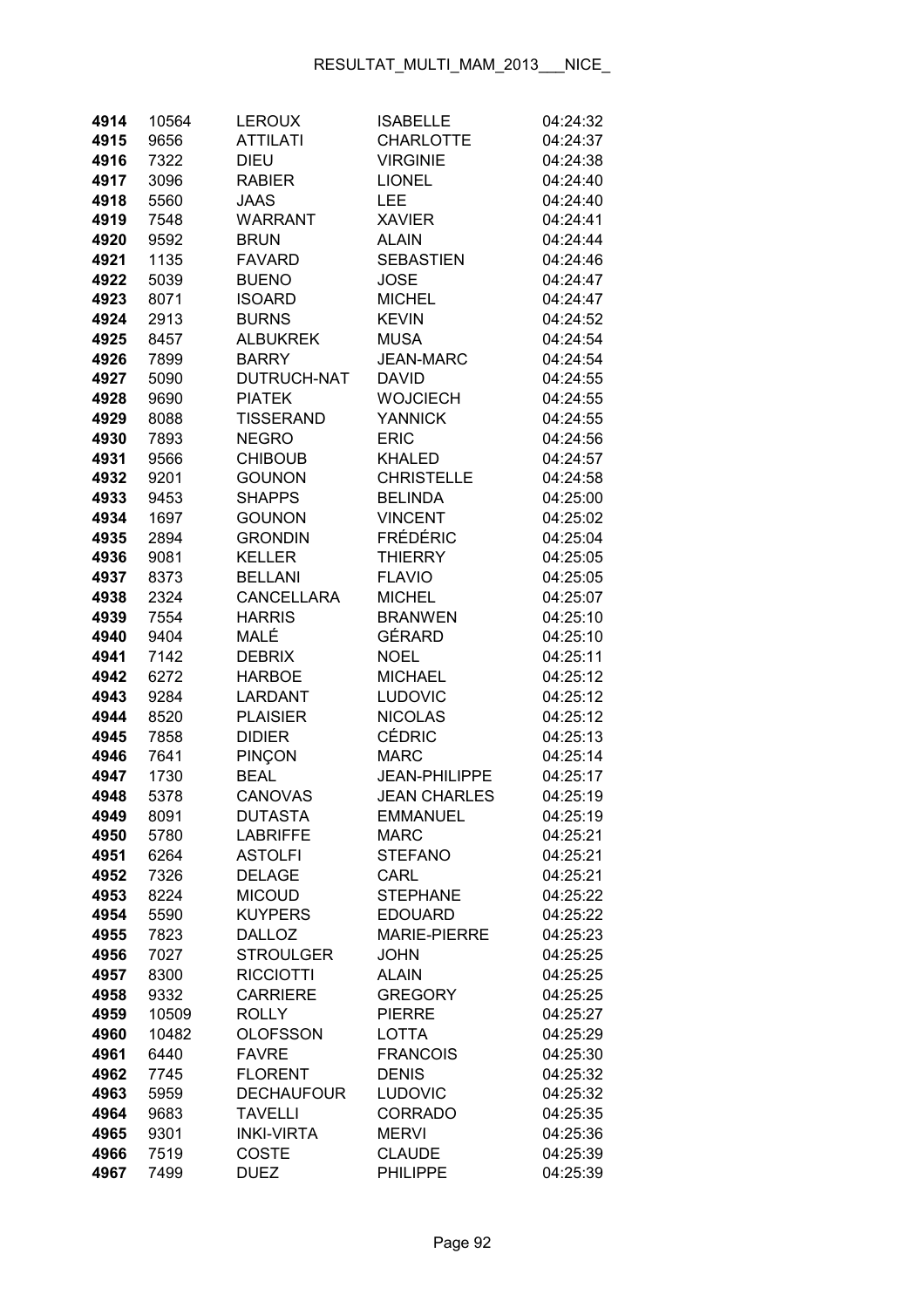| 4914         | 10564         | <b>LEROUX</b>                        | <b>ISABELLE</b>                | 04:24:32             |
|--------------|---------------|--------------------------------------|--------------------------------|----------------------|
| 4915         | 9656          | <b>ATTILATI</b>                      | <b>CHARLOTTE</b>               | 04:24:37             |
| 4916         | 7322          | <b>DIEU</b>                          | <b>VIRGINIE</b>                | 04:24:38             |
| 4917         | 3096          | <b>RABIER</b>                        | <b>LIONEL</b>                  | 04:24:40             |
| 4918         | 5560          | JAAS                                 | LEE                            | 04:24:40             |
| 4919         | 7548          | WARRANT                              | <b>XAVIER</b>                  | 04:24:41             |
| 4920         | 9592          | <b>BRUN</b>                          | <b>ALAIN</b>                   | 04:24:44             |
| 4921         | 1135          | <b>FAVARD</b>                        | <b>SEBASTIEN</b>               | 04:24:46             |
| 4922         | 5039          | <b>BUENO</b>                         | <b>JOSE</b>                    | 04:24:47             |
| 4923         | 8071          | <b>ISOARD</b>                        | <b>MICHEL</b>                  | 04:24:47             |
| 4924         | 2913          | <b>BURNS</b>                         | <b>KEVIN</b>                   | 04:24:52             |
| 4925         | 8457          | <b>ALBUKREK</b>                      | <b>MUSA</b>                    | 04:24:54             |
| 4926         | 7899          | <b>BARRY</b>                         | <b>JEAN-MARC</b>               | 04:24:54             |
| 4927         | 5090          | DUTRUCH-NAT                          | <b>DAVID</b>                   | 04:24:55             |
| 4928         | 9690          | <b>PIATEK</b>                        | <b>WOJCIECH</b>                | 04:24:55             |
| 4929         | 8088          | <b>TISSERAND</b>                     | <b>YANNICK</b>                 | 04:24:55             |
| 4930         | 7893          | <b>NEGRO</b>                         | <b>ERIC</b>                    | 04:24:56             |
| 4931         | 9566          | <b>CHIBOUB</b>                       | <b>KHALED</b>                  | 04:24:57             |
| 4932         | 9201          | <b>GOUNON</b>                        | <b>CHRISTELLE</b>              | 04:24:58             |
| 4933         | 9453          | <b>SHAPPS</b>                        | <b>BELINDA</b>                 | 04:25:00             |
| 4934         | 1697          | <b>GOUNON</b>                        | <b>VINCENT</b>                 | 04:25:02             |
| 4935         | 2894          | <b>GRONDIN</b>                       | <b>FRÉDÉRIC</b>                | 04:25:04             |
| 4936         | 9081          | <b>KELLER</b>                        | <b>THIERRY</b>                 | 04:25:05             |
| 4937         | 8373          | <b>BELLANI</b>                       | <b>FLAVIO</b>                  | 04:25:05             |
| 4938         | 2324          | <b>CANCELLARA</b>                    | <b>MICHEL</b>                  | 04:25:07             |
| 4939         | 7554          | <b>HARRIS</b>                        | <b>BRANWEN</b>                 | 04:25:10             |
| 4940         | 9404          | MALÉ                                 | GÉRARD                         | 04:25:10             |
| 4941         | 7142          | <b>DEBRIX</b>                        | <b>NOEL</b>                    | 04:25:11             |
| 4942         | 6272          | <b>HARBOE</b>                        | <b>MICHAEL</b>                 | 04:25:12             |
| 4943         | 9284          | LARDANT                              | <b>LUDOVIC</b>                 | 04:25:12             |
| 4944         | 8520          | <b>PLAISIER</b>                      | <b>NICOLAS</b>                 | 04:25:12             |
| 4945         | 7858          | <b>DIDIER</b>                        | <b>CÉDRIC</b>                  | 04:25:13             |
| 4946         | 7641          | PINÇON                               | <b>MARC</b>                    | 04:25:14             |
| 4947         | 1730          | <b>BEAL</b>                          | <b>JEAN-PHILIPPE</b>           | 04:25:17             |
| 4948         | 5378          | <b>CANOVAS</b>                       | <b>JEAN CHARLES</b>            | 04:25:19             |
| 4949         | 8091          | DUTASTA                              | EMMANUEL                       | 04:25:19             |
| 4950         | 5780          | <b>LABRIFFE</b>                      | <b>MARC</b>                    | 04:25:21             |
| 4951         | 6264          | <b>ASTOLFI</b>                       | <b>STEFANO</b>                 | 04:25:21             |
| 4952         | 7326          | <b>DELAGE</b>                        | CARL                           | 04:25:21             |
| 4953         | 8224          | <b>MICOUD</b>                        | <b>STEPHANE</b>                | 04:25:22             |
| 4954         | 5590          | <b>KUYPERS</b>                       | <b>EDOUARD</b>                 | 04:25:22             |
| 4955         | 7823          | <b>DALLOZ</b>                        | <b>MARIE-PIERRE</b>            | 04:25:23             |
| 4956         | 7027          | <b>STROULGER</b><br><b>RICCIOTTI</b> | <b>JOHN</b>                    | 04:25:25             |
| 4957<br>4958 | 8300          | <b>CARRIERE</b>                      | <b>ALAIN</b><br><b>GREGORY</b> | 04:25:25             |
| 4959         | 9332<br>10509 | <b>ROLLY</b>                         | <b>PIERRE</b>                  | 04:25:25<br>04:25:27 |
| 4960         | 10482         | <b>OLOFSSON</b>                      | LOTTA                          | 04:25:29             |
| 4961         | 6440          | <b>FAVRE</b>                         | <b>FRANCOIS</b>                | 04:25:30             |
| 4962         | 7745          | <b>FLORENT</b>                       | <b>DENIS</b>                   | 04:25:32             |
| 4963         | 5959          | <b>DECHAUFOUR</b>                    | LUDOVIC                        | 04:25:32             |
| 4964         | 9683          | <b>TAVELLI</b>                       | <b>CORRADO</b>                 | 04:25:35             |
| 4965         | 9301          | <b>INKI-VIRTA</b>                    | <b>MERVI</b>                   | 04:25:36             |
| 4966         | 7519          | <b>COSTE</b>                         | <b>CLAUDE</b>                  | 04:25:39             |
| 4967         | 7499          | <b>DUEZ</b>                          | <b>PHILIPPE</b>                | 04:25:39             |
|              |               |                                      |                                |                      |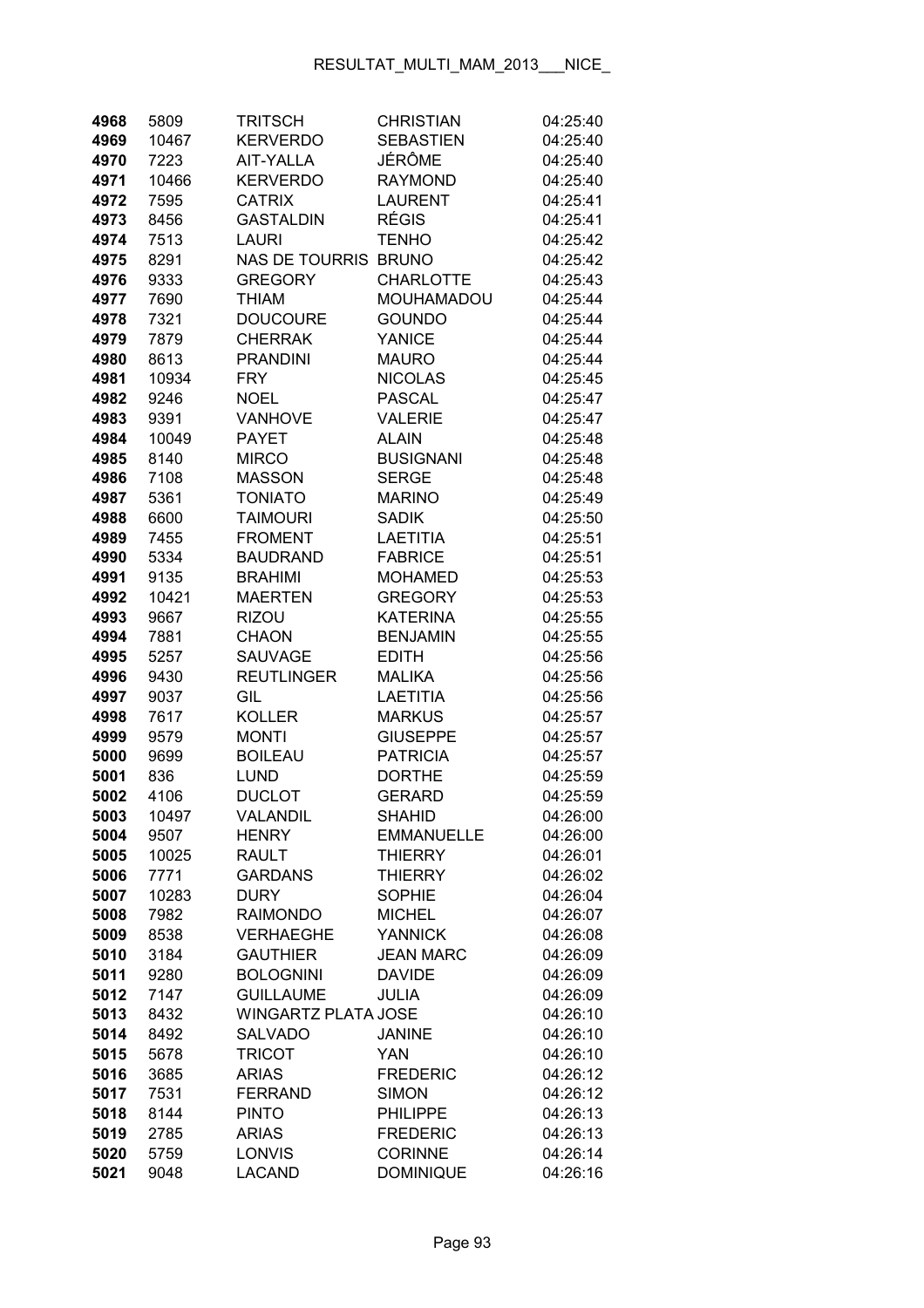| 4968         | 5809         | <b>TRITSCH</b>                                 | <b>CHRISTIAN</b>            | 04:25:40             |
|--------------|--------------|------------------------------------------------|-----------------------------|----------------------|
| 4969         | 10467        | <b>KERVERDO</b>                                | <b>SEBASTIEN</b>            | 04:25:40             |
| 4970         | 7223         | AIT-YALLA                                      | JÉRÔME                      | 04:25:40             |
| 4971         | 10466        | <b>KERVERDO</b>                                | <b>RAYMOND</b>              | 04:25:40             |
| 4972         | 7595         | <b>CATRIX</b>                                  | <b>LAURENT</b>              | 04:25:41             |
| 4973         | 8456         | <b>GASTALDIN</b>                               | RÉGIS                       | 04:25:41             |
| 4974         | 7513         | <b>LAURI</b>                                   | TENHO                       | 04:25:42             |
| 4975         | 8291         | NAS DE TOURRIS BRUNO                           |                             | 04:25:42             |
| 4976         | 9333         | <b>GREGORY</b>                                 | <b>CHARLOTTE</b>            | 04:25:43             |
| 4977         | 7690         | <b>THIAM</b>                                   | <b>MOUHAMADOU</b>           | 04:25:44             |
| 4978         | 7321         | <b>DOUCOURE</b>                                | <b>GOUNDO</b>               | 04:25:44             |
| 4979         | 7879         | <b>CHERRAK</b>                                 | <b>YANICE</b>               | 04:25:44             |
| 4980         | 8613         | <b>PRANDINI</b>                                | <b>MAURO</b>                | 04:25:44             |
| 4981         | 10934        | <b>FRY</b>                                     | <b>NICOLAS</b>              | 04:25:45             |
| 4982         | 9246         | <b>NOEL</b>                                    | <b>PASCAL</b>               | 04:25:47             |
| 4983         | 9391         | <b>VANHOVE</b>                                 | <b>VALERIE</b>              | 04:25:47             |
| 4984         | 10049        | <b>PAYET</b>                                   | <b>ALAIN</b>                | 04:25:48             |
| 4985         | 8140         | <b>MIRCO</b>                                   | <b>BUSIGNANI</b>            | 04:25:48             |
| 4986         | 7108         | <b>MASSON</b>                                  | <b>SERGE</b>                | 04:25:48             |
| 4987         | 5361         | <b>TONIATO</b>                                 | <b>MARINO</b>               | 04:25:49             |
| 4988         | 6600         | <b>TAIMOURI</b>                                | <b>SADIK</b>                | 04:25:50             |
| 4989         | 7455         | <b>FROMENT</b>                                 | <b>LAETITIA</b>             | 04:25:51             |
| 4990         | 5334         | <b>BAUDRAND</b>                                | <b>FABRICE</b>              | 04:25:51             |
| 4991         | 9135         | <b>BRAHIMI</b>                                 | <b>MOHAMED</b>              | 04:25:53             |
| 4992         | 10421        | <b>MAERTEN</b>                                 | <b>GREGORY</b>              | 04:25:53             |
| 4993         | 9667         | <b>RIZOU</b>                                   | <b>KATERINA</b>             | 04:25:55             |
| 4994         | 7881         | <b>CHAON</b>                                   | <b>BENJAMIN</b>             | 04:25:55             |
| 4995         | 5257         | <b>SAUVAGE</b>                                 | <b>EDITH</b>                | 04:25:56             |
| 4996         | 9430         | <b>REUTLINGER</b>                              | <b>MALIKA</b>               | 04:25:56             |
| 4997         | 9037         | GIL                                            | <b>LAETITIA</b>             | 04:25:56             |
| 4998         | 7617         | <b>KOLLER</b>                                  | <b>MARKUS</b>               | 04:25:57             |
| 4999         | 9579         | <b>MONTI</b>                                   | <b>GIUSEPPE</b>             | 04:25:57             |
| 5000         | 9699         | <b>BOILEAU</b>                                 | <b>PATRICIA</b>             | 04:25:57             |
| 5001         | 836          | <b>LUND</b>                                    | <b>DORTHE</b>               | 04:25:59             |
| 5002         | 4106         | <b>DUCLOT</b>                                  | <b>GERARD</b>               | 04:25:59             |
| 5003         | 10497        | VALANDIL                                       | <b>SHAHID</b>               | 04:26:00             |
| 5004         | 9507         | <b>HENRY</b>                                   | <b>EMMANUELLE</b>           | 04:26:00             |
| 5005         | 10025        | <b>RAULT</b>                                   | <b>THIERRY</b>              | 04:26:01             |
| 5006         | 7771         | <b>GARDANS</b>                                 | THIERRY                     | 04:26:02             |
| 5007         | 10283        | <b>DURY</b>                                    | <b>SOPHIE</b>               | 04:26:04             |
| 5008         | 7982         | <b>RAIMONDO</b>                                | <b>MICHEL</b>               | 04:26:07             |
| 5009         | 8538         | <b>VERHAEGHE</b>                               | <b>YANNICK</b>              | 04:26:08             |
| 5010         | 3184         | <b>GAUTHIER</b>                                | <b>JEAN MARC</b>            | 04:26:09             |
| 5011         | 9280         | <b>BOLOGNINI</b>                               | <b>DAVIDE</b>               | 04:26:09             |
| 5012         | 7147         | <b>GUILLAUME</b><br><b>WINGARTZ PLATA JOSE</b> | JULIA                       | 04:26:09             |
| 5013         | 8432         |                                                |                             | 04:26:10             |
| 5014<br>5015 | 8492<br>5678 | <b>SALVADO</b><br><b>TRICOT</b>                | <b>JANINE</b><br><b>YAN</b> | 04:26:10<br>04:26:10 |
| 5016         | 3685         | <b>ARIAS</b>                                   | <b>FREDERIC</b>             | 04:26:12             |
| 5017         | 7531         | <b>FERRAND</b>                                 | <b>SIMON</b>                | 04:26:12             |
| 5018         | 8144         | <b>PINTO</b>                                   | <b>PHILIPPE</b>             | 04:26:13             |
| 5019         | 2785         | <b>ARIAS</b>                                   | <b>FREDERIC</b>             | 04:26:13             |
| 5020         | 5759         | LONVIS                                         | <b>CORINNE</b>              | 04:26:14             |
| 5021         | 9048         | <b>LACAND</b>                                  | <b>DOMINIQUE</b>            | 04:26:16             |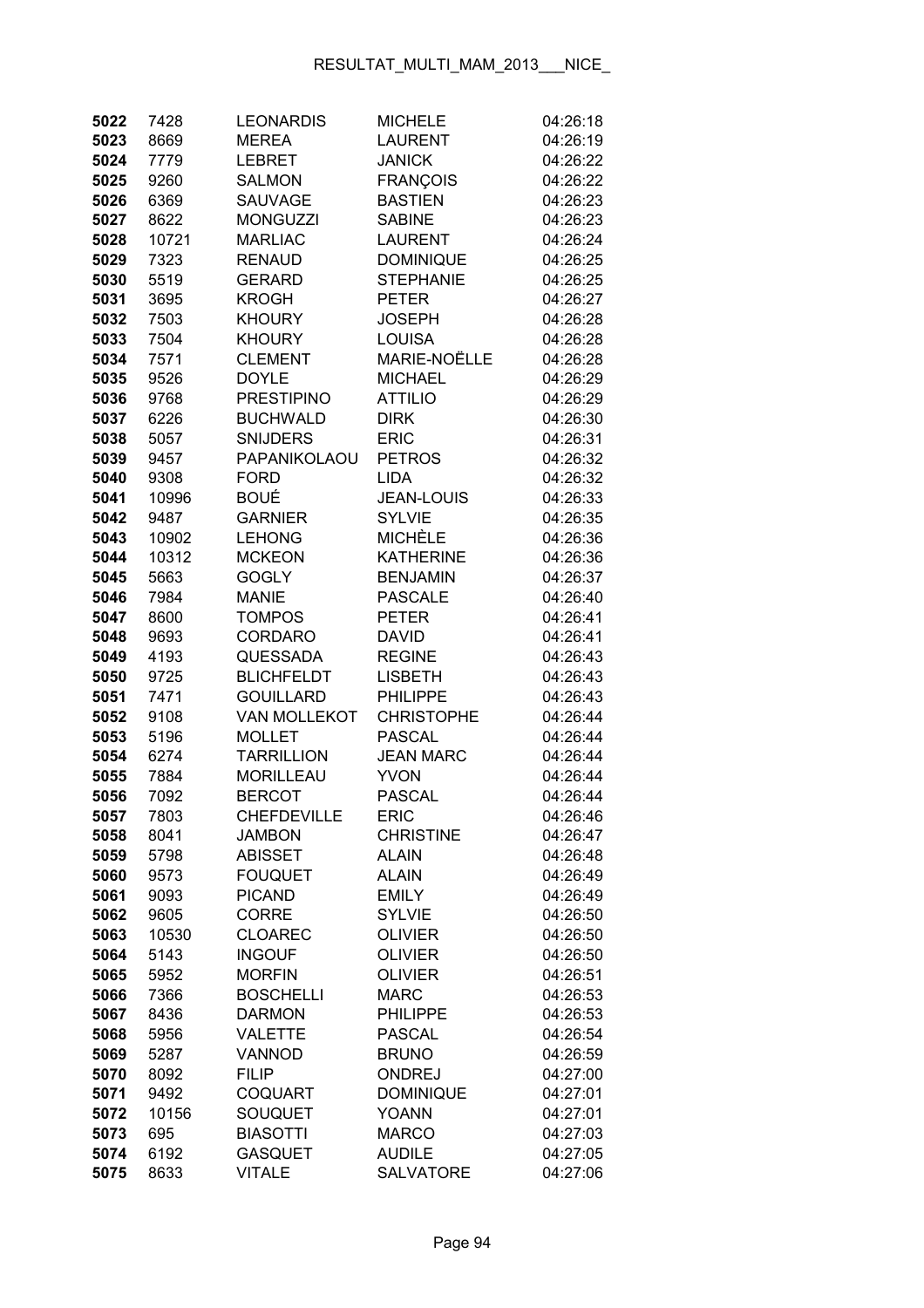| 5022 | 7428  | <b>LEONARDIS</b>    | <b>MICHELE</b>      | 04:26:18 |
|------|-------|---------------------|---------------------|----------|
| 5023 | 8669  | <b>MEREA</b>        | <b>LAURENT</b>      | 04:26:19 |
| 5024 | 7779  | LEBRET              | <b>JANICK</b>       | 04:26:22 |
| 5025 | 9260  | <b>SALMON</b>       | <b>FRANÇOIS</b>     | 04:26:22 |
| 5026 | 6369  | <b>SAUVAGE</b>      | <b>BASTIEN</b>      | 04:26:23 |
| 5027 | 8622  | <b>MONGUZZI</b>     | <b>SABINE</b>       | 04:26:23 |
| 5028 | 10721 | <b>MARLIAC</b>      | <b>LAURENT</b>      | 04:26:24 |
| 5029 | 7323  | <b>RENAUD</b>       | <b>DOMINIQUE</b>    | 04:26:25 |
| 5030 | 5519  | <b>GERARD</b>       | <b>STEPHANIE</b>    | 04:26:25 |
| 5031 | 3695  | <b>KROGH</b>        | <b>PETER</b>        | 04:26:27 |
| 5032 | 7503  | <b>KHOURY</b>       | <b>JOSEPH</b>       | 04:26:28 |
| 5033 | 7504  | <b>KHOURY</b>       | <b>LOUISA</b>       | 04:26:28 |
| 5034 | 7571  | <b>CLEMENT</b>      | <b>MARIE-NOËLLE</b> | 04:26:28 |
| 5035 | 9526  | <b>DOYLE</b>        | <b>MICHAEL</b>      | 04:26:29 |
| 5036 | 9768  | <b>PRESTIPINO</b>   | <b>ATTILIO</b>      | 04:26:29 |
| 5037 | 6226  | <b>BUCHWALD</b>     | <b>DIRK</b>         | 04:26:30 |
| 5038 | 5057  | <b>SNIJDERS</b>     | <b>ERIC</b>         | 04:26:31 |
| 5039 | 9457  | PAPANIKOLAOU        | <b>PETROS</b>       | 04:26:32 |
| 5040 | 9308  | <b>FORD</b>         | <b>LIDA</b>         | 04:26:32 |
| 5041 | 10996 | <b>BOUÉ</b>         | <b>JEAN-LOUIS</b>   | 04:26:33 |
| 5042 | 9487  | <b>GARNIER</b>      | <b>SYLVIE</b>       | 04:26:35 |
| 5043 | 10902 | <b>LEHONG</b>       | <b>MICHÈLE</b>      | 04:26:36 |
| 5044 | 10312 | <b>MCKEON</b>       | <b>KATHERINE</b>    | 04:26:36 |
| 5045 | 5663  | <b>GOGLY</b>        | <b>BENJAMIN</b>     | 04:26:37 |
| 5046 | 7984  | <b>MANIE</b>        | <b>PASCALE</b>      | 04:26:40 |
| 5047 | 8600  | <b>TOMPOS</b>       | <b>PETER</b>        | 04:26:41 |
| 5048 | 9693  | <b>CORDARO</b>      | <b>DAVID</b>        | 04:26:41 |
| 5049 | 4193  | <b>QUESSADA</b>     | <b>REGINE</b>       | 04:26:43 |
| 5050 | 9725  | <b>BLICHFELDT</b>   | <b>LISBETH</b>      | 04:26:43 |
| 5051 | 7471  | <b>GOUILLARD</b>    | <b>PHILIPPE</b>     | 04:26:43 |
| 5052 | 9108  | <b>VAN MOLLEKOT</b> | <b>CHRISTOPHE</b>   | 04:26:44 |
| 5053 | 5196  | <b>MOLLET</b>       | <b>PASCAL</b>       | 04:26:44 |
| 5054 | 6274  | <b>TARRILLION</b>   | <b>JEAN MARC</b>    | 04:26:44 |
| 5055 | 7884  | <b>MORILLEAU</b>    | <b>YVON</b>         | 04:26:44 |
| 5056 | 7092  | <b>BERCOT</b>       | <b>PASCAL</b>       | 04:26:44 |
| 5057 | 7803  | <b>CHEFDEVILLE</b>  | ERIC                | 04:26:46 |
| 5058 | 8041  | <b>JAMBON</b>       | <b>CHRISTINE</b>    | 04:26:47 |
| 5059 | 5798  | <b>ABISSET</b>      | <b>ALAIN</b>        | 04:26:48 |
| 5060 | 9573  | <b>FOUQUET</b>      | <b>ALAIN</b>        | 04:26:49 |
| 5061 | 9093  | <b>PICAND</b>       | <b>EMILY</b>        | 04:26:49 |
| 5062 | 9605  | <b>CORRE</b>        | <b>SYLVIE</b>       | 04:26:50 |
| 5063 | 10530 | <b>CLOAREC</b>      | <b>OLIVIER</b>      | 04:26:50 |
| 5064 | 5143  | <b>INGOUF</b>       | <b>OLIVIER</b>      | 04:26:50 |
| 5065 | 5952  | <b>MORFIN</b>       | <b>OLIVIER</b>      | 04:26:51 |
| 5066 | 7366  | <b>BOSCHELLI</b>    | <b>MARC</b>         | 04:26:53 |
| 5067 | 8436  | <b>DARMON</b>       | <b>PHILIPPE</b>     | 04:26:53 |
| 5068 | 5956  | <b>VALETTE</b>      | <b>PASCAL</b>       | 04:26:54 |
| 5069 | 5287  | <b>VANNOD</b>       | <b>BRUNO</b>        | 04:26:59 |
| 5070 | 8092  | <b>FILIP</b>        | ONDREJ              | 04:27:00 |
| 5071 | 9492  | <b>COQUART</b>      | <b>DOMINIQUE</b>    | 04:27:01 |
| 5072 | 10156 | SOUQUET             | <b>YOANN</b>        | 04:27:01 |
| 5073 | 695   | <b>BIASOTTI</b>     | <b>MARCO</b>        | 04:27:03 |
| 5074 | 6192  | <b>GASQUET</b>      | <b>AUDILE</b>       | 04:27:05 |
| 5075 | 8633  | <b>VITALE</b>       | <b>SALVATORE</b>    | 04:27:06 |
|      |       |                     |                     |          |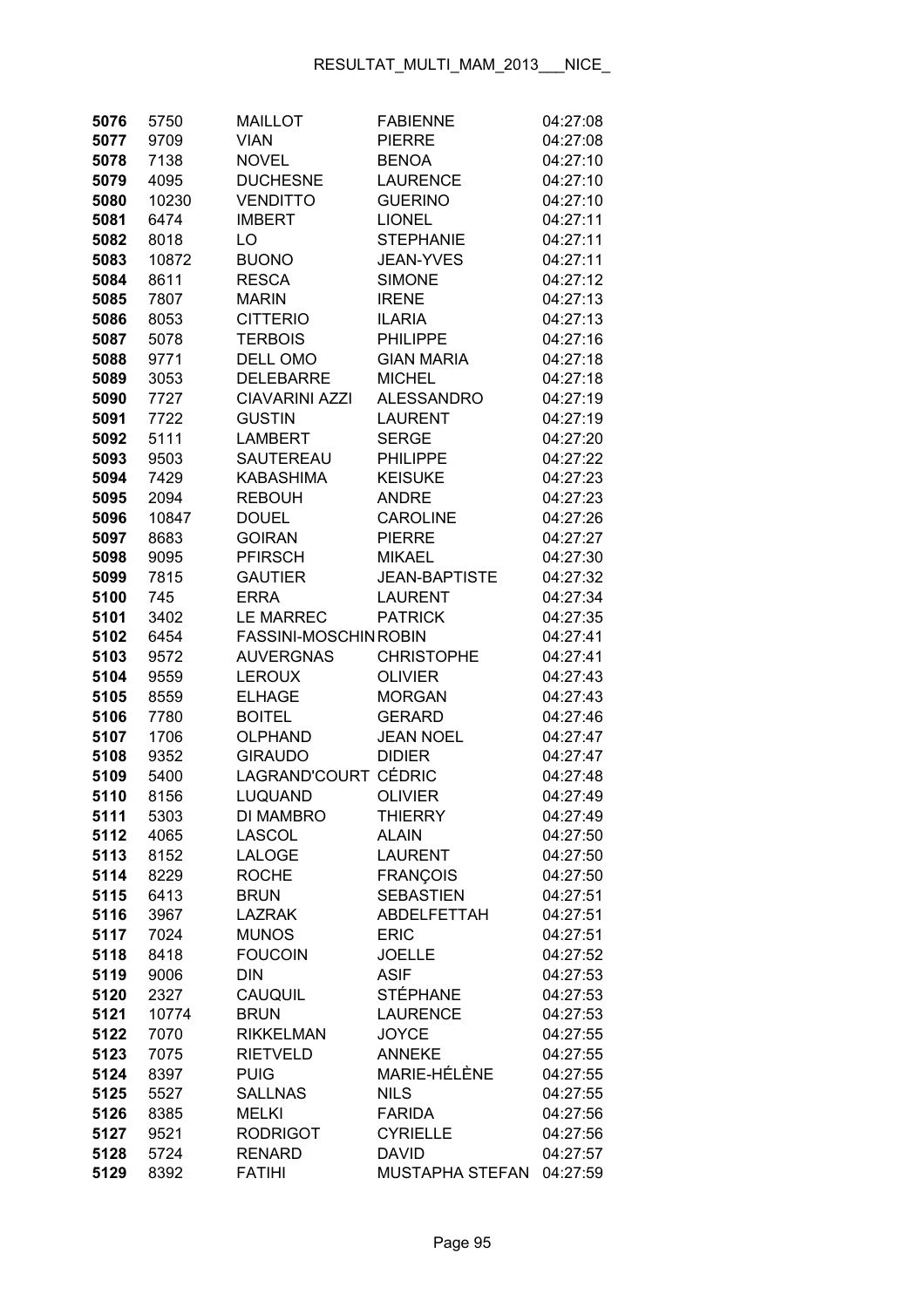| 5076         | 5750  | <b>MAILLOT</b>        | <b>FABIENNE</b>      | 04:27:08 |
|--------------|-------|-----------------------|----------------------|----------|
| 5077         | 9709  | <b>VIAN</b>           | <b>PIERRE</b>        | 04:27:08 |
| 5078         | 7138  | <b>NOVEL</b>          | <b>BENOA</b>         | 04:27:10 |
| 5079         | 4095  | <b>DUCHESNE</b>       | <b>LAURENCE</b>      | 04:27:10 |
| 5080         | 10230 | <b>VENDITTO</b>       | <b>GUERINO</b>       | 04:27:10 |
| 5081         | 6474  | <b>IMBERT</b>         | <b>LIONEL</b>        | 04:27:11 |
| 5082         | 8018  | LO                    | <b>STEPHANIE</b>     | 04:27:11 |
| 5083         | 10872 | <b>BUONO</b>          | <b>JEAN-YVES</b>     | 04:27:11 |
| 5084         | 8611  | <b>RESCA</b>          | <b>SIMONE</b>        | 04:27:12 |
| 5085         | 7807  | <b>MARIN</b>          | <b>IRENE</b>         | 04:27:13 |
| 5086         | 8053  | <b>CITTERIO</b>       | <b>ILARIA</b>        | 04:27:13 |
| 5087         | 5078  | <b>TERBOIS</b>        | <b>PHILIPPE</b>      | 04:27:16 |
| 5088         | 9771  | DELL OMO              | <b>GIAN MARIA</b>    | 04:27:18 |
| 5089         | 3053  | <b>DELEBARRE</b>      | <b>MICHEL</b>        | 04:27:18 |
| 5090         | 7727  | <b>CIAVARINI AZZI</b> | <b>ALESSANDRO</b>    | 04:27:19 |
| 5091         | 7722  | <b>GUSTIN</b>         | <b>LAURENT</b>       | 04:27:19 |
| 5092         | 5111  | <b>LAMBERT</b>        | <b>SERGE</b>         | 04:27:20 |
| 5093         | 9503  | SAUTEREAU             | <b>PHILIPPE</b>      | 04:27:22 |
| 5094         | 7429  | <b>KABASHIMA</b>      | <b>KEISUKE</b>       | 04:27:23 |
| 5095         | 2094  | <b>REBOUH</b>         | <b>ANDRE</b>         | 04:27:23 |
| 5096         | 10847 | <b>DOUEL</b>          | <b>CAROLINE</b>      | 04:27:26 |
|              |       | <b>GOIRAN</b>         | <b>PIERRE</b>        |          |
| 5097<br>5098 | 8683  |                       |                      | 04:27:27 |
|              | 9095  | <b>PFIRSCH</b>        | <b>MIKAEL</b>        | 04:27:30 |
| 5099         | 7815  | <b>GAUTIER</b>        | <b>JEAN-BAPTISTE</b> | 04:27:32 |
| 5100         | 745   | <b>ERRA</b>           | <b>LAURENT</b>       | 04:27:34 |
| 5101         | 3402  | <b>LE MARREC</b>      | <b>PATRICK</b>       | 04:27:35 |
| 5102         | 6454  | FASSINI-MOSCHIN ROBIN |                      | 04:27:41 |
| 5103         | 9572  | <b>AUVERGNAS</b>      | <b>CHRISTOPHE</b>    | 04:27:41 |
| 5104         | 9559  | <b>LEROUX</b>         | <b>OLIVIER</b>       | 04:27:43 |
| 5105         | 8559  | <b>ELHAGE</b>         | <b>MORGAN</b>        | 04:27:43 |
| 5106         | 7780  | <b>BOITEL</b>         | <b>GERARD</b>        | 04:27:46 |
| 5107         | 1706  | <b>OLPHAND</b>        | <b>JEAN NOEL</b>     | 04:27:47 |
| 5108         | 9352  | <b>GIRAUDO</b>        | <b>DIDIER</b>        | 04:27:47 |
| 5109         | 5400  | LAGRAND'COURT CÉDRIC  |                      | 04:27:48 |
| 5110         | 8156  | LUQUAND               | <b>OLIVIER</b>       | 04:27:49 |
| 5111         | 5303  | DI MAMBRO             | THIERRY              | 04:27:49 |
| 5112         | 4065  | <b>LASCOL</b>         | <b>ALAIN</b>         | 04:27:50 |
| 5113         | 8152  | LALOGE                | <b>LAURENT</b>       | 04:27:50 |
| 5114         | 8229  | <b>ROCHE</b>          | <b>FRANÇOIS</b>      | 04:27:50 |
| 5115         | 6413  | <b>BRUN</b>           | <b>SEBASTIEN</b>     | 04:27:51 |
| 5116         | 3967  | <b>LAZRAK</b>         | ABDELFETTAH          | 04:27:51 |
| 5117         | 7024  | <b>MUNOS</b>          | <b>ERIC</b>          | 04:27:51 |
| 5118         | 8418  | <b>FOUCOIN</b>        | <b>JOELLE</b>        | 04:27:52 |
| 5119         | 9006  | <b>DIN</b>            | <b>ASIF</b>          | 04:27:53 |
| 5120         | 2327  | CAUQUIL               | <b>STÉPHANE</b>      | 04:27:53 |
| 5121         | 10774 | <b>BRUN</b>           | <b>LAURENCE</b>      | 04:27:53 |
| 5122         | 7070  | <b>RIKKELMAN</b>      | <b>JOYCE</b>         | 04:27:55 |
| 5123         | 7075  | <b>RIETVELD</b>       | <b>ANNEKE</b>        | 04:27:55 |
| 5124         | 8397  | <b>PUIG</b>           | <b>MARIE-HÉLÈNE</b>  | 04:27:55 |
| 5125         | 5527  | <b>SALLNAS</b>        | <b>NILS</b>          | 04:27:55 |
| 5126         | 8385  | <b>MELKI</b>          | <b>FARIDA</b>        | 04:27:56 |
| 5127         | 9521  | <b>RODRIGOT</b>       | <b>CYRIELLE</b>      | 04:27:56 |
| 5128         | 5724  | <b>RENARD</b>         | <b>DAVID</b>         | 04:27:57 |
| 5129         | 8392  | <b>FATIHI</b>         | MUSTAPHA STEFAN      | 04:27:59 |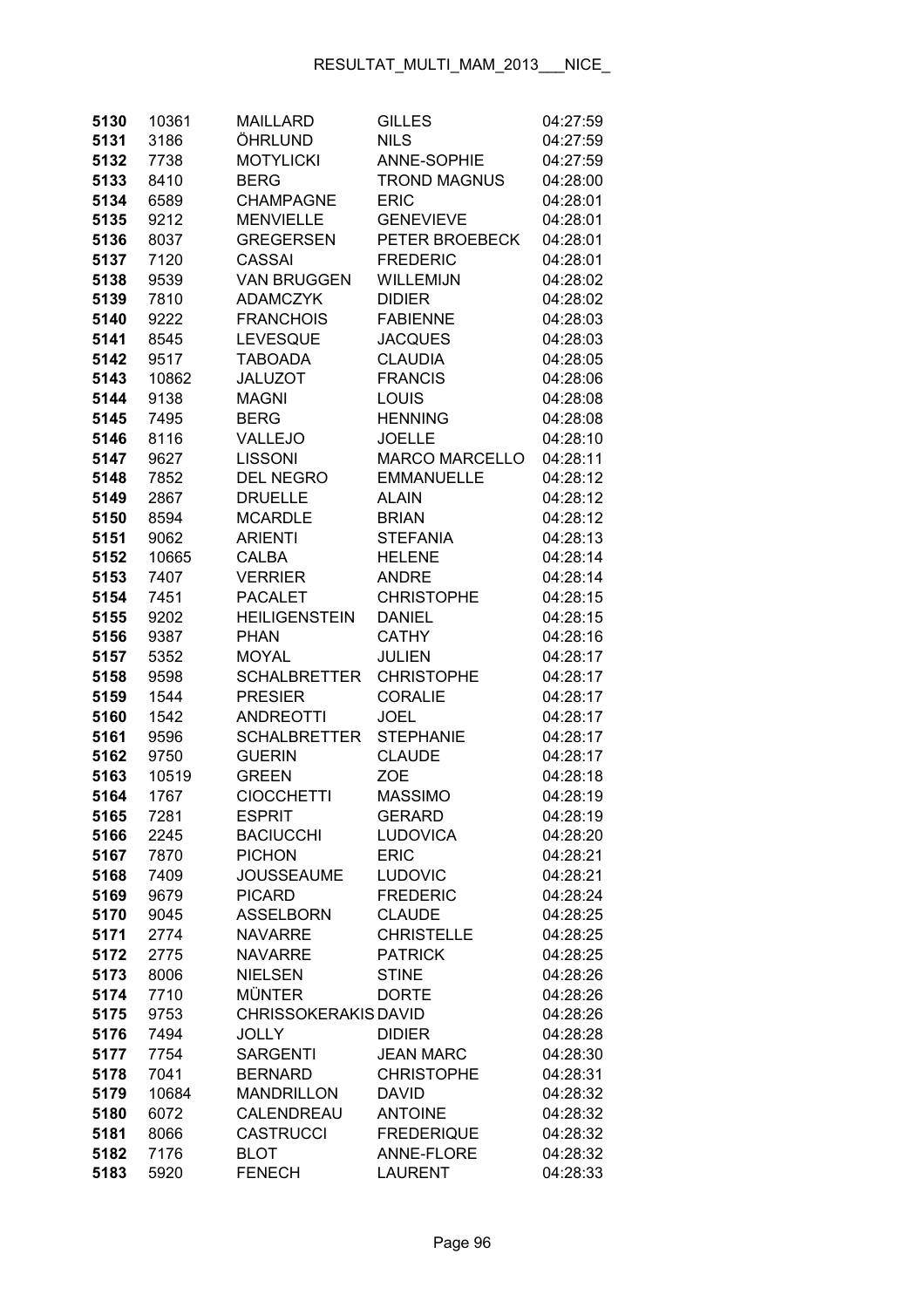| 5130         | 10361        | <b>MAILLARD</b>                    | <b>GILLES</b>                     | 04:27:59             |
|--------------|--------------|------------------------------------|-----------------------------------|----------------------|
| 5131         | 3186         | ÖHRLUND                            | <b>NILS</b>                       | 04:27:59             |
| 5132         | 7738         | <b>MOTYLICKI</b>                   | <b>ANNE-SOPHIE</b>                | 04:27:59             |
| 5133         | 8410         | <b>BERG</b>                        | <b>TROND MAGNUS</b>               | 04:28:00             |
| 5134         | 6589         | <b>CHAMPAGNE</b>                   | <b>ERIC</b>                       | 04:28:01             |
| 5135         | 9212         | <b>MENVIELLE</b>                   | <b>GENEVIEVE</b>                  | 04:28:01             |
| 5136         | 8037         | <b>GREGERSEN</b>                   | PETER BROEBECK                    | 04:28:01             |
| 5137         | 7120         | <b>CASSAI</b>                      | <b>FREDERIC</b>                   | 04:28:01             |
| 5138         | 9539         | <b>VAN BRUGGEN</b>                 | WILLEMIJN                         | 04:28:02             |
| 5139         | 7810         | <b>ADAMCZYK</b>                    | <b>DIDIER</b>                     | 04:28:02             |
| 5140         | 9222         | <b>FRANCHOIS</b>                   | <b>FABIENNE</b>                   | 04:28:03             |
| 5141         | 8545         | <b>LEVESQUE</b>                    | <b>JACQUES</b>                    | 04:28:03             |
| 5142         | 9517         | <b>TABOADA</b>                     | <b>CLAUDIA</b>                    | 04:28:05             |
| 5143         | 10862        | <b>JALUZOT</b>                     | <b>FRANCIS</b>                    | 04:28:06             |
| 5144         | 9138         | <b>MAGNI</b>                       | <b>LOUIS</b>                      | 04:28:08             |
| 5145         | 7495         | <b>BERG</b>                        | <b>HENNING</b>                    | 04:28:08             |
| 5146         | 8116         | VALLEJO                            | <b>JOELLE</b>                     | 04:28:10             |
| 5147         | 9627         | <b>LISSONI</b>                     | <b>MARCO MARCELLO</b>             | 04:28:11             |
| 5148         | 7852         | <b>DEL NEGRO</b>                   | <b>EMMANUELLE</b>                 | 04:28:12             |
| 5149         | 2867         | <b>DRUELLE</b>                     | <b>ALAIN</b>                      | 04:28:12             |
| 5150         | 8594         | <b>MCARDLE</b>                     | <b>BRIAN</b>                      | 04:28:12             |
| 5151         | 9062         | <b>ARIENTI</b>                     | <b>STEFANIA</b>                   | 04:28:13             |
| 5152         | 10665        | CALBA                              | <b>HELENE</b>                     | 04:28:14             |
| 5153         | 7407         | VERRIER                            | <b>ANDRE</b>                      | 04:28:14             |
| 5154         | 7451         | <b>PACALET</b>                     | <b>CHRISTOPHE</b>                 | 04:28:15             |
| 5155         | 9202         | <b>HEILIGENSTEIN</b>               | <b>DANIEL</b>                     | 04:28:15             |
| 5156         | 9387         | <b>PHAN</b>                        | <b>CATHY</b>                      | 04:28:16             |
| 5157         | 5352         | <b>MOYAL</b>                       | <b>JULIEN</b>                     | 04:28:17             |
| 5158         | 9598         | <b>SCHALBRETTER</b>                | <b>CHRISTOPHE</b>                 | 04:28:17             |
| 5159         | 1544         | <b>PRESIER</b>                     | <b>CORALIE</b>                    | 04:28:17             |
| 5160         | 1542         | <b>ANDREOTTI</b>                   | <b>JOEL</b>                       | 04:28:17             |
| 5161         | 9596         | <b>SCHALBRETTER</b>                | <b>STEPHANIE</b>                  | 04:28:17             |
| 5162         | 9750         | <b>GUERIN</b>                      | <b>CLAUDE</b>                     | 04:28:17             |
| 5163         | 10519        | <b>GREEN</b>                       | <b>ZOE</b>                        | 04:28:18             |
| 5164         | 1767         | <b>CIOCCHETTI</b>                  | <b>MASSIMO</b>                    | 04:28:19             |
| 5165         | 7281         | <b>ESPRIT</b>                      | GERARD                            | 04:28:19             |
| 5166         | 2245         | <b>BACIUCCHI</b>                   | <b>LUDOVICA</b>                   | 04:28:20             |
| 5167         | 7870         | <b>PICHON</b>                      | <b>ERIC</b>                       | 04:28:21<br>04:28:21 |
| 5168         | 7409         | <b>JOUSSEAUME</b><br><b>PICARD</b> | <b>LUDOVIC</b><br><b>FREDERIC</b> |                      |
| 5169<br>5170 | 9679<br>9045 | <b>ASSELBORN</b>                   | <b>CLAUDE</b>                     | 04:28:24<br>04:28:25 |
| 5171         | 2774         | <b>NAVARRE</b>                     | <b>CHRISTELLE</b>                 | 04:28:25             |
| 5172         | 2775         | <b>NAVARRE</b>                     | <b>PATRICK</b>                    | 04:28:25             |
| 5173         | 8006         | <b>NIELSEN</b>                     | <b>STINE</b>                      | 04:28:26             |
| 5174         | 7710         | <b>MÜNTER</b>                      | <b>DORTE</b>                      | 04:28:26             |
| 5175         | 9753         | <b>CHRISSOKERAKIS DAVID</b>        |                                   | 04:28:26             |
| 5176         | 7494         | <b>JOLLY</b>                       | <b>DIDIER</b>                     | 04:28:28             |
| 5177         | 7754         | <b>SARGENTI</b>                    | <b>JEAN MARC</b>                  | 04:28:30             |
| 5178         | 7041         | <b>BERNARD</b>                     | <b>CHRISTOPHE</b>                 | 04:28:31             |
| 5179         | 10684        | <b>MANDRILLON</b>                  | <b>DAVID</b>                      | 04:28:32             |
| 5180         | 6072         | CALENDREAU                         | <b>ANTOINE</b>                    | 04:28:32             |
| 5181         | 8066         | <b>CASTRUCCI</b>                   | <b>FREDERIQUE</b>                 | 04:28:32             |
| 5182         | 7176         | <b>BLOT</b>                        | ANNE-FLORE                        | 04:28:32             |
| 5183         | 5920         | <b>FENECH</b>                      | <b>LAURENT</b>                    | 04:28:33             |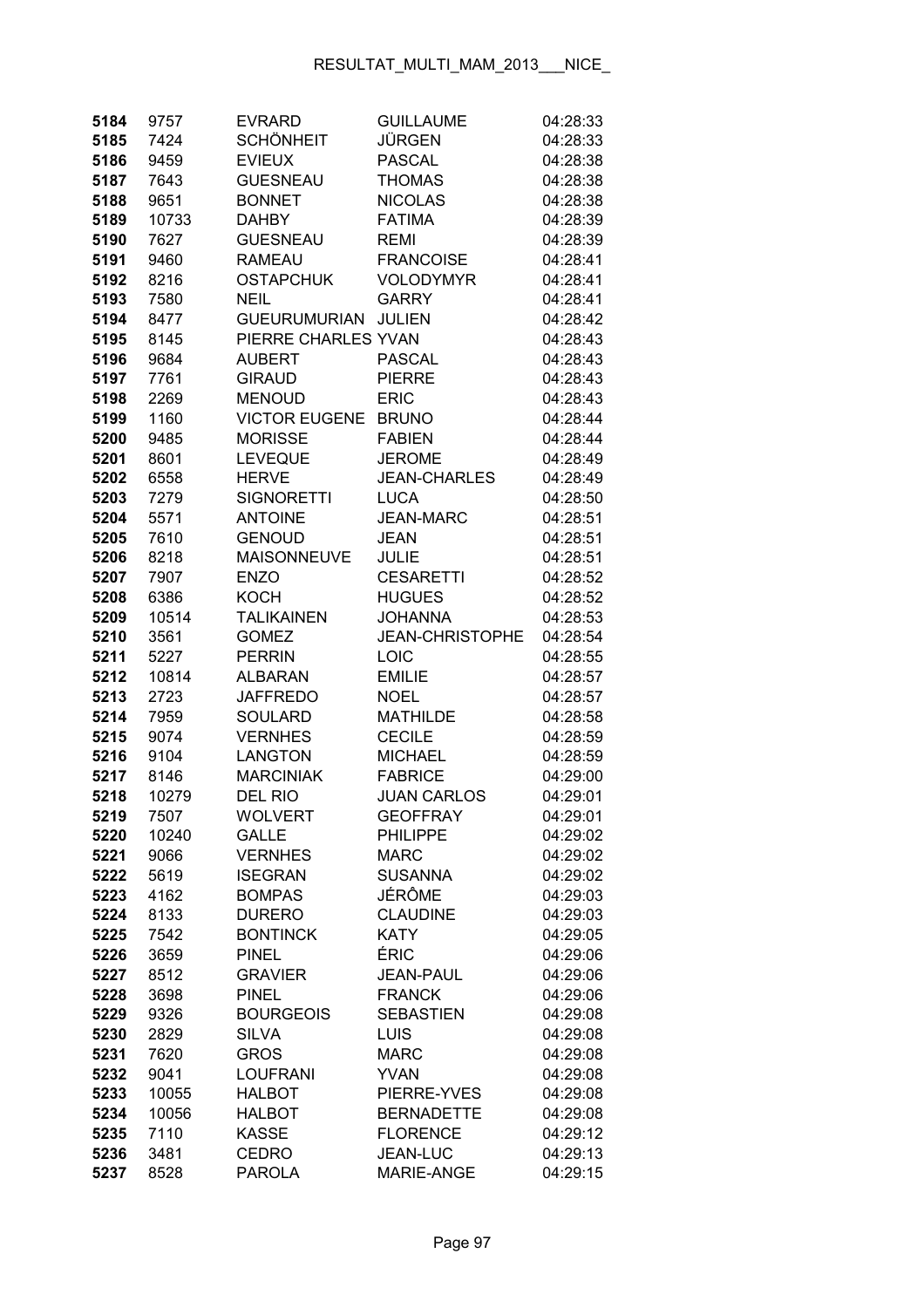| 5184         | 9757         | <b>EVRARD</b>                  | <b>GUILLAUME</b>                  | 04:28:33             |
|--------------|--------------|--------------------------------|-----------------------------------|----------------------|
| 5185         | 7424         | <b>SCHÖNHEIT</b>               | <b>JÜRGEN</b>                     | 04:28:33             |
| 5186         | 9459         | <b>EVIEUX</b>                  | <b>PASCAL</b>                     | 04:28:38             |
| 5187         | 7643         | <b>GUESNEAU</b>                | <b>THOMAS</b>                     | 04:28:38             |
| 5188         | 9651         | <b>BONNET</b>                  | <b>NICOLAS</b>                    | 04:28:38             |
| 5189         | 10733        | <b>DAHBY</b>                   | <b>FATIMA</b>                     | 04:28:39             |
| 5190         | 7627         | <b>GUESNEAU</b>                | <b>REMI</b>                       | 04:28:39             |
| 5191         | 9460         | <b>RAMEAU</b>                  | <b>FRANCOISE</b>                  | 04:28:41             |
| 5192         | 8216         | <b>OSTAPCHUK</b>               | <b>VOLODYMYR</b>                  | 04:28:41             |
| 5193         | 7580         | <b>NEIL</b>                    | <b>GARRY</b>                      | 04:28:41             |
| 5194         | 8477         | <b>GUEURUMURIAN</b>            | <b>JULIEN</b>                     | 04:28:42             |
| 5195         | 8145         | PIERRE CHARLES YVAN            |                                   | 04:28:43             |
| 5196         | 9684         | <b>AUBERT</b>                  | <b>PASCAL</b>                     | 04:28:43             |
| 5197         | 7761         | <b>GIRAUD</b>                  | <b>PIERRE</b>                     | 04:28:43             |
| 5198         | 2269         | <b>MENOUD</b>                  | <b>ERIC</b>                       | 04:28:43             |
| 5199         | 1160         | <b>VICTOR EUGENE</b>           | <b>BRUNO</b>                      | 04:28:44             |
| 5200         | 9485         | <b>MORISSE</b>                 | <b>FABIEN</b>                     | 04:28:44             |
| 5201         | 8601         | <b>LEVEQUE</b>                 | <b>JEROME</b>                     | 04:28:49             |
| 5202         | 6558         | <b>HERVE</b>                   | <b>JEAN-CHARLES</b>               | 04:28:49             |
| 5203         | 7279         | <b>SIGNORETTI</b>              | <b>LUCA</b>                       | 04:28:50             |
| 5204         | 5571         | <b>ANTOINE</b>                 | <b>JEAN-MARC</b>                  | 04:28:51             |
| 5205         | 7610         | <b>GENOUD</b>                  | <b>JEAN</b>                       | 04:28:51             |
| 5206         | 8218         | <b>MAISONNEUVE</b>             | <b>JULIE</b>                      | 04:28:51             |
| 5207         | 7907         | <b>ENZO</b>                    | <b>CESARETTI</b>                  | 04:28:52             |
| 5208         | 6386         | <b>KOCH</b>                    | <b>HUGUES</b>                     | 04:28:52             |
| 5209         | 10514        | <b>TALIKAINEN</b>              | <b>JOHANNA</b>                    | 04:28:53             |
| 5210         | 3561         | <b>GOMEZ</b>                   | <b>JEAN-CHRISTOPHE</b>            | 04:28:54             |
| 5211         | 5227         | <b>PERRIN</b>                  | LOIC                              | 04:28:55             |
| 5212         | 10814        | <b>ALBARAN</b>                 | <b>EMILIE</b>                     | 04:28:57             |
| 5213         | 2723         | <b>JAFFREDO</b>                | <b>NOEL</b>                       | 04:28:57             |
| 5214         | 7959         | <b>SOULARD</b>                 | <b>MATHILDE</b>                   | 04:28:58             |
| 5215         | 9074         | <b>VERNHES</b>                 | <b>CECILE</b>                     | 04:28:59             |
| 5216         | 9104         | <b>LANGTON</b>                 | <b>MICHAEL</b>                    | 04:28:59             |
| 5217         | 8146         | <b>MARCINIAK</b>               | <b>FABRICE</b>                    | 04:29:00             |
| 5218         | 10279        | DEL RIO                        | <b>JUAN CARLOS</b>                | 04:29:01             |
| 5219         | 7507         | <b>WOLVERT</b>                 | <b>GEOFFRAY</b>                   | 04:29:01             |
| 5220         | 10240        | <b>GALLE</b>                   | <b>PHILIPPE</b>                   | 04:29:02             |
| 5221         | 9066         | <b>VERNHES</b>                 | <b>MARC</b>                       | 04:29:02             |
| 5222         | 5619         | <b>ISEGRAN</b>                 | <b>SUSANNA</b>                    | 04:29:02             |
| 5223         | 4162         | <b>BOMPAS</b>                  | JÉRÔME                            | 04:29:03             |
| 5224         | 8133         | <b>DURERO</b>                  | <b>CLAUDINE</b>                   | 04:29:03             |
| 5225         | 7542         | <b>BONTINCK</b>                | <b>KATY</b>                       | 04:29:05             |
| 5226         | 3659         | <b>PINEL</b>                   | ÉRIC                              | 04:29:06             |
| 5227         | 8512         | <b>GRAVIER</b><br><b>PINEL</b> | <b>JEAN-PAUL</b><br><b>FRANCK</b> | 04:29:06             |
| 5228<br>5229 | 3698<br>9326 | <b>BOURGEOIS</b>               | <b>SEBASTIEN</b>                  | 04:29:06<br>04:29:08 |
| 5230         | 2829         | <b>SILVA</b>                   | <b>LUIS</b>                       | 04:29:08             |
| 5231         | 7620         | <b>GROS</b>                    | <b>MARC</b>                       | 04:29:08             |
| 5232         | 9041         | <b>LOUFRANI</b>                | <b>YVAN</b>                       | 04:29:08             |
| 5233         | 10055        | <b>HALBOT</b>                  | PIERRE-YVES                       | 04:29:08             |
| 5234         | 10056        | <b>HALBOT</b>                  | <b>BERNADETTE</b>                 | 04:29:08             |
| 5235         | 7110         | <b>KASSE</b>                   | <b>FLORENCE</b>                   | 04:29:12             |
| 5236         | 3481         | <b>CEDRO</b>                   | JEAN-LUC                          | 04:29:13             |
| 5237         | 8528         | <b>PAROLA</b>                  | MARIE-ANGE                        | 04:29:15             |
|              |              |                                |                                   |                      |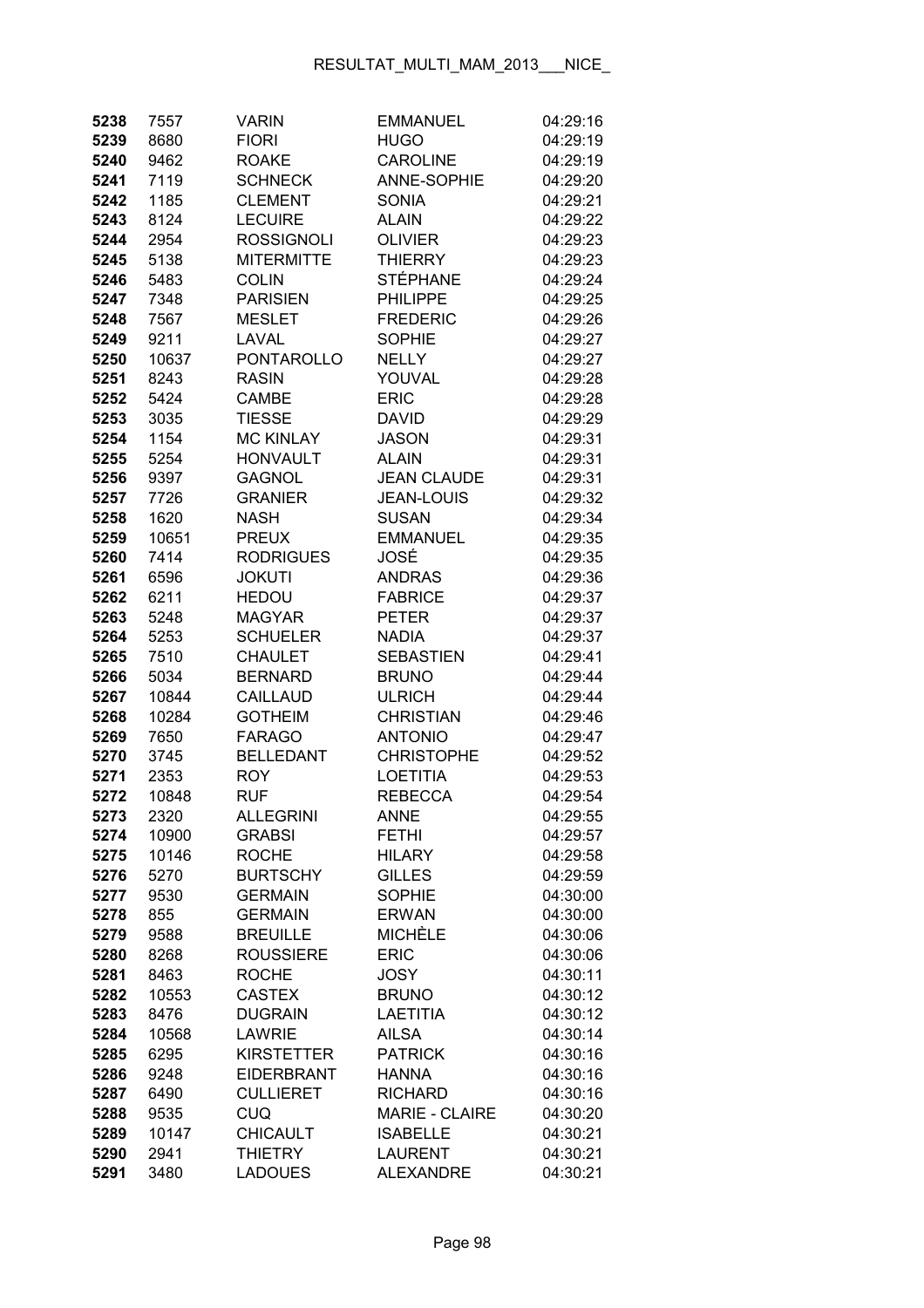| 5238         | 7557          | <b>VARIN</b>                    | <b>EMMANUEL</b>                 | 04:29:16             |
|--------------|---------------|---------------------------------|---------------------------------|----------------------|
| 5239         | 8680          | <b>FIORI</b>                    | <b>HUGO</b>                     | 04:29:19             |
| 5240         | 9462          | <b>ROAKE</b>                    | <b>CAROLINE</b>                 | 04:29:19             |
| 5241         | 7119          | <b>SCHNECK</b>                  | <b>ANNE-SOPHIE</b>              | 04:29:20             |
| 5242         | 1185          | <b>CLEMENT</b>                  | <b>SONIA</b>                    | 04:29:21             |
| 5243         | 8124          | <b>LECUIRE</b>                  | <b>ALAIN</b>                    | 04:29:22             |
| 5244         | 2954          | <b>ROSSIGNOLI</b>               | <b>OLIVIER</b>                  | 04:29:23             |
| 5245         | 5138          | <b>MITERMITTE</b>               | <b>THIERRY</b>                  | 04:29:23             |
| 5246         | 5483          | <b>COLIN</b>                    | <b>STÉPHANE</b>                 | 04:29:24             |
| 5247         | 7348          | <b>PARISIEN</b>                 | <b>PHILIPPE</b>                 | 04:29:25             |
| 5248         | 7567          | <b>MESLET</b>                   | <b>FREDERIC</b>                 | 04:29:26             |
| 5249         | 9211          | LAVAL                           | <b>SOPHIE</b>                   | 04:29:27             |
| 5250         | 10637         | <b>PONTAROLLO</b>               | <b>NELLY</b>                    | 04:29:27             |
| 5251         | 8243          | <b>RASIN</b>                    | YOUVAL                          | 04:29:28             |
| 5252         | 5424          | <b>CAMBE</b>                    | <b>ERIC</b>                     | 04:29:28             |
| 5253         | 3035          | <b>TIESSE</b>                   | DAVID                           | 04:29:29             |
| 5254         | 1154          | <b>MC KINLAY</b>                | <b>JASON</b>                    | 04:29:31             |
| 5255         | 5254          | <b>HONVAULT</b>                 | <b>ALAIN</b>                    | 04:29:31             |
| 5256         | 9397          | <b>GAGNOL</b>                   | <b>JEAN CLAUDE</b>              | 04:29:31             |
| 5257         | 7726          | <b>GRANIER</b>                  | <b>JEAN-LOUIS</b>               | 04:29:32             |
| 5258         | 1620          | <b>NASH</b>                     | <b>SUSAN</b>                    | 04:29:34             |
| 5259         | 10651         | <b>PREUX</b>                    | <b>EMMANUEL</b>                 | 04:29:35             |
| 5260         | 7414          | <b>RODRIGUES</b>                | JOSÉ                            | 04:29:35             |
| 5261         | 6596          | <b>JOKUTI</b>                   | <b>ANDRAS</b>                   | 04:29:36             |
| 5262         | 6211          | <b>HEDOU</b>                    | <b>FABRICE</b>                  | 04:29:37             |
| 5263         | 5248          | <b>MAGYAR</b>                   | <b>PETER</b>                    | 04:29:37             |
| 5264         | 5253          | <b>SCHUELER</b>                 | <b>NADIA</b>                    | 04:29:37             |
| 5265         | 7510          | <b>CHAULET</b>                  | <b>SEBASTIEN</b>                | 04:29:41             |
| 5266         | 5034          | <b>BERNARD</b>                  | <b>BRUNO</b>                    | 04:29:44             |
| 5267         | 10844         | <b>CAILLAUD</b>                 | <b>ULRICH</b>                   | 04:29:44             |
| 5268         | 10284         | <b>GOTHEIM</b>                  | <b>CHRISTIAN</b>                | 04:29:46             |
| 5269         | 7650          | <b>FARAGO</b>                   | <b>ANTONIO</b>                  | 04:29:47             |
| 5270         | 3745          | <b>BELLEDANT</b>                | <b>CHRISTOPHE</b>               | 04:29:52             |
| 5271         | 2353          | <b>ROY</b>                      | <b>LOETITIA</b>                 | 04:29:53             |
| 5272         | 10848         | RUF                             | <b>REBECCA</b>                  | 04:29:54             |
| 5273         | 2320          | <b>ALLEGRINI</b>                | <b>ANNE</b>                     | 04:29:55             |
| 5274         | 10900         | <b>GRABSI</b>                   | <b>FETHI</b>                    | 04:29:57             |
| 5275         | 10146         | <b>ROCHE</b>                    | <b>HILARY</b>                   | 04:29:58             |
| 5276         | 5270          | <b>BURTSCHY</b>                 | <b>GILLES</b>                   | 04:29:59             |
| 5277         | 9530          | <b>GERMAIN</b>                  | <b>SOPHIE</b>                   | 04:30:00             |
| 5278         | 855           | <b>GERMAIN</b>                  | <b>ERWAN</b>                    | 04:30:00             |
| 5279         | 9588          | <b>BREUILLE</b>                 | <b>MICHÈLE</b>                  | 04:30:06             |
| 5280         | 8268          | <b>ROUSSIERE</b>                | <b>ERIC</b>                     | 04:30:06             |
| 5281         | 8463          | <b>ROCHE</b>                    | <b>JOSY</b>                     | 04:30:11             |
| 5282         | 10553         | <b>CASTEX</b>                   | <b>BRUNO</b><br><b>LAETITIA</b> | 04:30:12             |
| 5283         | 8476          | <b>DUGRAIN</b><br><b>LAWRIE</b> | <b>AILSA</b>                    | 04:30:12             |
| 5284<br>5285 | 10568<br>6295 | <b>KIRSTETTER</b>               | <b>PATRICK</b>                  | 04:30:14<br>04:30:16 |
| 5286         | 9248          | <b>EIDERBRANT</b>               | <b>HANNA</b>                    | 04:30:16             |
| 5287         | 6490          | <b>CULLIERET</b>                | <b>RICHARD</b>                  | 04:30:16             |
| 5288         | 9535          | <b>CUQ</b>                      | <b>MARIE - CLAIRE</b>           | 04:30:20             |
| 5289         | 10147         | <b>CHICAULT</b>                 | <b>ISABELLE</b>                 | 04:30:21             |
| 5290         | 2941          | <b>THIETRY</b>                  | <b>LAURENT</b>                  | 04:30:21             |
| 5291         | 3480          | <b>LADOUES</b>                  | <b>ALEXANDRE</b>                | 04:30:21             |
|              |               |                                 |                                 |                      |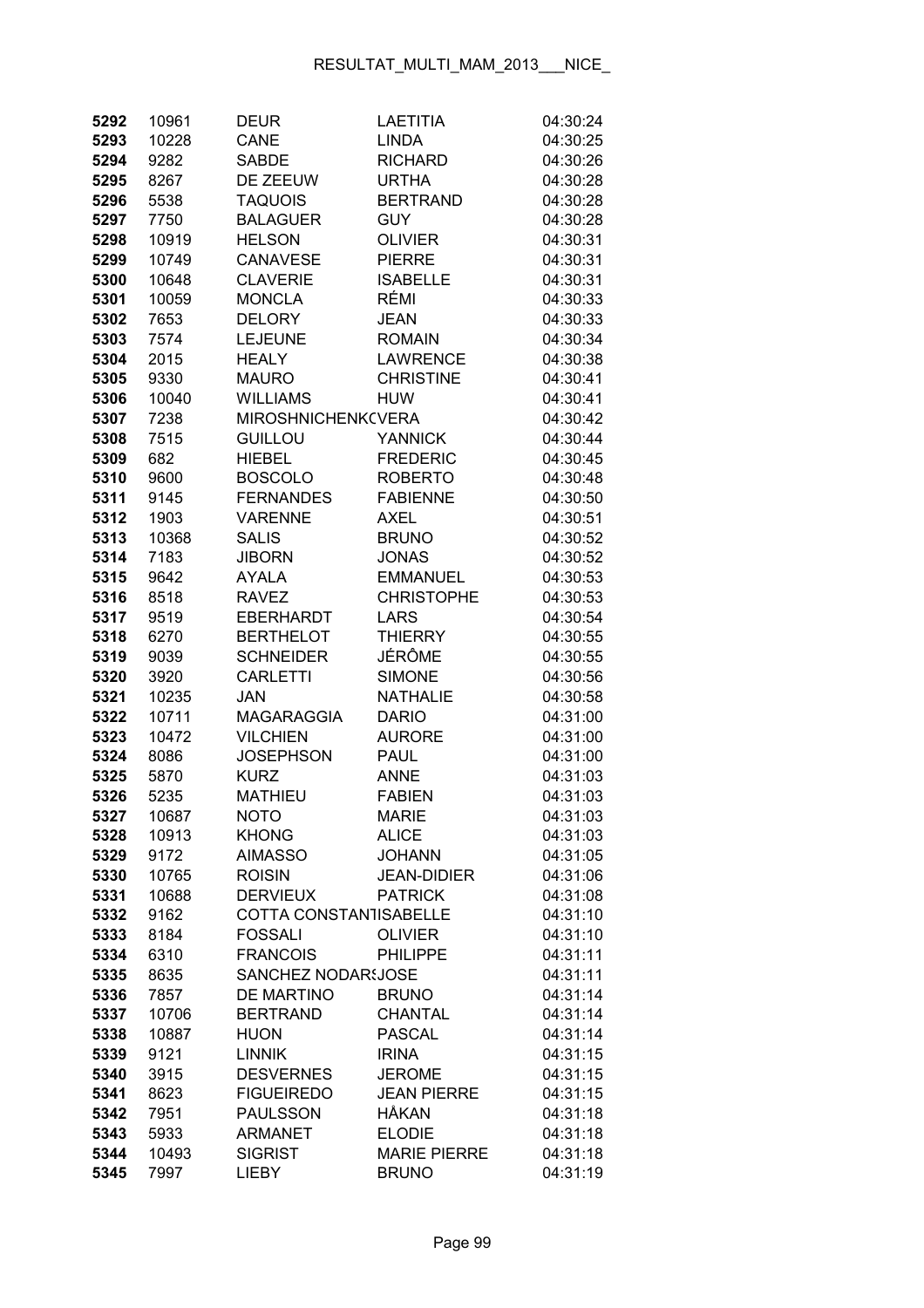| 5292 | 10961 | <b>DEUR</b>               | <b>LAETITIA</b>     | 04:30:24 |
|------|-------|---------------------------|---------------------|----------|
| 5293 | 10228 | CANE                      | <b>LINDA</b>        | 04:30:25 |
| 5294 | 9282  | <b>SABDE</b>              | <b>RICHARD</b>      | 04:30:26 |
| 5295 | 8267  | DE ZEEUW                  | <b>URTHA</b>        | 04:30:28 |
| 5296 | 5538  | <b>TAQUOIS</b>            | <b>BERTRAND</b>     | 04:30:28 |
| 5297 | 7750  | <b>BALAGUER</b>           | <b>GUY</b>          | 04:30:28 |
| 5298 | 10919 | <b>HELSON</b>             | <b>OLIVIER</b>      | 04:30:31 |
| 5299 | 10749 | <b>CANAVESE</b>           | <b>PIERRE</b>       | 04:30:31 |
| 5300 | 10648 | <b>CLAVERIE</b>           | <b>ISABELLE</b>     | 04:30:31 |
| 5301 | 10059 | <b>MONCLA</b>             | RÉMI                | 04:30:33 |
| 5302 | 7653  | <b>DELORY</b>             | <b>JEAN</b>         | 04:30:33 |
| 5303 | 7574  | <b>LEJEUNE</b>            | <b>ROMAIN</b>       | 04:30:34 |
| 5304 | 2015  | <b>HEALY</b>              | <b>LAWRENCE</b>     | 04:30:38 |
| 5305 | 9330  | <b>MAURO</b>              | <b>CHRISTINE</b>    | 04:30:41 |
| 5306 | 10040 | <b>WILLIAMS</b>           | <b>HUW</b>          | 04:30:41 |
| 5307 | 7238  | <b>MIROSHNICHENK(VERA</b> |                     | 04:30:42 |
| 5308 | 7515  | <b>GUILLOU</b>            | <b>YANNICK</b>      | 04:30:44 |
| 5309 | 682   | <b>HIEBEL</b>             | <b>FREDERIC</b>     | 04:30:45 |
| 5310 | 9600  | <b>BOSCOLO</b>            | <b>ROBERTO</b>      | 04:30:48 |
| 5311 | 9145  | <b>FERNANDES</b>          | <b>FABIENNE</b>     | 04:30:50 |
| 5312 | 1903  | <b>VARENNE</b>            | AXEL                | 04:30:51 |
| 5313 | 10368 | <b>SALIS</b>              | <b>BRUNO</b>        | 04:30:52 |
| 5314 | 7183  | <b>JIBORN</b>             | <b>JONAS</b>        | 04:30:52 |
| 5315 | 9642  | <b>AYALA</b>              | <b>EMMANUEL</b>     | 04:30:53 |
| 5316 | 8518  | <b>RAVEZ</b>              | <b>CHRISTOPHE</b>   | 04:30:53 |
| 5317 | 9519  | <b>EBERHARDT</b>          | <b>LARS</b>         | 04:30:54 |
| 5318 | 6270  | <b>BERTHELOT</b>          | <b>THIERRY</b>      | 04:30:55 |
| 5319 | 9039  | <b>SCHNEIDER</b>          | JÉRÔME              | 04:30:55 |
| 5320 | 3920  | <b>CARLETTI</b>           | <b>SIMONE</b>       | 04:30:56 |
| 5321 | 10235 | <b>JAN</b>                | <b>NATHALIE</b>     | 04:30:58 |
| 5322 | 10711 | <b>MAGARAGGIA</b>         | <b>DARIO</b>        | 04:31:00 |
| 5323 | 10472 | <b>VILCHIEN</b>           | <b>AURORE</b>       | 04:31:00 |
| 5324 | 8086  | <b>JOSEPHSON</b>          | <b>PAUL</b>         | 04:31:00 |
| 5325 | 5870  | <b>KURZ</b>               | <b>ANNE</b>         | 04:31:03 |
| 5326 | 5235  | <b>MATHIEU</b>            | <b>FABIEN</b>       | 04:31:03 |
| 5327 | 10687 | NOTO                      | <b>MARIE</b>        | 04:31:03 |
| 5328 | 10913 | <b>KHONG</b>              | <b>ALICE</b>        | 04:31:03 |
| 5329 | 9172  | <b>AIMASSO</b>            | <b>JOHANN</b>       | 04:31:05 |
| 5330 | 10765 | <b>ROISIN</b>             | <b>JEAN-DIDIER</b>  | 04:31:06 |
| 5331 | 10688 | <b>DERVIEUX</b>           | <b>PATRICK</b>      | 04:31:08 |
| 5332 | 9162  | COTTA CONSTANTISABELLE    |                     | 04:31:10 |
| 5333 | 8184  | <b>FOSSALI</b>            | <b>OLIVIER</b>      | 04:31:10 |
| 5334 | 6310  | <b>FRANCOIS</b>           | <b>PHILIPPE</b>     | 04:31:11 |
| 5335 | 8635  | <b>SANCHEZ NODAR:JOSE</b> |                     | 04:31:11 |
| 5336 | 7857  | <b>DE MARTINO</b>         | <b>BRUNO</b>        | 04:31:14 |
| 5337 | 10706 | <b>BERTRAND</b>           | <b>CHANTAL</b>      | 04:31:14 |
| 5338 | 10887 | <b>HUON</b>               | <b>PASCAL</b>       | 04:31:14 |
| 5339 | 9121  | <b>LINNIK</b>             | <b>IRINA</b>        | 04:31:15 |
| 5340 | 3915  | <b>DESVERNES</b>          | <b>JEROME</b>       | 04:31:15 |
| 5341 | 8623  | <b>FIGUEIREDO</b>         | <b>JEAN PIERRE</b>  | 04:31:15 |
| 5342 | 7951  | <b>PAULSSON</b>           | <b>HÅKAN</b>        | 04:31:18 |
| 5343 | 5933  | <b>ARMANET</b>            | <b>ELODIE</b>       | 04:31:18 |
| 5344 | 10493 | <b>SIGRIST</b>            | <b>MARIE PIERRE</b> | 04:31:18 |
| 5345 | 7997  | <b>LIEBY</b>              | <b>BRUNO</b>        | 04:31:19 |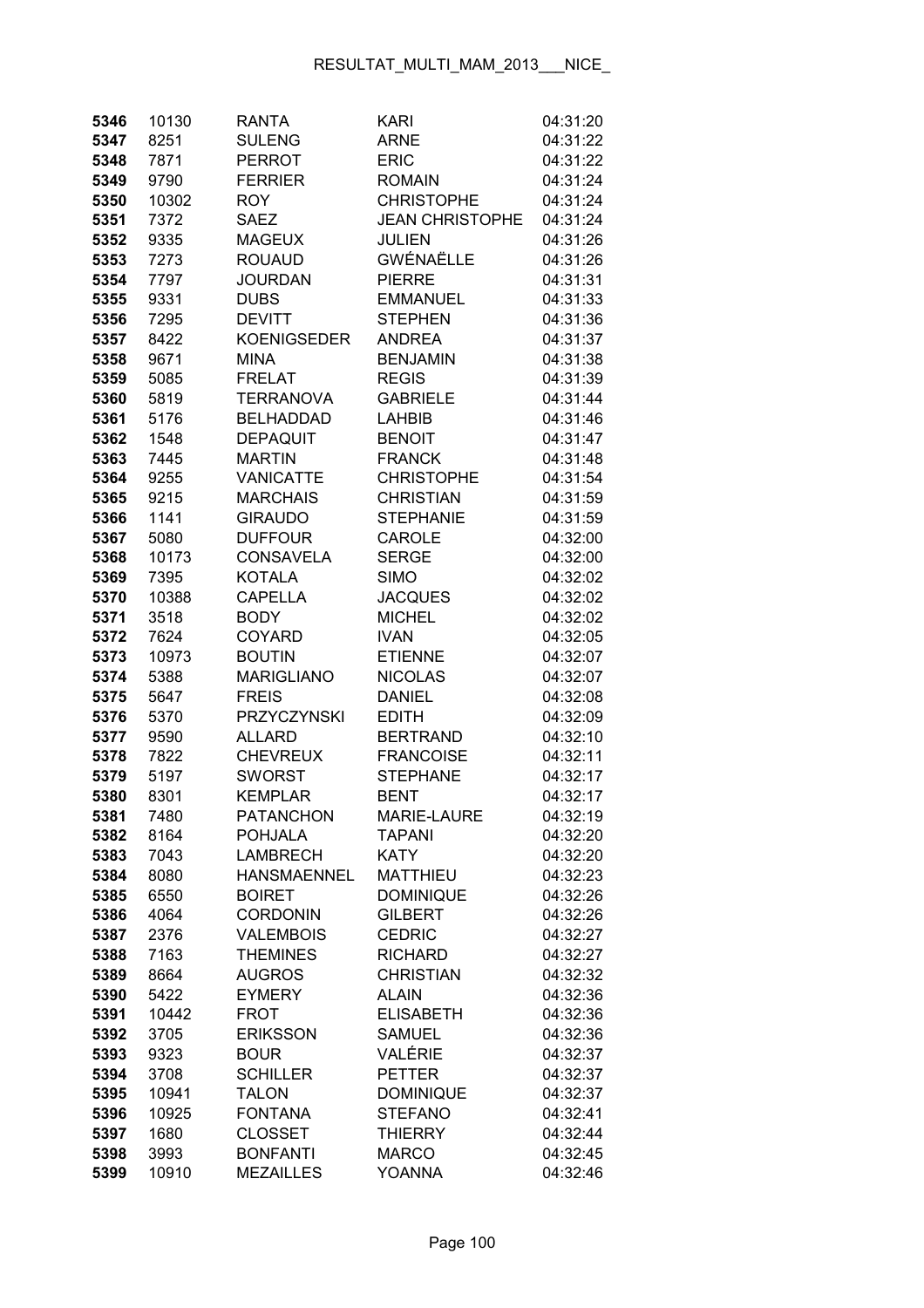| 5346 | 10130 | <b>RANTA</b>       | <b>KARI</b>            | 04:31:20 |
|------|-------|--------------------|------------------------|----------|
| 5347 | 8251  | <b>SULENG</b>      | <b>ARNE</b>            | 04:31:22 |
| 5348 | 7871  | <b>PERROT</b>      | <b>ERIC</b>            | 04:31:22 |
| 5349 | 9790  | <b>FERRIER</b>     | <b>ROMAIN</b>          | 04:31:24 |
| 5350 | 10302 | <b>ROY</b>         | <b>CHRISTOPHE</b>      | 04:31:24 |
| 5351 | 7372  | <b>SAEZ</b>        | <b>JEAN CHRISTOPHE</b> | 04:31:24 |
| 5352 | 9335  | <b>MAGEUX</b>      | <b>JULIEN</b>          | 04:31:26 |
| 5353 | 7273  | <b>ROUAUD</b>      | <b>GWÉNAËLLE</b>       | 04:31:26 |
| 5354 | 7797  | <b>JOURDAN</b>     | <b>PIERRE</b>          | 04:31:31 |
| 5355 | 9331  | <b>DUBS</b>        | <b>EMMANUEL</b>        | 04:31:33 |
| 5356 | 7295  | <b>DEVITT</b>      | <b>STEPHEN</b>         | 04:31:36 |
| 5357 | 8422  | <b>KOENIGSEDER</b> | <b>ANDREA</b>          | 04:31:37 |
| 5358 | 9671  | <b>MINA</b>        | <b>BENJAMIN</b>        | 04:31:38 |
| 5359 | 5085  | <b>FRELAT</b>      | <b>REGIS</b>           | 04:31:39 |
| 5360 | 5819  | <b>TERRANOVA</b>   | <b>GABRIELE</b>        | 04:31:44 |
| 5361 | 5176  | <b>BELHADDAD</b>   | <b>LAHBIB</b>          | 04:31:46 |
| 5362 | 1548  | <b>DEPAQUIT</b>    | <b>BENOIT</b>          | 04:31:47 |
| 5363 | 7445  | <b>MARTIN</b>      | <b>FRANCK</b>          | 04:31:48 |
| 5364 | 9255  | <b>VANICATTE</b>   | <b>CHRISTOPHE</b>      | 04:31:54 |
| 5365 | 9215  | <b>MARCHAIS</b>    | <b>CHRISTIAN</b>       | 04:31:59 |
| 5366 | 1141  | <b>GIRAUDO</b>     | <b>STEPHANIE</b>       | 04:31:59 |
| 5367 | 5080  | <b>DUFFOUR</b>     | <b>CAROLE</b>          | 04:32:00 |
| 5368 | 10173 | <b>CONSAVELA</b>   | <b>SERGE</b>           | 04:32:00 |
| 5369 | 7395  | <b>KOTALA</b>      | <b>SIMO</b>            | 04:32:02 |
| 5370 | 10388 | <b>CAPELLA</b>     | <b>JACQUES</b>         | 04:32:02 |
| 5371 | 3518  | <b>BODY</b>        | <b>MICHEL</b>          | 04:32:02 |
| 5372 | 7624  | <b>COYARD</b>      | <b>IVAN</b>            | 04:32:05 |
| 5373 | 10973 | <b>BOUTIN</b>      | <b>ETIENNE</b>         | 04:32:07 |
| 5374 | 5388  | <b>MARIGLIANO</b>  | <b>NICOLAS</b>         | 04:32:07 |
| 5375 | 5647  | <b>FREIS</b>       | <b>DANIEL</b>          | 04:32:08 |
| 5376 | 5370  | <b>PRZYCZYNSKI</b> | <b>EDITH</b>           | 04:32:09 |
| 5377 | 9590  | <b>ALLARD</b>      | <b>BERTRAND</b>        | 04:32:10 |
| 5378 | 7822  | <b>CHEVREUX</b>    | <b>FRANCOISE</b>       | 04:32:11 |
| 5379 | 5197  | <b>SWORST</b>      | <b>STEPHANE</b>        | 04:32:17 |
| 5380 | 8301  | <b>KEMPLAR</b>     | <b>BENT</b>            | 04:32:17 |
| 5381 | 7480  | PATANCHON          | <b>MARIE-LAURE</b>     | 04:32:19 |
| 5382 | 8164  | <b>POHJALA</b>     | <b>TAPANI</b>          | 04:32:20 |
| 5383 | 7043  | <b>LAMBRECH</b>    | <b>KATY</b>            | 04:32:20 |
| 5384 | 8080  | <b>HANSMAENNEL</b> | <b>MATTHIEU</b>        | 04:32:23 |
| 5385 | 6550  | <b>BOIRET</b>      | <b>DOMINIQUE</b>       | 04:32:26 |
| 5386 | 4064  | <b>CORDONIN</b>    | <b>GILBERT</b>         | 04:32:26 |
| 5387 | 2376  | <b>VALEMBOIS</b>   | <b>CEDRIC</b>          | 04:32:27 |
| 5388 | 7163  | <b>THEMINES</b>    | <b>RICHARD</b>         | 04:32:27 |
| 5389 | 8664  | <b>AUGROS</b>      | <b>CHRISTIAN</b>       | 04:32:32 |
| 5390 | 5422  | <b>EYMERY</b>      | <b>ALAIN</b>           | 04:32:36 |
| 5391 | 10442 | <b>FROT</b>        | <b>ELISABETH</b>       | 04:32:36 |
| 5392 | 3705  | <b>ERIKSSON</b>    | <b>SAMUEL</b>          | 04:32:36 |
| 5393 | 9323  | <b>BOUR</b>        | VALÉRIE                | 04:32:37 |
| 5394 | 3708  | <b>SCHILLER</b>    | <b>PETTER</b>          | 04:32:37 |
| 5395 | 10941 | <b>TALON</b>       | <b>DOMINIQUE</b>       | 04:32:37 |
| 5396 | 10925 | <b>FONTANA</b>     | <b>STEFANO</b>         | 04:32:41 |
| 5397 | 1680  | <b>CLOSSET</b>     | <b>THIERRY</b>         | 04:32:44 |
| 5398 | 3993  | <b>BONFANTI</b>    | <b>MARCO</b>           | 04:32:45 |
| 5399 | 10910 | <b>MEZAILLES</b>   | <b>YOANNA</b>          | 04:32:46 |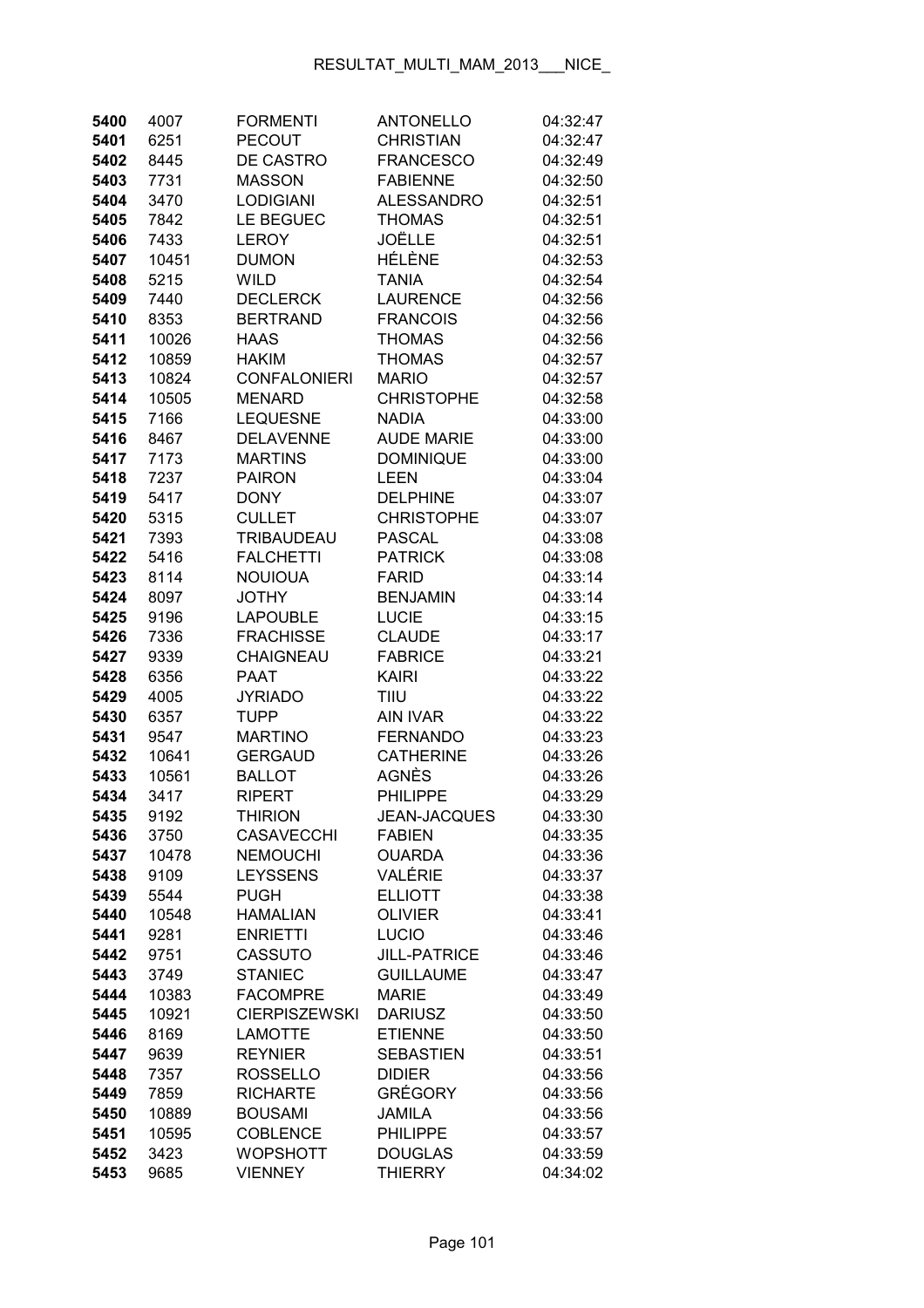| 5400         | 4007          | <b>FORMENTI</b>                  | <b>ANTONELLO</b>                        | 04:32:47             |
|--------------|---------------|----------------------------------|-----------------------------------------|----------------------|
| 5401         | 6251          | <b>PECOUT</b>                    | <b>CHRISTIAN</b>                        | 04:32:47             |
| 5402         | 8445          | DE CASTRO                        | <b>FRANCESCO</b>                        | 04:32:49             |
| 5403         | 7731          | <b>MASSON</b>                    | <b>FABIENNE</b>                         | 04:32:50             |
| 5404         | 3470          | <b>LODIGIANI</b>                 | <b>ALESSANDRO</b>                       | 04:32:51             |
| 5405         | 7842          | LE BEGUEC                        | <b>THOMAS</b>                           | 04:32:51             |
| 5406         | 7433          | <b>LEROY</b>                     | JOËLLE                                  | 04:32:51             |
| 5407         | 10451         | <b>DUMON</b>                     | HÉLÈNE                                  | 04:32:53             |
| 5408         | 5215          | <b>WILD</b>                      | <b>TANIA</b>                            | 04:32:54             |
| 5409         | 7440          | <b>DECLERCK</b>                  | <b>LAURENCE</b>                         | 04:32:56             |
| 5410         | 8353          | <b>BERTRAND</b>                  | <b>FRANCOIS</b>                         | 04:32:56             |
| 5411         | 10026         | <b>HAAS</b>                      | <b>THOMAS</b>                           | 04:32:56             |
| 5412         | 10859         | <b>HAKIM</b>                     | <b>THOMAS</b>                           | 04:32:57             |
| 5413         | 10824         | <b>CONFALONIERI</b>              | <b>MARIO</b>                            | 04:32:57             |
| 5414         | 10505         | <b>MENARD</b>                    | <b>CHRISTOPHE</b>                       | 04:32:58             |
| 5415         | 7166          | <b>LEQUESNE</b>                  | <b>NADIA</b>                            | 04:33:00             |
| 5416         | 8467          | <b>DELAVENNE</b>                 | <b>AUDE MARIE</b>                       | 04:33:00             |
| 5417         | 7173          | <b>MARTINS</b>                   | <b>DOMINIQUE</b>                        | 04:33:00             |
| 5418         | 7237          | <b>PAIRON</b>                    | <b>LEEN</b>                             | 04:33:04             |
| 5419         | 5417          | <b>DONY</b>                      | <b>DELPHINE</b>                         | 04:33:07             |
| 5420         | 5315          | <b>CULLET</b>                    | <b>CHRISTOPHE</b>                       | 04:33:07             |
| 5421         | 7393          | <b>TRIBAUDEAU</b>                | <b>PASCAL</b>                           | 04:33:08             |
| 5422         | 5416          | <b>FALCHETTI</b>                 | <b>PATRICK</b>                          | 04:33:08             |
| 5423         | 8114          | <b>NOUIOUA</b>                   | <b>FARID</b>                            | 04:33:14             |
| 5424         | 8097          | <b>JOTHY</b>                     | <b>BENJAMIN</b>                         | 04:33:14             |
| 5425         | 9196          | <b>LAPOUBLE</b>                  | <b>LUCIE</b>                            | 04:33:15             |
| 5426         | 7336          | <b>FRACHISSE</b>                 | <b>CLAUDE</b>                           | 04:33:17             |
| 5427         | 9339          | CHAIGNEAU                        | <b>FABRICE</b>                          | 04:33:21             |
| 5428         | 6356          | <b>PAAT</b>                      | <b>KAIRI</b>                            | 04:33:22             |
| 5429         | 4005          | <b>JYRIADO</b>                   | TIIU                                    | 04:33:22             |
| 5430         | 6357          | <b>TUPP</b>                      | <b>AIN IVAR</b>                         | 04:33:22             |
| 5431         | 9547          | <b>MARTINO</b>                   | <b>FERNANDO</b>                         | 04:33:23             |
| 5432         | 10641         | <b>GERGAUD</b>                   | <b>CATHERINE</b>                        | 04:33:26             |
| 5433         | 10561         | <b>BALLOT</b>                    | AGNÈS                                   | 04:33:26             |
| 5434         | 3417          | <b>RIPERT</b>                    | <b>PHILIPPE</b>                         | 04:33:29             |
| 5435         | 9192          | <b>THIRION</b>                   | <b>JEAN-JACQUES</b>                     | 04:33:30             |
| 5436         | 3750          | <b>CASAVECCHI</b>                | <b>FABIEN</b>                           | 04:33:35             |
| 5437         | 10478         | <b>NEMOUCHI</b>                  | <b>OUARDA</b>                           | 04:33:36             |
| 5438         | 9109          | <b>LEYSSENS</b>                  | VALÉRIE                                 | 04:33:37             |
| 5439         | 5544          | <b>PUGH</b>                      | <b>ELLIOTT</b>                          | 04:33:38             |
| 5440         | 10548         | <b>HAMALIAN</b>                  | <b>OLIVIER</b>                          | 04:33:41             |
| 5441         | 9281          | <b>ENRIETTI</b>                  | <b>LUCIO</b>                            | 04:33:46             |
| 5442         | 9751          | <b>CASSUTO</b><br><b>STANIEC</b> | <b>JILL-PATRICE</b><br><b>GUILLAUME</b> | 04:33:46             |
| 5443<br>5444 | 3749<br>10383 | <b>FACOMPRE</b>                  | <b>MARIE</b>                            | 04:33:47             |
| 5445         | 10921         | <b>CIERPISZEWSKI</b>             | <b>DARIUSZ</b>                          | 04:33:49<br>04:33:50 |
| 5446         | 8169          | <b>LAMOTTE</b>                   | <b>ETIENNE</b>                          | 04:33:50             |
| 5447         | 9639          | <b>REYNIER</b>                   | <b>SEBASTIEN</b>                        | 04:33:51             |
| 5448         | 7357          | <b>ROSSELLO</b>                  | <b>DIDIER</b>                           | 04:33:56             |
| 5449         | 7859          | <b>RICHARTE</b>                  | <b>GRÉGORY</b>                          | 04:33:56             |
| 5450         | 10889         | <b>BOUSAMI</b>                   | <b>JAMILA</b>                           | 04:33:56             |
| 5451         | 10595         | <b>COBLENCE</b>                  | <b>PHILIPPE</b>                         | 04:33:57             |
| 5452         | 3423          | <b>WOPSHOTT</b>                  | <b>DOUGLAS</b>                          | 04:33:59             |
| 5453         | 9685          | <b>VIENNEY</b>                   | <b>THIERRY</b>                          | 04:34:02             |
|              |               |                                  |                                         |                      |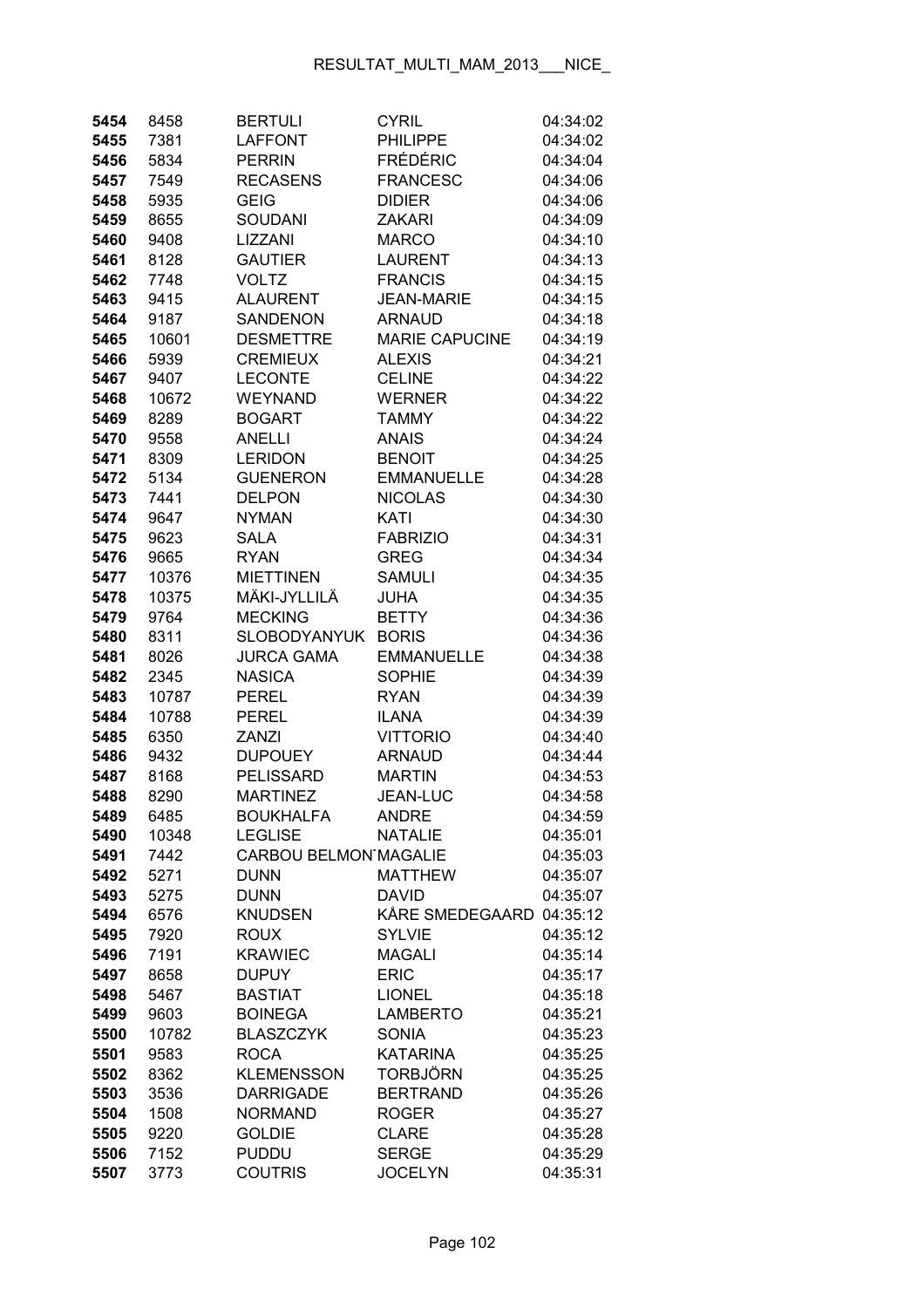| 5454         | 8458         | <b>BERTULI</b>                     | <b>CYRIL</b>                    | 04:34:02             |
|--------------|--------------|------------------------------------|---------------------------------|----------------------|
| 5455         | 7381         | <b>LAFFONT</b>                     | <b>PHILIPPE</b>                 | 04:34:02             |
| 5456         | 5834         | <b>PERRIN</b>                      | <b>FRÉDÉRIC</b>                 | 04:34:04             |
| 5457         | 7549         | <b>RECASENS</b>                    | <b>FRANCESC</b>                 | 04:34:06             |
| 5458         | 5935         | <b>GEIG</b>                        | <b>DIDIER</b>                   | 04:34:06             |
| 5459         | 8655         | <b>SOUDANI</b>                     | <b>ZAKARI</b>                   | 04:34:09             |
| 5460         | 9408         | LIZZANI                            | <b>MARCO</b>                    | 04:34:10             |
| 5461         | 8128         | <b>GAUTIER</b>                     | <b>LAURENT</b>                  | 04:34:13             |
| 5462         | 7748         | <b>VOLTZ</b>                       | <b>FRANCIS</b>                  | 04:34:15             |
| 5463         | 9415         | <b>ALAURENT</b>                    | <b>JEAN-MARIE</b>               | 04:34:15             |
| 5464         | 9187         | SANDENON                           | <b>ARNAUD</b>                   | 04:34:18             |
| 5465         | 10601        | <b>DESMETTRE</b>                   | <b>MARIE CAPUCINE</b>           | 04:34:19             |
| 5466         | 5939         | <b>CREMIEUX</b>                    | <b>ALEXIS</b>                   | 04:34:21             |
| 5467         | 9407         | <b>LECONTE</b>                     | <b>CELINE</b>                   | 04:34:22             |
| 5468         | 10672        | <b>WEYNAND</b>                     | <b>WERNER</b>                   | 04:34:22             |
| 5469         | 8289         | <b>BOGART</b>                      | <b>TAMMY</b>                    | 04:34:22             |
| 5470         | 9558         | <b>ANELLI</b>                      | <b>ANAIS</b>                    | 04:34:24             |
| 5471         | 8309         | <b>LERIDON</b>                     | <b>BENOIT</b>                   | 04:34:25             |
| 5472         | 5134         | <b>GUENERON</b>                    | <b>EMMANUELLE</b>               | 04:34:28             |
| 5473         | 7441         | <b>DELPON</b>                      | <b>NICOLAS</b>                  | 04:34:30             |
| 5474         | 9647         | <b>NYMAN</b>                       | KATI                            | 04:34:30             |
| 5475         | 9623         | <b>SALA</b>                        | <b>FABRIZIO</b>                 | 04:34:31             |
| 5476         | 9665         | <b>RYAN</b>                        | <b>GREG</b>                     | 04:34:34             |
| 5477         | 10376        | <b>MIETTINEN</b>                   | <b>SAMULI</b>                   | 04:34:35             |
| 5478         | 10375        | MÄKI-JYLLILÄ                       | <b>JUHA</b>                     | 04:34:35             |
| 5479         | 9764         | <b>MECKING</b>                     | <b>BETTY</b>                    | 04:34:36             |
| 5480         | 8311         | <b>SLOBODYANYUK</b>                | <b>BORIS</b>                    | 04:34:36             |
| 5481         | 8026         | <b>JURCA GAMA</b>                  | <b>EMMANUELLE</b>               | 04:34:38             |
| 5482         | 2345         | <b>NASICA</b>                      | <b>SOPHIE</b>                   | 04:34:39             |
| 5483         | 10787        | <b>PEREL</b>                       | <b>RYAN</b>                     | 04:34:39             |
| 5484         | 10788        | <b>PEREL</b>                       | <b>ILANA</b>                    | 04:34:39             |
| 5485         | 6350         | <b>ZANZI</b>                       | <b>VITTORIO</b>                 | 04:34:40             |
| 5486         | 9432         | <b>DUPOUEY</b>                     | <b>ARNAUD</b>                   | 04:34:44             |
| 5487         | 8168         | <b>PELISSARD</b>                   | <b>MARTIN</b>                   | 04:34:53             |
| 5488         | 8290         | <b>MARTINEZ</b>                    | <b>JEAN-LUC</b>                 | 04:34:58             |
| 5489         | 6485         | <b>BOUKHALFA</b>                   | <b>ANDRE</b>                    | 04:34:59             |
| 5490         | 10348        | <b>LEGLISE</b>                     | <b>NATALIE</b>                  | 04:35:01             |
| 5491         | 7442         | CARBOU BELMON MAGALIE              |                                 | 04:35:03             |
| 5492         | 5271         | <b>DUNN</b>                        | <b>MATTHEW</b>                  | 04:35:07             |
| 5493         | 5275         | <b>DUNN</b>                        | <b>DAVID</b>                    | 04:35:07             |
| 5494         | 6576         | <b>KNUDSEN</b>                     | KÅRE SMEDEGAARD                 | 04:35:12             |
| 5495         | 7920         | <b>ROUX</b>                        | <b>SYLVIE</b>                   | 04:35:12             |
| 5496         | 7191         | <b>KRAWIEC</b>                     | <b>MAGALI</b>                   | 04:35:14             |
| 5497         | 8658         | <b>DUPUY</b>                       | <b>ERIC</b>                     | 04:35:17             |
| 5498         | 5467         | <b>BASTIAT</b>                     | <b>LIONEL</b>                   | 04:35:18             |
| 5499         | 9603         | <b>BOINEGA</b>                     | <b>LAMBERTO</b>                 | 04:35:21             |
| 5500         | 10782        | <b>BLASZCZYK</b>                   | <b>SONIA</b>                    | 04:35:23             |
| 5501         | 9583         | <b>ROCA</b>                        | <b>KATARINA</b>                 | 04:35:25             |
| 5502         | 8362         | <b>KLEMENSSON</b>                  | TORBJÖRN                        | 04:35:25             |
| 5503<br>5504 | 3536<br>1508 | <b>DARRIGADE</b><br><b>NORMAND</b> | <b>BERTRAND</b><br><b>ROGER</b> | 04:35:26             |
| 5505         | 9220         | <b>GOLDIE</b>                      | <b>CLARE</b>                    | 04:35:27<br>04:35:28 |
| 5506         | 7152         | <b>PUDDU</b>                       | <b>SERGE</b>                    | 04:35:29             |
| 5507         | 3773         | <b>COUTRIS</b>                     | <b>JOCELYN</b>                  | 04:35:31             |
|              |              |                                    |                                 |                      |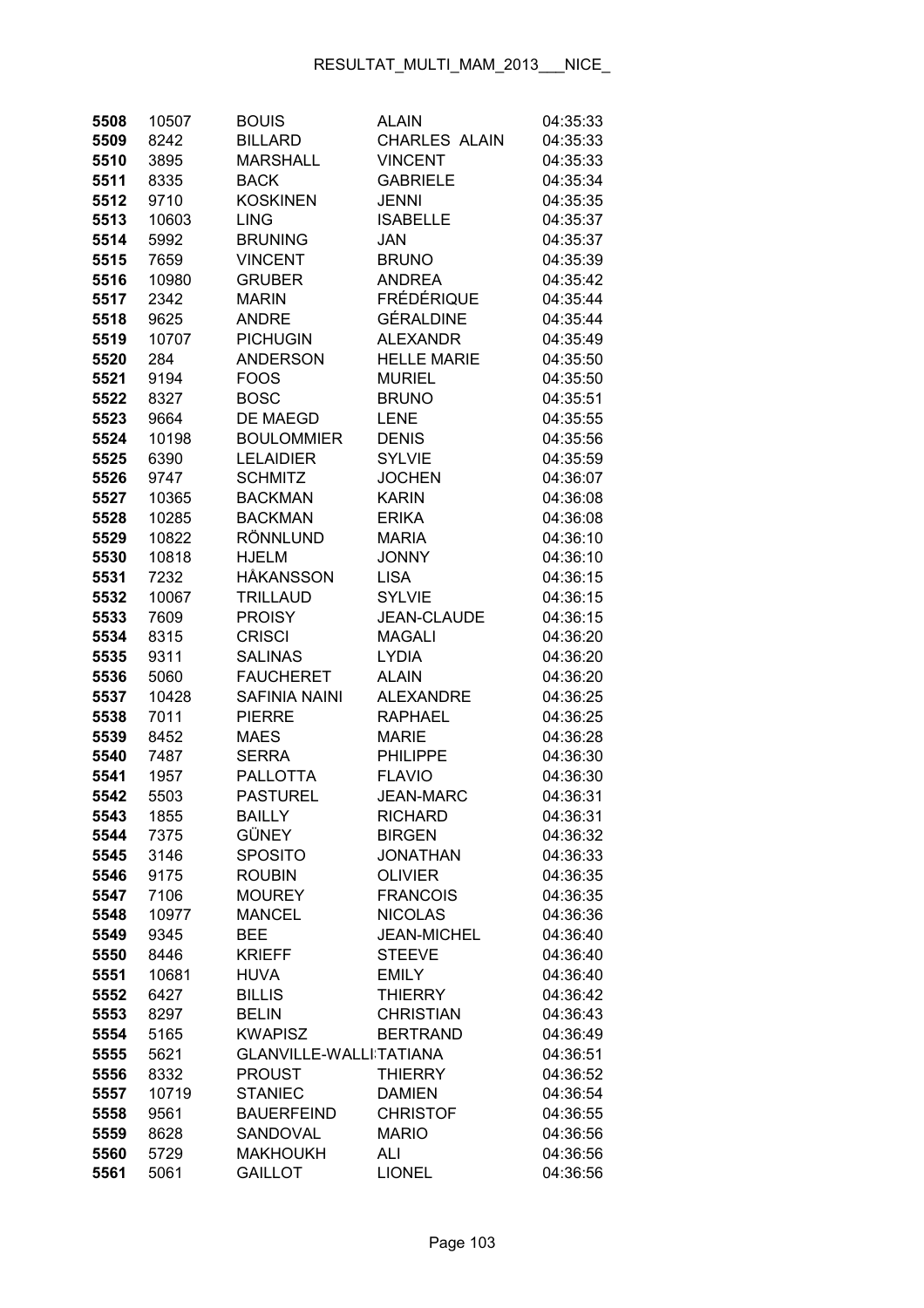| 5508         | 10507        | <b>BOUIS</b>                    | <b>ALAIN</b>         | 04:35:33             |
|--------------|--------------|---------------------------------|----------------------|----------------------|
| 5509         | 8242         | <b>BILLARD</b>                  | <b>CHARLES ALAIN</b> | 04:35:33             |
| 5510         | 3895         | <b>MARSHALL</b>                 | <b>VINCENT</b>       | 04:35:33             |
| 5511         | 8335         | <b>BACK</b>                     | <b>GABRIELE</b>      | 04:35:34             |
| 5512         | 9710         | <b>KOSKINEN</b>                 | JENNI                | 04:35:35             |
| 5513         | 10603        | <b>LING</b>                     | <b>ISABELLE</b>      | 04:35:37             |
| 5514         | 5992         | <b>BRUNING</b>                  | <b>JAN</b>           | 04:35:37             |
| 5515         | 7659         | <b>VINCENT</b>                  | <b>BRUNO</b>         | 04:35:39             |
| 5516         | 10980        | <b>GRUBER</b>                   | <b>ANDREA</b>        | 04:35:42             |
| 5517         | 2342         | <b>MARIN</b>                    | <b>FRÉDÉRIQUE</b>    | 04:35:44             |
| 5518         | 9625         | <b>ANDRE</b>                    | <b>GÉRALDINE</b>     | 04:35:44             |
| 5519         | 10707        | <b>PICHUGIN</b>                 | <b>ALEXANDR</b>      | 04:35:49             |
| 5520         | 284          | <b>ANDERSON</b>                 | <b>HELLE MARIE</b>   | 04:35:50             |
| 5521         | 9194         | <b>FOOS</b>                     | <b>MURIEL</b>        | 04:35:50             |
| 5522         | 8327         | <b>BOSC</b>                     | <b>BRUNO</b>         | 04:35:51             |
| 5523         | 9664         | <b>DE MAEGD</b>                 | LENE                 | 04:35:55             |
| 5524         | 10198        | <b>BOULOMMIER</b>               | <b>DENIS</b>         | 04:35:56             |
| 5525         | 6390         | <b>LELAIDIER</b>                | <b>SYLVIE</b>        | 04:35:59             |
| 5526         | 9747         | <b>SCHMITZ</b>                  | <b>JOCHEN</b>        | 04:36:07             |
| 5527         | 10365        | <b>BACKMAN</b>                  | <b>KARIN</b>         | 04:36:08             |
| 5528         | 10285        | <b>BACKMAN</b>                  | <b>ERIKA</b>         | 04:36:08             |
| 5529         | 10822        | <b>RÖNNLUND</b>                 | <b>MARIA</b>         | 04:36:10             |
| 5530         | 10818        | <b>HJELM</b>                    | <b>JONNY</b>         | 04:36:10             |
| 5531         | 7232         | <b>HÅKANSSON</b>                | <b>LISA</b>          | 04:36:15             |
| 5532         | 10067        | <b>TRILLAUD</b>                 | <b>SYLVIE</b>        | 04:36:15             |
| 5533         | 7609         | <b>PROISY</b>                   | <b>JEAN-CLAUDE</b>   | 04:36:15             |
| 5534         | 8315         | <b>CRISCI</b>                   | <b>MAGALI</b>        | 04:36:20             |
| 5535         | 9311         | <b>SALINAS</b>                  | <b>LYDIA</b>         | 04:36:20             |
| 5536         | 5060         | <b>FAUCHERET</b>                | <b>ALAIN</b>         | 04:36:20             |
| 5537         | 10428        | <b>SAFINIA NAINI</b>            | <b>ALEXANDRE</b>     | 04:36:25             |
| 5538         | 7011         | <b>PIERRE</b>                   | <b>RAPHAEL</b>       | 04:36:25             |
| 5539         | 8452         | <b>MAES</b>                     | <b>MARIE</b>         | 04:36:28             |
| 5540         | 7487         | <b>SERRA</b>                    | <b>PHILIPPE</b>      | 04:36:30             |
| 5541         | 1957         | <b>PALLOTTA</b>                 | <b>FLAVIO</b>        | 04:36:30             |
| 5542         | 5503         | <b>PASTUREL</b>                 | <b>JEAN-MARC</b>     | 04:36:31             |
| 5543         | 1855         | <b>BAILLY</b>                   | RICHARD              | 04:36:31             |
| 5544         | 7375         | GÜNEY                           | <b>BIRGEN</b>        | 04:36:32             |
| 5545         | 3146         | <b>SPOSITO</b>                  | <b>JONATHAN</b>      | 04:36:33             |
| 5546         | 9175         | <b>ROUBIN</b>                   | <b>OLIVIER</b>       | 04:36:35             |
| 5547         | 7106         | <b>MOUREY</b>                   | <b>FRANCOIS</b>      | 04:36:35             |
| 5548         | 10977        | <b>MANCEL</b>                   | <b>NICOLAS</b>       | 04:36:36             |
| 5549         | 9345         | <b>BEE</b>                      | <b>JEAN-MICHEL</b>   | 04:36:40             |
| 5550         | 8446         | <b>KRIEFF</b>                   | <b>STEEVE</b>        | 04:36:40             |
| 5551         | 10681        | <b>HUVA</b>                     | <b>EMILY</b>         | 04:36:40             |
| 5552         | 6427         | <b>BILLIS</b>                   | <b>THIERRY</b>       | 04:36:42             |
| 5553         | 8297         | <b>BELIN</b>                    | <b>CHRISTIAN</b>     | 04:36:43             |
| 5554         | 5165         | <b>KWAPISZ</b>                  | <b>BERTRAND</b>      | 04:36:49             |
| 5555         | 5621         | GLANVILLE-WALLI TATIANA         |                      | 04:36:51             |
| 5556         | 8332         | <b>PROUST</b><br><b>STANIEC</b> | <b>THIERRY</b>       | 04:36:52             |
| 5557         | 10719        |                                 | <b>DAMIEN</b>        | 04:36:54             |
| 5558         | 9561         | <b>BAUERFEIND</b>               | <b>CHRISTOF</b>      | 04:36:55             |
| 5559<br>5560 | 8628<br>5729 | SANDOVAL<br><b>MAKHOUKH</b>     | <b>MARIO</b><br>ALI  | 04:36:56             |
| 5561         | 5061         | <b>GAILLOT</b>                  | <b>LIONEL</b>        | 04:36:56<br>04:36:56 |
|              |              |                                 |                      |                      |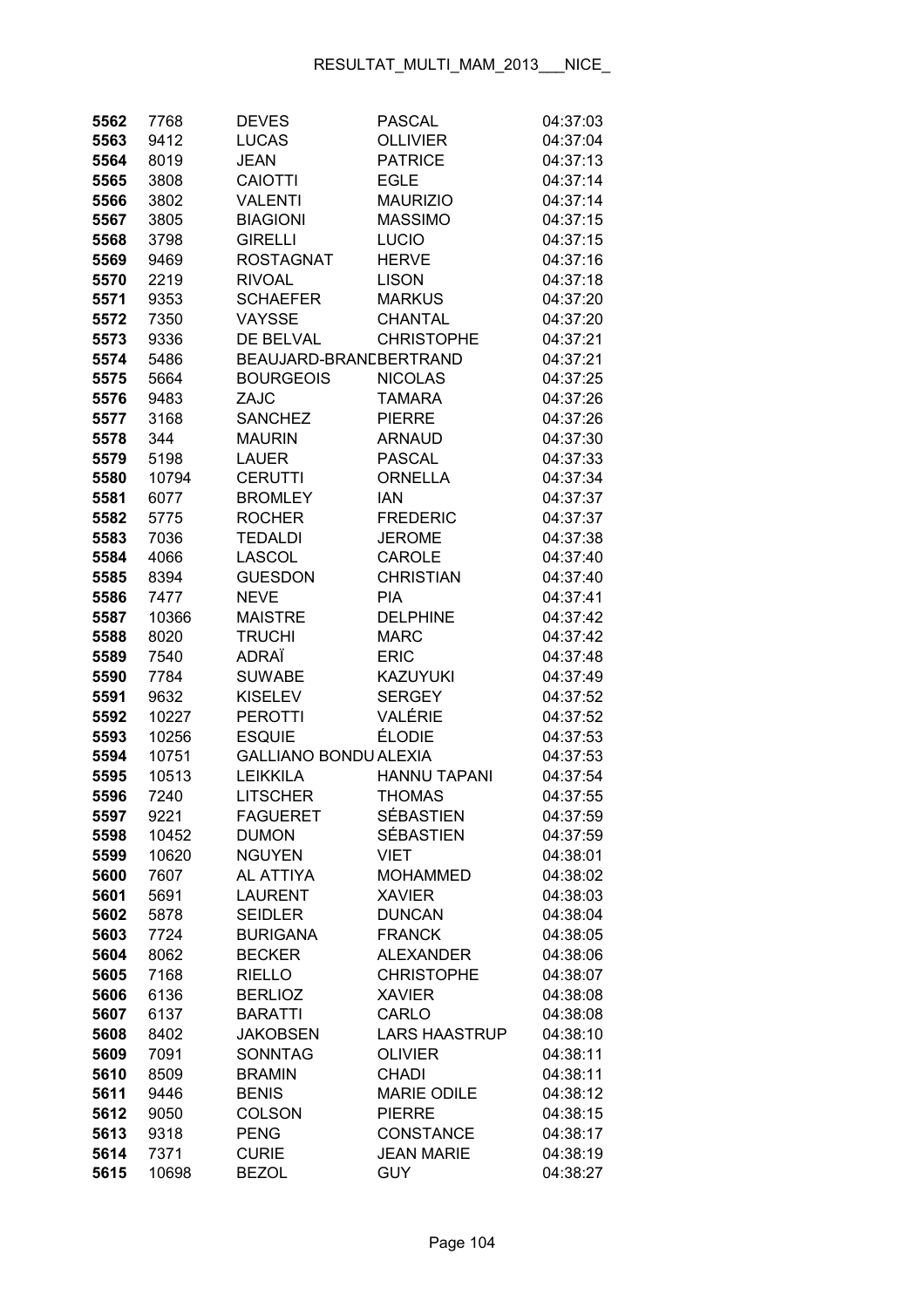| 5562 | 7768  | <b>DEVES</b>                 | <b>PASCAL</b>        | 04:37:03 |
|------|-------|------------------------------|----------------------|----------|
| 5563 | 9412  | <b>LUCAS</b>                 | <b>OLLIVIER</b>      | 04:37:04 |
| 5564 | 8019  | <b>JEAN</b>                  | <b>PATRICE</b>       | 04:37:13 |
| 5565 | 3808  | <b>CAIOTTI</b>               | <b>EGLE</b>          | 04:37:14 |
| 5566 | 3802  | <b>VALENTI</b>               | <b>MAURIZIO</b>      | 04:37:14 |
| 5567 | 3805  | <b>BIAGIONI</b>              | <b>MASSIMO</b>       | 04:37:15 |
| 5568 | 3798  | <b>GIRELLI</b>               | LUCIO                | 04:37:15 |
| 5569 | 9469  | <b>ROSTAGNAT</b>             | <b>HERVE</b>         | 04:37:16 |
| 5570 | 2219  | <b>RIVOAL</b>                | <b>LISON</b>         | 04:37:18 |
| 5571 | 9353  | <b>SCHAEFER</b>              | <b>MARKUS</b>        | 04:37:20 |
| 5572 | 7350  | VAYSSE                       | <b>CHANTAL</b>       | 04:37:20 |
| 5573 | 9336  | DE BELVAL                    | <b>CHRISTOPHE</b>    | 04:37:21 |
| 5574 | 5486  | BEAUJARD-BRANCBERTRAND       |                      | 04:37:21 |
| 5575 | 5664  | <b>BOURGEOIS</b>             | <b>NICOLAS</b>       | 04:37:25 |
| 5576 | 9483  | ZAJC                         | <b>TAMARA</b>        | 04:37:26 |
| 5577 | 3168  | <b>SANCHEZ</b>               | <b>PIERRE</b>        | 04:37:26 |
| 5578 | 344   | <b>MAURIN</b>                | <b>ARNAUD</b>        | 04:37:30 |
| 5579 | 5198  | <b>LAUER</b>                 | <b>PASCAL</b>        | 04:37:33 |
| 5580 | 10794 | <b>CERUTTI</b>               | <b>ORNELLA</b>       | 04:37:34 |
| 5581 | 6077  | <b>BROMLEY</b>               | <b>IAN</b>           | 04:37:37 |
| 5582 | 5775  | <b>ROCHER</b>                | <b>FREDERIC</b>      | 04:37:37 |
| 5583 | 7036  | <b>TEDALDI</b>               | <b>JEROME</b>        | 04:37:38 |
| 5584 | 4066  | <b>LASCOL</b>                | CAROLE               | 04:37:40 |
| 5585 | 8394  | <b>GUESDON</b>               | <b>CHRISTIAN</b>     | 04:37:40 |
| 5586 | 7477  | <b>NEVE</b>                  | <b>PIA</b>           | 04:37:41 |
| 5587 | 10366 | <b>MAISTRE</b>               | <b>DELPHINE</b>      | 04:37:42 |
| 5588 | 8020  | <b>TRUCHI</b>                | <b>MARC</b>          | 04:37:42 |
| 5589 | 7540  | ADRAÏ                        | <b>ERIC</b>          | 04:37:48 |
| 5590 | 7784  | <b>SUWABE</b>                | <b>KAZUYUKI</b>      | 04:37:49 |
| 5591 | 9632  | <b>KISELEV</b>               | <b>SERGEY</b>        | 04:37:52 |
| 5592 | 10227 | <b>PEROTTI</b>               | VALÉRIE              | 04:37:52 |
| 5593 | 10256 | <b>ESQUIE</b>                | <b>ÉLODIE</b>        | 04:37:53 |
| 5594 | 10751 | <b>GALLIANO BONDU ALEXIA</b> |                      | 04:37:53 |
| 5595 | 10513 | <b>LEIKKILA</b>              | <b>HANNU TAPANI</b>  | 04:37:54 |
| 5596 | 7240  | <b>LITSCHER</b>              | <b>THOMAS</b>        | 04:37:55 |
| 5597 | 9221  | FAGUERET                     | <b>SÉBASTIEN</b>     | 04:37:59 |
| 5598 | 10452 | <b>DUMON</b>                 | <b>SÉBASTIEN</b>     | 04:37:59 |
| 5599 | 10620 | <b>NGUYEN</b>                | <b>VIET</b>          | 04:38:01 |
| 5600 | 7607  | <b>AL ATTIYA</b>             | <b>MOHAMMED</b>      | 04:38:02 |
| 5601 | 5691  | <b>LAURENT</b>               | <b>XAVIER</b>        | 04:38:03 |
| 5602 | 5878  | <b>SEIDLER</b>               | <b>DUNCAN</b>        | 04:38:04 |
| 5603 | 7724  | <b>BURIGANA</b>              | <b>FRANCK</b>        | 04:38:05 |
| 5604 | 8062  | <b>BECKER</b>                | <b>ALEXANDER</b>     | 04:38:06 |
| 5605 | 7168  | <b>RIELLO</b>                | <b>CHRISTOPHE</b>    | 04:38:07 |
| 5606 | 6136  | <b>BERLIOZ</b>               | <b>XAVIER</b>        | 04:38:08 |
| 5607 | 6137  | <b>BARATTI</b>               | CARLO                | 04:38:08 |
| 5608 | 8402  | <b>JAKOBSEN</b>              | <b>LARS HAASTRUP</b> | 04:38:10 |
| 5609 | 7091  | <b>SONNTAG</b>               | <b>OLIVIER</b>       | 04:38:11 |
| 5610 | 8509  | <b>BRAMIN</b>                | <b>CHADI</b>         | 04:38:11 |
| 5611 | 9446  | <b>BENIS</b>                 | <b>MARIE ODILE</b>   | 04:38:12 |
| 5612 | 9050  | <b>COLSON</b>                | <b>PIERRE</b>        | 04:38:15 |
| 5613 | 9318  | <b>PENG</b>                  | <b>CONSTANCE</b>     | 04:38:17 |
| 5614 | 7371  | <b>CURIE</b>                 | <b>JEAN MARIE</b>    | 04:38:19 |
| 5615 | 10698 | <b>BEZOL</b>                 | <b>GUY</b>           | 04:38:27 |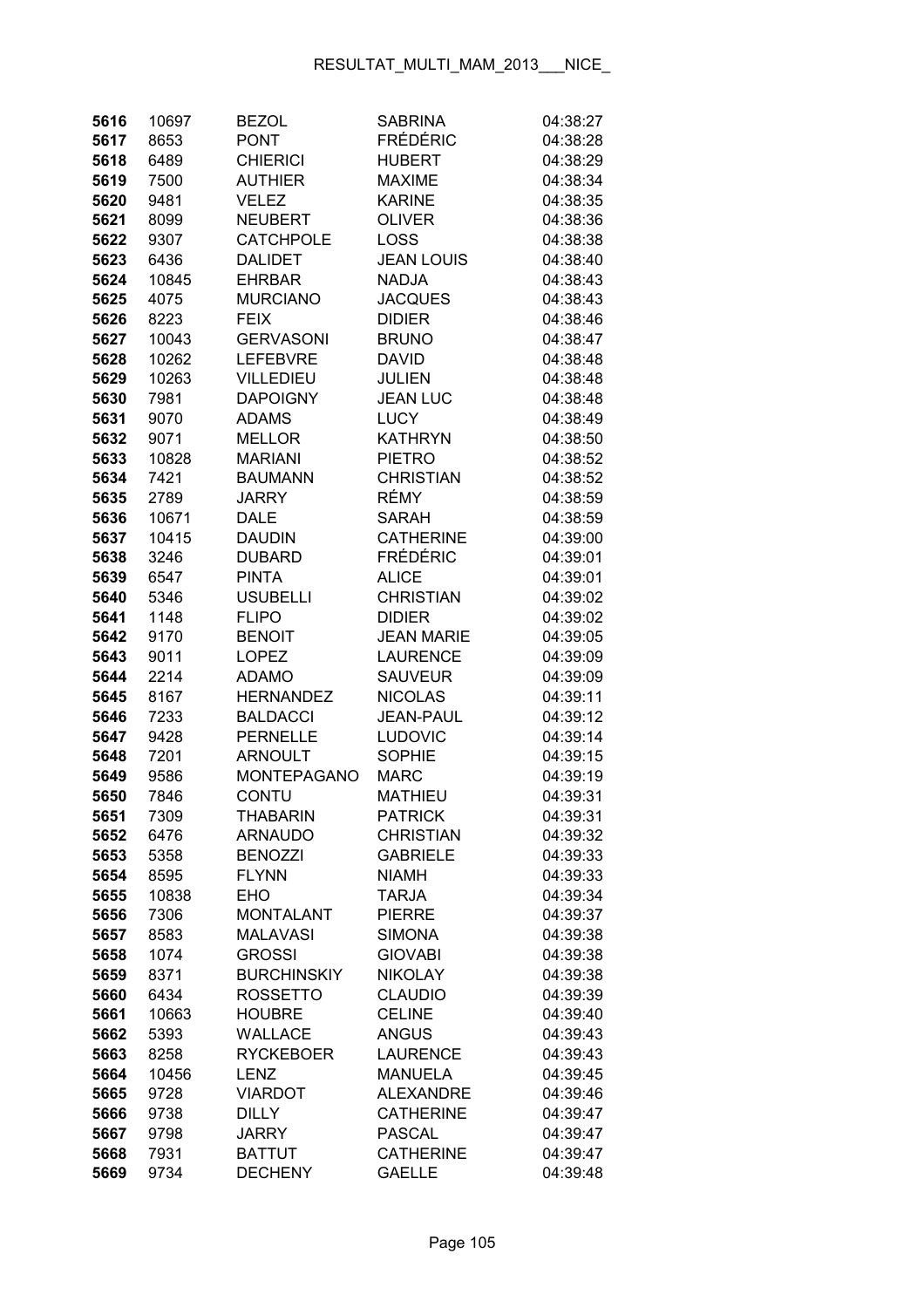| 5616 | 10697 | <b>BEZOL</b>       | <b>SABRINA</b>    | 04:38:27 |
|------|-------|--------------------|-------------------|----------|
| 5617 | 8653  | <b>PONT</b>        | <b>FRÉDÉRIC</b>   | 04:38:28 |
| 5618 | 6489  | <b>CHIERICI</b>    | <b>HUBERT</b>     | 04:38:29 |
| 5619 | 7500  | <b>AUTHIER</b>     | <b>MAXIME</b>     | 04:38:34 |
| 5620 | 9481  | VELEZ              | <b>KARINE</b>     | 04:38:35 |
| 5621 | 8099  | <b>NEUBERT</b>     | <b>OLIVER</b>     | 04:38:36 |
| 5622 | 9307  | <b>CATCHPOLE</b>   | <b>LOSS</b>       | 04:38:38 |
| 5623 | 6436  | <b>DALIDET</b>     | <b>JEAN LOUIS</b> | 04:38:40 |
| 5624 | 10845 | <b>EHRBAR</b>      | <b>NADJA</b>      | 04:38:43 |
| 5625 | 4075  | <b>MURCIANO</b>    | <b>JACQUES</b>    | 04:38:43 |
| 5626 | 8223  | <b>FEIX</b>        | <b>DIDIER</b>     | 04:38:46 |
| 5627 | 10043 | <b>GERVASONI</b>   | <b>BRUNO</b>      | 04:38:47 |
| 5628 | 10262 | <b>LEFEBVRE</b>    | <b>DAVID</b>      | 04:38:48 |
| 5629 | 10263 | <b>VILLEDIEU</b>   | <b>JULIEN</b>     | 04:38:48 |
| 5630 | 7981  | <b>DAPOIGNY</b>    | <b>JEAN LUC</b>   | 04:38:48 |
| 5631 | 9070  | <b>ADAMS</b>       | <b>LUCY</b>       | 04:38:49 |
| 5632 | 9071  | <b>MELLOR</b>      | <b>KATHRYN</b>    | 04:38:50 |
| 5633 | 10828 | <b>MARIANI</b>     | <b>PIETRO</b>     | 04:38:52 |
| 5634 | 7421  | <b>BAUMANN</b>     | <b>CHRISTIAN</b>  | 04:38:52 |
| 5635 | 2789  | <b>JARRY</b>       | RÉMY              | 04:38:59 |
| 5636 | 10671 | DALE               | <b>SARAH</b>      | 04:38:59 |
| 5637 | 10415 | <b>DAUDIN</b>      | <b>CATHERINE</b>  | 04:39:00 |
| 5638 | 3246  | <b>DUBARD</b>      | <b>FRÉDÉRIC</b>   | 04:39:01 |
| 5639 | 6547  | <b>PINTA</b>       | <b>ALICE</b>      | 04:39:01 |
| 5640 | 5346  | <b>USUBELLI</b>    | <b>CHRISTIAN</b>  | 04:39:02 |
| 5641 | 1148  | <b>FLIPO</b>       | <b>DIDIER</b>     | 04:39:02 |
| 5642 | 9170  | <b>BENOIT</b>      | <b>JEAN MARIE</b> | 04:39:05 |
| 5643 | 9011  | <b>LOPEZ</b>       | <b>LAURENCE</b>   | 04:39:09 |
| 5644 | 2214  | <b>ADAMO</b>       | <b>SAUVEUR</b>    | 04:39:09 |
| 5645 | 8167  | <b>HERNANDEZ</b>   | <b>NICOLAS</b>    | 04:39:11 |
| 5646 | 7233  | <b>BALDACCI</b>    | <b>JEAN-PAUL</b>  | 04:39:12 |
| 5647 | 9428  | <b>PERNELLE</b>    | <b>LUDOVIC</b>    | 04:39:14 |
| 5648 | 7201  | <b>ARNOULT</b>     | <b>SOPHIE</b>     | 04:39:15 |
| 5649 | 9586  | <b>MONTEPAGANO</b> | <b>MARC</b>       | 04:39:19 |
| 5650 | 7846  | CONTU              | <b>MATHIEU</b>    | 04:39:31 |
| 5651 | 7309  | THABARIN           | <b>PATRICK</b>    | 04:39:31 |
| 5652 | 6476  | <b>ARNAUDO</b>     | <b>CHRISTIAN</b>  | 04:39:32 |
| 5653 | 5358  | <b>BENOZZI</b>     | <b>GABRIELE</b>   | 04:39:33 |
| 5654 | 8595  | <b>FLYNN</b>       | <b>NIAMH</b>      | 04:39:33 |
| 5655 | 10838 | <b>EHO</b>         | <b>TARJA</b>      | 04:39:34 |
| 5656 | 7306  | <b>MONTALANT</b>   | <b>PIERRE</b>     | 04:39:37 |
| 5657 | 8583  | <b>MALAVASI</b>    | <b>SIMONA</b>     | 04:39:38 |
| 5658 | 1074  | <b>GROSSI</b>      | <b>GIOVABI</b>    | 04:39:38 |
| 5659 | 8371  | <b>BURCHINSKIY</b> | <b>NIKOLAY</b>    | 04:39:38 |
| 5660 | 6434  | <b>ROSSETTO</b>    | <b>CLAUDIO</b>    | 04:39:39 |
| 5661 | 10663 | <b>HOUBRE</b>      | <b>CELINE</b>     | 04:39:40 |
| 5662 | 5393  | <b>WALLACE</b>     | <b>ANGUS</b>      | 04:39:43 |
| 5663 | 8258  | <b>RYCKEBOER</b>   | <b>LAURENCE</b>   | 04:39:43 |
| 5664 | 10456 | <b>LENZ</b>        | <b>MANUELA</b>    | 04:39:45 |
| 5665 | 9728  | <b>VIARDOT</b>     | <b>ALEXANDRE</b>  | 04:39:46 |
| 5666 | 9738  | <b>DILLY</b>       | <b>CATHERINE</b>  | 04:39:47 |
| 5667 | 9798  | <b>JARRY</b>       | <b>PASCAL</b>     | 04:39:47 |
| 5668 | 7931  | <b>BATTUT</b>      | <b>CATHERINE</b>  | 04:39:47 |
| 5669 | 9734  | <b>DECHENY</b>     | <b>GAELLE</b>     | 04:39:48 |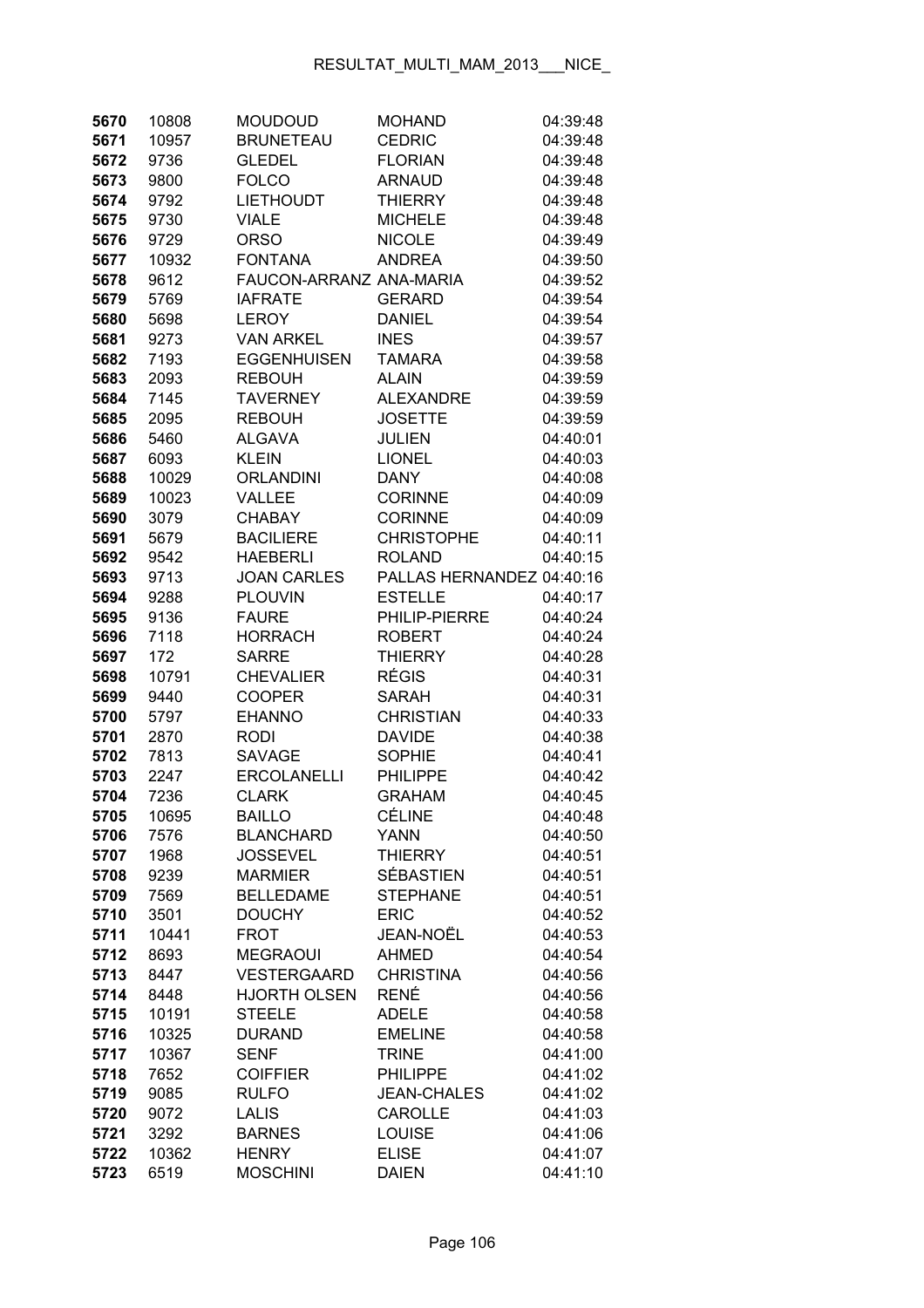| 5670         | 10808        | <b>MOUDOUD</b>                | <b>MOHAND</b>                   | 04:39:48             |
|--------------|--------------|-------------------------------|---------------------------------|----------------------|
| 5671         | 10957        | <b>BRUNETEAU</b>              | <b>CEDRIC</b>                   | 04:39:48             |
| 5672         | 9736         | <b>GLEDEL</b>                 | <b>FLORIAN</b>                  | 04:39:48             |
| 5673         | 9800         | <b>FOLCO</b>                  | <b>ARNAUD</b>                   | 04:39:48             |
| 5674         | 9792         | <b>LIETHOUDT</b>              | <b>THIERRY</b>                  | 04:39:48             |
| 5675         | 9730         | VIALE                         | <b>MICHELE</b>                  | 04:39:48             |
| 5676         | 9729         | <b>ORSO</b>                   | <b>NICOLE</b>                   | 04:39:49             |
| 5677         | 10932        | <b>FONTANA</b>                | <b>ANDREA</b>                   | 04:39:50             |
| 5678         | 9612         | FAUCON-ARRANZ ANA-MARIA       |                                 | 04:39:52             |
| 5679         | 5769         | <b>IAFRATE</b>                | <b>GERARD</b>                   | 04:39:54             |
| 5680         | 5698         | <b>LEROY</b>                  | <b>DANIEL</b>                   | 04:39:54             |
| 5681         | 9273         | <b>VAN ARKEL</b>              | <b>INES</b>                     | 04:39:57             |
| 5682         | 7193         | <b>EGGENHUISEN</b>            | <b>TAMARA</b>                   | 04:39:58             |
| 5683         | 2093         | <b>REBOUH</b>                 | <b>ALAIN</b>                    | 04:39:59             |
| 5684         | 7145         | <b>TAVERNEY</b>               | <b>ALEXANDRE</b>                | 04:39:59             |
| 5685         | 2095         | <b>REBOUH</b>                 | <b>JOSETTE</b>                  | 04:39:59             |
| 5686         | 5460         | <b>ALGAVA</b>                 | <b>JULIEN</b>                   | 04:40:01             |
| 5687         | 6093         | <b>KLEIN</b>                  | <b>LIONEL</b>                   | 04:40:03             |
| 5688         | 10029        | <b>ORLANDINI</b>              | <b>DANY</b>                     | 04:40:08             |
| 5689         | 10023        | <b>VALLEE</b>                 | <b>CORINNE</b>                  | 04:40:09             |
| 5690         | 3079         | <b>CHABAY</b>                 | <b>CORINNE</b>                  | 04:40:09             |
| 5691         | 5679         | <b>BACILIERE</b>              | <b>CHRISTOPHE</b>               | 04:40:11             |
| 5692         | 9542         | <b>HAEBERLI</b>               | <b>ROLAND</b>                   | 04:40:15             |
| 5693         | 9713         | <b>JOAN CARLES</b>            | PALLAS HERNANDEZ 04:40:16       |                      |
| 5694         | 9288         | <b>PLOUVIN</b>                | <b>ESTELLE</b>                  | 04:40:17             |
| 5695         | 9136         | <b>FAURE</b>                  | PHILIP-PIERRE                   | 04:40:24             |
| 5696         | 7118         | <b>HORRACH</b>                | <b>ROBERT</b>                   | 04:40:24             |
| 5697         | 172          | <b>SARRE</b>                  | <b>THIERRY</b>                  | 04:40:28             |
| 5698         | 10791        | <b>CHEVALIER</b>              | <b>RÉGIS</b>                    | 04:40:31             |
| 5699         | 9440         | <b>COOPER</b>                 | <b>SARAH</b>                    | 04:40:31             |
| 5700         | 5797         | <b>EHANNO</b>                 | <b>CHRISTIAN</b>                | 04:40:33             |
| 5701         | 2870         | <b>RODI</b>                   | <b>DAVIDE</b>                   | 04:40:38             |
| 5702         | 7813         | <b>SAVAGE</b>                 | <b>SOPHIE</b>                   | 04:40:41             |
| 5703         | 2247         | <b>ERCOLANELLI</b>            | <b>PHILIPPE</b>                 | 04:40:42             |
| 5704         | 7236         | <b>CLARK</b>                  | <b>GRAHAM</b>                   | 04:40:45             |
| 5705         | 10695        | <b>BAILLO</b>                 | <b>CÉLINE</b>                   | 04:40:48             |
| 5706         | 7576         | <b>BLANCHARD</b>              | <b>YANN</b>                     | 04:40:50             |
| 5707         | 1968         | <b>JOSSEVEL</b>               | <b>THIERRY</b>                  | 04:40:51             |
| 5708         | 9239         | <b>MARMIER</b>                | <b>SÉBASTIEN</b>                | 04:40:51             |
| 5709         | 7569         | <b>BELLEDAME</b>              | <b>STEPHANE</b>                 | 04:40:51             |
| 5710         | 3501         | <b>DOUCHY</b>                 | <b>ERIC</b>                     | 04:40:52             |
| 5711         | 10441        | <b>FROT</b>                   | JEAN-NOËL                       | 04:40:53             |
| 5712         | 8693         | <b>MEGRAOUI</b>               | <b>AHMED</b>                    | 04:40:54             |
| 5713         | 8447         | <b>VESTERGAARD</b>            | <b>CHRISTINA</b>                | 04:40:56             |
| 5714         | 8448         | <b>HJORTH OLSEN</b>           | <b>RENÉ</b>                     | 04:40:56             |
| 5715         | 10191        | <b>STEELE</b>                 | <b>ADELE</b>                    | 04:40:58             |
| 5716         | 10325        | <b>DURAND</b>                 | <b>EMELINE</b>                  | 04:40:58             |
| 5717         | 10367        | <b>SENF</b>                   | <b>TRINE</b>                    | 04:41:00             |
| 5718         | 7652         | <b>COIFFIER</b>               | <b>PHILIPPE</b>                 | 04:41:02             |
| 5719         | 9085         | <b>RULFO</b>                  | <b>JEAN-CHALES</b>              | 04:41:02             |
| 5720<br>5721 | 9072<br>3292 | <b>LALIS</b><br><b>BARNES</b> | <b>CAROLLE</b><br><b>LOUISE</b> | 04:41:03<br>04:41:06 |
| 5722         | 10362        | <b>HENRY</b>                  | <b>ELISE</b>                    | 04:41:07             |
| 5723         | 6519         | <b>MOSCHINI</b>               | <b>DAIEN</b>                    | 04:41:10             |
|              |              |                               |                                 |                      |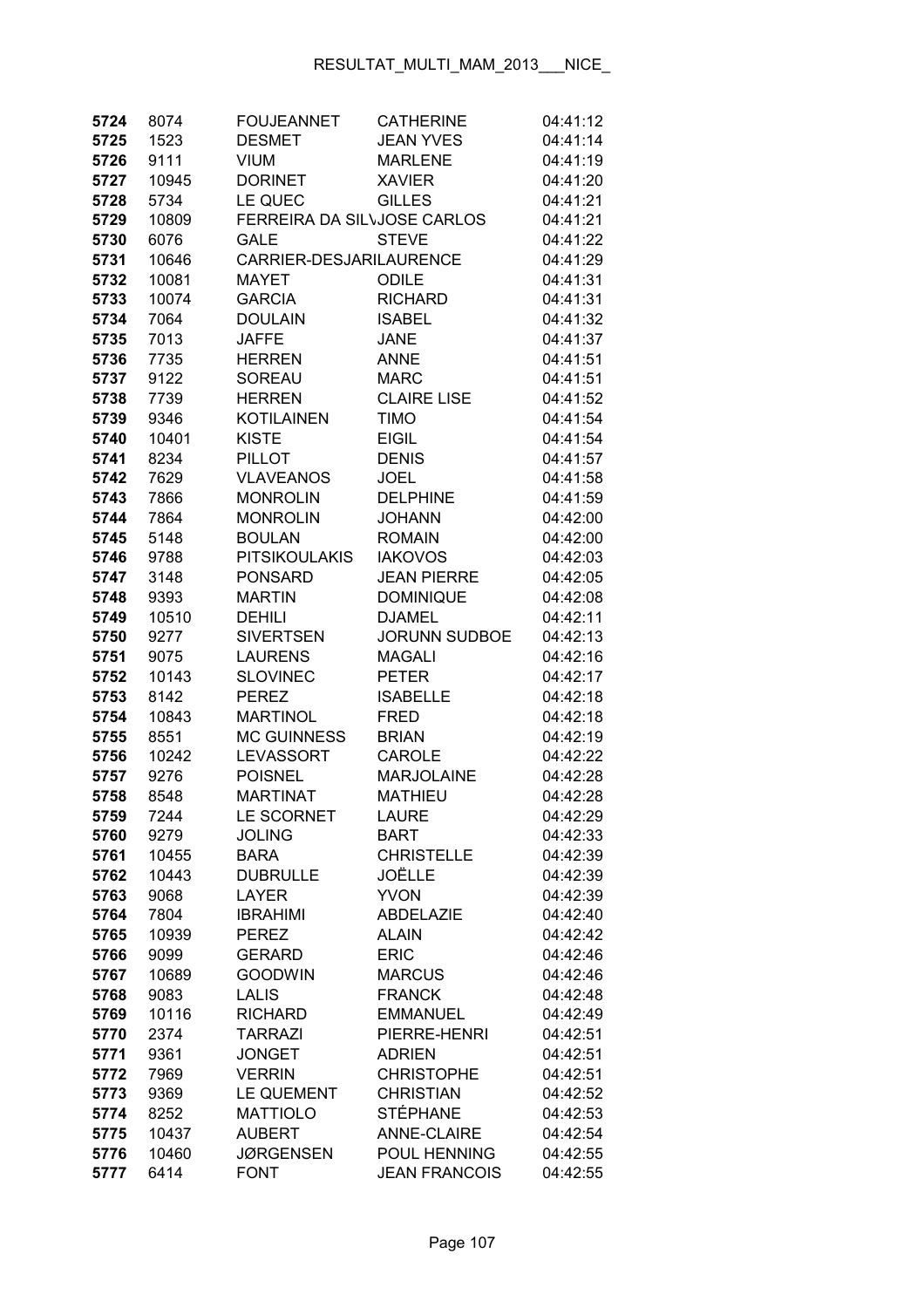| 5724         | 8074          | <b>FOUJEANNET</b>             | <b>CATHERINE</b>             | 04:41:12             |
|--------------|---------------|-------------------------------|------------------------------|----------------------|
| 5725         | 1523          | <b>DESMET</b>                 | <b>JEAN YVES</b>             | 04:41:14             |
| 5726         | 9111          | <b>VIUM</b>                   | <b>MARLENE</b>               | 04:41:19             |
| 5727         | 10945         | <b>DORINET</b>                | <b>XAVIER</b>                | 04:41:20             |
| 5728         | 5734          | LE QUEC                       | <b>GILLES</b>                | 04:41:21             |
| 5729         | 10809         | FERREIRA DA SILVJOSE CARLOS   |                              | 04:41:21             |
| 5730         | 6076          | <b>GALE</b>                   | <b>STEVE</b>                 | 04:41:22             |
| 5731         | 10646         | CARRIER-DESJARILAURENCE       |                              | 04:41:29             |
| 5732         | 10081         | <b>MAYET</b>                  | <b>ODILE</b>                 | 04:41:31             |
| 5733         | 10074         | <b>GARCIA</b>                 | <b>RICHARD</b>               | 04:41:31             |
| 5734         | 7064          | <b>DOULAIN</b>                | <b>ISABEL</b>                | 04:41:32             |
| 5735         | 7013          | <b>JAFFE</b>                  | <b>JANE</b>                  | 04:41:37             |
| 5736         | 7735          | <b>HERREN</b>                 | <b>ANNE</b>                  | 04:41:51             |
| 5737         | 9122          | <b>SOREAU</b>                 | <b>MARC</b>                  | 04:41:51             |
| 5738         | 7739          | <b>HERREN</b>                 | <b>CLAIRE LISE</b>           | 04:41:52             |
| 5739         | 9346          | <b>KOTILAINEN</b>             | <b>TIMO</b>                  | 04:41:54             |
| 5740         | 10401         | <b>KISTE</b>                  | <b>EIGIL</b>                 | 04:41:54             |
| 5741         | 8234          | <b>PILLOT</b>                 | <b>DENIS</b>                 | 04:41:57             |
| 5742         | 7629          | <b>VLAVEANOS</b>              | <b>JOEL</b>                  | 04:41:58             |
| 5743         | 7866          | <b>MONROLIN</b>               | <b>DELPHINE</b>              | 04:41:59             |
| 5744         | 7864          | <b>MONROLIN</b>               | <b>JOHANN</b>                | 04:42:00             |
| 5745         | 5148          | <b>BOULAN</b>                 | <b>ROMAIN</b>                | 04:42:00             |
| 5746         | 9788          | <b>PITSIKOULAKIS</b>          | <b>IAKOVOS</b>               | 04:42:03             |
| 5747         | 3148          | <b>PONSARD</b>                | <b>JEAN PIERRE</b>           | 04:42:05             |
| 5748         | 9393          | <b>MARTIN</b>                 | <b>DOMINIQUE</b>             | 04:42:08             |
| 5749         | 10510         | <b>DEHILI</b>                 | <b>DJAMEL</b>                | 04:42:11             |
| 5750         | 9277          | <b>SIVERTSEN</b>              | <b>JORUNN SUDBOE</b>         | 04:42:13             |
| 5751         | 9075          | <b>LAURENS</b>                | <b>MAGALI</b>                | 04:42:16             |
| 5752         | 10143         | <b>SLOVINEC</b>               | <b>PETER</b>                 | 04:42:17             |
| 5753         | 8142          | <b>PEREZ</b>                  | <b>ISABELLE</b>              | 04:42:18             |
| 5754         | 10843         | <b>MARTINOL</b>               | <b>FRED</b>                  | 04:42:18             |
| 5755         | 8551          | <b>MC GUINNESS</b>            | <b>BRIAN</b>                 | 04:42:19             |
| 5756         | 10242         | LEVASSORT                     | <b>CAROLE</b>                | 04:42:22             |
| 5757         | 9276          | <b>POISNEL</b>                | <b>MARJOLAINE</b>            | 04:42:28             |
| 5758         | 8548          | <b>MARTINAT</b>               | <b>MATHIEU</b>               | 04:42:28             |
| 5759         | 7244          | LE SCORNET                    | <b>LAURE</b>                 | 04:42:29             |
| 5760         | 9279          | <b>JOLING</b>                 | <b>BART</b>                  | 04:42:33             |
| 5761         | 10455         | <b>BARA</b>                   | <b>CHRISTELLE</b>            | 04:42:39             |
| 5762         | 10443         | <b>DUBRULLE</b>               | JOËLLE                       | 04:42:39             |
| 5763         | 9068          | LAYER                         | <b>YVON</b>                  | 04:42:39             |
| 5764         | 7804          | <b>IBRAHIMI</b>               | <b>ABDELAZIE</b>             | 04:42:40             |
| 5765         | 10939         | <b>PEREZ</b>                  | <b>ALAIN</b>                 | 04:42:42             |
| 5766         | 9099          | <b>GERARD</b>                 | <b>ERIC</b>                  | 04:42:46             |
| 5767         | 10689         | <b>GOODWIN</b>                | <b>MARCUS</b>                | 04:42:46             |
| 5768         | 9083          | <b>LALIS</b>                  | <b>FRANCK</b>                | 04:42:48             |
| 5769         | 10116         | <b>RICHARD</b>                | <b>EMMANUEL</b>              | 04:42:49             |
| 5770         | 2374          | <b>TARRAZI</b>                | PIERRE-HENRI                 | 04:42:51             |
| 5771         | 9361          | <b>JONGET</b>                 | <b>ADRIEN</b>                | 04:42:51             |
| 5772         | 7969          | <b>VERRIN</b>                 | <b>CHRISTOPHE</b>            | 04:42:51             |
| 5773         | 9369          | LE QUEMENT<br><b>MATTIOLO</b> | <b>CHRISTIAN</b><br>STÉPHANE | 04:42:52             |
| 5774<br>5775 | 8252<br>10437 | <b>AUBERT</b>                 | <b>ANNE-CLAIRE</b>           | 04:42:53<br>04:42:54 |
| 5776         | 10460         | <b>JØRGENSEN</b>              | POUL HENNING                 | 04:42:55             |
|              | 6414          | <b>FONT</b>                   | <b>JEAN FRANCOIS</b>         | 04:42:55             |
| 5777         |               |                               |                              |                      |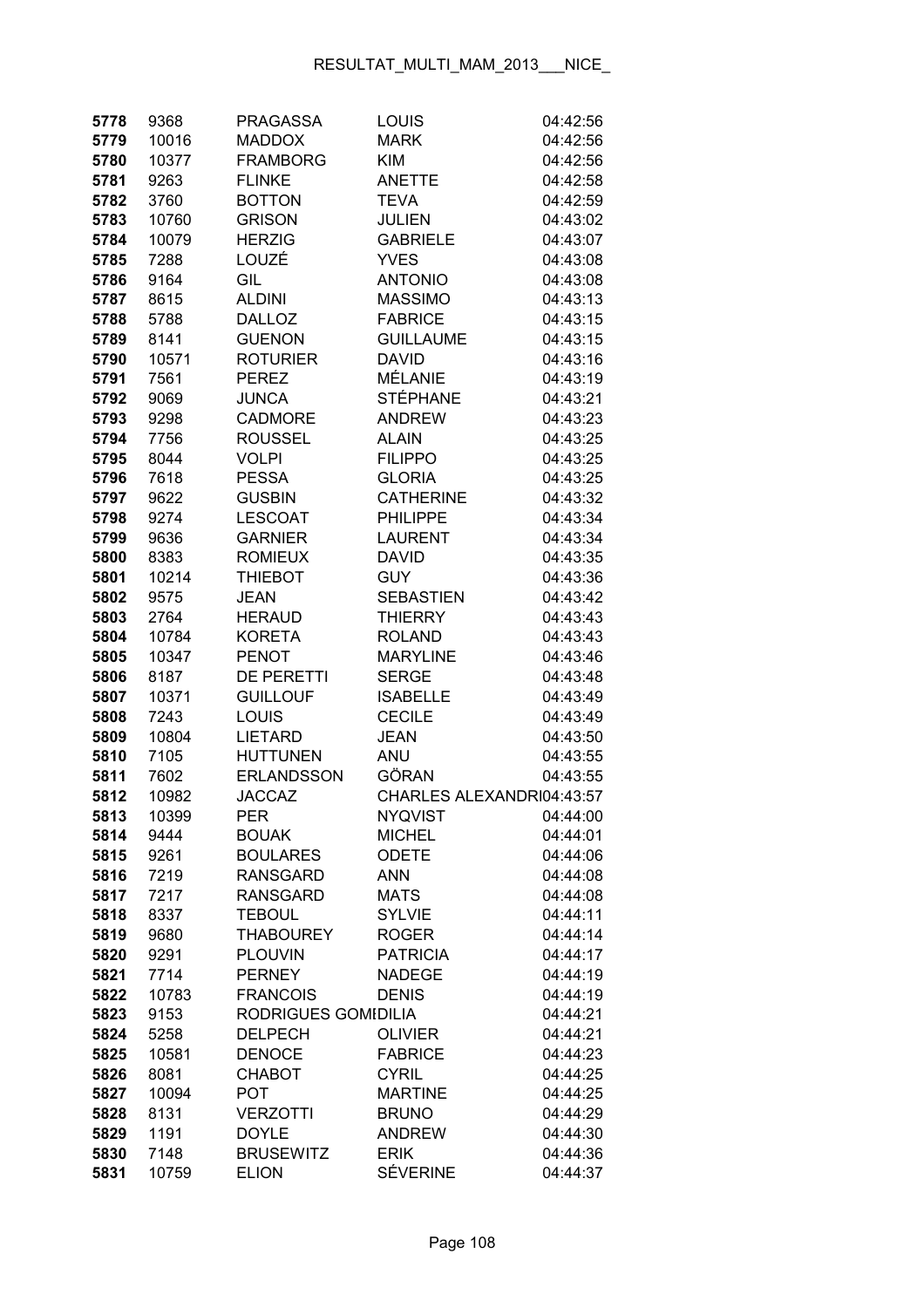| 5778 | 9368  | <b>PRAGASSA</b>     | LOUIS                     | 04:42:56 |
|------|-------|---------------------|---------------------------|----------|
| 5779 | 10016 | <b>MADDOX</b>       | MARK                      | 04:42:56 |
| 5780 | 10377 | <b>FRAMBORG</b>     | KIM                       | 04:42:56 |
| 5781 | 9263  | <b>FLINKE</b>       | <b>ANETTE</b>             | 04:42:58 |
| 5782 | 3760  | <b>BOTTON</b>       | TEVA                      | 04:42:59 |
| 5783 | 10760 | <b>GRISON</b>       | <b>JULIEN</b>             | 04:43:02 |
| 5784 | 10079 | <b>HERZIG</b>       | <b>GABRIELE</b>           | 04:43:07 |
| 5785 | 7288  | LOUZÉ               | <b>YVES</b>               | 04:43:08 |
| 5786 | 9164  | GIL                 | <b>ANTONIO</b>            | 04:43:08 |
| 5787 | 8615  | <b>ALDINI</b>       | <b>MASSIMO</b>            | 04:43:13 |
| 5788 | 5788  | <b>DALLOZ</b>       | <b>FABRICE</b>            | 04:43:15 |
| 5789 | 8141  | <b>GUENON</b>       | <b>GUILLAUME</b>          | 04:43:15 |
| 5790 | 10571 | <b>ROTURIER</b>     | <b>DAVID</b>              | 04:43:16 |
| 5791 | 7561  | <b>PEREZ</b>        | MÉLANIE                   | 04:43:19 |
| 5792 | 9069  | <b>JUNCA</b>        | STÉPHANE                  | 04:43:21 |
| 5793 | 9298  | <b>CADMORE</b>      | <b>ANDREW</b>             | 04:43:23 |
| 5794 | 7756  | <b>ROUSSEL</b>      | <b>ALAIN</b>              | 04:43:25 |
| 5795 | 8044  | <b>VOLPI</b>        | <b>FILIPPO</b>            | 04:43:25 |
| 5796 | 7618  | <b>PESSA</b>        | <b>GLORIA</b>             | 04:43:25 |
| 5797 | 9622  | <b>GUSBIN</b>       | <b>CATHERINE</b>          | 04:43:32 |
| 5798 | 9274  | <b>LESCOAT</b>      | <b>PHILIPPE</b>           | 04:43:34 |
| 5799 | 9636  | <b>GARNIER</b>      | <b>LAURENT</b>            | 04:43:34 |
| 5800 | 8383  | <b>ROMIEUX</b>      | David                     | 04:43:35 |
| 5801 | 10214 | <b>THIEBOT</b>      | GUY                       | 04:43:36 |
| 5802 | 9575  | <b>JEAN</b>         | <b>SEBASTIEN</b>          | 04:43:42 |
| 5803 | 2764  | <b>HERAUD</b>       | <b>THIERRY</b>            | 04:43:43 |
|      |       |                     | <b>ROLAND</b>             |          |
| 5804 | 10784 | <b>KORETA</b>       |                           | 04:43:43 |
| 5805 | 10347 | <b>PENOT</b>        | <b>MARYLINE</b>           | 04:43:46 |
| 5806 | 8187  | <b>DE PERETTI</b>   | <b>SERGE</b>              | 04:43:48 |
| 5807 | 10371 | <b>GUILLOUF</b>     | <b>ISABELLE</b>           | 04:43:49 |
| 5808 | 7243  | LOUIS               | <b>CECILE</b>             | 04:43:49 |
| 5809 | 10804 | <b>LIETARD</b>      | <b>JEAN</b>               | 04:43:50 |
| 5810 | 7105  | <b>HUTTUNEN</b>     | ANU                       | 04:43:55 |
| 5811 | 7602  | <b>ERLANDSSON</b>   | GÖRAN                     | 04:43:55 |
| 5812 | 10982 | <b>JACCAZ</b>       | CHARLES ALEXANDRI04:43:57 |          |
| 5813 | 10399 | PER                 | NYQVIST                   | 04:44:00 |
| 5814 | 9444  | <b>BOUAK</b>        | <b>MICHEL</b>             | 04:44:01 |
| 5815 | 9261  | <b>BOULARES</b>     | <b>ODETE</b>              | 04:44:06 |
| 5816 | 7219  | <b>RANSGARD</b>     | <b>ANN</b>                | 04:44:08 |
| 5817 | 7217  | <b>RANSGARD</b>     | <b>MATS</b>               | 04:44:08 |
| 5818 | 8337  | <b>TEBOUL</b>       | <b>SYLVIE</b>             | 04:44:11 |
| 5819 | 9680  | <b>THABOUREY</b>    | <b>ROGER</b>              | 04:44:14 |
| 5820 | 9291  | <b>PLOUVIN</b>      | <b>PATRICIA</b>           | 04:44:17 |
| 5821 | 7714  | <b>PERNEY</b>       | <b>NADEGE</b>             | 04:44:19 |
| 5822 | 10783 | <b>FRANCOIS</b>     | <b>DENIS</b>              | 04:44:19 |
| 5823 | 9153  | RODRIGUES GOMIDILIA |                           | 04:44:21 |
| 5824 | 5258  | <b>DELPECH</b>      | <b>OLIVIER</b>            | 04:44:21 |
| 5825 | 10581 | <b>DENOCE</b>       | <b>FABRICE</b>            | 04:44:23 |
| 5826 | 8081  | <b>CHABOT</b>       | <b>CYRIL</b>              | 04:44:25 |
| 5827 | 10094 | <b>POT</b>          | <b>MARTINE</b>            | 04:44:25 |
| 5828 | 8131  | <b>VERZOTTI</b>     | <b>BRUNO</b>              | 04:44:29 |
| 5829 | 1191  | <b>DOYLE</b>        | <b>ANDREW</b>             | 04:44:30 |
| 5830 | 7148  | <b>BRUSEWITZ</b>    | <b>ERIK</b>               | 04:44:36 |
| 5831 | 10759 | <b>ELION</b>        | <b>SÉVERINE</b>           | 04:44:37 |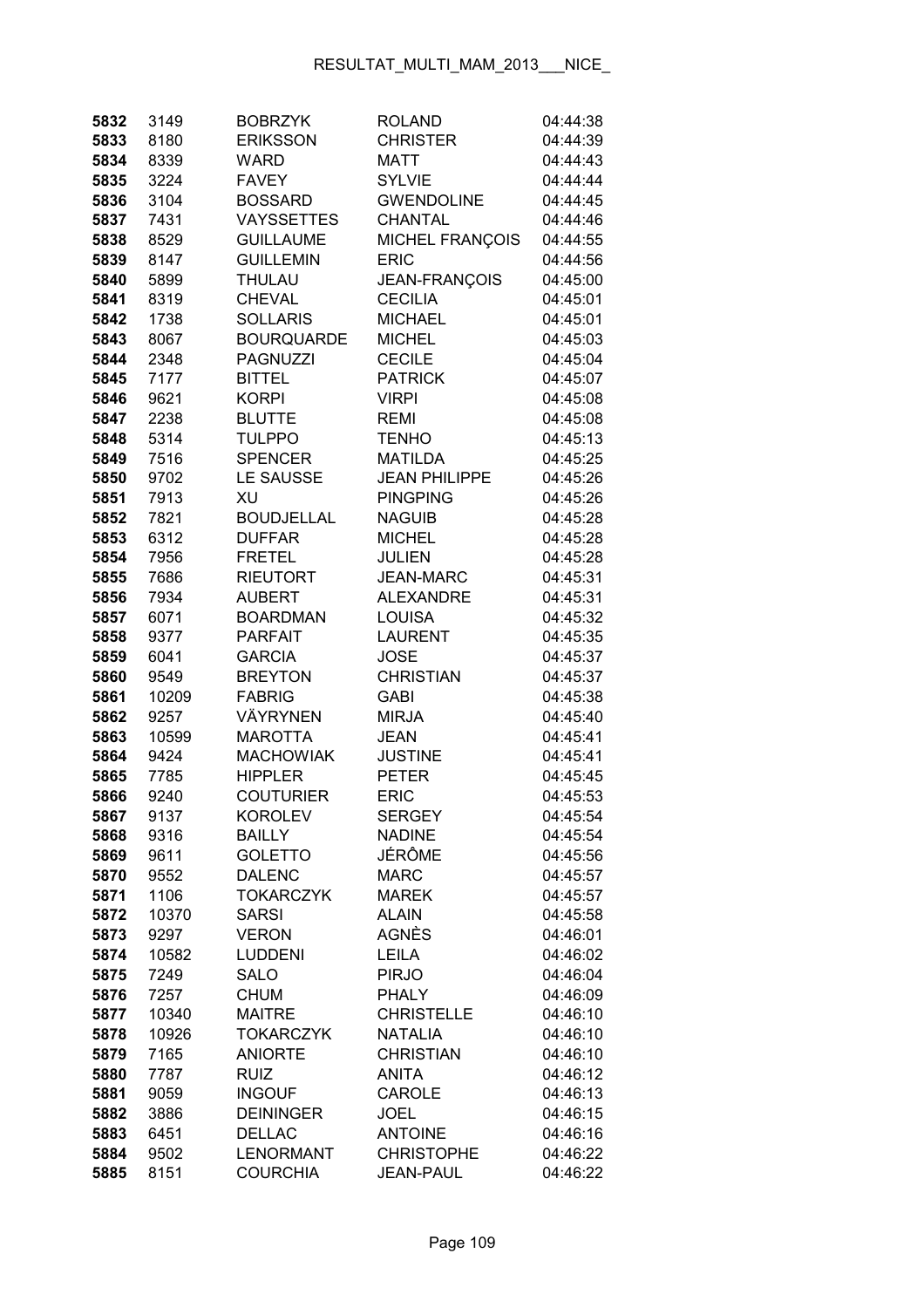| 5832         | 3149          | <b>BOBRZYK</b>                | <b>ROLAND</b>                | 04:44:38             |
|--------------|---------------|-------------------------------|------------------------------|----------------------|
| 5833         | 8180          | <b>ERIKSSON</b>               | <b>CHRISTER</b>              | 04:44:39             |
| 5834         | 8339          | WARD                          | <b>MATT</b>                  | 04:44:43             |
| 5835         | 3224          | <b>FAVEY</b>                  | <b>SYLVIE</b>                | 04:44:44             |
| 5836         | 3104          | <b>BOSSARD</b>                | <b>GWENDOLINE</b>            | 04:44:45             |
| 5837         | 7431          | <b>VAYSSETTES</b>             | <b>CHANTAL</b>               | 04:44:46             |
| 5838         | 8529          | <b>GUILLAUME</b>              | <b>MICHEL FRANÇOIS</b>       | 04:44:55             |
| 5839         | 8147          | <b>GUILLEMIN</b>              | <b>ERIC</b>                  | 04:44:56             |
| 5840         | 5899          | THULAU                        | JEAN-FRANÇOIS                | 04:45:00             |
| 5841         | 8319          | <b>CHEVAL</b>                 | <b>CECILIA</b>               | 04:45:01             |
| 5842         | 1738          | <b>SOLLARIS</b>               | <b>MICHAEL</b>               | 04:45:01             |
| 5843         | 8067          | <b>BOURQUARDE</b>             | <b>MICHEL</b>                | 04:45:03             |
| 5844         | 2348          | <b>PAGNUZZI</b>               | <b>CECILE</b>                | 04:45:04             |
| 5845         | 7177          | <b>BITTEL</b>                 | <b>PATRICK</b>               | 04:45:07             |
| 5846         | 9621          | <b>KORPI</b>                  | <b>VIRPI</b>                 | 04:45:08             |
| 5847         | 2238          | <b>BLUTTE</b>                 | <b>REMI</b>                  | 04:45:08             |
| 5848         | 5314          | <b>TULPPO</b>                 | <b>TENHO</b>                 | 04:45:13             |
| 5849         | 7516          | <b>SPENCER</b>                | <b>MATILDA</b>               | 04:45:25             |
| 5850         | 9702          | LE SAUSSE                     | <b>JEAN PHILIPPE</b>         | 04:45:26             |
| 5851         | 7913          | XU                            | <b>PINGPING</b>              | 04:45:26             |
| 5852         | 7821          | <b>BOUDJELLAL</b>             | <b>NAGUIB</b>                | 04:45:28             |
| 5853         | 6312          | <b>DUFFAR</b>                 | <b>MICHEL</b>                | 04:45:28             |
| 5854         | 7956          | <b>FRETEL</b>                 | <b>JULIEN</b>                | 04:45:28             |
| 5855         | 7686          | <b>RIEUTORT</b>               | <b>JEAN-MARC</b>             | 04:45:31             |
| 5856         | 7934          | <b>AUBERT</b>                 | <b>ALEXANDRE</b>             | 04:45:31             |
| 5857         | 6071          | <b>BOARDMAN</b>               | <b>LOUISA</b>                | 04:45:32             |
| 5858         | 9377          | <b>PARFAIT</b>                | <b>LAURENT</b>               | 04:45:35             |
| 5859         | 6041          | <b>GARCIA</b>                 | <b>JOSE</b>                  | 04:45:37             |
| 5860         | 9549          | <b>BREYTON</b>                | <b>CHRISTIAN</b>             | 04:45:37             |
| 5861         | 10209         | <b>FABRIG</b>                 | <b>GABI</b>                  | 04:45:38             |
| 5862         | 9257          | VÄYRYNEN                      | <b>MIRJA</b>                 | 04:45:40             |
| 5863         | 10599         | <b>MAROTTA</b>                | <b>JEAN</b>                  | 04:45:41             |
| 5864         | 9424          | <b>MACHOWIAK</b>              | <b>JUSTINE</b>               | 04:45:41             |
| 5865         | 7785          | <b>HIPPLER</b>                | <b>PETER</b>                 | 04:45:45             |
| 5866         | 9240          | COUTURIER                     | <b>ERIC</b>                  | 04:45:53             |
| 5867         | 9137          | <b>KOROLEV</b>                | <b>SERGEY</b>                | 04:45:54             |
| 5868         | 9316          | <b>BAILLY</b>                 | <b>NADINE</b>                | 04:45:54             |
| 5869         | 9611          | <b>GOLETTO</b>                | JÉRÔME                       | 04:45:56             |
| 5870         | 9552          | <b>DALENC</b>                 | <b>MARC</b>                  | 04:45:57             |
| 5871         | 1106          | <b>TOKARCZYK</b>              | <b>MAREK</b>                 | 04:45:57             |
| 5872         | 10370         | <b>SARSI</b>                  | <b>ALAIN</b>                 | 04:45:58             |
| 5873         | 9297          | <b>VERON</b>                  | AGNÈS                        | 04:46:01             |
| 5874<br>5875 | 10582<br>7249 | <b>LUDDENI</b><br><b>SALO</b> | <b>LEILA</b><br><b>PIRJO</b> | 04:46:02<br>04:46:04 |
| 5876         | 7257          | CHUM                          | <b>PHALY</b>                 | 04:46:09             |
| 5877         | 10340         | <b>MAITRE</b>                 | <b>CHRISTELLE</b>            | 04:46:10             |
| 5878         | 10926         | <b>TOKARCZYK</b>              | <b>NATALIA</b>               | 04:46:10             |
| 5879         | 7165          | <b>ANIORTE</b>                | <b>CHRISTIAN</b>             | 04:46:10             |
| 5880         | 7787          | <b>RUIZ</b>                   | <b>ANITA</b>                 | 04:46:12             |
| 5881         | 9059          | <b>INGOUF</b>                 | <b>CAROLE</b>                | 04:46:13             |
| 5882         | 3886          | <b>DEININGER</b>              | <b>JOEL</b>                  | 04:46:15             |
| 5883         | 6451          | <b>DELLAC</b>                 | <b>ANTOINE</b>               | 04:46:16             |
| 5884         | 9502          | <b>LENORMANT</b>              | <b>CHRISTOPHE</b>            | 04:46:22             |
| 5885         | 8151          | <b>COURCHIA</b>               | <b>JEAN-PAUL</b>             | 04:46:22             |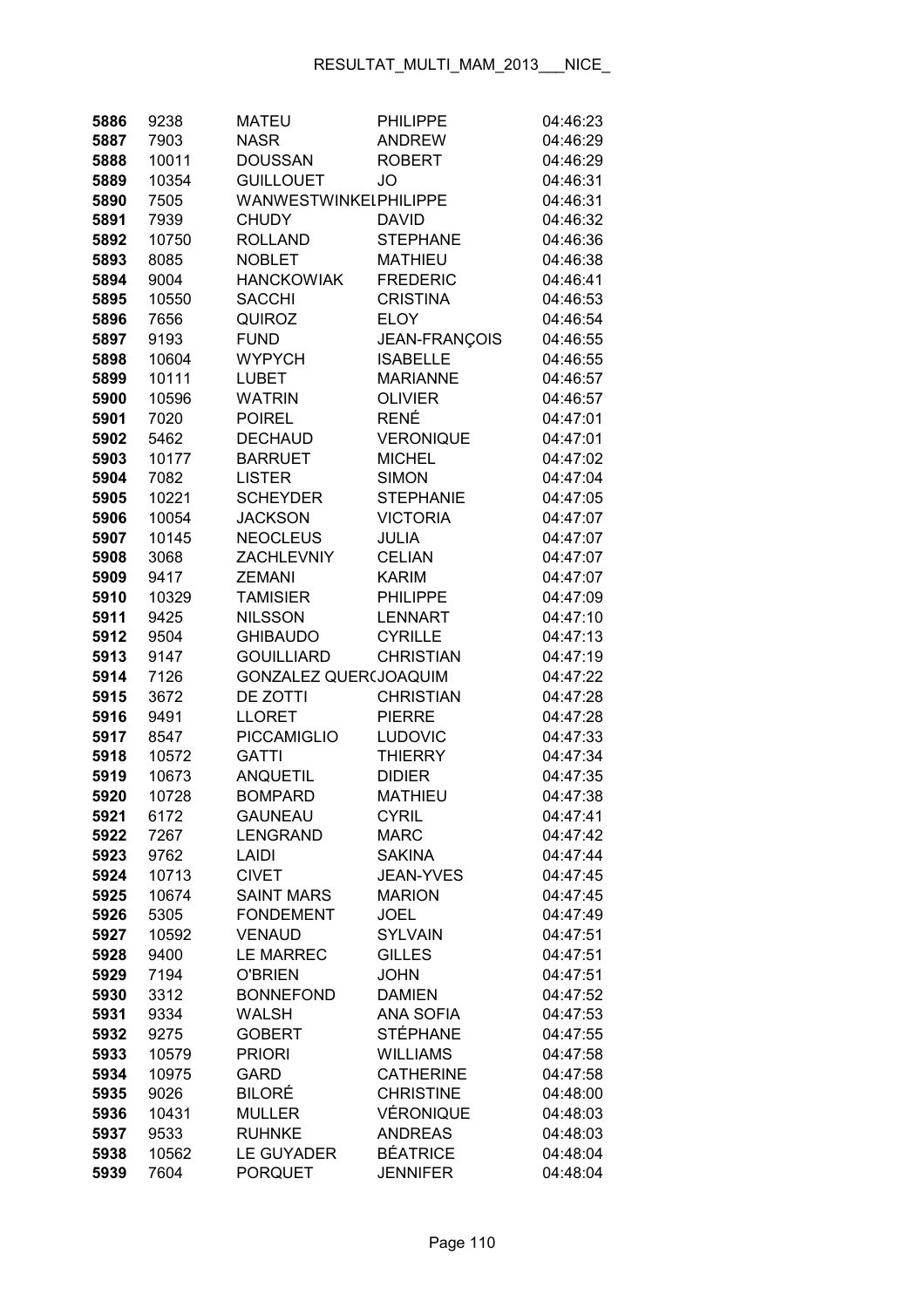| 5886         | 9238          | <b>MATEU</b>                   | <b>PHILIPPE</b>             | 04:46:23             |
|--------------|---------------|--------------------------------|-----------------------------|----------------------|
| 5887         | 7903          | <b>NASR</b>                    | <b>ANDREW</b>               | 04:46:29             |
| 5888         | 10011         | <b>DOUSSAN</b>                 | <b>ROBERT</b>               | 04:46:29             |
| 5889         | 10354         | <b>GUILLOUET</b>               | JO                          | 04:46:31             |
| 5890         | 7505          | <b>WANWESTWINKELPHILIPPE</b>   |                             | 04:46:31             |
| 5891         | 7939          | <b>CHUDY</b>                   | <b>DAVID</b>                | 04:46:32             |
| 5892         | 10750         | <b>ROLLAND</b>                 | <b>STEPHANE</b>             | 04:46:36             |
| 5893         | 8085          | <b>NOBLET</b>                  | <b>MATHIEU</b>              | 04:46:38             |
| 5894         | 9004          | <b>HANCKOWIAK</b>              | <b>FREDERIC</b>             | 04:46:41             |
| 5895         | 10550         | <b>SACCHI</b>                  | <b>CRISTINA</b>             | 04:46:53             |
| 5896         | 7656          | QUIROZ                         | <b>ELOY</b>                 | 04:46:54             |
| 5897         | 9193          | <b>FUND</b>                    | JEAN-FRANÇOIS               | 04:46:55             |
| 5898         | 10604         | <b>WYPYCH</b>                  | <b>ISABELLE</b>             | 04:46:55             |
| 5899         | 10111         | <b>LUBET</b>                   | <b>MARIANNE</b>             | 04:46:57             |
| 5900         | 10596         | <b>WATRIN</b>                  | <b>OLIVIER</b>              | 04:46:57             |
| 5901         | 7020          | <b>POIREL</b>                  | RENÉ                        | 04:47:01             |
| 5902         | 5462          | <b>DECHAUD</b>                 | <b>VERONIQUE</b>            | 04:47:01             |
| 5903         | 10177         | <b>BARRUET</b>                 | <b>MICHEL</b>               | 04:47:02             |
| 5904         | 7082          | <b>LISTER</b>                  | <b>SIMON</b>                | 04:47:04             |
| 5905         | 10221         | <b>SCHEYDER</b>                | <b>STEPHANIE</b>            | 04:47:05             |
| 5906         | 10054         | <b>JACKSON</b>                 | <b>VICTORIA</b>             | 04:47:07             |
| 5907         | 10145         | <b>NEOCLEUS</b>                | <b>JULIA</b>                | 04:47:07             |
| 5908         | 3068          | <b>ZACHLEVNIY</b>              | <b>CELIAN</b>               | 04:47:07             |
| 5909         | 9417          | <b>ZEMANI</b>                  | <b>KARIM</b>                | 04:47:07             |
| 5910         | 10329         | <b>TAMISIER</b>                | <b>PHILIPPE</b>             | 04:47:09             |
| 5911         | 9425          | <b>NILSSON</b>                 | <b>LENNART</b>              | 04:47:10             |
| 5912         | 9504          | <b>GHIBAUDO</b>                | <b>CYRILLE</b>              | 04:47:13             |
| 5913         | 9147          | <b>GOUILLIARD</b>              | <b>CHRISTIAN</b>            | 04:47:19             |
| 5914         | 7126          | GONZALEZ QUER(JOAQUIM          |                             | 04:47:22             |
| 5915         | 3672          | DE ZOTTI                       | <b>CHRISTIAN</b>            | 04:47:28             |
| 5916         | 9491          | <b>LLORET</b>                  | <b>PIERRE</b>               | 04:47:28             |
| 5917         | 8547          | <b>PICCAMIGLIO</b>             | <b>LUDOVIC</b>              | 04:47:33             |
| 5918         | 10572         | <b>GATTI</b>                   | <b>THIERRY</b>              | 04:47:34             |
| 5919         | 10673         | <b>ANQUETIL</b>                | <b>DIDIER</b>               | 04:47:35             |
| 5920         | 10728         | <b>BOMPARD</b>                 | <b>MATHIEU</b>              | 04:47:38             |
| 5921         | 6172          | GAUNEAU                        | <b>CYRIL</b>                | 04:47:41             |
| 5922         | 7267          | LENGRAND                       | <b>MARC</b>                 | 04:47:42             |
| 5923         | 9762          | <b>LAIDI</b>                   | <b>SAKINA</b>               | 04:47:44             |
| 5924         | 10713         | <b>CIVET</b>                   | <b>JEAN-YVES</b>            | 04:47:45             |
| 5925         | 10674         | <b>SAINT MARS</b>              | <b>MARION</b>               | 04:47:45             |
| 5926         | 5305          | <b>FONDEMENT</b>               | <b>JOEL</b>                 | 04:47:49             |
| 5927         | 10592         | <b>VENAUD</b>                  | <b>SYLVAIN</b>              | 04:47:51             |
| 5928         | 9400          | <b>LE MARREC</b>               | <b>GILLES</b>               | 04:47:51             |
| 5929         | 7194          | <b>O'BRIEN</b>                 | <b>JOHN</b>                 | 04:47:51             |
| 5930         | 3312          | <b>BONNEFOND</b>               | <b>DAMIEN</b>               | 04:47:52             |
| 5931         | 9334          | <b>WALSH</b>                   | <b>ANA SOFIA</b>            | 04:47:53             |
| 5932         | 9275          | <b>GOBERT</b>                  | <b>STÉPHANE</b>             | 04:47:55             |
| 5933         | 10579         | <b>PRIORI</b>                  | <b>WILLIAMS</b>             | 04:47:58             |
| 5934         | 10975         | <b>GARD</b>                    | <b>CATHERINE</b>            | 04:47:58             |
| 5935         | 9026          | <b>BILORÉ</b>                  | <b>CHRISTINE</b>            | 04:48:00             |
| 5936<br>5937 | 10431<br>9533 | <b>MULLER</b><br><b>RUHNKE</b> | VÉRONIQUE<br><b>ANDREAS</b> | 04:48:03<br>04:48:03 |
| 5938         | 10562         | LE GUYADER                     | <b>BÉATRICE</b>             | 04:48:04             |
| 5939         | 7604          | <b>PORQUET</b>                 | <b>JENNIFER</b>             | 04:48:04             |
|              |               |                                |                             |                      |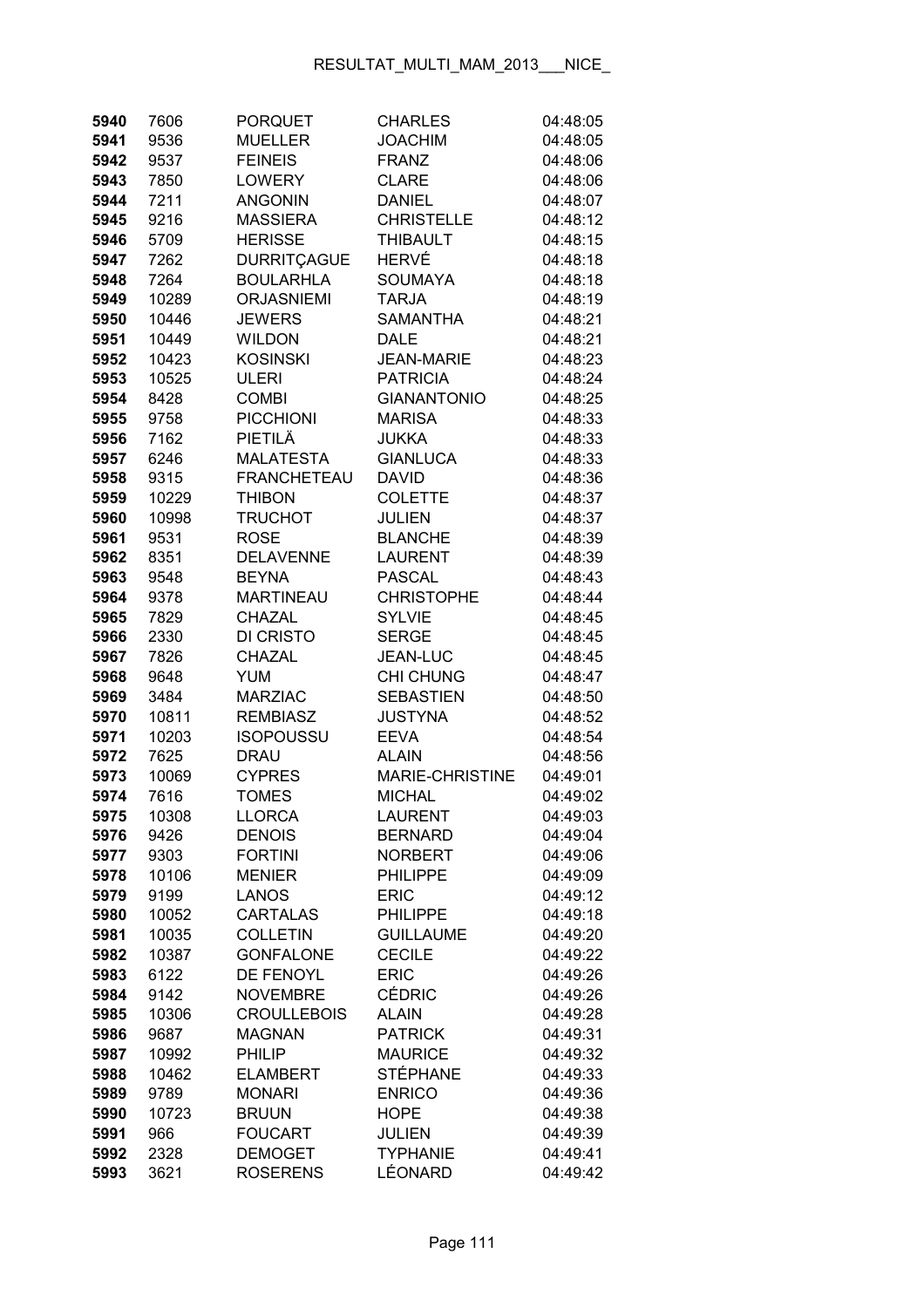| 5940         | 7606          | <b>PORQUET</b>                  | <b>CHARLES</b>                 | 04:48:05             |
|--------------|---------------|---------------------------------|--------------------------------|----------------------|
| 5941         | 9536          | <b>MUELLER</b>                  | <b>JOACHIM</b>                 | 04:48:05             |
| 5942         | 9537          | <b>FEINEIS</b>                  | <b>FRANZ</b>                   | 04:48:06             |
| 5943         | 7850          | <b>LOWERY</b>                   | <b>CLARE</b>                   | 04:48:06             |
| 5944         | 7211          | <b>ANGONIN</b>                  | <b>DANIEL</b>                  | 04:48:07             |
| 5945         | 9216          | <b>MASSIERA</b>                 | <b>CHRISTELLE</b>              | 04:48:12             |
| 5946         | 5709          | <b>HERISSE</b>                  | <b>THIBAULT</b>                | 04:48:15             |
| 5947         | 7262          | <b>DURRITÇAGUE</b>              | HERVÉ                          | 04:48:18             |
| 5948         | 7264          | <b>BOULARHLA</b>                | <b>SOUMAYA</b>                 | 04:48:18             |
| 5949         | 10289         | <b>ORJASNIEMI</b>               | <b>TARJA</b>                   | 04:48:19             |
| 5950         | 10446         | <b>JEWERS</b>                   | <b>SAMANTHA</b>                | 04:48:21             |
| 5951         | 10449         | <b>WILDON</b>                   | <b>DALE</b>                    | 04:48:21             |
| 5952         | 10423         | <b>KOSINSKI</b>                 | <b>JEAN-MARIE</b>              | 04:48:23             |
| 5953         | 10525         | ULERI                           | <b>PATRICIA</b>                | 04:48:24             |
| 5954         | 8428          | <b>COMBI</b>                    | <b>GIANANTONIO</b>             | 04:48:25             |
| 5955         | 9758          | <b>PICCHIONI</b>                | <b>MARISA</b>                  | 04:48:33             |
| 5956         | 7162          | PIETILÄ                         | <b>JUKKA</b>                   | 04:48:33             |
| 5957         | 6246          | <b>MALATESTA</b>                | <b>GIANLUCA</b>                | 04:48:33             |
| 5958         | 9315          | <b>FRANCHETEAU</b>              | <b>DAVID</b>                   | 04:48:36             |
| 5959         | 10229         | <b>THIBON</b>                   | <b>COLETTE</b>                 | 04:48:37             |
| 5960         | 10998         | <b>TRUCHOT</b>                  | <b>JULIEN</b>                  | 04:48:37             |
| 5961         | 9531          | <b>ROSE</b>                     | <b>BLANCHE</b>                 | 04:48:39             |
| 5962         | 8351          | <b>DELAVENNE</b>                | <b>LAURENT</b>                 | 04:48:39             |
| 5963         | 9548          | <b>BEYNA</b>                    | <b>PASCAL</b>                  | 04:48:43             |
| 5964         | 9378          | <b>MARTINEAU</b>                | <b>CHRISTOPHE</b>              | 04:48:44             |
| 5965         | 7829          | CHAZAL                          | <b>SYLVIE</b>                  | 04:48:45             |
| 5966         | 2330          | DI CRISTO                       | <b>SERGE</b>                   | 04:48:45             |
| 5967         | 7826          | CHAZAL                          | JEAN-LUC                       | 04:48:45             |
| 5968         | 9648          | YUM                             | CHI CHUNG                      | 04:48:47             |
| 5969         | 3484          | <b>MARZIAC</b>                  | <b>SEBASTIEN</b>               | 04:48:50             |
| 5970         | 10811         | <b>REMBIASZ</b>                 | <b>JUSTYNA</b>                 | 04:48:52             |
| 5971         | 10203         | ISOPOUSSU                       | <b>EEVA</b>                    | 04:48:54             |
| 5972         | 7625          | <b>DRAU</b>                     | <b>ALAIN</b>                   | 04:48:56             |
| 5973         | 10069         | <b>CYPRES</b>                   | <b>MARIE-CHRISTINE</b>         | 04:49:01             |
| 5974         | 7616          | <b>TOMES</b>                    | <b>MICHAL</b>                  | 04:49:02             |
| 5975         | 10308         | <b>LLORCA</b>                   | <b>LAURENT</b>                 | 04:49:03             |
| 5976         | 9426          | <b>DENOIS</b>                   | <b>BERNARD</b>                 | 04:49:04             |
| 5977         | 9303          | <b>FORTINI</b>                  | <b>NORBERT</b>                 | 04:49:06             |
| 5978         | 10106         | <b>MENIER</b>                   | <b>PHILIPPE</b><br><b>ERIC</b> | 04:49:09<br>04:49:12 |
| 5979         | 9199<br>10052 | <b>LANOS</b><br><b>CARTALAS</b> | <b>PHILIPPE</b>                | 04:49:18             |
| 5980<br>5981 | 10035         | <b>COLLETIN</b>                 | <b>GUILLAUME</b>               | 04:49:20             |
| 5982         | 10387         | GONFALONE                       | <b>CECILE</b>                  | 04:49:22             |
| 5983         | 6122          | <b>DE FENOYL</b>                | <b>ERIC</b>                    | 04:49:26             |
| 5984         | 9142          | <b>NOVEMBRE</b>                 | <b>CÉDRIC</b>                  | 04:49:26             |
| 5985         | 10306         | <b>CROULLEBOIS</b>              | <b>ALAIN</b>                   | 04:49:28             |
| 5986         | 9687          | <b>MAGNAN</b>                   | <b>PATRICK</b>                 | 04:49:31             |
| 5987         | 10992         | <b>PHILIP</b>                   | <b>MAURICE</b>                 | 04:49:32             |
| 5988         | 10462         | <b>ELAMBERT</b>                 | <b>STÉPHANE</b>                | 04:49:33             |
| 5989         | 9789          | <b>MONARI</b>                   | <b>ENRICO</b>                  | 04:49:36             |
| 5990         | 10723         | <b>BRUUN</b>                    | <b>HOPE</b>                    | 04:49:38             |
| 5991         | 966           | <b>FOUCART</b>                  | <b>JULIEN</b>                  | 04:49:39             |
| 5992         | 2328          | <b>DEMOGET</b>                  | <b>TYPHANIE</b>                | 04:49:41             |
| 5993         | 3621          | <b>ROSERENS</b>                 | LÉONARD                        | 04:49:42             |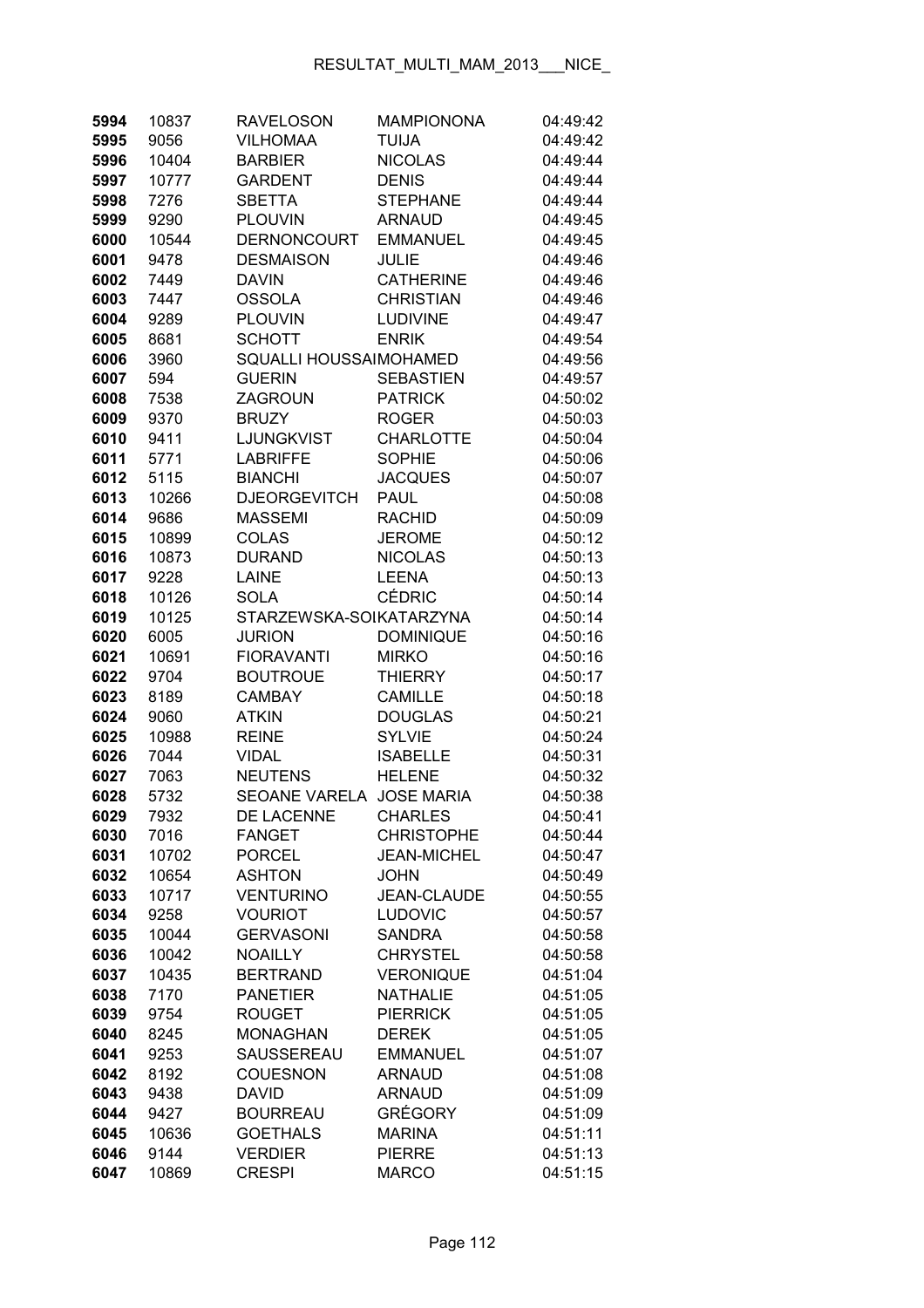| 10837         | <b>RAVELOSON</b>                                                                                                                                    | <b>MAMPIONONA</b>                                                                                                                                                                                                                                                                                                      | 04:49:42                                                                                                                                                                                                                                                                                                                                                                                                                                     |
|---------------|-----------------------------------------------------------------------------------------------------------------------------------------------------|------------------------------------------------------------------------------------------------------------------------------------------------------------------------------------------------------------------------------------------------------------------------------------------------------------------------|----------------------------------------------------------------------------------------------------------------------------------------------------------------------------------------------------------------------------------------------------------------------------------------------------------------------------------------------------------------------------------------------------------------------------------------------|
| 9056          | <b>VILHOMAA</b>                                                                                                                                     | <b>TUIJA</b>                                                                                                                                                                                                                                                                                                           | 04:49:42                                                                                                                                                                                                                                                                                                                                                                                                                                     |
| 10404         | <b>BARBIER</b>                                                                                                                                      | <b>NICOLAS</b>                                                                                                                                                                                                                                                                                                         | 04:49:44                                                                                                                                                                                                                                                                                                                                                                                                                                     |
| 10777         | <b>GARDENT</b>                                                                                                                                      | <b>DENIS</b>                                                                                                                                                                                                                                                                                                           | 04:49:44                                                                                                                                                                                                                                                                                                                                                                                                                                     |
| 7276          | <b>SBETTA</b>                                                                                                                                       | <b>STEPHANE</b>                                                                                                                                                                                                                                                                                                        | 04:49:44                                                                                                                                                                                                                                                                                                                                                                                                                                     |
| 9290          | <b>PLOUVIN</b>                                                                                                                                      | <b>ARNAUD</b>                                                                                                                                                                                                                                                                                                          | 04:49:45                                                                                                                                                                                                                                                                                                                                                                                                                                     |
| 10544         | DERNONCOURT                                                                                                                                         | <b>EMMANUEL</b>                                                                                                                                                                                                                                                                                                        | 04:49:45                                                                                                                                                                                                                                                                                                                                                                                                                                     |
| 9478          | <b>DESMAISON</b>                                                                                                                                    | <b>JULIE</b>                                                                                                                                                                                                                                                                                                           | 04:49:46                                                                                                                                                                                                                                                                                                                                                                                                                                     |
| 7449          | <b>DAVIN</b>                                                                                                                                        | <b>CATHERINE</b>                                                                                                                                                                                                                                                                                                       | 04:49:46                                                                                                                                                                                                                                                                                                                                                                                                                                     |
| 7447          | <b>OSSOLA</b>                                                                                                                                       | <b>CHRISTIAN</b>                                                                                                                                                                                                                                                                                                       | 04:49:46                                                                                                                                                                                                                                                                                                                                                                                                                                     |
| 9289          | <b>PLOUVIN</b>                                                                                                                                      | <b>LUDIVINE</b>                                                                                                                                                                                                                                                                                                        | 04:49:47                                                                                                                                                                                                                                                                                                                                                                                                                                     |
| 8681          | <b>SCHOTT</b>                                                                                                                                       | <b>ENRIK</b>                                                                                                                                                                                                                                                                                                           | 04:49:54                                                                                                                                                                                                                                                                                                                                                                                                                                     |
| 3960          |                                                                                                                                                     |                                                                                                                                                                                                                                                                                                                        | 04:49:56                                                                                                                                                                                                                                                                                                                                                                                                                                     |
| 594           | <b>GUERIN</b>                                                                                                                                       | <b>SEBASTIEN</b>                                                                                                                                                                                                                                                                                                       | 04:49:57                                                                                                                                                                                                                                                                                                                                                                                                                                     |
| 7538          | <b>ZAGROUN</b>                                                                                                                                      | <b>PATRICK</b>                                                                                                                                                                                                                                                                                                         | 04:50:02                                                                                                                                                                                                                                                                                                                                                                                                                                     |
| 9370          | <b>BRUZY</b>                                                                                                                                        | <b>ROGER</b>                                                                                                                                                                                                                                                                                                           | 04:50:03                                                                                                                                                                                                                                                                                                                                                                                                                                     |
| 9411          | LJUNGKVIST                                                                                                                                          | <b>CHARLOTTE</b>                                                                                                                                                                                                                                                                                                       | 04:50:04                                                                                                                                                                                                                                                                                                                                                                                                                                     |
| 5771          | <b>LABRIFFE</b>                                                                                                                                     | <b>SOPHIE</b>                                                                                                                                                                                                                                                                                                          | 04:50:06                                                                                                                                                                                                                                                                                                                                                                                                                                     |
| 5115          | <b>BIANCHI</b>                                                                                                                                      | <b>JACQUES</b>                                                                                                                                                                                                                                                                                                         | 04:50:07                                                                                                                                                                                                                                                                                                                                                                                                                                     |
| 10266         | <b>DJEORGEVITCH</b>                                                                                                                                 | <b>PAUL</b>                                                                                                                                                                                                                                                                                                            | 04:50:08                                                                                                                                                                                                                                                                                                                                                                                                                                     |
| 9686          | <b>MASSEMI</b>                                                                                                                                      | <b>RACHID</b>                                                                                                                                                                                                                                                                                                          | 04:50:09                                                                                                                                                                                                                                                                                                                                                                                                                                     |
| 10899         | <b>COLAS</b>                                                                                                                                        | <b>JEROME</b>                                                                                                                                                                                                                                                                                                          | 04:50:12                                                                                                                                                                                                                                                                                                                                                                                                                                     |
| 10873         | <b>DURAND</b>                                                                                                                                       | <b>NICOLAS</b>                                                                                                                                                                                                                                                                                                         | 04:50:13                                                                                                                                                                                                                                                                                                                                                                                                                                     |
| 9228          | <b>LAINE</b>                                                                                                                                        | <b>LEENA</b>                                                                                                                                                                                                                                                                                                           | 04:50:13                                                                                                                                                                                                                                                                                                                                                                                                                                     |
| 10126         | <b>SOLA</b>                                                                                                                                         | <b>CÉDRIC</b>                                                                                                                                                                                                                                                                                                          | 04:50:14                                                                                                                                                                                                                                                                                                                                                                                                                                     |
| 10125         |                                                                                                                                                     |                                                                                                                                                                                                                                                                                                                        | 04:50:14                                                                                                                                                                                                                                                                                                                                                                                                                                     |
| 6005          | <b>JURION</b>                                                                                                                                       | <b>DOMINIQUE</b>                                                                                                                                                                                                                                                                                                       | 04:50:16                                                                                                                                                                                                                                                                                                                                                                                                                                     |
| 10691         | <b>FIORAVANTI</b>                                                                                                                                   | <b>MIRKO</b>                                                                                                                                                                                                                                                                                                           | 04:50:16                                                                                                                                                                                                                                                                                                                                                                                                                                     |
| 9704          | <b>BOUTROUE</b>                                                                                                                                     |                                                                                                                                                                                                                                                                                                                        | 04:50:17                                                                                                                                                                                                                                                                                                                                                                                                                                     |
| 8189          | <b>CAMBAY</b>                                                                                                                                       | <b>CAMILLE</b>                                                                                                                                                                                                                                                                                                         | 04:50:18                                                                                                                                                                                                                                                                                                                                                                                                                                     |
| 9060          |                                                                                                                                                     |                                                                                                                                                                                                                                                                                                                        | 04:50:21                                                                                                                                                                                                                                                                                                                                                                                                                                     |
|               |                                                                                                                                                     |                                                                                                                                                                                                                                                                                                                        | 04:50:24                                                                                                                                                                                                                                                                                                                                                                                                                                     |
|               |                                                                                                                                                     |                                                                                                                                                                                                                                                                                                                        | 04:50:31                                                                                                                                                                                                                                                                                                                                                                                                                                     |
|               |                                                                                                                                                     |                                                                                                                                                                                                                                                                                                                        | 04:50:32                                                                                                                                                                                                                                                                                                                                                                                                                                     |
|               |                                                                                                                                                     |                                                                                                                                                                                                                                                                                                                        | 04:50:38                                                                                                                                                                                                                                                                                                                                                                                                                                     |
|               |                                                                                                                                                     |                                                                                                                                                                                                                                                                                                                        | 04:50:41                                                                                                                                                                                                                                                                                                                                                                                                                                     |
|               |                                                                                                                                                     |                                                                                                                                                                                                                                                                                                                        | 04:50:44                                                                                                                                                                                                                                                                                                                                                                                                                                     |
|               |                                                                                                                                                     |                                                                                                                                                                                                                                                                                                                        | 04:50:47                                                                                                                                                                                                                                                                                                                                                                                                                                     |
|               |                                                                                                                                                     |                                                                                                                                                                                                                                                                                                                        | 04:50:49                                                                                                                                                                                                                                                                                                                                                                                                                                     |
|               |                                                                                                                                                     |                                                                                                                                                                                                                                                                                                                        | 04:50:55                                                                                                                                                                                                                                                                                                                                                                                                                                     |
|               |                                                                                                                                                     |                                                                                                                                                                                                                                                                                                                        | 04:50:57                                                                                                                                                                                                                                                                                                                                                                                                                                     |
|               |                                                                                                                                                     |                                                                                                                                                                                                                                                                                                                        | 04:50:58                                                                                                                                                                                                                                                                                                                                                                                                                                     |
|               |                                                                                                                                                     |                                                                                                                                                                                                                                                                                                                        | 04:50:58<br>04:51:04                                                                                                                                                                                                                                                                                                                                                                                                                         |
|               |                                                                                                                                                     |                                                                                                                                                                                                                                                                                                                        |                                                                                                                                                                                                                                                                                                                                                                                                                                              |
|               |                                                                                                                                                     |                                                                                                                                                                                                                                                                                                                        | 04:51:05<br>04:51:05                                                                                                                                                                                                                                                                                                                                                                                                                         |
|               |                                                                                                                                                     |                                                                                                                                                                                                                                                                                                                        | 04:51:05                                                                                                                                                                                                                                                                                                                                                                                                                                     |
|               |                                                                                                                                                     |                                                                                                                                                                                                                                                                                                                        | 04:51:07                                                                                                                                                                                                                                                                                                                                                                                                                                     |
|               |                                                                                                                                                     |                                                                                                                                                                                                                                                                                                                        | 04:51:08                                                                                                                                                                                                                                                                                                                                                                                                                                     |
|               |                                                                                                                                                     |                                                                                                                                                                                                                                                                                                                        |                                                                                                                                                                                                                                                                                                                                                                                                                                              |
|               |                                                                                                                                                     |                                                                                                                                                                                                                                                                                                                        |                                                                                                                                                                                                                                                                                                                                                                                                                                              |
| 9438          | <b>DAVID</b>                                                                                                                                        | <b>ARNAUD</b>                                                                                                                                                                                                                                                                                                          | 04:51:09                                                                                                                                                                                                                                                                                                                                                                                                                                     |
| 9427          | <b>BOURREAU</b>                                                                                                                                     | <b>GRÉGORY</b>                                                                                                                                                                                                                                                                                                         | 04:51:09                                                                                                                                                                                                                                                                                                                                                                                                                                     |
| 10636<br>9144 | <b>GOETHALS</b><br><b>VERDIER</b>                                                                                                                   | <b>MARINA</b><br><b>PIERRE</b>                                                                                                                                                                                                                                                                                         | 04:51:11<br>04:51:13                                                                                                                                                                                                                                                                                                                                                                                                                         |
|               | 10988<br>7044<br>7063<br>5732<br>7932<br>7016<br>10702<br>10654<br>10717<br>9258<br>10044<br>10042<br>10435<br>7170<br>9754<br>8245<br>9253<br>8192 | <b>ATKIN</b><br><b>REINE</b><br><b>VIDAL</b><br><b>NEUTENS</b><br>DE LACENNE<br><b>FANGET</b><br><b>PORCEL</b><br><b>ASHTON</b><br><b>VENTURINO</b><br><b>VOURIOT</b><br><b>GERVASONI</b><br><b>NOAILLY</b><br><b>BERTRAND</b><br><b>PANETIER</b><br><b>ROUGET</b><br><b>MONAGHAN</b><br>SAUSSEREAU<br><b>COUESNON</b> | SQUALLI HOUSSAIMOHAMED<br>STARZEWSKA-SOIKATARZYNA<br><b>THIERRY</b><br><b>DOUGLAS</b><br><b>SYLVIE</b><br><b>ISABELLE</b><br><b>HELENE</b><br>SEOANE VARELA JOSE MARIA<br><b>CHARLES</b><br><b>CHRISTOPHE</b><br><b>JEAN-MICHEL</b><br><b>JOHN</b><br><b>JEAN-CLAUDE</b><br><b>LUDOVIC</b><br><b>SANDRA</b><br><b>CHRYSTEL</b><br><b>VERONIQUE</b><br><b>NATHALIE</b><br><b>PIERRICK</b><br><b>DEREK</b><br><b>EMMANUEL</b><br><b>ARNAUD</b> |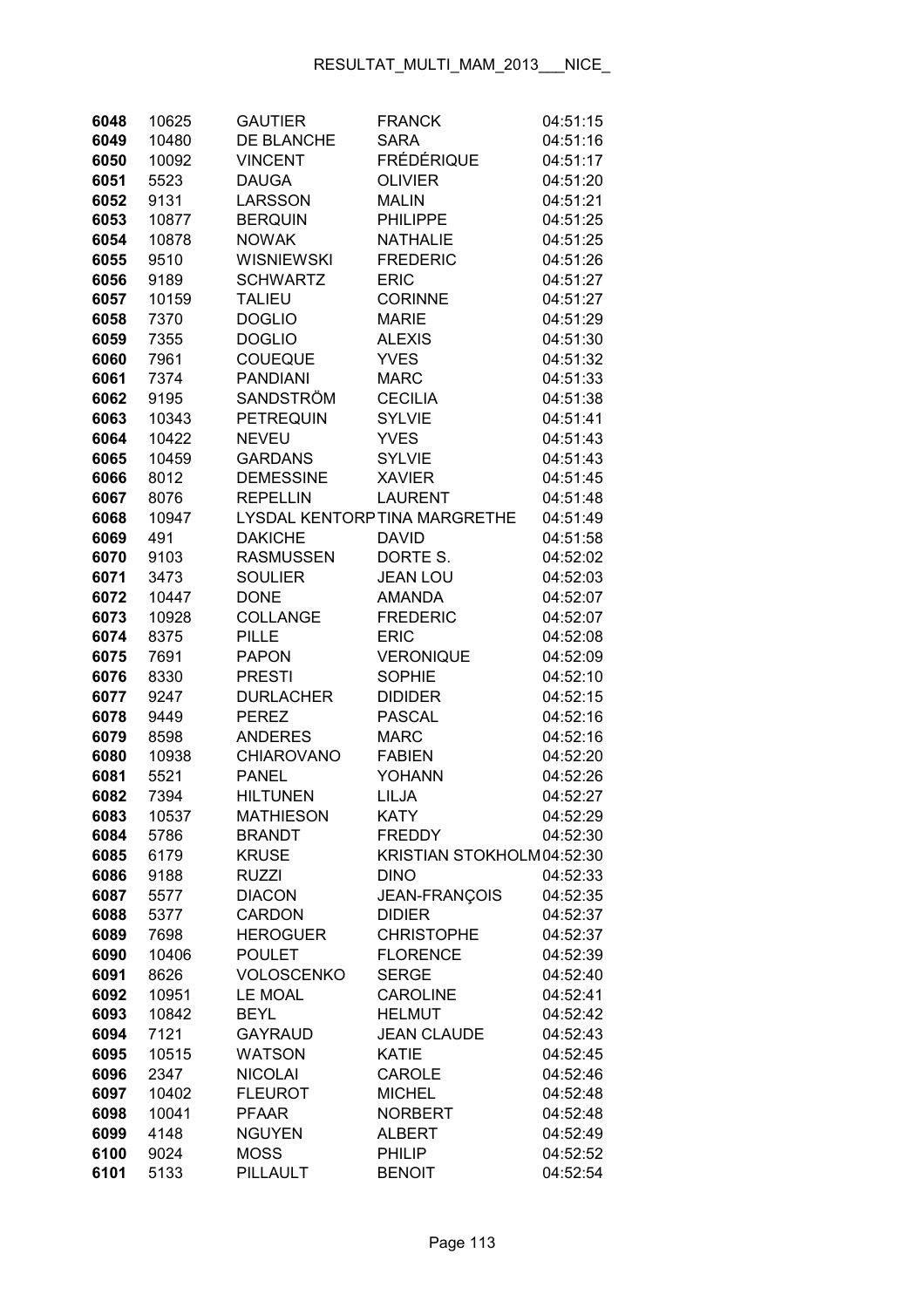| 6048         | 10625         | <b>GAUTIER</b>                  | <b>FRANCK</b>                | 04:51:15             |
|--------------|---------------|---------------------------------|------------------------------|----------------------|
| 6049         | 10480         | <b>DE BLANCHE</b>               | <b>SARA</b>                  | 04:51:16             |
| 6050         | 10092         | <b>VINCENT</b>                  | <b>FRÉDÉRIQUE</b>            | 04:51:17             |
| 6051         | 5523          | <b>DAUGA</b>                    | <b>OLIVIER</b>               | 04:51:20             |
| 6052         | 9131          | <b>LARSSON</b>                  | <b>MALIN</b>                 | 04:51:21             |
| 6053         | 10877         | <b>BERQUIN</b>                  | <b>PHILIPPE</b>              | 04:51:25             |
| 6054         | 10878         | <b>NOWAK</b>                    | <b>NATHALIE</b>              | 04:51:25             |
| 6055         | 9510          | <b>WISNIEWSKI</b>               | <b>FREDERIC</b>              | 04:51:26             |
| 6056         | 9189          | <b>SCHWARTZ</b>                 | <b>ERIC</b>                  | 04:51:27             |
| 6057         | 10159         | <b>TALIEU</b>                   | <b>CORINNE</b>               | 04:51:27             |
| 6058         | 7370          | <b>DOGLIO</b>                   | <b>MARIE</b>                 | 04:51:29             |
| 6059         | 7355          | <b>DOGLIO</b>                   | <b>ALEXIS</b>                | 04:51:30             |
| 6060         | 7961          | <b>COUEQUE</b>                  | <b>YVES</b>                  | 04:51:32             |
| 6061         | 7374          | <b>PANDIANI</b>                 | <b>MARC</b>                  | 04:51:33             |
| 6062         | 9195          | SANDSTRÖM                       | <b>CECILIA</b>               | 04:51:38             |
| 6063         | 10343         | <b>PETREQUIN</b>                | <b>SYLVIE</b>                | 04:51:41             |
| 6064         | 10422         | <b>NEVEU</b>                    | <b>YVES</b>                  | 04:51:43             |
| 6065         | 10459         | <b>GARDANS</b>                  | <b>SYLVIE</b>                | 04:51:43             |
| 6066         | 8012          | <b>DEMESSINE</b>                | <b>XAVIER</b>                | 04:51:45             |
| 6067         | 8076          | <b>REPELLIN</b>                 | <b>LAURENT</b>               | 04:51:48             |
| 6068         | 10947         |                                 | LYSDAL KENTORPTINA MARGRETHE | 04:51:49             |
| 6069         | 491           | <b>DAKICHE</b>                  | <b>DAVID</b>                 | 04:51:58             |
| 6070         | 9103          | <b>RASMUSSEN</b>                | DORTE S.                     | 04:52:02             |
| 6071         | 3473          | <b>SOULIER</b>                  | <b>JEAN LOU</b>              | 04:52:03             |
| 6072         | 10447         | <b>DONE</b>                     | <b>AMANDA</b>                | 04:52:07             |
| 6073         | 10928         | COLLANGE                        | <b>FREDERIC</b>              | 04:52:07             |
| 6074         | 8375          | <b>PILLE</b>                    | <b>ERIC</b>                  | 04:52:08             |
| 6075         | 7691          | <b>PAPON</b>                    | <b>VERONIQUE</b>             | 04:52:09             |
| 6076         | 8330          | <b>PRESTI</b>                   | <b>SOPHIE</b>                | 04:52:10             |
| 6077         | 9247          | <b>DURLACHER</b>                | <b>DIDIDER</b>               | 04:52:15             |
| 6078         | 9449          | <b>PEREZ</b>                    | <b>PASCAL</b>                | 04:52:16             |
| 6079         | 8598          | <b>ANDERES</b>                  | <b>MARC</b>                  | 04:52:16             |
| 6080         | 10938         | <b>CHIAROVANO</b>               | <b>FABIEN</b>                | 04:52:20             |
| 6081         | 5521          | <b>PANEL</b>                    | <b>YOHANN</b>                | 04:52:26             |
| 6082         | 7394          | <b>HILTUNEN</b>                 | LILJA                        | 04:52:27             |
|              |               |                                 | <b>KATY</b>                  |                      |
| 6083<br>6084 | 10537<br>5786 | MATHIESON<br><b>BRANDT</b>      | <b>FREDDY</b>                | 04:52:29<br>04:52:30 |
| 6085         |               | <b>KRUSE</b>                    | KRISTIAN STOKHOLM04:52:30    |                      |
| 6086         | 6179<br>9188  | <b>RUZZI</b>                    | <b>DINO</b>                  | 04:52:33             |
| 6087         | 5577          | <b>DIACON</b>                   | <b>JEAN-FRANÇOIS</b>         | 04:52:35             |
| 6088         |               | <b>CARDON</b>                   | <b>DIDIER</b>                | 04:52:37             |
|              | 5377          | <b>HEROGUER</b>                 | <b>CHRISTOPHE</b>            | 04:52:37             |
| 6089<br>6090 | 7698<br>10406 | <b>POULET</b>                   | <b>FLORENCE</b>              | 04:52:39             |
|              | 8626          | <b>VOLOSCENKO</b>               | <b>SERGE</b>                 | 04:52:40             |
| 6091<br>6092 | 10951         | <b>LE MOAL</b>                  | <b>CAROLINE</b>              |                      |
| 6093         | 10842         | <b>BEYL</b>                     | <b>HELMUT</b>                | 04:52:41<br>04:52:42 |
| 6094         |               | <b>GAYRAUD</b>                  | <b>JEAN CLAUDE</b>           |                      |
|              | 7121          |                                 |                              | 04:52:43             |
| 6095         | 10515         | <b>WATSON</b><br><b>NICOLAI</b> | <b>KATIE</b><br>CAROLE       | 04:52:45             |
| 6096         | 2347          | <b>FLEUROT</b>                  | <b>MICHEL</b>                | 04:52:46             |
| 6097         | 10402         |                                 | <b>NORBERT</b>               | 04:52:48             |
| 6098         | 10041<br>4148 | <b>PFAAR</b><br><b>NGUYEN</b>   | <b>ALBERT</b>                | 04:52:48             |
| 6099         |               |                                 |                              | 04:52:49             |
| 6100         | 9024          | <b>MOSS</b>                     | PHILIP                       | 04:52:52             |
| 6101         | 5133          | PILLAULT                        | <b>BENOIT</b>                | 04:52:54             |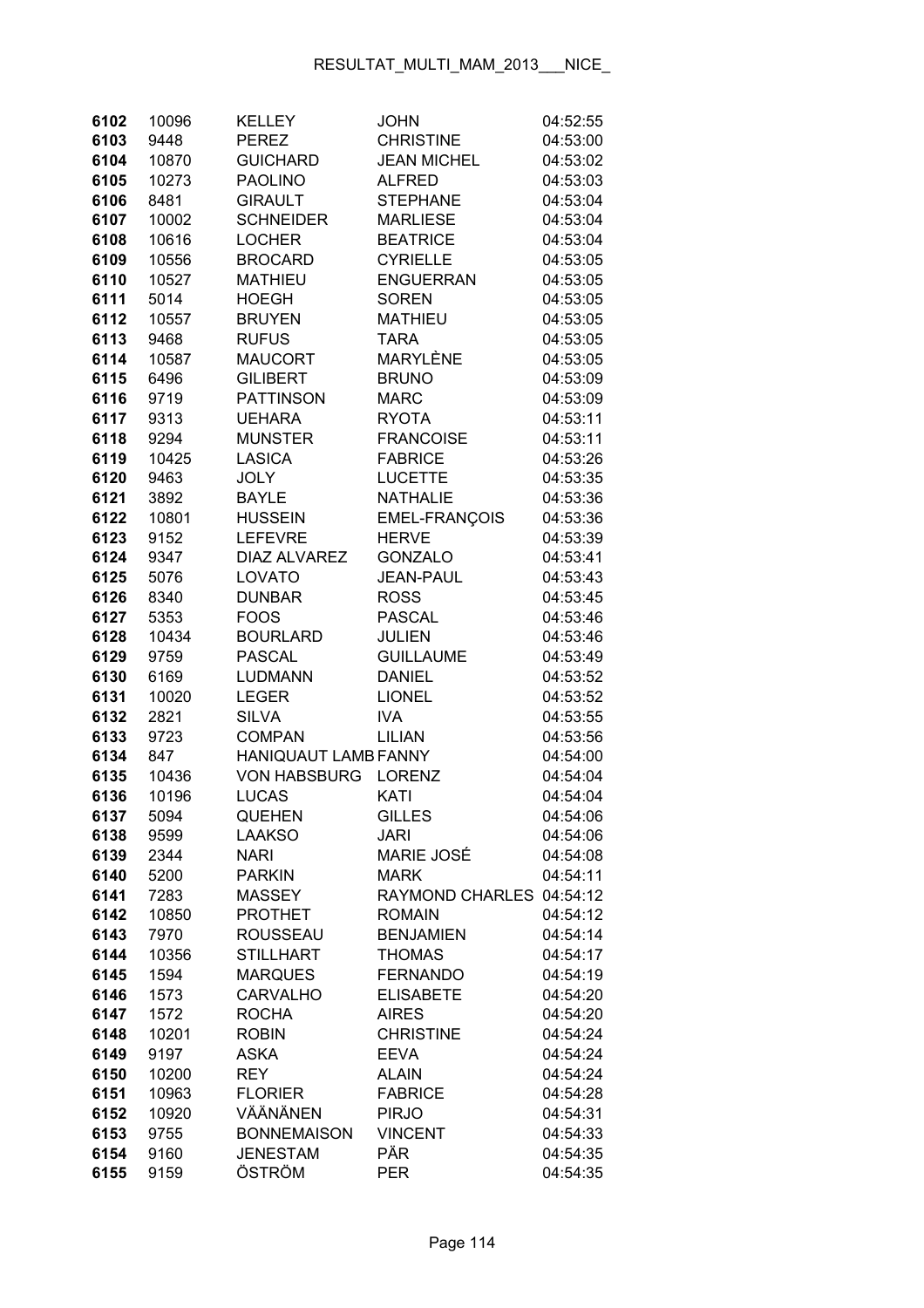| 6102         | 10096         | <b>KELLEY</b>                     | <b>JOHN</b>                               | 04:52:55             |
|--------------|---------------|-----------------------------------|-------------------------------------------|----------------------|
| 6103         | 9448          | <b>PEREZ</b>                      | <b>CHRISTINE</b>                          | 04:53:00             |
| 6104         | 10870         | <b>GUICHARD</b>                   | <b>JEAN MICHEL</b>                        | 04:53:02             |
| 6105         | 10273         | <b>PAOLINO</b>                    | <b>ALFRED</b>                             | 04:53:03             |
| 6106         | 8481          | <b>GIRAULT</b>                    | <b>STEPHANE</b>                           | 04:53:04             |
| 6107         | 10002         | <b>SCHNEIDER</b>                  | <b>MARLIESE</b>                           | 04:53:04             |
| 6108         | 10616         | <b>LOCHER</b>                     | <b>BEATRICE</b>                           | 04:53:04             |
| 6109         | 10556         | <b>BROCARD</b>                    | <b>CYRIELLE</b>                           | 04:53:05             |
| 6110         | 10527         | <b>MATHIEU</b>                    | <b>ENGUERRAN</b>                          | 04:53:05             |
| 6111         | 5014          | <b>HOEGH</b>                      | <b>SOREN</b>                              | 04:53:05             |
| 6112         | 10557         | <b>BRUYEN</b>                     | <b>MATHIEU</b>                            | 04:53:05             |
| 6113         | 9468          | <b>RUFUS</b>                      | <b>TARA</b>                               | 04:53:05             |
| 6114         | 10587         | <b>MAUCORT</b>                    | MARYLÈNE                                  | 04:53:05             |
| 6115         | 6496          | <b>GILIBERT</b>                   | <b>BRUNO</b>                              | 04:53:09             |
| 6116         | 9719          | <b>PATTINSON</b>                  | <b>MARC</b>                               | 04:53:09             |
| 6117         | 9313          | <b>UEHARA</b>                     | <b>RYOTA</b>                              | 04:53:11             |
| 6118         | 9294          | <b>MUNSTER</b>                    | <b>FRANCOISE</b>                          | 04:53:11             |
| 6119         | 10425         | <b>LASICA</b>                     | <b>FABRICE</b>                            | 04:53:26             |
| 6120         | 9463          | <b>JOLY</b>                       | <b>LUCETTE</b>                            | 04:53:35             |
| 6121         | 3892          | <b>BAYLE</b>                      | <b>NATHALIE</b>                           | 04:53:36             |
| 6122         | 10801         | <b>HUSSEIN</b>                    | EMEL-FRANÇOIS                             | 04:53:36             |
| 6123         | 9152          | <b>LEFEVRE</b>                    | <b>HERVE</b>                              | 04:53:39             |
| 6124         | 9347          | <b>DIAZ ALVAREZ</b>               | <b>GONZALO</b>                            | 04:53:41             |
| 6125         | 5076          | LOVATO                            | <b>JEAN-PAUL</b>                          | 04:53:43             |
| 6126         | 8340          | <b>DUNBAR</b>                     | <b>ROSS</b>                               | 04:53:45             |
| 6127         | 5353          | <b>FOOS</b>                       | <b>PASCAL</b>                             | 04:53:46             |
| 6128         | 10434         | <b>BOURLARD</b>                   | <b>JULIEN</b>                             | 04:53:46             |
| 6129         | 9759          | <b>PASCAL</b>                     | <b>GUILLAUME</b>                          | 04:53:49             |
| 6130         | 6169          | LUDMANN                           | <b>DANIEL</b>                             | 04:53:52             |
| 6131         | 10020         | <b>LEGER</b>                      | <b>LIONEL</b>                             | 04:53:52             |
| 6132         | 2821          | <b>SILVA</b>                      | <b>IVA</b>                                | 04:53:55             |
| 6133         | 9723          | <b>COMPAN</b>                     | <b>LILIAN</b>                             | 04:53:56             |
| 6134         | 847           | <b>HANIQUAUT LAMB FANNY</b>       |                                           | 04:54:00             |
| 6135         | 10436         | <b>VON HABSBURG</b>               | <b>LORENZ</b>                             | 04:54:04             |
| 6136         | 10196         | <b>LUCAS</b>                      | KATI                                      | 04:54:04             |
| 6137         | 5094          | <b>QUEHEN</b>                     | <b>GILLES</b>                             | 04:54:06             |
| 6138         | 9599          | <b>LAAKSO</b>                     | <b>JARI</b>                               | 04:54:06             |
| 6139         | 2344          | <b>NARI</b>                       | <b>MARIE JOSÉ</b>                         | 04:54:08             |
| 6140         | 5200          | <b>PARKIN</b>                     | <b>MARK</b>                               | 04:54:11             |
| 6141<br>6142 | 7283          | <b>MASSEY</b>                     | RAYMOND CHARLES 04:54:12<br><b>ROMAIN</b> |                      |
| 6143         | 10850<br>7970 | <b>PROTHET</b><br><b>ROUSSEAU</b> | <b>BENJAMIEN</b>                          | 04:54:12<br>04:54:14 |
| 6144         | 10356         | <b>STILLHART</b>                  | <b>THOMAS</b>                             | 04:54:17             |
| 6145         | 1594          | <b>MARQUES</b>                    | <b>FERNANDO</b>                           | 04:54:19             |
| 6146         | 1573          | <b>CARVALHO</b>                   | <b>ELISABETE</b>                          | 04:54:20             |
| 6147         | 1572          | <b>ROCHA</b>                      | <b>AIRES</b>                              | 04:54:20             |
| 6148         | 10201         | <b>ROBIN</b>                      | <b>CHRISTINE</b>                          | 04:54:24             |
| 6149         | 9197          | <b>ASKA</b>                       | <b>EEVA</b>                               | 04:54:24             |
| 6150         | 10200         | <b>REY</b>                        | <b>ALAIN</b>                              | 04:54:24             |
| 6151         | 10963         | <b>FLORIER</b>                    | <b>FABRICE</b>                            | 04:54:28             |
| 6152         | 10920         | VÄÄNÄNEN                          | <b>PIRJO</b>                              | 04:54:31             |
| 6153         | 9755          | <b>BONNEMAISON</b>                | <b>VINCENT</b>                            | 04:54:33             |
| 6154         | 9160          | <b>JENESTAM</b>                   | PÄR                                       | 04:54:35             |
| 6155         | 9159          | ÖSTRÖM                            | PER                                       | 04:54:35             |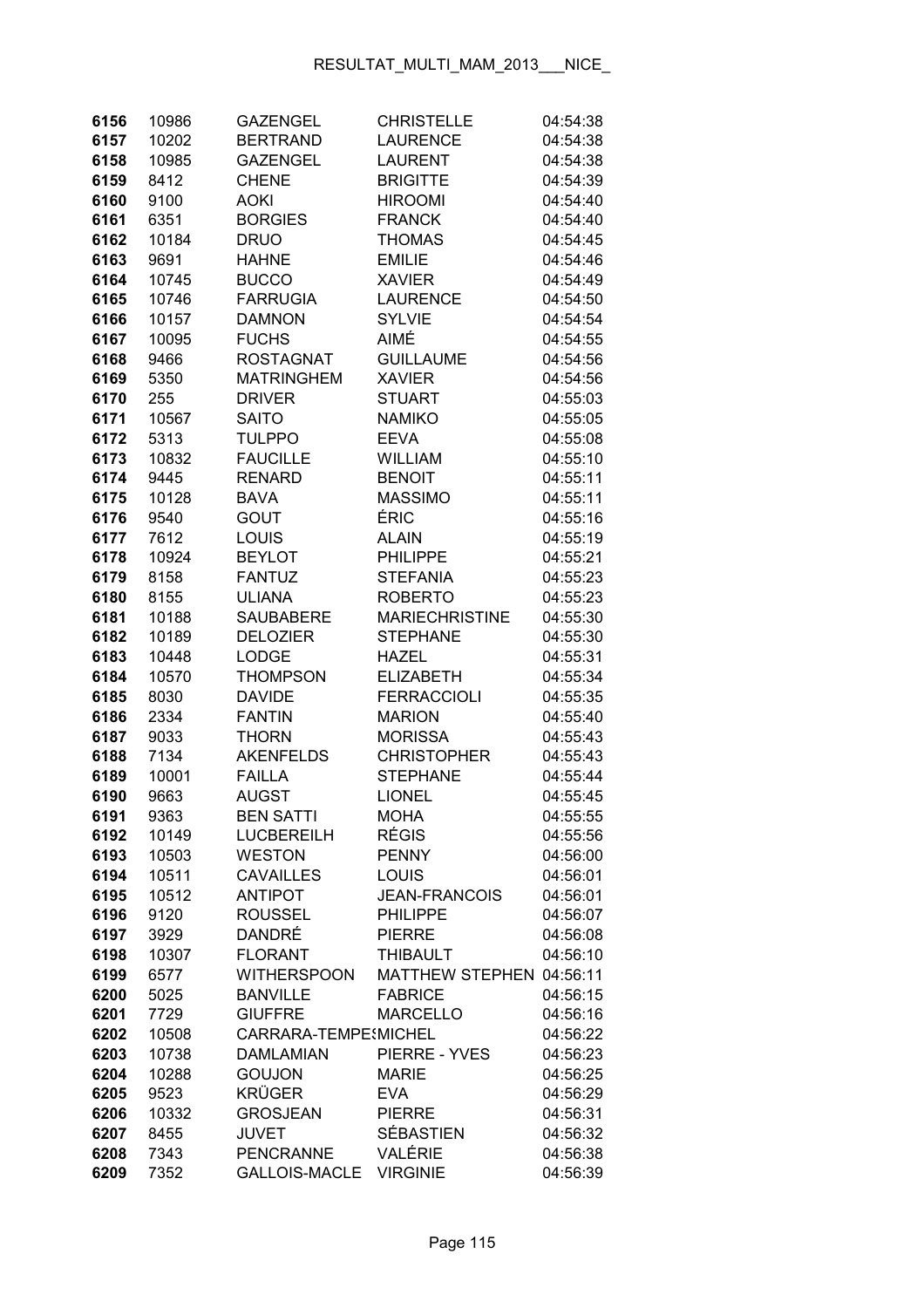| 6156         | 10986        | <b>GAZENGEL</b>                    | <b>CHRISTELLE</b>                       | 04:54:38             |
|--------------|--------------|------------------------------------|-----------------------------------------|----------------------|
| 6157         | 10202        | <b>BERTRAND</b>                    | <b>LAURENCE</b>                         | 04:54:38             |
| 6158         | 10985        | <b>GAZENGEL</b>                    | <b>LAURENT</b>                          | 04:54:38             |
| 6159         | 8412         | <b>CHENE</b>                       | <b>BRIGITTE</b>                         | 04:54:39             |
| 6160         | 9100         | AOKI                               | <b>HIROOMI</b>                          | 04:54:40             |
| 6161         | 6351         | <b>BORGIES</b>                     | <b>FRANCK</b>                           | 04:54:40             |
| 6162         | 10184        | <b>DRUO</b>                        | <b>THOMAS</b>                           | 04:54:45             |
| 6163         | 9691         | <b>HAHNE</b>                       | <b>EMILIE</b>                           | 04:54:46             |
| 6164         | 10745        | <b>BUCCO</b>                       | <b>XAVIER</b>                           | 04:54:49             |
| 6165         | 10746        | <b>FARRUGIA</b>                    | <b>LAURENCE</b>                         | 04:54:50             |
| 6166         | 10157        | <b>DAMNON</b>                      | <b>SYLVIE</b>                           | 04:54:54             |
| 6167         | 10095        | <b>FUCHS</b>                       | AIMÉ                                    | 04:54:55             |
| 6168         | 9466         | <b>ROSTAGNAT</b>                   | <b>GUILLAUME</b>                        | 04:54:56             |
| 6169         | 5350         | <b>MATRINGHEM</b>                  | <b>XAVIER</b>                           | 04:54:56             |
| 6170         | 255          | <b>DRIVER</b>                      | <b>STUART</b>                           | 04:55:03             |
| 6171         | 10567        | <b>SAITO</b>                       | <b>NAMIKO</b>                           | 04:55:05             |
| 6172         | 5313         | <b>TULPPO</b>                      | <b>EEVA</b>                             | 04:55:08             |
| 6173         | 10832        | <b>FAUCILLE</b>                    | <b>WILLIAM</b>                          | 04:55:10             |
| 6174         | 9445         | <b>RENARD</b>                      | <b>BENOIT</b>                           | 04:55:11             |
| 6175         | 10128        | <b>BAVA</b>                        | <b>MASSIMO</b>                          | 04:55:11             |
| 6176         | 9540         | <b>GOUT</b>                        | ÉRIC                                    | 04:55:16             |
| 6177         | 7612         | <b>LOUIS</b>                       | ALAIN                                   | 04:55:19             |
| 6178         | 10924        | <b>BEYLOT</b>                      | <b>PHILIPPE</b>                         | 04:55:21             |
| 6179         | 8158         | <b>FANTUZ</b>                      | <b>STEFANIA</b>                         | 04:55:23             |
| 6180         | 8155         | <b>ULIANA</b>                      | <b>ROBERTO</b>                          | 04:55:23             |
| 6181         | 10188        | <b>SAUBABERE</b>                   | <b>MARIECHRISTINE</b>                   | 04:55:30             |
| 6182         | 10189        | <b>DELOZIER</b>                    | <b>STEPHANE</b>                         | 04:55:30             |
| 6183         | 10448        | <b>LODGE</b>                       | <b>HAZEL</b>                            | 04:55:31             |
| 6184         | 10570        | <b>THOMPSON</b>                    | <b>ELIZABETH</b>                        | 04:55:34             |
| 6185         | 8030         | <b>DAVIDE</b>                      | <b>FERRACCIOLI</b>                      | 04:55:35             |
| 6186         | 2334         | <b>FANTIN</b>                      | <b>MARION</b>                           | 04:55:40             |
| 6187         | 9033         | <b>THORN</b>                       | <b>MORISSA</b>                          | 04:55:43             |
| 6188         | 7134         | <b>AKENFELDS</b>                   | <b>CHRISTOPHER</b>                      | 04:55:43             |
| 6189         | 10001        | <b>FAILLA</b>                      | <b>STEPHANE</b>                         | 04:55:44             |
| 6190         | 9663         | <b>AUGST</b>                       | <b>LIONEL</b>                           | 04:55:45             |
| 6191         | 9363         | <b>BEN SATTI</b>                   | <b>MOHA</b>                             | 04:55:55             |
| 6192         | 10149        | LUCBEREILH                         | <b>RÉGIS</b>                            | 04:55:56             |
| 6193         | 10503        | <b>WESTON</b>                      | <b>PENNY</b>                            | 04:56:00             |
| 6194         | 10511        | <b>CAVAILLES</b><br><b>ANTIPOT</b> | LOUIS                                   | 04:56:01             |
| 6195         | 10512        | <b>ROUSSEL</b>                     | <b>JEAN-FRANCOIS</b><br><b>PHILIPPE</b> | 04:56:01             |
| 6196<br>6197 | 9120<br>3929 | DANDRÉ                             | <b>PIERRE</b>                           | 04:56:07<br>04:56:08 |
| 6198         | 10307        | <b>FLORANT</b>                     | <b>THIBAULT</b>                         | 04:56:10             |
| 6199         | 6577         | <b>WITHERSPOON</b>                 | <b>MATTHEW STEPHEN</b>                  | 04:56:11             |
| 6200         | 5025         | <b>BANVILLE</b>                    | <b>FABRICE</b>                          | 04:56:15             |
| 6201         | 7729         | <b>GIUFFRE</b>                     | <b>MARCELLO</b>                         | 04:56:16             |
| 6202         | 10508        | CARRARA-TEMPE MICHEL               |                                         | 04:56:22             |
| 6203         | 10738        | <b>DAMLAMIAN</b>                   | PIERRE - YVES                           | 04:56:23             |
| 6204         | 10288        | <b>GOUJON</b>                      | <b>MARIE</b>                            | 04:56:25             |
| 6205         | 9523         | <b>KRÜGER</b>                      | <b>EVA</b>                              | 04:56:29             |
| 6206         | 10332        | <b>GROSJEAN</b>                    | <b>PIERRE</b>                           | 04:56:31             |
| 6207         | 8455         | <b>JUVET</b>                       | <b>SÉBASTIEN</b>                        | 04:56:32             |
| 6208         | 7343         | <b>PENCRANNE</b>                   | VALÉRIE                                 | 04:56:38             |
| 6209         | 7352         | GALLOIS-MACLE                      | <b>VIRGINIE</b>                         | 04:56:39             |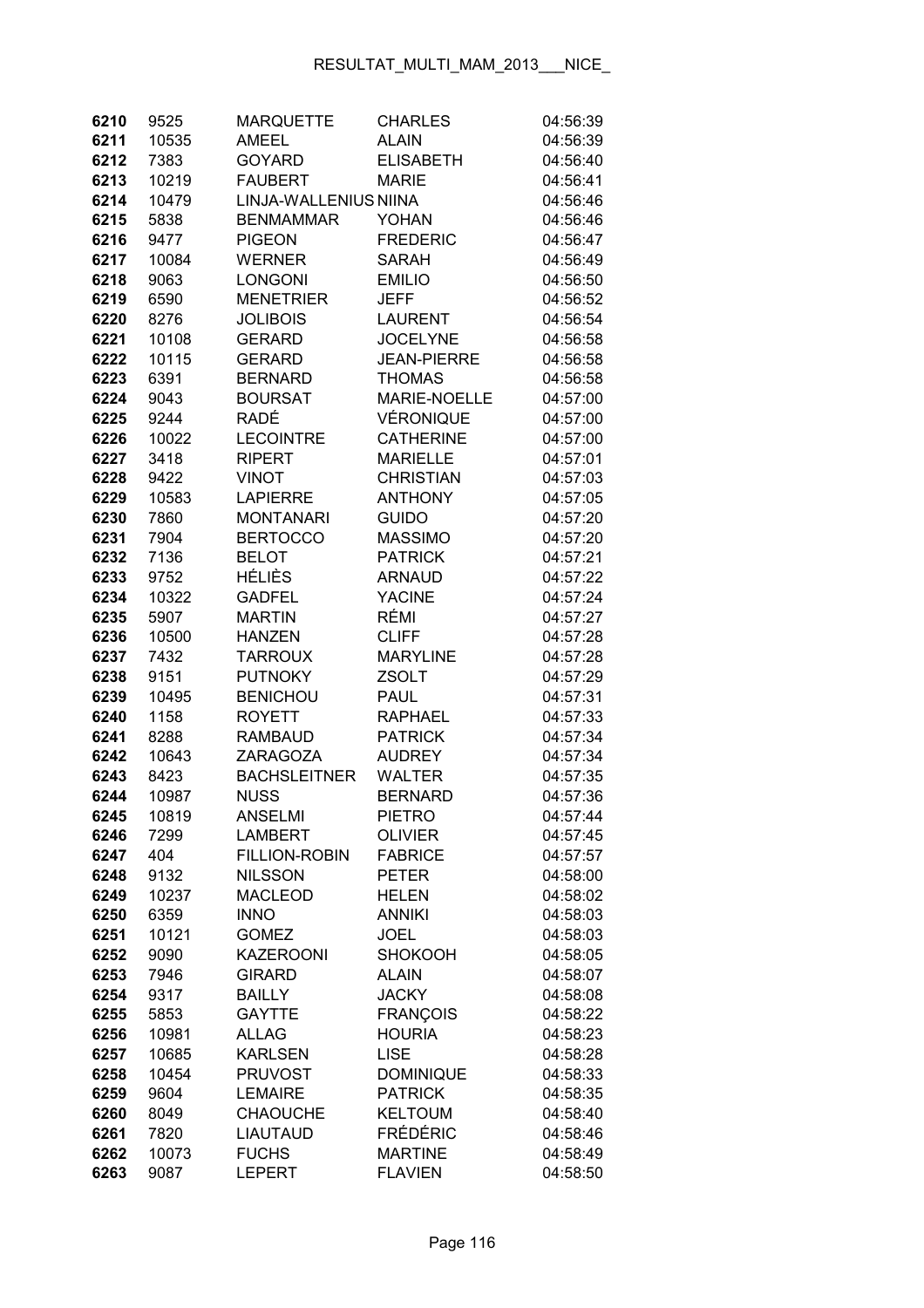| 6210         | 9525          | <b>MARQUETTE</b>                 | <b>CHARLES</b>                     | 04:56:39             |
|--------------|---------------|----------------------------------|------------------------------------|----------------------|
| 6211         | 10535         | <b>AMEEL</b>                     | <b>ALAIN</b>                       | 04:56:39             |
| 6212         | 7383          | <b>GOYARD</b>                    | <b>ELISABETH</b>                   | 04:56:40             |
| 6213         | 10219         | <b>FAUBERT</b>                   | <b>MARIE</b>                       | 04:56:41             |
| 6214         | 10479         | LINJA-WALLENIUS NIINA            |                                    | 04:56:46             |
| 6215         | 5838          | <b>BENMAMMAR</b>                 | YOHAN                              | 04:56:46             |
| 6216         | 9477          | <b>PIGEON</b>                    | <b>FREDERIC</b>                    | 04:56:47             |
| 6217         | 10084         | <b>WERNER</b>                    | <b>SARAH</b>                       | 04:56:49             |
| 6218         | 9063          | <b>LONGONI</b>                   | <b>EMILIO</b>                      | 04:56:50             |
| 6219         | 6590          | <b>MENETRIER</b>                 | <b>JEFF</b>                        | 04:56:52             |
| 6220         | 8276          | <b>JOLIBOIS</b>                  | <b>LAURENT</b>                     | 04:56:54             |
| 6221         | 10108         | <b>GERARD</b>                    | <b>JOCELYNE</b>                    | 04:56:58             |
| 6222         | 10115         | <b>GERARD</b>                    | <b>JEAN-PIERRE</b>                 | 04:56:58             |
| 6223         | 6391          | <b>BERNARD</b>                   | <b>THOMAS</b>                      | 04:56:58             |
| 6224         | 9043          | <b>BOURSAT</b>                   | <b>MARIE-NOELLE</b>                | 04:57:00             |
| 6225         | 9244          | <b>RADÉ</b>                      | VÉRONIQUE                          | 04:57:00             |
| 6226         | 10022         | <b>LECOINTRE</b>                 | <b>CATHERINE</b>                   | 04:57:00             |
| 6227         | 3418          | <b>RIPERT</b>                    | <b>MARIELLE</b>                    | 04:57:01             |
| 6228         | 9422          | <b>VINOT</b>                     | <b>CHRISTIAN</b>                   | 04:57:03             |
| 6229         | 10583         | <b>LAPIERRE</b>                  | <b>ANTHONY</b>                     | 04:57:05             |
| 6230         | 7860          | <b>MONTANARI</b>                 | <b>GUIDO</b>                       | 04:57:20             |
| 6231         | 7904          | <b>BERTOCCO</b>                  | <b>MASSIMO</b>                     | 04:57:20             |
| 6232         | 7136          | <b>BELOT</b>                     | <b>PATRICK</b>                     | 04:57:21             |
| 6233         | 9752          | HÉLIÈS                           | <b>ARNAUD</b>                      | 04:57:22             |
| 6234         | 10322         | <b>GADFEL</b>                    | <b>YACINE</b>                      | 04:57:24             |
| 6235         | 5907          | <b>MARTIN</b>                    | RÉMI                               | 04:57:27             |
| 6236         | 10500         | <b>HANZEN</b>                    | <b>CLIFF</b>                       | 04:57:28             |
| 6237         | 7432          | <b>TARROUX</b>                   | <b>MARYLINE</b>                    | 04:57:28             |
| 6238         | 9151          | <b>PUTNOKY</b>                   | <b>ZSOLT</b>                       | 04:57:29             |
| 6239         | 10495         | <b>BENICHOU</b>                  | PAUL                               | 04:57:31             |
| 6240         | 1158          | <b>ROYETT</b>                    | <b>RAPHAEL</b>                     | 04:57:33             |
| 6241         | 8288          | <b>RAMBAUD</b>                   | <b>PATRICK</b>                     | 04:57:34             |
| 6242         | 10643         | <b>ZARAGOZA</b>                  | <b>AUDREY</b>                      | 04:57:34             |
| 6243         | 8423          | <b>BACHSLEITNER</b>              | <b>WALTER</b>                      | 04:57:35             |
| 6244         | 10987         | <b>NUSS</b>                      | <b>BERNARD</b>                     | 04:57:36             |
| 6245         | 10819         | ANSELMI                          | PIETRO                             | 04:57:44             |
| 6246         | 7299          | <b>LAMBERT</b>                   | <b>OLIVIER</b>                     | 04:57:45             |
| 6247         | 404           | <b>FILLION-ROBIN</b>             | <b>FABRICE</b>                     | 04:57:57             |
| 6248         | 9132          | <b>NILSSON</b>                   | <b>PETER</b>                       | 04:58:00             |
| 6249         | 10237         | <b>MACLEOD</b>                   | <b>HELEN</b>                       | 04:58:02             |
| 6250         | 6359          | <b>INNO</b>                      | <b>ANNIKI</b>                      | 04:58:03             |
| 6251         | 10121         | <b>GOMEZ</b>                     | <b>JOEL</b>                        | 04:58:03             |
| 6252         | 9090          | <b>KAZEROONI</b>                 | <b>SHOKOOH</b>                     | 04:58:05             |
| 6253         | 7946          | <b>GIRARD</b>                    | <b>ALAIN</b>                       | 04:58:07             |
| 6254         | 9317          | <b>BAILLY</b>                    | <b>JACKY</b>                       | 04:58:08             |
| 6255         | 5853          | <b>GAYTTE</b>                    | <b>FRANÇOIS</b>                    | 04:58:22             |
| 6256         | 10981         | <b>ALLAG</b><br><b>KARLSEN</b>   | <b>HOURIA</b><br><b>LISE</b>       | 04:58:23             |
| 6257         | 10685         |                                  |                                    | 04:58:28             |
| 6258<br>6259 | 10454<br>9604 | <b>PRUVOST</b><br><b>LEMAIRE</b> | <b>DOMINIQUE</b><br><b>PATRICK</b> | 04:58:33<br>04:58:35 |
| 6260         | 8049          | <b>CHAOUCHE</b>                  | <b>KELTOUM</b>                     | 04:58:40             |
| 6261         | 7820          | <b>LIAUTAUD</b>                  | FRÉDÉRIC                           | 04:58:46             |
| 6262         | 10073         | <b>FUCHS</b>                     | <b>MARTINE</b>                     | 04:58:49             |
| 6263         | 9087          | <b>LEPERT</b>                    | <b>FLAVIEN</b>                     | 04:58:50             |
|              |               |                                  |                                    |                      |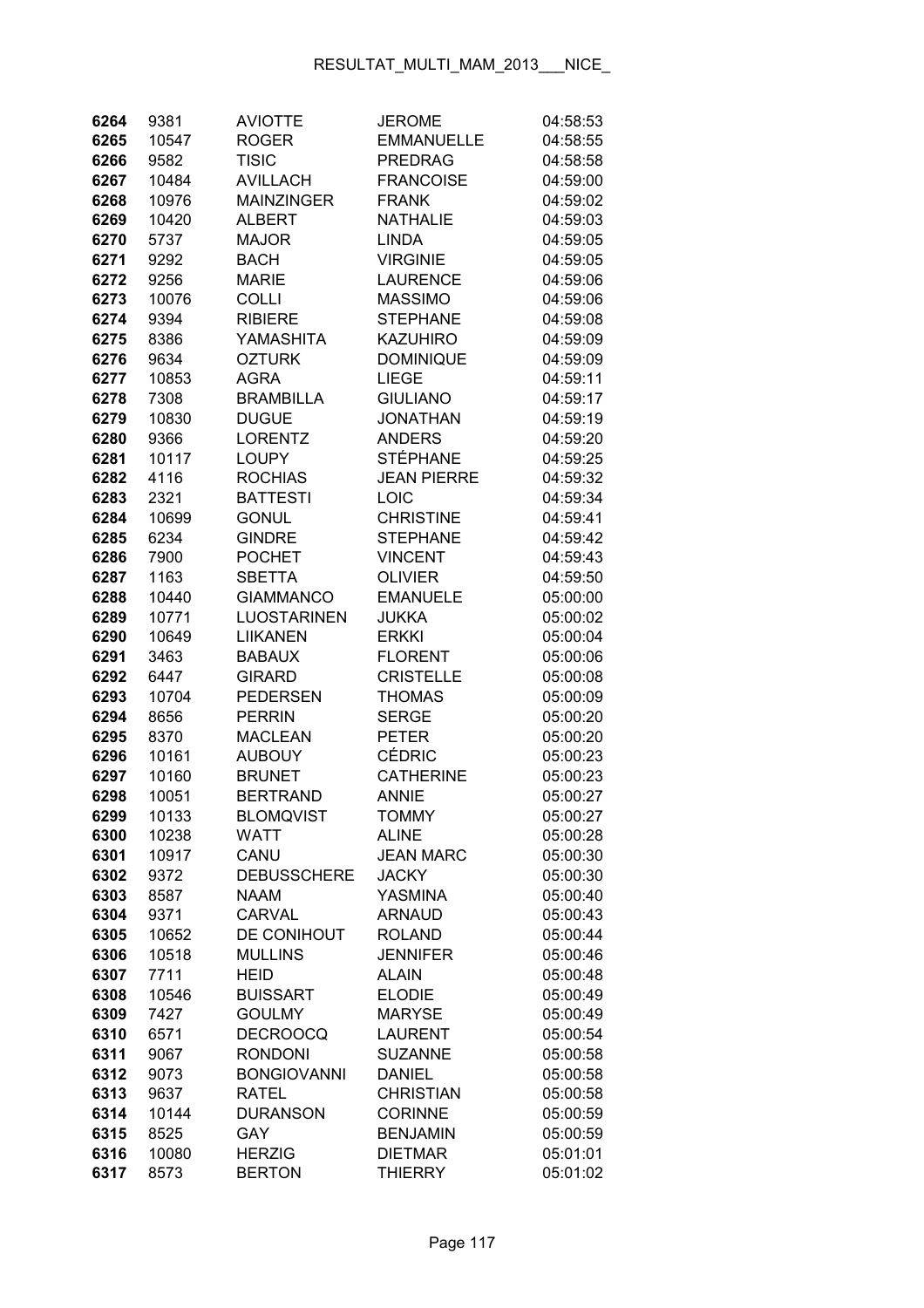| 6264         | 9381          | <b>AVIOTTE</b>                 | <b>JEROME</b>                 | 04:58:53             |
|--------------|---------------|--------------------------------|-------------------------------|----------------------|
| 6265         | 10547         | <b>ROGER</b>                   | <b>EMMANUELLE</b>             | 04:58:55             |
| 6266         | 9582          | <b>TISIC</b>                   | <b>PREDRAG</b>                | 04:58:58             |
| 6267         | 10484         | <b>AVILLACH</b>                | <b>FRANCOISE</b>              | 04:59:00             |
| 6268         | 10976         | <b>MAINZINGER</b>              | <b>FRANK</b>                  | 04:59:02             |
| 6269         | 10420         | <b>ALBERT</b>                  | <b>NATHALIE</b>               | 04:59:03             |
| 6270         | 5737          | <b>MAJOR</b>                   | <b>LINDA</b>                  | 04:59:05             |
| 6271         | 9292          | <b>BACH</b>                    | <b>VIRGINIE</b>               | 04:59:05             |
| 6272         | 9256          | <b>MARIE</b>                   | <b>LAURENCE</b>               | 04:59:06             |
| 6273         | 10076         | <b>COLLI</b>                   | <b>MASSIMO</b>                | 04:59:06             |
| 6274         | 9394          | <b>RIBIERE</b>                 | <b>STEPHANE</b>               | 04:59:08             |
| 6275         | 8386          | YAMASHITA                      | <b>KAZUHIRO</b>               | 04:59:09             |
| 6276         | 9634          | <b>OZTURK</b>                  | <b>DOMINIQUE</b>              | 04:59:09             |
| 6277         | 10853         | <b>AGRA</b>                    | <b>LIEGE</b>                  | 04:59:11             |
| 6278         | 7308          | <b>BRAMBILLA</b>               | <b>GIULIANO</b>               | 04:59:17             |
| 6279         | 10830         | <b>DUGUE</b>                   | <b>JONATHAN</b>               | 04:59:19             |
| 6280         | 9366          | <b>LORENTZ</b>                 | <b>ANDERS</b>                 | 04:59:20             |
| 6281         | 10117         | <b>LOUPY</b>                   | <b>STÉPHANE</b>               | 04:59:25             |
| 6282         | 4116          | <b>ROCHIAS</b>                 | <b>JEAN PIERRE</b>            | 04:59:32             |
| 6283         | 2321          | <b>BATTESTI</b>                | LOIC                          | 04:59:34             |
| 6284         | 10699         | <b>GONUL</b>                   | <b>CHRISTINE</b>              | 04:59:41             |
| 6285         | 6234          | <b>GINDRE</b>                  | <b>STEPHANE</b>               | 04:59:42             |
| 6286         | 7900          | <b>POCHET</b>                  | <b>VINCENT</b>                | 04:59:43             |
| 6287         | 1163          | <b>SBETTA</b>                  | <b>OLIVIER</b>                | 04:59:50             |
| 6288         | 10440         | <b>GIAMMANCO</b>               | <b>EMANUELE</b>               | 05:00:00             |
| 6289         | 10771         | <b>LUOSTARINEN</b>             | <b>JUKKA</b>                  | 05:00:02             |
| 6290         | 10649         | LIIKANEN                       | <b>ERKKI</b>                  | 05:00:04             |
| 6291         | 3463          | <b>BABAUX</b>                  | <b>FLORENT</b>                | 05:00:06             |
| 6292         | 6447          | <b>GIRARD</b>                  | <b>CRISTELLE</b>              | 05:00:08             |
| 6293         | 10704         | <b>PEDERSEN</b>                | <b>THOMAS</b>                 | 05:00:09             |
| 6294         | 8656          | <b>PERRIN</b>                  | <b>SERGE</b>                  | 05:00:20             |
| 6295         | 8370          | <b>MACLEAN</b>                 | <b>PETER</b>                  | 05:00:20             |
| 6296         | 10161         | <b>AUBOUY</b>                  | <b>CÉDRIC</b>                 | 05:00:23             |
| 6297         | 10160         | <b>BRUNET</b>                  | <b>CATHERINE</b>              | 05:00:23             |
| 6298         | 10051         | <b>BERTRAND</b>                | <b>ANNIE</b>                  | 05:00:27             |
| 6299         | 10133         | <b>BLOMQVIST</b>               | <b>TOMMY</b>                  | 05:00:27             |
| 6300         | 10238         | <b>WATT</b>                    | <b>ALINE</b>                  | 05:00:28             |
| 6301         | 10917         | CANU                           | <b>JEAN MARC</b>              | 05:00:30             |
| 6302         | 9372          | <b>DEBUSSCHERE</b>             | <b>JACKY</b>                  | 05:00:30             |
| 6303         | 8587          | <b>NAAM</b>                    | <b>YASMINA</b>                | 05:00:40             |
| 6304         | 9371          | <b>CARVAL</b>                  | <b>ARNAUD</b>                 | 05:00:43             |
| 6305         | 10652         | DE CONIHOUT                    | <b>ROLAND</b>                 | 05:00:44             |
| 6306         | 10518         | <b>MULLINS</b>                 | <b>JENNIFER</b>               | 05:00:46             |
| 6307<br>6308 | 7711<br>10546 | <b>HEID</b><br><b>BUISSART</b> | <b>ALAIN</b><br><b>ELODIE</b> | 05:00:48             |
| 6309         | 7427          | <b>GOULMY</b>                  | <b>MARYSE</b>                 | 05:00:49<br>05:00:49 |
| 6310         | 6571          | <b>DECROOCQ</b>                | <b>LAURENT</b>                | 05:00:54             |
| 6311         | 9067          | <b>RONDONI</b>                 | <b>SUZANNE</b>                | 05:00:58             |
| 6312         | 9073          | <b>BONGIOVANNI</b>             | <b>DANIEL</b>                 | 05:00:58             |
| 6313         | 9637          | <b>RATEL</b>                   | <b>CHRISTIAN</b>              | 05:00:58             |
| 6314         | 10144         | <b>DURANSON</b>                | <b>CORINNE</b>                | 05:00:59             |
| 6315         | 8525          | <b>GAY</b>                     | <b>BENJAMIN</b>               | 05:00:59             |
| 6316         | 10080         | <b>HERZIG</b>                  | <b>DIETMAR</b>                | 05:01:01             |
| 6317         | 8573          | <b>BERTON</b>                  | <b>THIERRY</b>                | 05:01:02             |
|              |               |                                |                               |                      |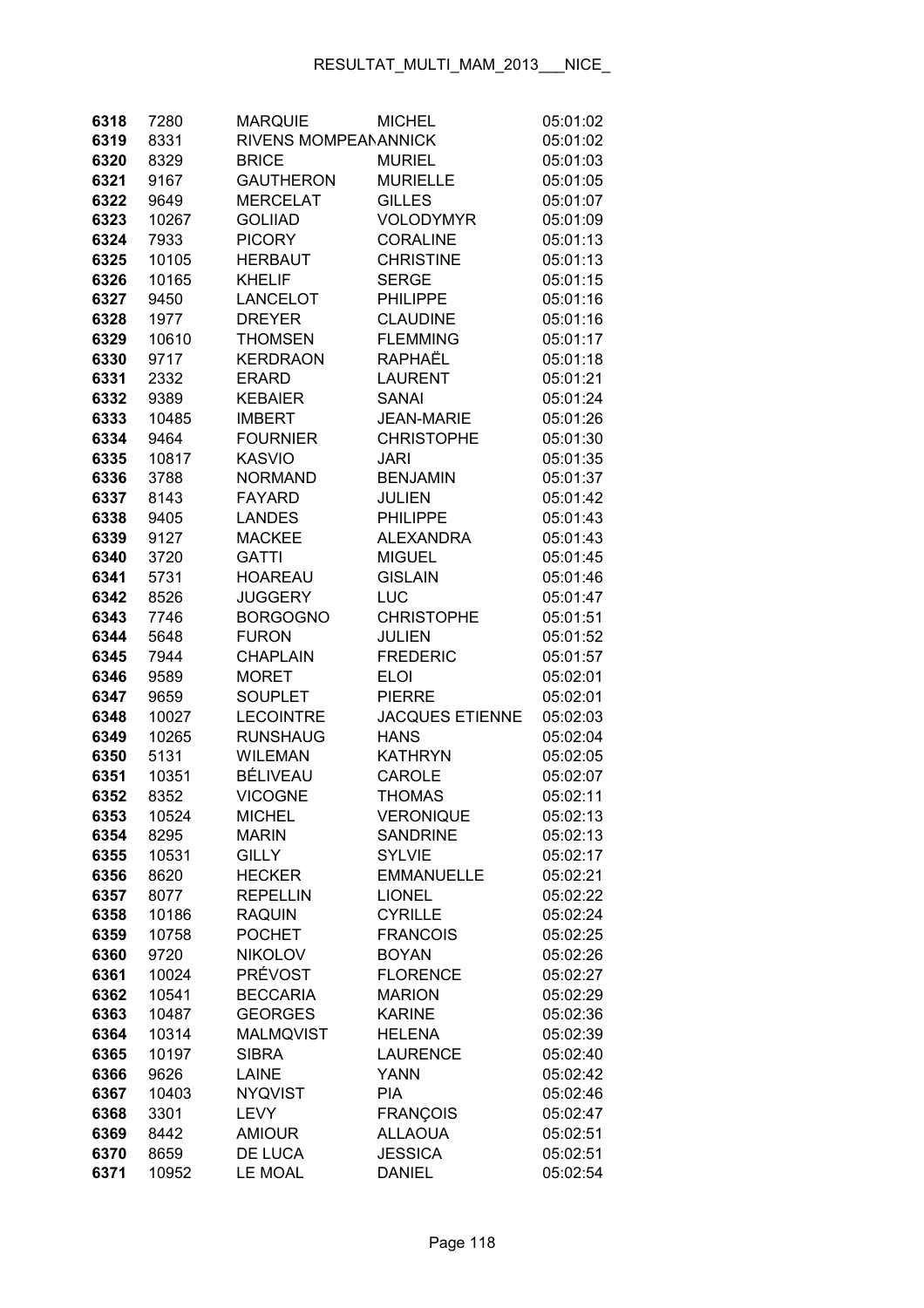| 6318         | 7280         | <b>MARQUIE</b>        | <b>MICHEL</b>                     | 05:01:02             |
|--------------|--------------|-----------------------|-----------------------------------|----------------------|
| 6319         | 8331         | RIVENS MOMPEANANNICK  |                                   | 05:01:02             |
| 6320         | 8329         | <b>BRICE</b>          | <b>MURIEL</b>                     | 05:01:03             |
| 6321         | 9167         | <b>GAUTHERON</b>      | <b>MURIELLE</b>                   | 05:01:05             |
| 6322         | 9649         | <b>MERCELAT</b>       | <b>GILLES</b>                     | 05:01:07             |
| 6323         | 10267        | <b>GOLIIAD</b>        | <b>VOLODYMYR</b>                  | 05:01:09             |
| 6324         | 7933         | <b>PICORY</b>         | <b>CORALINE</b>                   | 05:01:13             |
| 6325         | 10105        | <b>HERBAUT</b>        | <b>CHRISTINE</b>                  | 05:01:13             |
| 6326         | 10165        | <b>KHELIF</b>         | <b>SERGE</b>                      | 05:01:15             |
| 6327         | 9450         | LANCELOT              | <b>PHILIPPE</b>                   | 05:01:16             |
| 6328         | 1977         | <b>DREYER</b>         | <b>CLAUDINE</b>                   | 05:01:16             |
| 6329         | 10610        | <b>THOMSEN</b>        | <b>FLEMMING</b>                   | 05:01:17             |
| 6330         | 9717         | <b>KERDRAON</b>       | RAPHAËL                           | 05:01:18             |
| 6331         | 2332         | <b>ERARD</b>          | <b>LAURENT</b>                    | 05:01:21             |
| 6332         | 9389         | <b>KEBAIER</b>        | <b>SANAI</b>                      | 05:01:24             |
| 6333         | 10485        | <b>IMBERT</b>         | <b>JEAN-MARIE</b>                 | 05:01:26             |
| 6334         | 9464         | <b>FOURNIER</b>       | <b>CHRISTOPHE</b>                 | 05:01:30             |
| 6335         | 10817        | <b>KASVIO</b>         | <b>JARI</b>                       | 05:01:35             |
| 6336         | 3788         | <b>NORMAND</b>        | <b>BENJAMIN</b>                   | 05:01:37             |
| 6337         | 8143         | <b>FAYARD</b>         | <b>JULIEN</b>                     | 05:01:42             |
| 6338         | 9405         | <b>LANDES</b>         | PHILIPPE                          | 05:01:43             |
| 6339         | 9127         | <b>MACKEE</b>         | <b>ALEXANDRA</b>                  | 05:01:43             |
| 6340         | 3720         | <b>GATTI</b>          | <b>MIGUEL</b>                     | 05:01:45             |
| 6341         | 5731         | <b>HOAREAU</b>        | <b>GISLAIN</b>                    | 05:01:46             |
| 6342         | 8526         | <b>JUGGERY</b>        | <b>LUC</b>                        | 05:01:47             |
| 6343         | 7746         | <b>BORGOGNO</b>       | <b>CHRISTOPHE</b>                 | 05:01:51             |
| 6344         | 5648         | <b>FURON</b>          | <b>JULIEN</b>                     | 05:01:52             |
| 6345         | 7944         | <b>CHAPLAIN</b>       | <b>FREDERIC</b>                   | 05:01:57             |
| 6346         | 9589         | <b>MORET</b>          | <b>ELOI</b>                       | 05:02:01             |
| 6347         | 9659         | <b>SOUPLET</b>        | <b>PIERRE</b>                     | 05:02:01             |
| 6348         | 10027        | <b>LECOINTRE</b>      | <b>JACQUES ETIENNE</b>            | 05:02:03             |
| 6349         | 10265        | <b>RUNSHAUG</b>       | <b>HANS</b>                       | 05:02:04             |
| 6350         | 5131         | <b>WILEMAN</b>        | <b>KATHRYN</b>                    | 05:02:05             |
| 6351         | 10351        | BÉLIVEAU              | <b>CAROLE</b>                     | 05:02:07             |
| 6352         | 8352         | <b>VICOGNE</b>        | <b>THOMAS</b>                     | 05:02:11             |
| 6353         | 10524        | MICHEL                | VERONIQUE                         | 05:02:13             |
| 6354         | 8295         | <b>MARIN</b>          | <b>SANDRINE</b>                   | 05:02:13             |
| 6355         | 10531        | <b>GILLY</b>          | <b>SYLVIE</b>                     | 05:02:17             |
| 6356         | 8620         | <b>HECKER</b>         | <b>EMMANUELLE</b>                 | 05:02:21             |
| 6357         | 8077         | <b>REPELLIN</b>       | <b>LIONEL</b>                     | 05:02:22             |
| 6358         | 10186        | <b>RAQUIN</b>         | <b>CYRILLE</b>                    | 05:02:24             |
| 6359         | 10758        | <b>POCHET</b>         | <b>FRANCOIS</b>                   | 05:02:25             |
| 6360         | 9720         | <b>NIKOLOV</b>        | <b>BOYAN</b>                      | 05:02:26             |
| 6361         | 10024        | PRÉVOST               | <b>FLORENCE</b>                   | 05:02:27             |
| 6362         | 10541        | <b>BECCARIA</b>       | <b>MARION</b>                     | 05:02:29             |
| 6363         | 10487        | <b>GEORGES</b>        | <b>KARINE</b>                     | 05:02:36             |
| 6364         | 10314        | <b>MALMQVIST</b>      | <b>HELENA</b>                     | 05:02:39             |
| 6365         | 10197        | <b>SIBRA</b>          | <b>LAURENCE</b>                   | 05:02:40             |
| 6366         | 9626         | <b>LAINE</b>          | <b>YANN</b><br><b>PIA</b>         | 05:02:42             |
| 6367         | 10403        | <b>NYQVIST</b>        |                                   | 05:02:46             |
| 6368<br>6369 | 3301<br>8442 | LEVY<br><b>AMIOUR</b> | <b>FRANÇOIS</b><br><b>ALLAOUA</b> | 05:02:47<br>05:02:51 |
| 6370         | 8659         | DE LUCA               | <b>JESSICA</b>                    | 05:02:51             |
| 6371         | 10952        | LE MOAL               | <b>DANIEL</b>                     | 05:02:54             |
|              |              |                       |                                   |                      |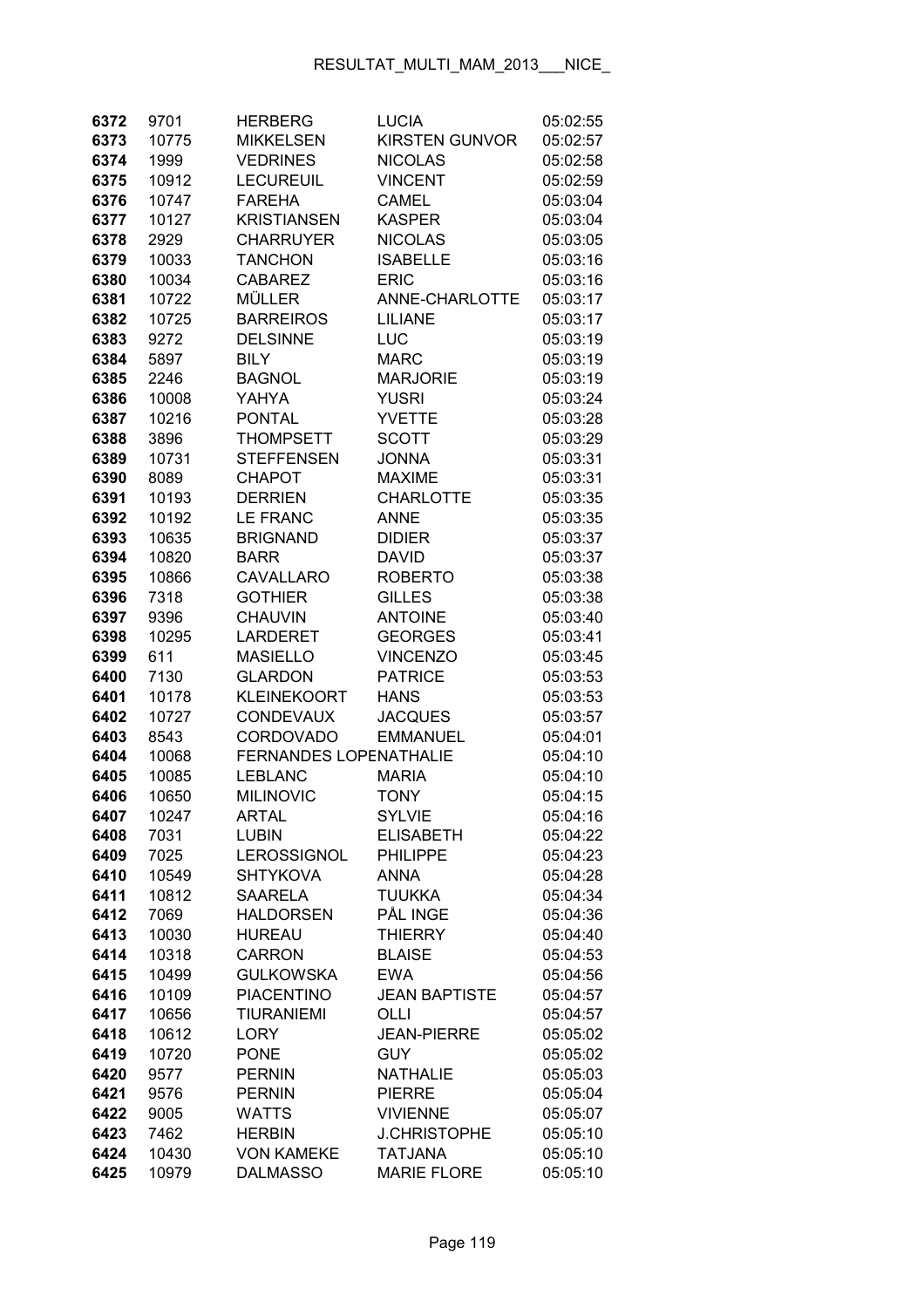| 6372 | 9701  | <b>HERBERG</b>                | <b>LUCIA</b>          | 05:02:55 |
|------|-------|-------------------------------|-----------------------|----------|
| 6373 | 10775 | <b>MIKKELSEN</b>              | <b>KIRSTEN GUNVOR</b> | 05:02:57 |
| 6374 | 1999  | <b>VEDRINES</b>               | <b>NICOLAS</b>        | 05:02:58 |
| 6375 | 10912 | <b>LECUREUIL</b>              | <b>VINCENT</b>        | 05:02:59 |
| 6376 | 10747 | <b>FAREHA</b>                 | <b>CAMEL</b>          | 05:03:04 |
| 6377 | 10127 | <b>KRISTIANSEN</b>            | <b>KASPER</b>         | 05:03:04 |
| 6378 | 2929  | <b>CHARRUYER</b>              | <b>NICOLAS</b>        | 05:03:05 |
| 6379 | 10033 | <b>TANCHON</b>                | <b>ISABELLE</b>       | 05:03:16 |
| 6380 | 10034 | <b>CABAREZ</b>                | <b>ERIC</b>           | 05:03:16 |
| 6381 | 10722 | <b>MÜLLER</b>                 | ANNE-CHARLOTTE        | 05:03:17 |
| 6382 | 10725 | <b>BARREIROS</b>              | <b>LILIANE</b>        | 05:03:17 |
| 6383 | 9272  | <b>DELSINNE</b>               | LUC                   | 05:03:19 |
| 6384 | 5897  | <b>BILY</b>                   | <b>MARC</b>           | 05:03:19 |
| 6385 | 2246  | <b>BAGNOL</b>                 | <b>MARJORIE</b>       | 05:03:19 |
| 6386 | 10008 | YAHYA                         | <b>YUSRI</b>          | 05:03:24 |
| 6387 | 10216 | <b>PONTAL</b>                 | <b>YVETTE</b>         | 05:03:28 |
| 6388 | 3896  | <b>THOMPSETT</b>              | <b>SCOTT</b>          | 05:03:29 |
| 6389 | 10731 | <b>STEFFENSEN</b>             | <b>JONNA</b>          | 05:03:31 |
| 6390 | 8089  | <b>CHAPOT</b>                 | <b>MAXIME</b>         | 05:03:31 |
| 6391 | 10193 | <b>DERRIEN</b>                | <b>CHARLOTTE</b>      | 05:03:35 |
| 6392 | 10192 | <b>LE FRANC</b>               | <b>ANNE</b>           | 05:03:35 |
| 6393 | 10635 | <b>BRIGNAND</b>               | <b>DIDIER</b>         | 05:03:37 |
| 6394 | 10820 | <b>BARR</b>                   | <b>DAVID</b>          | 05:03:37 |
| 6395 | 10866 | CAVALLARO                     | <b>ROBERTO</b>        | 05:03:38 |
| 6396 | 7318  | <b>GOTHIER</b>                | <b>GILLES</b>         | 05:03:38 |
| 6397 | 9396  | <b>CHAUVIN</b>                | <b>ANTOINE</b>        | 05:03:40 |
| 6398 | 10295 | <b>LARDERET</b>               | <b>GEORGES</b>        | 05:03:41 |
| 6399 | 611   | <b>MASIELLO</b>               | <b>VINCENZO</b>       | 05:03:45 |
| 6400 | 7130  | <b>GLARDON</b>                | <b>PATRICE</b>        | 05:03:53 |
| 6401 | 10178 | <b>KLEINEKOORT</b>            | <b>HANS</b>           | 05:03:53 |
| 6402 | 10727 | <b>CONDEVAUX</b>              | <b>JACQUES</b>        | 05:03:57 |
| 6403 | 8543  | <b>CORDOVADO</b>              | <b>EMMANUEL</b>       | 05:04:01 |
| 6404 | 10068 | <b>FERNANDES LOPENATHALIE</b> |                       | 05:04:10 |
| 6405 | 10085 | <b>LEBLANC</b>                | <b>MARIA</b>          | 05:04:10 |
| 6406 | 10650 | <b>MILINOVIC</b>              | <b>TONY</b>           | 05:04:15 |
| 6407 | 10247 | <b>ARTAL</b>                  | <b>SYLVIE</b>         | 05:04:16 |
| 6408 | 7031  | <b>LUBIN</b>                  | <b>ELISABETH</b>      | 05:04:22 |
| 6409 | 7025  | <b>LEROSSIGNOL</b>            | <b>PHILIPPE</b>       | 05:04:23 |
| 6410 | 10549 | <b>SHTYKOVA</b>               | <b>ANNA</b>           | 05:04:28 |
| 6411 | 10812 | <b>SAARELA</b>                | <b>TUUKKA</b>         | 05:04:34 |
| 6412 | 7069  | <b>HALDORSEN</b>              | PÅL INGE              | 05:04:36 |
| 6413 | 10030 | <b>HUREAU</b>                 | <b>THIERRY</b>        | 05:04:40 |
| 6414 | 10318 | <b>CARRON</b>                 | <b>BLAISE</b>         | 05:04:53 |
| 6415 | 10499 | <b>GULKOWSKA</b>              | <b>EWA</b>            | 05:04:56 |
| 6416 | 10109 | <b>PIACENTINO</b>             | <b>JEAN BAPTISTE</b>  | 05:04:57 |
| 6417 | 10656 | <b>TIURANIEMI</b>             | OLLI                  | 05:04:57 |
| 6418 | 10612 | <b>LORY</b>                   | <b>JEAN-PIERRE</b>    | 05:05:02 |
| 6419 | 10720 | <b>PONE</b>                   | <b>GUY</b>            | 05:05:02 |
| 6420 | 9577  | <b>PERNIN</b>                 | <b>NATHALIE</b>       | 05:05:03 |
| 6421 | 9576  | <b>PERNIN</b>                 | <b>PIERRE</b>         | 05:05:04 |
| 6422 | 9005  | <b>WATTS</b>                  | <b>VIVIENNE</b>       | 05:05:07 |
| 6423 | 7462  | <b>HERBIN</b>                 | <b>J.CHRISTOPHE</b>   | 05:05:10 |
| 6424 | 10430 | <b>VON KAMEKE</b>             | <b>TATJANA</b>        | 05:05:10 |
| 6425 | 10979 | <b>DALMASSO</b>               | <b>MARIE FLORE</b>    | 05:05:10 |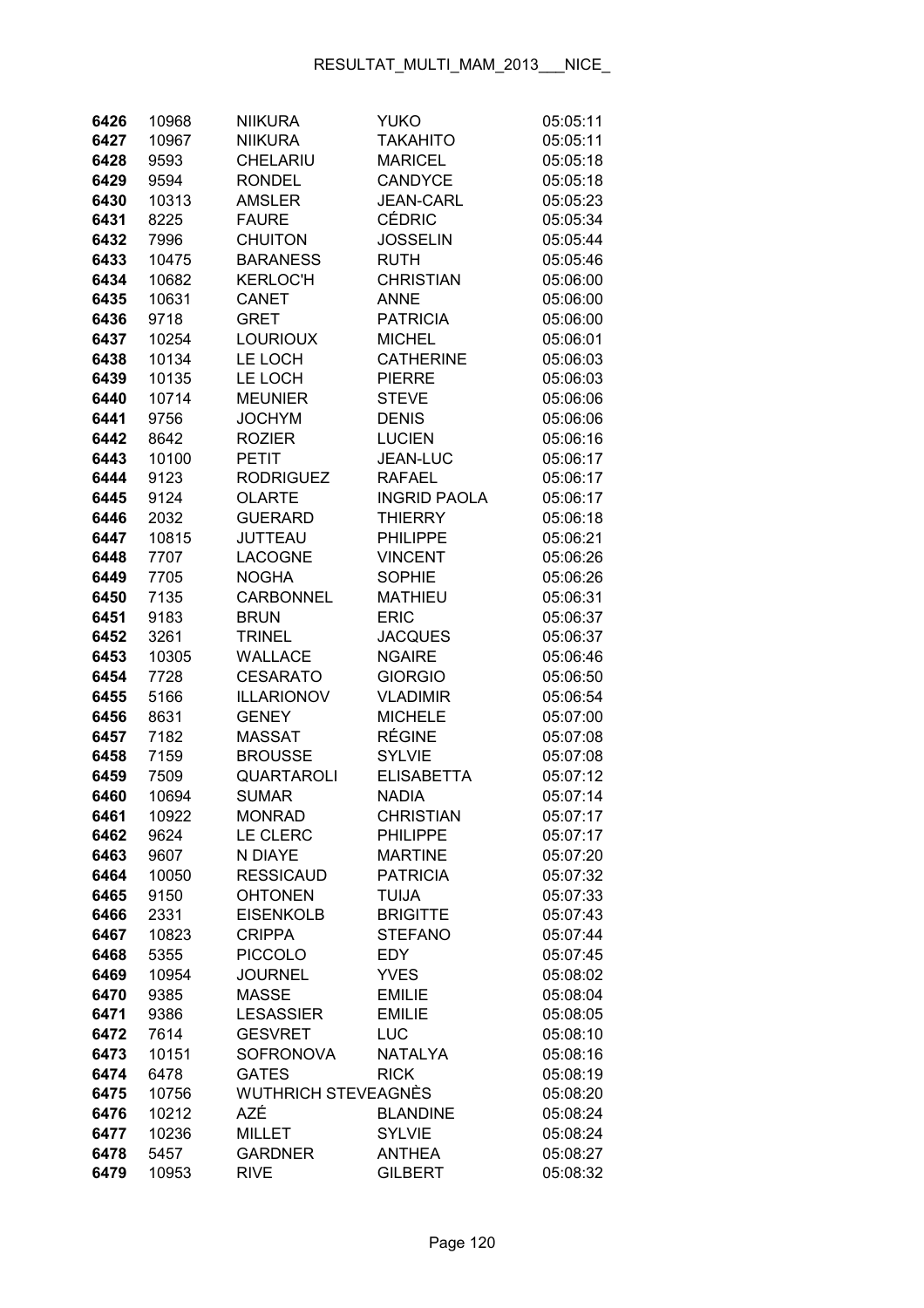| 6426 | 10968 | <b>NIIKURA</b>             | <b>YUKO</b>         | 05:05:11 |
|------|-------|----------------------------|---------------------|----------|
| 6427 | 10967 | <b>NIIKURA</b>             | <b>TAKAHITO</b>     | 05:05:11 |
| 6428 | 9593  | CHELARIU                   | <b>MARICEL</b>      | 05:05:18 |
| 6429 | 9594  | <b>RONDEL</b>              | <b>CANDYCE</b>      | 05:05:18 |
| 6430 | 10313 | AMSLER                     | <b>JEAN-CARL</b>    | 05:05:23 |
| 6431 | 8225  | <b>FAURE</b>               | <b>CÉDRIC</b>       | 05:05:34 |
| 6432 | 7996  | <b>CHUITON</b>             | <b>JOSSELIN</b>     | 05:05:44 |
| 6433 | 10475 | <b>BARANESS</b>            | <b>RUTH</b>         | 05:05:46 |
| 6434 | 10682 | <b>KERLOC'H</b>            | <b>CHRISTIAN</b>    | 05:06:00 |
| 6435 | 10631 | CANET                      | <b>ANNE</b>         | 05:06:00 |
| 6436 | 9718  | <b>GRET</b>                | <b>PATRICIA</b>     | 05:06:00 |
| 6437 | 10254 | <b>LOURIOUX</b>            | <b>MICHEL</b>       | 05:06:01 |
| 6438 | 10134 | LE LOCH                    | <b>CATHERINE</b>    | 05:06:03 |
| 6439 | 10135 | LE LOCH                    | <b>PIERRE</b>       | 05:06:03 |
| 6440 | 10714 | <b>MEUNIER</b>             | <b>STEVE</b>        | 05:06:06 |
| 6441 | 9756  | <b>JOCHYM</b>              | <b>DENIS</b>        | 05:06:06 |
| 6442 | 8642  | <b>ROZIER</b>              | <b>LUCIEN</b>       | 05:06:16 |
| 6443 | 10100 | <b>PETIT</b>               | JEAN-LUC            | 05:06:17 |
| 6444 | 9123  | <b>RODRIGUEZ</b>           | <b>RAFAEL</b>       | 05:06:17 |
| 6445 | 9124  | <b>OLARTE</b>              | <b>INGRID PAOLA</b> | 05:06:17 |
| 6446 | 2032  | <b>GUERARD</b>             | <b>THIERRY</b>      | 05:06:18 |
| 6447 | 10815 | <b>JUTTEAU</b>             | <b>PHILIPPE</b>     | 05:06:21 |
| 6448 | 7707  | <b>LACOGNE</b>             | <b>VINCENT</b>      | 05:06:26 |
| 6449 | 7705  | <b>NOGHA</b>               | <b>SOPHIE</b>       | 05:06:26 |
| 6450 | 7135  | <b>CARBONNEL</b>           | <b>MATHIEU</b>      | 05:06:31 |
| 6451 | 9183  | <b>BRUN</b>                | <b>ERIC</b>         | 05:06:37 |
| 6452 | 3261  | <b>TRINEL</b>              | <b>JACQUES</b>      | 05:06:37 |
| 6453 | 10305 | WALLACE                    | <b>NGAIRE</b>       | 05:06:46 |
| 6454 | 7728  | <b>CESARATO</b>            | <b>GIORGIO</b>      | 05:06:50 |
| 6455 | 5166  | <b>ILLARIONOV</b>          | <b>VLADIMIR</b>     | 05:06:54 |
| 6456 | 8631  | <b>GENEY</b>               | <b>MICHELE</b>      | 05:07:00 |
| 6457 | 7182  | <b>MASSAT</b>              | <b>RÉGINE</b>       | 05:07:08 |
| 6458 | 7159  | <b>BROUSSE</b>             | <b>SYLVIE</b>       | 05:07:08 |
| 6459 | 7509  | <b>QUARTAROLI</b>          | <b>ELISABETTA</b>   | 05:07:12 |
| 6460 | 10694 | SUMAR                      | <b>NADIA</b>        | 05:07:14 |
| 6461 | 10922 | MONRAD                     | <b>CHRISTIAN</b>    | 05:07:17 |
| 6462 | 9624  | LE CLERC                   | <b>PHILIPPE</b>     | 05:07:17 |
| 6463 | 9607  | N DIAYE                    | <b>MARTINE</b>      | 05:07:20 |
| 6464 | 10050 | <b>RESSICAUD</b>           | <b>PATRICIA</b>     | 05:07:32 |
| 6465 | 9150  | <b>OHTONEN</b>             | <b>TUIJA</b>        | 05:07:33 |
| 6466 | 2331  | <b>EISENKOLB</b>           | <b>BRIGITTE</b>     | 05:07:43 |
| 6467 | 10823 | <b>CRIPPA</b>              | <b>STEFANO</b>      | 05:07:44 |
| 6468 | 5355  | <b>PICCOLO</b>             | EDY.                | 05:07:45 |
| 6469 | 10954 | <b>JOURNEL</b>             | <b>YVES</b>         | 05:08:02 |
| 6470 | 9385  | <b>MASSE</b>               | <b>EMILIE</b>       | 05:08:04 |
| 6471 | 9386  | <b>LESASSIER</b>           | <b>EMILIE</b>       | 05:08:05 |
| 6472 | 7614  | <b>GESVRET</b>             | LUC                 | 05:08:10 |
| 6473 | 10151 | <b>SOFRONOVA</b>           | <b>NATALYA</b>      | 05:08:16 |
| 6474 | 6478  | <b>GATES</b>               | <b>RICK</b>         | 05:08:19 |
| 6475 | 10756 | <b>WUTHRICH STEVEAGNÈS</b> |                     | 05:08:20 |
| 6476 | 10212 | AZÉ                        | <b>BLANDINE</b>     | 05:08:24 |
| 6477 | 10236 | <b>MILLET</b>              | <b>SYLVIE</b>       | 05:08:24 |
| 6478 | 5457  | <b>GARDNER</b>             | <b>ANTHEA</b>       | 05:08:27 |
| 6479 | 10953 | <b>RIVE</b>                | <b>GILBERT</b>      | 05:08:32 |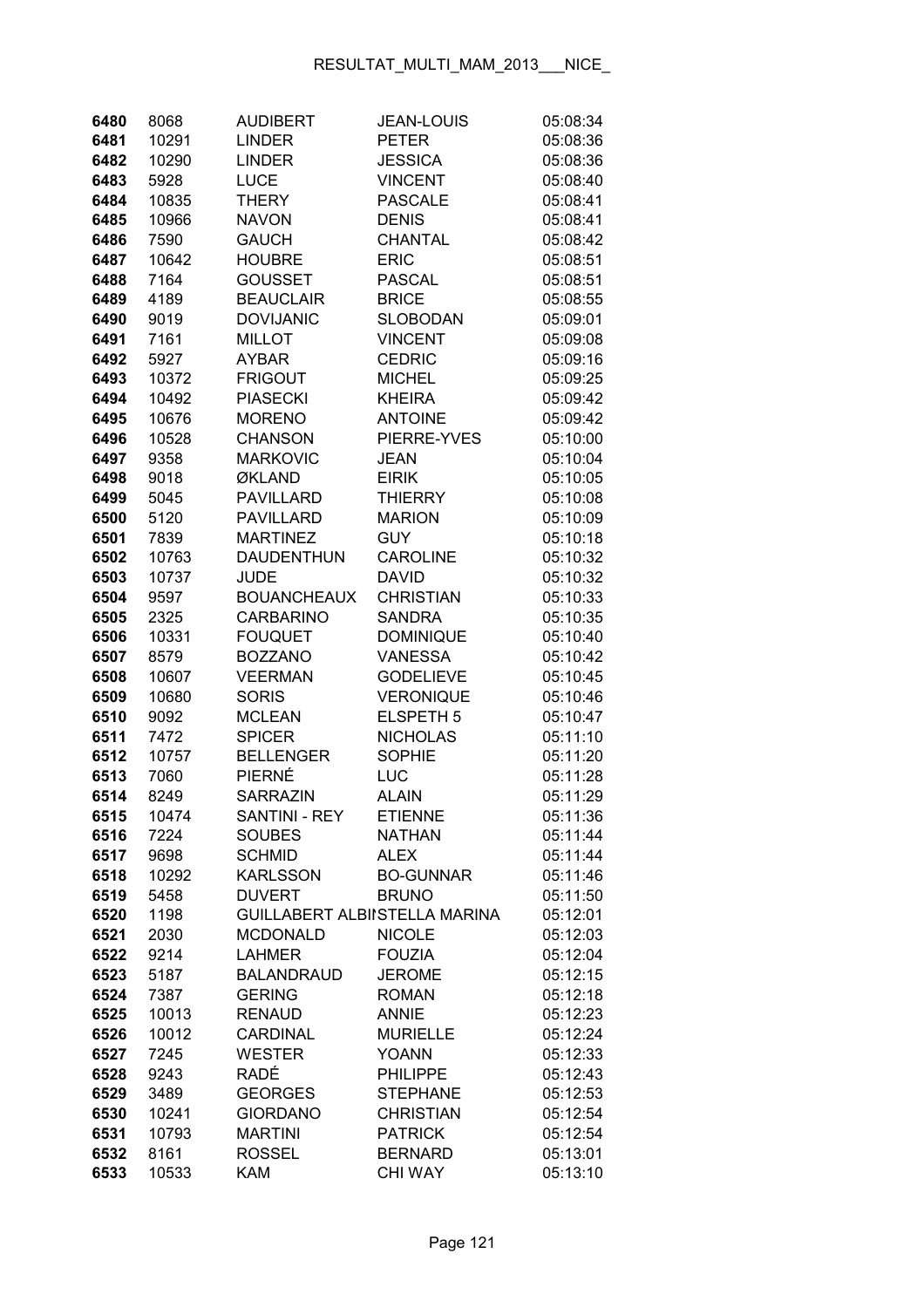| 6480         | 8068         | <b>AUDIBERT</b>                      | <b>JEAN-LOUIS</b>               | 05:08:34             |
|--------------|--------------|--------------------------------------|---------------------------------|----------------------|
| 6481         | 10291        | <b>LINDER</b>                        | <b>PETER</b>                    | 05:08:36             |
| 6482         | 10290        | <b>LINDER</b>                        | <b>JESSICA</b>                  | 05:08:36             |
| 6483         | 5928         | <b>LUCE</b>                          | <b>VINCENT</b>                  | 05:08:40             |
| 6484         | 10835        | <b>THERY</b>                         | <b>PASCALE</b>                  | 05:08:41             |
| 6485         | 10966        | <b>NAVON</b>                         | <b>DENIS</b>                    | 05:08:41             |
| 6486         | 7590         | <b>GAUCH</b>                         | CHANTAL                         | 05:08:42             |
| 6487         | 10642        | <b>HOUBRE</b>                        | <b>ERIC</b>                     | 05:08:51             |
| 6488         | 7164         | <b>GOUSSET</b>                       | <b>PASCAL</b>                   | 05:08:51             |
| 6489         | 4189         | <b>BEAUCLAIR</b>                     | <b>BRICE</b>                    | 05:08:55             |
| 6490         | 9019         | <b>DOVIJANIC</b>                     | <b>SLOBODAN</b>                 | 05:09:01             |
| 6491         | 7161         | <b>MILLOT</b>                        | <b>VINCENT</b>                  | 05:09:08             |
| 6492         | 5927         | <b>AYBAR</b>                         | <b>CEDRIC</b>                   | 05:09:16             |
| 6493         | 10372        | <b>FRIGOUT</b>                       | <b>MICHEL</b>                   | 05:09:25             |
| 6494         | 10492        | <b>PIASECKI</b>                      | <b>KHEIRA</b>                   | 05:09:42             |
| 6495         | 10676        | <b>MORENO</b>                        | <b>ANTOINE</b>                  | 05:09:42             |
| 6496         | 10528        | <b>CHANSON</b>                       | PIERRE-YVES                     | 05:10:00             |
| 6497         | 9358         | <b>MARKOVIC</b>                      | <b>JEAN</b>                     | 05:10:04             |
| 6498         | 9018         | ØKLAND                               | <b>EIRIK</b>                    | 05:10:05             |
| 6499         | 5045         | <b>PAVILLARD</b>                     | <b>THIERRY</b>                  | 05:10:08             |
| 6500         | 5120         | <b>PAVILLARD</b>                     | <b>MARION</b>                   | 05:10:09             |
| 6501         | 7839         | <b>MARTINEZ</b>                      | <b>GUY</b>                      | 05:10:18             |
| 6502         | 10763        | <b>DAUDENTHUN</b>                    | <b>CAROLINE</b>                 | 05:10:32             |
| 6503         | 10737        | <b>JUDE</b>                          | <b>DAVID</b>                    | 05:10:32             |
| 6504         | 9597         | <b>BOUANCHEAUX</b>                   | <b>CHRISTIAN</b>                | 05:10:33             |
| 6505         | 2325         | <b>CARBARINO</b>                     | <b>SANDRA</b>                   | 05:10:35             |
| 6506         | 10331        | <b>FOUQUET</b>                       | <b>DOMINIQUE</b>                | 05:10:40             |
| 6507         | 8579         | <b>BOZZANO</b>                       | <b>VANESSA</b>                  | 05:10:42             |
| 6508         | 10607        | <b>VEERMAN</b>                       | <b>GODELIEVE</b>                | 05:10:45             |
| 6509         | 10680        | <b>SORIS</b>                         | <b>VERONIQUE</b>                | 05:10:46             |
| 6510         | 9092         | <b>MCLEAN</b>                        | <b>ELSPETH 5</b>                | 05:10:47             |
| 6511         | 7472         | <b>SPICER</b>                        | <b>NICHOLAS</b>                 | 05:11:10             |
| 6512         | 10757        | <b>BELLENGER</b>                     | <b>SOPHIE</b>                   | 05:11:20             |
| 6513         | 7060         | PIERNÉ                               | LUC                             | 05:11:28             |
| 6514         | 8249         | <b>SARRAZIN</b>                      | <b>ALAIN</b>                    | 05:11:29             |
| 6515         | 10474        | <b>SANTINI - REY</b>                 | <b>ETIENNE</b>                  | 05:11:36             |
| 6516         | 7224         | <b>SOUBES</b>                        | <b>NATHAN</b>                   | 05:11:44             |
| 6517         | 9698         | <b>SCHMID</b>                        | <b>ALEX</b>                     | 05:11:44             |
| 6518         | 10292        | <b>KARLSSON</b>                      | <b>BO-GUNNAR</b>                | 05:11:46             |
| 6519         | 5458         | <b>DUVERT</b>                        | <b>BRUNO</b>                    | 05:11:50             |
| 6520         | 1198         | <b>GUILLABERT ALBIISTELLA MARINA</b> |                                 | 05:12:01             |
| 6521         | 2030         | <b>MCDONALD</b>                      | <b>NICOLE</b>                   | 05:12:03             |
| 6522         | 9214         | <b>LAHMER</b>                        | <b>FOUZIA</b>                   | 05:12:04             |
| 6523         | 5187         | <b>BALANDRAUD</b>                    | <b>JEROME</b>                   | 05:12:15             |
| 6524         | 7387         | <b>GERING</b>                        | <b>ROMAN</b>                    | 05:12:18             |
| 6525         | 10013        | <b>RENAUD</b>                        | <b>ANNIE</b>                    | 05:12:23             |
| 6526         | 10012        | <b>CARDINAL</b><br><b>WESTER</b>     | <b>MURIELLE</b><br><b>YOANN</b> | 05:12:24             |
| 6527         | 7245         | <b>RADÉ</b>                          | <b>PHILIPPE</b>                 | 05:12:33             |
| 6528<br>6529 | 9243<br>3489 | <b>GEORGES</b>                       | <b>STEPHANE</b>                 | 05:12:43<br>05:12:53 |
| 6530         | 10241        | <b>GIORDANO</b>                      | <b>CHRISTIAN</b>                | 05:12:54             |
| 6531         | 10793        | <b>MARTINI</b>                       | <b>PATRICK</b>                  | 05:12:54             |
| 6532         | 8161         | <b>ROSSEL</b>                        | <b>BERNARD</b>                  | 05:13:01             |
| 6533         | 10533        | <b>KAM</b>                           | <b>CHI WAY</b>                  | 05:13:10             |
|              |              |                                      |                                 |                      |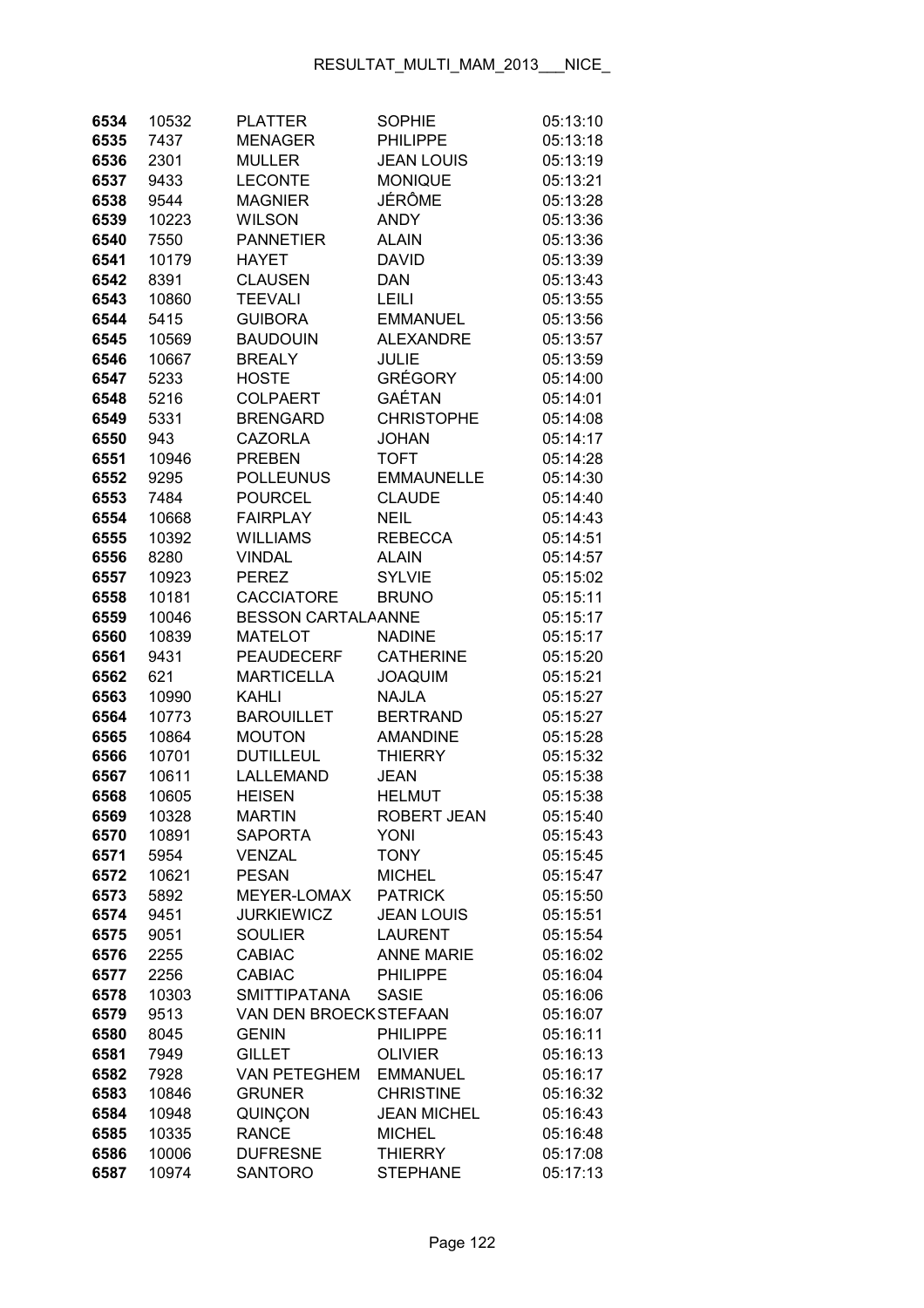| 6534 | 10532 | <b>PLATTER</b>            | <b>SOPHIE</b>      | 05:13:10 |
|------|-------|---------------------------|--------------------|----------|
| 6535 | 7437  | <b>MENAGER</b>            | <b>PHILIPPE</b>    | 05:13:18 |
| 6536 | 2301  | <b>MULLER</b>             | <b>JEAN LOUIS</b>  | 05:13:19 |
| 6537 | 9433  | <b>LECONTE</b>            | <b>MONIQUE</b>     | 05:13:21 |
| 6538 | 9544  | <b>MAGNIER</b>            | JÉRÔME             | 05:13:28 |
| 6539 | 10223 | <b>WILSON</b>             | <b>ANDY</b>        | 05:13:36 |
| 6540 | 7550  | <b>PANNETIER</b>          | <b>ALAIN</b>       | 05:13:36 |
| 6541 | 10179 | <b>HAYET</b>              | <b>DAVID</b>       | 05:13:39 |
| 6542 | 8391  | <b>CLAUSEN</b>            | <b>DAN</b>         | 05:13:43 |
| 6543 | 10860 | <b>TEEVALI</b>            | <b>LEILI</b>       | 05:13:55 |
| 6544 | 5415  | <b>GUIBORA</b>            | <b>EMMANUEL</b>    | 05:13:56 |
| 6545 | 10569 | <b>BAUDOUIN</b>           | <b>ALEXANDRE</b>   | 05:13:57 |
| 6546 | 10667 | <b>BREALY</b>             | <b>JULIE</b>       | 05:13:59 |
| 6547 | 5233  | <b>HOSTE</b>              | <b>GRÉGORY</b>     | 05:14:00 |
| 6548 | 5216  | <b>COLPAERT</b>           | GAÉTAN             | 05:14:01 |
| 6549 | 5331  | <b>BRENGARD</b>           | <b>CHRISTOPHE</b>  | 05:14:08 |
| 6550 | 943   | <b>CAZORLA</b>            | <b>JOHAN</b>       | 05:14:17 |
| 6551 | 10946 | <b>PREBEN</b>             | <b>TOFT</b>        | 05:14:28 |
| 6552 | 9295  | <b>POLLEUNUS</b>          | <b>EMMAUNELLE</b>  | 05:14:30 |
| 6553 | 7484  | <b>POURCEL</b>            | <b>CLAUDE</b>      | 05:14:40 |
| 6554 | 10668 | <b>FAIRPLAY</b>           | <b>NEIL</b>        | 05:14:43 |
| 6555 | 10392 | <b>WILLIAMS</b>           | <b>REBECCA</b>     | 05:14:51 |
| 6556 | 8280  | <b>VINDAL</b>             | <b>ALAIN</b>       | 05:14:57 |
| 6557 | 10923 | <b>PEREZ</b>              | <b>SYLVIE</b>      | 05:15:02 |
| 6558 | 10181 | <b>CACCIATORE</b>         | <b>BRUNO</b>       | 05:15:11 |
| 6559 | 10046 | <b>BESSON CARTALAANNE</b> |                    | 05:15:17 |
| 6560 |       | <b>MATELOT</b>            | <b>NADINE</b>      | 05:15:17 |
|      | 10839 |                           |                    |          |
| 6561 | 9431  | <b>PEAUDECERF</b>         | <b>CATHERINE</b>   | 05:15:20 |
| 6562 | 621   | <b>MARTICELLA</b>         | <b>JOAQUIM</b>     | 05:15:21 |
| 6563 | 10990 | <b>KAHLI</b>              | <b>NAJLA</b>       | 05:15:27 |
| 6564 | 10773 | <b>BAROUILLET</b>         | <b>BERTRAND</b>    | 05:15:27 |
| 6565 | 10864 | <b>MOUTON</b>             | <b>AMANDINE</b>    | 05:15:28 |
| 6566 | 10701 | <b>DUTILLEUL</b>          | <b>THIERRY</b>     | 05:15:32 |
| 6567 | 10611 | <b>LALLEMAND</b>          | <b>JEAN</b>        | 05:15:38 |
| 6568 | 10605 | <b>HEISEN</b>             | <b>HELMUT</b>      | 05:15:38 |
| 6569 | 10328 | <b>MARTIN</b>             | ROBERT JEAN        | 05:15:40 |
| 6570 | 10891 | <b>SAPORTA</b>            | <b>YONI</b>        | 05:15:43 |
| 6571 | 5954  | <b>VENZAL</b>             | <b>TONY</b>        | 05:15:45 |
| 6572 | 10621 | <b>PESAN</b>              | <b>MICHEL</b>      | 05:15:47 |
| 6573 | 5892  | MEYER-LOMAX               | <b>PATRICK</b>     | 05:15:50 |
| 6574 | 9451  | <b>JURKIEWICZ</b>         | <b>JEAN LOUIS</b>  | 05:15:51 |
| 6575 | 9051  | <b>SOULIER</b>            | <b>LAURENT</b>     | 05:15:54 |
| 6576 | 2255  | <b>CABIAC</b>             | <b>ANNE MARIE</b>  | 05:16:02 |
| 6577 | 2256  | <b>CABIAC</b>             | <b>PHILIPPE</b>    | 05:16:04 |
| 6578 | 10303 | <b>SMITTIPATANA</b>       | <b>SASIE</b>       | 05:16:06 |
| 6579 | 9513  | VAN DEN BROECKSTEFAAN     |                    | 05:16:07 |
| 6580 | 8045  | <b>GENIN</b>              | <b>PHILIPPE</b>    | 05:16:11 |
| 6581 | 7949  | <b>GILLET</b>             | <b>OLIVIER</b>     | 05:16:13 |
| 6582 | 7928  | <b>VAN PETEGHEM</b>       | <b>EMMANUEL</b>    | 05:16:17 |
| 6583 | 10846 | <b>GRUNER</b>             | <b>CHRISTINE</b>   | 05:16:32 |
| 6584 | 10948 | QUINÇON                   | <b>JEAN MICHEL</b> | 05:16:43 |
| 6585 | 10335 | <b>RANCE</b>              | <b>MICHEL</b>      | 05:16:48 |
| 6586 | 10006 | <b>DUFRESNE</b>           | <b>THIERRY</b>     | 05:17:08 |
| 6587 | 10974 | <b>SANTORO</b>            | <b>STEPHANE</b>    | 05:17:13 |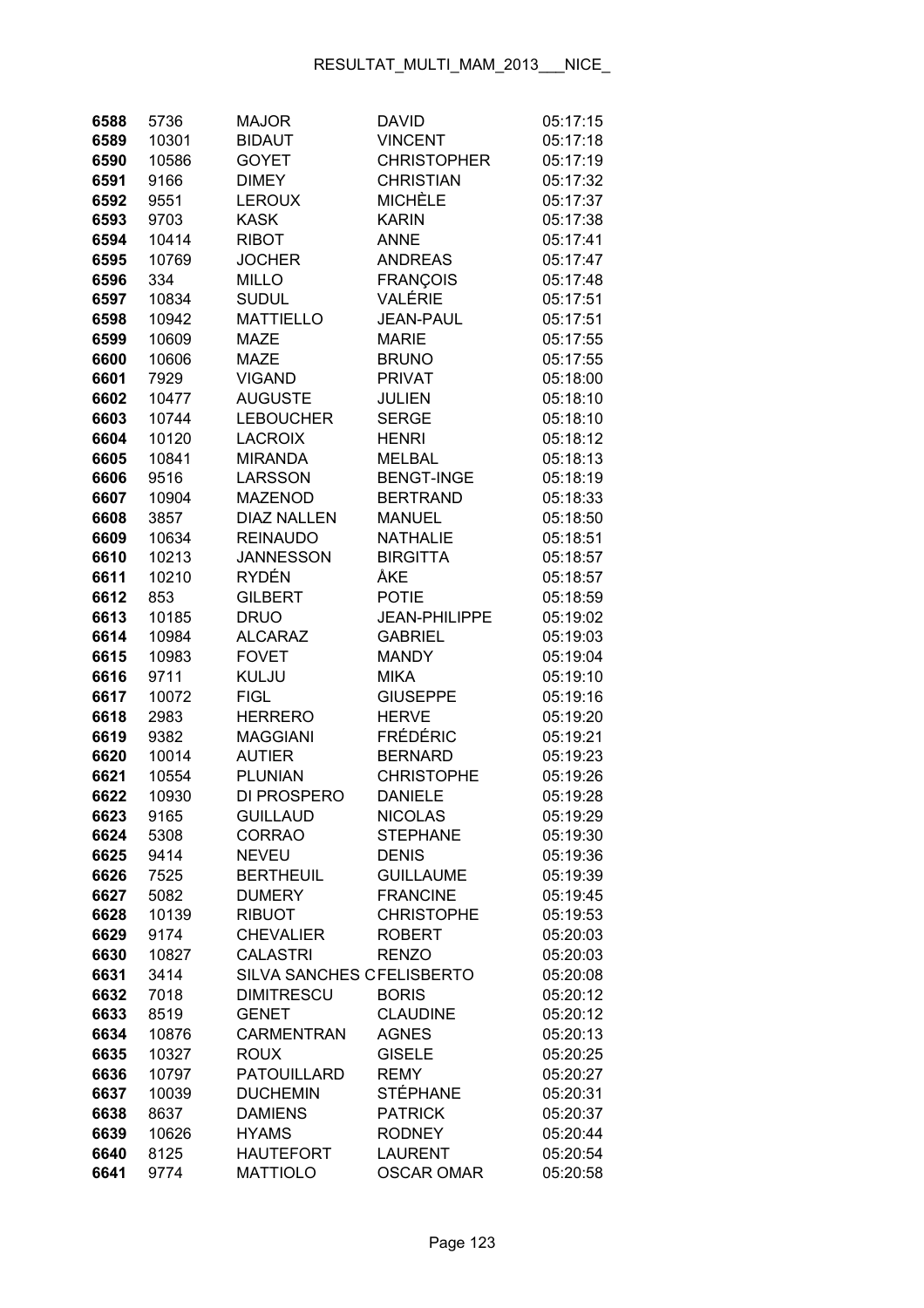| 6588         | 5736         | <b>MAJOR</b>                      | <b>DAVID</b>         | 05:17:15             |
|--------------|--------------|-----------------------------------|----------------------|----------------------|
| 6589         | 10301        | <b>BIDAUT</b>                     | <b>VINCENT</b>       | 05:17:18             |
| 6590         | 10586        | <b>GOYET</b>                      | <b>CHRISTOPHER</b>   | 05:17:19             |
| 6591         | 9166         | <b>DIMEY</b>                      | <b>CHRISTIAN</b>     | 05:17:32             |
| 6592         | 9551         | <b>LEROUX</b>                     | <b>MICHÈLE</b>       | 05:17:37             |
| 6593         | 9703         | <b>KASK</b>                       | <b>KARIN</b>         | 05:17:38             |
| 6594         | 10414        | <b>RIBOT</b>                      | <b>ANNE</b>          | 05:17:41             |
| 6595         | 10769        | <b>JOCHER</b>                     | <b>ANDREAS</b>       | 05:17:47             |
| 6596         | 334          | <b>MILLO</b>                      | <b>FRANÇOIS</b>      | 05:17:48             |
| 6597         | 10834        | <b>SUDUL</b>                      | VALÉRIE              | 05:17:51             |
| 6598         | 10942        | <b>MATTIELLO</b>                  | <b>JEAN-PAUL</b>     | 05:17:51             |
| 6599         | 10609        | <b>MAZE</b>                       | <b>MARIE</b>         | 05:17:55             |
| 6600         | 10606        | <b>MAZE</b>                       | <b>BRUNO</b>         | 05:17:55             |
| 6601         | 7929         | <b>VIGAND</b>                     | <b>PRIVAT</b>        | 05:18:00             |
| 6602         | 10477        | <b>AUGUSTE</b>                    | <b>JULIEN</b>        | 05:18:10             |
| 6603         | 10744        | <b>LEBOUCHER</b>                  | <b>SERGE</b>         | 05:18:10             |
| 6604         | 10120        | <b>LACROIX</b>                    | <b>HENRI</b>         | 05:18:12             |
| 6605         | 10841        | <b>MIRANDA</b>                    | <b>MELBAL</b>        | 05:18:13             |
| 6606         | 9516         | <b>LARSSON</b>                    | <b>BENGT-INGE</b>    | 05:18:19             |
| 6607         | 10904        | <b>MAZENOD</b>                    | <b>BERTRAND</b>      | 05:18:33             |
| 6608         | 3857         | <b>DIAZ NALLEN</b>                | <b>MANUEL</b>        | 05:18:50             |
| 6609         | 10634        | <b>REINAUDO</b>                   | <b>NATHALIE</b>      | 05:18:51             |
| 6610         | 10213        | <b>JANNESSON</b>                  | <b>BIRGITTA</b>      | 05:18:57             |
| 6611         | 10210        | RYDÉN                             | ÅKE                  | 05:18:57             |
| 6612         | 853          | <b>GILBERT</b>                    | <b>POTIE</b>         | 05:18:59             |
| 6613         | 10185        | <b>DRUO</b>                       | <b>JEAN-PHILIPPE</b> | 05:19:02             |
| 6614         | 10984        | <b>ALCARAZ</b>                    | <b>GABRIEL</b>       | 05:19:03             |
| 6615         | 10983        | <b>FOVET</b>                      | <b>MANDY</b>         | 05:19:04             |
| 6616         | 9711         | KULJU                             | <b>MIKA</b>          | 05:19:10             |
| 6617         | 10072        | <b>FIGL</b>                       | <b>GIUSEPPE</b>      | 05:19:16             |
| 6618         | 2983         | <b>HERRERO</b>                    | <b>HERVE</b>         | 05:19:20             |
| 6619         | 9382         | <b>MAGGIANI</b>                   | <b>FRÉDÉRIC</b>      | 05:19:21             |
| 6620         | 10014        | <b>AUTIER</b>                     | <b>BERNARD</b>       | 05:19:23             |
| 6621         | 10554        | <b>PLUNIAN</b>                    | <b>CHRISTOPHE</b>    | 05:19:26             |
| 6622         | 10930        | DI PROSPERO                       | <b>DANIELE</b>       | 05:19:28             |
| 6623         | 9165         | <b>GUILLAUD</b>                   | <b>NICOLAS</b>       | 05:19:29             |
| 6624         | 5308         | <b>CORRAO</b>                     | <b>STEPHANE</b>      | 05:19:30             |
| 6625         | 9414         | <b>NEVEU</b>                      | <b>DENIS</b>         | 05:19:36             |
| 6626         | 7525         | <b>BERTHEUIL</b>                  | <b>GUILLAUME</b>     | 05:19:39             |
| 6627         | 5082         | <b>DUMERY</b>                     | <b>FRANCINE</b>      | 05:19:45             |
| 6628         | 10139        | <b>RIBUOT</b>                     | <b>CHRISTOPHE</b>    | 05:19:53             |
| 6629         | 9174         | <b>CHEVALIER</b>                  | <b>ROBERT</b>        | 05:20:03             |
| 6630         | 10827        | <b>CALASTRI</b>                   | <b>RENZO</b>         | 05:20:03             |
| 6631<br>6632 | 3414<br>7018 | SILVA SANCHES CFELISBERTO         | <b>BORIS</b>         | 05:20:08<br>05:20:12 |
| 6633         | 8519         | <b>DIMITRESCU</b><br><b>GENET</b> | <b>CLAUDINE</b>      | 05:20:12             |
| 6634         | 10876        | <b>CARMENTRAN</b>                 | <b>AGNES</b>         | 05:20:13             |
| 6635         | 10327        | <b>ROUX</b>                       | <b>GISELE</b>        | 05:20:25             |
| 6636         | 10797        | <b>PATOUILLARD</b>                | <b>REMY</b>          | 05:20:27             |
| 6637         | 10039        | <b>DUCHEMIN</b>                   | <b>STÉPHANE</b>      | 05:20:31             |
| 6638         | 8637         | <b>DAMIENS</b>                    | <b>PATRICK</b>       | 05:20:37             |
| 6639         | 10626        | <b>HYAMS</b>                      | <b>RODNEY</b>        | 05:20:44             |
| 6640         | 8125         | <b>HAUTEFORT</b>                  | <b>LAURENT</b>       | 05:20:54             |
| 6641         | 9774         | <b>MATTIOLO</b>                   | <b>OSCAR OMAR</b>    | 05:20:58             |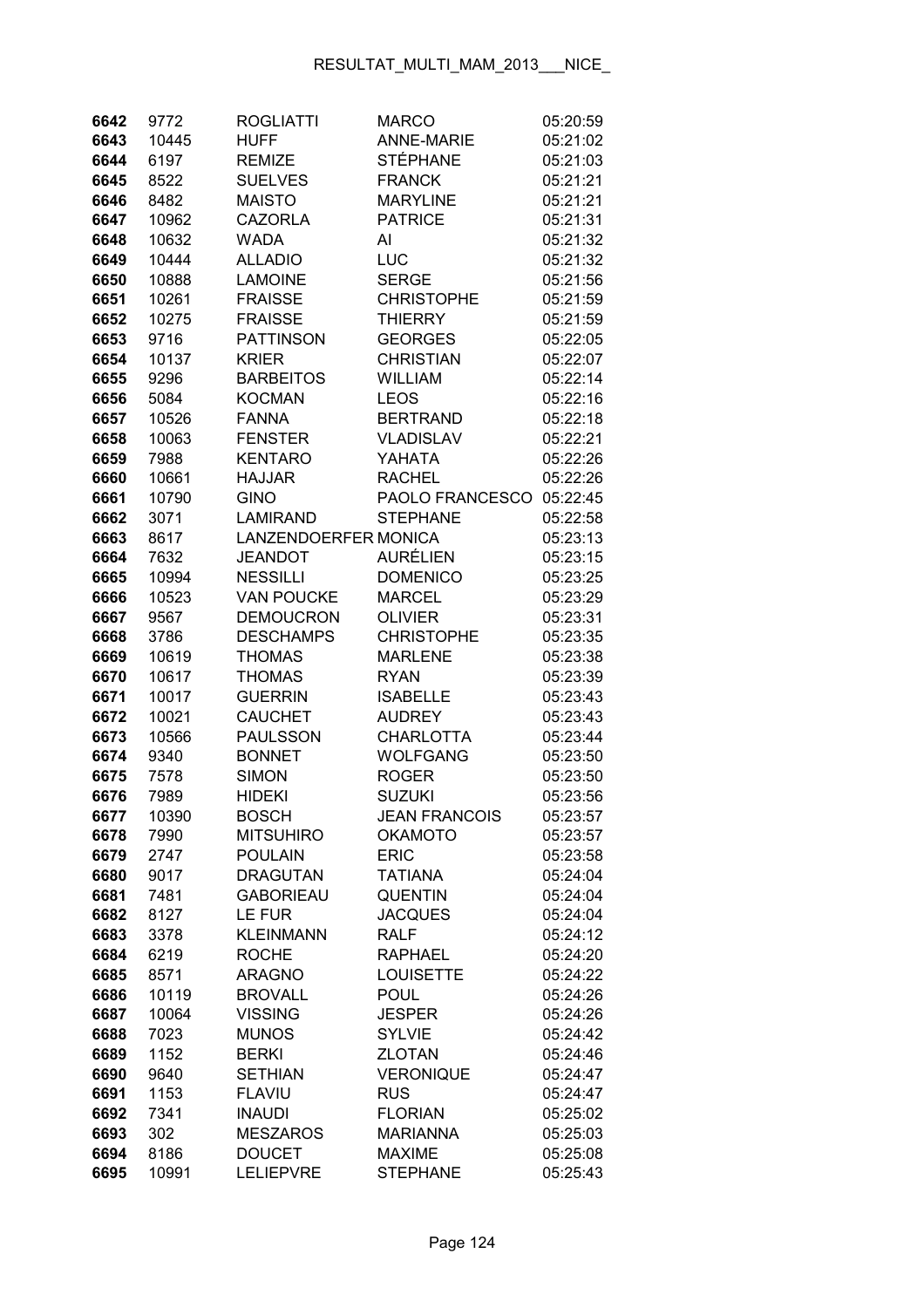| 6642 | 9772  | <b>ROGLIATTI</b>            | <b>MARCO</b>      | 05:20:59 |
|------|-------|-----------------------------|-------------------|----------|
| 6643 | 10445 | <b>HUFF</b>                 | <b>ANNE-MARIE</b> | 05:21:02 |
| 6644 | 6197  | <b>REMIZE</b>               | <b>STÉPHANE</b>   | 05:21:03 |
| 6645 | 8522  | <b>SUELVES</b>              | <b>FRANCK</b>     | 05:21:21 |
| 6646 | 8482  | <b>MAISTO</b>               | <b>MARYLINE</b>   | 05:21:21 |
| 6647 | 10962 | <b>CAZORLA</b>              | <b>PATRICE</b>    | 05:21:31 |
| 6648 | 10632 | <b>WADA</b>                 | Al                | 05:21:32 |
| 6649 | 10444 | <b>ALLADIO</b>              | LUC               | 05:21:32 |
| 6650 | 10888 | <b>LAMOINE</b>              | <b>SERGE</b>      | 05:21:56 |
| 6651 | 10261 | <b>FRAISSE</b>              | <b>CHRISTOPHE</b> | 05:21:59 |
| 6652 | 10275 | <b>FRAISSE</b>              | <b>THIERRY</b>    | 05:21:59 |
| 6653 | 9716  | <b>PATTINSON</b>            | <b>GEORGES</b>    | 05:22:05 |
| 6654 | 10137 | <b>KRIER</b>                | <b>CHRISTIAN</b>  | 05:22:07 |
| 6655 | 9296  | <b>BARBEITOS</b>            | <b>WILLIAM</b>    | 05:22:14 |
| 6656 | 5084  | <b>KOCMAN</b>               | LEOS              | 05:22:16 |
| 6657 | 10526 | <b>FANNA</b>                | <b>BERTRAND</b>   | 05:22:18 |
| 6658 | 10063 | <b>FENSTER</b>              | <b>VLADISLAV</b>  | 05:22:21 |
| 6659 | 7988  | <b>KENTARO</b>              | YAHATA            | 05:22:26 |
| 6660 | 10661 | <b>HAJJAR</b>               | <b>RACHEL</b>     | 05:22:26 |
| 6661 | 10790 | <b>GINO</b>                 | PAOLO FRANCESCO   | 05:22:45 |
| 6662 | 3071  | LAMIRAND                    | <b>STEPHANE</b>   | 05:22:58 |
| 6663 | 8617  | <b>LANZENDOERFER MONICA</b> |                   | 05:23:13 |
| 6664 | 7632  | <b>JEANDOT</b>              | <b>AURÉLIEN</b>   | 05:23:15 |
| 6665 | 10994 | <b>NESSILLI</b>             | <b>DOMENICO</b>   | 05:23:25 |
| 6666 | 10523 | <b>VAN POUCKE</b>           | <b>MARCEL</b>     | 05:23:29 |
| 6667 | 9567  | <b>DEMOUCRON</b>            | <b>OLIVIER</b>    | 05:23:31 |
| 6668 | 3786  | <b>DESCHAMPS</b>            | <b>CHRISTOPHE</b> | 05:23:35 |
| 6669 | 10619 | <b>THOMAS</b>               | <b>MARLENE</b>    | 05:23:38 |
| 6670 | 10617 | <b>THOMAS</b>               | <b>RYAN</b>       | 05:23:39 |
| 6671 | 10017 | <b>GUERRIN</b>              | <b>ISABELLE</b>   | 05:23:43 |
| 6672 | 10021 | <b>CAUCHET</b>              | <b>AUDREY</b>     | 05:23:43 |
| 6673 | 10566 | <b>PAULSSON</b>             | <b>CHARLOTTA</b>  | 05:23:44 |
| 6674 | 9340  | <b>BONNET</b>               | <b>WOLFGANG</b>   | 05:23:50 |
| 6675 | 7578  | <b>SIMON</b>                | <b>ROGER</b>      | 05:23:50 |
| 6676 | 7989  | <b>HIDEKI</b>               | <b>SUZUKI</b>     | 05:23:56 |
| 6677 | 10390 | <b>BOSCH</b>                | JEAN FRANCOIS     | 05:23:57 |
| 6678 | 7990  | <b>MITSUHIRO</b>            | <b>OKAMOTO</b>    | 05:23:57 |
| 6679 | 2747  | <b>POULAIN</b>              | <b>ERIC</b>       | 05:23:58 |
| 6680 | 9017  | <b>DRAGUTAN</b>             | <b>TATIANA</b>    | 05:24:04 |
| 6681 | 7481  | <b>GABORIEAU</b>            | <b>QUENTIN</b>    | 05:24:04 |
| 6682 | 8127  | <b>LE FUR</b>               | <b>JACQUES</b>    | 05:24:04 |
| 6683 | 3378  | <b>KLEINMANN</b>            | <b>RALF</b>       | 05:24:12 |
| 6684 | 6219  | <b>ROCHE</b>                | <b>RAPHAEL</b>    | 05:24:20 |
| 6685 | 8571  | <b>ARAGNO</b>               | LOUISETTE         | 05:24:22 |
| 6686 | 10119 | <b>BROVALL</b>              | <b>POUL</b>       | 05:24:26 |
| 6687 | 10064 | <b>VISSING</b>              | <b>JESPER</b>     | 05:24:26 |
| 6688 | 7023  | <b>MUNOS</b>                | <b>SYLVIE</b>     | 05:24:42 |
| 6689 | 1152  | <b>BERKI</b>                | <b>ZLOTAN</b>     | 05:24:46 |
| 6690 | 9640  | <b>SETHIAN</b>              | <b>VERONIQUE</b>  | 05:24:47 |
| 6691 | 1153  | <b>FLAVIU</b>               | <b>RUS</b>        | 05:24:47 |
| 6692 | 7341  | <b>INAUDI</b>               | <b>FLORIAN</b>    | 05:25:02 |
| 6693 | 302   | <b>MESZAROS</b>             | <b>MARIANNA</b>   | 05:25:03 |
| 6694 | 8186  | <b>DOUCET</b>               | <b>MAXIME</b>     | 05:25:08 |
| 6695 | 10991 | <b>LELIEPVRE</b>            | <b>STEPHANE</b>   | 05:25:43 |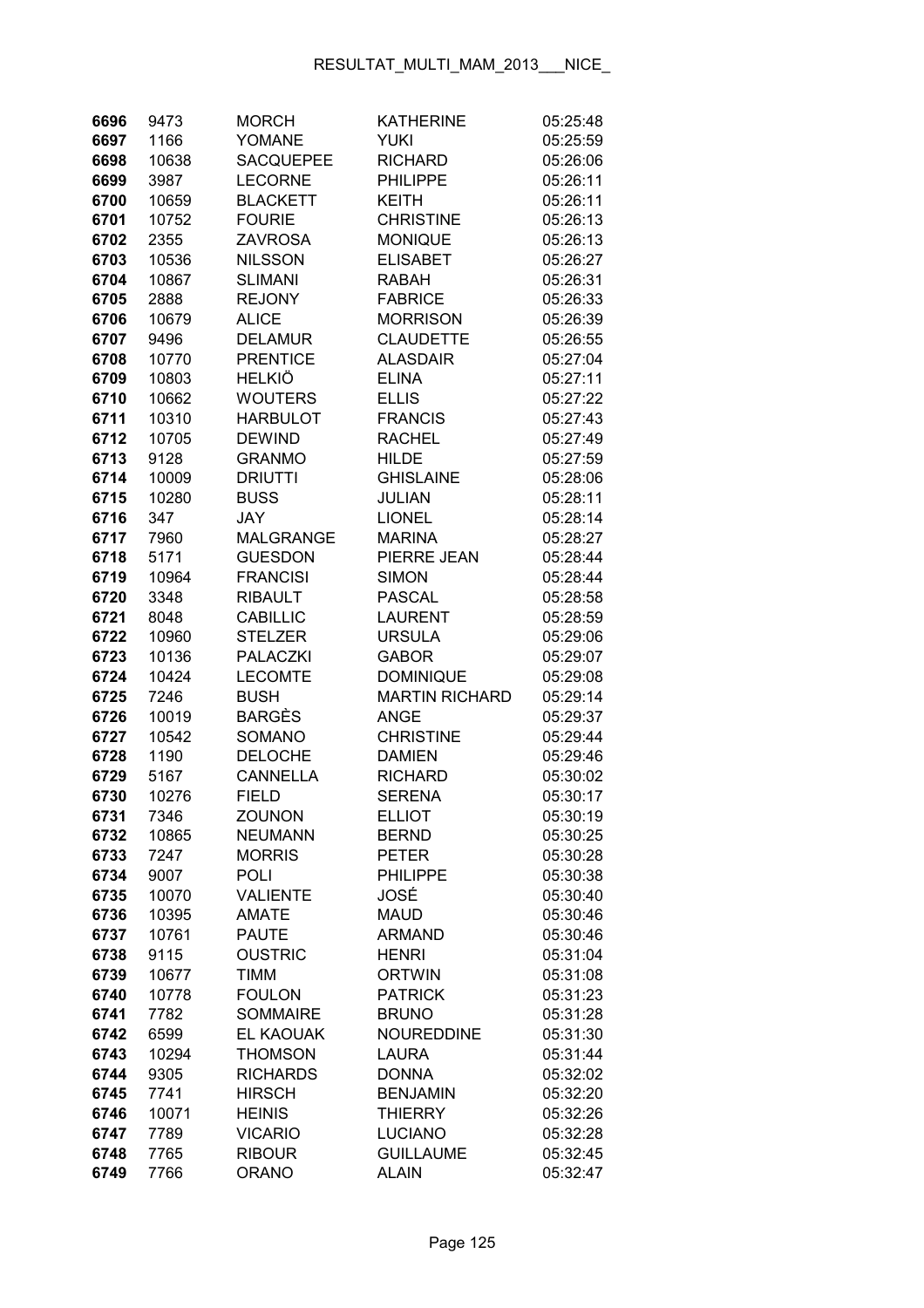| 6696 | 9473  | <b>MORCH</b>     | <b>KATHERINE</b>      | 05:25:48 |
|------|-------|------------------|-----------------------|----------|
| 6697 | 1166  | YOMANE           | YUKI                  | 05:25:59 |
| 6698 | 10638 | <b>SACQUEPEE</b> | <b>RICHARD</b>        | 05:26:06 |
| 6699 | 3987  | <b>LECORNE</b>   | <b>PHILIPPE</b>       | 05:26:11 |
| 6700 | 10659 | <b>BLACKETT</b>  | KEITH                 | 05:26:11 |
| 6701 | 10752 | <b>FOURIE</b>    | <b>CHRISTINE</b>      | 05:26:13 |
| 6702 | 2355  | <b>ZAVROSA</b>   | <b>MONIQUE</b>        | 05:26:13 |
| 6703 | 10536 | <b>NILSSON</b>   | <b>ELISABET</b>       | 05:26:27 |
| 6704 | 10867 | <b>SLIMANI</b>   | <b>RABAH</b>          | 05:26:31 |
| 6705 | 2888  | <b>REJONY</b>    | <b>FABRICE</b>        | 05:26:33 |
| 6706 | 10679 | <b>ALICE</b>     | <b>MORRISON</b>       | 05:26:39 |
| 6707 | 9496  | <b>DELAMUR</b>   | <b>CLAUDETTE</b>      | 05:26:55 |
| 6708 | 10770 | <b>PRENTICE</b>  | <b>ALASDAIR</b>       | 05:27:04 |
| 6709 | 10803 | <b>HELKIÖ</b>    | <b>ELINA</b>          | 05:27:11 |
| 6710 | 10662 | <b>WOUTERS</b>   | <b>ELLIS</b>          | 05:27:22 |
| 6711 | 10310 | <b>HARBULOT</b>  | <b>FRANCIS</b>        | 05:27:43 |
| 6712 | 10705 | <b>DEWIND</b>    | <b>RACHEL</b>         | 05:27:49 |
| 6713 | 9128  | <b>GRANMO</b>    | <b>HILDE</b>          | 05:27:59 |
| 6714 | 10009 | <b>DRIUTTI</b>   | <b>GHISLAINE</b>      | 05:28:06 |
| 6715 |       | <b>BUSS</b>      | <b>JULIAN</b>         | 05:28:11 |
|      | 10280 | <b>JAY</b>       |                       |          |
| 6716 | 347   |                  | <b>LIONEL</b>         | 05:28:14 |
| 6717 | 7960  | <b>MALGRANGE</b> | <b>MARINA</b>         | 05:28:27 |
| 6718 | 5171  | <b>GUESDON</b>   | PIERRE JEAN           | 05:28:44 |
| 6719 | 10964 | <b>FRANCISI</b>  | <b>SIMON</b>          | 05:28:44 |
| 6720 | 3348  | <b>RIBAULT</b>   | <b>PASCAL</b>         | 05:28:58 |
| 6721 | 8048  | <b>CABILLIC</b>  | <b>LAURENT</b>        | 05:28:59 |
| 6722 | 10960 | <b>STELZER</b>   | <b>URSULA</b>         | 05:29:06 |
| 6723 | 10136 | <b>PALACZKI</b>  | <b>GABOR</b>          | 05:29:07 |
| 6724 | 10424 | <b>LECOMTE</b>   | <b>DOMINIQUE</b>      | 05:29:08 |
| 6725 | 7246  | <b>BUSH</b>      | <b>MARTIN RICHARD</b> | 05:29:14 |
| 6726 | 10019 | <b>BARGÈS</b>    | <b>ANGE</b>           | 05:29:37 |
| 6727 | 10542 | SOMANO           | <b>CHRISTINE</b>      | 05:29:44 |
| 6728 | 1190  | <b>DELOCHE</b>   | <b>DAMIEN</b>         | 05:29:46 |
| 6729 | 5167  | <b>CANNELLA</b>  | <b>RICHARD</b>        | 05:30:02 |
| 6730 | 10276 | <b>FIELD</b>     | <b>SERENA</b>         | 05:30:17 |
| 6731 | 7346  | <b>ZOUNON</b>    | <b>ELLIOT</b>         | 05:30:19 |
| 6732 | 10865 | <b>NEUMANN</b>   | <b>BERND</b>          | 05:30:25 |
| 6733 | 7247  | <b>MORRIS</b>    | <b>PETER</b>          | 05:30:28 |
| 6734 | 9007  | <b>POLI</b>      | <b>PHILIPPE</b>       | 05:30:38 |
| 6735 | 10070 | <b>VALIENTE</b>  | JOSÉ                  | 05:30:40 |
| 6736 | 10395 | <b>AMATE</b>     | <b>MAUD</b>           | 05:30:46 |
| 6737 | 10761 | <b>PAUTE</b>     | <b>ARMAND</b>         | 05:30:46 |
| 6738 | 9115  | <b>OUSTRIC</b>   | <b>HENRI</b>          | 05:31:04 |
| 6739 | 10677 | <b>TIMM</b>      | <b>ORTWIN</b>         | 05:31:08 |
| 6740 | 10778 | <b>FOULON</b>    | <b>PATRICK</b>        | 05:31:23 |
| 6741 | 7782  | <b>SOMMAIRE</b>  | <b>BRUNO</b>          | 05:31:28 |
| 6742 | 6599  | EL KAOUAK        | <b>NOUREDDINE</b>     | 05:31:30 |
| 6743 | 10294 | <b>THOMSON</b>   | <b>LAURA</b>          | 05:31:44 |
| 6744 | 9305  | <b>RICHARDS</b>  | <b>DONNA</b>          | 05:32:02 |
| 6745 | 7741  | <b>HIRSCH</b>    | <b>BENJAMIN</b>       | 05:32:20 |
| 6746 | 10071 | <b>HEINIS</b>    | <b>THIERRY</b>        | 05:32:26 |
| 6747 | 7789  | <b>VICARIO</b>   | <b>LUCIANO</b>        | 05:32:28 |
| 6748 | 7765  | <b>RIBOUR</b>    | <b>GUILLAUME</b>      | 05:32:45 |
| 6749 | 7766  | <b>ORANO</b>     | <b>ALAIN</b>          | 05:32:47 |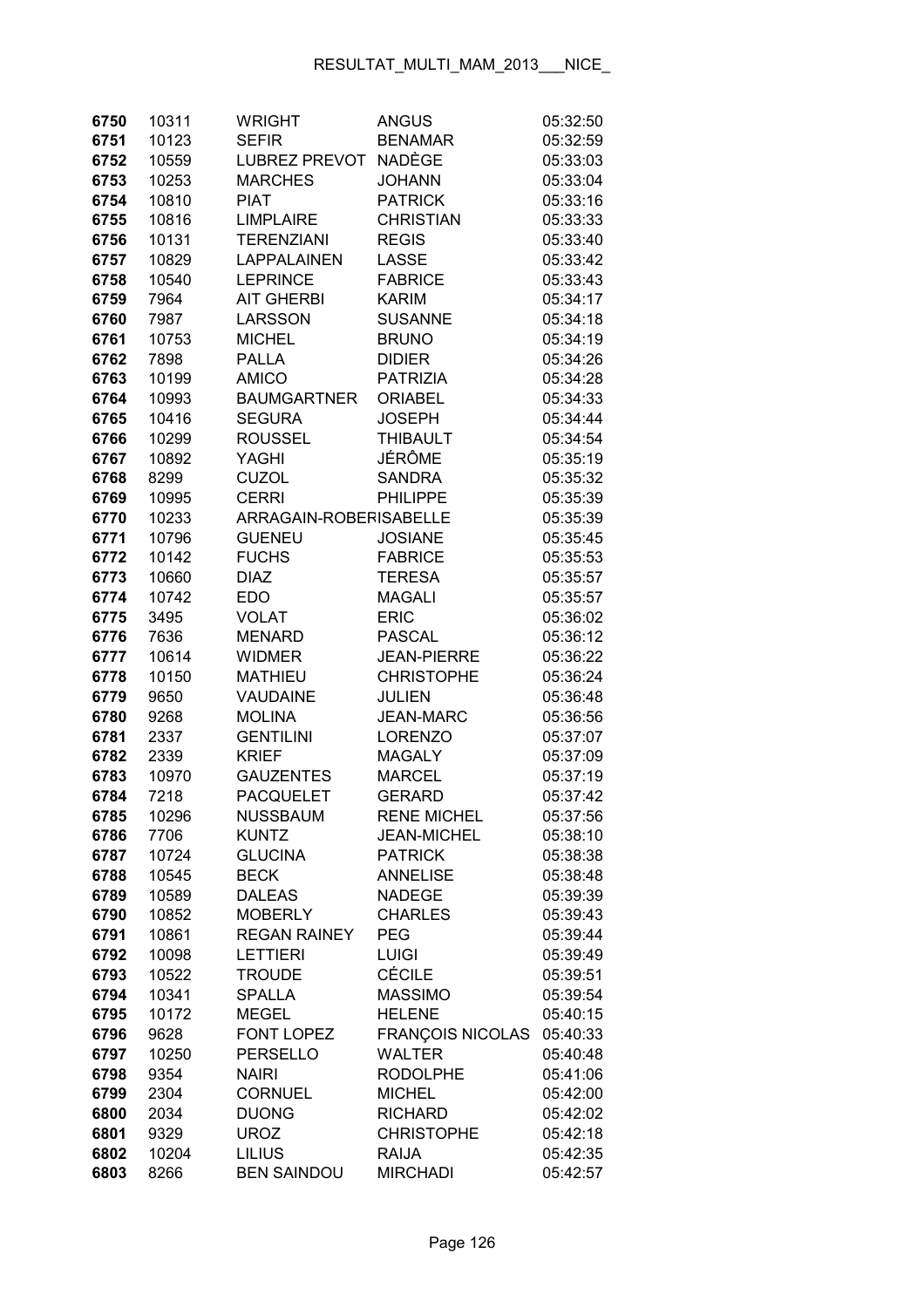| 6750 | 10311 | <b>WRIGHT</b>          | <b>ANGUS</b>            | 05:32:50 |
|------|-------|------------------------|-------------------------|----------|
| 6751 | 10123 | <b>SEFIR</b>           | <b>BENAMAR</b>          | 05:32:59 |
| 6752 | 10559 | <b>LUBREZ PREVOT</b>   | <b>NADÈGE</b>           | 05:33:03 |
| 6753 | 10253 | <b>MARCHES</b>         | <b>JOHANN</b>           | 05:33:04 |
| 6754 | 10810 | <b>PIAT</b>            | <b>PATRICK</b>          | 05:33:16 |
| 6755 | 10816 | <b>LIMPLAIRE</b>       | <b>CHRISTIAN</b>        | 05:33:33 |
| 6756 | 10131 | <b>TERENZIANI</b>      | <b>REGIS</b>            | 05:33:40 |
| 6757 | 10829 | <b>LAPPALAINEN</b>     | LASSE                   | 05:33:42 |
| 6758 | 10540 | <b>LEPRINCE</b>        | <b>FABRICE</b>          | 05:33:43 |
| 6759 | 7964  | <b>AIT GHERBI</b>      | <b>KARIM</b>            | 05:34:17 |
| 6760 | 7987  | LARSSON                | <b>SUSANNE</b>          | 05:34:18 |
| 6761 | 10753 | <b>MICHEL</b>          | <b>BRUNO</b>            | 05:34:19 |
| 6762 | 7898  | <b>PALLA</b>           | <b>DIDIER</b>           | 05:34:26 |
| 6763 | 10199 | <b>AMICO</b>           | <b>PATRIZIA</b>         | 05:34:28 |
| 6764 | 10993 | <b>BAUMGARTNER</b>     | <b>ORIABEL</b>          | 05:34:33 |
| 6765 | 10416 | <b>SEGURA</b>          | <b>JOSEPH</b>           | 05:34:44 |
| 6766 | 10299 | <b>ROUSSEL</b>         | <b>THIBAULT</b>         | 05:34:54 |
| 6767 | 10892 | <b>YAGHI</b>           | JÉRÔME                  | 05:35:19 |
| 6768 | 8299  | <b>CUZOL</b>           | <b>SANDRA</b>           | 05:35:32 |
| 6769 | 10995 | <b>CERRI</b>           | <b>PHILIPPE</b>         | 05:35:39 |
| 6770 | 10233 | ARRAGAIN-ROBERISABELLE |                         | 05:35:39 |
| 6771 | 10796 | <b>GUENEU</b>          | <b>JOSIANE</b>          | 05:35:45 |
| 6772 | 10142 | <b>FUCHS</b>           | <b>FABRICE</b>          | 05:35:53 |
| 6773 | 10660 | <b>DIAZ</b>            | <b>TERESA</b>           | 05:35:57 |
| 6774 | 10742 | <b>EDO</b>             | <b>MAGALI</b>           | 05:35:57 |
| 6775 | 3495  | <b>VOLAT</b>           | <b>ERIC</b>             | 05:36:02 |
| 6776 | 7636  | <b>MENARD</b>          | <b>PASCAL</b>           | 05:36:12 |
| 6777 | 10614 | <b>WIDMER</b>          | <b>JEAN-PIERRE</b>      | 05:36:22 |
| 6778 | 10150 | <b>MATHIEU</b>         | <b>CHRISTOPHE</b>       | 05:36:24 |
| 6779 | 9650  | <b>VAUDAINE</b>        | <b>JULIEN</b>           | 05:36:48 |
| 6780 | 9268  | <b>MOLINA</b>          | <b>JEAN-MARC</b>        | 05:36:56 |
| 6781 | 2337  | <b>GENTILINI</b>       | <b>LORENZO</b>          | 05:37:07 |
| 6782 | 2339  | <b>KRIEF</b>           | <b>MAGALY</b>           | 05:37:09 |
| 6783 | 10970 | <b>GAUZENTES</b>       | <b>MARCEL</b>           | 05:37:19 |
| 6784 | 7218  | <b>PACQUELET</b>       | <b>GERARD</b>           | 05:37:42 |
| 6785 | 10296 | NUSSBAUM               | <b>RENE MICHEL</b>      | 05:37:56 |
| 6786 | 7706  | <b>KUNTZ</b>           | <b>JEAN-MICHEL</b>      | 05:38:10 |
| 6787 | 10724 | <b>GLUCINA</b>         | <b>PATRICK</b>          | 05:38:38 |
| 6788 | 10545 | <b>BECK</b>            | <b>ANNELISE</b>         | 05:38:48 |
| 6789 | 10589 | <b>DALEAS</b>          | <b>NADEGE</b>           | 05:39:39 |
| 6790 | 10852 | <b>MOBERLY</b>         | <b>CHARLES</b>          | 05:39:43 |
| 6791 | 10861 | <b>REGAN RAINEY</b>    | <b>PEG</b>              | 05:39:44 |
| 6792 | 10098 | <b>LETTIERI</b>        | <b>LUIGI</b>            | 05:39:49 |
| 6793 | 10522 | <b>TROUDE</b>          | <b>CÉCILE</b>           | 05:39:51 |
| 6794 | 10341 | <b>SPALLA</b>          | <b>MASSIMO</b>          | 05:39:54 |
| 6795 | 10172 | <b>MEGEL</b>           | <b>HELENE</b>           | 05:40:15 |
| 6796 | 9628  | <b>FONT LOPEZ</b>      | <b>FRANÇOIS NICOLAS</b> | 05:40:33 |
| 6797 | 10250 | <b>PERSELLO</b>        | <b>WALTER</b>           | 05:40:48 |
| 6798 | 9354  | <b>NAIRI</b>           | <b>RODOLPHE</b>         | 05:41:06 |
| 6799 | 2304  | <b>CORNUEL</b>         | <b>MICHEL</b>           | 05:42:00 |
| 6800 | 2034  | <b>DUONG</b>           | <b>RICHARD</b>          | 05:42:02 |
| 6801 | 9329  | <b>UROZ</b>            | <b>CHRISTOPHE</b>       | 05:42:18 |
| 6802 | 10204 | <b>LILIUS</b>          | <b>RAIJA</b>            | 05:42:35 |
| 6803 | 8266  | <b>BEN SAINDOU</b>     | <b>MIRCHADI</b>         | 05:42:57 |
|      |       |                        |                         |          |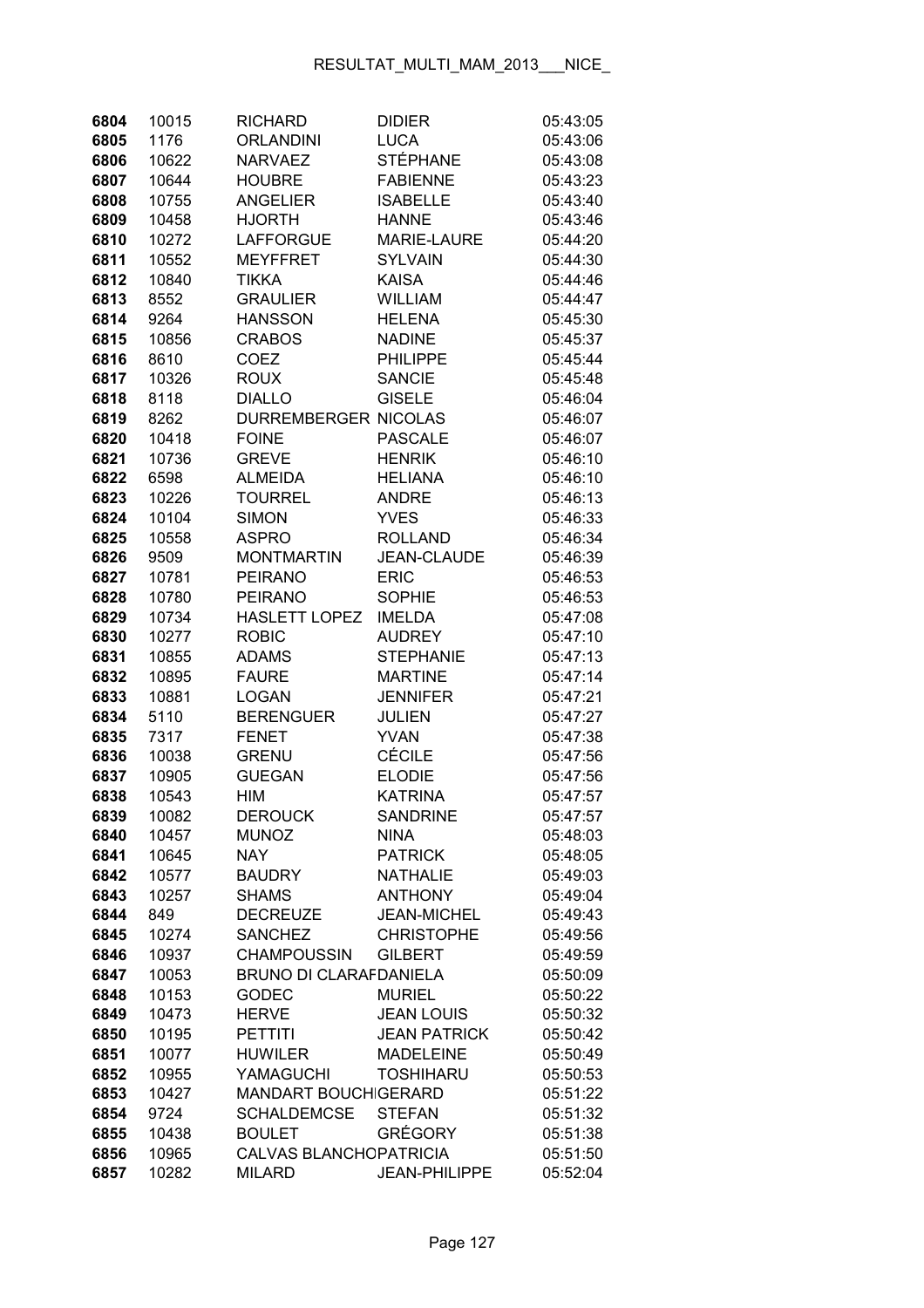| 6804 | 10015 | <b>RICHARD</b>                | <b>DIDIER</b>        | 05:43:05 |
|------|-------|-------------------------------|----------------------|----------|
| 6805 | 1176  | <b>ORLANDINI</b>              | <b>LUCA</b>          | 05:43:06 |
| 6806 | 10622 | <b>NARVAEZ</b>                | <b>STÉPHANE</b>      | 05:43:08 |
| 6807 | 10644 | <b>HOUBRE</b>                 | <b>FABIENNE</b>      | 05:43:23 |
| 6808 | 10755 | <b>ANGELIER</b>               | <b>ISABELLE</b>      | 05:43:40 |
| 6809 | 10458 | <b>HJORTH</b>                 | <b>HANNE</b>         | 05:43:46 |
| 6810 | 10272 | <b>LAFFORGUE</b>              | <b>MARIE-LAURE</b>   | 05:44:20 |
| 6811 | 10552 | <b>MEYFFRET</b>               | <b>SYLVAIN</b>       | 05:44:30 |
| 6812 | 10840 | <b>TIKKA</b>                  | <b>KAISA</b>         | 05:44:46 |
| 6813 | 8552  | <b>GRAULIER</b>               | <b>WILLIAM</b>       | 05:44:47 |
| 6814 | 9264  | <b>HANSSON</b>                | <b>HELENA</b>        | 05:45:30 |
| 6815 | 10856 | <b>CRABOS</b>                 | <b>NADINE</b>        | 05:45:37 |
| 6816 | 8610  | <b>COEZ</b>                   | <b>PHILIPPE</b>      | 05:45:44 |
| 6817 | 10326 | <b>ROUX</b>                   | <b>SANCIE</b>        | 05:45:48 |
| 6818 | 8118  | <b>DIALLO</b>                 | <b>GISELE</b>        | 05:46:04 |
| 6819 | 8262  | <b>DURREMBERGER NICOLAS</b>   |                      | 05:46:07 |
| 6820 | 10418 | <b>FOINE</b>                  | <b>PASCALE</b>       | 05:46:07 |
| 6821 | 10736 | <b>GREVE</b>                  | <b>HENRIK</b>        | 05:46:10 |
| 6822 | 6598  | <b>ALMEIDA</b>                | <b>HELIANA</b>       | 05:46:10 |
| 6823 | 10226 | <b>TOURREL</b>                | <b>ANDRE</b>         | 05:46:13 |
| 6824 | 10104 | <b>SIMON</b>                  | <b>YVES</b>          | 05:46:33 |
| 6825 | 10558 | <b>ASPRO</b>                  | <b>ROLLAND</b>       | 05:46:34 |
| 6826 | 9509  | <b>MONTMARTIN</b>             | <b>JEAN-CLAUDE</b>   | 05:46:39 |
| 6827 | 10781 | <b>PEIRANO</b>                | <b>ERIC</b>          | 05:46:53 |
| 6828 | 10780 | <b>PEIRANO</b>                | <b>SOPHIE</b>        | 05:46:53 |
| 6829 | 10734 | <b>HASLETT LOPEZ</b>          | <b>IMELDA</b>        | 05:47:08 |
| 6830 | 10277 | <b>ROBIC</b>                  | <b>AUDREY</b>        | 05:47:10 |
| 6831 | 10855 | <b>ADAMS</b>                  | <b>STEPHANIE</b>     | 05:47:13 |
| 6832 | 10895 | <b>FAURE</b>                  | <b>MARTINE</b>       | 05:47:14 |
| 6833 | 10881 | <b>LOGAN</b>                  | <b>JENNIFER</b>      | 05:47:21 |
| 6834 | 5110  | <b>BERENGUER</b>              | JULIEN               | 05:47:27 |
| 6835 | 7317  | <b>FENET</b>                  | <b>YVAN</b>          | 05:47:38 |
| 6836 | 10038 | <b>GRENU</b>                  | <b>CÉCILE</b>        | 05:47:56 |
| 6837 | 10905 | <b>GUEGAN</b>                 | <b>ELODIE</b>        | 05:47:56 |
| 6838 | 10543 | <b>HIM</b>                    | <b>KATRINA</b>       | 05:47:57 |
| 6839 | 10082 | <b>DEROUCK</b>                | SANDRINE             | 05:47:57 |
| 6840 | 10457 | <b>MUNOZ</b>                  | <b>NINA</b>          | 05:48:03 |
| 6841 | 10645 | <b>NAY</b>                    | <b>PATRICK</b>       | 05:48:05 |
| 6842 | 10577 | <b>BAUDRY</b>                 | <b>NATHALIE</b>      | 05:49:03 |
| 6843 | 10257 | <b>SHAMS</b>                  | <b>ANTHONY</b>       | 05:49:04 |
| 6844 | 849   | <b>DECREUZE</b>               | <b>JEAN-MICHEL</b>   | 05:49:43 |
| 6845 | 10274 | <b>SANCHEZ</b>                | <b>CHRISTOPHE</b>    | 05:49:56 |
| 6846 | 10937 | <b>CHAMPOUSSIN</b>            | <b>GILBERT</b>       | 05:49:59 |
| 6847 | 10053 | <b>BRUNO DI CLARAFDANIELA</b> |                      | 05:50:09 |
| 6848 | 10153 | <b>GODEC</b>                  | <b>MURIEL</b>        | 05:50:22 |
| 6849 | 10473 | <b>HERVE</b>                  | <b>JEAN LOUIS</b>    | 05:50:32 |
| 6850 | 10195 | <b>PETTITI</b>                | <b>JEAN PATRICK</b>  | 05:50:42 |
| 6851 | 10077 | <b>HUWILER</b>                | <b>MADELEINE</b>     | 05:50:49 |
| 6852 | 10955 | YAMAGUCHI                     | <b>TOSHIHARU</b>     | 05:50:53 |
| 6853 | 10427 | <b>MANDART BOUCHIGERARD</b>   |                      | 05:51:22 |
| 6854 | 9724  | <b>SCHALDEMCSE</b>            | <b>STEFAN</b>        | 05:51:32 |
| 6855 | 10438 | <b>BOULET</b>                 | GRÉGORY              | 05:51:38 |
| 6856 | 10965 | CALVAS BLANCHOPATRICIA        |                      | 05:51:50 |
| 6857 | 10282 | <b>MILARD</b>                 | <b>JEAN-PHILIPPE</b> | 05:52:04 |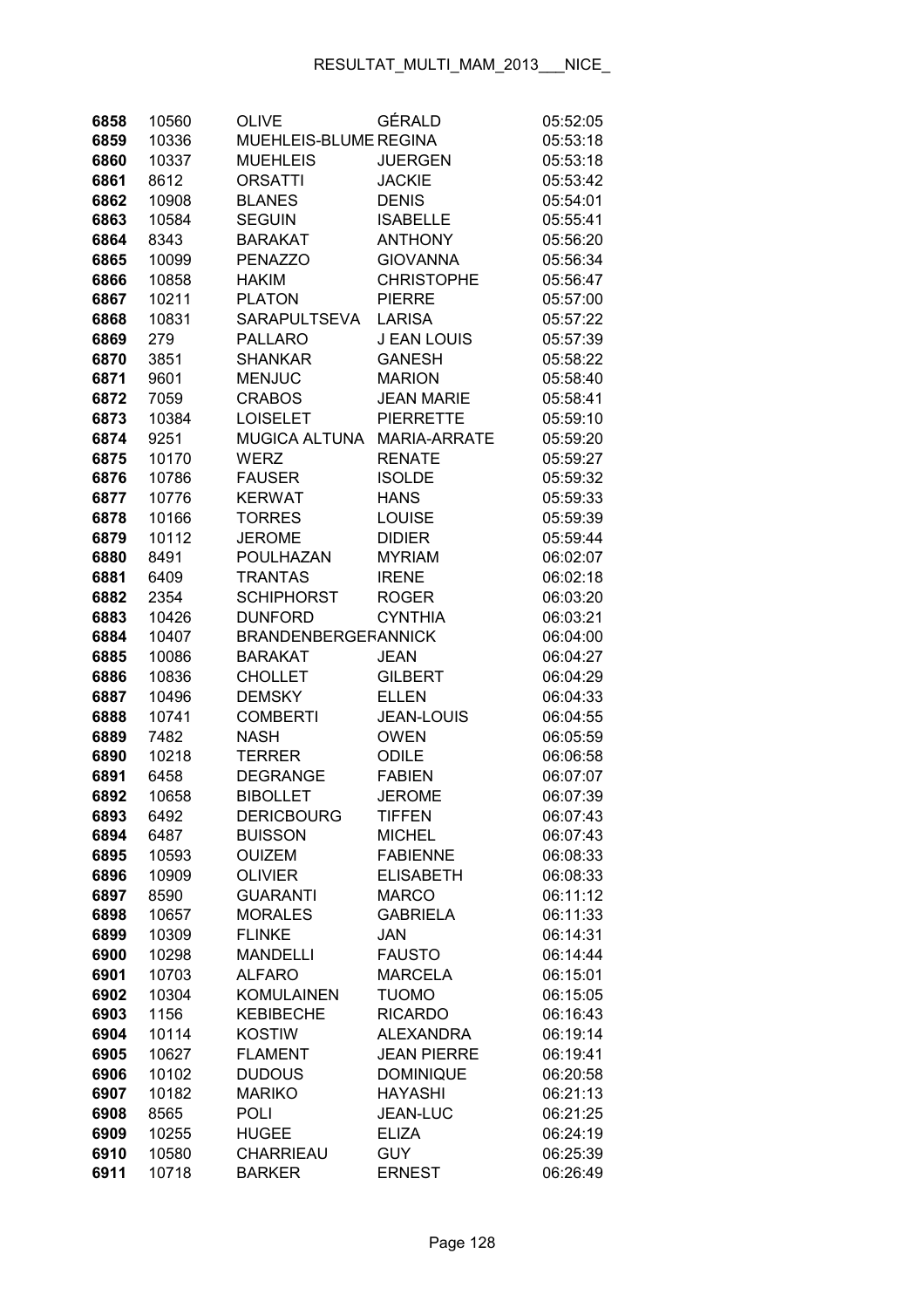| 6858         | 10560          | <b>OLIVE</b>                     | GÉRALD                     | 05:52:05             |
|--------------|----------------|----------------------------------|----------------------------|----------------------|
| 6859         | 10336          | MUEHLEIS-BLUME REGINA            |                            | 05:53:18             |
| 6860         | 10337          | <b>MUEHLEIS</b>                  | <b>JUERGEN</b>             | 05:53:18             |
| 6861         | 8612           | <b>ORSATTI</b>                   | <b>JACKIE</b>              | 05:53:42             |
| 6862         | 10908          | <b>BLANES</b>                    | <b>DENIS</b>               | 05:54:01             |
| 6863         | 10584          | <b>SEGUIN</b>                    | <b>ISABELLE</b>            | 05:55:41             |
| 6864         | 8343           | <b>BARAKAT</b>                   | <b>ANTHONY</b>             | 05:56:20             |
| 6865         | 10099          | <b>PENAZZO</b>                   | <b>GIOVANNA</b>            | 05:56:34             |
| 6866         | 10858          | <b>HAKIM</b>                     | <b>CHRISTOPHE</b>          | 05:56:47             |
| 6867         | 10211          | <b>PLATON</b>                    | <b>PIERRE</b>              | 05:57:00             |
| 6868         | 10831          | SARAPULTSEVA                     | <b>LARISA</b>              | 05:57:22             |
| 6869         | 279            | <b>PALLARO</b>                   | <b>J EAN LOUIS</b>         | 05:57:39             |
| 6870         | 3851           | <b>SHANKAR</b>                   | <b>GANESH</b>              | 05:58:22             |
| 6871         | 9601           | <b>MENJUC</b>                    | <b>MARION</b>              | 05:58:40             |
| 6872         | 7059           | <b>CRABOS</b>                    | <b>JEAN MARIE</b>          | 05:58:41             |
| 6873         | 10384          | <b>LOISELET</b>                  | <b>PIERRETTE</b>           | 05:59:10             |
| 6874         | 9251           | <b>MUGICA ALTUNA</b>             | <b>MARIA-ARRATE</b>        | 05:59:20             |
| 6875         | 10170          | <b>WERZ</b>                      | <b>RENATE</b>              | 05:59:27             |
| 6876         | 10786          | <b>FAUSER</b>                    | <b>ISOLDE</b>              | 05:59:32             |
| 6877         | 10776          | <b>KERWAT</b>                    | <b>HANS</b>                | 05:59:33             |
| 6878         | 10166          | <b>TORRES</b>                    | <b>LOUISE</b>              | 05:59:39             |
| 6879         | 10112          | <b>JEROME</b>                    | <b>DIDIER</b>              | 05:59:44             |
| 6880         | 8491           | POULHAZAN                        | <b>MYRIAM</b>              | 06:02:07             |
| 6881         | 6409           | <b>TRANTAS</b>                   | <b>IRENE</b>               | 06:02:18             |
| 6882         | 2354           | <b>SCHIPHORST</b>                | <b>ROGER</b>               | 06:03:20             |
| 6883         | 10426          | <b>DUNFORD</b>                   | <b>CYNTHIA</b>             | 06:03:21             |
| 6884         | 10407          | <b>BRANDENBERGERANNICK</b>       |                            | 06:04:00             |
| 6885         | 10086          | <b>BARAKAT</b>                   | <b>JEAN</b>                | 06:04:27             |
| 6886         | 10836          | <b>CHOLLET</b>                   | <b>GILBERT</b>             | 06:04:29             |
| 6887         | 10496          | <b>DEMSKY</b>                    | <b>ELLEN</b>               | 06:04:33             |
| 6888         | 10741          | <b>COMBERTI</b>                  | <b>JEAN-LOUIS</b>          | 06:04:55             |
| 6889         | 7482           | <b>NASH</b>                      | <b>OWEN</b>                | 06:05:59             |
| 6890         | 10218          | <b>TERRER</b>                    | <b>ODILE</b>               | 06:06:58             |
| 6891         | 6458           | <b>DEGRANGE</b>                  | <b>FABIEN</b>              | 06:07:07             |
| 6892         | 10658          | <b>BIBOLLET</b>                  | <b>JEROME</b>              | 06:07:39             |
| 6893         | 6492           | <b>DERICBOURG</b>                | TIFFEN                     | 06:07:43             |
| 6894         | 6487           | <b>BUISSON</b>                   | <b>MICHEL</b>              | 06:07:43             |
| 6895         | 10593          | <b>OUIZEM</b>                    | <b>FABIENNE</b>            | 06:08:33             |
| 6896         | 10909          | <b>OLIVIER</b>                   | <b>ELISABETH</b>           | 06:08:33             |
| 6897         | 8590           | <b>GUARANTI</b>                  | <b>MARCO</b>               | 06:11:12             |
| 6898         | 10657          | <b>MORALES</b>                   | <b>GABRIELA</b>            | 06:11:33             |
| 6899         | 10309          | <b>FLINKE</b>                    | <b>JAN</b>                 | 06:14:31             |
| 6900         | 10298          | <b>MANDELLI</b>                  | <b>FAUSTO</b>              | 06:14:44             |
| 6901         | 10703          | <b>ALFARO</b>                    | <b>MARCELA</b>             | 06:15:01             |
| 6902         | 10304          | <b>KOMULAINEN</b>                | <b>TUOMO</b>               | 06:15:05             |
| 6903         | 1156           | <b>KEBIBECHE</b>                 | <b>RICARDO</b>             | 06:16:43             |
| 6904         | 10114          | <b>KOSTIW</b>                    | <b>ALEXANDRA</b>           | 06:19:14             |
| 6905         | 10627          | <b>FLAMENT</b>                   | <b>JEAN PIERRE</b>         | 06:19:41             |
| 6906         | 10102          | <b>DUDOUS</b>                    | <b>DOMINIQUE</b>           | 06:20:58             |
| 6907         | 10182          | <b>MARIKO</b>                    | <b>HAYASHI</b>             | 06:21:13             |
| 6908         | 8565           | <b>POLI</b>                      | <b>JEAN-LUC</b>            | 06:21:25             |
| 6909<br>6910 | 10255<br>10580 | <b>HUGEE</b><br><b>CHARRIEAU</b> | <b>ELIZA</b><br><b>GUY</b> | 06:24:19<br>06:25:39 |
| 6911         | 10718          | <b>BARKER</b>                    | <b>ERNEST</b>              | 06:26:49             |
|              |                |                                  |                            |                      |